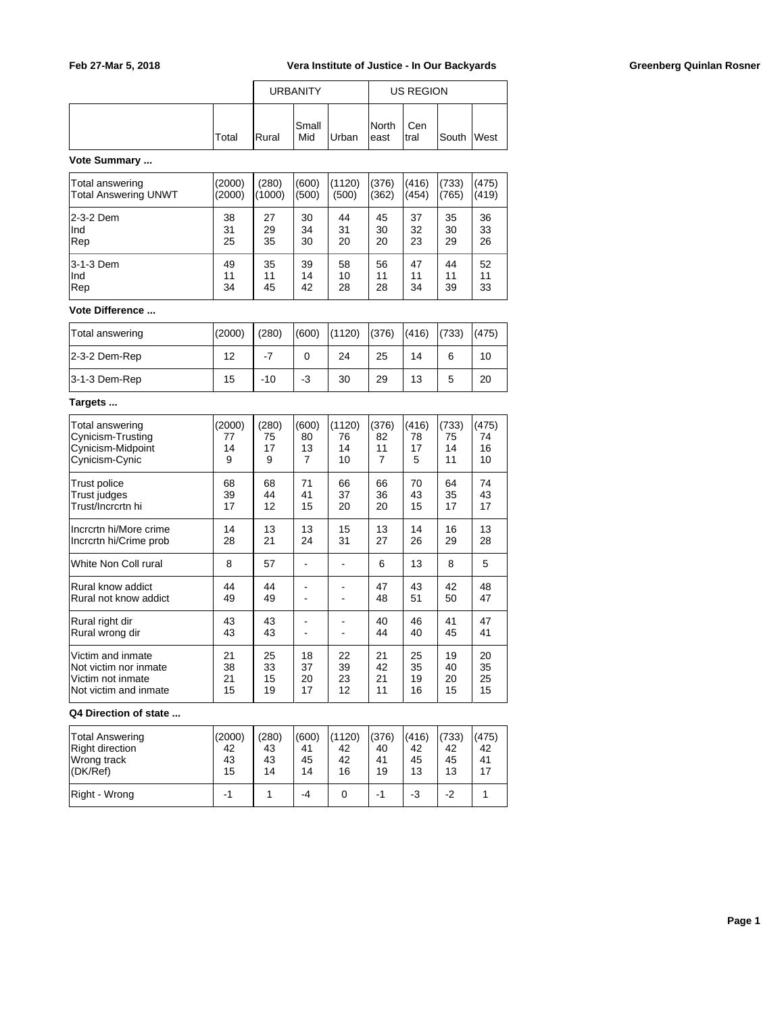|       |                |               |       | US REGION               |              |            |  |
|-------|----------------|---------------|-------|-------------------------|--------------|------------|--|
| Total | <b>I</b> Rural | lSmall<br>Mid | Urban | <b>I</b> North<br>least | Cen<br>Itral | South West |  |

### **Vote Summary ...**

| Total answering      | (2000) | (280)  | (600) | (1120) | (376) | (416) | 733) | (475) |
|----------------------|--------|--------|-------|--------|-------|-------|------|-------|
| Total Answering UNWT | (2000) | (1000) | (500) | (500)  | (362) | (454) | 765) | (419) |
| l2-3-2 Dem           | 38     | 27     | 30    | 44     | 45    | 37    | 35   | 36    |
| Ind                  | 31     | 29     | 34    | 31     | 30    | 32    | 30   | 33    |
| Rep                  | 25     | 35     | 30    | 20     | 20    | 23    | 29   | 26    |
| l3-1-3 Dem           | 49     | 35     | 39    | 58     | 56    | 47    | 44   | 52    |
| Ind                  | 11     | 11     | 14    | 10     | 11    | 11    | 11   | 11    |
| Rep                  | 34     | 45     | 42    | 28     | 28    | 34    | 39   | 33    |

## **Vote Difference ...**

| Total answering  | (2000) | (280) | (600) | (1120) | (376) | (416) | (733) | (475) |
|------------------|--------|-------|-------|--------|-------|-------|-------|-------|
| $ 2-3-2$ Dem-Rep | 12     |       | 0     | 24     | 25    | 14    | 6     | 10    |
| 3-1-3 Dem-Rep    | 15     | $-10$ | -3    | 30     | 29    | 13    |       | 20    |

#### **Targets ...**

| Total answering                            | (2000)   | (280)    | (600)          | (1120) | (376)    | (416)    | (733)    | (475)    |
|--------------------------------------------|----------|----------|----------------|--------|----------|----------|----------|----------|
| Cynicism-Trusting                          | 77       | 75       | 80             | 76     | 82       | 78       | 75       | 74       |
| Cynicism-Midpoint                          | 14       | 17       | 13             | 14     | 11       | 17       | 14       | 16       |
| Cynicism-Cynic                             | 9        | 9        | $\overline{7}$ | 10     | 7        | 5        | 11       | 10       |
| Trust police                               | 68       | 68       | 71             | 66     | 66       | 70       | 64       | 74       |
| Trust judges                               | 39       | 44       | 41             | 37     | 36       | 43       | 35       | 43       |
| Trust/Incrcrtn hi                          | 17       | 12       | 15             | 20     | 20       | 15       | 17       | 17       |
| Incrcrtn hi/More crime                     | 14       | 13       | 13             | 15     | 13       | 14       | 16       | 13       |
| Incrcrtn hi/Crime prob                     | 28       | 21       | 24             | 31     | 27       | 26       | 29       | 28       |
| White Non Coll rural                       | 8        | 57       |                |        | 6        | 13       | 8        | 5        |
| Rural know addict<br>Rural not know addict | 44<br>49 | 44<br>49 |                |        | 47<br>48 | 43<br>51 | 42<br>50 | 48<br>47 |
| Rural right dir<br>Rural wrong dir         | 43<br>43 | 43<br>43 |                |        | 40<br>44 | 46<br>40 | 41<br>45 | 47<br>41 |
| Victim and inmate                          | 21       | 25       | 18             | 22     | 21       | 25       | 19       | 20       |
| Not victim nor inmate                      | 38       | 33       | 37             | 39     | 42       | 35       | 40       | 35       |
| Victim not inmate                          | 21       | 15       | 20             | 23     | 21       | 19       | 20       | 25       |
| Not victim and inmate                      | 15       | 19       | 17             | 12     | 11       | 16       | 15       | 15       |

#### **Q4 Direction of state ...**

| <b>Total Answering</b><br>Right direction<br>Wrong track<br>$ $ (DK/Ref) | (2000)<br>42<br>43<br>15 | (280)<br>43<br>43<br>14 | (600)<br>41<br>45<br>14 | (1120)<br>42<br>42<br>16 | (376)<br>40<br>41<br>19 | (416)<br>42<br>45<br>13 | (733)<br>42<br>45<br>13 | (475)<br>42<br>41 |
|--------------------------------------------------------------------------|--------------------------|-------------------------|-------------------------|--------------------------|-------------------------|-------------------------|-------------------------|-------------------|
| Right - Wrong                                                            | - 1                      |                         | -4                      |                          |                         | -3                      | $-2$                    |                   |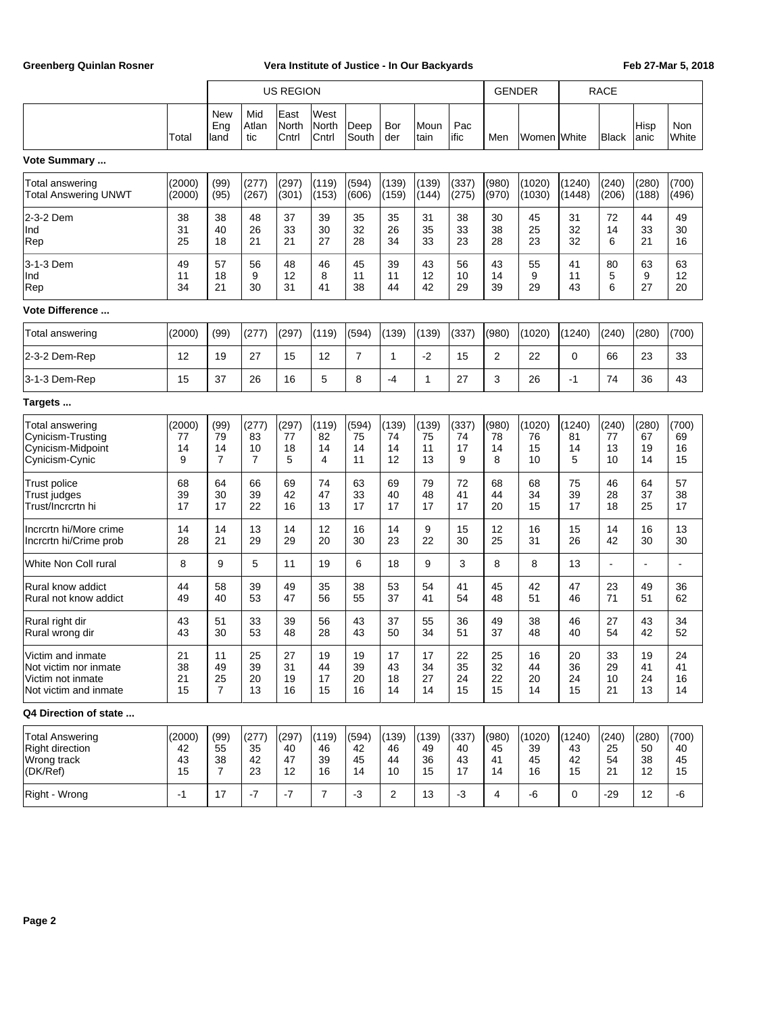|                                                                                          |                          |                                    | <b>US REGION</b>                    |                                        |                         |                         |                         |                         |                         |                         | <b>GENDER</b>            |                          | <b>RACE</b>             |                         |                         |
|------------------------------------------------------------------------------------------|--------------------------|------------------------------------|-------------------------------------|----------------------------------------|-------------------------|-------------------------|-------------------------|-------------------------|-------------------------|-------------------------|--------------------------|--------------------------|-------------------------|-------------------------|-------------------------|
|                                                                                          | Total                    | <b>New</b><br>Eng<br>land          | Mid<br>Atlan<br>tic                 | East<br>North<br>Cntrl                 | West<br>North<br>Cntrl  | Deep<br>South           | Bor<br>der              | Moun<br>tain            | Pac<br>lific            | Men                     | Women White              |                          | Black                   | Hisp<br> anic           | <b>Non</b><br>White     |
| Vote Summary                                                                             |                          |                                    |                                     |                                        |                         |                         |                         |                         |                         |                         |                          |                          |                         |                         |                         |
| Total answering<br><b>Total Answering UNWT</b>                                           | (2000)<br>(2000)         | (99)<br>(95)                       | (277)<br>(267)                      | (297)<br>(301)                         | (119)<br>(153)          | (594)<br>(606)          | (139)<br>(159)          | (139)<br>(144)          | (337)<br>(275)          | (980)<br>(970)          | (1020)<br>(1030)         | (1240)<br>(1448)         | (240)<br>(206)          | (280)<br>(188)          | (700)<br>(496)          |
| 2-3-2 Dem<br>Ind<br>Rep                                                                  | 38<br>31<br>25           | 38<br>40<br>18                     | 48<br>26<br>21                      | 37<br>33<br>21                         | 39<br>30<br>27          | 35<br>32<br>28          | 35<br>26<br>34          | 31<br>35<br>33          | 38<br>33<br>23          | 30<br>38<br>28          | 45<br>25<br>23           | 31<br>32<br>32           | 72<br>14<br>6           | 44<br>33<br>21          | 49<br>30<br>16          |
| 3-1-3 Dem<br>Ind<br>Rep                                                                  | 49<br>11<br>34           | 57<br>18<br>21                     | 56<br>9<br>30                       | 48<br>12<br>31                         | 46<br>8<br>41           | 45<br>11<br>38          | 39<br>11<br>44          | 43<br>12<br>42          | 56<br>10<br>29          | 43<br>14<br>39          | 55<br>9<br>29            | 41<br>11<br>43           | 80<br>5<br>6            | 63<br>9<br>27           | 63<br>12<br>20          |
| <b>Vote Difference </b>                                                                  |                          |                                    |                                     |                                        |                         |                         |                         |                         |                         |                         |                          |                          |                         |                         |                         |
| Total answering                                                                          | (2000)                   | (99)                               | (277)                               | (297)                                  | (119)                   | (594)                   | (139)                   | (139)                   | (337)                   | (980)                   | (1020)                   | (1240)                   | (240)                   | (280)                   | (700)                   |
| 2-3-2 Dem-Rep                                                                            | 12                       | 19                                 | 27                                  | 15                                     | 12                      | $\overline{7}$          | 1                       | $-2$                    | 15                      | 2                       | 22                       | $\mathbf 0$              | 66                      | 23                      | 33                      |
| 3-1-3 Dem-Rep                                                                            | 15                       | 37                                 | 26                                  | 16                                     | 5                       | 8                       | $-4$                    | 1                       | 27                      | 3                       | 26                       | $-1$                     | 74                      | 36                      | 43                      |
| Targets                                                                                  |                          |                                    |                                     |                                        |                         |                         |                         |                         |                         |                         |                          |                          |                         |                         |                         |
| <b>Total answering</b><br>Cynicism-Trusting<br>Cynicism-Midpoint<br>Cynicism-Cynic       | (2000)<br>77<br>14<br>9  | (99)<br>79<br>14<br>7              | (277)<br>83<br>10<br>$\overline{7}$ | (297)<br>77<br>18<br>5                 | (119)<br>82<br>14<br>4  | (594)<br>75<br>14<br>11 | (139)<br>74<br>14<br>12 | (139)<br>75<br>11<br>13 | (337)<br>74<br>17<br>9  | (980)<br>78<br>14<br>8  | (1020)<br>76<br>15<br>10 | (1240)<br>81<br>14<br>5  | (240)<br>77<br>13<br>10 | (280)<br>67<br>19<br>14 | (700)<br>69<br>16<br>15 |
| <b>Trust police</b><br><b>Trust judges</b><br>Trust/Incrcrtn hi                          | 68<br>39<br>17           | 64<br>30<br>17                     | 66<br>39<br>22                      | 69<br>42<br>16                         | 74<br>47<br>13          | 63<br>33<br>17          | 69<br>40<br>17          | 79<br>48<br>17          | 72<br>41<br>17          | 68<br>44<br>20          | 68<br>34<br>15           | 75<br>39<br>17           | 46<br>28<br>18          | 64<br>37<br>25          | 57<br>38<br>17          |
| Incrcrtn hi/More crime<br>Incrcrtn hi/Crime prob                                         | 14<br>28                 | 14<br>21                           | 13<br>29                            | 14<br>29                               | 12<br>20                | 16<br>30                | 14<br>23                | 9<br>22                 | 15<br>30                | 12<br>25                | 16<br>31                 | 15<br>26                 | 14<br>42                | 16<br>30                | 13<br>30                |
| White Non Coll rural                                                                     | 8                        | 9                                  | 5                                   | 11                                     | 19                      | 6                       | 18                      | 9                       | 3                       | 8                       | 8                        | 13                       | $\blacksquare$          | $\blacksquare$          | $\blacksquare$          |
| Rural know addict<br>Rural not know addict                                               | 44<br>49                 | 58<br>40                           | 39<br>53                            | 49<br>47                               | 35<br>56                | 38<br>55                | 53<br>37                | 54<br>41                | 41<br>54                | 45<br>48                | 42<br>51                 | 47<br>46                 | 23<br>71                | 49<br>51                | 36<br>62                |
| Rural right dir<br>Rural wrong dir                                                       | 43<br>43                 | 51<br>30                           | 33<br>53                            | 39<br>48                               | 56<br>28                | 43<br>43                | 37<br>50                | 55<br>34                | 36<br>51                | 49<br>37                | 38<br>48                 | 46<br>40                 | 27<br>54                | 43<br>42                | 34<br>52                |
| Victim and inmate<br>Not victim nor inmate<br>Victim not inmate<br>Not victim and inmate | 21<br>38<br>21<br>15     | 11<br>49<br>25<br>$\overline{7}$   | 25<br>39<br>20<br>13                | 27<br>31<br>19<br>16                   | 19<br>44<br>17<br>15    | 19<br>39<br>20<br>16    | 17<br>43<br>18<br>14    | 17<br>34<br>27<br>14    | 22<br>35<br>24<br>15    | 25<br>32<br>22<br>15    | 16<br>44<br>20<br>14     | 20<br>36<br>24<br>15     | 33<br>29<br>10<br>21    | 19<br>41<br>24<br>13    | 24<br>41<br>16<br>14    |
| Q4 Direction of state                                                                    |                          |                                    |                                     |                                        |                         |                         |                         |                         |                         |                         |                          |                          |                         |                         |                         |
| <b>Total Answering</b><br><b>Right direction</b><br>Wrong track<br>(DK/Ref)              | (2000)<br>42<br>43<br>15 | (99)<br>55<br>38<br>$\overline{7}$ | (277)<br>35<br>42<br>23             | (297)<br>40<br>47<br>$12 \overline{ }$ | (119)<br>46<br>39<br>16 | (594)<br>42<br>45<br>14 | (139)<br>46<br>44<br>10 | (139)<br>49<br>36<br>15 | (337)<br>40<br>43<br>17 | (980)<br>45<br>41<br>14 | (1020)<br>39<br>45<br>16 | (1240)<br>43<br>42<br>15 | (240)<br>25<br>54<br>21 | (280)<br>50<br>38<br>12 | (700)<br>40<br>45<br>15 |
| Right - Wrong                                                                            | $-1$                     | 17                                 | $-7$                                | $-7$                                   | $\overline{7}$          | $-3$                    | 2                       | 13                      | $-3$                    | 4                       | -6                       | $\mathbf 0$              | -29                     | 12                      | -6                      |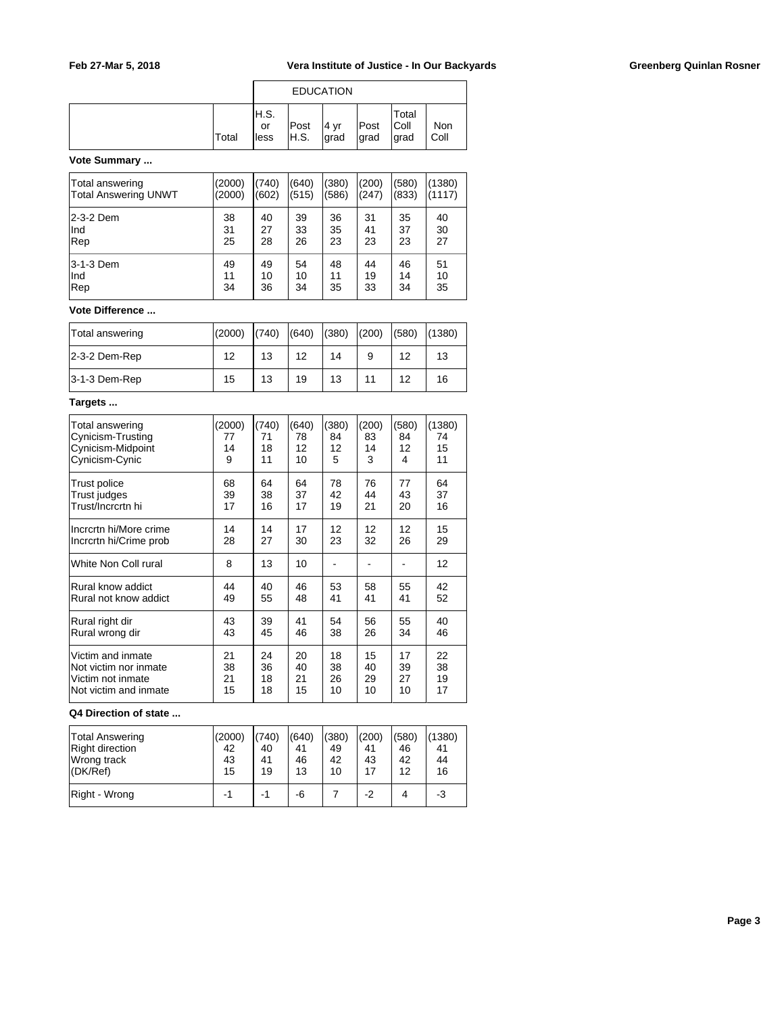|              |                      |               | <b>EDUCATION</b> |               |                         |             |
|--------------|----------------------|---------------|------------------|---------------|-------------------------|-------------|
| <b>Total</b> | IH.S.<br>or<br>lless | Post<br>IH.S. | 4 yr<br> grad    | Post<br>∣grad | Total<br> Coll<br>∣grad | Non<br>Coll |

### **Vote Summary ...**

| Total answering      | (2000) | (740) | (640) | (380) | (200) | (580) | (1380) |
|----------------------|--------|-------|-------|-------|-------|-------|--------|
| Total Answering UNWT | (2000) | (602) | (515) | (586) | (247) | (833) | (1117) |
| l2-3-2 Dem           | 38     | 40    | 39    | 36    | 31    | 35    | 40     |
| Ind                  | 31     | 27    | 33    | 35    | 41    | 37    | 30     |
| Rep                  | 25     | 28    | 26    | 23    | 23    | 23    | 27     |
| l3-1-3 Dem           | 49     | 49    | 54    | 48    | 44    | 46    | 51     |
| Ind                  | 11     | 10    | 10    | 11    | 19    | 14    | 10     |
| Rep                  | 34     | 36    | 34    | 35    | 33    | 34    | 35     |

# **Vote Difference ...**

| Total answering  | (2000) | (740) | (640) | (380) | (200) | (580) | (1380) |
|------------------|--------|-------|-------|-------|-------|-------|--------|
| $ 2-3-2$ Dem-Rep | 12     | 13    | 12    | 14    | 9     | 12    | 13     |
| $ 3-1-3$ Dem-Rep | 15     | 13    | 19    | 13    | 11    | 12    | 16     |

## **Targets ...**

| Total answering        | (2000) | (740) | (640) | (380) | (200) | (580) | (1380) |
|------------------------|--------|-------|-------|-------|-------|-------|--------|
| Cynicism-Trusting      | 77     | 71    | 78    | 84    | 83    | 84    | 74     |
| Cynicism-Midpoint      | 14     | 18    | 12    | 12    | 14    | 12    | 15     |
| Cynicism-Cynic         | 9      | 11    | 10    | 5     | 3     | 4     | 11     |
| Trust police           | 68     | 64    | 64    | 78    | 76    | 77    | 64     |
| Trust judges           | 39     | 38    | 37    | 42    | 44    | 43    | 37     |
| Trust/Incrcrtn hi      | 17     | 16    | 17    | 19    | 21    | 20    | 16     |
| Incrcrtn hi/More crime | 14     | 14    | 17    | 12    | 12    | 12    | 15     |
| Incrcrtn hi/Crime prob | 28     | 27    | 30    | 23    | 32    | 26    | 29     |
| White Non Coll rural   | 8      | 13    | 10    |       |       |       | 12     |
| Rural know addict      | 44     | 40    | 46    | 53    | 58    | 55    | 42     |
| Rural not know addict  | 49     | 55    | 48    | 41    | 41    | 41    | 52     |
| Rural right dir        | 43     | 39    | 41    | 54    | 56    | 55    | 40     |
| Rural wrong dir        | 43     | 45    | 46    | 38    | 26    | 34    | 46     |
| Victim and inmate      | 21     | 24    | 20    | 18    | 15    | 17    | 22     |
| Not victim nor inmate  | 38     | 36    | 40    | 38    | 40    | 39    | 38     |
| Victim not inmate      | 21     | 18    | 21    | 26    | 29    | 27    | 19     |
| Not victim and inmate  | 15     | 18    | 15    | 10    | 10    | 10    | 17     |

#### **Q4 Direction of state ...**

| <b>Total Answering</b> | (2000) | (740) | (640) | (380) | (200) | (580) | (1380) |
|------------------------|--------|-------|-------|-------|-------|-------|--------|
| Right direction        | 42     | 40    | 41    | 49    | 41    | 46    | 41     |
| Wrong track            | 43     | 41    | 46    | 42    | 43    | 42    | 44     |
| (DK/Ref)               | 15     | 19    | 13    | 10    | 17    | 12    | 16     |
| Right - Wrong          | -1     | -1    | -6    |       | $-2$  | 4     | -3     |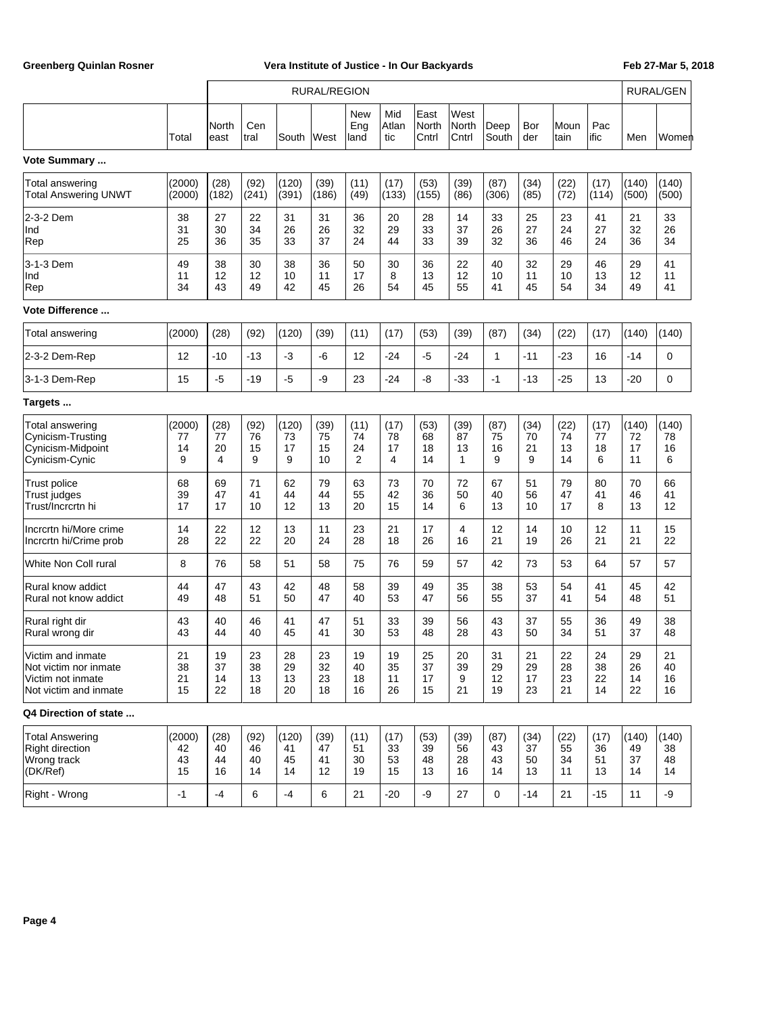|                                                                                          |                          | RURAL/REGION           |                        |                         |                        |                        |                        |                        |                        |                        |                        |                        | RURAL/GEN              |                         |                         |
|------------------------------------------------------------------------------------------|--------------------------|------------------------|------------------------|-------------------------|------------------------|------------------------|------------------------|------------------------|------------------------|------------------------|------------------------|------------------------|------------------------|-------------------------|-------------------------|
|                                                                                          | Total                    | North<br>least         | Cen<br> tral           | South                   | West                   | New<br>Eng<br>land     | Mid<br>Atlan<br>tic    | East<br>North<br>Cntrl | West<br>North<br>Cntrl | Deep<br>South          | Bor<br>der             | Moun<br>tain           | Pac<br>ific            | Men                     | Women                   |
| Vote Summary                                                                             |                          |                        |                        |                         |                        |                        |                        |                        |                        |                        |                        |                        |                        |                         |                         |
| Total answering<br><b>Total Answering UNWT</b>                                           | (2000)<br>(2000)         | (28)<br>(182)          | (92)<br>(241)          | (120)<br>(391)          | (39)<br>(186)          | (11)<br>(49)           | (17)<br>(133)          | (53)<br>(155)          | (39)<br>(86)           | (87)<br>(306)          | (34)<br>(85)           | (22)<br>(72)           | (17)<br>(114)          | (140)<br>(500)          | (140)<br>(500)          |
| 2-3-2 Dem<br>Ind<br>Rep                                                                  | 38<br>31<br>25           | 27<br>30<br>36         | 22<br>34<br>35         | 31<br>26<br>33          | 31<br>26<br>37         | 36<br>32<br>24         | 20<br>29<br>44         | 28<br>33<br>33         | 14<br>37<br>39         | 33<br>26<br>32         | 25<br>27<br>36         | 23<br>24<br>46         | 41<br>27<br>24         | 21<br>32<br>36          | 33<br>26<br>34          |
| 3-1-3 Dem<br>Ind<br>Rep                                                                  | 49<br>11<br>34           | 38<br>12<br>43         | 30<br>12<br>49         | 38<br>10<br>42          | 36<br>11<br>45         | 50<br>17<br>26         | 30<br>8<br>54          | 36<br>13<br>45         | 22<br>12<br>55         | 40<br>10<br>41         | 32<br>11<br>45         | 29<br>10<br>54         | 46<br>13<br>34         | 29<br>12<br>49          | 41<br>11<br>41          |
| <b>Vote Difference </b>                                                                  |                          |                        |                        |                         |                        |                        |                        |                        |                        |                        |                        |                        |                        |                         |                         |
| Total answering                                                                          | (2000)                   | (28)                   | (92)                   | (120)                   | (39)                   | (11)                   | (17)                   | (53)                   | (39)                   | (87)                   | (34)                   | (22)                   | (17)                   | (140)                   | (140)                   |
| 2-3-2 Dem-Rep                                                                            | 12                       | $-10$                  | $-13$                  | $-3$                    | -6                     | 12                     | $-24$                  | $-5$                   | $-24$                  | 1                      | $-11$                  | $-23$                  | 16                     | -14                     | 0                       |
| 3-1-3 Dem-Rep                                                                            | 15                       | $-5$                   | $-19$                  | $-5$                    | -9                     | 23                     | $-24$                  | -8                     | $-33$                  | $-1$                   | $-13$                  | $-25$                  | 13                     | $-20$                   | 0                       |
| Targets                                                                                  |                          |                        |                        |                         |                        |                        |                        |                        |                        |                        |                        |                        |                        |                         |                         |
| Total answering<br>Cynicism-Trusting<br>Cynicism-Midpoint<br>Cynicism-Cynic              | (2000)<br>77<br>14<br>9  | (28)<br>77<br>20<br>4  | (92)<br>76<br>15<br>9  | (120)<br>73<br>17<br>9  | (39)<br>75<br>15<br>10 | (11)<br>74<br>24<br>2  | (17)<br>78<br>17<br>4  | (53)<br>68<br>18<br>14 | (39)<br>87<br>13<br>1  | (87)<br>75<br>16<br>9  | (34)<br>70<br>21<br>9  | (22)<br>74<br>13<br>14 | (17)<br>77<br>18<br>6  | (140)<br>72<br>17<br>11 | (140)<br>78<br>16<br>6  |
| Trust police<br>Trust judges<br>Trust/Incrcrtn hi                                        | 68<br>39<br>17           | 69<br>47<br>17         | 71<br>41<br>10         | 62<br>44<br>12          | 79<br>44<br>13         | 63<br>55<br>20         | 73<br>42<br>15         | 70<br>36<br>14         | 72<br>50<br>6          | 67<br>40<br>13         | 51<br>56<br>10         | 79<br>47<br>17         | 80<br>41<br>8          | 70<br>46<br>13          | 66<br>41<br>12          |
| Incrcrtn hi/More crime<br>Incrcrtn hi/Crime prob                                         | 14<br>28                 | 22<br>22               | 12<br>22               | 13<br>20                | 11<br>24               | 23<br>28               | 21<br>18               | 17<br>26               | 4<br>16                | 12<br>21               | 14<br>19               | 10<br>26               | 12<br>21               | 11<br>21                | 15<br>22                |
| White Non Coll rural                                                                     | 8                        | 76                     | 58                     | 51                      | 58                     | 75                     | 76                     | 59                     | 57                     | 42                     | 73                     | 53                     | 64                     | 57                      | 57                      |
| Rural know addict<br>Rural not know addict                                               | 44<br>49                 | 47<br>48               | 43<br>51               | 42<br>50                | 48<br>47               | 58<br>40               | 39<br>53               | 49<br>47               | 35<br>56               | 38<br>55               | 53<br>37               | 54<br>41               | 41<br>54               | 45<br>48                | 42<br>51                |
| Rural right dir<br>Rural wrong dir                                                       | 43<br>43                 | 40<br>44               | 46<br>40               | 41<br>45                | 47<br>41               | 51<br>30               | 33<br>53               | 39<br>48               | 56<br>28               | 43<br>43               | 37<br>50               | 55<br>34               | 36<br>51               | 49<br>37                | 38<br>48                |
| Victim and inmate<br>Not victim nor inmate<br>Victim not inmate<br>Not victim and inmate | 21<br>38<br>21<br>15     | 19<br>37<br>14<br>22   | 23<br>38<br>13<br>18   | 28<br>29<br>13<br>20    | 23<br>32<br>23<br>18   | 19<br>40<br>18<br>16   | 19<br>35<br>11<br>26   | 25<br>37<br>17<br>15   | 20<br>39<br>9<br>21    | 31<br>29<br>12<br>19   | 21<br>29<br>17<br>23   | 22<br>28<br>23<br>21   | 24<br>38<br>22<br>14   | 29<br>26<br>14<br>22    | 21<br>40<br>16<br>16    |
| Q4 Direction of state                                                                    |                          |                        |                        |                         |                        |                        |                        |                        |                        |                        |                        |                        |                        |                         |                         |
| <b>Total Answering</b><br><b>Right direction</b><br>Wrong track<br>(DK/Ref)              | (2000)<br>42<br>43<br>15 | (28)<br>40<br>44<br>16 | (92)<br>46<br>40<br>14 | (120)<br>41<br>45<br>14 | (39)<br>47<br>41<br>12 | (11)<br>51<br>30<br>19 | (17)<br>33<br>53<br>15 | (53)<br>39<br>48<br>13 | (39)<br>56<br>28<br>16 | (87)<br>43<br>43<br>14 | (34)<br>37<br>50<br>13 | (22)<br>55<br>34<br>11 | (17)<br>36<br>51<br>13 | (140)<br>49<br>37<br>14 | (140)<br>38<br>48<br>14 |
| Right - Wrong                                                                            | $-1$                     | $-4$                   | 6                      | $-4$                    | 6                      | 21                     | -20                    | -9                     | 27                     | 0                      | -14                    | 21                     | -15                    | 11                      | -9                      |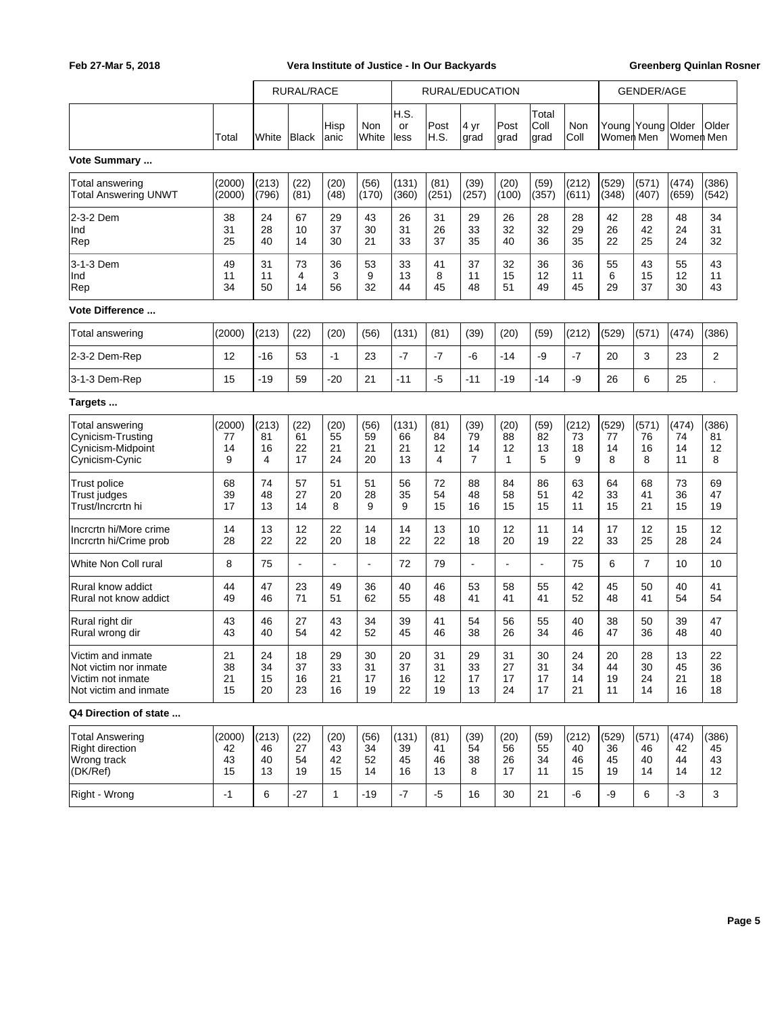|                                                                                          |                          | RURAL/RACE              |                        |                        | RURAL/EDUCATION        |                         |                                    |                                    |                                  |                          | <b>GENDER/AGE</b>       |                          |                         |                         |                         |
|------------------------------------------------------------------------------------------|--------------------------|-------------------------|------------------------|------------------------|------------------------|-------------------------|------------------------------------|------------------------------------|----------------------------------|--------------------------|-------------------------|--------------------------|-------------------------|-------------------------|-------------------------|
|                                                                                          | Total                    | White                   | Black                  | Hisp<br>anic           | Non<br>White           | H.S.<br>or<br>less      | Post<br>H.S.                       | 4 yr<br>grad                       | Post<br>grad                     | Total<br>Coll<br>grad    | Non<br>Coll             | Young Young<br>Women Men |                         | Older<br>Women Men      | Older                   |
| Vote Summary                                                                             |                          |                         |                        |                        |                        |                         |                                    |                                    |                                  |                          |                         |                          |                         |                         |                         |
| Total answering<br><b>Total Answering UNWT</b>                                           | (2000)<br>(2000)         | (213)<br>(796)          | (22)<br>(81)           | (20)<br>(48)           | (56)<br>(170)          | (131)<br>(360)          | (81)<br>(251)                      | (39)<br>(257)                      | (20)<br>(100)                    | (59)<br>(357)            | (212)<br>(611)          | (529)<br>(348)           | (571)<br>(407)          | (474)<br>(659)          | (386)<br>(542)          |
| 2-3-2 Dem<br>Ind<br>Rep                                                                  | 38<br>31<br>25           | 24<br>28<br>40          | 67<br>10<br>14         | 29<br>37<br>30         | 43<br>30<br>21         | 26<br>31<br>33          | 31<br>26<br>37                     | 29<br>33<br>35                     | 26<br>32<br>40                   | 28<br>32<br>36           | 28<br>29<br>35          | 42<br>26<br>22           | 28<br>42<br>25          | 48<br>24<br>24          | 34<br>31<br>32          |
| 3-1-3 Dem<br>Ind<br>Rep                                                                  | 49<br>11<br>34           | 31<br>11<br>50          | 73<br>4<br>14          | 36<br>3<br>56          | 53<br>9<br>32          | 33<br>13<br>44          | 41<br>8<br>45                      | 37<br>11<br>48                     | 32<br>15<br>51                   | 36<br>12<br>49           | 36<br>11<br>45          | 55<br>6<br>29            | 43<br>15<br>37          | 55<br>12<br>30          | 43<br>11<br>43          |
| Vote Difference                                                                          |                          |                         |                        |                        |                        |                         |                                    |                                    |                                  |                          |                         |                          |                         |                         |                         |
| Total answering                                                                          | (2000)                   | (213)                   | (22)                   | (20)                   | (56)                   | (131)                   | (81)                               | (39)                               | (20)                             | (59)                     | (212)                   | (529)                    | (571)                   | (474)                   | (386)                   |
| 2-3-2 Dem-Rep                                                                            | 12                       | $-16$                   | 53                     | $-1$                   | 23                     | $-7$                    | $-7$                               | -6                                 | $-14$                            | -9                       | $-7$                    | 20                       | 3                       | 23                      | 2                       |
| 3-1-3 Dem-Rep                                                                            | 15                       | $-19$                   | 59                     | $-20$                  | 21                     | $-11$                   | $-5$                               | $-11$                              | $-19$                            | $-14$                    | -9                      | 26                       | 6                       | 25                      |                         |
| Targets                                                                                  |                          |                         |                        |                        |                        |                         |                                    |                                    |                                  |                          |                         |                          |                         |                         |                         |
| <b>Total answering</b><br>Cynicism-Trusting<br>Cynicism-Midpoint<br>Cynicism-Cynic       | (2000)<br>77<br>14<br>9  | (213)<br>81<br>16<br>4  | (22)<br>61<br>22<br>17 | (20)<br>55<br>21<br>24 | (56)<br>59<br>21<br>20 | (131)<br>66<br>21<br>13 | (81)<br>84<br>12<br>$\overline{4}$ | (39)<br>79<br>14<br>$\overline{7}$ | (20)<br>88<br>12<br>$\mathbf{1}$ | (59)<br>82<br>13<br>5    | (212)<br>73<br>18<br>9  | (529)<br>77<br>14<br>8   | (571)<br>76<br>16<br>8  | (474)<br>74<br>14<br>11 | (386)<br>81<br>12<br>8  |
| <b>Trust police</b><br><b>Trust judges</b><br>Trust/Incrcrtn hi                          | 68<br>39<br>17           | 74<br>48<br>13          | 57<br>27<br>14         | 51<br>20<br>8          | 51<br>28<br>9          | 56<br>35<br>9           | 72<br>54<br>15                     | 88<br>48<br>16                     | 84<br>58<br>15                   | 86<br>51<br>15           | 63<br>42<br>11          | 64<br>33<br>15           | 68<br>41<br>21          | 73<br>36<br>15          | 69<br>47<br>19          |
| Incrcrtn hi/More crime<br>Incrcrtn hi/Crime prob                                         | 14<br>28                 | 13<br>22                | 12<br>22               | 22<br>20               | 14<br>18               | 14<br>22                | 13<br>22                           | 10<br>18                           | 12<br>20                         | 11<br>19                 | 14<br>22                | 17<br>33                 | 12<br>25                | 15<br>28                | 12<br>24                |
| White Non Coll rural                                                                     | 8                        | 75                      | ä,                     | L,                     | $\overline{a}$         | 72                      | 79                                 | $\overline{a}$                     |                                  | $\overline{\phantom{a}}$ | 75                      | 6                        | $\overline{7}$          | 10                      | 10                      |
| Rural know addict<br>Rural not know addict                                               | 44<br>49                 | 47<br>46                | 23<br>71               | 49<br>51               | 36<br>62               | 40<br>55                | 46<br>48                           | 53<br>41                           | 58<br>41                         | 55<br>41                 | 42<br>52                | 45<br>48                 | 50<br>41                | 40<br>54                | 41<br>54                |
| Rural right dir<br>Rural wrong dir                                                       | 43<br>43                 | 46<br>40                | 27<br>54               | 43<br>42               | 34<br>52               | 39<br>45                | 41<br>46                           | 54<br>38                           | 56<br>26                         | 55<br>34                 | 40<br>46                | 38<br>47                 | 50<br>36                | 39<br>48                | 47<br>40                |
| Victim and inmate<br>Not victim nor inmate<br>Victim not inmate<br>Not victim and inmate | 21<br>38<br>21<br>15     | 24<br>34<br>15<br>20    | 18<br>37<br>16<br>23   | 29<br>33<br>21<br>16   | 30<br>31<br>17<br>19   | 20<br>37<br>16<br>22    | 31<br>31<br>12<br>19               | 29<br>33<br>17<br>13               | 31<br>27<br>17<br>24             | 30<br>31<br>17<br>17     | 24<br>34<br>14<br>21    | 20<br>44<br>19<br>11     | 28<br>30<br>24<br>14    | 13<br>45<br>21<br>16    | 22<br>36<br>18<br>18    |
| Q4 Direction of state                                                                    |                          |                         |                        |                        |                        |                         |                                    |                                    |                                  |                          |                         |                          |                         |                         |                         |
| <b>Total Answering</b><br><b>Right direction</b><br>Wrong track<br>(DK/Ref)              | (2000)<br>42<br>43<br>15 | (213)<br>46<br>40<br>13 | (22)<br>27<br>54<br>19 | (20)<br>43<br>42<br>15 | (56)<br>34<br>52<br>14 | (131)<br>39<br>45<br>16 | (81)<br>41<br>46<br>13             | (39)<br>54<br>38<br>8              | (20)<br>56<br>26<br>17           | (59)<br>55<br>34<br>11   | (212)<br>40<br>46<br>15 | (529)<br>36<br>45<br>19  | (571)<br>46<br>40<br>14 | (474)<br>42<br>44<br>14 | (386)<br>45<br>43<br>12 |
| Right - Wrong                                                                            | $-1$                     | 6                       | $-27$                  | $\mathbf{1}$           | -19                    | $-7$                    | $-5$                               | 16                                 | 30                               | 21                       | -6                      | -9                       | 6                       | $-3$                    | 3                       |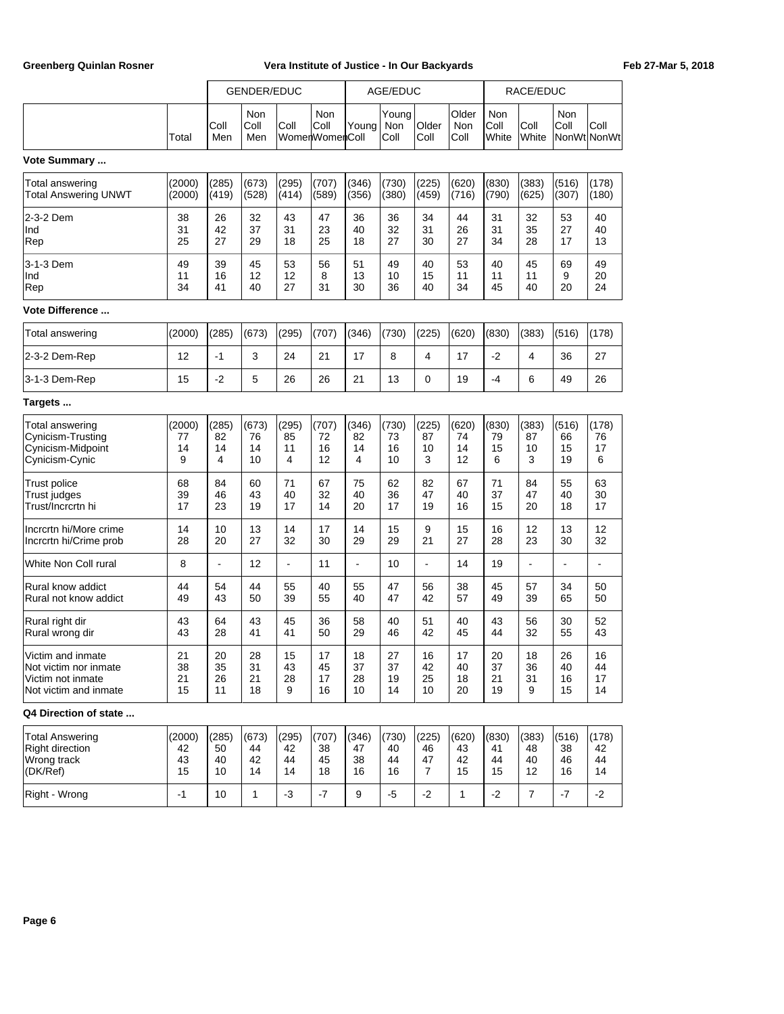|                                                                                          |                          |                         | GENDER/EDUC             |                         |                               |                         | AGE/EDUC                |                                     |                         |                         | RACE/EDUC               |                         |                          |
|------------------------------------------------------------------------------------------|--------------------------|-------------------------|-------------------------|-------------------------|-------------------------------|-------------------------|-------------------------|-------------------------------------|-------------------------|-------------------------|-------------------------|-------------------------|--------------------------|
|                                                                                          | Total                    | Coll<br>Men             | Non<br>Coll<br>Men      | Coll                    | Non<br>Coll<br>WomenWomenColl | Young                   | Young<br>Non<br>Coll    | Older<br>Coll                       | Older<br>Non<br>Coll    | Non<br>Coll<br>White    | Coll<br>White           | Non<br>Coll             | Coll<br>NonWt NonWt      |
| Vote Summary                                                                             |                          |                         |                         |                         |                               |                         |                         |                                     |                         |                         |                         |                         |                          |
| Total answering<br><b>Total Answering UNWT</b>                                           | (2000)<br>(2000)         | (285)<br>(419)          | (673)<br>(528)          | (295)<br>(414)          | (707)<br>(589)                | (346)<br>(356)          | (730)<br>(380)          | (225)<br>(459)                      | (620)<br>(716)          | (830)<br>(790)          | (383)<br>(625)          | (516)<br>(307)          | (178)<br>(180)           |
| 2-3-2 Dem<br>Ind<br>Rep                                                                  | 38<br>31<br>25           | 26<br>42<br>27          | 32<br>37<br>29          | 43<br>31<br>18          | 47<br>23<br>25                | 36<br>40<br>18          | 36<br>32<br>27          | 34<br>31<br>30                      | 44<br>26<br>27          | 31<br>31<br>34          | 32<br>35<br>28          | 53<br>27<br>17          | 40<br>40<br>13           |
| 3-1-3 Dem<br>Ind<br>Rep                                                                  | 49<br>11<br>34           | 39<br>16<br>41          | 45<br>12<br>40          | 53<br>12<br>27          | 56<br>8<br>31                 | 51<br>13<br>30          | 49<br>10<br>36          | 40<br>15<br>40                      | 53<br>11<br>34          | 40<br>11<br>45          | 45<br>11<br>40          | 69<br>9<br>20           | 49<br>20<br>24           |
| Vote Difference                                                                          |                          |                         |                         |                         |                               |                         |                         |                                     |                         |                         |                         |                         |                          |
| Total answering                                                                          | (2000)                   | (285)                   | (673)                   | (295)                   | (707)                         | (346)                   | (730)                   | (225)                               | (620)                   | (830)                   | (383)                   | (516)                   | (178)                    |
| 2-3-2 Dem-Rep                                                                            | 12                       | $-1$                    | 3                       | 24                      | 21                            | 17                      | 8                       | $\overline{4}$                      | 17                      | $-2$                    | 4                       | 36                      | 27                       |
| 3-1-3 Dem-Rep                                                                            | 15                       | $-2$                    | 5                       | 26                      | 26                            | 21                      | 13                      | $\mathbf 0$                         | 19                      | $-4$                    | 6                       | 49                      | 26                       |
| Targets                                                                                  |                          |                         |                         |                         |                               |                         |                         |                                     |                         |                         |                         |                         |                          |
| Total answering<br>Cynicism-Trusting<br>Cynicism-Midpoint<br>Cynicism-Cynic              | (2000)<br>77<br>14<br>9  | (285)<br>82<br>14<br>4  | (673)<br>76<br>14<br>10 | (295)<br>85<br>11<br>4  | (707)<br>72<br>16<br>12       | (346)<br>82<br>14<br>4  | (730)<br>73<br>16<br>10 | (225)<br>87<br>10<br>3              | (620)<br>74<br>14<br>12 | (830)<br>79<br>15<br>6  | (383)<br>87<br>10<br>3  | (516)<br>66<br>15<br>19 | (178)<br>76<br>17<br>6   |
| <b>Trust police</b><br>Trust judges<br>Trust/Incrcrtn hi                                 | 68<br>39<br>17           | 84<br>46<br>23          | 60<br>43<br>19          | 71<br>40<br>17          | 67<br>32<br>14                | 75<br>40<br>20          | 62<br>36<br>17          | 82<br>47<br>19                      | 67<br>40<br>16          | 71<br>37<br>15          | 84<br>47<br>20          | 55<br>40<br>18          | 63<br>30<br>17           |
| Incrcrtn hi/More crime<br>Incrcrtn hi/Crime prob                                         | 14<br>28                 | 10<br>20                | 13<br>27                | 14<br>32                | 17<br>30                      | 14<br>29                | 15<br>29                | 9<br>21                             | 15<br>27                | 16<br>28                | 12<br>23                | 13<br>30                | 12<br>32                 |
| White Non Coll rural                                                                     | 8                        | ÷,                      | 12                      | ä,                      | 11                            | ÷,                      | 10                      | ÷,                                  | 14                      | 19                      | $\overline{a}$          | $\blacksquare$          | $\overline{\phantom{a}}$ |
| Rural know addict<br>Rural not know addict                                               | 44<br>49                 | 54<br>43                | 44<br>50                | 55<br>39                | 40<br>55                      | 55<br>40                | 47<br>47                | 56<br>42                            | 38<br>57                | 45<br>49                | 57<br>39                | 34<br>65                | 50<br>50                 |
| Rural right dir<br>Rural wrong dir                                                       | 43<br>43                 | 64<br>28                | 43<br>41                | 45<br>41                | 36<br>50                      | 58<br>29                | 40<br>46                | 51<br>42                            | 40<br>45                | 43<br>44                | 56<br>32                | 30<br>55                | 52<br>43                 |
| Victim and inmate<br>Not victim nor inmate<br>Victim not inmate<br>Not victim and inmate | 21<br>38<br>21<br>15     | 20<br>35<br>26<br>11    | 28<br>31<br>21<br>18    | 15<br>43<br>28<br>9     | 17<br>45<br>17<br>16          | 18<br>37<br>28<br>10    | 27<br>37<br>19<br>14    | 16<br>42<br>25<br>10                | 17<br>40<br>18<br>20    | 20<br>37<br>21<br>19    | 18<br>36<br>31<br>9     | 26<br>40<br>16<br>15    | 16<br>44<br>17<br>14     |
| Q4 Direction of state                                                                    |                          |                         |                         |                         |                               |                         |                         |                                     |                         |                         |                         |                         |                          |
| <b>Total Answering</b><br>Right direction<br>Wrong track<br>(DK/Ref)                     | (2000)<br>42<br>43<br>15 | (285)<br>50<br>40<br>10 | (673)<br>44<br>42<br>14 | (295)<br>42<br>44<br>14 | (707)<br>38<br>45<br>18       | (346)<br>47<br>38<br>16 | (730)<br>40<br>44<br>16 | (225)<br>46<br>47<br>$\overline{7}$ | (620)<br>43<br>42<br>15 | (830)<br>41<br>44<br>15 | (383)<br>48<br>40<br>12 | (516)<br>38<br>46<br>16 | (178)<br>42<br>44<br>14  |

Right - Wrong  $\begin{vmatrix} -1 & 10 & 1 & -3 \\ -1 & 0 & 1 & -3 \\ 0 & 0 & 0 & -7 \end{vmatrix}$  -7  $\begin{vmatrix} 9 & 5 & -2 \\ 1 & -2 & 1 \\ 0 & 0 & -2 \end{vmatrix}$  -7  $\begin{vmatrix} -7 & -7 & -2 \\ -7 & 0 & -2 \\ 0 & 0 & 0 & 0 \end{vmatrix}$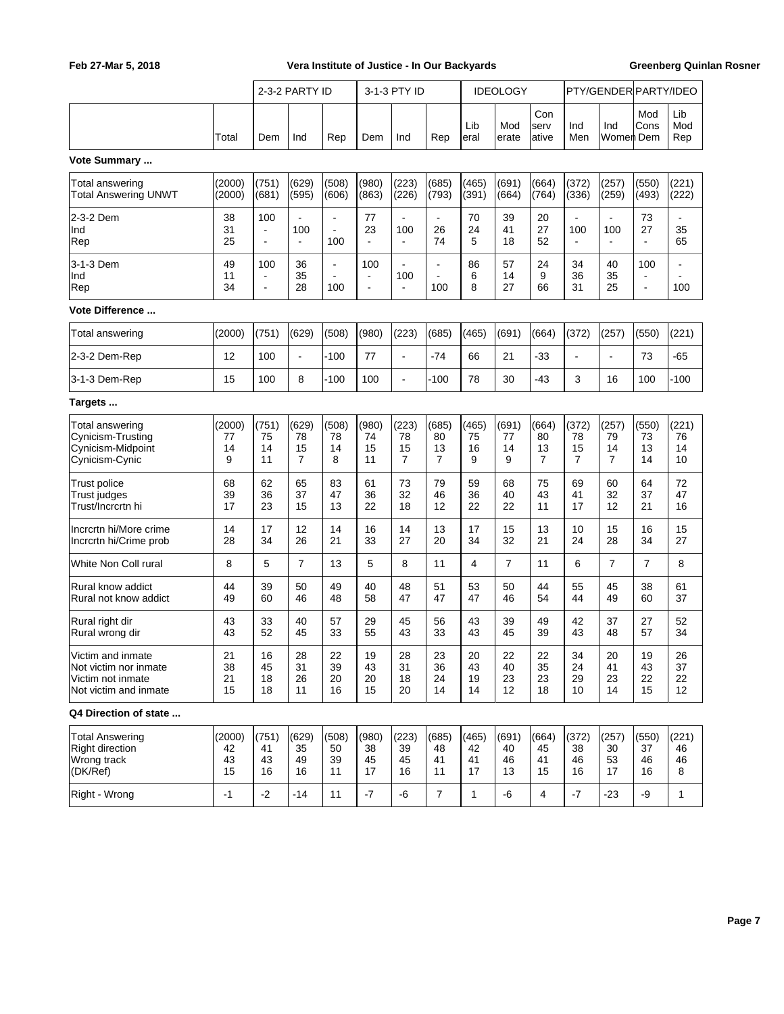|                                                                                          |                          |                                         | 2-3-2 PARTY ID                          |                             |                             | 3-1-3 PTY ID                |                                      |                         | <b>IDEOLOGY</b>         |                                     |                                     | PTY/GENDER PARTY/IDEO               |                                                             |                         |
|------------------------------------------------------------------------------------------|--------------------------|-----------------------------------------|-----------------------------------------|-----------------------------|-----------------------------|-----------------------------|--------------------------------------|-------------------------|-------------------------|-------------------------------------|-------------------------------------|-------------------------------------|-------------------------------------------------------------|-------------------------|
|                                                                                          | Total                    | Dem                                     | Ind                                     | Rep                         | Dem                         | Ind                         | Rep                                  | Lib<br>eral             | Mod<br>erate            | Con<br>serv<br>ative                | Ind<br>Men                          | Ind<br>Women  Dem                   | Mod<br>Cons                                                 | Lib<br>Mod<br>Rep       |
| Vote Summary                                                                             |                          |                                         |                                         |                             |                             |                             |                                      |                         |                         |                                     |                                     |                                     |                                                             |                         |
| Total answering<br>Total Answering UNWT                                                  | (2000)<br>(2000)         | (751)<br>(681)                          | (629)<br>(595)                          | (508)<br>(606)              | (980)<br>(863)              | (223)<br>(226)              | (685)<br>(793)                       | (465)<br>(391)          | (691)<br>(664)          | (664)<br>(764)                      | (372)<br>(336)                      | (257)<br>(259)                      | (550)<br>(493)                                              | (221)<br>(222)          |
| 2-3-2 Dem<br>Ind<br>Rep                                                                  | 38<br>31<br>25           | 100<br>$\blacksquare$<br>÷.             | $\blacksquare$<br>100<br>$\blacksquare$ | ä,<br>$\blacksquare$<br>100 | 77<br>23                    | 100<br>÷.                   | 26<br>74                             | 70<br>24<br>5           | 39<br>41<br>18          | 20<br>27<br>52                      | 100                                 | 100                                 | 73<br>27<br>$\overline{a}$                                  | 35<br>65                |
| 3-1-3 Dem<br>Ind<br>Rep                                                                  | 49<br>11<br>34           | 100<br>$\blacksquare$<br>$\blacksquare$ | 36<br>35<br>28                          | ä,<br>100                   | 100<br>$\blacksquare$<br>ä, | ÷.<br>100<br>$\blacksquare$ | ÷<br>$\overline{\phantom{a}}$<br>100 | 86<br>6<br>8            | 57<br>14<br>27          | 24<br>9<br>66                       | 34<br>36<br>31                      | 40<br>35<br>25                      | 100<br>$\overline{\phantom{a}}$<br>$\overline{\phantom{a}}$ | 100                     |
| <b>Vote Difference </b>                                                                  |                          |                                         |                                         |                             |                             |                             |                                      |                         |                         |                                     |                                     |                                     |                                                             |                         |
| Total answering                                                                          | (2000)                   | (751)                                   | (629)                                   | (508)                       | (980)                       | (223)                       | (685)                                | (465)                   | (691)                   | (664)                               | (372)                               | (257)                               | (550)                                                       | (221)                   |
| 2-3-2 Dem-Rep                                                                            | 12                       | 100                                     | $\blacksquare$                          | $-100$                      | 77                          | $\blacksquare$              | $-74$                                | 66                      | 21                      | $-33$                               |                                     |                                     | 73                                                          | -65                     |
| 3-1-3 Dem-Rep                                                                            | 15                       | 100                                     | 8                                       | -100                        | 100                         | $\blacksquare$              | -100                                 | 78                      | 30                      | -43                                 | 3                                   | 16                                  | 100                                                         | -100                    |
| Targets                                                                                  |                          |                                         |                                         |                             |                             |                             |                                      |                         |                         |                                     |                                     |                                     |                                                             |                         |
| Total answering<br>Cynicism-Trusting<br>Cynicism-Midpoint<br>Cynicism-Cynic              | (2000)<br>77<br>14<br>9  | (751)<br>75<br>14<br>11                 | (629)<br>78<br>15<br>$\overline{7}$     | (508)<br>78<br>14<br>8      | (980)<br>74<br>15<br>11     | (223)<br>78<br>15<br>7      | (685)<br>80<br>13<br>$\overline{7}$  | (465)<br>75<br>16<br>9  | (691)<br>77<br>14<br>9  | (664)<br>80<br>13<br>$\overline{7}$ | (372)<br>78<br>15<br>$\overline{7}$ | (257)<br>79<br>14<br>$\overline{7}$ | (550)<br>73<br>13<br>14                                     | (221)<br>76<br>14<br>10 |
| Trust police<br>Trust judges<br>Trust/Incrcrtn hi                                        | 68<br>39<br>17           | 62<br>36<br>23                          | 65<br>37<br>15                          | 83<br>47<br>13              | 61<br>36<br>22              | 73<br>32<br>18              | 79<br>46<br>12                       | 59<br>36<br>22          | 68<br>40<br>22          | 75<br>43<br>11                      | 69<br>41<br>17                      | 60<br>32<br>12                      | 64<br>37<br>21                                              | 72<br>47<br>16          |
| Incrcrtn hi/More crime<br>Incrcrtn hi/Crime prob                                         | 14<br>28                 | 17<br>34                                | 12<br>26                                | 14<br>21                    | 16<br>33                    | 14<br>27                    | 13<br>20                             | 17<br>34                | 15<br>32                | 13<br>21                            | 10<br>24                            | 15<br>28                            | 16<br>34                                                    | 15<br>27                |
| White Non Coll rural                                                                     | 8                        | 5                                       | $\overline{7}$                          | 13                          | 5                           | 8                           | 11                                   | 4                       | $\overline{7}$          | 11                                  | 6                                   | $\overline{7}$                      | $\overline{7}$                                              | 8                       |
| Rural know addict<br>Rural not know addict                                               | 44<br>49                 | 39<br>60                                | 50<br>46                                | 49<br>48                    | 40<br>58                    | 48<br>47                    | 51<br>47                             | 53<br>47                | 50<br>46                | 44<br>54                            | 55<br>44                            | 45<br>49                            | 38<br>60                                                    | 61<br>37                |
| Rural right dir<br>Rural wrong dir                                                       | 43<br>43                 | 33<br>52                                | 40<br>45                                | 57<br>33                    | 29<br>55                    | 45<br>43                    | 56<br>33                             | 43<br>43                | 39<br>45                | 49<br>39                            | 42<br>43                            | 37<br>48                            | 27<br>57                                                    | 52<br>34                |
| Victim and inmate<br>Not victim nor inmate<br>Victim not inmate<br>Not victim and inmate | 21<br>38<br>21<br>15     | 16<br>45<br>18<br>18                    | 28<br>31<br>26<br>11                    | 22<br>39<br>20<br>16        | 19<br>43<br>20<br>15        | 28<br>31<br>18<br>20        | 23<br>36<br>24<br>14                 | 20<br>43<br>19<br>14    | 22<br>40<br>23<br>12    | 22<br>35<br>23<br>18                | 34<br>24<br>29<br>10                | 20<br>41<br>23<br>14                | 19<br>43<br>22<br>15                                        | 26<br>37<br>22<br>12    |
| Q4 Direction of state                                                                    |                          |                                         |                                         |                             |                             |                             |                                      |                         |                         |                                     |                                     |                                     |                                                             |                         |
| <b>Total Answering</b><br><b>Right direction</b><br>Wrong track<br>(DK/Ref)              | (2000)<br>42<br>43<br>15 | (751)<br>41<br>43<br>16                 | (629)<br>35<br>49<br>16                 | (508)<br>50<br>39<br>11     | (980)<br>38<br>45<br>17     | (223)<br>39<br>45<br>16     | (685)<br>48<br>41<br>11              | (465)<br>42<br>41<br>17 | (691)<br>40<br>46<br>13 | (664)<br>45<br>41<br>15             | (372)<br>38<br>46<br>16             | (257)<br>30<br>53<br>17             | (550)<br>37<br>46<br>16                                     | (221)<br>46<br>46<br>8  |
| Right - Wrong                                                                            | $-1$                     | $-2$                                    | $-14$                                   | 11                          | $-7$                        | -6                          | $\overline{7}$                       | $\mathbf{1}$            | -6                      | 4                                   | $-7$                                | $-23$                               | -9                                                          | $\mathbf{1}$            |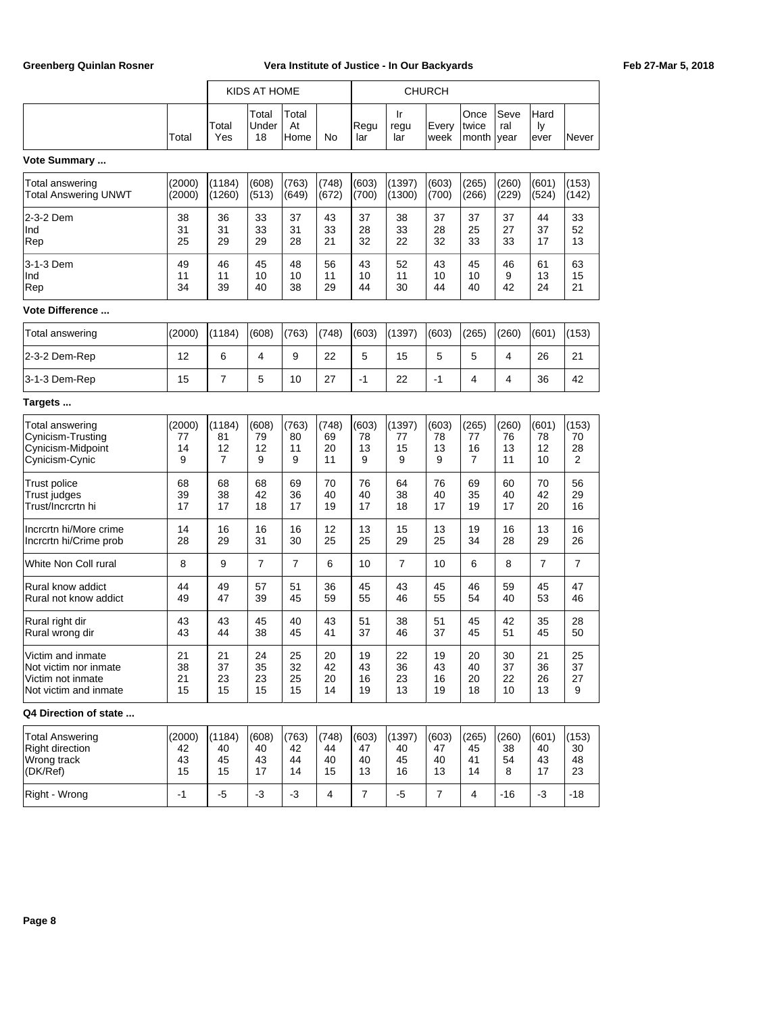|                                                                                          |                         |                         | KIDS AT HOME           |                        |                         |                        |                         | <b>CHURCH</b>          |                                     |                         |                         |                                     |
|------------------------------------------------------------------------------------------|-------------------------|-------------------------|------------------------|------------------------|-------------------------|------------------------|-------------------------|------------------------|-------------------------------------|-------------------------|-------------------------|-------------------------------------|
|                                                                                          | Total                   | Total<br>Yes            | Total<br>Under<br>18   | Total<br>At<br>Home    | No                      | Regu<br>lar            | Ir<br>regu<br>lar       | Every<br>week          | Once<br>twice<br>month              | Seve<br>ral<br>year     | Hard<br>ly<br>ever      | Never                               |
| Vote Summary                                                                             |                         |                         |                        |                        |                         |                        |                         |                        |                                     |                         |                         |                                     |
| Total answering<br>Total Answering UNWT                                                  | (2000)<br>(2000)        | (1184)<br>(1260)        | (608)<br>(513)         | (763)<br>(649)         | (748)<br>(672)          | (603)<br>(700)         | (1397)<br>(1300)        | (603)<br>(700)         | (265)<br>(266)                      | (260)<br>(229)          | (601)<br>(524)          | (153)<br>(142)                      |
| 2-3-2 Dem<br>Ind<br>Rep                                                                  | 38<br>31<br>25          | 36<br>31<br>29          | 33<br>33<br>29         | 37<br>31<br>28         | 43<br>33<br>21          | 37<br>28<br>32         | 38<br>33<br>22          | 37<br>28<br>32         | 37<br>25<br>33                      | 37<br>27<br>33          | 44<br>37<br>17          | 33<br>52<br>13                      |
| 3-1-3 Dem<br>Ind<br>Rep                                                                  | 49<br>11<br>34          | 46<br>11<br>39          | 45<br>10<br>40         | 48<br>10<br>38         | 56<br>11<br>29          | 43<br>10<br>44         | 52<br>11<br>30          | 43<br>10<br>44         | 45<br>10<br>40                      | 46<br>9<br>42           | 61<br>13<br>24          | 63<br>15<br>21                      |
| <b>Vote Difference </b>                                                                  |                         |                         |                        |                        |                         |                        |                         |                        |                                     |                         |                         |                                     |
| Total answering                                                                          | (2000)                  | (1184)                  | (608)                  | (763)                  | (748)                   | (603)                  | (1397)                  | (603)                  | (265)                               | (260)                   | (601)                   | (153)                               |
| 2-3-2 Dem-Rep                                                                            | 12                      | 6                       | 4                      | 9                      | 22                      | 5                      | 15                      | 5                      | 5                                   | 4                       | 26                      | 21                                  |
| 3-1-3 Dem-Rep                                                                            | 15                      | $\overline{7}$          | 5                      | 10                     | 27                      | $-1$                   | 22                      | $-1$                   | 4                                   | 4                       | 36                      | 42                                  |
| Targets                                                                                  |                         |                         |                        |                        |                         |                        |                         |                        |                                     |                         |                         |                                     |
| Total answering<br>Cynicism-Trusting<br>Cynicism-Midpoint<br>Cynicism-Cynic              | (2000)<br>77<br>14<br>9 | (1184)<br>81<br>12<br>7 | (608)<br>79<br>12<br>9 | (763)<br>80<br>11<br>9 | (748)<br>69<br>20<br>11 | (603)<br>78<br>13<br>9 | (1397)<br>77<br>15<br>9 | (603)<br>78<br>13<br>9 | (265)<br>77<br>16<br>$\overline{7}$ | (260)<br>76<br>13<br>11 | (601)<br>78<br>12<br>10 | (153)<br>70<br>28<br>$\overline{2}$ |
| <b>Trust police</b><br>Trust judges<br>Trust/Incrcrtn hi                                 | 68<br>39<br>17          | 68<br>38<br>17          | 68<br>42<br>18         | 69<br>36<br>17         | 70<br>40<br>19          | 76<br>40<br>17         | 64<br>38<br>18          | 76<br>40<br>17         | 69<br>35<br>19                      | 60<br>40<br>17          | 70<br>42<br>20          | 56<br>29<br>16                      |
| Incrcrtn hi/More crime<br>Incrcrtn hi/Crime prob                                         | 14<br>28                | 16<br>29                | 16<br>31               | 16<br>30               | 12<br>25                | 13<br>25               | 15<br>29                | 13<br>25               | 19<br>34                            | 16<br>28                | 13<br>29                | 16<br>26                            |
| White Non Coll rural                                                                     | 8                       | 9                       | $\overline{7}$         | $\overline{7}$         | 6                       | 10                     | $\overline{7}$          | 10                     | 6                                   | 8                       | $\overline{7}$          | $\overline{7}$                      |
| Rural know addict<br>Rural not know addict                                               | 44<br>49                | 49<br>47                | 57<br>39               | 51<br>45               | 36<br>59                | 45<br>55               | 43<br>46                | 45<br>55               | 46<br>54                            | 59<br>40                | 45<br>53                | 47<br>46                            |
| Rural right dir<br>Rural wrong dir                                                       | 43<br>43                | 43<br>44                | 45<br>38               | 40<br>45               | 43<br>41                | 51<br>37               | 38<br>46                | 51<br>37               | 45<br>45                            | 42<br>51                | 35<br>45                | 28<br>50                            |
| Victim and inmate<br>Not victim nor inmate<br>Victim not inmate<br>Not victim and inmate | 21<br>38<br>21<br>15    | 21<br>37<br>23<br>15    | 24<br>35<br>23<br>15   | 25<br>32<br>25<br>15   | 20<br>42<br>20<br>14    | 19<br>43<br>16<br>19   | 22<br>36<br>23<br>13    | 19<br>43<br>16<br>19   | 20<br>40<br>20<br>18                | 30<br>37<br>22<br>10    | 21<br>36<br>26<br>13    | 25<br>37<br>27<br>9                 |
| Q4 Direction of state                                                                    |                         |                         |                        |                        |                         |                        |                         |                        |                                     |                         |                         |                                     |
| <b>Total Answering</b><br><b>Right direction</b><br>Wrong track                          | (2000)<br>42<br>43      | (1184)<br>40<br>45      | (608)<br>40<br>43      | (763)<br>42<br>44      | (748)<br>44<br>40       | (603)<br>47<br>40      | (1397)<br>40<br>45      | (603)<br>47<br>40      | (265)<br>45<br>41                   | (260)<br>38<br>54       | (601)<br>40<br>43       | (153)<br>30<br>48                   |

(DK/Ref) 15 15 17 14 15 13 16 13 14 8 17 23 Right - Wrong -1 -5 -3 -3 4 7 -5 7 4 -16 -3 -18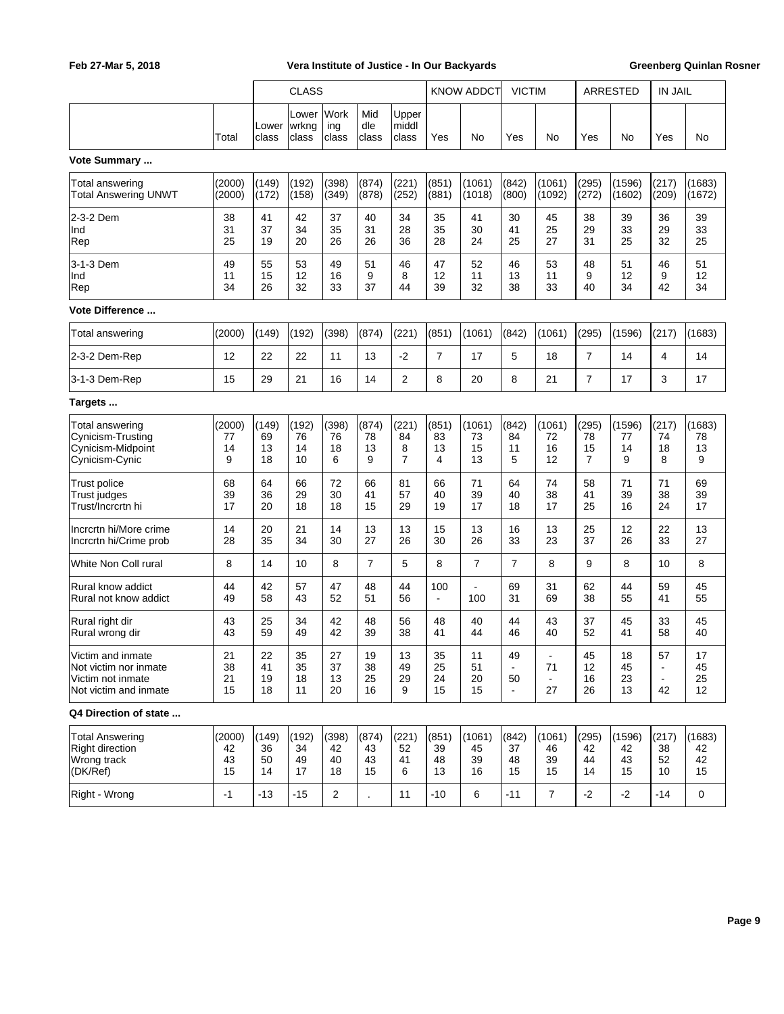|                                                                                          |                          | <b>CLASS</b>            |                          |                         |                         | <b>KNOW ADDCT</b>                  |                         | <b>VICTIM</b>            |                                              | <b>ARRESTED</b>          |                         | <b>IN JAIL</b>           |                                              |                          |
|------------------------------------------------------------------------------------------|--------------------------|-------------------------|--------------------------|-------------------------|-------------------------|------------------------------------|-------------------------|--------------------------|----------------------------------------------|--------------------------|-------------------------|--------------------------|----------------------------------------------|--------------------------|
|                                                                                          | Total                    | Lower<br>class          | Lower<br> wrkng<br>class | Work<br>ing<br>class    | Mid<br>dle<br>class     | Upper<br>middl<br>class            | Yes                     | No                       | Yes                                          | No                       | Yes                     | No                       | Yes                                          | No                       |
| Vote Summary                                                                             |                          |                         |                          |                         |                         |                                    |                         |                          |                                              |                          |                         |                          |                                              |                          |
| Total answering<br><b>Total Answering UNWT</b>                                           | (2000)<br>(2000)         | (149)<br>(172)          | (192)<br>(158)           | (398)<br>(349)          | (874)<br>(878)          | (221)<br>(252)                     | (851)<br>(881)          | (1061)<br>(1018)         | (842)<br>(800)                               | (1061)<br>(1092)         | (295)<br>(272)          | (1596)<br>(1602)         | (217)<br>(209)                               | (1683)<br>(1672)         |
| 2-3-2 Dem<br>Ind<br>Rep                                                                  | 38<br>31<br>25           | 41<br>37<br>19          | 42<br>34<br>20           | 37<br>35<br>26          | 40<br>31<br>26          | 34<br>28<br>36                     | 35<br>35<br>28          | 41<br>30<br>24           | 30<br>41<br>25                               | 45<br>25<br>27           | 38<br>29<br>31          | 39<br>33<br>25           | 36<br>29<br>32                               | 39<br>33<br>25           |
| 3-1-3 Dem<br>Ind<br>Rep                                                                  | 49<br>11<br>34           | 55<br>15<br>26          | 53<br>12<br>32           | 49<br>16<br>33          | 51<br>9<br>37           | 46<br>8<br>44                      | 47<br>12<br>39          | 52<br>11<br>32           | 46<br>13<br>38                               | 53<br>11<br>33           | 48<br>9<br>40           | 51<br>12<br>34           | 46<br>9<br>42                                | 51<br>12<br>34           |
| <b>Vote Difference </b>                                                                  |                          |                         |                          |                         |                         |                                    |                         |                          |                                              |                          |                         |                          |                                              |                          |
| Total answering                                                                          | (2000)                   | (149)                   | (192)                    | (398)                   | (874)                   | (221)                              | (851)                   | (1061)                   | (842)                                        | (1061)                   | (295)                   | (1596)                   | (217)                                        | (1683)                   |
| 2-3-2 Dem-Rep                                                                            | 12                       | 22                      | 22                       | 11                      | 13                      | $-2$                               | $\overline{7}$          | 17                       | 5                                            | 18                       | $\overline{7}$          | 14                       | 4                                            | 14                       |
| 3-1-3 Dem-Rep                                                                            | 15                       | 29                      | 21                       | 16                      | 14                      | $\overline{2}$                     | 8                       | 20                       | 8                                            | 21                       | $\overline{7}$          | 17                       | 3                                            | 17                       |
| Targets                                                                                  |                          |                         |                          |                         |                         |                                    |                         |                          |                                              |                          |                         |                          |                                              |                          |
| <b>Total answering</b><br>Cynicism-Trusting<br>Cynicism-Midpoint<br>Cynicism-Cynic       | (2000)<br>77<br>14<br>9  | (149)<br>69<br>13<br>18 | (192)<br>76<br>14<br>10  | (398)<br>76<br>18<br>6  | (874)<br>78<br>13<br>9  | (221)<br>84<br>8<br>$\overline{7}$ | (851)<br>83<br>13<br>4  | (1061)<br>73<br>15<br>13 | (842)<br>84<br>11<br>5                       | (1061)<br>72<br>16<br>12 | (295)<br>78<br>15<br>7  | (1596)<br>77<br>14<br>9  | (217)<br>74<br>18<br>8                       | (1683)<br>78<br>13<br>9  |
| Trust police<br>Trust judges<br>Trust/Incrcrtn hi                                        | 68<br>39<br>17           | 64<br>36<br>20          | 66<br>29<br>18           | 72<br>30<br>18          | 66<br>41<br>15          | 81<br>57<br>29                     | 66<br>40<br>19          | 71<br>39<br>17           | 64<br>40<br>18                               | 74<br>38<br>17           | 58<br>41<br>25          | 71<br>39<br>16           | 71<br>38<br>24                               | 69<br>39<br>17           |
| Incrcrtn hi/More crime<br>Incrcrtn hi/Crime prob                                         | 14<br>28                 | 20<br>35                | 21<br>34                 | 14<br>30                | 13<br>27                | 13<br>26                           | 15<br>30                | 13<br>26                 | 16<br>33                                     | 13<br>23                 | 25<br>37                | 12<br>26                 | 22<br>33                                     | 13<br>27                 |
| White Non Coll rural                                                                     | 8                        | 14                      | 10                       | 8                       | $\overline{7}$          | 5                                  | 8                       | $\overline{7}$           | $\overline{7}$                               | 8                        | 9                       | 8                        | 10                                           | 8                        |
| Rural know addict<br>Rural not know addict                                               | 44<br>49                 | 42<br>58                | 57<br>43                 | 47<br>52                | 48<br>51                | 44<br>56                           | 100<br>$\blacksquare$   | 100                      | 69<br>31                                     | 31<br>69                 | 62<br>38                | 44<br>55                 | 59<br>41                                     | 45<br>55                 |
| Rural right dir<br>Rural wrong dir                                                       | 43<br>43                 | 25<br>59                | 34<br>49                 | 42<br>42                | 48<br>39                | 56<br>38                           | 48<br>41                | 40<br>44                 | 44<br>46                                     | 43<br>40                 | 37<br>52                | 45<br>41                 | 33<br>58                                     | 45<br>40                 |
| Victim and inmate<br>Not victim nor inmate<br>Victim not inmate<br>Not victim and inmate | 21<br>38<br>21<br>15     | 22<br>41<br>19<br>18    | 35<br>35<br>18<br>11     | 27<br>37<br>13<br>20    | 19<br>38<br>25<br>16    | 13<br>49<br>29<br>9                | 35<br>25<br>24<br>15    | 11<br>51<br>20<br>15     | 49<br>$\blacksquare$<br>50<br>$\blacksquare$ | 71<br>27                 | 45<br>12<br>16<br>26    | 18<br>45<br>23<br>13     | 57<br>$\blacksquare$<br>$\blacksquare$<br>42 | 17<br>45<br>25<br>12     |
| Q4 Direction of state                                                                    |                          |                         |                          |                         |                         |                                    |                         |                          |                                              |                          |                         |                          |                                              |                          |
| <b>Total Answering</b><br><b>Right direction</b><br>Wrong track<br>(DK/Ref)              | (2000)<br>42<br>43<br>15 | (149)<br>36<br>50<br>14 | (192)<br>34<br>49<br>17  | (398)<br>42<br>40<br>18 | (874)<br>43<br>43<br>15 | (221)<br>52<br>41<br>6             | (851)<br>39<br>48<br>13 | (1061)<br>45<br>39<br>16 | (842)<br>37<br>48<br>15                      | (1061)<br>46<br>39<br>15 | (295)<br>42<br>44<br>14 | (1596)<br>42<br>43<br>15 | (217)<br>38<br>52<br>10                      | (1683)<br>42<br>42<br>15 |
| Right - Wrong                                                                            | $-1$                     | $-13$                   | $-15$                    | $\overline{2}$          |                         | 11                                 | $-10$                   | 6                        | $-11$                                        | $\overline{7}$           | $-2$                    | $-2$                     | $-14$                                        | $\mathbf 0$              |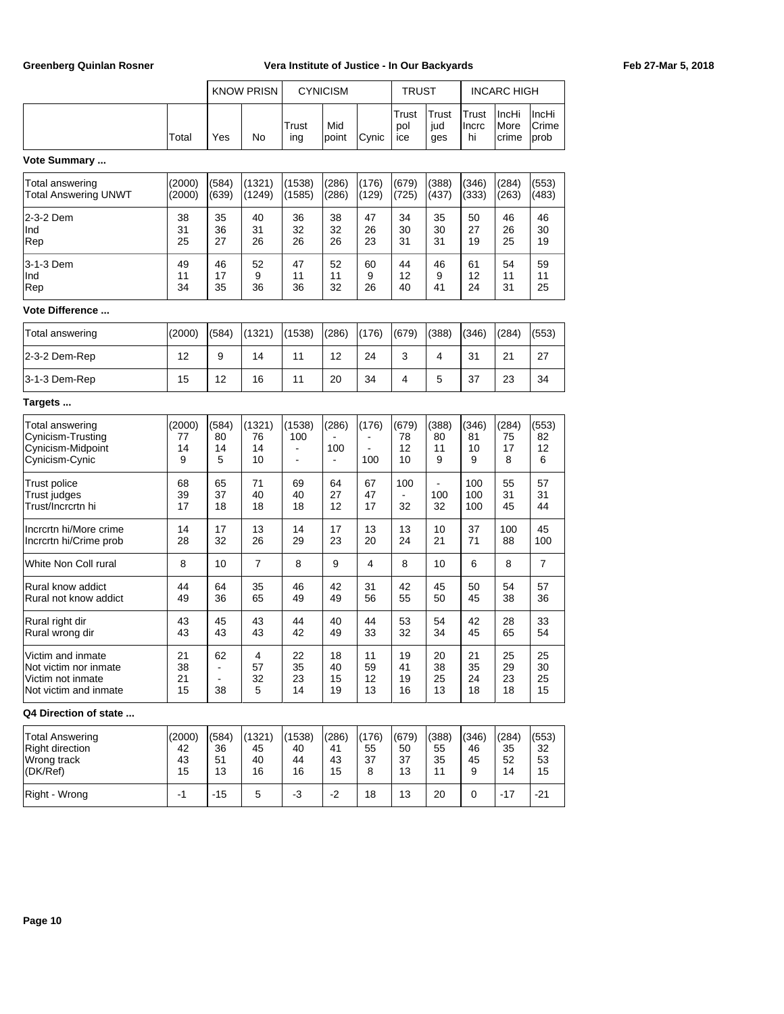|                                                                                          |                         |                        | <b>KNOW PRISN</b>               |                      | <b>CYNICISM</b>                |                      | <b>TRUST</b>            |                        |                        | <b>INCARC HIGH</b>     |                        |
|------------------------------------------------------------------------------------------|-------------------------|------------------------|---------------------------------|----------------------|--------------------------------|----------------------|-------------------------|------------------------|------------------------|------------------------|------------------------|
|                                                                                          | Total                   | Yes                    | No                              | Trust<br>ing         | Mid<br>point                   | Cynic                | Trust<br>pol<br>ice     | Trust<br>jud<br>ges    | Trust<br>Incrc<br>hi   | IncHi<br>More<br>crime | IncHi<br>Crime<br>prob |
| Vote Summary                                                                             |                         |                        |                                 |                      |                                |                      |                         |                        |                        |                        |                        |
| Total answering<br>Total Answering UNWT                                                  | (2000)<br>(2000)        | (584)<br>(639)         | (1321)<br>(1249)                | (1538)<br>(1585)     | (286)<br>(286)                 | (176)<br>(129)       | (679)<br>(725)          | (388)<br>(437)         | (346)<br>(333)         | (284)<br>(263)         | (553)<br>(483)         |
| 2-3-2 Dem<br>Ind<br>Rep                                                                  | 38<br>31<br>25          | 35<br>36<br>27         | 40<br>31<br>26                  | 36<br>32<br>26       | 38<br>32<br>26                 | 47<br>26<br>23       | 34<br>30<br>31          | 35<br>30<br>31         | 50<br>27<br>19         | 46<br>26<br>25         | 46<br>30<br>19         |
| 3-1-3 Dem<br>Ind<br>Rep                                                                  | 49<br>11<br>34          | 46<br>17<br>35         | 52<br>9<br>36                   | 47<br>11<br>36       | 52<br>11<br>32                 | 60<br>9<br>26        | 44<br>12<br>40          | 46<br>9<br>41          | 61<br>12<br>24         | 54<br>11<br>31         | 59<br>11<br>25         |
| Vote Difference                                                                          |                         |                        |                                 |                      |                                |                      |                         |                        |                        |                        |                        |
| Total answering                                                                          | (2000)                  | (584)                  | (1321)                          | (1538)               | (286)                          | (176)                | (679)                   | (388)                  | (346)                  | (284)                  | (553)                  |
| 2-3-2 Dem-Rep                                                                            | 12                      | 9                      | 14                              | 11                   | 12                             | 24                   | 3                       | 4                      | 31                     | 21                     | 27                     |
| 3-1-3 Dem-Rep                                                                            | 15                      | 12                     | 16                              | 11                   | 20                             | 34                   | 4                       | 5                      | 37                     | 23                     | 34                     |
| Targets                                                                                  |                         |                        |                                 |                      |                                |                      |                         |                        |                        |                        |                        |
| Total answering<br>Cynicism-Trusting<br>Cynicism-Midpoint<br>Cynicism-Cynic              | (2000)<br>77<br>14<br>9 | (584)<br>80<br>14<br>5 | (1321)<br>76<br>14<br>10        | (1538)<br>100<br>÷   | (286)<br>100<br>$\blacksquare$ | (176)<br>100         | (679)<br>78<br>12<br>10 | (388)<br>80<br>11<br>9 | (346)<br>81<br>10<br>9 | (284)<br>75<br>17<br>8 | (553)<br>82<br>12<br>6 |
| Trust police<br>Trust judges<br>Trust/Incrcrtn hi                                        | 68<br>39<br>17          | 65<br>37<br>18         | 71<br>40<br>18                  | 69<br>40<br>18       | 64<br>27<br>12                 | 67<br>47<br>17       | 100<br>32               | 100<br>32              | 100<br>100<br>100      | 55<br>31<br>45         | 57<br>31<br>44         |
| Incrcrtn hi/More crime<br>Incrcrtn hi/Crime prob                                         | 14<br>28                | 17<br>32               | 13<br>26                        | 14<br>29             | 17<br>23                       | 13<br>20             | 13<br>24                | 10<br>21               | 37<br>71               | 100<br>88              | 45<br>100              |
| White Non Coll rural                                                                     | 8                       | 10                     | $\overline{7}$                  | 8                    | 9                              | $\overline{4}$       | 8                       | 10                     | 6                      | 8                      | $\overline{7}$         |
| Rural know addict<br>Rural not know addict                                               | 44<br>49                | 64<br>36               | 35<br>65                        | 46<br>49             | 42<br>49                       | 31<br>56             | 42<br>55                | 45<br>50               | 50<br>45               | 54<br>38               | 57<br>36               |
| Rural right dir<br>Rural wrong dir                                                       | 43<br>43                | 45<br>43               | 43<br>43                        | 44<br>42             | 40<br>49                       | 44<br>33             | 53<br>32                | 54<br>34               | 42<br>45               | 28<br>65               | 33<br>54               |
| Victim and inmate<br>Not victim nor inmate<br>Victim not inmate<br>Not victim and inmate | 21<br>38<br>21<br>15    | 62<br>ä,<br>38         | $\overline{4}$<br>57<br>32<br>5 | 22<br>35<br>23<br>14 | 18<br>40<br>15<br>19           | 11<br>59<br>12<br>13 | 19<br>41<br>19<br>16    | 20<br>38<br>25<br>13   | 21<br>35<br>24<br>18   | 25<br>29<br>23<br>18   | 25<br>30<br>25<br>15   |
| Q4 Direction of state                                                                    |                         |                        |                                 |                      |                                |                      |                         |                        |                        |                        |                        |
| <b>Total Answering</b>                                                                   | (2000)                  | (584)                  | (1321)                          | (1538)               | (286)                          | (176)                | (679)                   | (388)                  | (346)                  | (284)                  | (553)                  |

Right direction 142 | 36 | 45 | 40 | 41 | 55 | 50 | 55 | 46 | 35 | 32 Wrong track | 43 | 51 | 40 | 44 | 43 | 37 | 37 | 35 | 45 | 52 | 53 (DK/Ref) 15 13 16 16 15 8 13 11 9 14 15 Right - Wrong  $\begin{vmatrix} -1 & 15 & 5 & -3 & -2 & 18 & 13 & 20 & 0 & -17 & -21 \end{vmatrix}$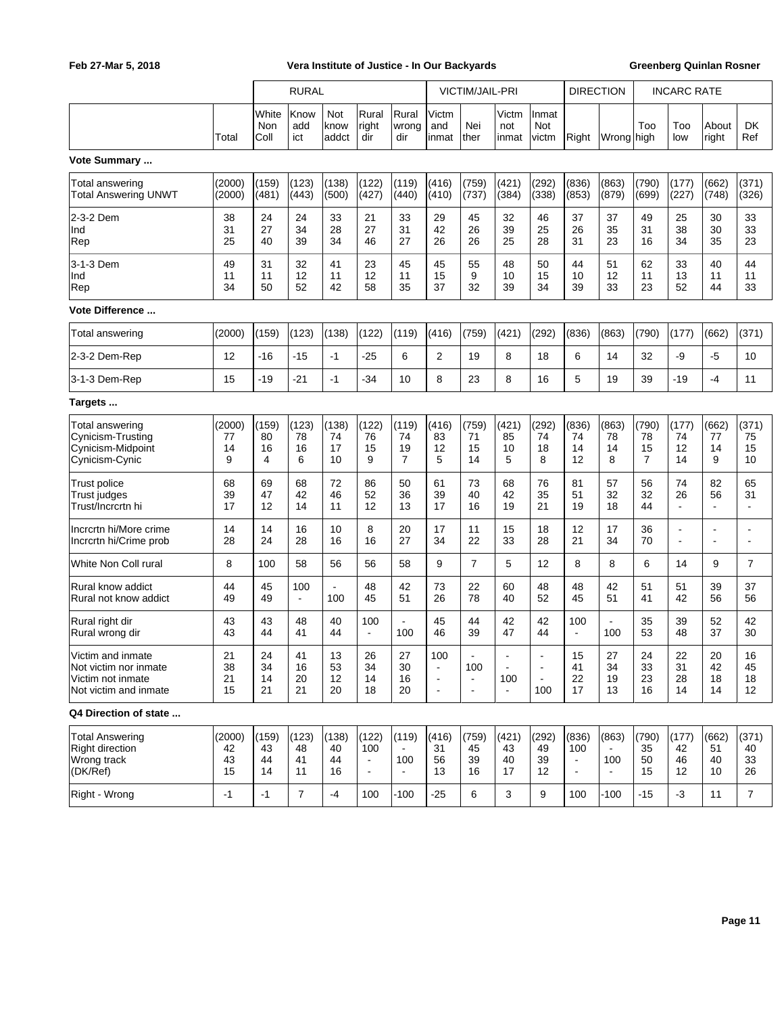|                                                                                          |                          | <b>RURAL</b>            |                         |                         |                                                  | <b>VICTIM/JAIL-PRI</b>         |                                                                     |                                         |                                 | <b>DIRECTION</b>                        |                                                  | <b>INCARC RATE</b>             |                                     |                                  |                                            |                                            |
|------------------------------------------------------------------------------------------|--------------------------|-------------------------|-------------------------|-------------------------|--------------------------------------------------|--------------------------------|---------------------------------------------------------------------|-----------------------------------------|---------------------------------|-----------------------------------------|--------------------------------------------------|--------------------------------|-------------------------------------|----------------------------------|--------------------------------------------|--------------------------------------------|
|                                                                                          | Total                    | White<br>Non<br>Coll    | Know<br>add<br>ict      | Not<br>know<br>addct    | Rural<br>right<br>dir                            | Rural<br>wrong<br>dir          | Victm<br>and<br>inmat                                               | Nei<br>ther                             | Victm<br>not<br>inmat           | Inmat<br>Not<br>victm                   | Right                                            | Wrong high                     | Too                                 | Too<br>low                       | About<br>right                             | <b>DK</b><br>Ref                           |
| Vote Summary                                                                             |                          |                         |                         |                         |                                                  |                                |                                                                     |                                         |                                 |                                         |                                                  |                                |                                     |                                  |                                            |                                            |
| Total answering<br><b>Total Answering UNWT</b>                                           | (2000)<br>(2000)         | (159)<br>(481)          | (123)<br>(443)          | (138)<br>(500)          | (122)<br>(427)                                   | (119)<br>(440)                 | (416)<br>(410)                                                      | (759)<br>(737)                          | (421)<br>(384)                  | (292)<br>(338)                          | (836)<br>(853)                                   | (863)<br>(879)                 | (790)<br>(699)                      | (177)<br>(227)                   | (662)<br>(748)                             | (371)<br>(326)                             |
| 2-3-2 Dem<br> Ind<br>Rep                                                                 | 38<br>31<br>25           | 24<br>27<br>40          | 24<br>34<br>39          | 33<br>28<br>34          | 21<br>27<br>46                                   | 33<br>31<br>27                 | 29<br>42<br>26                                                      | 45<br>26<br>26                          | 32<br>39<br>25                  | 46<br>25<br>28                          | 37<br>26<br>31                                   | 37<br>35<br>23                 | 49<br>31<br>16                      | 25<br>38<br>34                   | 30<br>30<br>35                             | 33<br>33<br>23                             |
| 3-1-3 Dem<br> Ind<br>Rep                                                                 | 49<br>11<br>34           | 31<br>11<br>50          | 32<br>12<br>52          | 41<br>11<br>42          | 23<br>12<br>58                                   | 45<br>11<br>35                 | 45<br>15<br>37                                                      | 55<br>9<br>32                           | 48<br>10<br>39                  | 50<br>15<br>34                          | 44<br>10<br>39                                   | 51<br>12<br>33                 | 62<br>11<br>23                      | 33<br>13<br>52                   | 40<br>11<br>44                             | 44<br>11<br>33                             |
| Vote Difference                                                                          |                          |                         |                         |                         |                                                  |                                |                                                                     |                                         |                                 |                                         |                                                  |                                |                                     |                                  |                                            |                                            |
| Total answering                                                                          | (2000)                   | (159)                   | (123)                   | (138)                   | (122)                                            | (119)                          | (416)                                                               | (759)                                   | (421)                           | (292)                                   | (836)                                            | (863)                          | (790)                               | (177)                            | (662)                                      | (371)                                      |
| 2-3-2 Dem-Rep                                                                            | $12 \overline{ }$        | $-16$                   | $-15$                   | $-1$                    | $-25$                                            | 6                              | 2                                                                   | 19                                      | 8                               | 18                                      | 6                                                | 14                             | 32                                  | -9                               | $-5$                                       | 10                                         |
| 3-1-3 Dem-Rep                                                                            | 15                       | $-19$                   | $-21$                   | $-1$                    | $-34$                                            | 10                             | 8                                                                   | 23                                      | 8                               | 16                                      | 5                                                | 19                             | 39                                  | -19                              | -4                                         | 11                                         |
| Targets                                                                                  |                          |                         |                         |                         |                                                  |                                |                                                                     |                                         |                                 |                                         |                                                  |                                |                                     |                                  |                                            |                                            |
| <b>Total answering</b><br>Cynicism-Trusting<br>Cynicism-Midpoint<br> Cynicism-Cynic      | (2000)<br>77<br>14<br>9  | (159)<br>80<br>16<br>4  | (123)<br>78<br>16<br>6  | (138)<br>74<br>17<br>10 | (122)<br>76<br>15<br>9                           | (119)<br>74<br>19<br>7         | (416)<br>83<br>12<br>5                                              | (759)<br>71<br>15<br>14                 | (421)<br>85<br>10<br>5          | (292)<br>74<br>18<br>8                  | (836)<br>74<br>14<br>12                          | (863)<br>78<br>14<br>8         | (790)<br>78<br>15<br>$\overline{7}$ | (177)<br>74<br>12<br>14          | (662)<br>77<br>14<br>9                     | (371)<br>75<br>15<br>10                    |
| Trust police<br>Trust judges<br>Trust/Incrcrtn hi                                        | 68<br>39<br>17           | 69<br>47<br>12          | 68<br>42<br>14          | 72<br>46<br>11          | 86<br>52<br>12                                   | 50<br>36<br>13                 | 61<br>39<br>17                                                      | 73<br>40<br>16                          | 68<br>42<br>19                  | 76<br>35<br>21                          | 81<br>51<br>19                                   | 57<br>32<br>18                 | 56<br>32<br>44                      | 74<br>26<br>$\blacksquare$       | 82<br>56<br>٠                              | 65<br>31<br>$\blacksquare$                 |
| Incrcrtn hi/More crime<br>Incrcrtn hi/Crime prob                                         | 14<br>28                 | 14<br>24                | 16<br>28                | 10<br>16                | 8<br>16                                          | 20<br>27                       | 17<br>34                                                            | 11<br>22                                | 15<br>33                        | 18<br>28                                | 12<br>21                                         | 17<br>34                       | 36<br>70                            | $\blacksquare$<br>$\blacksquare$ | $\overline{a}$<br>$\overline{\phantom{a}}$ | $\overline{\phantom{a}}$<br>$\blacksquare$ |
| White Non Coll rural                                                                     | 8                        | 100                     | 58                      | 56                      | 56                                               | 58                             | 9                                                                   | $\overline{7}$                          | 5                               | 12                                      | 8                                                | 8                              | 6                                   | 14                               | 9                                          | $\overline{7}$                             |
| Rural know addict<br>Rural not know addict                                               | 44<br>49                 | 45<br>49                | 100<br>$\blacksquare$   | $\blacksquare$<br>100   | 48<br>45                                         | 42<br>51                       | 73<br>26                                                            | 22<br>78                                | 60<br>40                        | 48<br>52                                | 48<br>45                                         | 42<br>51                       | 51<br>41                            | 51<br>42                         | 39<br>56                                   | 37<br>56                                   |
| Rural right dir<br>Rural wrong dir                                                       | 43<br>43                 | 43<br>44                | 48<br>41                | 40<br>44                | 100<br>$\blacksquare$                            | 100                            | 45<br>46                                                            | 44<br>39                                | 42<br>47                        | 42<br>44                                | 100<br>$\overline{\phantom{a}}$                  | 100                            | 35<br>53                            | 39<br>48                         | 52<br>37                                   | 42<br>30                                   |
| Victim and inmate<br>Not victim nor inmate<br>Victim not inmate<br>Not victim and inmate | 21<br>38<br>21<br>15     | 24<br>34<br>14<br>21    | 41<br>16<br>20<br>21    | 13<br>53<br>12<br>20    | 26<br>34<br>14<br>18                             | 27<br>30<br>16<br>20           | 100<br>$\blacksquare$<br>$\overline{\phantom{a}}$<br>$\blacksquare$ | 100<br>$\blacksquare$<br>$\blacksquare$ | $\blacksquare$<br>100<br>$\sim$ | $\overline{a}$<br>$\blacksquare$<br>100 | 15<br>41<br>22<br>17                             | 27<br>34<br>19<br>13           | 24<br>33<br>23<br>16                | 22<br>31<br>28<br>14             | 20<br>42<br>18<br>14                       | 16<br>45<br>18<br>12                       |
| Q4 Direction of state                                                                    |                          |                         |                         |                         |                                                  |                                |                                                                     |                                         |                                 |                                         |                                                  |                                |                                     |                                  |                                            |                                            |
| <b>Total Answering</b><br>Right direction<br>Wrong track<br>(DK/Ref)                     | (2000)<br>42<br>43<br>15 | (159)<br>43<br>44<br>14 | (123)<br>48<br>41<br>11 | (138)<br>40<br>44<br>16 | (122)<br>100<br>$\blacksquare$<br>$\blacksquare$ | (119)<br>100<br>$\blacksquare$ | (416)<br>31<br>56<br>13                                             | (759)<br>45<br>39<br>16                 | (421)<br>43<br>40<br>17         | (292)<br>49<br>39<br>12                 | (836)<br>100<br>$\blacksquare$<br>$\blacksquare$ | (863)<br>100<br>$\blacksquare$ | (790)<br>35<br>50<br>15             | (177)<br>42<br>46<br>12          | (662)<br>51<br>40<br>10                    | (371)<br>40<br>33<br>26                    |
| Right - Wrong                                                                            | $-1$                     | $-1$                    | $\overline{7}$          | $-4$                    | 100                                              | $-100$                         | $-25$                                                               | 6                                       | 3                               | 9                                       | 100                                              | $-100$                         | $-15$                               | $-3$                             | 11                                         | $\overline{7}$                             |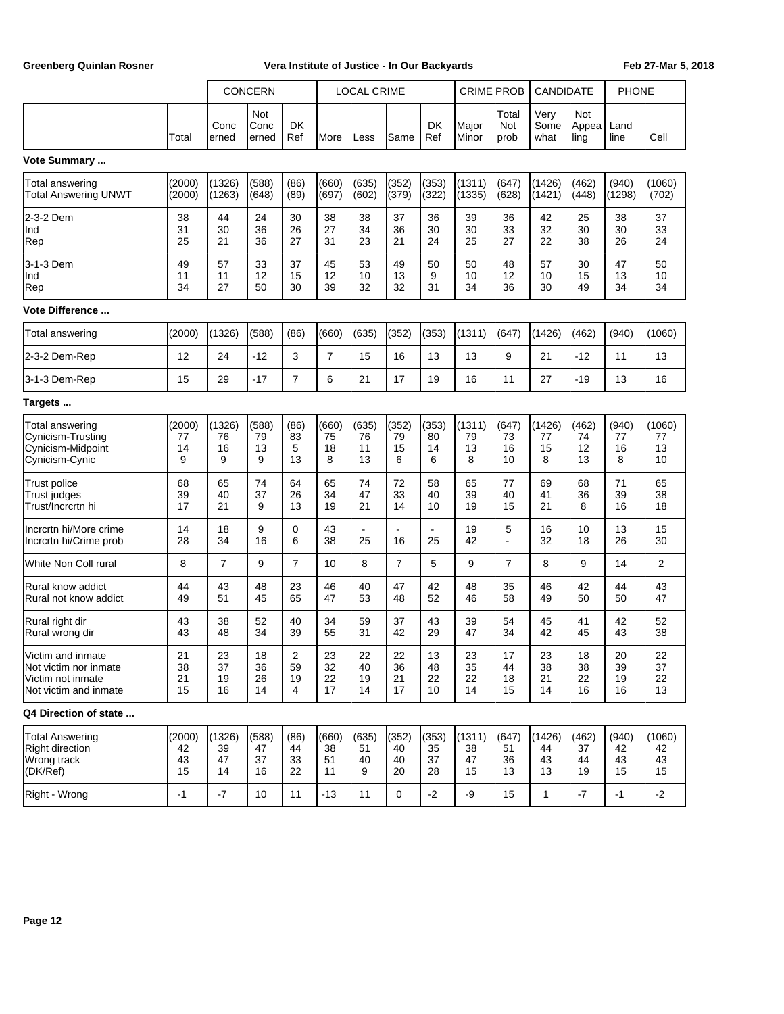|                                                                                          |                          |                          | <b>CONCERN</b>          |                        |                         | <b>LOCAL CRIME</b>      |                                |                         | <b>CRIME PROB</b>        |                         | CANDIDATE                |                         | <b>PHONE</b>            |                          |
|------------------------------------------------------------------------------------------|--------------------------|--------------------------|-------------------------|------------------------|-------------------------|-------------------------|--------------------------------|-------------------------|--------------------------|-------------------------|--------------------------|-------------------------|-------------------------|--------------------------|
|                                                                                          | Total                    | Conc<br>erned            | Not<br>Conc<br>erned    | <b>DK</b><br>Ref       | <b>IMore</b>            | Less                    | Same                           | DK<br>Ref               | Major<br>Minor           | Total<br>Not<br>prob    | Very<br>Some<br>what     | Not<br>Appea<br>ling    | Land<br>line            | Cell                     |
| Vote Summary                                                                             |                          |                          |                         |                        |                         |                         |                                |                         |                          |                         |                          |                         |                         |                          |
| Total answering<br><b>Total Answering UNWT</b>                                           | (2000)<br>(2000)         | (1326)<br>(1263)         | (588)<br>(648)          | (86)<br>(89)           | (660)<br>(697)          | (635)<br>(602)          | (352)<br>(379)                 | (353)<br>(322)          | (1311)<br>(1335)         | (647)<br>(628)          | (1426)<br>(1421)         | (462)<br>(448)          | (940)<br>(1298)         | (1060)<br>(702)          |
| 2-3-2 Dem<br>Ind<br>Rep                                                                  | 38<br>31<br>25           | 44<br>30<br>21           | 24<br>36<br>36          | 30<br>26<br>27         | 38<br>27<br>31          | 38<br>34<br>23          | 37<br>36<br>21                 | 36<br>30<br>24          | 39<br>30<br>25           | 36<br>33<br>27          | 42<br>32<br>22           | 25<br>30<br>38          | 38<br>30<br>26          | 37<br>33<br>24           |
| 3-1-3 Dem<br>Ind<br>Rep                                                                  | 49<br>11<br>34           | 57<br>11<br>27           | 33<br>12<br>50          | 37<br>15<br>30         | 45<br>12<br>39          | 53<br>10<br>32          | 49<br>13<br>32                 | 50<br>9<br>31           | 50<br>10<br>34           | 48<br>12<br>36          | 57<br>10<br>30           | 30<br>15<br>49          | 47<br>13<br>34          | 50<br>10<br>34           |
| <b>Vote Difference </b>                                                                  |                          |                          |                         |                        |                         |                         |                                |                         |                          |                         |                          |                         |                         |                          |
| Total answering                                                                          | (2000)                   | (1326)                   | (588)                   | (86)                   | (660)                   | (635)                   | (352)                          | (353)                   | (1311)                   | (647)                   | (1426)                   | (462)                   | (940)                   | (1060)                   |
| 2-3-2 Dem-Rep                                                                            | 12                       | 24                       | $-12$                   | 3                      | $\overline{7}$          | 15                      | 16                             | 13                      | 13                       | 9                       | 21                       | $-12$                   | 11                      | 13                       |
| 3-1-3 Dem-Rep                                                                            | 15                       | 29                       | $-17$                   | 7                      | 6                       | 21                      | 17                             | 19                      | 16                       | 11                      | 27                       | $-19$                   | 13                      | 16                       |
| Targets                                                                                  |                          |                          |                         |                        |                         |                         |                                |                         |                          |                         |                          |                         |                         |                          |
| Total answering<br>Cynicism-Trusting<br>Cynicism-Midpoint<br>Cynicism-Cynic              | (2000)<br>77<br>14<br>9  | (1326)<br>76<br>16<br>9  | (588)<br>79<br>13<br>9  | (86)<br>83<br>5<br>13  | (660)<br>75<br>18<br>8  | (635)<br>76<br>11<br>13 | (352)<br>79<br>15<br>6         | (353)<br>80<br>14<br>6  | (1311)<br>79<br>13<br>8  | (647)<br>73<br>16<br>10 | (1426)<br>77<br>15<br>8  | (462)<br>74<br>12<br>13 | (940)<br>77<br>16<br>8  | (1060)<br>77<br>13<br>10 |
| Trust police<br>Trust judges<br>Trust/Incrcrtn hi                                        | 68<br>39<br>17           | 65<br>40<br>21           | 74<br>37<br>9           | 64<br>26<br>13         | 65<br>34<br>19          | 74<br>47<br>21          | 72<br>33<br>14                 | 58<br>40<br>10          | 65<br>39<br>19           | 77<br>40<br>15          | 69<br>41<br>21           | 68<br>36<br>8           | 71<br>39<br>16          | 65<br>38<br>18           |
| Incrcrtn hi/More crime<br>Incrcrtn hi/Crime prob                                         | 14<br>28                 | 18<br>34                 | 9<br>16                 | 0<br>6                 | 43<br>38                | $\overline{a}$<br>25    | $\overline{\phantom{a}}$<br>16 | $\blacksquare$<br>25    | 19<br>42                 | 5                       | 16<br>32                 | 10<br>18                | 13<br>26                | 15<br>30                 |
| White Non Coll rural                                                                     | 8                        | $\overline{7}$           | 9                       | $\overline{7}$         | 10                      | 8                       | $\overline{7}$                 | 5                       | 9                        | $\overline{7}$          | 8                        | 9                       | 14                      | $\overline{2}$           |
| Rural know addict<br>Rural not know addict                                               | 44<br>49                 | 43<br>51                 | 48<br>45                | 23<br>65               | 46<br>47                | 40<br>53                | 47<br>48                       | 42<br>52                | 48<br>46                 | 35<br>58                | 46<br>49                 | 42<br>50                | 44<br>50                | 43<br>47                 |
| Rural right dir<br>Rural wrong dir                                                       | 43<br>43                 | 38<br>48                 | 52<br>34                | 40<br>39               | 34<br>55                | 59<br>31                | 37<br>42                       | 43<br>29                | 39<br>47                 | 54<br>34                | 45<br>42                 | 41<br>45                | 42<br>43                | 52<br>38                 |
| Victim and inmate<br>Not victim nor inmate<br>Victim not inmate<br>Not victim and inmate | 21<br>38<br>21<br>15     | 23<br>37<br>19<br>16     | 18<br>36<br>26<br>14    | 2<br>59<br>19<br>4     | 23<br>32<br>22<br>17    | 22<br>40<br>19<br>14    | 22<br>36<br>21<br>17           | 13<br>48<br>22<br>10    | 23<br>35<br>22<br>14     | 17<br>44<br>18<br>15    | 23<br>38<br>21<br>14     | 18<br>38<br>22<br>16    | 20<br>39<br>19<br>16    | 22<br>37<br>22<br>13     |
| Q4 Direction of state                                                                    |                          |                          |                         |                        |                         |                         |                                |                         |                          |                         |                          |                         |                         |                          |
| <b>Total Answering</b><br><b>Right direction</b><br>Wrong track<br>(DK/Ref)              | (2000)<br>42<br>43<br>15 | (1326)<br>39<br>47<br>14 | (588)<br>47<br>37<br>16 | (86)<br>44<br>33<br>22 | (660)<br>38<br>51<br>11 | (635)<br>51<br>40<br>9  | (352)<br>40<br>40<br>20        | (353)<br>35<br>37<br>28 | (1311)<br>38<br>47<br>15 | (647)<br>51<br>36<br>13 | (1426)<br>44<br>43<br>13 | (462)<br>37<br>44<br>19 | (940)<br>42<br>43<br>15 | (1060)<br>42<br>43<br>15 |
| Right - Wrong                                                                            | $-1$                     | $-7$                     | 10                      | 11                     | $-13$                   | 11                      | $\mathbf 0$                    | $-2$                    | $-9$                     | 15                      | $\mathbf{1}$             | $-7$                    | $-1$                    | $-2$                     |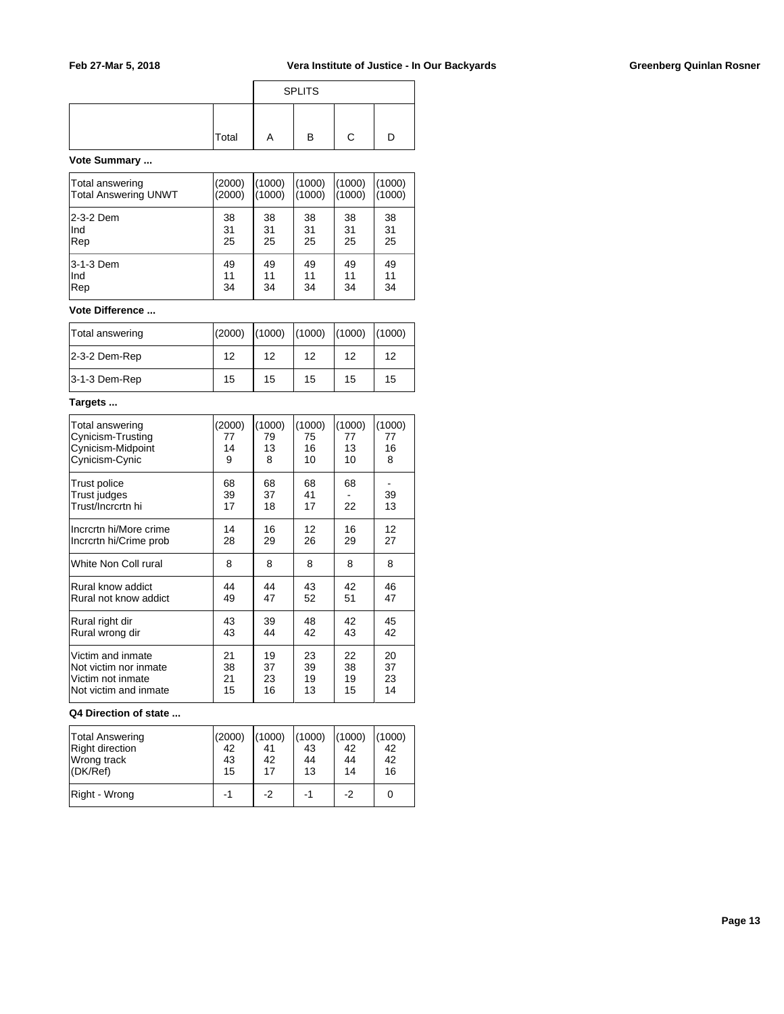|       |   | <b>SPLITS</b> |  |
|-------|---|---------------|--|
| Total | Α | в             |  |

### **Vote Summary ...**

| Total answering             | (2000) | 1000   | (1000) | (1000) | (1000) |
|-----------------------------|--------|--------|--------|--------|--------|
| <b>Total Answering UNWT</b> | (2000) | (1000) | (1000) | (1000) | (1000) |
| l2-3-2 Dem                  | 38     | 38     | 38     | 38     | 38     |
| Ind                         | 31     | 31     | 31     | 31     | 31     |
| Rep                         | 25     | 25     | 25     | 25     | 25     |
| l3-1-3 Dem                  | 49     | 49     | 49     | 49     | 49     |
| Ind                         | 11     | 11     | 11     | 11     | 11     |
| Rep                         | 34     | 34     | 34     | 34     | 34     |

# **Vote Difference ...**

| Total answering | (2000) |    | $(1000)$ $(1000)$ $(1000)$ $(1000)$ |    |    |
|-----------------|--------|----|-------------------------------------|----|----|
| 2-3-2 Dem-Rep   | 12     | 12 | 12                                  | 12 | 12 |
| 3-1-3 Dem-Rep   | 15     | 15 | 15                                  | 15 | 15 |

#### **Targets ...**

| Total answering                                   | (2000)         | (1000)         | (1000)         | (1000)   | (1000)   |
|---------------------------------------------------|----------------|----------------|----------------|----------|----------|
| Cynicism-Trusting                                 | 77             | 79             | 75             | 77       | 77       |
| Cynicism-Midpoint                                 | 14             | 13             | 16             | 13       | 16       |
| Cynicism-Cynic                                    | 9              | 8              | 10             | 10       | 8        |
| Trust police<br>Trust judges<br>Trust/Incrcrtn hi | 68<br>39<br>17 | 68<br>37<br>18 | 68<br>41<br>17 | 68<br>22 | 39<br>13 |
| Incrcrtn hi/More crime                            | 14             | 16             | 12             | 16       | 12       |
| Incrcrtn hi/Crime prob                            | 28             | 29             | 26             | 29       | 27       |
| White Non Coll rural                              | 8              | 8              | 8              | 8        | 8        |
| Rural know addict                                 | 44             | 44             | 43             | 42       | 46       |
| Rural not know addict                             | 49             | 47             | 52             | 51       | 47       |
| Rural right dir                                   | 43             | 39             | 48             | 42       | 45       |
| Rural wrong dir                                   | 43             | 44             | 42             | 43       | 42       |
| Victim and inmate                                 | 21             | 19             | 23             | 22       | 20       |
| Not victim nor inmate                             | 38             | 37             | 39             | 38       | 37       |
| Victim not inmate                                 | 21             | 23             | 19             | 19       | 23       |
| Not victim and inmate                             | 15             | 16             | 13             | 15       | 14       |

#### **Q4 Direction of state ...**

| <b>Total Answering</b><br>Right direction<br>Wrong track<br>$ $ (DK/Ref) | (2000)<br>42<br>43<br>15 | (1000)<br>42<br>17 | (1000)<br>43<br>44<br>13 | (1000)<br>42<br>44<br>14 | (1000)<br>42<br>42<br>16 |
|--------------------------------------------------------------------------|--------------------------|--------------------|--------------------------|--------------------------|--------------------------|
| Right - Wrong                                                            | -1                       | -2                 | -1                       | -2                       |                          |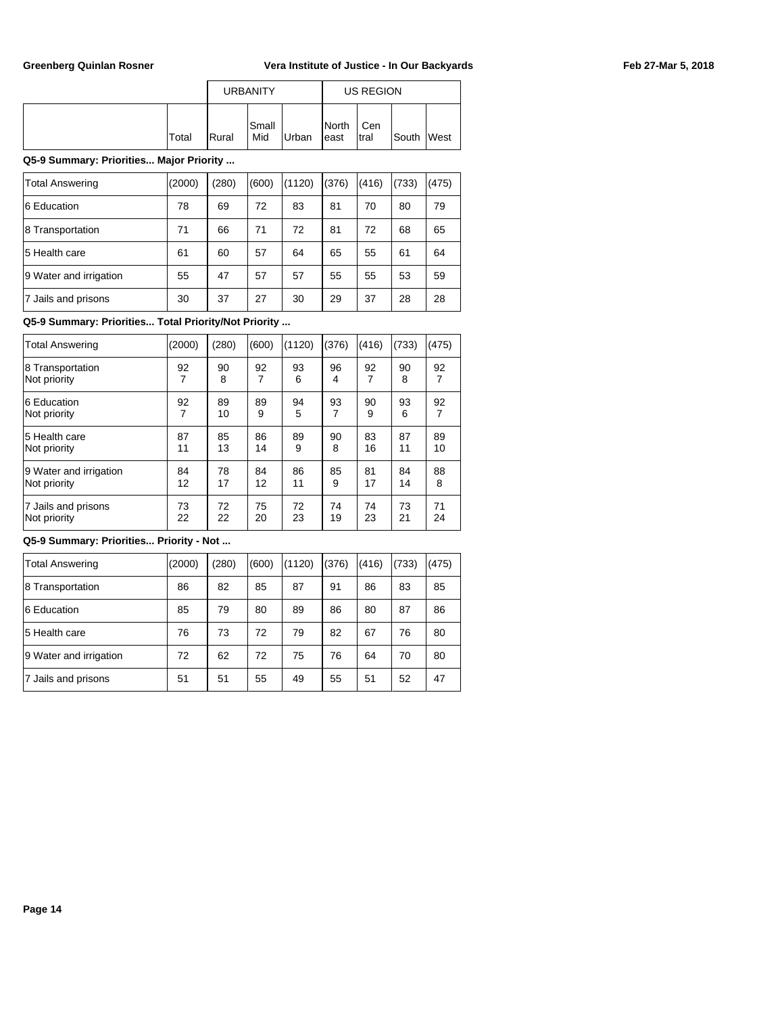|       |               | <b>URBANITY</b> |       |                | US REGION    |       |             |
|-------|---------------|-----------------|-------|----------------|--------------|-------|-------------|
| Total | <b>IRural</b> | lSmall<br>Mid   | Urban | North<br>least | Cen<br>Itral | South | <b>West</b> |

### **Q5-9 Summary: Priorities... Major Priority ...**

| <b>Total Answering</b> | (2000) | (280) | (600) | (1120) | (376) | (416) | (733) | (475) |
|------------------------|--------|-------|-------|--------|-------|-------|-------|-------|
| 6 Education            | 78     | 69    | 72    | 83     | 81    | 70    | 80    | 79    |
| 8 Transportation       | 71     | 66    | 71    | 72     | 81    | 72    | 68    | 65    |
| 5 Health care          | 61     | 60    | 57    | 64     | 65    | 55    | 61    | 64    |
| 9 Water and irrigation | 55     | 47    | 57    | 57     | 55    | 55    | 53    | 59    |
| 7 Jails and prisons    | 30     | 37    | 27    | 30     | 29    | 37    | 28    | 28    |

### **Q5-9 Summary: Priorities... Total Priority/Not Priority ...**

| <b>Total Answering</b>           | (2000) | (280)   | (600) | (1120)  | (376)   | (416) | (733)   | (475) |
|----------------------------------|--------|---------|-------|---------|---------|-------|---------|-------|
| 8 Transportation<br>Not priority | 92     | 90<br>8 | 92    | 93<br>6 | 96<br>4 | 92    | 90<br>8 | 92    |
| 16 Education                     | 92     | 89      | 89    | 94      | 93      | 90    | 93      | 92    |
| Not priority                     | 7      | 10      | 9     | 5       | 7       | 9     | 6       | 7     |
| 5 Health care                    | 87     | 85      | 86    | 89      | 90      | 83    | 87      | 89    |
| Not priority                     | 11     | 13      | 14    | 9       | 8       | 16    | 11      | 10    |
| 9 Water and irrigation           | 84     | 78      | 84    | 86      | 85      | 81    | 84      | 88    |
| Not priority                     | 12     | 17      | 12    | 11      | 9       | 17    | 14      | 8     |
| 7 Jails and prisons              | 73     | 72      | 75    | 72      | 74      | 74    | 73      | 71    |
| Not priority                     | 22     | 22      | 20    | 23      | 19      | 23    | 21      | 24    |

# **Q5-9 Summary: Priorities... Priority - Not ...**

| <b>Total Answering</b> | (2000) | (280) | (600) | (1120) | (376) | (416) | (733) | (475) |
|------------------------|--------|-------|-------|--------|-------|-------|-------|-------|
| 8 Transportation       | 86     | 82    | 85    | 87     | 91    | 86    | 83    | 85    |
| 6 Education            | 85     | 79    | 80    | 89     | 86    | 80    | 87    | 86    |
| 5 Health care          | 76     | 73    | 72    | 79     | 82    | 67    | 76    | 80    |
| 9 Water and irrigation | 72     | 62    | 72    | 75     | 76    | 64    | 70    | 80    |
| 7 Jails and prisons    | 51     | 51    | 55    | 49     | 55    | 51    | 52    | 47    |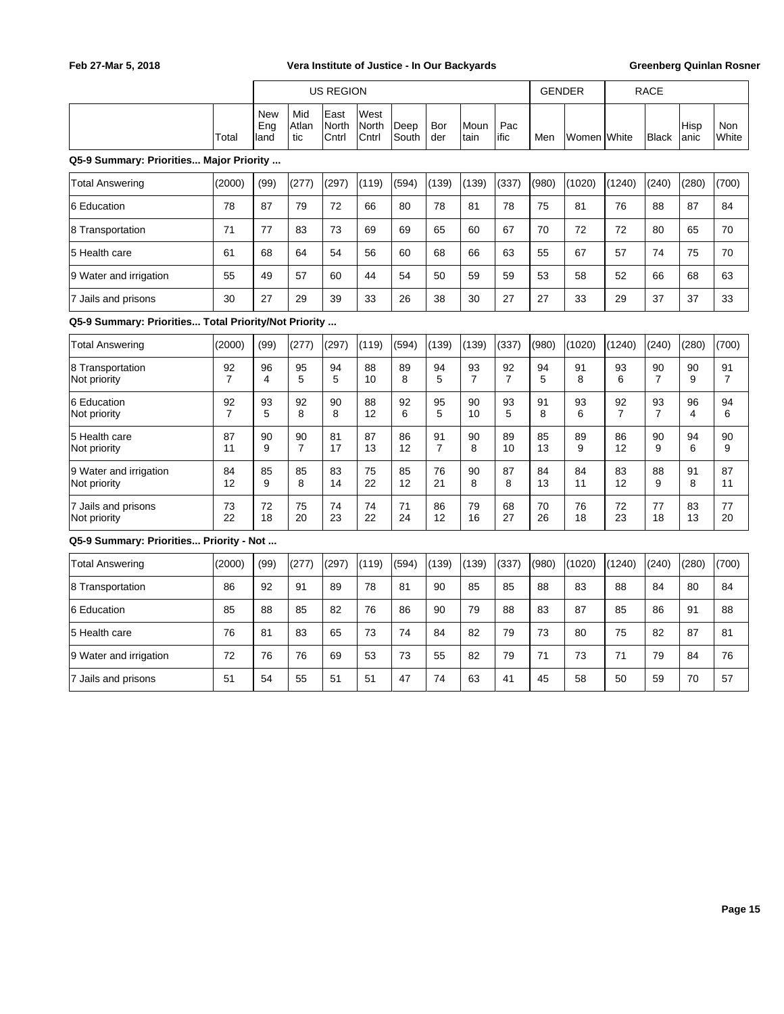|                                                      |                      |                           |                      | <b>US REGION</b>       |                        |               |                      |                      |                      | <b>GENDER</b> |                       | <b>RACE</b> |                      |               |              |
|------------------------------------------------------|----------------------|---------------------------|----------------------|------------------------|------------------------|---------------|----------------------|----------------------|----------------------|---------------|-----------------------|-------------|----------------------|---------------|--------------|
|                                                      | Total                | <b>New</b><br>Eng<br>land | Mid<br>Atlan<br>tic  | East<br>North<br>Cntrl | West<br>North<br>Cntrl | Deep<br>South | Bor<br>der           | Moun<br>Itain        | Pac<br>ific          | Men           | lWomen <b>I</b> White |             | <b>Black</b>         | Hisp<br>lanic | Non<br>White |
| Q5-9 Summary: Priorities Major Priority              |                      |                           |                      |                        |                        |               |                      |                      |                      |               |                       |             |                      |               |              |
| <b>Total Answering</b>                               | (2000)               | (99)                      | (277)                | (297)                  | (119)                  | (594)         | (139)                | (139)                | (337)                | (980)         | (1020)                | (1240)      | (240)                | (280)         | (700)        |
| 6 Education                                          | 78                   | 87                        | 79                   | 72                     | 66                     | 80            | 78                   | 81                   | 78                   | 75            | 81                    | 76          | 88                   | 87            | 84           |
| 8 Transportation                                     | 71                   | 77                        | 83                   | 73                     | 69                     | 69            | 65                   | 60                   | 67                   | 70            | 72                    | 72          | 80                   | 65            | 70           |
| 5 Health care                                        | 61                   | 68                        | 64                   | 54                     | 56                     | 60            | 68                   | 66                   | 63                   | 55            | 67                    | 57          | 74                   | 75            | 70           |
| 9 Water and irrigation                               | 55                   | 49                        | 57                   | 60                     | 44                     | 54            | 50                   | 59                   | 59                   | 53            | 58                    | 52          | 66                   | 68            | 63           |
| 7 Jails and prisons                                  | 30                   | 27                        | 29                   | 39                     | 33                     | 26            | 38                   | 30                   | 27                   | 27            | 33                    | 29          | 37                   | 37            | 33           |
| Q5-9 Summary: Priorities Total Priority/Not Priority |                      |                           |                      |                        |                        |               |                      |                      |                      |               |                       |             |                      |               |              |
| <b>Total Answering</b>                               | (2000)               | (99)                      | (277)                | (297)                  | (119)                  | (594)         | (139)                | (139)                | (337)                | (980)         | (1020)                | (1240)      | (240)                | (280)         | (700)        |
| 8 Transportation<br>Not priority                     | 92<br>$\overline{7}$ | 96<br>4                   | 95<br>5              | 94<br>5                | 88<br>10               | 89<br>8       | 94<br>5              | 93<br>$\overline{7}$ | 92<br>$\overline{7}$ | 94<br>5       | 91<br>8               | 93<br>6     | 90<br>$\overline{7}$ | 90<br>9       | 91<br>7      |
| 6 Education<br>Not priority                          | 92<br>$\overline{7}$ | 93<br>5                   | 92<br>8              | 90<br>8                | 88<br>12               | 92<br>6       | 95<br>5              | 90<br>10             | 93<br>5              | 91<br>8       | 93<br>6               | 92<br>7     | 93<br>$\overline{7}$ | 96<br>4       | 94<br>6      |
| 5 Health care<br>Not priority                        | 87<br>11             | 90<br>9                   | 90<br>$\overline{7}$ | 81<br>17               | 87<br>13               | 86<br>12      | 91<br>$\overline{7}$ | 90<br>8              | 89<br>10             | 85<br>13      | 89<br>9               | 86<br>12    | 90<br>9              | 94<br>6       | 90<br>9      |
| 9 Water and irrigation<br>Not priority               | 84<br>12             | 85<br>9                   | 85<br>8              | 83<br>14               | 75<br>22               | 85<br>12      | 76<br>21             | 90<br>8              | 87<br>8              | 84<br>13      | 84<br>11              | 83<br>12    | 88<br>9              | 91<br>8       | 87<br>11     |
| 7 Jails and prisons<br>Not priority                  | 73<br>22             | 72<br>18                  | 75<br>20             | 74<br>23               | 74<br>22               | 71<br>24      | 86<br>12             | 79<br>16             | 68<br>27             | 70<br>26      | 76<br>18              | 72<br>23    | 77<br>18             | 83<br>13      | 77<br>20     |
| Q5-9 Summary: Priorities Priority - Not              |                      |                           |                      |                        |                        |               |                      |                      |                      |               |                       |             |                      |               |              |
| <b>Total Answering</b>                               | (2000)               | (99)                      | (277)                | (297)                  | (119)                  | (594)         | (139)                | (139)                | (337)                | (980)         | (1020)                | (1240)      | (240)                | (280)         | (700)        |
| 8 Transportation                                     | 86                   | 92                        | 91                   | 89                     | 78                     | 81            | 90                   | 85                   | 85                   | 88            | 83                    | 88          | 84                   | 80            | 84           |
| 6 Education                                          | 85                   | 88                        | 85                   | 82                     | 76                     | 86            | 90                   | 79                   | 88                   | 83            | 87                    | 85          | 86                   | 91            | 88           |
| 5 Health care                                        | 76                   | 81                        | 83                   | 65                     | 73                     | 74            | 84                   | 82                   | 79                   | 73            | 80                    | 75          | 82                   | 87            | 81           |
| 9 Water and irrigation                               | 72                   | 76                        | 76                   | 69                     | 53                     | 73            | 55                   | 82                   | 79                   | 71            | 73                    | 71          | 79                   | 84            | 76           |
| 7 Jails and prisons                                  | 51                   | 54                        | 55                   | 51                     | 51                     | 47            | 74                   | 63                   | 41                   | 45            | 58                    | 50          | 59                   | 70            | 57           |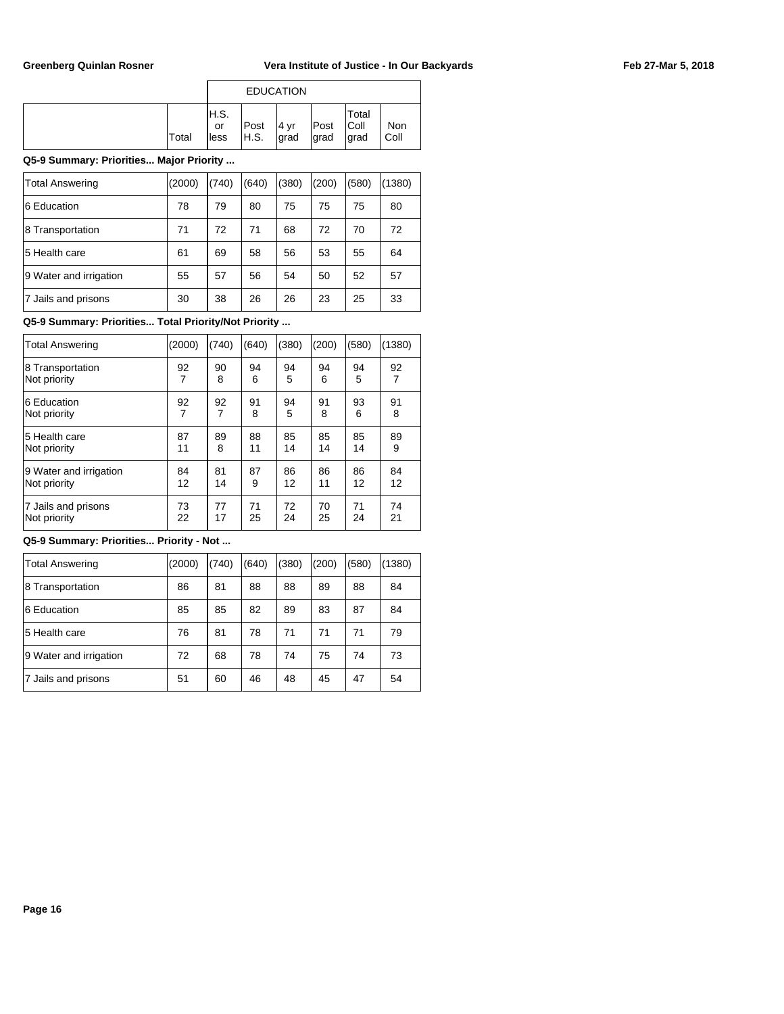|       |                    |              | <b>EDUCATION</b> |              |                         |             |
|-------|--------------------|--------------|------------------|--------------|-------------------------|-------------|
| Total | H.S.<br>or<br>less | Post<br>H.S. | 14 vr<br> grad   | Post<br>grad | Total<br> Coll<br>∣grad | Non<br>Coll |

### **Q5-9 Summary: Priorities... Major Priority ...**

| <b>Total Answering</b> | (2000) | (740) | (640) | (380) | (200) | (580) | (1380) |
|------------------------|--------|-------|-------|-------|-------|-------|--------|
| 6 Education            | 78     | 79    | 80    | 75    | 75    | 75    | 80     |
| 8 Transportation       | 71     | 72    | 71    | 68    | 72    | 70    | 72     |
| 5 Health care          | 61     | 69    | 58    | 56    | 53    | 55    | 64     |
| 9 Water and irrigation | 55     | 57    | 56    | 54    | 50    | 52    | 57     |
| 7 Jails and prisons    | 30     | 38    | 26    | 26    | 23    | 25    | 33     |

### **Q5-9 Summary: Priorities... Total Priority/Not Priority ...**

| <b>Total Answering</b> | (2000) | (740) | (640) | (380) | (200) | (580) | (1380) |
|------------------------|--------|-------|-------|-------|-------|-------|--------|
| 8 Transportation       | 92     | 90    | 94    | 94    | 94    | 94    | 92     |
| Not priority           | 7      | 8     | 6     | 5     | 6     | 5     | 7      |
| 6 Education            | 92     | 92    | 91    | 94    | 91    | 93    | 91     |
| Not priority           | 7      | 7     | 8     | 5     | 8     | 6     | 8      |
| 5 Health care          | 87     | 89    | 88    | 85    | 85    | 85    | 89     |
| Not priority           | 11     | 8     | 11    | 14    | 14    | 14    | 9      |
| 9 Water and irrigation | 84     | 81    | 87    | 86    | 86    | 86    | 84     |
| Not priority           | 12     | 14    | 9     | 12    | 11    | 12    | 12     |
| 7 Jails and prisons    | 73     | 77    | 71    | 72    | 70    | 71    | 74     |
| Not priority           | 22     | 17    | 25    | 24    | 25    | 24    | 21     |

# **Q5-9 Summary: Priorities... Priority - Not ...**

| Total Answering        | (2000) | (740) | (640) | (380) | (200) | (580) | (1380) |
|------------------------|--------|-------|-------|-------|-------|-------|--------|
| 8 Transportation       | 86     | 81    | 88    | 88    | 89    | 88    | 84     |
| 6 Education            | 85     | 85    | 82    | 89    | 83    | 87    | 84     |
| 5 Health care          | 76     | 81    | 78    | 71    | 71    | 71    | 79     |
| 9 Water and irrigation | 72     | 68    | 78    | 74    | 75    | 74    | 73     |
| 7 Jails and prisons    | 51     | 60    | 46    | 48    | 45    | 47    | 54     |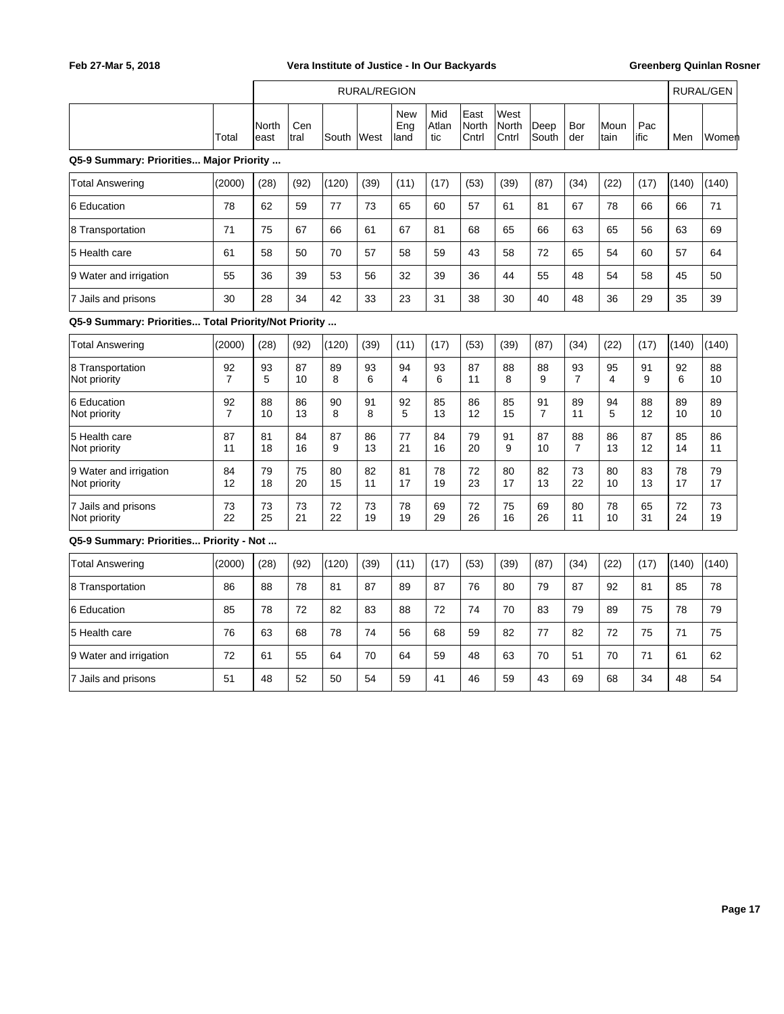|                                                      |                      | <b>RURAL/REGION</b> |             |          |          |                           |                     |                        |                               |                      |                      |              |             | RURAL/GEN |          |
|------------------------------------------------------|----------------------|---------------------|-------------|----------|----------|---------------------------|---------------------|------------------------|-------------------------------|----------------------|----------------------|--------------|-------------|-----------|----------|
|                                                      | Total                | North<br>east       | Cen<br>tral | South    | West     | <b>New</b><br>Eng<br>land | Mid<br>Atlan<br>tic | East<br>North<br>Cntrl | West<br><b>North</b><br>Cntrl | Deep<br>South        | Bor<br>der           | Moun<br>tain | Pac<br>ific | Men       | Women    |
| Q5-9 Summary: Priorities Major Priority              |                      |                     |             |          |          |                           |                     |                        |                               |                      |                      |              |             |           |          |
| <b>Total Answering</b>                               | (2000)               | (28)                | (92)        | (120)    | (39)     | (11)                      | (17)                | (53)                   | (39)                          | (87)                 | (34)                 | (22)         | (17)        | (140)     | (140)    |
| 6 Education                                          | 78                   | 62                  | 59          | 77       | 73       | 65                        | 60                  | 57                     | 61                            | 81                   | 67                   | 78           | 66          | 66        | 71       |
| 8 Transportation                                     | 71                   | 75                  | 67          | 66       | 61       | 67                        | 81                  | 68                     | 65                            | 66                   | 63                   | 65           | 56          | 63        | 69       |
| 5 Health care                                        | 61                   | 58                  | 50          | 70       | 57       | 58                        | 59                  | 43                     | 58                            | 72                   | 65                   | 54           | 60          | 57        | 64       |
| 9 Water and irrigation                               | 55                   | 36                  | 39          | 53       | 56       | 32                        | 39                  | 36                     | 44                            | 55                   | 48                   | 54           | 58          | 45        | 50       |
| 7 Jails and prisons                                  | 30                   | 28                  | 34          | 42       | 33       | 23                        | 31                  | 38                     | 30                            | 40                   | 48                   | 36           | 29          | 35        | 39       |
| Q5-9 Summary: Priorities Total Priority/Not Priority |                      |                     |             |          |          |                           |                     |                        |                               |                      |                      |              |             |           |          |
| <b>Total Answering</b>                               | (2000)               | (28)                | (92)        | (120)    | (39)     | (11)                      | (17)                | (53)                   | (39)                          | (87)                 | (34)                 | (22)         | (17)        | (140)     | (140)    |
| 8 Transportation<br>Not priority                     | 92<br>$\overline{7}$ | 93<br>5             | 87<br>10    | 89<br>8  | 93<br>6  | 94<br>4                   | 93<br>6             | 87<br>11               | 88<br>8                       | 88<br>9              | 93<br>$\overline{7}$ | 95<br>4      | 91<br>9     | 92<br>6   | 88<br>10 |
| 6 Education<br>Not priority                          | 92<br>$\overline{7}$ | 88<br>10            | 86<br>13    | 90<br>8  | 91<br>8  | 92<br>5                   | 85<br>13            | 86<br>12               | 85<br>15                      | 91<br>$\overline{7}$ | 89<br>11             | 94<br>5      | 88<br>12    | 89<br>10  | 89<br>10 |
| 5 Health care<br>Not priority                        | 87<br>11             | 81<br>18            | 84<br>16    | 87<br>9  | 86<br>13 | 77<br>21                  | 84<br>16            | 79<br>20               | 91<br>9                       | 87<br>10             | 88<br>$\overline{7}$ | 86<br>13     | 87<br>12    | 85<br>14  | 86<br>11 |
| 9 Water and irrigation<br>Not priority               | 84<br>12             | 79<br>18            | 75<br>20    | 80<br>15 | 82<br>11 | 81<br>17                  | 78<br>19            | 72<br>23               | 80<br>17                      | 82<br>13             | 73<br>22             | 80<br>10     | 83<br>13    | 78<br>17  | 79<br>17 |
| 7 Jails and prisons<br>Not priority                  | 73<br>22             | 73<br>25            | 73<br>21    | 72<br>22 | 73<br>19 | 78<br>19                  | 69<br>29            | 72<br>26               | 75<br>16                      | 69<br>26             | 80<br>11             | 78<br>10     | 65<br>31    | 72<br>24  | 73<br>19 |
| Q5-9 Summary: Priorities Priority - Not              |                      |                     |             |          |          |                           |                     |                        |                               |                      |                      |              |             |           |          |
| <b>Total Answering</b>                               | (2000)               | (28)                | (92)        | (120)    | (39)     | (11)                      | (17)                | (53)                   | (39)                          | (87)                 | (34)                 | (22)         | (17)        | (140)     | (140)    |
| 8 Transportation                                     | 86                   | 88                  | 78          | 81       | 87       | 89                        | 87                  | 76                     | 80                            | 79                   | 87                   | 92           | 81          | 85        | 78       |
| 6 Education                                          | 85                   | 78                  | 72          | 82       | 83       | 88                        | 72                  | 74                     | 70                            | 83                   | 79                   | 89           | 75          | 78        | 79       |
| 5 Health care                                        | 76                   | 63                  | 68          | 78       | 74       | 56                        | 68                  | 59                     | 82                            | 77                   | 82                   | 72           | 75          | 71        | 75       |
| 9 Water and irrigation                               | 72                   | 61                  | 55          | 64       | 70       | 64                        | 59                  | 48                     | 63                            | 70                   | 51                   | 70           | 71          | 61        | 62       |
| 7 Jails and prisons                                  | 51                   | 48                  | 52          | 50       | 54       | 59                        | 41                  | 46                     | 59                            | 43                   | 69                   | 68           | 34          | 48        | 54       |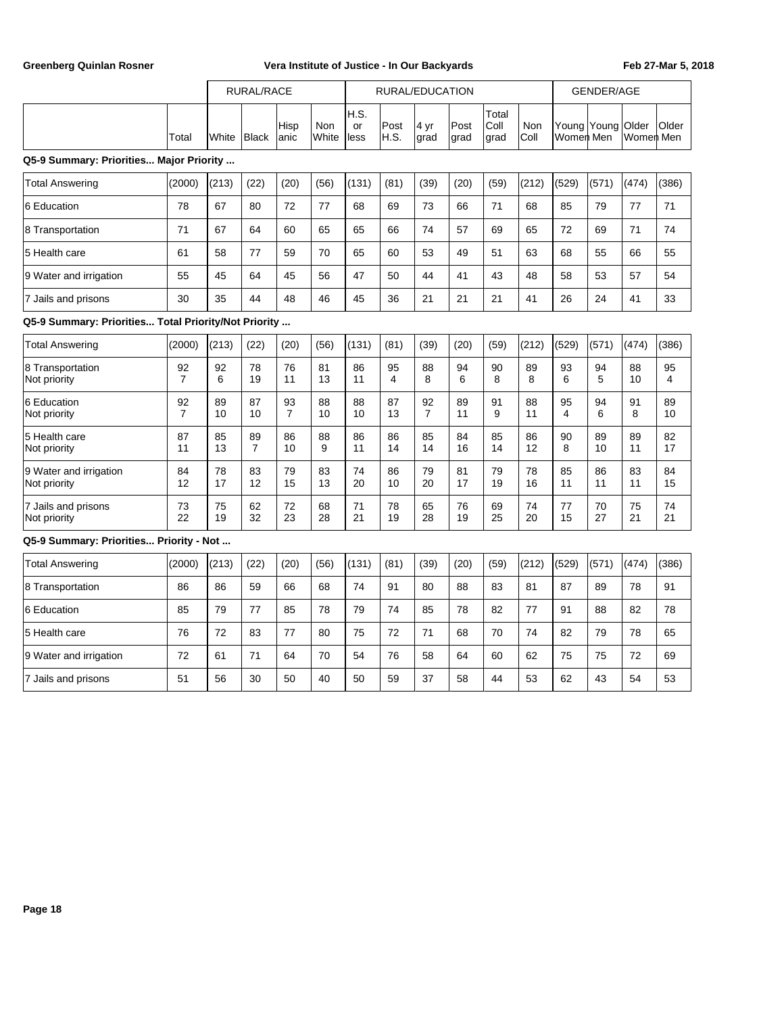|                                                      |                      | RURAL/RACE |          |                      |                     |                    |              | RURAL/EDUCATION      |              |                       | GENDER/AGE         |                          |          |                    |          |
|------------------------------------------------------|----------------------|------------|----------|----------------------|---------------------|--------------------|--------------|----------------------|--------------|-----------------------|--------------------|--------------------------|----------|--------------------|----------|
|                                                      | Total                | White      | Black    | Hisp<br>anic         | <b>Non</b><br>White | H.S.<br>or<br>less | Post<br>H.S. | 4 yr<br>grad         | Post<br>grad | Total<br>Coll<br>grad | <b>Non</b><br>Coll | Young Young<br>Women Men |          | Older<br>Women Men | Older    |
| Q5-9 Summary: Priorities Major Priority              |                      |            |          |                      |                     |                    |              |                      |              |                       |                    |                          |          |                    |          |
| <b>Total Answering</b>                               | (2000)               | (213)      | (22)     | (20)                 | (56)                | (131)              | (81)         | (39)                 | (20)         | (59)                  | (212)              | (529)                    | (571)    | (474)              | (386)    |
| 6 Education                                          | 78                   | 67         | 80       | 72                   | 77                  | 68                 | 69           | 73                   | 66           | 71                    | 68                 | 85                       | 79       | 77                 | 71       |
| 8 Transportation                                     | 71                   | 67         | 64       | 60                   | 65                  | 65                 | 66           | 74                   | 57           | 69                    | 65                 | 72                       | 69       | 71                 | 74       |
| 5 Health care                                        | 61                   | 58         | 77       | 59                   | 70                  | 65                 | 60           | 53                   | 49           | 51                    | 63                 | 68                       | 55       | 66                 | 55       |
| 9 Water and irrigation                               | 55                   | 45         | 64       | 45                   | 56                  | 47                 | 50           | 44                   | 41           | 43                    | 48                 | 58                       | 53       | 57                 | 54       |
| 7 Jails and prisons                                  | 30                   | 35         | 44       | 48                   | 46                  | 45                 | 36           | 21                   | 21           | 21                    | 41                 | 26                       | 24       | 41                 | 33       |
| Q5-9 Summary: Priorities Total Priority/Not Priority |                      |            |          |                      |                     |                    |              |                      |              |                       |                    |                          |          |                    |          |
| <b>Total Answering</b>                               | (2000)               | (213)      | (22)     | (20)                 | (56)                | (131)              | (81)         | (39)                 | (20)         | (59)                  | (212)              | (529)                    | (571)    | (474)              | (386)    |
| 8 Transportation<br>Not priority                     | 92<br>$\overline{7}$ | 92<br>6    | 78<br>19 | 76<br>11             | 81<br>13            | 86<br>11           | 95<br>4      | 88<br>8              | 94<br>6      | 90<br>8               | 89<br>8            | 93<br>6                  | 94<br>5  | 88<br>10           | 95<br>4  |
| 6 Education<br>Not priority                          | 92<br>$\overline{7}$ | 89<br>10   | 87<br>10 | 93<br>$\overline{7}$ | 88<br>10            | 88<br>10           | 87<br>13     | 92<br>$\overline{7}$ | 89<br>11     | 91<br>9               | 88<br>11           | 95<br>4                  | 94<br>6  | 91<br>8            | 89<br>10 |
| 5 Health care<br>Not priority                        | 87<br>11             | 85<br>13   | 89<br>7  | 86<br>10             | 88<br>9             | 86<br>11           | 86<br>14     | 85<br>14             | 84<br>16     | 85<br>14              | 86<br>12           | 90<br>8                  | 89<br>10 | 89<br>11           | 82<br>17 |
| 9 Water and irrigation<br>Not priority               | 84<br>12             | 78<br>17   | 83<br>12 | 79<br>15             | 83<br>13            | 74<br>20           | 86<br>10     | 79<br>20             | 81<br>17     | 79<br>19              | 78<br>16           | 85<br>11                 | 86<br>11 | 83<br>11           | 84<br>15 |
| 7 Jails and prisons<br>Not priority                  | 73<br>22             | 75<br>19   | 62<br>32 | 72<br>23             | 68<br>28            | 71<br>21           | 78<br>19     | 65<br>28             | 76<br>19     | 69<br>25              | 74<br>20           | 77<br>15                 | 70<br>27 | 75<br>21           | 74<br>21 |
| Q5-9 Summary: Priorities Priority - Not              |                      |            |          |                      |                     |                    |              |                      |              |                       |                    |                          |          |                    |          |
| <b>Total Answering</b>                               | (2000)               | (213)      | (22)     | (20)                 | (56)                | (131)              | (81)         | (39)                 | (20)         | (59)                  | (212)              | (529)                    | (571)    | (474)              | (386)    |
| 8 Transportation                                     | 86                   | 86         | 59       | 66                   | 68                  | 74                 | 91           | 80                   | 88           | 83                    | 81                 | 87                       | 89       | 78                 | 91       |
| 6 Education                                          | 85                   | 79         | 77       | 85                   | 78                  | 79                 | 74           | 85                   | 78           | 82                    | 77                 | 91                       | 88       | 82                 | 78       |
| 5 Health care                                        | 76                   | 72         | 83       | 77                   | 80                  | 75                 | 72           | 71                   | 68           | 70                    | 74                 | 82                       | 79       | 78                 | 65       |
| 9 Water and irrigation                               | 72                   | 61         | 71       | 64                   | 70                  | 54                 | 76           | 58                   | 64           | 60                    | 62                 | 75                       | 75       | 72                 | 69       |
| 7 Jails and prisons                                  | 51                   | 56         | 30       | 50                   | 40                  | 50                 | 59           | 37                   | 58           | 44                    | 53                 | 62                       | 43       | 54                 | 53       |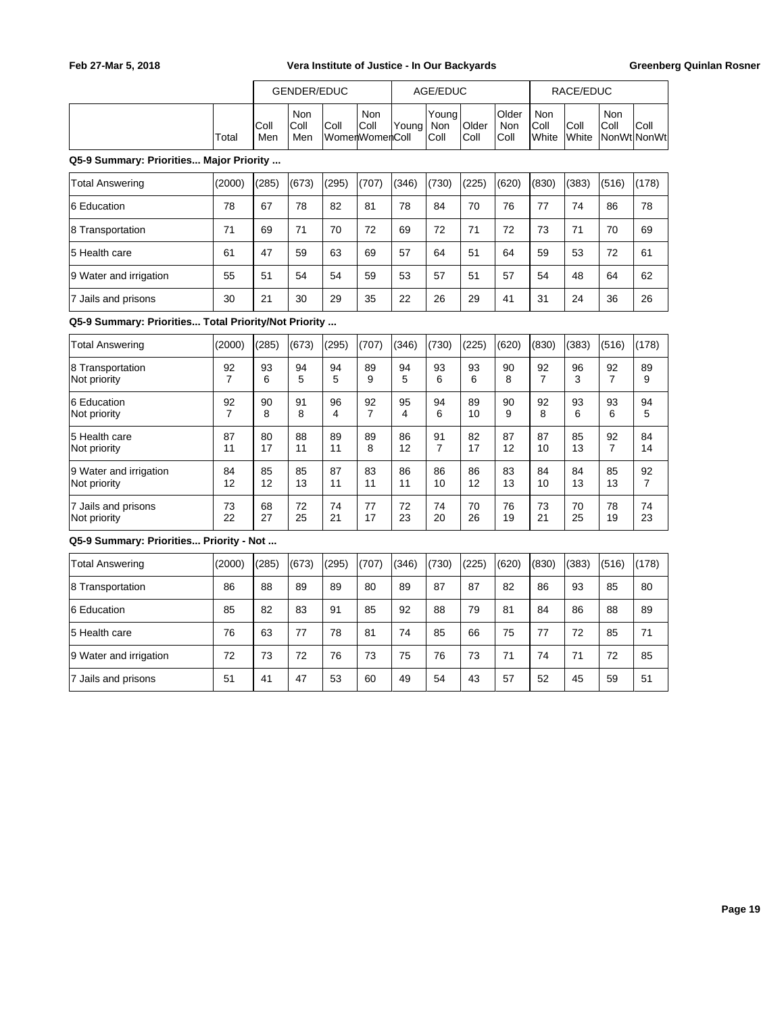|       |             | GENDER/EDUC        |                        |              |               | AGE/EDUC              |                       |                              |                                | RACE/EDUC            |                            |      |
|-------|-------------|--------------------|------------------------|--------------|---------------|-----------------------|-----------------------|------------------------------|--------------------------------|----------------------|----------------------------|------|
| Total | Coll<br>Men | Non<br>Coll<br>Men | Coll<br>WomenWomenColl | Non<br> Coll | <b>IYouna</b> | Youna<br>Non<br> Coll | <b>Older</b><br> Coll | <b>Older</b><br>Non<br> Coll | Non<br>IColl<br><b>I</b> White | Coll<br><b>White</b> | Non<br>Coll<br>NonWt NonWt | Coll |

### **Q5-9 Summary: Priorities... Major Priority ...**

| Total Answering        | (2000) | (285) | (673) | (295) | (707) | (346) | (730) | (225) | (620) | (830) | (383) | (516) | (178) |
|------------------------|--------|-------|-------|-------|-------|-------|-------|-------|-------|-------|-------|-------|-------|
| 6 Education            | 78     | 67    | 78    | 82    | 81    | 78    | 84    | 70    | 76    | 77    | 74    | 86    | 78    |
| 8 Transportation       | 71     | 69    | 71    | 70    | 72    | 69    | 72    | 71    | 72    | 73    | 71    | 70    | 69    |
| 15 Health care         | 61     | 47    | 59    | 63    | 69    | 57    | 64    | 51    | 64    | 59    | 53    | 72    | 61    |
| 9 Water and irrigation | 55     | 51    | 54    | 54    | 59    | 53    | 57    | 51    | 57    | 54    | 48    | 64    | 62    |
| 7 Jails and prisons    | 30     | 21    | 30    | 29    | 35    | 22    | 26    | 29    | 41    | 31    | 24    | 36    | 26    |

### **Q5-9 Summary: Priorities... Total Priority/Not Priority ...**

| <b>Total Answering</b>           | (2000) | (285)   | (673)   | (295)   | (707)   | (346)   | (730)   | (225)   | (620)   | (830) | (383)   | (516)   | (178)   |
|----------------------------------|--------|---------|---------|---------|---------|---------|---------|---------|---------|-------|---------|---------|---------|
| 8 Transportation<br>Not priority | 92     | 93<br>6 | 94<br>5 | 94<br>5 | 89<br>9 | 94<br>5 | 93<br>6 | 93<br>6 | 90<br>8 | 92    | 96<br>3 | 92<br>7 | 89<br>9 |
| 6 Education                      | 92     | 90      | 91      | 96      | 92      | 95      | 94      | 89      | 90      | 92    | 93      | 93      | 94      |
| Not priority                     | 7      | 8       | 8       | 4       | 7       | 4       | 6       | 10      | 9       | 8     | 6       | 6       | 5       |
| 5 Health care                    | 87     | 80      | 88      | 89      | 89      | 86      | 91      | 82      | 87      | 87    | 85      | 92      | 84      |
| Not priority                     | 11     | 17      | 11      | 11      | 8       | 12      | 7       | 17      | 12      | 10    | 13      | 7       | 14      |
| 9 Water and irrigation           | 84     | 85      | 85      | 87      | 83      | 86      | 86      | 86      | 83      | 84    | 84      | 85      | 92      |
| Not priority                     | 12     | 12      | 13      | 11      | 11      | 11      | 10      | 12      | 13      | 10    | 13      | 13      | 7       |
| 7 Jails and prisons              | 73     | 68      | 72      | 74      | 77      | 72      | 74      | 70      | 76      | 73    | 70      | 78      | 74      |
| Not priority                     | 22     | 27      | 25      | 21      | 17      | 23      | 20      | 26      | 19      | 21    | 25      | 19      | 23      |

#### **Q5-9 Summary: Priorities... Priority - Not ...**

| Total Answering        | (2000) | (285) | (673) | (295) | (707) | (346) | (730) | (225) | (620) | (830) | (383) | (516) | (178) |
|------------------------|--------|-------|-------|-------|-------|-------|-------|-------|-------|-------|-------|-------|-------|
| 8 Transportation       | 86     | 88    | 89    | 89    | 80    | 89    | 87    | 87    | 82    | 86    | 93    | 85    | 80    |
| 6 Education            | 85     | 82    | 83    | 91    | 85    | 92    | 88    | 79    | 81    | 84    | 86    | 88    | 89    |
| 15 Health care         | 76     | 63    | 77    | 78    | 81    | 74    | 85    | 66    | 75    | 77    | 72    | 85    | 71    |
| 9 Water and irrigation | 72     | 73    | 72    | 76    | 73    | 75    | 76    | 73    | 71    | 74    | 71    | 72    | 85    |
| Jails and prisons      | 51     | 41    | 47    | 53    | 60    | 49    | 54    | 43    | 57    | 52    | 45    | 59    | 51    |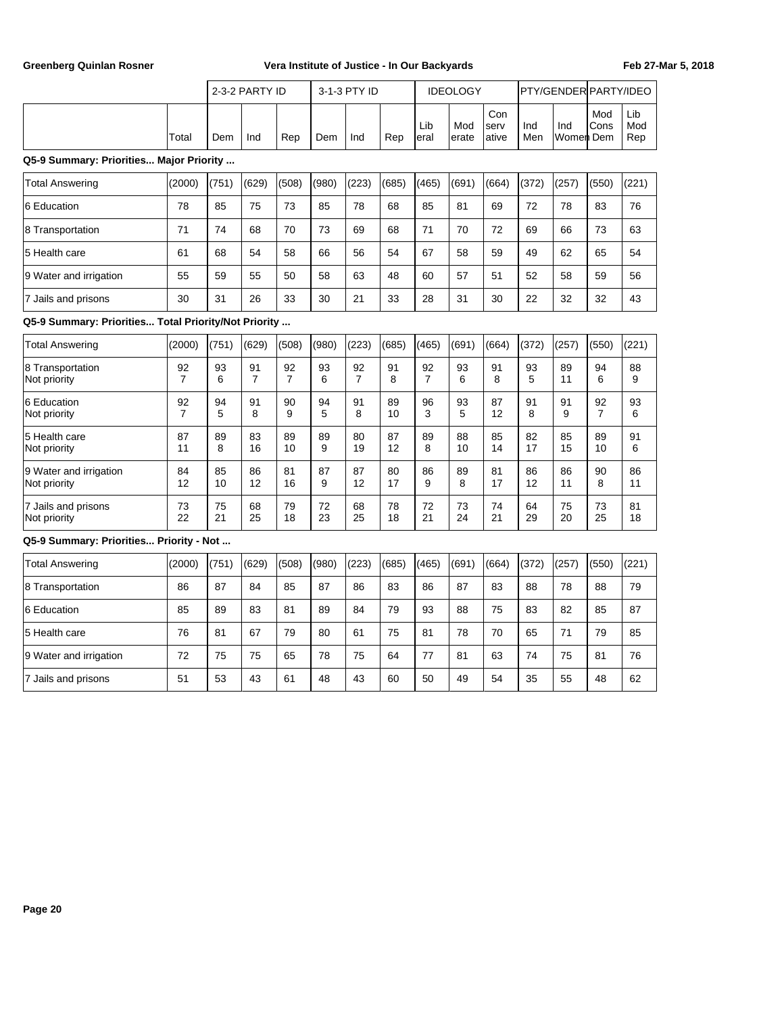|                                                      |                      |          | 2-3-2 PARTY ID       |                      |          | 3-1-3 PTY ID         |          |                      | <b>IDEOLOGY</b> |                      |            | PTY/GENDER PARTY/IDEO |                      |                   |
|------------------------------------------------------|----------------------|----------|----------------------|----------------------|----------|----------------------|----------|----------------------|-----------------|----------------------|------------|-----------------------|----------------------|-------------------|
|                                                      | Total                | Dem      | Ind                  | Rep                  | Dem      | Ind                  | Rep      | Lib<br>eral          | Mod<br>erate    | Con<br>serv<br>ative | Ind<br>Men | Ind<br>Women Dem      | Mod<br>Cons          | Lib<br>Mod<br>Rep |
| Q5-9 Summary: Priorities Major Priority              |                      |          |                      |                      |          |                      |          |                      |                 |                      |            |                       |                      |                   |
| <b>Total Answering</b>                               | (2000)               | (751)    | (629)                | (508)                | (980)    | (223)                | (685)    | (465)                | (691)           | (664)                | (372)      | (257)                 | (550)                | (221)             |
| 6 Education                                          | 78                   | 85       | 75                   | 73                   | 85       | 78                   | 68       | 85                   | 81              | 69                   | 72         | 78                    | 83                   | 76                |
| 8 Transportation                                     | 71                   | 74       | 68                   | 70                   | 73       | 69                   | 68       | 71                   | 70              | 72                   | 69         | 66                    | 73                   | 63                |
| 5 Health care                                        | 61                   | 68       | 54                   | 58                   | 66       | 56                   | 54       | 67                   | 58              | 59                   | 49         | 62                    | 65                   | 54                |
| 9 Water and irrigation                               | 55                   | 59       | 55                   | 50                   | 58       | 63                   | 48       | 60                   | 57              | 51                   | 52         | 58                    | 59                   | 56                |
| 7 Jails and prisons                                  | 30                   | 31       | 26                   | 33                   | 30       | 21                   | 33       | 28                   | 31              | 30                   | 22         | 32                    | 32                   | 43                |
| Q5-9 Summary: Priorities Total Priority/Not Priority |                      |          |                      |                      |          |                      |          |                      |                 |                      |            |                       |                      |                   |
| <b>Total Answering</b>                               | (2000)               | (751)    | (629)                | (508)                | (980)    | (223)                | (685)    | (465)                | (691)           | (664)                | (372)      | (257)                 | (550)                | (221)             |
| 8 Transportation<br>Not priority                     | 92<br>$\overline{7}$ | 93<br>6  | 91<br>$\overline{7}$ | 92<br>$\overline{7}$ | 93<br>6  | 92<br>$\overline{7}$ | 91<br>8  | 92<br>$\overline{7}$ | 93<br>6         | 91<br>8              | 93<br>5    | 89<br>11              | 94<br>6              | 88<br>9           |
| 6 Education<br>Not priority                          | 92<br>$\overline{7}$ | 94<br>5  | 91<br>8              | 90<br>9              | 94<br>5  | 91<br>8              | 89<br>10 | 96<br>3              | 93<br>5         | 87<br>12             | 91<br>8    | 91<br>9               | 92<br>$\overline{7}$ | 93<br>6           |
| 5 Health care<br>Not priority                        | 87<br>11             | 89<br>8  | 83<br>16             | 89<br>10             | 89<br>9  | 80<br>19             | 87<br>12 | 89<br>8              | 88<br>10        | 85<br>14             | 82<br>17   | 85<br>15              | 89<br>10             | 91<br>6           |
| 9 Water and irrigation<br>Not priority               | 84<br>12             | 85<br>10 | 86<br>12             | 81<br>16             | 87<br>9  | 87<br>12             | 80<br>17 | 86<br>9              | 89<br>8         | 81<br>17             | 86<br>12   | 86<br>11              | 90<br>8              | 86<br>11          |
| 7 Jails and prisons<br>Not priority                  | 73<br>22             | 75<br>21 | 68<br>25             | 79<br>18             | 72<br>23 | 68<br>25             | 78<br>18 | 72<br>21             | 73<br>24        | 74<br>21             | 64<br>29   | 75<br>20              | 73<br>25             | 81<br>18          |
| Q5-9 Summary: Priorities Priority - Not              |                      |          |                      |                      |          |                      |          |                      |                 |                      |            |                       |                      |                   |
| <b>Total Answering</b>                               | (2000)               | (751)    | (629)                | (508)                | (980)    | (223)                | (685)    | (465)                | (691)           | (664)                | (372)      | (257)                 | (550)                | (221)             |

| <b>Total Answering</b> | (2000) | (751) | (629) | (508) | (980) | (223) | (685) | (465) | (691) | (664) | (372) | (257) | (550) | (221) |
|------------------------|--------|-------|-------|-------|-------|-------|-------|-------|-------|-------|-------|-------|-------|-------|
| 8 Transportation       | 86     | 87    | 84    | 85    | 87    | 86    | 83    | 86    | 87    | 83    | 88    | 78    | 88    | 79    |
| 6 Education            | 85     | 89    | 83    | 81    | 89    | 84    | 79    | 93    | 88    | 75    | 83    | 82    | 85    | 87    |
| 5 Health care          | 76     | 81    | 67    | 79    | 80    | 61    | 75    | 81    | 78    | 70    | 65    | 71    | 79    | 85    |
| 9 Water and irrigation | 72     | 75    | 75    | 65    | 78    | 75    | 64    | 77    | 81    | 63    | 74    | 75    | 81    | 76    |
| 7 Jails and prisons    | 51     | 53    | 43    | 61    | 48    | 43    | 60    | 50    | 49    | 54    | 35    | 55    | 48    | 62    |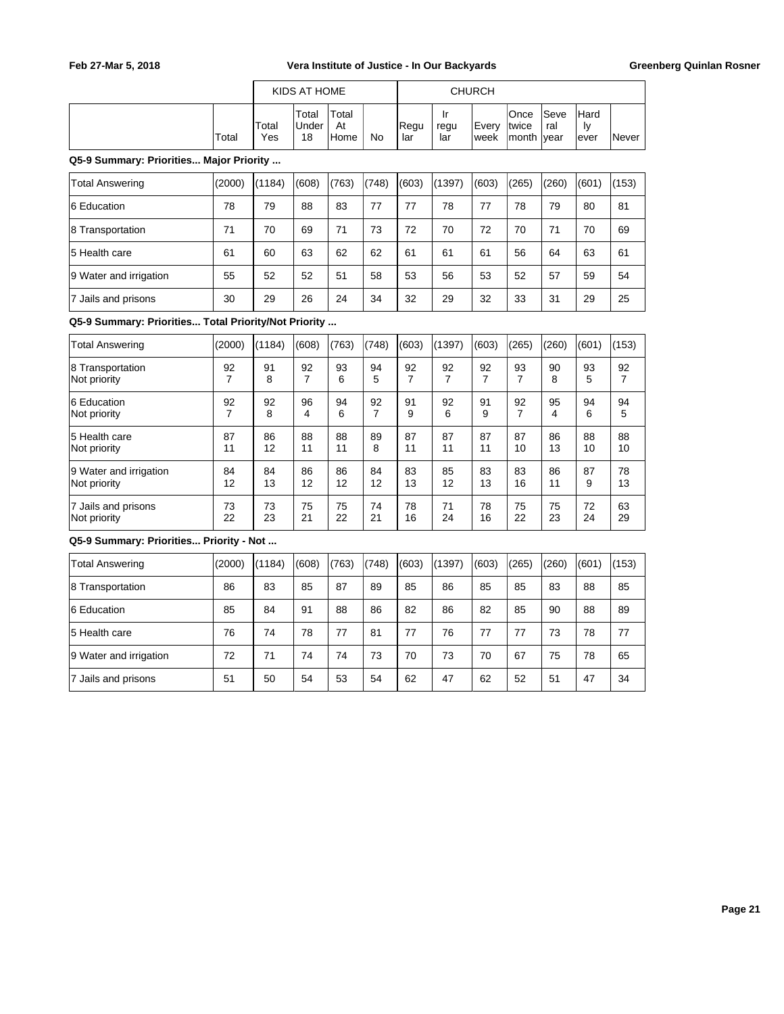|                                                      |         |              | KIDS AT HOME         |                     |         |             |                   | <b>CHURCH</b> |                                |             |                     |         |
|------------------------------------------------------|---------|--------------|----------------------|---------------------|---------|-------------|-------------------|---------------|--------------------------------|-------------|---------------------|---------|
|                                                      | Total   | Total<br>Yes | Total<br>Under<br>18 | Total<br>At<br>Home | No      | Regu<br>lar | Ir<br>regu<br>lar | Every<br>week | Once<br>Itwice<br> month  year | Seve<br>ral | Hard<br>Ιy<br>lever | Never   |
| Q5-9 Summary: Priorities Major Priority              |         |              |                      |                     |         |             |                   |               |                                |             |                     |         |
| <b>Total Answering</b>                               | (2000)  | (1184)       | (608)                | (763)               | (748)   | (603)       | (1397)            | (603)         | (265)                          | (260)       | (601)               | (153)   |
| 6 Education                                          | 78      | 79           | 88                   | 83                  | 77      | 77          | 78                | 77            | 78                             | 79          | 80                  | 81      |
| 8 Transportation                                     | 71      | 70           | 69                   | 71                  | 73      | 72          | 70                | 72            | 70                             | 71          | 70                  | 69      |
| 5 Health care                                        | 61      | 60           | 63                   | 62                  | 62      | 61          | 61                | 61            | 56                             | 64          | 63                  | 61      |
| 9 Water and irrigation                               | 55      | 52           | 52                   | 51                  | 58      | 53          | 56                | 53            | 52                             | 57          | 59                  | 54      |
| 7 Jails and prisons                                  | 30      | 29           | 26                   | 24                  | 34      | 32          | 29                | 32            | 33                             | 31          | 29                  | 25      |
| Q5-9 Summary: Priorities Total Priority/Not Priority |         |              |                      |                     |         |             |                   |               |                                |             |                     |         |
| <b>Total Answering</b>                               | (2000)  | (1184)       | (608)                | (763)               | (748)   | (603)       | (1397)            | (603)         | (265)                          | (260)       | (601)               | (153)   |
| 8 Transportation<br>Not priority                     | 92<br>7 | 91<br>8      | 92<br>7              | 93<br>6             | 94<br>5 | 92<br>7     | 92<br>7           | 92<br>7       | 93<br>7                        | 90<br>8     | 93<br>5             | 92<br>7 |

| ιο παποροπατισπ<br>Not priority | ల∠ | ອ≀<br>8 | ల∠      | ຶ<br>6  | ౨౻<br>5 | ల∠      | ອ∠      | ల∠      | ຶ  | ັບປ<br>8 | ຶ<br>5  | ల∠      |
|---------------------------------|----|---------|---------|---------|---------|---------|---------|---------|----|----------|---------|---------|
| 6 Education<br>Not priority     | 92 | 92<br>8 | 96<br>4 | 94<br>6 | 92<br>7 | 91<br>9 | 92<br>6 | 91<br>9 | 92 | 95<br>4  | 94<br>6 | 94<br>5 |
| 5 Health care                   | 87 | 86      | 88      | 88      | 89      | 87      | 87      | 87      | 87 | 86       | 88      | 88      |
| Not priority                    | 11 | 12      | 11      | 11      | 8       | 11      | 11      | 11      | 10 | 13       | 10      | 10      |
| 9 Water and irrigation          | 84 | 84      | 86      | 86      | 84      | 83      | 85      | 83      | 83 | 86       | 87      | 78      |
| Not priority                    | 12 | 13      | 12      | 12      | 12      | 13      | 12      | 13      | 16 | 11       | 9       | 13      |
| 7 Jails and prisons             | 73 | 73      | 75      | 75      | 74      | 78      | 71      | 78      | 75 | 75       | 72      | 63      |
| Not priority                    | 22 | 23      | 21      | 22      | 21      | 16      | 24      | 16      | 22 | 23       | 24      | 29      |

**Q5-9 Summary: Priorities... Priority - Not ...**

| Total Answering        | (2000) | (1184) | (608) | (763) | (748) | (603) | (1397) | (603) | (265) | (260) | (601) | (153) |
|------------------------|--------|--------|-------|-------|-------|-------|--------|-------|-------|-------|-------|-------|
| 8 Transportation       | 86     | 83     | 85    | 87    | 89    | 85    | 86     | 85    | 85    | 83    | 88    | 85    |
| 6 Education            | 85     | 84     | 91    | 88    | 86    | 82    | 86     | 82    | 85    | 90    | 88    | 89    |
| 5 Health care          | 76     | 74     | 78    | 77    | 81    | 77    | 76     | 77    | 77    | 73    | 78    | 77    |
| 9 Water and irrigation | 72     | 71     | 74    | 74    | 73    | 70    | 73     | 70    | 67    | 75    | 78    | 65    |
| 7 Jails and prisons    | 51     | 50     | 54    | 53    | 54    | 62    | 47     | 62    | 52    | 51    | 47    | 34    |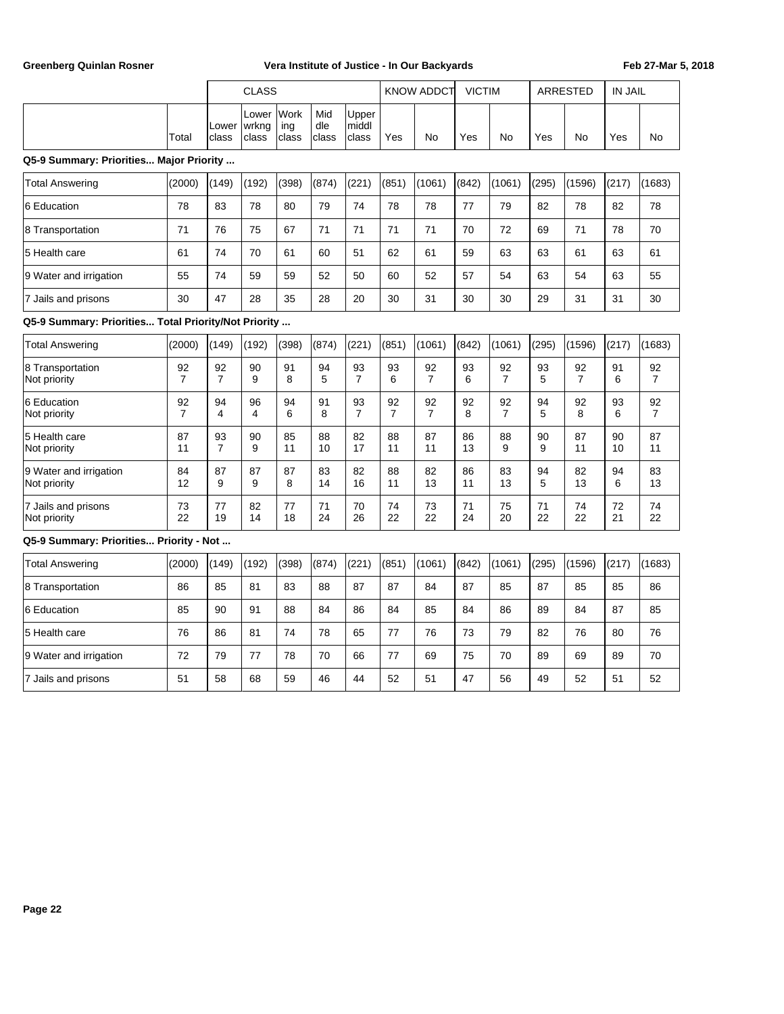|                                                      |                      | <b>CLASS</b>         |                         |                      |                     |                         |                      | <b>KNOW ADDCT</b>    | <b>VICTIM</b> |                      |          | <b>ARRESTED</b>      | <b>IN JAIL</b> |                      |
|------------------------------------------------------|----------------------|----------------------|-------------------------|----------------------|---------------------|-------------------------|----------------------|----------------------|---------------|----------------------|----------|----------------------|----------------|----------------------|
|                                                      | Total                | Lower<br>class       | Lower<br>wrkng<br>class | Work<br>ing<br>class | Mid<br>dle<br>class | Upper<br>middl<br>class | Yes                  | <b>No</b>            | Yes           | <b>No</b>            | Yes      | <b>No</b>            | Yes            | <b>No</b>            |
| Q5-9 Summary: Priorities Major Priority              |                      |                      |                         |                      |                     |                         |                      |                      |               |                      |          |                      |                |                      |
| Total Answering                                      | (2000)               | (149)                | (192)                   | (398)                | (874)               | (221)                   | (851)                | (1061)               | (842)         | (1061)               | (295)    | (1596)               | (217)          | (1683)               |
| 6 Education                                          | 78                   | 83                   | 78                      | 80                   | 79                  | 74                      | 78                   | 78                   | 77            | 79                   | 82       | 78                   | 82             | 78                   |
| 8 Transportation                                     | 71                   | 76                   | 75                      | 67                   | 71                  | 71                      | 71                   | 71                   | 70            | 72                   | 69       | 71                   | 78             | 70                   |
| 5 Health care                                        | 61                   | 74                   | 70                      | 61                   | 60                  | 51                      | 62                   | 61                   | 59            | 63                   | 63       | 61                   | 63             | 61                   |
| 9 Water and irrigation                               | 55                   | 74                   | 59                      | 59                   | 52                  | 50                      | 60                   | 52                   | 57            | 54                   | 63       | 54                   | 63             | 55                   |
| 7 Jails and prisons                                  | 30                   | 47                   | 28                      | 35                   | 28                  | 20                      | 30                   | 31                   | 30            | 30                   | 29       | 31                   | 31             | 30                   |
| Q5-9 Summary: Priorities Total Priority/Not Priority |                      |                      |                         |                      |                     |                         |                      |                      |               |                      |          |                      |                |                      |
| <b>Total Answering</b>                               | (2000)               | (149)                | (192)                   | (398)                | (874)               | (221)                   | (851)                | (1061)               | (842)         | (1061)               | (295)    | (1596)               | (217)          | (1683)               |
| 8 Transportation<br>Not priority                     | 92<br>$\overline{7}$ | 92<br>$\overline{7}$ | 90<br>9                 | 91<br>8              | 94<br>5             | 93<br>$\overline{7}$    | 93<br>6              | 92<br>$\overline{7}$ | 93<br>6       | 92<br>$\overline{7}$ | 93<br>5  | 92<br>$\overline{7}$ | 91<br>6        | 92<br>$\overline{7}$ |
| 6 Education<br>Not priority                          | 92<br>$\overline{7}$ | 94<br>4              | 96<br>4                 | 94<br>6              | 91<br>8             | 93<br>$\overline{7}$    | 92<br>$\overline{7}$ | 92<br>$\overline{7}$ | 92<br>8       | 92<br>$\overline{7}$ | 94<br>5  | 92<br>8              | 93<br>6        | 92<br>$\overline{7}$ |
| 5 Health care<br>Not priority                        | 87<br>11             | 93<br>$\overline{7}$ | 90<br>9                 | 85<br>11             | 88<br>10            | 82<br>17                | 88<br>11             | 87<br>11             | 86<br>13      | 88<br>9              | 90<br>9  | 87<br>11             | 90<br>10       | 87<br>11             |
| 9 Water and irrigation<br>Not priority               | 84<br>12             | 87<br>9              | 87<br>9                 | 87<br>8              | 83<br>14            | 82<br>16                | 88<br>11             | 82<br>13             | 86<br>11      | 83<br>13             | 94<br>5  | 82<br>13             | 94<br>6        | 83<br>13             |
| 7 Jails and prisons<br>Not priority                  | 73<br>22             | 77<br>19             | 82<br>14                | 77<br>18             | 71<br>24            | 70<br>26                | 74<br>22             | 73<br>22             | 71<br>24      | 75<br>20             | 71<br>22 | 74<br>22             | 72<br>21       | 74<br>22             |
| Q5-9 Summary: Priorities Priority - Not              |                      |                      |                         |                      |                     |                         |                      |                      |               |                      |          |                      |                |                      |
| <b>Total Answering</b>                               | (2000)               | (149)                | (192)                   | (398)                | (874)               | (221)                   | (851)                | (1061)               | (842)         | (1061)               | (295)    | (1596)               | (217)          | (1683)               |
| 8 Transportation                                     | 86                   | 85                   | 81                      | 83                   | 88                  | 87                      | 87                   | 84                   | 87            | 85                   | 87       | 85                   | 85             | 86                   |
| 6 Education                                          | 85                   | 90                   | 91                      | 88                   | 84                  | 86                      | 84                   | 85                   | 84            | 86                   | 89       | 84                   | 87             | 85                   |
| 5 Health care                                        | 76                   | 86                   | 81                      | 74                   | 78                  | 65                      | 77                   | 76                   | 73            | 79                   | 82       | 76                   | 80             | 76                   |
| 9 Water and irrigation                               | 72                   | 79                   | 77                      | 78                   | 70                  | 66                      | 77                   | 69                   | 75            | 70                   | 89       | 69                   | 89             | 70                   |
| 7 Jails and prisons                                  | 51                   | 58                   | 68                      | 59                   | 46                  | 44                      | 52                   | 51                   | 47            | 56                   | 49       | 52                   | 51             | 52                   |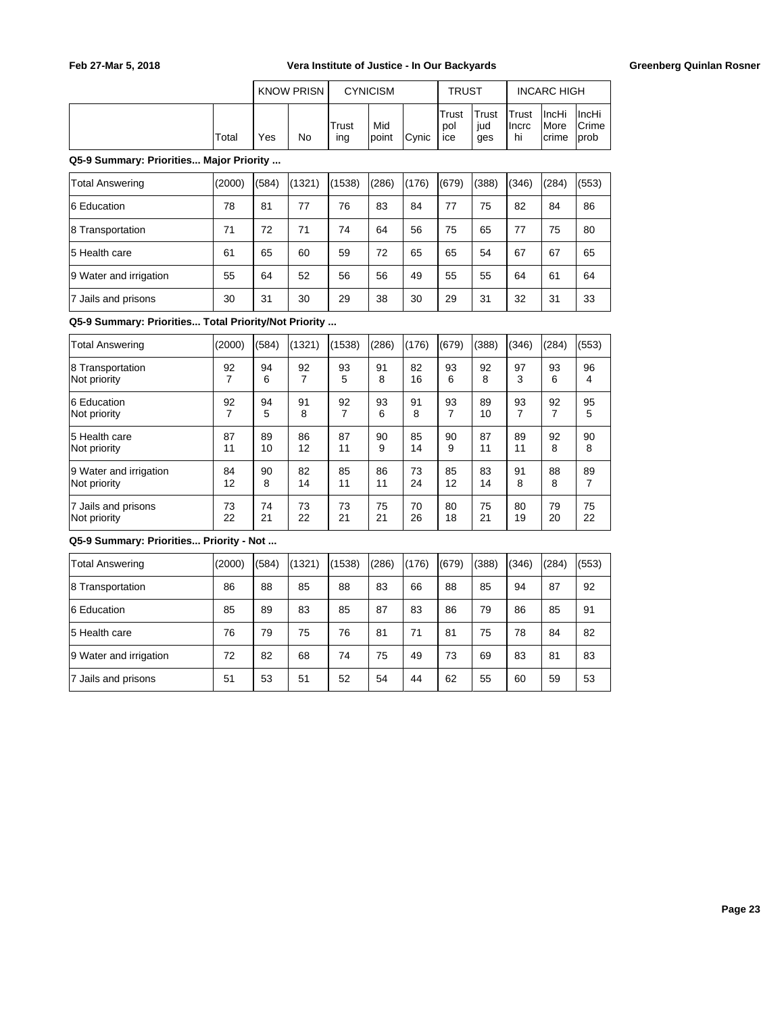|       |     | KNOW PRISN |              | <b>CYNICISM</b> |               | <b>TRUST</b>         |                     |                               | <b>INCARC HIGH</b>                     |                                 |
|-------|-----|------------|--------------|-----------------|---------------|----------------------|---------------------|-------------------------------|----------------------------------------|---------------------------------|
| Total | Yes | No         | Trust<br>ing | Mid<br>Ipoint   | <b>C</b> vnic | 'Trust<br>pol<br>ice | Trust<br>iud<br>ges | <b>ITrust</b><br>Ilncrc<br>hi | ∣IncHi<br><i><b>IMore</b></i><br>crime | ∣IncHi<br><b>Crime</b><br>lprob |

**Q5-9 Summary: Priorities... Major Priority ...**

| <b>Total Answering</b> | (2000) | (584) | (1321) | (1538) | (286) | (176) | (679) | (388) | (346) | (284) | (553) |
|------------------------|--------|-------|--------|--------|-------|-------|-------|-------|-------|-------|-------|
| 6 Education            | 78     | 81    | 77     | 76     | 83    | 84    | 77    | 75    | 82    | 84    | 86    |
| 8 Transportation       | 71     | 72    | 71     | 74     | 64    | 56    | 75    | 65    | 77    | 75    | 80    |
| 5 Health care          | 61     | 65    | 60     | 59     | 72    | 65    | 65    | 54    | 67    | 67    | 65    |
| 9 Water and irrigation | 55     | 64    | 52     | 56     | 56    | 49    | 55    | 55    | 64    | 61    | 64    |
| 7 Jails and prisons    | 30     | 31    | 30     | 29     | 38    | 30    | 29    | 31    | 32    | 31    | 33    |

**Q5-9 Summary: Priorities... Total Priority/Not Priority ...**

| <b>Total Answering</b>           | (2000) | (584)   | (1321) | (1538)  | (286)   | (176)    | (679)   | (388)   | (346)   | (284)   | (553)   |
|----------------------------------|--------|---------|--------|---------|---------|----------|---------|---------|---------|---------|---------|
| 8 Transportation<br>Not priority | 92     | 94<br>6 | 92     | 93<br>5 | 91<br>8 | 82<br>16 | 93<br>6 | 92<br>8 | 97<br>3 | 93<br>6 | 96<br>4 |
| 6 Education                      | 92     | 94      | 91     | 92      | 93      | 91       | 93      | 89      | 93      | 92      | 95      |
| Not priority                     | 7      | 5       | 8      | 7       | 6       | 8        | 7       | 10      | 7       | 7       | 5       |
| 5 Health care                    | 87     | 89      | 86     | 87      | 90      | 85       | 90      | 87      | 89      | 92      | 90      |
| Not priority                     | 11     | 10      | 12     | 11      | 9       | 14       | 9       | 11      | 11      | 8       | 8       |
| 9 Water and irrigation           | 84     | 90      | 82     | 85      | 86      | 73       | 85      | 83      | 91      | 88      | 89      |
| Not priority                     | 12     | 8       | 14     | 11      | 11      | 24       | 12      | 14      | 8       | 8       | 7       |
| 7 Jails and prisons              | 73     | 74      | 73     | 73      | 75      | 70       | 80      | 75      | 80      | 79      | 75      |
| Not priority                     | 22     | 21      | 22     | 21      | 21      | 26       | 18      | 21      | 19      | 20      | 22      |

**Q5-9 Summary: Priorities... Priority - Not ...**

| <b>Total Answering</b> | (2000) | (584) | (1321) | (1538) | (286) | (176) | (679) | (388) | (346) | (284) | (553) |
|------------------------|--------|-------|--------|--------|-------|-------|-------|-------|-------|-------|-------|
| 8 Transportation       | 86     | 88    | 85     | 88     | 83    | 66    | 88    | 85    | 94    | 87    | 92    |
| 6 Education            | 85     | 89    | 83     | 85     | 87    | 83    | 86    | 79    | 86    | 85    | 91    |
| 5 Health care          | 76     | 79    | 75     | 76     | 81    | 71    | 81    | 75    | 78    | 84    | 82    |
| 9 Water and irrigation | 72     | 82    | 68     | 74     | 75    | 49    | 73    | 69    | 83    | 81    | 83    |
| 7 Jails and prisons    | 51     | 53    | 51     | 52     | 54    | 44    | 62    | 55    | 60    | 59    | 53    |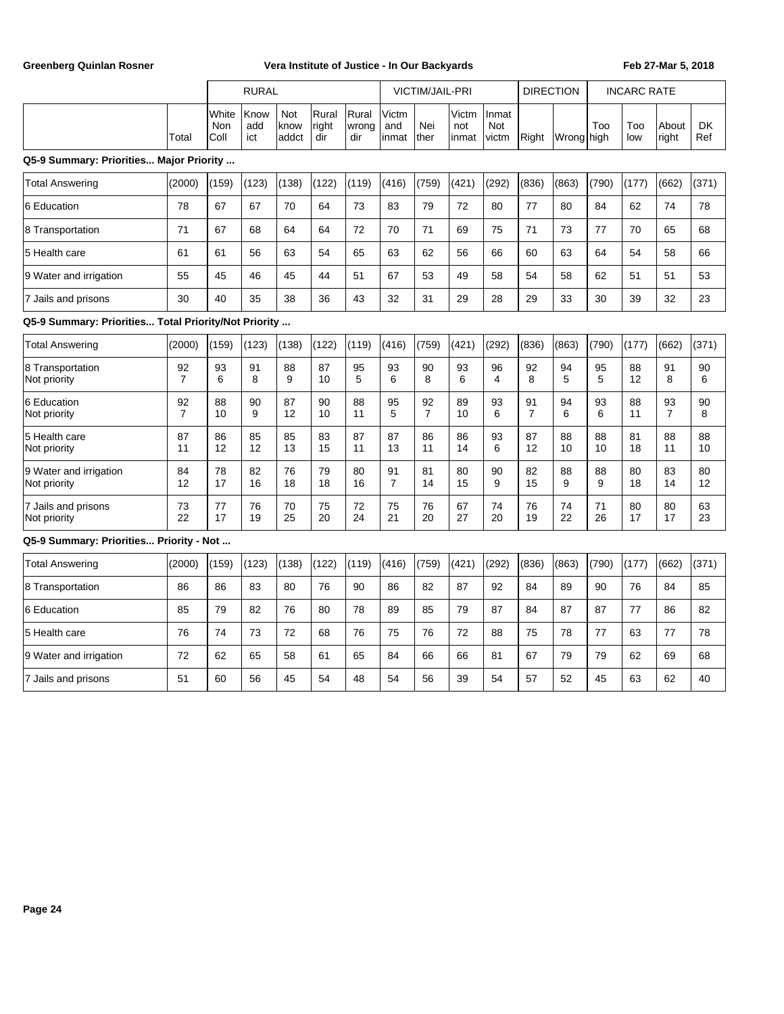|                                                      |                      |                      | <b>RURAL</b>       |                      |                       |                       |                        | VICTIM/JAIL-PRI      |                       |                       | <b>DIRECTION</b>     |            | <b>INCARC RATE</b> |            |                      |           |
|------------------------------------------------------|----------------------|----------------------|--------------------|----------------------|-----------------------|-----------------------|------------------------|----------------------|-----------------------|-----------------------|----------------------|------------|--------------------|------------|----------------------|-----------|
|                                                      | Total                | White<br>Non<br>Coll | Know<br>add<br>ict | Not<br>know<br>addct | Rural<br>right<br>dir | Rural<br>wrong<br>dir | Victm<br>and<br>linmat | Nei<br>ther          | Victm<br>not<br>inmat | Inmat<br>Not<br>victm | Right                | Wrong high | Too                | Too<br>low | About<br>right       | DK<br>Ref |
| Q5-9 Summary: Priorities Major Priority              |                      |                      |                    |                      |                       |                       |                        |                      |                       |                       |                      |            |                    |            |                      |           |
| <b>Total Answering</b>                               | (2000)               | (159)                | (123)              | (138)                | (122)                 | (119)                 | (416)                  | (759)                | (421)                 | (292)                 | (836)                | (863)      | (790)              | (177)      | (662)                | (371)     |
| 6 Education                                          | 78                   | 67                   | 67                 | 70                   | 64                    | 73                    | 83                     | 79                   | 72                    | 80                    | 77                   | 80         | 84                 | 62         | 74                   | 78        |
| 8 Transportation                                     | 71                   | 67                   | 68                 | 64                   | 64                    | 72                    | 70                     | 71                   | 69                    | 75                    | 71                   | 73         | 77                 | 70         | 65                   | 68        |
| 5 Health care                                        | 61                   | 61                   | 56                 | 63                   | 54                    | 65                    | 63                     | 62                   | 56                    | 66                    | 60                   | 63         | 64                 | 54         | 58                   | 66        |
| 9 Water and irrigation                               | 55                   | 45                   | 46                 | 45                   | 44                    | 51                    | 67                     | 53                   | 49                    | 58                    | 54                   | 58         | 62                 | 51         | 51                   | 53        |
| 7 Jails and prisons                                  | 30                   | 40                   | 35                 | 38                   | 36                    | 43                    | 32                     | 31                   | 29                    | 28                    | 29                   | 33         | 30                 | 39         | 32                   | 23        |
| Q5-9 Summary: Priorities Total Priority/Not Priority |                      |                      |                    |                      |                       |                       |                        |                      |                       |                       |                      |            |                    |            |                      |           |
| <b>Total Answering</b>                               | (2000)               | (159)                | (123)              | (138)                | (122)                 | (119)                 | (416)                  | (759)                | (421)                 | (292)                 | (836)                | (863)      | (790)              | (177)      | (662)                | (371)     |
| 8 Transportation<br>Not priority                     | 92<br>7              | 93<br>6              | 91<br>8            | 88<br>9              | 87<br>10              | 95<br>5               | 93<br>6                | 90<br>8              | 93<br>6               | 96<br>4               | 92<br>8              | 94<br>5    | 95<br>5            | 88<br>12   | 91<br>8              | 90<br>6   |
| 6 Education<br>Not priority                          | 92<br>$\overline{7}$ | 88<br>10             | 90<br>9            | 87<br>12             | 90<br>10              | 88<br>11              | 95<br>5                | 92<br>$\overline{7}$ | 89<br>10              | 93<br>6               | 91<br>$\overline{7}$ | 94<br>6    | 93<br>6            | 88<br>11   | 93<br>$\overline{7}$ | 90<br>8   |
| 5 Health care<br>Not priority                        | 87<br>11             | 86<br>12             | 85<br>12           | 85<br>13             | 83<br>15              | 87<br>11              | 87<br>13               | 86<br>11             | 86<br>14              | 93<br>6               | 87<br>12             | 88<br>10   | 88<br>10           | 81<br>18   | 88<br>11             | 88<br>10  |
| 9 Water and irrigation<br>Not priority               | 84<br>12             | 78<br>17             | 82<br>16           | 76<br>18             | 79<br>18              | 80<br>16              | 91<br>$\overline{7}$   | 81<br>14             | 80<br>15              | 90<br>9               | 82<br>15             | 88<br>9    | 88<br>9            | 80<br>18   | 83<br>14             | 80<br>12  |
| 7 Jails and prisons<br>Not priority                  | 73<br>22             | 77<br>17             | 76<br>19           | 70<br>25             | 75<br>20              | 72<br>24              | 75<br>21               | 76<br>20             | 67<br>27              | 74<br>20              | 76<br>19             | 74<br>22   | 71<br>26           | 80<br>17   | 80<br>17             | 63<br>23  |
| Q5-9 Summary: Priorities Priority - Not              |                      |                      |                    |                      |                       |                       |                        |                      |                       |                       |                      |            |                    |            |                      |           |
| <b>Total Answering</b>                               | (2000)               | (159)                | (123)              | (138)                | (122)                 | (119)                 | (416)                  | (759)                | (421)                 | (292)                 | (836)                | (863)      | (790)              | (177)      | (662)                | (371)     |
| 8 Transportation                                     | 86                   | 86                   | 83                 | 80                   | 76                    | 90                    | 86                     | 82                   | 87                    | 92                    | 84                   | 89         | 90                 | 76         | 84                   | 85        |
| 6 Education                                          | 85                   | 79                   | 82                 | 76                   | 80                    | 78                    | 89                     | 85                   | 79                    | 87                    | 84                   | 87         | 87                 | 77         | 86                   | 82        |
| 5 Health care                                        | 76                   | 74                   | 73                 | 72                   | 68                    | 76                    | 75                     | 76                   | 72                    | 88                    | 75                   | 78         | 77                 | 63         | 77                   | 78        |
| 9 Water and irrigation                               | 72                   | 62                   | 65                 | 58                   | 61                    | 65                    | 84                     | 66                   | 66                    | 81                    | 67                   | 79         | 79                 | 62         | 69                   | 68        |
| 7 Jails and prisons                                  | 51                   | 60                   | 56                 | 45                   | 54                    | 48                    | 54                     | 56                   | 39                    | 54                    | 57                   | 52         | 45                 | 63         | 62                   | 40        |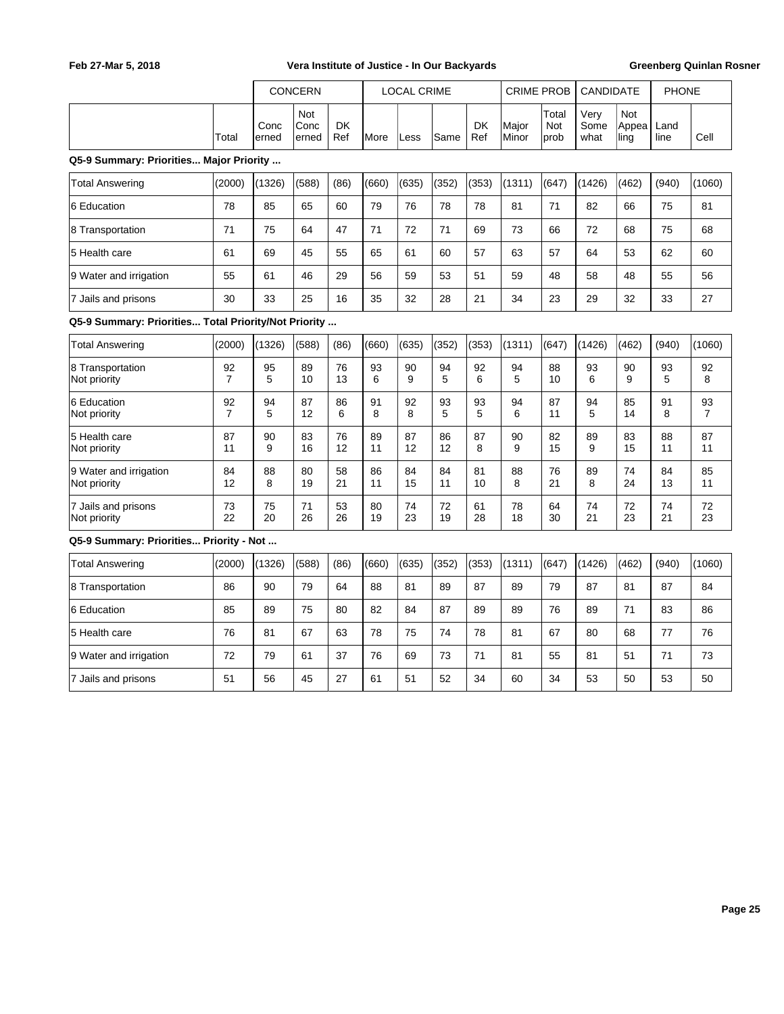|                                                      |                      |               | <b>CONCERN</b>       |                  |               | <b>LOCAL CRIME</b> |          |                  | <b>CRIME PROB</b> |                      | CANDIDATE            |                             | <b>PHONE</b> |                      |
|------------------------------------------------------|----------------------|---------------|----------------------|------------------|---------------|--------------------|----------|------------------|-------------------|----------------------|----------------------|-----------------------------|--------------|----------------------|
|                                                      | Total                | Conc<br>erned | Not<br>Conc<br>erned | <b>DK</b><br>Ref | <b>I</b> More | Less               | Same     | <b>DK</b><br>Ref | Major<br>Minor    | Total<br>Not<br>prob | Very<br>Some<br>what | <b>Not</b><br>Appea<br>ling | Land<br>line | Cell                 |
| Q5-9 Summary: Priorities Major Priority              |                      |               |                      |                  |               |                    |          |                  |                   |                      |                      |                             |              |                      |
| <b>Total Answering</b>                               | (2000)               | (1326)        | (588)                | (86)             | (660)         | (635)              | (352)    | (353)            | (1311)            | (647)                | (1426)               | (462)                       | (940)        | (1060)               |
| 6 Education                                          | 78                   | 85            | 65                   | 60               | 79            | 76                 | 78       | 78               | 81                | 71                   | 82                   | 66                          | 75           | 81                   |
| 8 Transportation                                     | 71                   | 75            | 64                   | 47               | 71            | 72                 | 71       | 69               | 73                | 66                   | 72                   | 68                          | 75           | 68                   |
| 5 Health care                                        | 61                   | 69            | 45                   | 55               | 65            | 61                 | 60       | 57               | 63                | 57                   | 64                   | 53                          | 62           | 60                   |
| 9 Water and irrigation                               | 55                   | 61            | 46                   | 29               | 56            | 59                 | 53       | 51               | 59                | 48                   | 58                   | 48                          | 55           | 56                   |
| 7 Jails and prisons                                  | 30                   | 33            | 25                   | 16               | 35            | 32                 | 28       | 21               | 34                | 23                   | 29                   | 32                          | 33           | 27                   |
| Q5-9 Summary: Priorities Total Priority/Not Priority |                      |               |                      |                  |               |                    |          |                  |                   |                      |                      |                             |              |                      |
| <b>Total Answering</b>                               | (2000)               | (1326)        | (588)                | (86)             | (660)         | (635)              | (352)    | (353)            | (1311)            | (647)                | (1426)               | (462)                       | (940)        | (1060)               |
| 8 Transportation<br>Not priority                     | 92<br>7              | 95<br>5       | 89<br>10             | 76<br>13         | 93<br>6       | 90<br>9            | 94<br>5  | 92<br>6          | 94<br>5           | 88<br>10             | 93<br>6              | 90<br>9                     | 93<br>5      | 92<br>8              |
| 6 Education<br>Not priority                          | 92<br>$\overline{7}$ | 94<br>5       | 87<br>12             | 86<br>6          | 91<br>8       | 92<br>8            | 93<br>5  | 93<br>5          | 94<br>6           | 87<br>11             | 94<br>5              | 85<br>14                    | 91<br>8      | 93<br>$\overline{7}$ |
| 5 Health care<br>Not priority                        | 87<br>11             | 90<br>9       | 83<br>16             | 76<br>12         | 89<br>11      | 87<br>12           | 86<br>12 | 87<br>8          | 90<br>9           | 82<br>15             | 89<br>9              | 83<br>15                    | 88<br>11     | 87<br>11             |
| 9 Water and irrigation<br>Not priority               | 84<br>12             | 88<br>8       | 80<br>19             | 58<br>21         | 86<br>11      | 84<br>15           | 84<br>11 | 81<br>10         | 88<br>8           | 76<br>21             | 89<br>8              | 74<br>24                    | 84<br>13     | 85<br>11             |
| 7 Jails and prisons<br>Not priority                  | 73<br>22             | 75<br>20      | 71<br>26             | 53<br>26         | 80<br>19      | 74<br>23           | 72<br>19 | 61<br>28         | 78<br>18          | 64<br>30             | 74<br>21             | 72<br>23                    | 74<br>21     | 72<br>23             |
| Q5-9 Summary: Priorities Priority - Not              |                      |               |                      |                  |               |                    |          |                  |                   |                      |                      |                             |              |                      |
| <b>Total Answering</b>                               | (2000)               | (1326)        | (588)                | (86)             | (660)         | (635)              | (352)    | (353)            | (1311)            | (647)                | (1426)               | (462)                       | (940)        | (1060)               |
| 8 Transportation                                     | 86                   | 90            | 79                   | 64               | 88            | 81                 | 89       | 87               | 89                | 79                   | 87                   | 81                          | 87           | 84                   |
| 6 Education                                          | 85                   | 89            | 75                   | 80               | 82            | 84                 | 87       | 89               | 89                | 76                   | 89                   | 71                          | 83           | 86                   |
| 5 Health care                                        | 76                   | 81            | 67                   | 63               | 78            | 75                 | 74       | 78               | 81                | 67                   | 80                   | 68                          | 77           | 76                   |
| 9 Water and irrigation                               | 72                   | 79            | 61                   | 37               | 76            | 69                 | 73       | 71               | 81                | 55                   | 81                   | 51                          | 71           | 73                   |
| 7 Jails and prisons                                  | 51                   | 56            | 45                   | 27               | 61            | 51                 | 52       | 34               | 60                | 34                   | 53                   | 50                          | 53           | 50                   |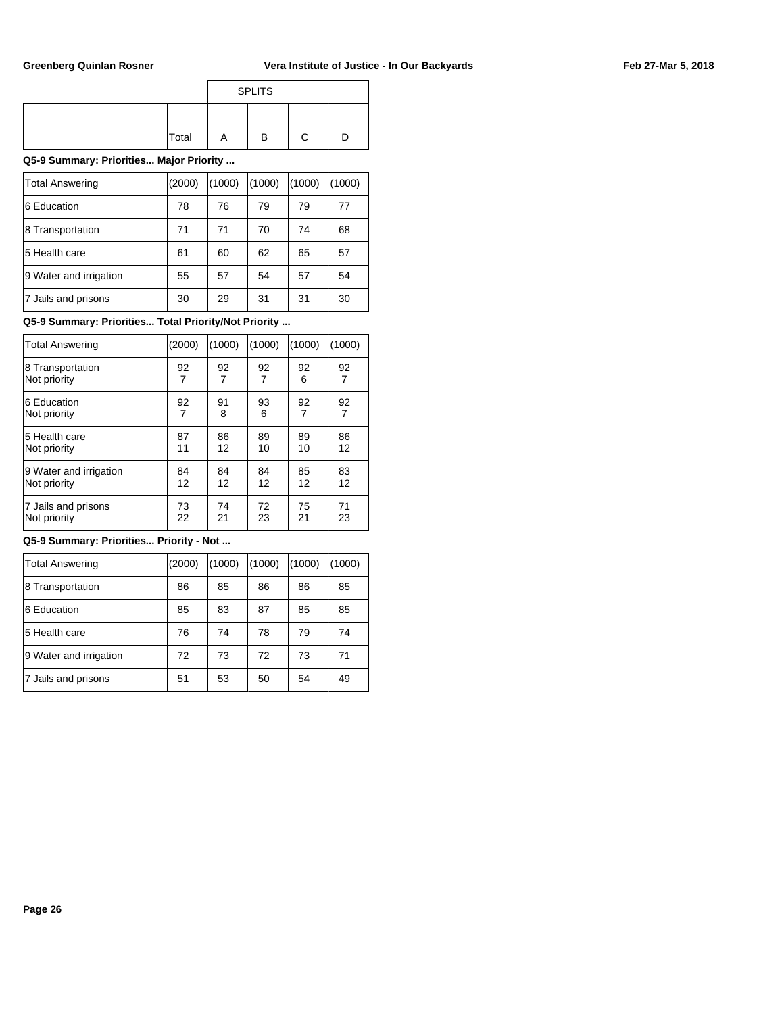|       |   | <b>SPLITS</b> |   |  |
|-------|---|---------------|---|--|
|       |   |               |   |  |
| Total | Α | в             | С |  |

**Q5-9 Summary: Priorities... Major Priority ...**

| <b>Total Answering</b> | (2000) | (1000) | (1000) | (1000) | (1000) |
|------------------------|--------|--------|--------|--------|--------|
| 6 Education            | 78     | 76     | 79     | 79     | 77     |
| 8 Transportation       | 71     | 71     | 70     | 74     | 68     |
| 5 Health care          | 61     | 60     | 62     | 65     | 57     |
| 9 Water and irrigation | 55     | 57     | 54     | 57     | 54     |
| 7 Jails and prisons    | 30     | 29     | 31     | 31     | 30     |

**Q5-9 Summary: Priorities... Total Priority/Not Priority ...**

| Total Answering        | (2000) | (1000) | (1000)         | (1000) | (1000) |
|------------------------|--------|--------|----------------|--------|--------|
| 8 Transportation       | 92     | 92     | 92             | 92     | 92     |
| Not priority           | 7      | 7      | $\overline{7}$ | 6      | 7      |
| 6 Education            | 92     | 91     | 93             | 92     | 92     |
| Not priority           | 7      | 8      | 6              | 7      |        |
| 5 Health care          | 87     | 86     | 89             | 89     | 86     |
| Not priority           | 11     | 12     | 10             | 10     | 12     |
| 9 Water and irrigation | 84     | 84     | 84             | 85     | 83     |
| Not priority           | 12     | 12     | 12             | 12     | 12     |
| 7 Jails and prisons    | 73     | 74     | 72             | 75     | 71     |
| Not priority           | 22     | 21     | 23             | 21     | 23     |

**Q5-9 Summary: Priorities... Priority - Not ...**

| <b>Total Answering</b> | (2000) | (1000) | (1000) | (1000) | (1000) |
|------------------------|--------|--------|--------|--------|--------|
| 8 Transportation       | 86     | 85     | 86     | 86     | 85     |
| 6 Education            | 85     | 83     | 87     | 85     | 85     |
| 5 Health care          | 76     | 74     | 78     | 79     | 74     |
| 9 Water and irrigation | 72     | 73     | 72     | 73     | 71     |
| 7 Jails and prisons    | 51     | 53     | 50     | 54     | 49     |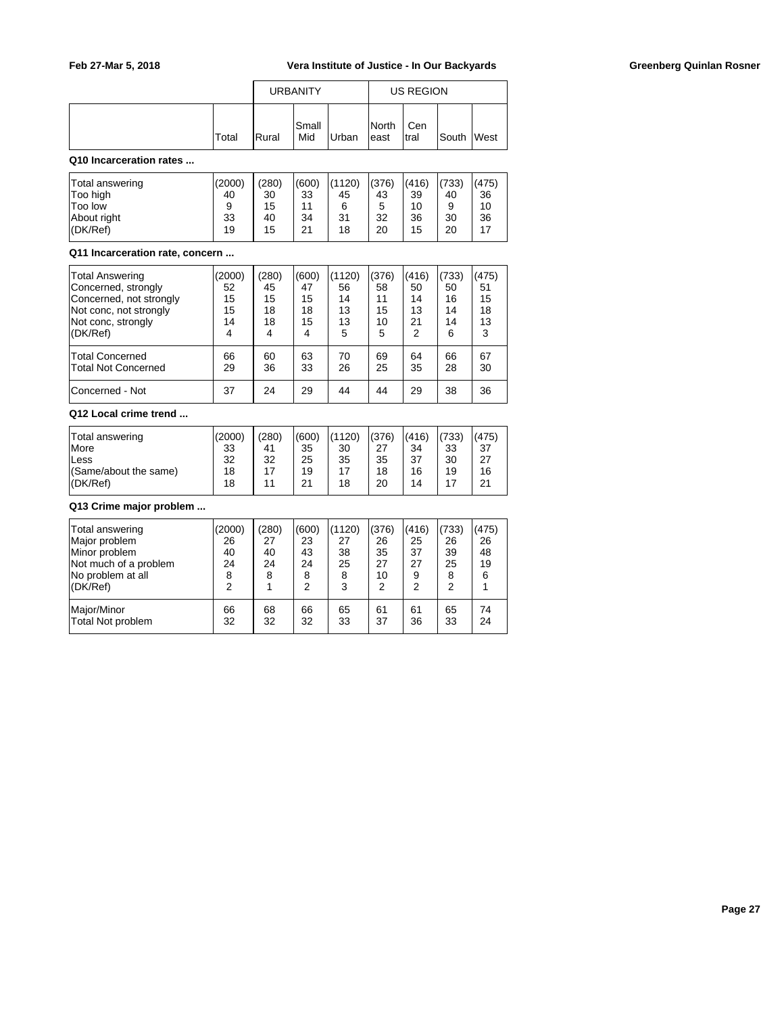|       |       | <b>URBANITY</b> |       |                        | <b>US REGION</b> |            |  |
|-------|-------|-----------------|-------|------------------------|------------------|------------|--|
| Total | Rural | lSmall<br>Mid   | Urban | <b>INorth</b><br>least | Cen<br>Itral     | South West |  |

## **Q10 Incarceration rates ...**

| Total answering | (2000) | (280) | (600) | (1120) | (376) | (416) | (733) | (475) |
|-----------------|--------|-------|-------|--------|-------|-------|-------|-------|
| Too high        | 40     | 30    | 33    | 45     | 43    | 39    | 40    | 36    |
| <b>Too low</b>  | 9      | 15    | 11    | 6      | 5     | 10    | 9     | 10    |
| About right     | 33     | 40    | 34    | 31     | 32    | 36    | 30    | 36    |
| I(DK/Ref)       | 19     | 15    | 21    | 18     | 20    | 15    | 20    | 17    |

#### **Q11 Incarceration rate, concern ...**

| <b>Total Answering</b>     | (2000) | (280) | (600) | (1120) | (376) | (416) | (733) | (475) |
|----------------------------|--------|-------|-------|--------|-------|-------|-------|-------|
| Concerned, strongly        | 52     | 45    | 47    | 56     | 58    | 50    | 50    | 51    |
| Concerned, not strongly    | 15     | 15    | 15    | 14     | 11    | 14    | 16    | 15    |
| Not conc, not strongly     | 15     | 18    | 18    | 13     | 15    | 13    | 14    | 18    |
| Not conc, strongly         | 14     | 18    | 15    | 13     | 10    | 21    | 14    | 13    |
| (DK/Ref)                   | 4      | 4     | 4     | 5      | 5     | 2     | 6     | 3     |
| <b>Total Concerned</b>     | 66     | 60    | 63    | 70     | 69    | 64    | 66    | 67    |
| <b>Total Not Concerned</b> | 29     | 36    | 33    | 26     | 25    | 35    | 28    | 30    |
| Concerned - Not            | 37     | 24    | 29    | 44     | 44    | 29    | 38    | 36    |

## **Q12 Local crime trend ...**

| Total answering<br><b>More</b> | (2000)<br>33 | (280)<br>41 | (600)<br>35 | (1120)<br>30 | (376)<br>27 | (416)<br>34 | (733)<br>33 | (475)<br>37 |
|--------------------------------|--------------|-------------|-------------|--------------|-------------|-------------|-------------|-------------|
| lLess                          | 32           | 32          | 25          | 35           | 35          | 37          | 30          | ົາ          |
| (Same/about the same)          | 18           | 17          | 19          |              | 18          | 16          | 19          | 16          |
| I(DK/Ref)                      | 18           | 11          | 21          | 18           | 20          | 14          |             | 21          |

## **Q13 Crime major problem ...**

| Total answering<br>Major problem<br>Minor problem<br>Not much of a problem<br>No problem at all<br>(DK/Ref) | (2000)<br>26<br>40<br>24<br>8<br>2 | (280)<br>27<br>40<br>24<br>8 | (600)<br>23<br>43<br>24<br>8<br>2 | (1120)<br>27<br>38<br>25<br>8<br>3 | (376)<br>26<br>35<br>27<br>10<br>2 | (416)<br>25<br>37<br>27<br>9<br>2 | (733)<br>26<br>39<br>25<br>8<br>っ | (475)<br>26<br>48<br>19<br>6 |
|-------------------------------------------------------------------------------------------------------------|------------------------------------|------------------------------|-----------------------------------|------------------------------------|------------------------------------|-----------------------------------|-----------------------------------|------------------------------|
| Major/Minor                                                                                                 | 66                                 | 68                           | 66                                | 65                                 | 61                                 | 61                                | 65                                | 74                           |
| Total Not problem                                                                                           | 32                                 | 32                           | 32                                | 33                                 | 37                                 | 36                                | 33                                | 24                           |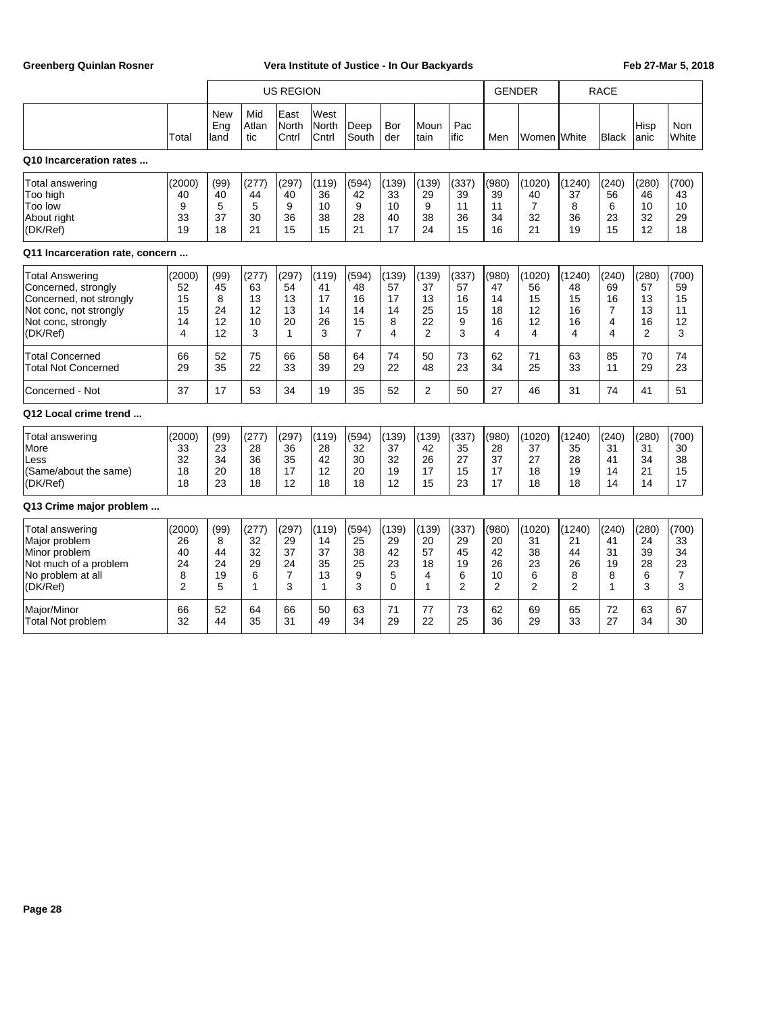|                                                                                                                                      |                                                 |                                   | <b>US REGION</b>                   |                                                |                                    |                                    |                                          |                                              |                                                | <b>GENDER</b>                      |                                            | <b>RACE</b>                         |                                              |                                                 |                                    |
|--------------------------------------------------------------------------------------------------------------------------------------|-------------------------------------------------|-----------------------------------|------------------------------------|------------------------------------------------|------------------------------------|------------------------------------|------------------------------------------|----------------------------------------------|------------------------------------------------|------------------------------------|--------------------------------------------|-------------------------------------|----------------------------------------------|-------------------------------------------------|------------------------------------|
|                                                                                                                                      | Total                                           | <b>New</b><br>Eng<br>land         | Mid<br>Atlan<br>tic                | East<br><b>North</b><br>Cntrl                  | West<br><b>North</b><br>Cntrl      | Deep<br>South                      | Bor<br>der                               | Moun<br>Itain                                | Pac<br>ific                                    | Men                                | Women <b>I</b> White                       |                                     | <b>Black</b>                                 | Hisp<br>lanic                                   | <b>Non</b><br>White                |
| Q10 Incarceration rates                                                                                                              |                                                 |                                   |                                    |                                                |                                    |                                    |                                          |                                              |                                                |                                    |                                            |                                     |                                              |                                                 |                                    |
| Total answering<br>Too high<br>Too low<br>About right<br>(DK/Ref)                                                                    | (2000)<br>40<br>9<br>33<br>19                   | (99)<br>40<br>5<br>37<br>18       | (277)<br>44<br>5<br>30<br>21       | (297)<br>40<br>9<br>36<br>15                   | (119)<br>36<br>10<br>38<br>15      | (594)<br>42<br>9<br>28<br>21       | (139)<br>33<br>10<br>40<br>17            | (139)<br>29<br>9<br>38<br>24                 | (337)<br>39<br>11<br>36<br>15                  | (980)<br>39<br>11<br>34<br>16      | (1020)<br>40<br>$\overline{7}$<br>32<br>21 | (1240)<br>37<br>8<br>36<br>19       | (240)<br>56<br>6<br>23<br>15                 | (280)<br>46<br>10<br>32<br>12                   | (700)<br>43<br>10<br>29<br>18      |
| Q11 Incarceration rate, concern                                                                                                      |                                                 |                                   |                                    |                                                |                                    |                                    |                                          |                                              |                                                |                                    |                                            |                                     |                                              |                                                 |                                    |
| <b>Total Answering</b><br>Concerned, strongly<br>Concerned, not strongly<br>Not conc, not strongly<br>Not conc, strongly<br>(DK/Ref) | (2000)<br>52<br>15<br>15<br>14<br>4             | (99)<br>45<br>8<br>24<br>12<br>12 | (277)<br>63<br>13<br>12<br>10<br>3 | (297)<br>54<br>13<br>13<br>20<br>$\mathbf{1}$  | (119)<br>41<br>17<br>14<br>26<br>3 | (594)<br>48<br>16<br>14<br>15<br>7 | (139)<br>57<br>17<br>14<br>8<br>4        | (139)<br>37<br>13<br>25<br>22<br>2           | (337)<br>57<br>16<br>15<br>9<br>3              | (980)<br>47<br>14<br>18<br>16<br>4 | (1020)<br>56<br>15<br>12<br>12<br>4        | (1240)<br>48<br>15<br>16<br>16<br>4 | (240)<br>69<br>16<br>7<br>4<br>4             | (280)<br>57<br>13<br>13<br>16<br>$\overline{2}$ | (700)<br>59<br>15<br>11<br>12<br>3 |
| <b>Total Concerned</b><br><b>Total Not Concerned</b>                                                                                 | 66<br>29                                        | 52<br>35                          | 75<br>22                           | 66<br>33                                       | 58<br>39                           | 64<br>29                           | 74<br>22                                 | 50<br>48                                     | 73<br>23                                       | 62<br>34                           | 71<br>25                                   | 63<br>33                            | 85<br>11                                     | 70<br>29                                        | 74<br>23                           |
| Concerned - Not                                                                                                                      | 37                                              | 17                                | 53                                 | 34                                             | 19                                 | 35                                 | 52                                       | $\overline{2}$                               | 50                                             | 27                                 | 46                                         | 31                                  | 74                                           | 41                                              | 51                                 |
| Q12 Local crime trend                                                                                                                |                                                 |                                   |                                    |                                                |                                    |                                    |                                          |                                              |                                                |                                    |                                            |                                     |                                              |                                                 |                                    |
| Total answering<br>More<br>Less<br>(Same/about the same)<br>(DK/Ref)                                                                 | (2000)<br>33<br>32<br>18<br>18                  | (99)<br>23<br>34<br>20<br>23      | (277)<br>28<br>36<br>18<br>18      | (297)<br>36<br>35<br>17<br>12                  | (119)<br>28<br>42<br>12<br>18      | (594)<br>32<br>30<br>20<br>18      | (139)<br>37<br>32<br>19<br>12            | (139)<br>42<br>26<br>17<br>15                | (337)<br>35<br>27<br>15<br>23                  | (980)<br>28<br>37<br>17<br>17      | (1020)<br>37<br>27<br>18<br>18             | (1240)<br>35<br>28<br>19<br>18      | (240)<br>31<br>41<br>14<br>14                | (280)<br>31<br>34<br>21<br>14                   | (700)<br>30<br>38<br>15<br>17      |
| Q13 Crime major problem                                                                                                              |                                                 |                                   |                                    |                                                |                                    |                                    |                                          |                                              |                                                |                                    |                                            |                                     |                                              |                                                 |                                    |
| <b>Total answering</b><br>Major problem<br>Minor problem<br>Not much of a problem<br>No problem at all<br>(DK/Ref)                   | (2000)<br>26<br>40<br>24<br>8<br>$\overline{2}$ | (99)<br>8<br>44<br>24<br>19<br>5  | (277)<br>32<br>32<br>29<br>6<br>1  | (297)<br>29<br>37<br>24<br>$\overline{7}$<br>3 | (119)<br>14<br>37<br>35<br>13<br>1 | (594)<br>25<br>38<br>25<br>9<br>3  | (139)<br>29<br>42<br>23<br>5<br>$\Omega$ | (139)<br>20<br>57<br>18<br>4<br>$\mathbf{1}$ | (337)<br>29<br>45<br>19<br>6<br>$\overline{2}$ | (980)<br>20<br>42<br>26<br>10<br>2 | (1020)<br>31<br>38<br>23<br>6<br>2         | (1240)<br>21<br>44<br>26<br>8<br>2  | (240)<br>41<br>31<br>19<br>8<br>$\mathbf{1}$ | (280)<br>24<br>39<br>28<br>6<br>3               | (700)<br>33<br>34<br>23<br>7<br>3  |
| Major/Minor<br><b>Total Not problem</b>                                                                                              | 66<br>32                                        | 52<br>44                          | 64<br>35                           | 66<br>31                                       | 50<br>49                           | 63<br>34                           | 71<br>29                                 | 77<br>22                                     | 73<br>25                                       | 62<br>36                           | 69<br>29                                   | 65<br>33                            | 72<br>27                                     | 63<br>34                                        | 67<br>30                           |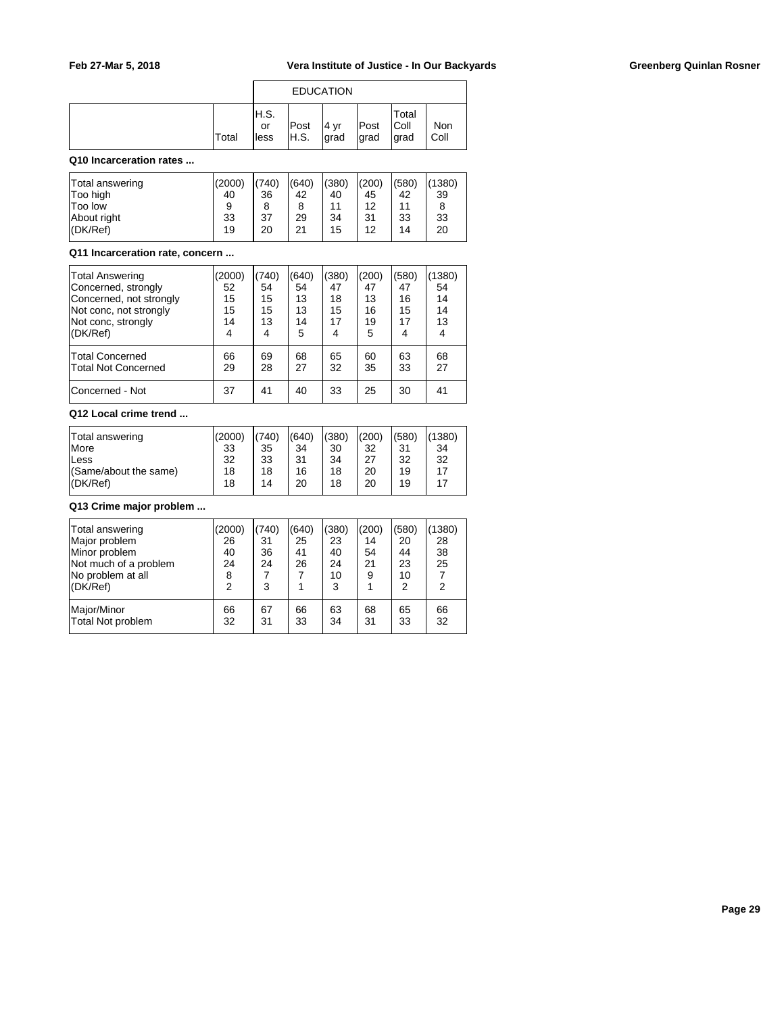|              |                     | <b>EDUCATION</b> |               |               |                         |                 |
|--------------|---------------------|------------------|---------------|---------------|-------------------------|-----------------|
| <b>Total</b> | H.S.<br>or<br>lless | Post<br>IH.S.    | ∣4 ∨r<br>grad | Post<br> grad | Total<br> Coll<br>∣grad | Non<br><br>Coll |

#### **Q10 Incarceration rates ...**

| Total answering<br>Too high | (2000)<br>40 | (740)<br>36 | (640)<br>42 | (380)<br>40 | (200)<br>45 | (580)<br>42 | (1380)<br>39 |
|-----------------------------|--------------|-------------|-------------|-------------|-------------|-------------|--------------|
| <b>Too low</b>              | 9            | 8           | 8           | 11          | 12          | 11          | 8            |
| About right                 | 33           | 37          | 29          | 34          | 31          | 33          | 33           |
| I(DK/Ref)                   | 19           | 20          | 21          | 15          | 12          | 14          | 20           |

#### **Q11 Incarceration rate, concern ...**

| Total Answering<br>Concerned, strongly<br>Concerned, not strongly<br>Not conc, not strongly<br>Not conc, strongly<br>(DK/Ref) | (2000)<br>52<br>15<br>15<br>14<br>4 | (740)<br>54<br>15<br>15<br>13<br>4 | (640)<br>54<br>13<br>13<br>14<br>5 | (380)<br>47<br>18<br>15<br>17<br>4 | (200)<br>47<br>13<br>16<br>19<br>5 | (580)<br>47<br>16<br>15<br>17 | 1380)<br>54<br>14<br>14<br>13<br>4 |
|-------------------------------------------------------------------------------------------------------------------------------|-------------------------------------|------------------------------------|------------------------------------|------------------------------------|------------------------------------|-------------------------------|------------------------------------|
| <b>Total Concerned</b><br>Total Not Concerned                                                                                 | 66<br>29                            | 69<br>28                           | 68<br>27                           | 65<br>32                           | 60<br>35                           | 63<br>33                      | 68<br>27                           |
| Concerned - Not                                                                                                               | 37                                  | 41                                 | 40                                 | 33                                 | 25                                 | 30                            | 41                                 |

## **Q12 Local crime trend ...**

| Total answering       | (2000) | (740) | (640) | (380) | (200) | (580) | (1380) |
|-----------------------|--------|-------|-------|-------|-------|-------|--------|
| <b>More</b>           | 33     | 35    | 34    | 30    | 32    | 31    | 34     |
| lLess                 | 32     | 33    | 31    | 34    | 27    | 32    | 32     |
| (Same/about the same) | 18     | 18    | 16    | 18    | 20    | 19    | 17     |
| (DK/Ref)              | 18     | 14    | 20    | 18    | 20    | 19    | 17     |
|                       |        |       |       |       |       |       |        |

# **Q13 Crime major problem ...**

| Total answering<br>Major problem<br>Minor problem<br>Not much of a problem<br>No problem at all<br>(DK/Ref) | (2000)<br>26<br>40<br>24<br>8<br>$\overline{2}$ | (740)<br>31<br>36<br>24<br>3 | (640)<br>25<br>41<br>26 | (380)<br>23<br>40<br>24<br>10<br>3 | (200)<br>14<br>54<br>21<br>9 | (580)<br>20<br>44<br>23<br>10<br>2 | (1380)<br>28<br>38<br>25<br>2 |
|-------------------------------------------------------------------------------------------------------------|-------------------------------------------------|------------------------------|-------------------------|------------------------------------|------------------------------|------------------------------------|-------------------------------|
| Major/Minor                                                                                                 | 66                                              | 67                           | 66                      | 63                                 | 68                           | 65                                 | 66                            |
| Total Not problem                                                                                           | 32                                              | 31                           | 33                      | 34                                 | 31                           | 33                                 | 32                            |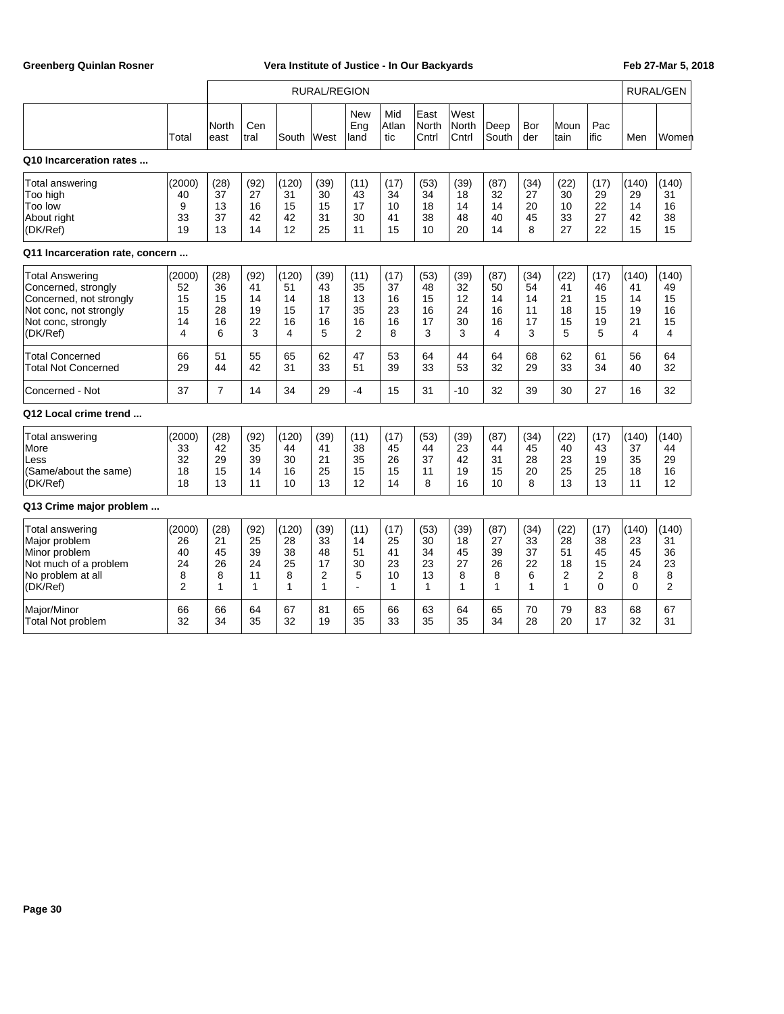|                                                                                                                               |                                                 | <b>RURAL/REGION</b>               |                                              |                                    |                                               |                                                |                                              |                                   |                                   |                                   | <b>RURAL/GEN</b>                  |                                             |                                         |                                                 |                                                |
|-------------------------------------------------------------------------------------------------------------------------------|-------------------------------------------------|-----------------------------------|----------------------------------------------|------------------------------------|-----------------------------------------------|------------------------------------------------|----------------------------------------------|-----------------------------------|-----------------------------------|-----------------------------------|-----------------------------------|---------------------------------------------|-----------------------------------------|-------------------------------------------------|------------------------------------------------|
|                                                                                                                               | Total                                           | North<br>east                     | Cen<br>tral                                  | South                              | West                                          | <b>New</b><br>Eng<br>land                      | Mid<br>Atlan<br>tic                          | East<br>North<br>Cntrl            | West<br><b>North</b><br>Cntrl     | Deep<br>South                     | Bor<br>der                        | Moun<br>tain                                | Pac<br>ific                             | Men                                             | Womer                                          |
| Q10 Incarceration rates                                                                                                       |                                                 |                                   |                                              |                                    |                                               |                                                |                                              |                                   |                                   |                                   |                                   |                                             |                                         |                                                 |                                                |
| <b>Total answering</b><br>Too high<br>Too low<br>About right<br>(DK/Ref)                                                      | (2000)<br>40<br>9<br>33<br>19                   | (28)<br>37<br>13<br>37<br>13      | (92)<br>27<br>16<br>42<br>14                 | (120)<br>31<br>15<br>42<br>12      | (39)<br>30<br>15<br>31<br>25                  | (11)<br>43<br>17<br>30<br>11                   | (17)<br>34<br>10<br>41<br>15                 | (53)<br>34<br>18<br>38<br>10      | (39)<br>18<br>14<br>48<br>20      | (87)<br>32<br>14<br>40<br>14      | (34)<br>27<br>20<br>45<br>8       | (22)<br>30<br>10<br>33<br>27                | (17)<br>29<br>22<br>27<br>22            | (140)<br>29<br>14<br>42<br>15                   | (140)<br>31<br>16<br>38<br>15                  |
| Q11 Incarceration rate, concern                                                                                               |                                                 |                                   |                                              |                                    |                                               |                                                |                                              |                                   |                                   |                                   |                                   |                                             |                                         |                                                 |                                                |
| Total Answering<br>Concerned, strongly<br>Concerned, not strongly<br>Not conc, not strongly<br>Not conc, strongly<br>(DK/Ref) | (2000)<br>52<br>15<br>15<br>14<br>4             | (28)<br>36<br>15<br>28<br>16<br>6 | (92)<br>41<br>14<br>19<br>22<br>3            | (120)<br>51<br>14<br>15<br>16<br>4 | (39)<br>43<br>18<br>17<br>16<br>5             | (11)<br>35<br>13<br>35<br>16<br>$\overline{2}$ | (17)<br>37<br>16<br>23<br>16<br>8            | (53)<br>48<br>15<br>16<br>17<br>3 | (39)<br>32<br>12<br>24<br>30<br>3 | (87)<br>50<br>14<br>16<br>16<br>4 | (34)<br>54<br>14<br>11<br>17<br>3 | (22)<br>41<br>21<br>18<br>15<br>5           | (17)<br>46<br>15<br>15<br>19<br>5       | (140)<br>41<br>14<br>19<br>21<br>$\overline{4}$ | (140)<br>49<br>15<br>16<br>15<br>4             |
| <b>Total Concerned</b><br><b>Total Not Concerned</b>                                                                          | 66<br>29                                        | 51<br>44                          | 55<br>42                                     | 65<br>31                           | 62<br>33                                      | 47<br>51                                       | 53<br>39                                     | 64<br>33                          | 44<br>53                          | 64<br>32                          | 68<br>29                          | 62<br>33                                    | 61<br>34                                | 56<br>40                                        | 64<br>32                                       |
| Concerned - Not                                                                                                               | 37                                              | $\overline{7}$                    | 14                                           | 34                                 | 29                                            | $-4$                                           | 15                                           | 31                                | $-10$                             | 32                                | 39                                | 30                                          | 27                                      | 16                                              | 32                                             |
| Q12 Local crime trend                                                                                                         |                                                 |                                   |                                              |                                    |                                               |                                                |                                              |                                   |                                   |                                   |                                   |                                             |                                         |                                                 |                                                |
| <b>Total answering</b><br>More<br>Less<br>(Same/about the same)<br>(DK/Ref)                                                   | (2000)<br>33<br>32<br>18<br>18                  | (28)<br>42<br>29<br>15<br>13      | (92)<br>35<br>39<br>14<br>11                 | (120)<br>44<br>30<br>16<br>10      | (39)<br>41<br>21<br>25<br>13                  | (11)<br>38<br>35<br>15<br>12                   | (17)<br>45<br>26<br>15<br>14                 | (53)<br>44<br>37<br>11<br>8       | (39)<br>23<br>42<br>19<br>16      | (87)<br>44<br>31<br>15<br>10      | (34)<br>45<br>28<br>20<br>8       | (22)<br>40<br>23<br>25<br>13                | (17)<br>43<br>19<br>25<br>13            | (140)<br>37<br>35<br>18<br>11                   | (140)<br>44<br>29<br>16<br>12                  |
| Q13 Crime major problem                                                                                                       |                                                 |                                   |                                              |                                    |                                               |                                                |                                              |                                   |                                   |                                   |                                   |                                             |                                         |                                                 |                                                |
| <b>Total answering</b><br>Major problem<br>Minor problem<br>Not much of a problem<br>No problem at all<br>(DK/Ref)            | (2000)<br>26<br>40<br>24<br>8<br>$\overline{2}$ | (28)<br>21<br>45<br>26<br>8<br>1  | (92)<br>25<br>39<br>24<br>11<br>$\mathbf{1}$ | (120)<br>28<br>38<br>25<br>8<br>1  | (39)<br>33<br>48<br>17<br>$\overline{2}$<br>1 | (11)<br>14<br>51<br>30<br>5<br>$\overline{a}$  | (17)<br>25<br>41<br>23<br>10<br>$\mathbf{1}$ | (53)<br>30<br>34<br>23<br>13<br>1 | (39)<br>18<br>45<br>27<br>8<br>1  | (87)<br>27<br>39<br>26<br>8<br>1  | (34)<br>33<br>37<br>22<br>6<br>1  | (22)<br>28<br>51<br>18<br>2<br>$\mathbf{1}$ | (17)<br>38<br>45<br>15<br>2<br>$\Omega$ | (140)<br>23<br>45<br>24<br>8<br>$\Omega$        | (140)<br>31<br>36<br>23<br>8<br>$\overline{2}$ |
| Major/Minor<br>Total Not problem                                                                                              | 66<br>32                                        | 66<br>34                          | 64<br>35                                     | 67<br>32                           | 81<br>19                                      | 65<br>35                                       | 66<br>33                                     | 63<br>35                          | 64<br>35                          | 65<br>34                          | 70<br>28                          | 79<br>20                                    | 83<br>17                                | 68<br>32                                        | 67<br>31                                       |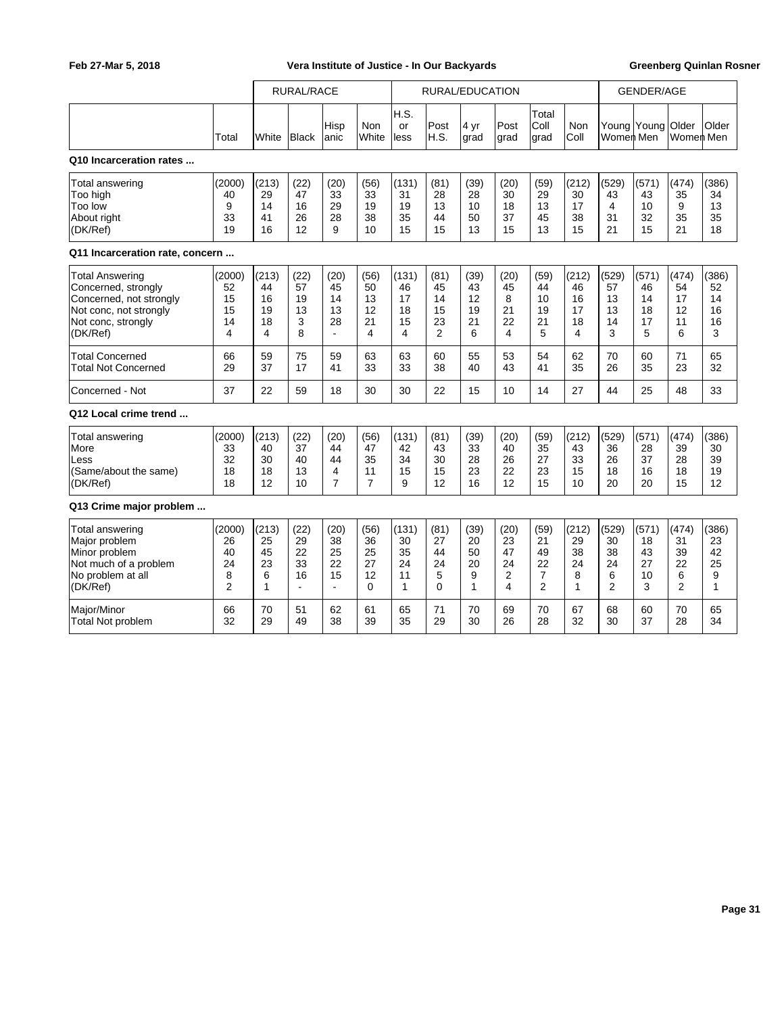|                                                                                                                                      |                                                 | RURAL/RACE                                   |                                                |                                                |                                                | RURAL/EDUCATION                    |                                         |                                   |                                               |                                                            |                                    | <b>GENDER/AGE</b>                              |                                    |                                                |                                    |
|--------------------------------------------------------------------------------------------------------------------------------------|-------------------------------------------------|----------------------------------------------|------------------------------------------------|------------------------------------------------|------------------------------------------------|------------------------------------|-----------------------------------------|-----------------------------------|-----------------------------------------------|------------------------------------------------------------|------------------------------------|------------------------------------------------|------------------------------------|------------------------------------------------|------------------------------------|
|                                                                                                                                      | Total                                           | White                                        | <b>Black</b>                                   | Hisp<br>anic                                   | Non<br>White                                   | H.S.<br>or<br>less                 | Post<br>H.S.                            | 4 yr<br>grad                      | Post<br>grad                                  | Total<br>Coll<br>grad                                      | Non<br>Coll                        | Women Men                                      | Young Young Older                  | Women Men                                      | Older                              |
| Q10 Incarceration rates                                                                                                              |                                                 |                                              |                                                |                                                |                                                |                                    |                                         |                                   |                                               |                                                            |                                    |                                                |                                    |                                                |                                    |
| <b>Total answering</b><br>Too high<br>Too low<br>About right<br>(DK/Ref)                                                             | (2000)<br>40<br>9<br>33<br>19                   | (213)<br>29<br>14<br>41<br>16                | (22)<br>47<br>16<br>26<br>12                   | (20)<br>33<br>29<br>28<br>9                    | (56)<br>33<br>19<br>38<br>10                   | (131)<br>31<br>19<br>35<br>15      | (81)<br>28<br>13<br>44<br>15            | (39)<br>28<br>10<br>50<br>13      | (20)<br>30<br>18<br>37<br>15                  | (59)<br>29<br>13<br>45<br>13                               | (212)<br>30<br>17<br>38<br>15      | (529)<br>43<br>4<br>31<br>21                   | (571)<br>43<br>10<br>32<br>15      | (474)<br>35<br>9<br>35<br>21                   | (386)<br>34<br>13<br>35<br>18      |
| Q11 Incarceration rate, concern                                                                                                      |                                                 |                                              |                                                |                                                |                                                |                                    |                                         |                                   |                                               |                                                            |                                    |                                                |                                    |                                                |                                    |
| <b>Total Answering</b><br>Concerned, strongly<br>Concerned, not strongly<br>Not conc, not strongly<br>Not conc, strongly<br>(DK/Ref) | (2000)<br>52<br>15<br>15<br>14<br>4             | (213)<br>44<br>16<br>19<br>18<br>4           | (22)<br>57<br>19<br>13<br>3<br>8               | (20)<br>45<br>14<br>13<br>28<br>$\blacksquare$ | (56)<br>50<br>13<br>12<br>21<br>$\overline{4}$ | (131)<br>46<br>17<br>18<br>15<br>4 | (81)<br>45<br>14<br>15<br>23<br>2       | (39)<br>43<br>12<br>19<br>21<br>6 | (20)<br>45<br>8<br>21<br>22<br>4              | (59)<br>44<br>10<br>19<br>21<br>5                          | (212)<br>46<br>16<br>17<br>18<br>4 | (529)<br>57<br>13<br>13<br>14<br>3             | (571)<br>46<br>14<br>18<br>17<br>5 | (474)<br>54<br>17<br>12<br>11<br>6             | (386)<br>52<br>14<br>16<br>16<br>3 |
| <b>Total Concerned</b><br><b>Total Not Concerned</b>                                                                                 | 66<br>29                                        | 59<br>37                                     | 75<br>17                                       | 59<br>41                                       | 63<br>33                                       | 63<br>33                           | 60<br>38                                | 55<br>40                          | 53<br>43                                      | 54<br>41                                                   | 62<br>35                           | 70<br>26                                       | 60<br>35                           | 71<br>23                                       | 65<br>32                           |
| Concerned - Not                                                                                                                      | 37                                              | 22                                           | 59                                             | 18                                             | 30                                             | 30                                 | 22                                      | 15                                | 10                                            | 14                                                         | 27                                 | 44                                             | 25                                 | 48                                             | 33                                 |
| Q12 Local crime trend                                                                                                                |                                                 |                                              |                                                |                                                |                                                |                                    |                                         |                                   |                                               |                                                            |                                    |                                                |                                    |                                                |                                    |
| <b>Total answering</b><br>More<br>Less<br>(Same/about the same)<br>(DK/Ref)                                                          | (2000)<br>33<br>32<br>18<br>18                  | (213)<br>40<br>30<br>18<br>12                | (22)<br>37<br>40<br>13<br>10                   | (20)<br>44<br>44<br>4<br>$\overline{7}$        | (56)<br>47<br>35<br>11<br>$\overline{7}$       | (131)<br>42<br>34<br>15<br>9       | (81)<br>43<br>30<br>15<br>12            | (39)<br>33<br>28<br>23<br>16      | (20)<br>40<br>26<br>22<br>12                  | (59)<br>35<br>27<br>23<br>15                               | (212)<br>43<br>33<br>15<br>10      | (529)<br>36<br>26<br>18<br>20                  | (571)<br>28<br>37<br>16<br>20      | (474)<br>39<br>28<br>18<br>15                  | (386)<br>30<br>39<br>19<br>12      |
| Q13 Crime major problem                                                                                                              |                                                 |                                              |                                                |                                                |                                                |                                    |                                         |                                   |                                               |                                                            |                                    |                                                |                                    |                                                |                                    |
| Total answering<br>Major problem<br>Minor problem<br>Not much of a problem<br>No problem at all<br>(DK/Ref)                          | (2000)<br>26<br>40<br>24<br>8<br>$\overline{2}$ | (213)<br>25<br>45<br>23<br>6<br>$\mathbf{1}$ | (22)<br>29<br>22<br>33<br>16<br>$\blacksquare$ | (20)<br>38<br>25<br>22<br>15<br>$\blacksquare$ | (56)<br>36<br>25<br>27<br>12<br>$\Omega$       | (131)<br>30<br>35<br>24<br>11<br>1 | (81)<br>27<br>44<br>24<br>5<br>$\Omega$ | (39)<br>20<br>50<br>20<br>9<br>1  | (20)<br>23<br>47<br>24<br>$\overline{2}$<br>4 | (59)<br>21<br>49<br>22<br>$\overline{7}$<br>$\overline{2}$ | (212)<br>29<br>38<br>24<br>8<br>1  | (529)<br>30<br>38<br>24<br>6<br>$\overline{2}$ | (571)<br>18<br>43<br>27<br>10<br>3 | (474)<br>31<br>39<br>22<br>6<br>$\overline{2}$ | (386)<br>23<br>42<br>25<br>9<br>1  |
| Major/Minor<br>Total Not problem                                                                                                     | 66<br>32                                        | 70<br>29                                     | 51<br>49                                       | 62<br>38                                       | 61<br>39                                       | 65<br>35                           | 71<br>29                                | 70<br>30                          | 69<br>26                                      | 70<br>28                                                   | 67<br>32                           | 68<br>30                                       | 60<br>37                           | 70<br>28                                       | 65<br>34                           |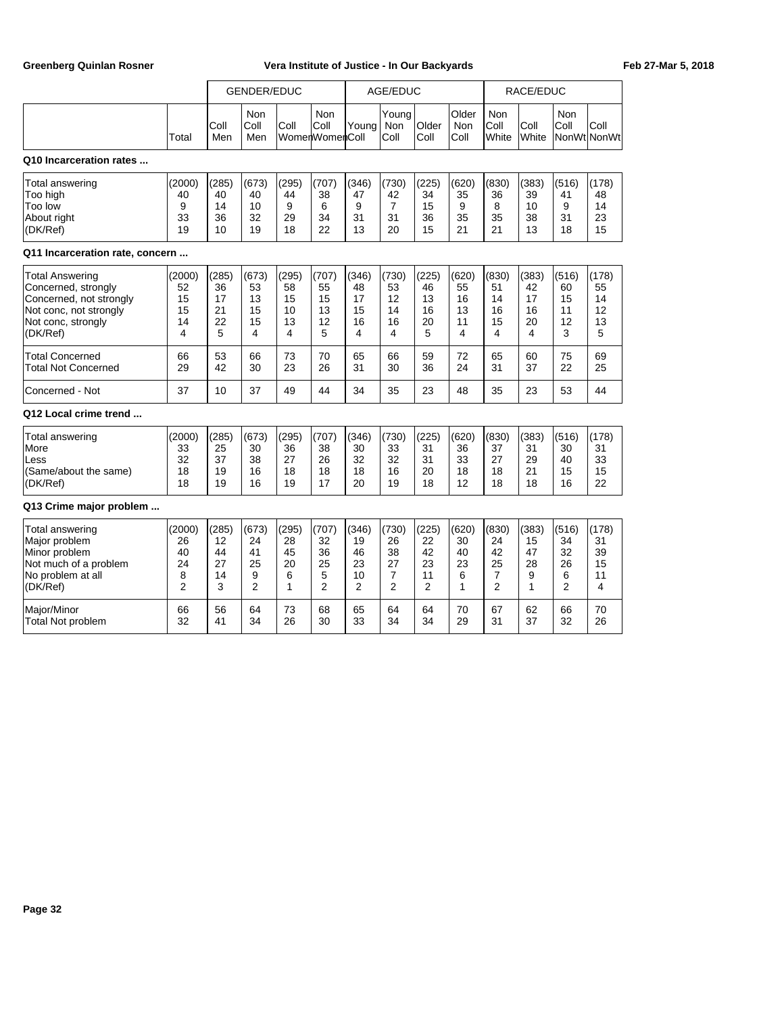|                                                                                                                                      |                                                  | <b>GENDER/EDUC</b><br>Non<br><b>Non</b> |                                                |                                    |                                                | AGE/EDUC                                        |                                                |                                                 |                                              | RACE/EDUC                                                   |                                                 |                                                |                                    |
|--------------------------------------------------------------------------------------------------------------------------------------|--------------------------------------------------|-----------------------------------------|------------------------------------------------|------------------------------------|------------------------------------------------|-------------------------------------------------|------------------------------------------------|-------------------------------------------------|----------------------------------------------|-------------------------------------------------------------|-------------------------------------------------|------------------------------------------------|------------------------------------|
|                                                                                                                                      | Total                                            | Coll<br>Men                             | Coll<br>Men                                    | Coll                               | Coll<br>WomenWomenColl                         | Young                                           | Young<br><b>Non</b><br>Coll                    | Older<br>Coll                                   | Older<br><b>Non</b><br>Coll                  | Non<br>Coll<br>White                                        | Coll<br>White                                   | Non<br>Coll<br>NonWtlNonWt                     | Coll                               |
| Q10 Incarceration rates                                                                                                              |                                                  |                                         |                                                |                                    |                                                |                                                 |                                                |                                                 |                                              |                                                             |                                                 |                                                |                                    |
| <b>Total answering</b><br>Too high<br>Too low<br>About right<br>(DK/Ref)                                                             | (2000)<br>40<br>9<br>33<br>19                    | (285)<br>40<br>14<br>36<br>10           | (673)<br>40<br>10<br>32<br>19                  | (295)<br>44<br>9<br>29<br>18       | (707)<br>38<br>6<br>34<br>22                   | (346)<br>47<br>9<br>31<br>13                    | (730)<br>42<br>$\overline{7}$<br>31<br>20      | (225)<br>34<br>15<br>36<br>15                   | (620)<br>35<br>9<br>35<br>21                 | (830)<br>36<br>8<br>35<br>21                                | (383)<br>39<br>10<br>38<br>13                   | (516)<br>41<br>9<br>31<br>18                   | (178)<br>48<br>14<br>23<br>15      |
| Q11 Incarceration rate, concern                                                                                                      |                                                  |                                         |                                                |                                    |                                                |                                                 |                                                |                                                 |                                              |                                                             |                                                 |                                                |                                    |
| <b>Total Answering</b><br>Concerned, strongly<br>Concerned, not strongly<br>Not conc, not strongly<br>Not conc, strongly<br>(DK/Ref) | (2000)<br>52<br>15<br>15<br>14<br>$\overline{4}$ | (285)<br>36<br>17<br>21<br>22<br>5      | (673)<br>53<br>13<br>15<br>15<br>4             | (295)<br>58<br>15<br>10<br>13<br>4 | (707)<br>55<br>15<br>13<br>12<br>5             | (346)<br>48<br>17<br>15<br>16<br>4              | (730)<br>53<br>12<br>14<br>16<br>4             | (225)<br>46<br>13<br>16<br>20<br>5              | (620)<br>55<br>16<br>13<br>11<br>4           | (830)<br>51<br>14<br>16<br>15<br>4                          | (383)<br>42<br>17<br>16<br>20<br>$\overline{4}$ | (516)<br>60<br>15<br>11<br>12<br>3             | (178)<br>55<br>14<br>12<br>13<br>5 |
| <b>Total Concerned</b><br>Total Not Concerned                                                                                        | 66<br>29                                         | 53<br>42                                | 66<br>30                                       | 73<br>23                           | 70<br>26                                       | 65<br>31                                        | 66<br>30                                       | 59<br>36                                        | 72<br>24                                     | 65<br>31                                                    | 60<br>37                                        | 75<br>22                                       | 69<br>25                           |
| Concerned - Not                                                                                                                      | 37                                               | 10                                      | 37                                             | 49                                 | 44                                             | 34                                              | 35                                             | 23                                              | 48                                           | 35                                                          | 23                                              | 53                                             | 44                                 |
| Q12 Local crime trend                                                                                                                |                                                  |                                         |                                                |                                    |                                                |                                                 |                                                |                                                 |                                              |                                                             |                                                 |                                                |                                    |
| Total answering<br>More<br>Less<br>(Same/about the same)<br>(DK/Ref)                                                                 | (2000)<br>33<br>32<br>18<br>18                   | (285)<br>25<br>37<br>19<br>19           | (673)<br>30<br>38<br>16<br>16                  | (295)<br>36<br>27<br>18<br>19      | (707)<br>38<br>26<br>18<br>17                  | (346)<br>30<br>32<br>18<br>20                   | (730)<br>33<br>32<br>16<br>19                  | (225)<br>31<br>31<br>20<br>18                   | (620)<br>36<br>33<br>18<br>12                | (830)<br>37<br>27<br>18<br>18                               | (383)<br>31<br>29<br>21<br>18                   | (516)<br>30<br>40<br>15<br>16                  | (178)<br>31<br>33<br>15<br>22      |
| Q13 Crime major problem                                                                                                              |                                                  |                                         |                                                |                                    |                                                |                                                 |                                                |                                                 |                                              |                                                             |                                                 |                                                |                                    |
| Total answering<br>Major problem<br>Minor problem<br>Not much of a problem<br>No problem at all<br>(DK/Ref)                          | (2000)<br>26<br>40<br>24<br>8<br>$\overline{2}$  | (285)<br>12<br>44<br>27<br>14<br>3      | (673)<br>24<br>41<br>25<br>9<br>$\overline{2}$ | (295)<br>28<br>45<br>20<br>6<br>1  | (707)<br>32<br>36<br>25<br>5<br>$\overline{2}$ | (346)<br>19<br>46<br>23<br>10<br>$\overline{2}$ | (730)<br>26<br>38<br>27<br>7<br>$\overline{2}$ | (225)<br>22<br>42<br>23<br>11<br>$\overline{2}$ | (620)<br>30<br>40<br>23<br>6<br>$\mathbf{1}$ | (830)<br>24<br>42<br>25<br>$\overline{7}$<br>$\overline{2}$ | (383)<br>15<br>47<br>28<br>9<br>1               | (516)<br>34<br>32<br>26<br>6<br>$\overline{2}$ | (178)<br>31<br>39<br>15<br>11<br>4 |
| Major/Minor<br><b>Total Not problem</b>                                                                                              | 66<br>32                                         | 56<br>41                                | 64<br>34                                       | 73<br>26                           | 68<br>30                                       | 65<br>33                                        | 64<br>34                                       | 64<br>34                                        | 70<br>29                                     | 67<br>31                                                    | 62<br>37                                        | 66<br>32                                       | 70<br>26                           |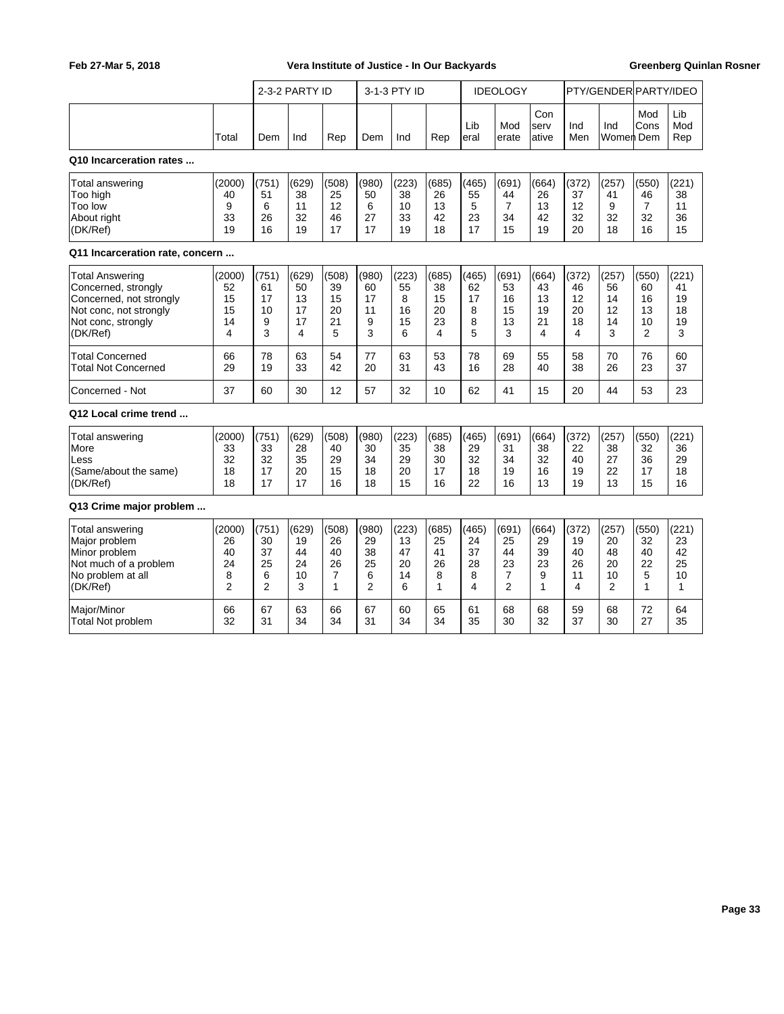|                                                                                                                                      |                                                 | 2-3-2 PARTY ID                                 |                                    |                                              |                                   | 3-1-3 PTY ID                       |                                    | <b>IDEOLOGY</b>                   |                                                | PTY/GENDER PARTY/IDEO              |                                    |                                    |                                                 |                                    |
|--------------------------------------------------------------------------------------------------------------------------------------|-------------------------------------------------|------------------------------------------------|------------------------------------|----------------------------------------------|-----------------------------------|------------------------------------|------------------------------------|-----------------------------------|------------------------------------------------|------------------------------------|------------------------------------|------------------------------------|-------------------------------------------------|------------------------------------|
|                                                                                                                                      | Total                                           | Dem                                            | Ind                                | Rep                                          | Dem                               | Ind                                | Rep                                | Lib<br>eral                       | Mod<br>erate                                   | Con<br>serv<br>ative               | Ind<br>Men                         | Ind<br>Women Dem                   | Mod<br>Cons                                     | Lib<br>Mod<br>Rep                  |
| Q10 Incarceration rates                                                                                                              |                                                 |                                                |                                    |                                              |                                   |                                    |                                    |                                   |                                                |                                    |                                    |                                    |                                                 |                                    |
| Total answering<br>Too high<br>Too low<br>About right<br>(DK/Ref)                                                                    | (2000)<br>40<br>9<br>33<br>19                   | (751)<br>51<br>6<br>26<br>16                   | (629)<br>38<br>11<br>32<br>19      | (508)<br>25<br>12<br>46<br>17                | (980)<br>50<br>6<br>27<br>17      | (223)<br>38<br>10<br>33<br>19      | (685)<br>26<br>13<br>42<br>18      | (465)<br>55<br>5<br>23<br>17      | (691)<br>44<br>$\overline{7}$<br>34<br>15      | (664)<br>26<br>13<br>42<br>19      | (372)<br>37<br>12<br>32<br>20      | (257)<br>41<br>9<br>32<br>18       | (550)<br>46<br>$\overline{7}$<br>32<br>16       | (221)<br>38<br>11<br>36<br>15      |
| Q11 Incarceration rate, concern                                                                                                      |                                                 |                                                |                                    |                                              |                                   |                                    |                                    |                                   |                                                |                                    |                                    |                                    |                                                 |                                    |
| <b>Total Answering</b><br>Concerned, strongly<br>Concerned, not strongly<br>Not conc, not strongly<br>Not conc, strongly<br>(DK/Ref) | (2000)<br>52<br>15<br>15<br>14<br>4             | (751)<br>61<br>17<br>10<br>9<br>3              | (629)<br>50<br>13<br>17<br>17<br>4 | (508)<br>39<br>15<br>20<br>21<br>5           | (980)<br>60<br>17<br>11<br>9<br>3 | (223)<br>55<br>8<br>16<br>15<br>6  | (685)<br>38<br>15<br>20<br>23<br>4 | (465)<br>62<br>17<br>8<br>8<br>5  | (691)<br>53<br>16<br>15<br>13<br>3             | (664)<br>43<br>13<br>19<br>21<br>4 | (372)<br>46<br>12<br>20<br>18<br>4 | (257)<br>56<br>14<br>12<br>14<br>3 | (550)<br>60<br>16<br>13<br>10<br>$\overline{2}$ | (221)<br>41<br>19<br>18<br>19<br>3 |
| <b>Total Concerned</b><br><b>Total Not Concerned</b>                                                                                 | 66<br>29                                        | 78<br>19                                       | 63<br>33                           | 54<br>42                                     | 77<br>20                          | 63<br>31                           | 53<br>43                           | 78<br>16                          | 69<br>28                                       | 55<br>40                           | 58<br>38                           | 70<br>26                           | 76<br>23                                        | 60<br>37                           |
| Concerned - Not                                                                                                                      | 37                                              | 60                                             | 30                                 | 12                                           | 57                                | 32                                 | 10                                 | 62                                | 41                                             | 15                                 | 20                                 | 44                                 | 53                                              | 23                                 |
| Q12 Local crime trend                                                                                                                |                                                 |                                                |                                    |                                              |                                   |                                    |                                    |                                   |                                                |                                    |                                    |                                    |                                                 |                                    |
| Total answering<br>More<br>Less<br>(Same/about the same)<br>(DK/Ref)                                                                 | (2000)<br>33<br>32<br>18<br>18                  | (751)<br>33<br>32<br>17<br>17                  | (629)<br>28<br>35<br>20<br>17      | (508)<br>40<br>29<br>15<br>16                | (980)<br>30<br>34<br>18<br>18     | (223)<br>35<br>29<br>20<br>15      | (685)<br>38<br>30<br>17<br>16      | (465)<br>29<br>32<br>18<br>22     | (691)<br>31<br>34<br>19<br>16                  | (664)<br>38<br>32<br>16<br>13      | (372)<br>22<br>40<br>19<br>19      | (257)<br>38<br>27<br>22<br>13      | (550)<br>32<br>36<br>17<br>15                   | (221)<br>36<br>29<br>18<br>16      |
| Q13 Crime major problem                                                                                                              |                                                 |                                                |                                    |                                              |                                   |                                    |                                    |                                   |                                                |                                    |                                    |                                    |                                                 |                                    |
| <b>Total answering</b><br>Major problem<br>Minor problem<br>Not much of a problem<br>No problem at all<br>(DK/Ref)                   | (2000)<br>26<br>40<br>24<br>8<br>$\overline{2}$ | (751)<br>30<br>37<br>25<br>6<br>$\overline{2}$ | (629)<br>19<br>44<br>24<br>10<br>3 | (508)<br>26<br>40<br>26<br>7<br>$\mathbf{1}$ | (980)<br>29<br>38<br>25<br>6<br>2 | (223)<br>13<br>47<br>20<br>14<br>6 | (685)<br>25<br>41<br>26<br>8<br>1  | (465)<br>24<br>37<br>28<br>8<br>4 | (691)<br>25<br>44<br>23<br>7<br>$\overline{2}$ | (664)<br>29<br>39<br>23<br>9<br>1  | (372)<br>19<br>40<br>26<br>11<br>4 | (257)<br>20<br>48<br>20<br>10<br>2 | (550)<br>32<br>40<br>22<br>5<br>1               | (221)<br>23<br>42<br>25<br>10<br>1 |
| Major/Minor<br><b>Total Not problem</b>                                                                                              | 66<br>32                                        | 67<br>31                                       | 63<br>34                           | 66<br>34                                     | 67<br>31                          | 60<br>34                           | 65<br>34                           | 61<br>35                          | 68<br>30                                       | 68<br>32                           | 59<br>37                           | 68<br>30                           | 72<br>27                                        | 64<br>35                           |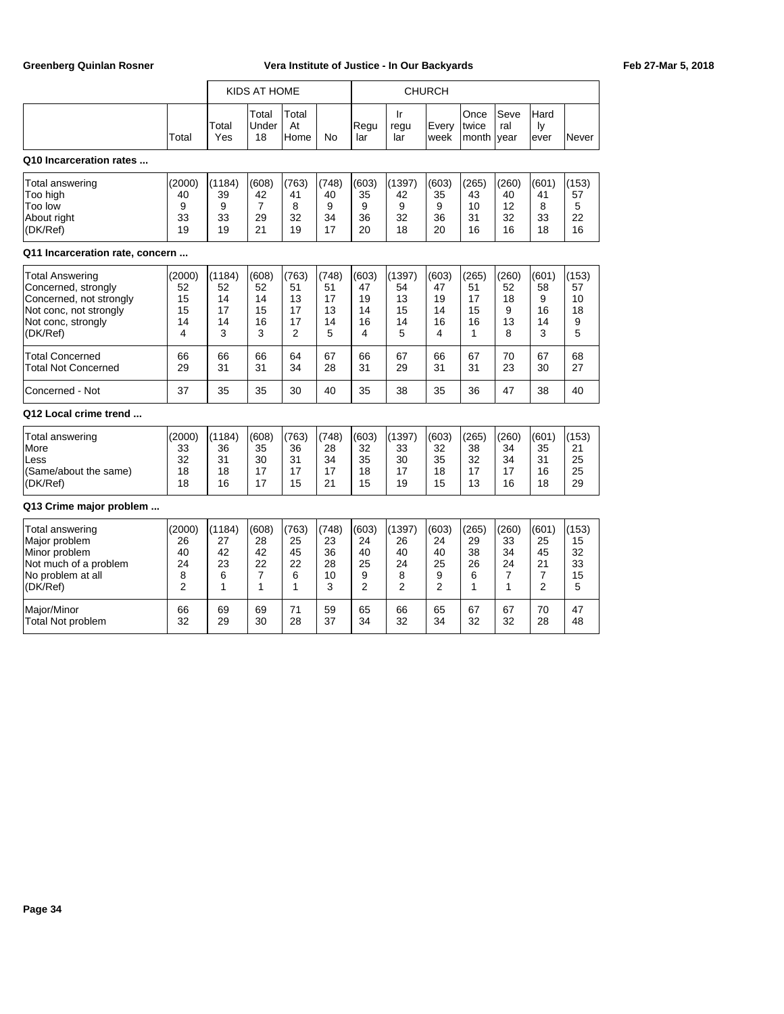|                                                                                                                                      |                                                 |                                     | KIDS AT HOME                                   |                                                 |                                    |                                                |                                                 | <b>CHURCH</b>                                  |                                    |                                                |                                                             |                                    |
|--------------------------------------------------------------------------------------------------------------------------------------|-------------------------------------------------|-------------------------------------|------------------------------------------------|-------------------------------------------------|------------------------------------|------------------------------------------------|-------------------------------------------------|------------------------------------------------|------------------------------------|------------------------------------------------|-------------------------------------------------------------|------------------------------------|
|                                                                                                                                      | Total                                           | Total<br>Yes                        | Total<br>Under<br>18                           | Total<br>At<br>Home                             | No                                 | Regu<br>lar                                    | Ir<br>regu<br>lar                               | Every<br>week                                  | Once<br>twice<br>month             | Seve<br>ral<br>vear                            | Hard<br>ly<br>ever                                          | Never                              |
| Q10 Incarceration rates                                                                                                              |                                                 |                                     |                                                |                                                 |                                    |                                                |                                                 |                                                |                                    |                                                |                                                             |                                    |
| <b>Total answering</b><br>Too high<br>Too low<br>About right<br>(DK/Ref)                                                             | (2000)<br>40<br>9<br>33<br>19                   | (1184)<br>39<br>9<br>33<br>19       | (608)<br>42<br>$\overline{7}$<br>29<br>21      | (763)<br>41<br>8<br>32<br>19                    | (748)<br>40<br>9<br>34<br>17       | (603)<br>35<br>9<br>36<br>20                   | (1397)<br>42<br>9<br>32<br>18                   | (603)<br>35<br>9<br>36<br>20                   | (265)<br>43<br>10<br>31<br>16      | (260)<br>40<br>12<br>32<br>16                  | (601)<br>41<br>8<br>33<br>18                                | (153)<br>57<br>5<br>22<br>16       |
| Q11 Incarceration rate, concern                                                                                                      |                                                 |                                     |                                                |                                                 |                                    |                                                |                                                 |                                                |                                    |                                                |                                                             |                                    |
| <b>Total Answering</b><br>Concerned, strongly<br>Concerned, not strongly<br>Not conc, not strongly<br>Not conc, strongly<br>(DK/Ref) | (2000)<br>52<br>15<br>15<br>14<br>4             | (1184)<br>52<br>14<br>17<br>14<br>3 | (608)<br>52<br>14<br>15<br>16<br>3             | (763)<br>51<br>13<br>17<br>17<br>$\overline{2}$ | (748)<br>51<br>17<br>13<br>14<br>5 | (603)<br>47<br>19<br>14<br>16<br>4             | (1397)<br>54<br>13<br>15<br>14<br>5             | (603)<br>47<br>19<br>14<br>16<br>4             | (265)<br>51<br>17<br>15<br>16<br>1 | (260)<br>52<br>18<br>9<br>13<br>8              | (601)<br>58<br>9<br>16<br>14<br>3                           | (153)<br>57<br>10<br>18<br>9<br>5  |
| <b>Total Concerned</b><br><b>Total Not Concerned</b>                                                                                 | 66<br>29                                        | 66<br>31                            | 66<br>31                                       | 64<br>34                                        | 67<br>28                           | 66<br>31                                       | 67<br>29                                        | 66<br>31                                       | 67<br>31                           | 70<br>23                                       | 67<br>30                                                    | 68<br>27                           |
| Concerned - Not                                                                                                                      | 37                                              | 35                                  | 35                                             | 30                                              | 40                                 | 35                                             | 38                                              | 35                                             | 36                                 | 47                                             | 38                                                          | 40                                 |
| Q12 Local crime trend                                                                                                                |                                                 |                                     |                                                |                                                 |                                    |                                                |                                                 |                                                |                                    |                                                |                                                             |                                    |
| <b>Total answering</b><br>More<br>Less<br>(Same/about the same)<br>(DK/Ref)                                                          | (2000)<br>33<br>32<br>18<br>18                  | (1184)<br>36<br>31<br>18<br>16      | (608)<br>35<br>30<br>17<br>17                  | (763)<br>36<br>31<br>17<br>15                   | (748)<br>28<br>34<br>17<br>21      | (603)<br>32<br>35<br>18<br>15                  | (1397)<br>33<br>30<br>17<br>19                  | (603)<br>32<br>35<br>18<br>15                  | (265)<br>38<br>32<br>17<br>13      | (260)<br>34<br>34<br>17<br>16                  | (601)<br>35<br>31<br>16<br>18                               | (153)<br>21<br>25<br>25<br>29      |
| Q13 Crime major problem                                                                                                              |                                                 |                                     |                                                |                                                 |                                    |                                                |                                                 |                                                |                                    |                                                |                                                             |                                    |
| <b>Total answering</b><br>Major problem<br>Minor problem<br>Not much of a problem<br>No problem at all<br>(DK/Ref)                   | (2000)<br>26<br>40<br>24<br>8<br>$\overline{2}$ | (1184)<br>27<br>42<br>23<br>6<br>1  | (608)<br>28<br>42<br>22<br>$\overline{7}$<br>1 | (763)<br>25<br>45<br>22<br>6<br>1               | (748)<br>23<br>36<br>28<br>10<br>3 | (603)<br>24<br>40<br>25<br>9<br>$\overline{2}$ | (1397)<br>26<br>40<br>24<br>8<br>$\overline{2}$ | (603)<br>24<br>40<br>25<br>9<br>$\overline{2}$ | (265)<br>29<br>38<br>26<br>6<br>1  | (260)<br>33<br>34<br>24<br>$\overline{7}$<br>1 | (601)<br>25<br>45<br>21<br>$\overline{7}$<br>$\overline{2}$ | (153)<br>15<br>32<br>33<br>15<br>5 |
| Major/Minor<br><b>Total Not problem</b>                                                                                              | 66<br>32                                        | 69<br>29                            | 69<br>30                                       | 71<br>28                                        | 59<br>37                           | 65<br>34                                       | 66<br>32                                        | 65<br>34                                       | 67<br>32                           | 67<br>32                                       | 70<br>28                                                    | 47<br>48                           |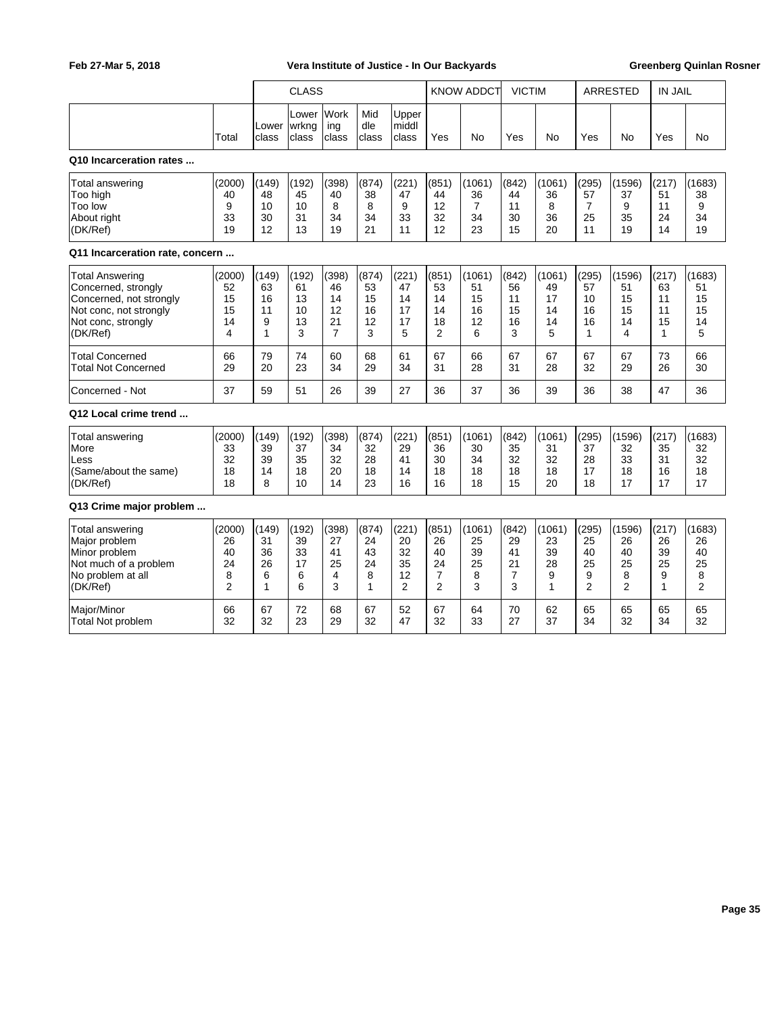|                                                                                                                                      |                                                 | <b>CLASS</b>                      |                                    |                                                 |                                    |                                                 | <b>KNOW ADDCT</b>                               |                                     | <b>VICTIM</b>                      |                                     | <b>ARRESTED</b>                                |                                                 | <b>IN JAIL</b>                                |                                     |
|--------------------------------------------------------------------------------------------------------------------------------------|-------------------------------------------------|-----------------------------------|------------------------------------|-------------------------------------------------|------------------------------------|-------------------------------------------------|-------------------------------------------------|-------------------------------------|------------------------------------|-------------------------------------|------------------------------------------------|-------------------------------------------------|-----------------------------------------------|-------------------------------------|
|                                                                                                                                      | Total                                           | Lower<br>class                    | Lower<br>wrkng<br>class            | Work<br>ing<br>class                            | Mid<br>dle<br>class                | Upper<br>middl<br>class                         | Yes                                             | No                                  | Yes                                | No                                  | Yes                                            | No                                              | Yes                                           | No                                  |
| Q10 Incarceration rates                                                                                                              |                                                 |                                   |                                    |                                                 |                                    |                                                 |                                                 |                                     |                                    |                                     |                                                |                                                 |                                               |                                     |
| Total answering<br>Too high<br>Too low<br>About right<br>(DK/Ref)                                                                    | (2000)<br>40<br>9<br>33<br>19                   | (149)<br>48<br>10<br>30<br>12     | (192)<br>45<br>10<br>31<br>13      | (398)<br>40<br>8<br>34<br>19                    | (874)<br>38<br>8<br>34<br>21       | (221)<br>47<br>9<br>33<br>11                    | (851)<br>44<br>12<br>32<br>12                   | (1061)<br>36<br>7<br>34<br>23       | (842)<br>44<br>11<br>30<br>15      | (1061)<br>36<br>8<br>36<br>20       | (295)<br>57<br>$\overline{7}$<br>25<br>11      | (1596)<br>37<br>9<br>35<br>19                   | (217)<br>51<br>11<br>24<br>14                 | (1683)<br>38<br>9<br>34<br>19       |
| Q11 Incarceration rate, concern                                                                                                      |                                                 |                                   |                                    |                                                 |                                    |                                                 |                                                 |                                     |                                    |                                     |                                                |                                                 |                                               |                                     |
| <b>Total Answering</b><br>Concerned, strongly<br>Concerned, not strongly<br>Not conc, not strongly<br>Not conc, strongly<br>(DK/Ref) | (2000)<br>52<br>15<br>15<br>14<br>4             | (149)<br>63<br>16<br>11<br>9<br>1 | (192)<br>61<br>13<br>10<br>13<br>3 | (398)<br>46<br>14<br>12<br>21<br>$\overline{7}$ | (874)<br>53<br>15<br>16<br>12<br>3 | (221)<br>47<br>14<br>17<br>17<br>5              | (851)<br>53<br>14<br>14<br>18<br>$\overline{2}$ | (1061)<br>51<br>15<br>16<br>12<br>6 | (842)<br>56<br>11<br>15<br>16<br>3 | (1061)<br>49<br>17<br>14<br>14<br>5 | (295)<br>57<br>10<br>16<br>16<br>$\mathbf{1}$  | (1596)<br>51<br>15<br>15<br>14<br>4             | (217)<br>63<br>11<br>11<br>15<br>$\mathbf{1}$ | (1683)<br>51<br>15<br>15<br>14<br>5 |
| Total Concerned<br>Total Not Concerned                                                                                               | 66<br>29                                        | 79<br>20                          | 74<br>23                           | 60<br>34                                        | 68<br>29                           | 61<br>34                                        | 67<br>31                                        | 66<br>28                            | 67<br>31                           | 67<br>28                            | 67<br>32                                       | 67<br>29                                        | 73<br>26                                      | 66<br>30                            |
| Concerned - Not                                                                                                                      | 37                                              | 59                                | 51                                 | 26                                              | 39                                 | 27                                              | 36                                              | 37                                  | 36                                 | 39                                  | 36                                             | 38                                              | 47                                            | 36                                  |
| Q12 Local crime trend                                                                                                                |                                                 |                                   |                                    |                                                 |                                    |                                                 |                                                 |                                     |                                    |                                     |                                                |                                                 |                                               |                                     |
| Total answering<br>More<br>Less<br>(Same/about the same)<br>(DK/Ref)                                                                 | (2000)<br>33<br>32<br>18<br>18                  | (149)<br>39<br>39<br>14<br>8      | (192)<br>37<br>35<br>18<br>10      | (398)<br>34<br>32<br>20<br>14                   | (874)<br>32<br>28<br>18<br>23      | (221)<br>29<br>41<br>14<br>16                   | (851)<br>36<br>30<br>18<br>16                   | (1061)<br>30<br>34<br>18<br>18      | (842)<br>35<br>32<br>18<br>15      | (1061)<br>31<br>32<br>18<br>20      | (295)<br>37<br>28<br>17<br>18                  | (1596)<br>32<br>33<br>18<br>17                  | (217)<br>35<br>31<br>16<br>17                 | (1683)<br>32<br>32<br>18<br>17      |
| Q13 Crime major problem                                                                                                              |                                                 |                                   |                                    |                                                 |                                    |                                                 |                                                 |                                     |                                    |                                     |                                                |                                                 |                                               |                                     |
| <b>Total answering</b><br>Major problem<br>Minor problem<br>Not much of a problem<br>No problem at all<br>(DK/Ref)                   | (2000)<br>26<br>40<br>24<br>8<br>$\overline{2}$ | (149)<br>31<br>36<br>26<br>6<br>1 | (192)<br>39<br>33<br>17<br>6<br>6  | (398)<br>27<br>41<br>25<br>4<br>3               | (874)<br>24<br>43<br>24<br>8<br>1  | (221)<br>20<br>32<br>35<br>12<br>$\overline{2}$ | (851)<br>26<br>40<br>24<br>$\overline{7}$<br>2  | (1061)<br>25<br>39<br>25<br>8<br>3  | (842)<br>29<br>41<br>21<br>7<br>3  | (1061)<br>23<br>39<br>28<br>9<br>1  | (295)<br>25<br>40<br>25<br>9<br>$\overline{2}$ | (1596)<br>26<br>40<br>25<br>8<br>$\overline{2}$ | (217)<br>26<br>39<br>25<br>9<br>1             | (1683)<br>26<br>40<br>25<br>8<br>2  |
| Major/Minor<br><b>Total Not problem</b>                                                                                              | 66<br>32                                        | 67<br>32                          | 72<br>23                           | 68<br>29                                        | 67<br>32                           | 52<br>47                                        | 67<br>32                                        | 64<br>33                            | 70<br>27                           | 62<br>37                            | 65<br>34                                       | 65<br>32                                        | 65<br>34                                      | 65<br>32                            |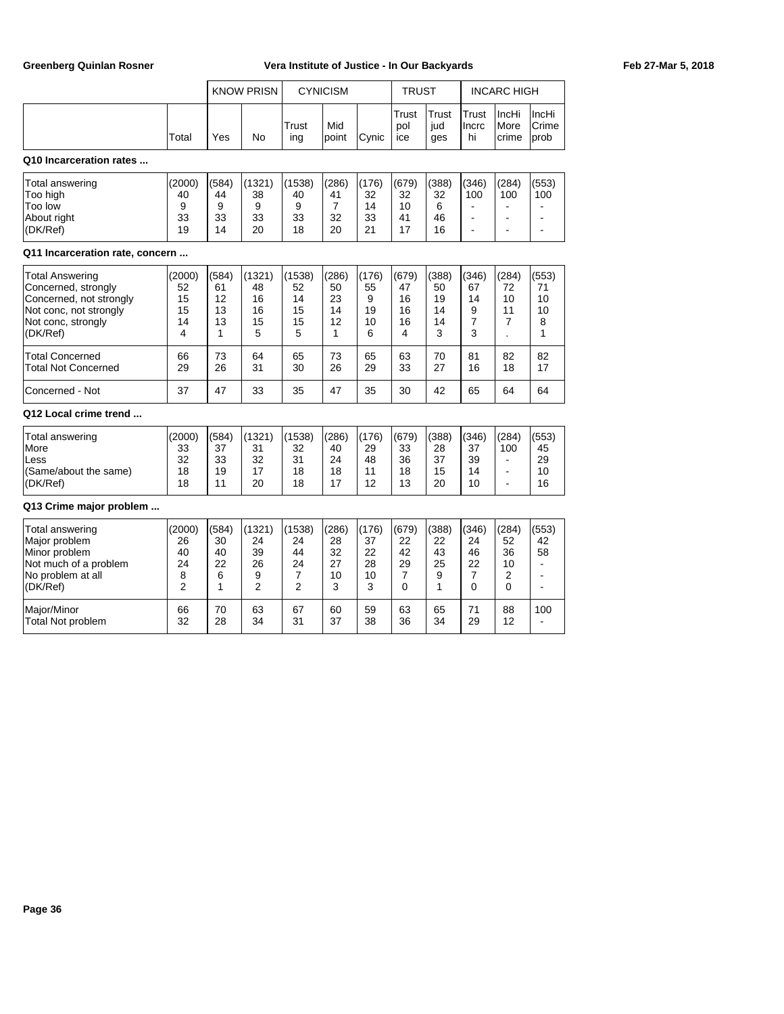|                                                                                                                                      |                                                 |                                    | <b>KNOW PRISN</b>                               |                                     | <b>CYNICISM</b>                           |                                    | <b>TRUST</b>                       |                                    | <b>INCARC HIGH</b>                            |                                                        |                                                                      |
|--------------------------------------------------------------------------------------------------------------------------------------|-------------------------------------------------|------------------------------------|-------------------------------------------------|-------------------------------------|-------------------------------------------|------------------------------------|------------------------------------|------------------------------------|-----------------------------------------------|--------------------------------------------------------|----------------------------------------------------------------------|
|                                                                                                                                      | Total                                           | Yes                                | No                                              | Trust<br>ing                        | Mid<br>point                              | Cynic                              | Trust<br>pol<br>ice                | Trust<br>jud<br>ges                | Trust<br>Incrc<br>hi                          | IncHi<br>More<br>crime                                 | IncHi<br>Crime<br>prob                                               |
| Q10 Incarceration rates                                                                                                              |                                                 |                                    |                                                 |                                     |                                           |                                    |                                    |                                    |                                               |                                                        |                                                                      |
| Total answering<br>Too high<br>Too low<br>About right<br>(DK/Ref)                                                                    | (2000)<br>40<br>9<br>33<br>19                   | (584)<br>44<br>9<br>33<br>14       | (1321)<br>38<br>9<br>33<br>20                   | (1538)<br>40<br>9<br>33<br>18       | (286)<br>41<br>$\overline{7}$<br>32<br>20 | (176)<br>32<br>14<br>33<br>21      | (679)<br>32<br>10<br>41<br>17      | (388)<br>32<br>6<br>46<br>16       | (346)<br>100<br>$\blacksquare$<br>÷.          | (284)<br>100<br>$\blacksquare$<br>ä,                   | (553)<br>100<br>$\overline{\phantom{a}}$<br>$\overline{\phantom{a}}$ |
| Q11 Incarceration rate, concern                                                                                                      |                                                 |                                    |                                                 |                                     |                                           |                                    |                                    |                                    |                                               |                                                        |                                                                      |
| <b>Total Answering</b><br>Concerned, strongly<br>Concerned, not strongly<br>Not conc, not strongly<br>Not conc, strongly<br>(DK/Ref) | (2000)<br>52<br>15<br>15<br>14<br>4             | (584)<br>61<br>12<br>13<br>13<br>1 | (1321)<br>48<br>16<br>16<br>15<br>5             | (1538)<br>52<br>14<br>15<br>15<br>5 | (286)<br>50<br>23<br>14<br>12<br>1        | (176)<br>55<br>9<br>19<br>10<br>6  | (679)<br>47<br>16<br>16<br>16<br>4 | (388)<br>50<br>19<br>14<br>14<br>3 | (346)<br>67<br>14<br>9<br>$\overline{7}$<br>3 | (284)<br>72<br>10<br>11<br>7                           | (553)<br>71<br>10<br>10<br>8<br>1                                    |
| Total Concerned<br>Total Not Concerned                                                                                               | 66<br>29                                        | 73<br>26                           | 64<br>31                                        | 65<br>30                            | 73<br>26                                  | 65<br>29                           | 63<br>33                           | 70<br>27                           | 81<br>16                                      | 82<br>18                                               | 82<br>17                                                             |
| Concerned - Not                                                                                                                      | 37                                              | 47                                 | 33                                              | 35                                  | 47                                        | 35                                 | 30                                 | 42                                 | 65                                            | 64                                                     | 64                                                                   |
| Q12 Local crime trend                                                                                                                |                                                 |                                    |                                                 |                                     |                                           |                                    |                                    |                                    |                                               |                                                        |                                                                      |
| Total answering<br>More<br>Less<br>(Same/about the same)<br>(DK/Ref)                                                                 | (2000)<br>33<br>32<br>18<br>18                  | (584)<br>37<br>33<br>19<br>11      | (1321)<br>31<br>32<br>17<br>20                  | (1538)<br>32<br>31<br>18<br>18      | (286)<br>40<br>24<br>18<br>17             | (176)<br>29<br>48<br>11<br>12      | (679)<br>33<br>36<br>18<br>13      | (388)<br>28<br>37<br>15<br>20      | (346)<br>37<br>39<br>14<br>10                 | (284)<br>100<br>$\blacksquare$<br>$\blacksquare$<br>ä, | (553)<br>45<br>29<br>10<br>16                                        |
| Q13 Crime major problem                                                                                                              |                                                 |                                    |                                                 |                                     |                                           |                                    |                                    |                                    |                                               |                                                        |                                                                      |
| Total answering<br>Major problem<br>Minor problem<br>Not much of a problem<br>No problem at all<br>(DK/Ref)                          | (2000)<br>26<br>40<br>24<br>8<br>$\mathfrak{p}$ | (584)<br>30<br>40<br>22<br>6<br>1  | (1321)<br>24<br>39<br>26<br>9<br>$\overline{2}$ | (1538)<br>24<br>44<br>24<br>7<br>2  | (286)<br>28<br>32<br>27<br>10<br>3        | (176)<br>37<br>22<br>28<br>10<br>3 | (679)<br>22<br>42<br>29<br>7<br>0  | (388)<br>22<br>43<br>25<br>9<br>1  | (346)<br>24<br>46<br>22<br>7<br>$\Omega$      | (284)<br>52<br>36<br>10<br>2<br>$\Omega$               | (553)<br>42<br>58<br>$\sim$<br>$\sim$<br>$\blacksquare$              |
| Major/Minor<br><b>Total Not problem</b>                                                                                              | 66<br>32                                        | 70<br>28                           | 63<br>34                                        | 67<br>31                            | 60<br>37                                  | 59<br>38                           | 63<br>36                           | 65<br>34                           | 71<br>29                                      | 88<br>12                                               | 100                                                                  |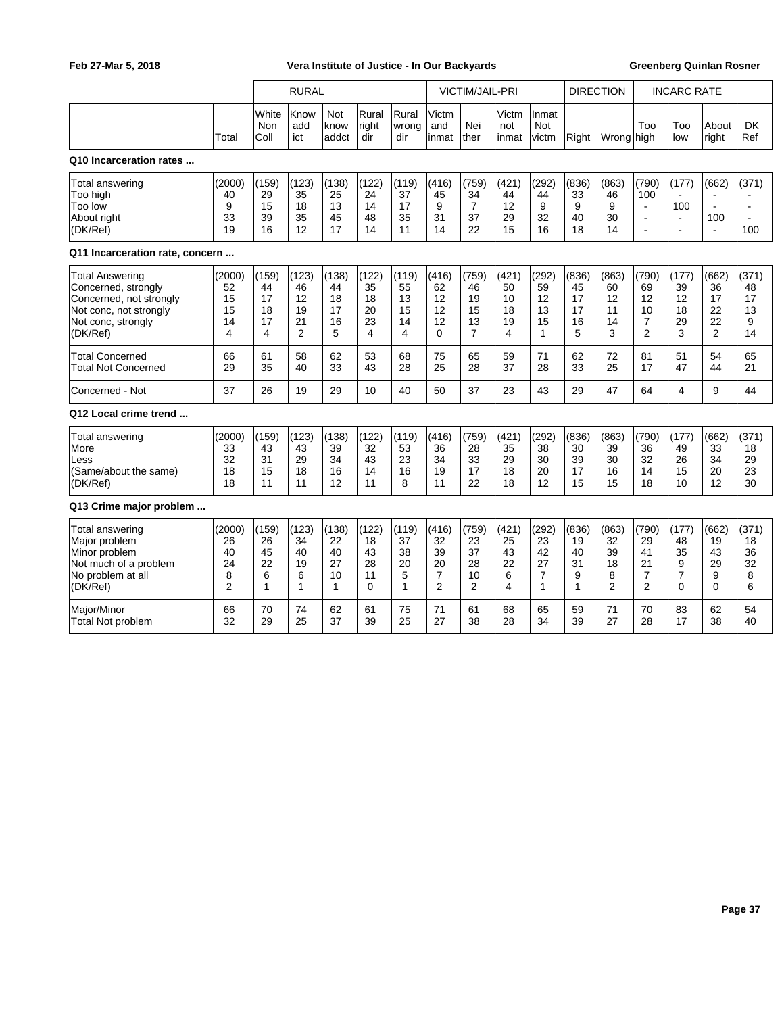|                                                                                                                                      |                                                 |                                    | <b>RURAL</b>                                    |                                               |                                    |                                    |                                                             | <b>VICTIM/JAIL-PRI</b>                          |                                    |                                                           | <b>DIRECTION</b>                             |                                                | <b>INCARC RATE</b>                             |                                               |                                                 |                                     |
|--------------------------------------------------------------------------------------------------------------------------------------|-------------------------------------------------|------------------------------------|-------------------------------------------------|-----------------------------------------------|------------------------------------|------------------------------------|-------------------------------------------------------------|-------------------------------------------------|------------------------------------|-----------------------------------------------------------|----------------------------------------------|------------------------------------------------|------------------------------------------------|-----------------------------------------------|-------------------------------------------------|-------------------------------------|
|                                                                                                                                      | Total                                           | White<br>Non<br>Coll               | Know<br>add<br>ict                              | Not<br>know<br>addct                          | Rural<br>right<br>dir              | Rural<br>wrong<br>dir              | Victm<br>and<br>inmat                                       | Nei<br>ther                                     | Victm<br>not<br>inmat              | Inmat<br>Not<br>victm                                     | Right                                        | Wrong high                                     | Too                                            | Too<br>low                                    | About<br>right                                  | <b>DK</b><br>Ref                    |
| Q10 Incarceration rates                                                                                                              |                                                 |                                    |                                                 |                                               |                                    |                                    |                                                             |                                                 |                                    |                                                           |                                              |                                                |                                                |                                               |                                                 |                                     |
| Total answering<br>Too high<br>Too low<br>About right<br>(DK/Ref)                                                                    | (2000)<br>40<br>9<br>33<br>19                   | (159)<br>29<br>15<br>39<br>16      | (123)<br>35<br>18<br>35<br>12                   | (138)<br>25<br>13<br>45<br>17                 | (122)<br>24<br>14<br>48<br>14      | (119)<br>37<br>17<br>35<br>11      | (416)<br>45<br>9<br>31<br>14                                | (759)<br>34<br>7<br>37<br>22                    | (421)<br>44<br>12<br>29<br>15      | (292)<br>44<br>9<br>32<br>16                              | (836)<br>33<br>9<br>40<br>18                 | (863)<br>46<br>9<br>30<br>14                   | (790)<br>100<br>÷,<br>$\blacksquare$<br>÷      | (177)<br>100<br>$\blacksquare$<br>$\sim$      | (662)<br>$\sim$<br>$\sim$<br>100<br>$\sim$      | (371)<br>$\blacksquare$<br>÷<br>100 |
| Q11 Incarceration rate, concern                                                                                                      |                                                 |                                    |                                                 |                                               |                                    |                                    |                                                             |                                                 |                                    |                                                           |                                              |                                                |                                                |                                               |                                                 |                                     |
| <b>Total Answering</b><br>Concerned, strongly<br>Concerned, not strongly<br>Not conc, not strongly<br>Not conc, strongly<br>(DK/Ref) | (2000)<br>52<br>15<br>15<br>14<br>4             | (159)<br>44<br>17<br>18<br>17<br>4 | (123)<br>46<br>12<br>19<br>21<br>$\overline{2}$ | (138)<br>44<br>18<br>17<br>16<br>5            | (122)<br>35<br>18<br>20<br>23<br>4 | (119)<br>55<br>13<br>15<br>14<br>4 | (416)<br>62<br>12<br>12<br>12<br>$\Omega$                   | (759)<br>46<br>19<br>15<br>13<br>$\overline{7}$ | (421)<br>50<br>10<br>18<br>19<br>4 | (292)<br>59<br>12<br>13<br>15<br>$\mathbf{1}$             | (836)<br>45<br>17<br>17<br>16<br>5           | (863)<br>60<br>12<br>11<br>14<br>3             | (790)<br>69<br>12<br>10<br>7<br>$\overline{2}$ | (177)<br>39<br>12<br>18<br>29<br>3            | (662)<br>36<br>17<br>22<br>22<br>$\overline{2}$ | (371)<br>48<br>17<br>13<br>9<br>14  |
| <b>Total Concerned</b><br><b>Total Not Concerned</b>                                                                                 | 66<br>29                                        | 61<br>35                           | 58<br>40                                        | 62<br>33                                      | 53<br>43                           | 68<br>28                           | 75<br>25                                                    | 65<br>28                                        | 59<br>37                           | 71<br>28                                                  | 62<br>33                                     | 72<br>25                                       | 81<br>17                                       | 51<br>47                                      | 54<br>44                                        | 65<br>21                            |
| Concerned - Not                                                                                                                      | 37                                              | 26                                 | 19                                              | 29                                            | 10                                 | 40                                 | 50                                                          | 37                                              | 23                                 | 43                                                        | 29                                           | 47                                             | 64                                             | 4                                             | 9                                               | 44                                  |
| Q12 Local crime trend                                                                                                                |                                                 |                                    |                                                 |                                               |                                    |                                    |                                                             |                                                 |                                    |                                                           |                                              |                                                |                                                |                                               |                                                 |                                     |
| Total answering<br>More<br>Less<br>(Same/about the same)<br>(DK/Ref)                                                                 | (2000)<br>33<br>32<br>18<br>18                  | (159)<br>43<br>31<br>15<br>11      | (123)<br>43<br>29<br>18<br>11                   | (138)<br>39<br>34<br>16<br>12                 | (122)<br>32<br>43<br>14<br>11      | (119)<br>53<br>23<br>16<br>8       | (416)<br>36<br>34<br>19<br>11                               | (759)<br>28<br>33<br>17<br>22                   | (421)<br>35<br>29<br>18<br>18      | (292)<br>38<br>30<br>20<br>12                             | (836)<br>30<br>39<br>17<br>15                | (863)<br>39<br>30<br>16<br>15                  | (790)<br>36<br>32<br>14<br>18                  | (177)<br>49<br>26<br>15<br>10                 | (662)<br>33<br>34<br>20<br>12                   | (371)<br>18<br>29<br>23<br>30       |
| Q13 Crime major problem                                                                                                              |                                                 |                                    |                                                 |                                               |                                    |                                    |                                                             |                                                 |                                    |                                                           |                                              |                                                |                                                |                                               |                                                 |                                     |
| <b>Total answering</b><br>Major problem<br>Minor problem<br>Not much of a problem<br>No problem at all<br>(DK/Ref)                   | (2000)<br>26<br>40<br>24<br>8<br>$\overline{2}$ | (159)<br>26<br>45<br>22<br>6<br>1  | (123)<br>34<br>40<br>19<br>6<br>1               | (138)<br>22<br>40<br>27<br>10<br>$\mathbf{1}$ | (122)<br>18<br>43<br>28<br>11<br>0 | (119)<br>37<br>38<br>20<br>5<br>1  | (416)<br>32<br>39<br>20<br>$\overline{7}$<br>$\overline{2}$ | (759)<br>23<br>37<br>28<br>10<br>2              | (421)<br>25<br>43<br>22<br>6<br>4  | (292)<br>23<br>42<br>27<br>$\overline{7}$<br>$\mathbf{1}$ | (836)<br>19<br>40<br>31<br>9<br>$\mathbf{1}$ | (863)<br>32<br>39<br>18<br>8<br>$\overline{2}$ | (790)<br>29<br>41<br>21<br>7<br>$\overline{2}$ | (177)<br>48<br>35<br>9<br>$\overline{7}$<br>0 | (662)<br>19<br>43<br>29<br>9<br>$\Omega$        | (371)<br>18<br>36<br>32<br>8<br>6   |
| Major/Minor<br><b>Total Not problem</b>                                                                                              | 66<br>32                                        | 70<br>29                           | 74<br>25                                        | 62<br>37                                      | 61<br>39                           | 75<br>25                           | 71<br>27                                                    | 61<br>38                                        | 68<br>28                           | 65<br>34                                                  | 59<br>39                                     | 71<br>27                                       | 70<br>28                                       | 83<br>17                                      | 62<br>38                                        | 54<br>40                            |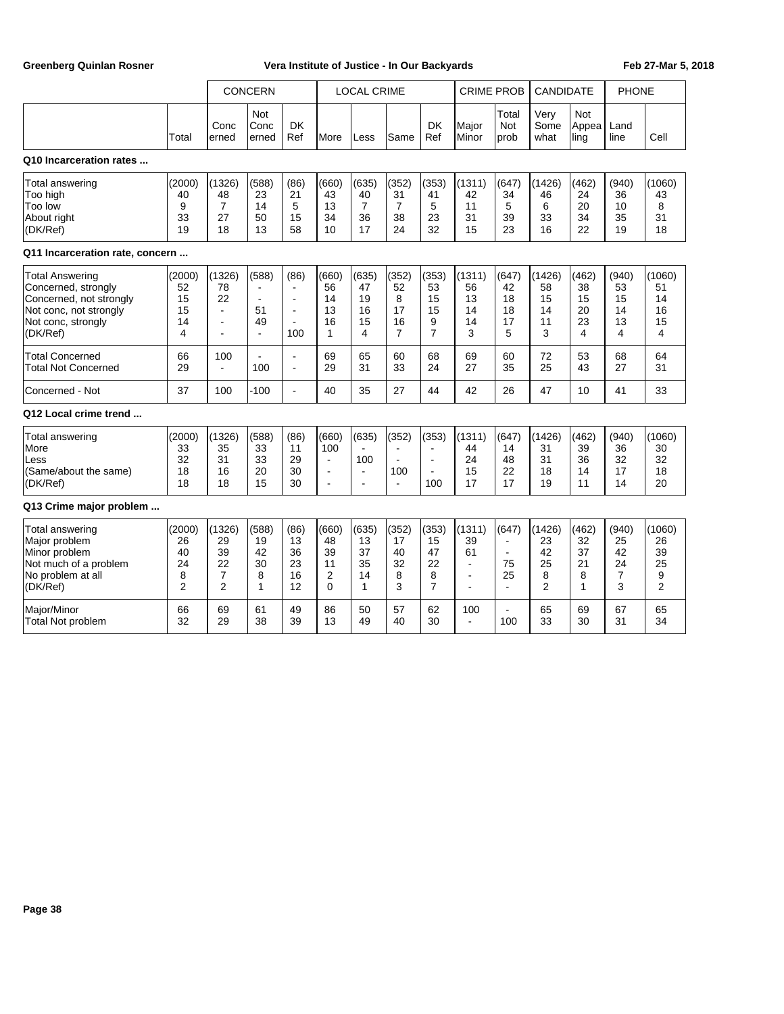|                                                                                                                               |                                                  |                                                              | CONCERN                                          |                                                       |                                                               | <b>LOCAL CRIME</b>                               |                                                |                                                | <b>CRIME PROB</b>                                            |                                                       | <b>CANDIDATE</b>                                |                                    | <b>PHONE</b>                                   |                                                 |
|-------------------------------------------------------------------------------------------------------------------------------|--------------------------------------------------|--------------------------------------------------------------|--------------------------------------------------|-------------------------------------------------------|---------------------------------------------------------------|--------------------------------------------------|------------------------------------------------|------------------------------------------------|--------------------------------------------------------------|-------------------------------------------------------|-------------------------------------------------|------------------------------------|------------------------------------------------|-------------------------------------------------|
|                                                                                                                               | Total                                            | Conc<br>erned                                                | Not<br>Conc<br>erned                             | <b>DK</b><br>Ref                                      | More                                                          | Less                                             | Same                                           | <b>DK</b><br>Ref                               | Major<br>Minor                                               | Total<br>Not<br>prob                                  | Very<br>Some<br>what                            | Not<br>Appea<br>ling               | Land<br>line                                   | Cell                                            |
| Q10 Incarceration rates                                                                                                       |                                                  |                                                              |                                                  |                                                       |                                                               |                                                  |                                                |                                                |                                                              |                                                       |                                                 |                                    |                                                |                                                 |
| <b>Total answering</b><br>Too high<br>Too low<br>About right<br>(DK/Ref)                                                      | (2000)<br>40<br>9<br>33<br>19                    | (1326)<br>48<br>$\overline{7}$<br>27<br>18                   | (588)<br>23<br>14<br>50<br>13                    | (86)<br>21<br>5<br>15<br>58                           | (660)<br>43<br>13<br>34<br>10                                 | (635)<br>40<br>$\overline{7}$<br>36<br>17        | (352)<br>31<br>$\overline{7}$<br>38<br>24      | (353)<br>41<br>5<br>23<br>32                   | (1311)<br>42<br>11<br>31<br>15                               | (647)<br>34<br>5<br>39<br>23                          | (1426)<br>46<br>6<br>33<br>16                   | (462)<br>24<br>20<br>34<br>22      | (940)<br>36<br>10<br>35<br>19                  | (1060)<br>43<br>8<br>31<br>18                   |
| Q11 Incarceration rate, concern                                                                                               |                                                  |                                                              |                                                  |                                                       |                                                               |                                                  |                                                |                                                |                                                              |                                                       |                                                 |                                    |                                                |                                                 |
| Total Answering<br>Concerned, strongly<br>Concerned, not strongly<br>Not conc, not strongly<br>Not conc, strongly<br>(DK/Ref) | (2000)<br>52<br>15<br>15<br>14<br>$\overline{4}$ | (1326)<br>78<br>22<br>L.<br>$\blacksquare$<br>$\overline{a}$ | (588)<br>÷,<br>51<br>49<br>$\tilde{\phantom{a}}$ | (86)<br>$\blacksquare$<br>÷,<br>$\blacksquare$<br>100 | (660)<br>56<br>14<br>13<br>16<br>1                            | (635)<br>47<br>19<br>16<br>15<br>4               | (352)<br>52<br>8<br>17<br>16<br>$\overline{7}$ | (353)<br>53<br>15<br>15<br>9<br>$\overline{7}$ | (1311)<br>56<br>13<br>14<br>14<br>3                          | (647)<br>42<br>18<br>18<br>17<br>5                    | (1426)<br>58<br>15<br>14<br>11<br>3             | (462)<br>38<br>15<br>20<br>23<br>4 | (940)<br>53<br>15<br>14<br>13<br>4             | (1060)<br>51<br>14<br>16<br>15<br>4             |
| <b>Total Concerned</b><br><b>Total Not Concerned</b>                                                                          | 66<br>29                                         | 100<br>$\blacksquare$                                        | $\overline{a}$<br>100                            | $\blacksquare$<br>ä,                                  | 69<br>29                                                      | 65<br>31                                         | 60<br>33                                       | 68<br>24                                       | 69<br>27                                                     | 60<br>35                                              | 72<br>25                                        | 53<br>43                           | 68<br>27                                       | 64<br>31                                        |
| Concerned - Not                                                                                                               | 37                                               | 100                                                          | $-100$                                           | ÷,                                                    | 40                                                            | 35                                               | 27                                             | 44                                             | 42                                                           | 26                                                    | 47                                              | 10                                 | 41                                             | 33                                              |
| Q12 Local crime trend                                                                                                         |                                                  |                                                              |                                                  |                                                       |                                                               |                                                  |                                                |                                                |                                                              |                                                       |                                                 |                                    |                                                |                                                 |
| <b>Total answering</b><br>More<br>Less<br>(Same/about the same)<br>(DK/Ref)                                                   | (2000)<br>33<br>32<br>18<br>18                   | (1326)<br>35<br>31<br>16<br>18                               | (588)<br>33<br>33<br>20<br>15                    | (86)<br>11<br>29<br>30<br>30                          | (660)<br>100<br>$\tilde{\phantom{a}}$<br>÷,<br>$\blacksquare$ | (635)<br>100<br>$\blacksquare$<br>$\blacksquare$ | (352)<br>$\sim$<br>100<br>$\sim$               | (353)<br>÷,<br>÷,<br>100                       | (1311)<br>44<br>24<br>15<br>17                               | (647)<br>14<br>48<br>22<br>17                         | (1426)<br>31<br>31<br>18<br>19                  | (462)<br>39<br>36<br>14<br>11      | (940)<br>36<br>32<br>17<br>14                  | (1060)<br>30<br>32<br>18<br>20                  |
| Q13 Crime major problem                                                                                                       |                                                  |                                                              |                                                  |                                                       |                                                               |                                                  |                                                |                                                |                                                              |                                                       |                                                 |                                    |                                                |                                                 |
| <b>Total answering</b><br>Major problem<br>Minor problem<br>Not much of a problem<br>No problem at all<br>(DK/Ref)            | (2000)<br>26<br>40<br>24<br>8<br>$\overline{2}$  | (1326)<br>29<br>39<br>22<br>$\overline{7}$<br>$\overline{2}$ | (588)<br>19<br>42<br>30<br>8<br>1                | (86)<br>13<br>36<br>23<br>16<br>12                    | (660)<br>48<br>39<br>11<br>$\overline{2}$<br>$\mathbf{0}$     | (635)<br>13<br>37<br>35<br>14<br>$\mathbf{1}$    | (352)<br>17<br>40<br>32<br>8<br>3              | (353)<br>15<br>47<br>22<br>8<br>$\overline{7}$ | (1311)<br>39<br>61<br>$\blacksquare$<br>$\blacksquare$<br>÷, | (647)<br>$\blacksquare$<br>75<br>25<br>$\overline{a}$ | (1426)<br>23<br>42<br>25<br>8<br>$\overline{2}$ | (462)<br>32<br>37<br>21<br>8<br>1  | (940)<br>25<br>42<br>24<br>$\overline{7}$<br>3 | (1060)<br>26<br>39<br>25<br>9<br>$\overline{2}$ |
| Major/Minor<br><b>Total Not problem</b>                                                                                       | 66<br>32                                         | 69<br>29                                                     | 61<br>38                                         | 49<br>39                                              | 86<br>13                                                      | 50<br>49                                         | 57<br>40                                       | 62<br>30                                       | 100<br>$\blacksquare$                                        | 100                                                   | 65<br>33                                        | 69<br>30                           | 67<br>31                                       | 65<br>34                                        |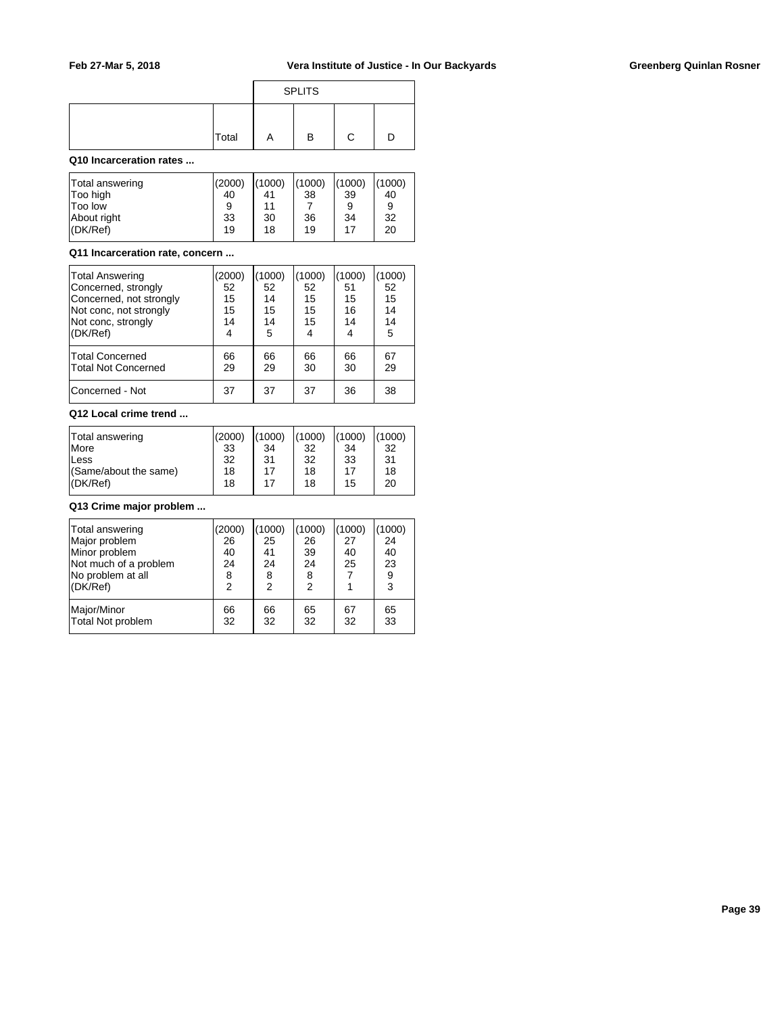|       |   | <b>SPLITS</b> |  |  |  |  |  |  |  |
|-------|---|---------------|--|--|--|--|--|--|--|
| Total | Α | в             |  |  |  |  |  |  |  |

## **Q10 Incarceration rates ...**

| Total answering | (2000) | (1000) | (1000) | (1000) | (1000) |
|-----------------|--------|--------|--------|--------|--------|
| Too high        | 40     | 41     | 38     | 39     | 40     |
| <b>Too low</b>  | 9      | 11     |        | 9      | 9      |
| About right     | 33     | 30     | 36     | 34     | 32     |
| $ $ (DK/Ref)    | 19     | 18     | 19     | 17     | 20     |

## **Q11 Incarceration rate, concern ...**

| Total Answering<br>Concerned, strongly<br>Concerned, not strongly<br>Not conc, not strongly<br>Not conc, strongly<br>(DK/Ref) | (2000)<br>52<br>15<br>15<br>14<br>4 | 1000)<br>52<br>14<br>15<br>14<br>5 | (1000)<br>52<br>15<br>15<br>15 | (1000)<br>51<br>15<br>16<br>14<br>4 | 1000<br>52<br>15<br>14<br>14<br>5 |
|-------------------------------------------------------------------------------------------------------------------------------|-------------------------------------|------------------------------------|--------------------------------|-------------------------------------|-----------------------------------|
| Total Concerned<br>Total Not Concerned                                                                                        | 66<br>29                            | 66<br>29                           | 66<br>30                       | 66<br>30                            | 67<br>29                          |
| Concerned - Not                                                                                                               | 37                                  | 37                                 | 37                             | 36                                  | 38                                |

#### **Q12 Local crime trend ...**

| Total answering       | (2000) | (1000) | (1000) | (1000) | (1000) |
|-----------------------|--------|--------|--------|--------|--------|
| <b>More</b>           | 33     | 34     | 32     | 34     | -32    |
| Less                  | 32     | 31     | 32     | 33     | -31    |
| (Same/about the same) | 18     | 17     | 18     | 17     | 18     |
| (DK/Ref)              | 18     | 17     | 18     | 15     | 20     |

## **Q13 Crime major problem ...**

| Total answering<br>Major problem<br>Minor problem<br>Not much of a problem<br>No problem at all<br>(DK/Ref) | (2000)<br>26<br>40<br>24<br>8<br>2 | 1000<br>25<br>41<br>24<br>8<br>2 | (1000)<br>26<br>39<br>24<br>8<br>2 | (1000)<br>27<br>40<br>25 | (1000)<br>24<br>40<br>23<br>9<br>3 |
|-------------------------------------------------------------------------------------------------------------|------------------------------------|----------------------------------|------------------------------------|--------------------------|------------------------------------|
| Major/Minor                                                                                                 | 66                                 | 66                               | 65                                 | 67                       | 65                                 |
| Total Not problem                                                                                           | 32                                 | 32                               | 32                                 | 32                       | 33                                 |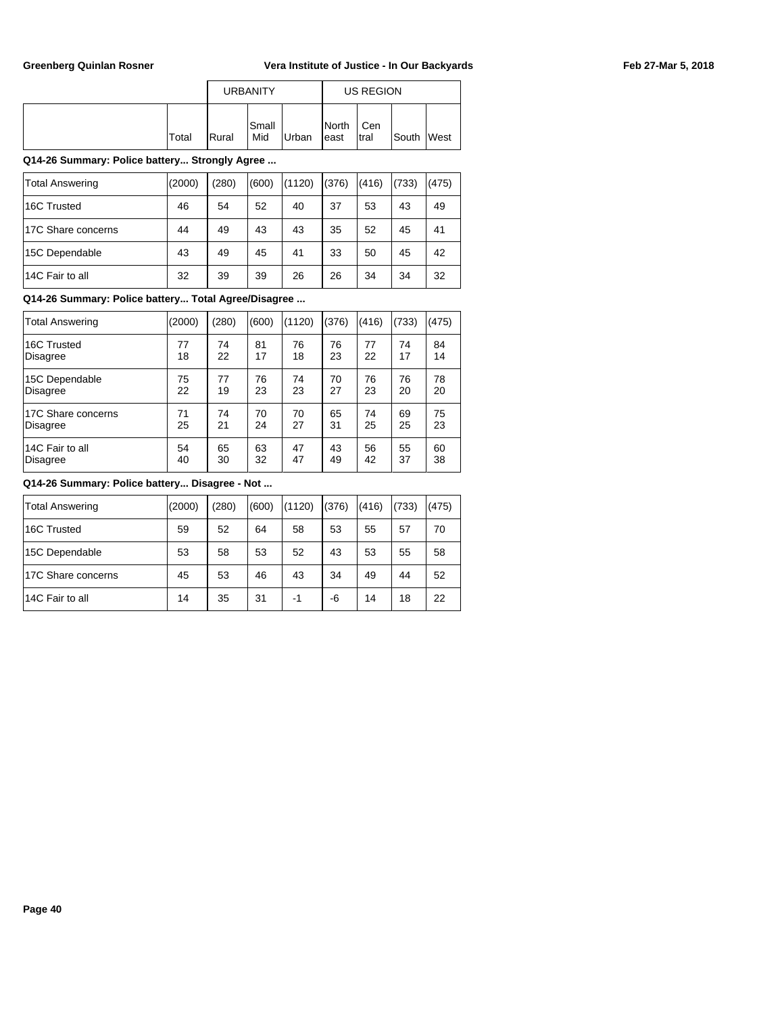|       |                | <b>URBANITY</b> |              |                         | US REGION    |        |             |
|-------|----------------|-----------------|--------------|-------------------------|--------------|--------|-------------|
| Total | <b>I</b> Rural | lSmall<br>Mid   | <b>Urban</b> | <b>I</b> North<br>least | Cen<br>Itral | lSouth | <b>West</b> |

## **Q14-26 Summary: Police battery... Strongly Agree ...**

| <b>Total Answering</b> | (2000) | (280) | (600) | (1120) | (376) | (416) | (733) | (475) |
|------------------------|--------|-------|-------|--------|-------|-------|-------|-------|
| 16C Trusted            | 46     | 54    | 52    | 40     | 37    | 53    | 43    | 49    |
| 17C Share concerns     | 44     | 49    | 43    | 43     | 35    | 52    | 45    | 41    |
| 15C Dependable         | 43     | 49    | 45    | 41     | 33    | 50    | 45    | 42    |
| 14C Fair to all        | 32     | 39    | 39    | 26     | 26    | 34    | 34    | 32    |

## **Q14-26 Summary: Police battery... Total Agree/Disagree ...**

| <b>Total Answering</b> | (2000) | (280) | (600) | (1120) | (376) | (416) | (733) | (475) |
|------------------------|--------|-------|-------|--------|-------|-------|-------|-------|
| 16C Trusted            | 77     | 74    | 81    | 76     | 76    | 77    | 74    | 84    |
| Disagree               | 18     | 22    | 17    | 18     | 23    | 22    | 17    | 14    |
| 15C Dependable         | 75     | 77    | 76    | 74     | 70    | 76    | 76    | 78    |
| <b>Disagree</b>        | 22     | 19    | 23    | 23     | 27    | 23    | 20    | 20    |
| 17C Share concerns     | 71     | 74    | 70    | 70     | 65    | 74    | 69    | 75    |
| Disagree               | 25     | 21    | 24    | 27     | 31    | 25    | 25    | 23    |
| 14C Fair to all        | 54     | 65    | 63    | 47     | 43    | 56    | 55    | 60    |
| Disagree               | 40     | 30    | 32    | 47     | 49    | 42    | 37    | 38    |

| Total Answering    | (2000) | (280) | (600) | (1120) | (376) | (416) | (733) | (475) |
|--------------------|--------|-------|-------|--------|-------|-------|-------|-------|
| 16C Trusted        | 59     | 52    | 64    | 58     | 53    | 55    | 57    | 70    |
| 15C Dependable     | 53     | 58    | 53    | 52     | 43    | 53    | 55    | 58    |
| 17C Share concerns | 45     | 53    | 46    | 43     | 34    | 49    | 44    | 52    |
| 14C Fair to all    | 14     | 35    | 31    | -1     | -6    | 14    | 18    | 22    |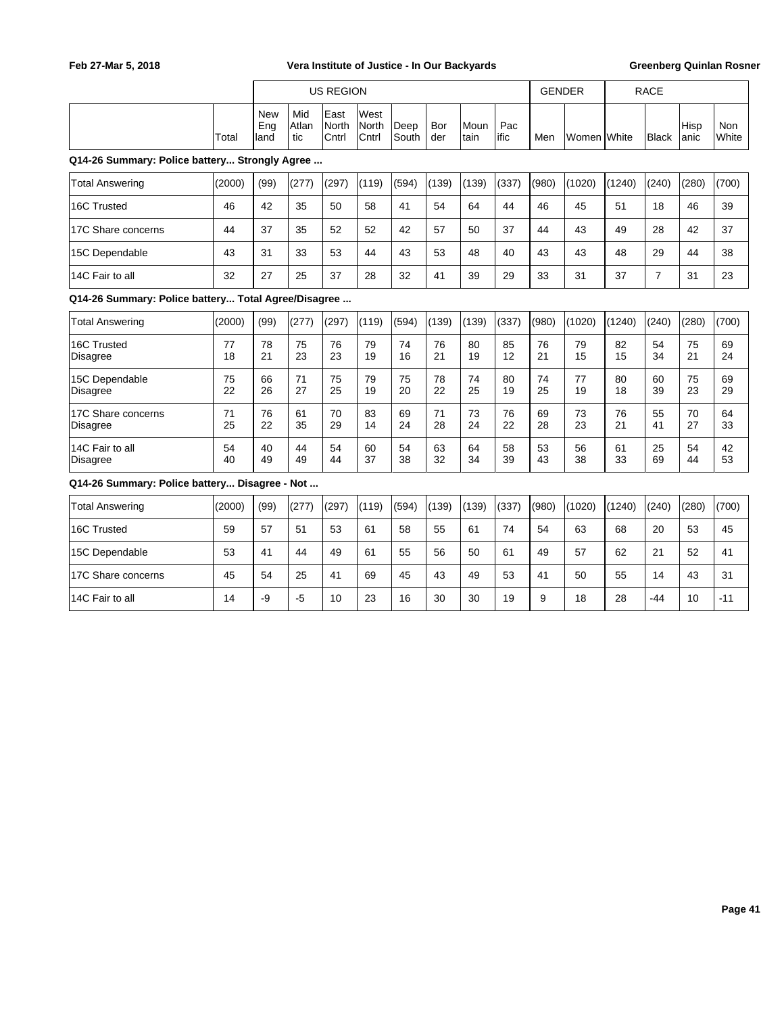|                                                     |          |                    |                     | <b>US REGION</b>       |                        |               |            |              |             | <b>GENDER</b> |             | <b>RACE</b> |                |               |                     |
|-----------------------------------------------------|----------|--------------------|---------------------|------------------------|------------------------|---------------|------------|--------------|-------------|---------------|-------------|-------------|----------------|---------------|---------------------|
|                                                     | Total    | New<br>Eng<br>land | Mid<br>Atlan<br>tic | East<br>North<br>Cntrl | West<br>North<br>Cntrl | Deep<br>South | Bor<br>der | Moun<br>tain | Pac<br>ific | Men           | Women White |             | Black          | Hisp<br> anic | <b>Non</b><br>White |
| Q14-26 Summary: Police battery Strongly Agree       |          |                    |                     |                        |                        |               |            |              |             |               |             |             |                |               |                     |
| <b>Total Answering</b>                              | (2000)   | (99)               | (277)               | (297)                  | (119)                  | (594)         | (139)      | (139)        | (337)       | (980)         | (1020)      | (1240)      | (240)          | (280)         | (700)               |
| 16C Trusted                                         | 46       | 42                 | 35                  | 50                     | 58                     | 41            | 54         | 64           | 44          | 46            | 45          | 51          | 18             | 46            | 39                  |
| 17C Share concerns                                  | 44       | 37                 | 35                  | 52                     | 52                     | 42            | 57         | 50           | 37          | 44            | 43          | 49          | 28             | 42            | 37                  |
| 15C Dependable                                      | 43       | 31                 | 33                  | 53                     | 44                     | 43            | 53         | 48           | 40          | 43            | 43          | 48          | 29             | 44            | 38                  |
| 14C Fair to all                                     | 32       | 27                 | 25                  | 37                     | 28                     | 32            | 41         | 39           | 29          | 33            | 31          | 37          | $\overline{7}$ | 31            | 23                  |
| Q14-26 Summary: Police battery Total Agree/Disagree |          |                    |                     |                        |                        |               |            |              |             |               |             |             |                |               |                     |
| <b>Total Answering</b>                              | (2000)   | (99)               | (277)               | (297)                  | (119)                  | (594)         | (139)      | (139)        | (337)       | (980)         | (1020)      | (1240)      | (240)          | (280)         | (700)               |
| 16C Trusted<br><b>Disagree</b>                      | 77<br>18 | 78<br>21           | 75<br>23            | 76<br>23               | 79<br>19               | 74<br>16      | 76<br>21   | 80<br>19     | 85<br>12    | 76<br>21      | 79<br>15    | 82<br>15    | 54<br>34       | 75<br>21      | 69<br>24            |
| 15C Dependable<br><b>Disagree</b>                   | 75<br>22 | 66<br>26           | 71<br>27            | 75<br>25               | 79<br>19               | 75<br>20      | 78<br>22   | 74<br>25     | 80<br>19    | 74<br>25      | 77<br>19    | 80<br>18    | 60<br>39       | 75<br>23      | 69<br>29            |
| 17C Share concerns<br><b>Disagree</b>               | 71<br>25 | 76<br>22           | 61<br>35            | 70<br>29               | 83<br>14               | 69<br>24      | 71<br>28   | 73<br>24     | 76<br>22    | 69<br>28      | 73<br>23    | 76<br>21    | 55<br>41       | 70<br>27      | 64<br>33            |
| 14C Fair to all<br><b>Disagree</b>                  | 54<br>40 | 40<br>49           | 44<br>49            | 54<br>44               | 60<br>37               | 54<br>38      | 63<br>32   | 64<br>34     | 58<br>39    | 53<br>43      | 56<br>38    | 61<br>33    | 25<br>69       | 54<br>44      | 42<br>53            |
| Q14-26 Summary: Police battery Disagree - Not       |          |                    |                     |                        |                        |               |            |              |             |               |             |             |                |               |                     |
| <b>Total Answering</b>                              | (2000)   | (99)               | (277)               | (297)                  | (119)                  | (594)         | (139)      | (139)        | (337)       | (980)         | (1020)      | (1240)      | (240)          | (280)         | (700)               |
| 16C Trusted                                         | 59       | 57                 | 51                  | 53                     | 61                     | 58            | 55         | 61           | 74          | 54            | 63          | 68          | 20             | 53            | 45                  |
| 15C Dependable                                      | 53       | 41                 | 44                  | 49                     | 61                     | 55            | 56         | 50           | 61          | 49            | 57          | 62          | 21             | 52            | 41                  |
| 17C Share concerns                                  | 45       | 54                 | 25                  | 41                     | 69                     | 45            | 43         | 49           | 53          | 41            | 50          | 55          | 14             | 43            | 31                  |
| 14C Fair to all                                     | 14       | -9                 | $-5$                | 10                     | 23                     | 16            | 30         | 30           | 19          | 9             | 18          | 28          | -44            | 10            | $-11$               |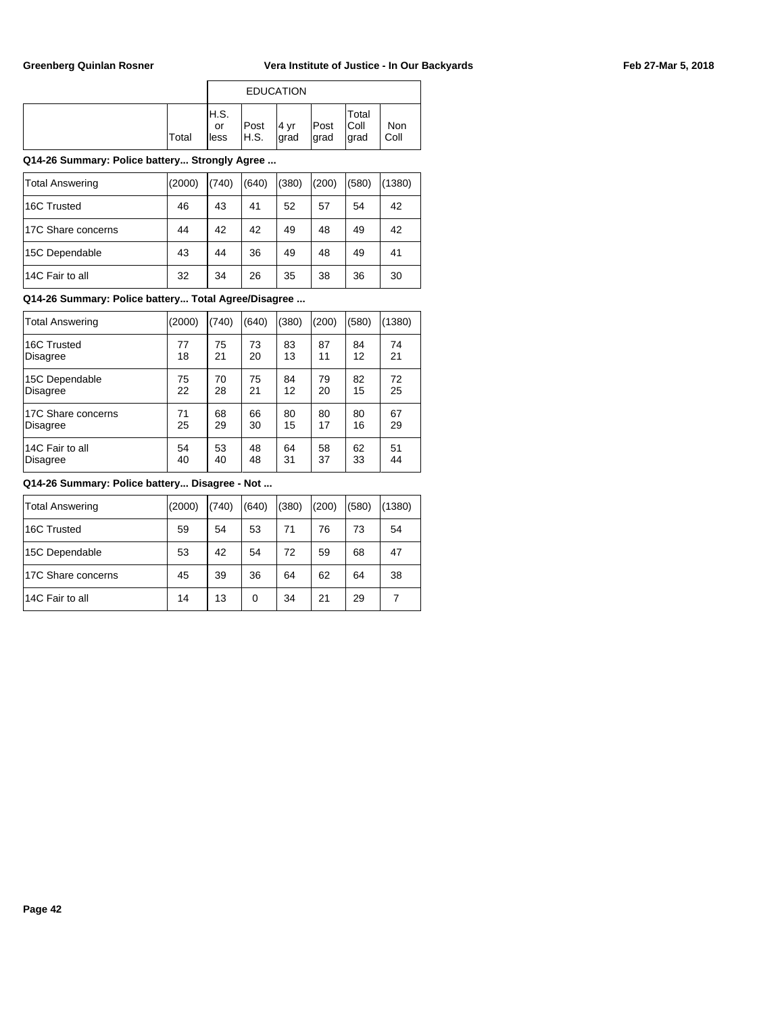|       |                     | <b>EDUCATION</b> |              |              |                        |             |
|-------|---------------------|------------------|--------------|--------------|------------------------|-------------|
| Total | H.S.<br>or<br>lless | Post<br>H.S.     | 4 yr<br>grad | Post<br>grad | Total<br>Coll<br>∣grad | Non<br>Coll |

## **Q14-26 Summary: Police battery... Strongly Agree ...**

| Total Answering    | (2000) | (740) | (640) | (380) | (200) | (580) | (1380) |
|--------------------|--------|-------|-------|-------|-------|-------|--------|
| 16C Trusted        | 46     | 43    | 41    | 52    | 57    | 54    | 42     |
| 17C Share concerns | 44     | 42    | 42    | 49    | 48    | 49    | 42     |
| 15C Dependable     | 43     | 44    | 36    | 49    | 48    | 49    | 41     |
| 14C Fair to all    | 32     | 34    | 26    | 35    | 38    | 36    | 30     |

## **Q14-26 Summary: Police battery... Total Agree/Disagree ...**

| <b>Total Answering</b> | (2000) | (740) | (640) | (380) | (200) | (580) | (1380) |
|------------------------|--------|-------|-------|-------|-------|-------|--------|
| 16C Trusted            | 77     | 75    | 73    | 83    | 87    | 84    | 74     |
| <b>Disagree</b>        | 18     | 21    | 20    | 13    | 11    | 12    | 21     |
| 15C Dependable         | 75     | 70    | 75    | 84    | 79    | 82    | 72     |
| <b>Disagree</b>        | 22     | 28    | 21    | 12    | 20    | 15    | 25     |
| 17C Share concerns     | 71     | 68    | 66    | 80    | 80    | 80    | 67     |
| Disagree               | 25     | 29    | 30    | 15    | 17    | 16    | 29     |
| 14C Fair to all        | 54     | 53    | 48    | 64    | 58    | 62    | 51     |
| Disagree               | 40     | 40    | 48    | 31    | 37    | 33    | 44     |

| <b>Total Answering</b> | (2000) | (740) | (640) | (380) | (200) | (580) | (1380) |
|------------------------|--------|-------|-------|-------|-------|-------|--------|
| 16C Trusted            | 59     | 54    | 53    | 71    | 76    | 73    | 54     |
| 15C Dependable         | 53     | 42    | 54    | 72    | 59    | 68    | 47     |
| 17C Share concerns     | 45     | 39    | 36    | 64    | 62    | 64    | 38     |
| 14C Fair to all        | 14     | 13    | 0     | 34    | 21    | 29    |        |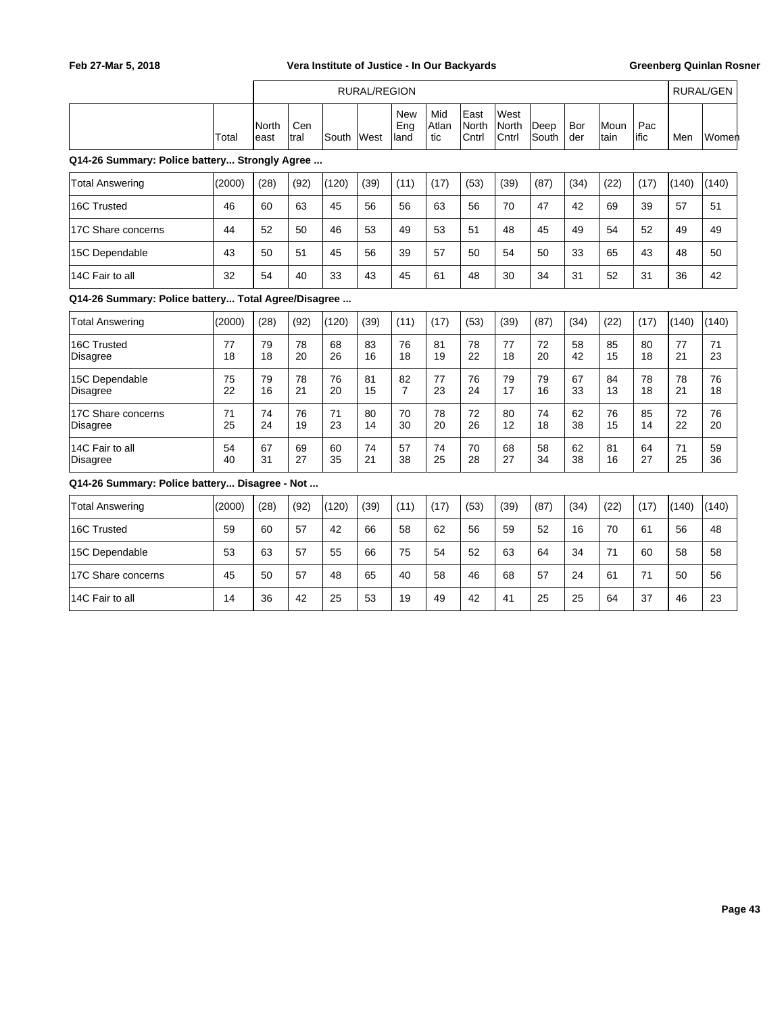|                                                     |          | RURAL/REGION  |             |          |          |                           |                     |                        |                               |               |            | <b>RURAL/GEN</b> |              |          |          |
|-----------------------------------------------------|----------|---------------|-------------|----------|----------|---------------------------|---------------------|------------------------|-------------------------------|---------------|------------|------------------|--------------|----------|----------|
|                                                     | Total    | North<br>east | Cen<br>tral | South    | West     | <b>New</b><br>Eng<br>land | Mid<br>Atlan<br>tic | East<br>North<br>Cntrl | West<br><b>North</b><br>Cntrl | Deep<br>South | Bor<br>der | Moun<br>tain     | Pac<br>lific | Men      | Women    |
| Q14-26 Summary: Police battery Strongly Agree       |          |               |             |          |          |                           |                     |                        |                               |               |            |                  |              |          |          |
| <b>Total Answering</b>                              | (2000)   | (28)          | (92)        | (120)    | (39)     | (11)                      | (17)                | (53)                   | (39)                          | (87)          | (34)       | (22)             | (17)         | (140)    | (140)    |
| 16C Trusted                                         | 46       | 60            | 63          | 45       | 56       | 56                        | 63                  | 56                     | 70                            | 47            | 42         | 69               | 39           | 57       | 51       |
| 17C Share concerns                                  | 44       | 52            | 50          | 46       | 53       | 49                        | 53                  | 51                     | 48                            | 45            | 49         | 54               | 52           | 49       | 49       |
| 15C Dependable                                      | 43       | 50            | 51          | 45       | 56       | 39                        | 57                  | 50                     | 54                            | 50            | 33         | 65               | 43           | 48       | 50       |
| 14C Fair to all                                     | 32       | 54            | 40          | 33       | 43       | 45                        | 61                  | 48                     | 30                            | 34            | 31         | 52               | 31           | 36       | 42       |
| Q14-26 Summary: Police battery Total Agree/Disagree |          |               |             |          |          |                           |                     |                        |                               |               |            |                  |              |          |          |
| <b>Total Answering</b>                              | (2000)   | (28)          | (92)        | (120)    | (39)     | (11)                      | (17)                | (53)                   | (39)                          | (87)          | (34)       | (22)             | (17)         | (140)    | (140)    |
| 16C Trusted<br>Disagree                             | 77<br>18 | 79<br>18      | 78<br>20    | 68<br>26 | 83<br>16 | 76<br>18                  | 81<br>19            | 78<br>22               | 77<br>18                      | 72<br>20      | 58<br>42   | 85<br>15         | 80<br>18     | 77<br>21 | 71<br>23 |
| 15C Dependable<br><b>Disagree</b>                   | 75<br>22 | 79<br>16      | 78<br>21    | 76<br>20 | 81<br>15 | 82<br>$\overline{7}$      | 77<br>23            | 76<br>24               | 79<br>17                      | 79<br>16      | 67<br>33   | 84<br>13         | 78<br>18     | 78<br>21 | 76<br>18 |
| 17C Share concerns<br><b>Disagree</b>               | 71<br>25 | 74<br>24      | 76<br>19    | 71<br>23 | 80<br>14 | 70<br>30                  | 78<br>20            | 72<br>26               | 80<br>12                      | 74<br>18      | 62<br>38   | 76<br>15         | 85<br>14     | 72<br>22 | 76<br>20 |
| 14C Fair to all<br>Disagree                         | 54<br>40 | 67<br>31      | 69<br>27    | 60<br>35 | 74<br>21 | 57<br>38                  | 74<br>25            | 70<br>28               | 68<br>27                      | 58<br>34      | 62<br>38   | 81<br>16         | 64<br>27     | 71<br>25 | 59<br>36 |
| Q14-26 Summary: Police battery Disagree - Not       |          |               |             |          |          |                           |                     |                        |                               |               |            |                  |              |          |          |
| <b>Total Answering</b>                              | (2000)   | (28)          | (92)        | (120)    | (39)     | (11)                      | (17)                | (53)                   | (39)                          | (87)          | (34)       | (22)             | (17)         | (140)    | (140)    |
| 16C Trusted                                         | 59       | 60            | 57          | 42       | 66       | 58                        | 62                  | 56                     | 59                            | 52            | 16         | 70               | 61           | 56       | 48       |
| 15C Dependable                                      | 53       | 63            | 57          | 55       | 66       | 75                        | 54                  | 52                     | 63                            | 64            | 34         | 71               | 60           | 58       | 58       |
| 17C Share concerns                                  | 45       | 50            | 57          | 48       | 65       | 40                        | 58                  | 46                     | 68                            | 57            | 24         | 61               | 71           | 50       | 56       |
| 14C Fair to all                                     | 14       | 36            | 42          | 25       | 53       | 19                        | 49                  | 42                     | 41                            | 25            | 25         | 64               | 37           | 46       | 23       |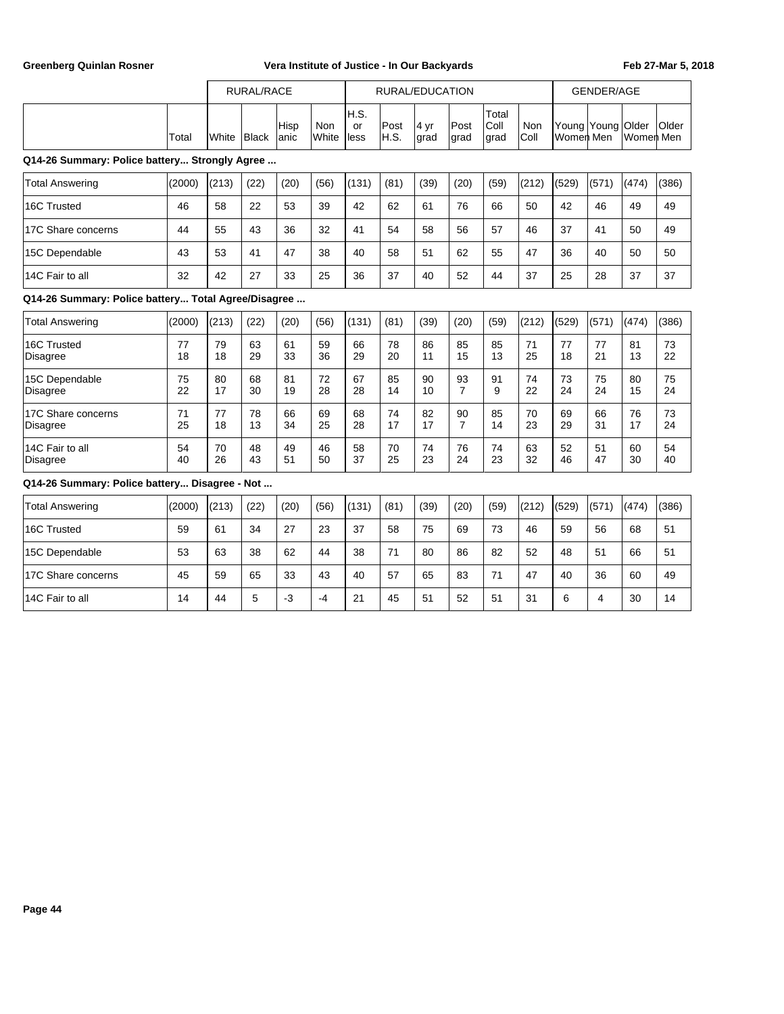|                                                     |          | <b>RURAL/RACE</b> |          |               |                     | RURAL/EDUCATION    |              |                          |                      |                       |             | <b>GENDER/AGE</b> |                   |           |          |
|-----------------------------------------------------|----------|-------------------|----------|---------------|---------------------|--------------------|--------------|--------------------------|----------------------|-----------------------|-------------|-------------------|-------------------|-----------|----------|
|                                                     | Total    | White             | Black    | Hisp<br>lanic | <b>Non</b><br>White | H.S.<br>or<br>less | Post<br>H.S. | $ 4 \text{ yr} $<br>grad | Post<br>grad         | Total<br>Coll<br>grad | Non<br>Coll | Women Men         | Young Young Older | Women Men | Older    |
| Q14-26 Summary: Police battery Strongly Agree       |          |                   |          |               |                     |                    |              |                          |                      |                       |             |                   |                   |           |          |
| <b>Total Answering</b>                              | (2000)   | (213)             | (22)     | (20)          | (56)                | (131)              | (81)         | (39)                     | (20)                 | (59)                  | (212)       | (529)             | (571)             | (474)     | (386)    |
| 16C Trusted                                         | 46       | 58                | 22       | 53            | 39                  | 42                 | 62           | 61                       | 76                   | 66                    | 50          | 42                | 46                | 49        | 49       |
| 17C Share concerns                                  | 44       | 55                | 43       | 36            | 32                  | 41                 | 54           | 58                       | 56                   | 57                    | 46          | 37                | 41                | 50        | 49       |
| 15C Dependable                                      | 43       | 53                | 41       | 47            | 38                  | 40                 | 58           | 51                       | 62                   | 55                    | 47          | 36                | 40                | 50        | 50       |
| 14C Fair to all                                     | 32       | 42                | 27       | 33            | 25                  | 36                 | 37           | 40                       | 52                   | 44                    | 37          | 25                | 28                | 37        | 37       |
| Q14-26 Summary: Police battery Total Agree/Disagree |          |                   |          |               |                     |                    |              |                          |                      |                       |             |                   |                   |           |          |
| <b>Total Answering</b>                              | (2000)   | (213)             | (22)     | (20)          | (56)                | (131)              | (81)         | (39)                     | (20)                 | (59)                  | (212)       | (529)             | (571)             | (474)     | (386)    |
| 16C Trusted<br><b>Disagree</b>                      | 77<br>18 | 79<br>18          | 63<br>29 | 61<br>33      | 59<br>36            | 66<br>29           | 78<br>20     | 86<br>11                 | 85<br>15             | 85<br>13              | 71<br>25    | 77<br>18          | 77<br>21          | 81<br>13  | 73<br>22 |
| 15C Dependable<br><b>Disagree</b>                   | 75<br>22 | 80<br>17          | 68<br>30 | 81<br>19      | 72<br>28            | 67<br>28           | 85<br>14     | 90<br>10                 | 93<br>$\overline{7}$ | 91<br>9               | 74<br>22    | 73<br>24          | 75<br>24          | 80<br>15  | 75<br>24 |
| 17C Share concerns<br><b>Disagree</b>               | 71<br>25 | 77<br>18          | 78<br>13 | 66<br>34      | 69<br>25            | 68<br>28           | 74<br>17     | 82<br>17                 | 90<br>$\overline{7}$ | 85<br>14              | 70<br>23    | 69<br>29          | 66<br>31          | 76<br>17  | 73<br>24 |
| 14C Fair to all<br>Disagree                         | 54<br>40 | 70<br>26          | 48<br>43 | 49<br>51      | 46<br>50            | 58<br>37           | 70<br>25     | 74<br>23                 | 76<br>24             | 74<br>23              | 63<br>32    | 52<br>46          | 51<br>47          | 60<br>30  | 54<br>40 |
| Q14-26 Summary: Police battery Disagree - Not       |          |                   |          |               |                     |                    |              |                          |                      |                       |             |                   |                   |           |          |
| <b>Total Answering</b>                              | (2000)   | (213)             | (22)     | (20)          | (56)                | (131)              | (81)         | (39)                     | (20)                 | (59)                  | (212)       | (529)             | (571)             | (474)     | (386)    |
| 16C Trusted                                         | 59       | 61                | 34       | 27            | 23                  | 37                 | 58           | 75                       | 69                   | 73                    | 46          | 59                | 56                | 68        | 51       |
| 15C Dependable                                      | 53       | 63                | 38       | 62            | 44                  | 38                 | 71           | 80                       | 86                   | 82                    | 52          | 48                | 51                | 66        | 51       |
| 17C Share concerns                                  | 45       | 59                | 65       | 33            | 43                  | 40                 | 57           | 65                       | 83                   | 71                    | 47          | 40                | 36                | 60        | 49       |
| 14C Fair to all                                     | 14       | 44                | 5        | $-3$          | $-4$                | 21                 | 45           | 51                       | 52                   | 51                    | 31          | 6                 | 4                 | 30        | 14       |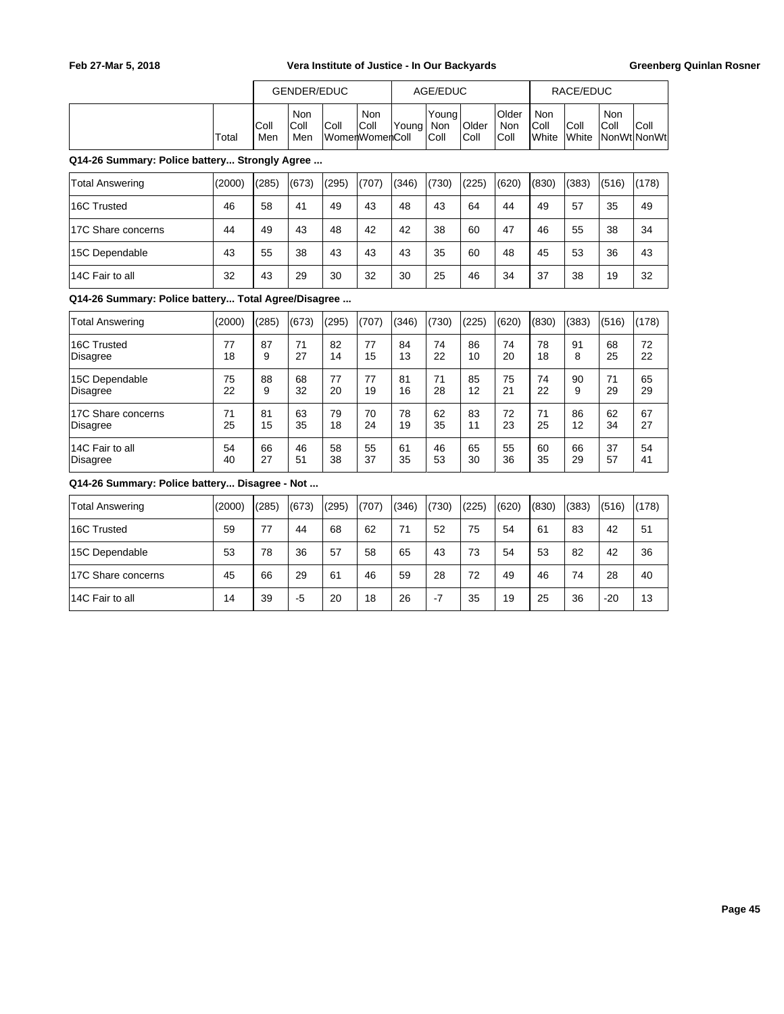|                                                     |          |             | <b>GENDER/EDUC</b> |          |                               |          | AGE/EDUC             |               |                             |                      | RACE/EDUC     |             |                     |  |
|-----------------------------------------------------|----------|-------------|--------------------|----------|-------------------------------|----------|----------------------|---------------|-----------------------------|----------------------|---------------|-------------|---------------------|--|
|                                                     | Total    | Coll<br>Men | Non<br>Coll<br>Men | Coll     | Non<br>Coll<br>WomenWomenColl | Young    | Young<br>Non<br>Coll | Older<br>Coll | Older<br><b>Non</b><br>Coll | Non<br>Coll<br>White | Coll<br>White | Non<br>Coll | Coll<br>NonWtlNonWt |  |
| Q14-26 Summary: Police battery Strongly Agree       |          |             |                    |          |                               |          |                      |               |                             |                      |               |             |                     |  |
| <b>Total Answering</b>                              | (2000)   | (285)       | (673)              | (295)    | (707)                         | (346)    | (730)                | (225)         | (620)                       | (830)                | (383)         | (516)       | (178)               |  |
| 16C Trusted                                         | 46       | 58          | 41                 | 49       | 43                            | 48       | 43                   | 64            | 44                          | 49                   | 57            | 35          | 49                  |  |
| 17C Share concerns                                  | 44       | 49          | 43                 | 48       | 42                            | 42       | 38                   | 60            | 47                          | 46                   | 55            | 38          | 34                  |  |
| 15C Dependable                                      | 43       | 55          | 38                 | 43       | 43                            | 43       | 35                   | 60            | 48                          | 45                   | 53            | 36          | 43                  |  |
| 14C Fair to all                                     | 32       | 43          | 29                 | 30       | 32                            | 30       | 25                   | 46            | 34                          | 37                   | 38            | 19          | 32                  |  |
| Q14-26 Summary: Police battery Total Agree/Disagree |          |             |                    |          |                               |          |                      |               |                             |                      |               |             |                     |  |
| <b>Total Answering</b>                              | (2000)   | (285)       | (673)              | (295)    | (707)                         | (346)    | (730)                | (225)         | (620)                       | (830)                | (383)         | (516)       | (178)               |  |
| 16C Trusted<br>Disagree                             | 77<br>18 | 87<br>9     | 71<br>27           | 82<br>14 | 77<br>15                      | 84<br>13 | 74<br>22             | 86<br>10      | 74<br>20                    | 78<br>18             | 91<br>8       | 68<br>25    | 72<br>22            |  |
| 15C Dependable<br>Disagree                          | 75<br>22 | 88<br>9     | 68<br>32           | 77<br>20 | 77<br>19                      | 81<br>16 | 71<br>28             | 85<br>12      | 75<br>21                    | 74<br>22             | 90<br>9       | 71<br>29    | 65<br>29            |  |
| 17C Share concerns<br><b>Disagree</b>               | 71<br>25 | 81<br>15    | 63<br>35           | 79<br>18 | 70<br>24                      | 78<br>19 | 62<br>35             | 83<br>11      | 72<br>23                    | 71<br>25             | 86<br>12      | 62<br>34    | 67<br>27            |  |
| 14C Fair to all<br>Disagree                         | 54<br>40 | 66<br>27    | 46<br>51           | 58<br>38 | 55<br>37                      | 61<br>35 | 46<br>53             | 65<br>30      | 55<br>36                    | 60<br>35             | 66<br>29      | 37<br>57    | 54<br>41            |  |
| Q14-26 Summary: Police battery Disagree - Not       |          |             |                    |          |                               |          |                      |               |                             |                      |               |             |                     |  |
| <b>Total Answering</b>                              | (2000)   | (285)       | (673)              | (295)    | (707)                         | (346)    | (730)                | (225)         | (620)                       | (830)                | (383)         | (516)       | (178)               |  |
| 16C Trusted                                         | 59       | 77          | 44                 | 68       | 62                            | 71       | 52                   | 75            | 54                          | 61                   | 83            | 42          | 51                  |  |
| 15C Dependable                                      | 53       | 78          | 36                 | 57       | 58                            | 65       | 43                   | 73            | 54                          | 53                   | 82            | 42          | 36                  |  |
| 17C Share concerns                                  | 45       | 66          | 29                 | 61       | 46                            | 59       | 28                   | 72            | 49                          | 46                   | 74            | 28          | 40                  |  |
| 14C Fair to all                                     | 14       | 39          | $-5$               | 20       | 18                            | 26       | $-7$                 | 35            | 19                          | 25                   | 36            | $-20$       | 13                  |  |
|                                                     |          |             |                    |          |                               |          |                      |               |                             |                      |               |             |                     |  |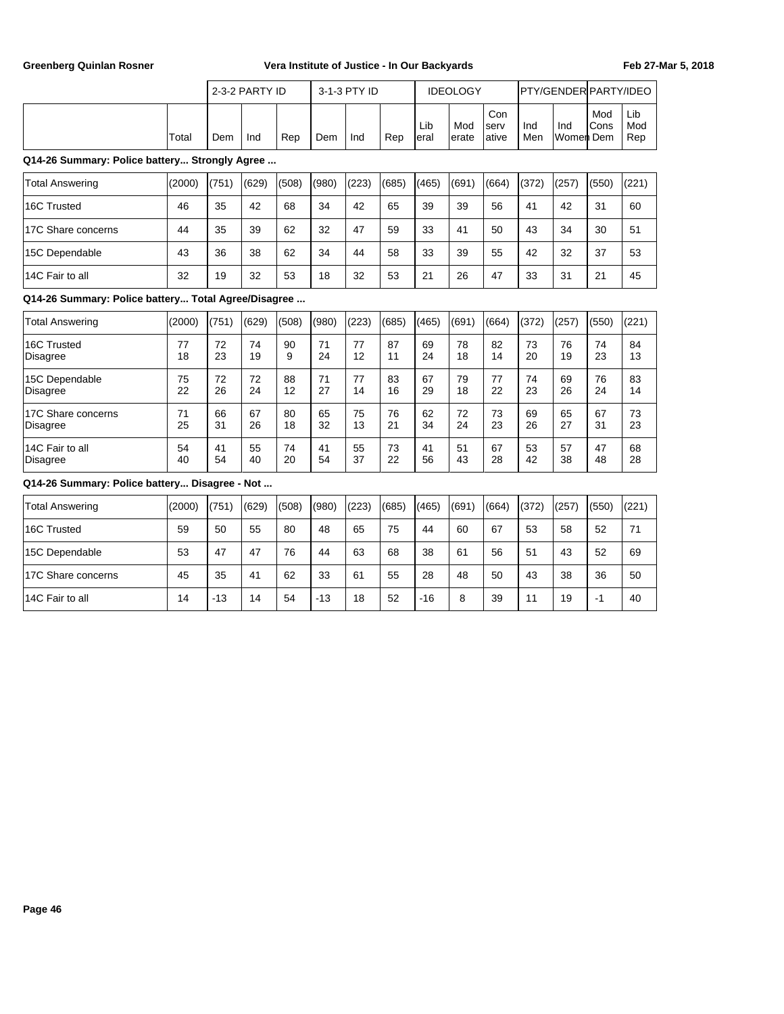|                                                     |          |          | 2-3-2 PARTY ID |          |          | 3-1-3 PTY ID |          |             | <b>IDEOLOGY</b> |                      |            | PTY/GENDER PARTY/IDEO |             |                   |
|-----------------------------------------------------|----------|----------|----------------|----------|----------|--------------|----------|-------------|-----------------|----------------------|------------|-----------------------|-------------|-------------------|
|                                                     | Total    | Dem      | Ind            | Rep      | Dem      | Ind          | Rep      | Lib<br>eral | Mod<br>erate    | Con<br>serv<br>ative | Ind<br>Men | Ind<br>Women Dem      | Mod<br>Cons | Lib<br>Mod<br>Rep |
| Q14-26 Summary: Police battery Strongly Agree       |          |          |                |          |          |              |          |             |                 |                      |            |                       |             |                   |
| <b>Total Answering</b>                              | (2000)   | (751)    | (629)          | (508)    | (980)    | (223)        | (685)    | (465)       | (691)           | (664)                | (372)      | (257)                 | (550)       | (221)             |
| 16C Trusted                                         | 46       | 35       | 42             | 68       | 34       | 42           | 65       | 39          | 39              | 56                   | 41         | 42                    | 31          | 60                |
| 17C Share concerns                                  | 44       | 35       | 39             | 62       | 32       | 47           | 59       | 33          | 41              | 50                   | 43         | 34                    | 30          | 51                |
| 15C Dependable                                      | 43       | 36       | 38             | 62       | 34       | 44           | 58       | 33          | 39              | 55                   | 42         | 32                    | 37          | 53                |
| 14C Fair to all                                     | 32       | 19       | 32             | 53       | 18       | 32           | 53       | 21          | 26              | 47                   | 33         | 31                    | 21          | 45                |
| Q14-26 Summary: Police battery Total Agree/Disagree |          |          |                |          |          |              |          |             |                 |                      |            |                       |             |                   |
| <b>Total Answering</b>                              | (2000)   | (751)    | (629)          | (508)    | (980)    | (223)        | (685)    | (465)       | (691)           | (664)                | (372)      | (257)                 | (550)       | (221)             |
| 16C Trusted<br><b>Disagree</b>                      | 77<br>18 | 72<br>23 | 74<br>19       | 90<br>9  | 71<br>24 | 77<br>12     | 87<br>11 | 69<br>24    | 78<br>18        | 82<br>14             | 73<br>20   | 76<br>19              | 74<br>23    | 84<br>13          |
| 15C Dependable<br><b>Disagree</b>                   | 75<br>22 | 72<br>26 | 72<br>24       | 88<br>12 | 71<br>27 | 77<br>14     | 83<br>16 | 67<br>29    | 79<br>18        | 77<br>22             | 74<br>23   | 69<br>26              | 76<br>24    | 83<br>14          |
| 17C Share concerns<br><b>Disagree</b>               | 71<br>25 | 66<br>31 | 67<br>26       | 80<br>18 | 65<br>32 | 75<br>13     | 76<br>21 | 62<br>34    | 72<br>24        | 73<br>23             | 69<br>26   | 65<br>27              | 67<br>31    | 73<br>23          |
| 14C Fair to all<br><b>Disagree</b>                  | 54<br>40 | 41<br>54 | 55<br>40       | 74<br>20 | 41<br>54 | 55<br>37     | 73<br>22 | 41<br>56    | 51<br>43        | 67<br>28             | 53<br>42   | 57<br>38              | 47<br>48    | 68<br>28          |
| Q14-26 Summary: Police battery Disagree - Not       |          |          |                |          |          |              |          |             |                 |                      |            |                       |             |                   |
| <b>Total Answering</b>                              | (2000)   | (751)    | (629)          | (508)    | (980)    | (223)        | (685)    | (465)       | (691)           | (664)                | (372)      | (257)                 | (550)       | (221)             |
| 16C Trusted                                         | 59       | 50       | 55             | 80       | 48       | 65           | 75       | 44          | 60              | 67                   | 53         | 58                    | 52          | 71                |
| 15C Dependable                                      | 53       | 47       | 47             | 76       | 44       | 63           | 68       | 38          | 61              | 56                   | 51         | 43                    | 52          | 69                |
| 17C Share concerns                                  | 45       | 35       | 41             | 62       | 33       | 61           | 55       | 28          | 48              | 50                   | 43         | 38                    | 36          | 50                |
| 14C Fair to all                                     | 14       | $-13$    | 14             | 54       | $-13$    | 18           | 52       | $-16$       | 8               | 39                   | 11         | 19                    | $-1$        | 40                |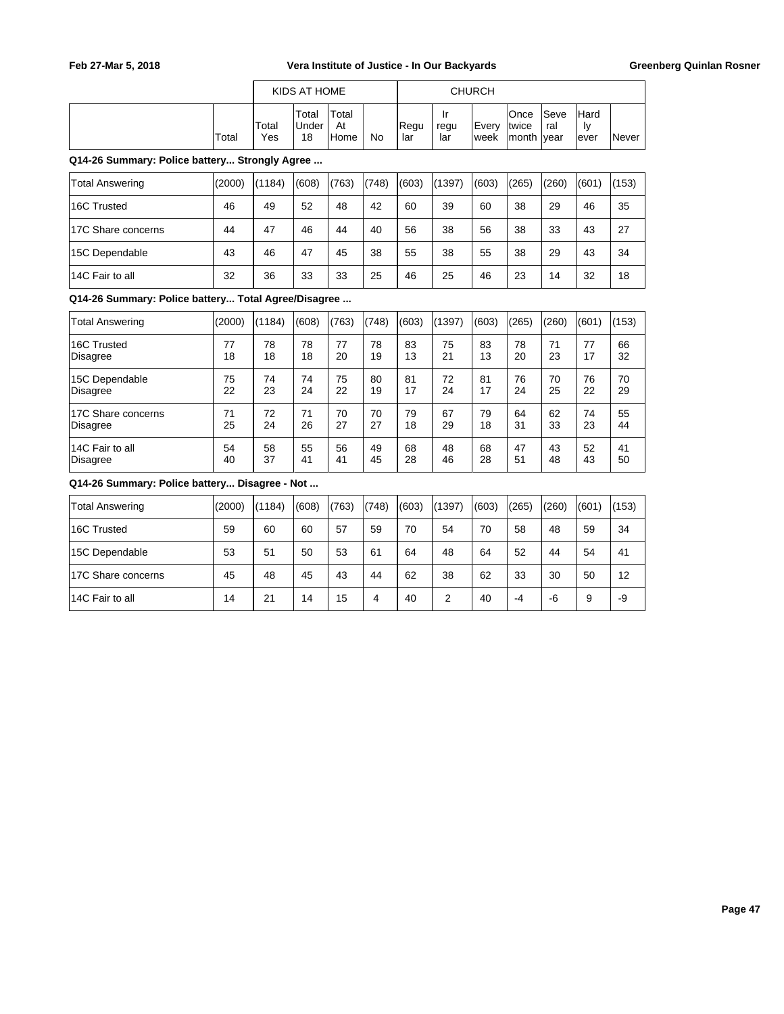|                                                     |          |              | KIDS AT HOME         |                     |           |             |                   | <b>CHURCH</b> |                               |                     |                    |          |
|-----------------------------------------------------|----------|--------------|----------------------|---------------------|-----------|-------------|-------------------|---------------|-------------------------------|---------------------|--------------------|----------|
|                                                     | Total    | Total<br>Yes | Total<br>Under<br>18 | Total<br>At<br>Home | <b>No</b> | Regu<br>lar | Ir<br>regu<br>lar | Every<br>week | Once<br>twice<br><b>month</b> | Seve<br>ral<br>year | Hard<br>ly<br>ever | Never    |
| Q14-26 Summary: Police battery Strongly Agree       |          |              |                      |                     |           |             |                   |               |                               |                     |                    |          |
| <b>Total Answering</b>                              | (2000)   | (1184)       | (608)                | (763)               | (748)     | (603)       | (1397)            | (603)         | (265)                         | (260)               | (601)              | (153)    |
| 16C Trusted                                         | 46       | 49           | 52                   | 48                  | 42        | 60          | 39                | 60            | 38                            | 29                  | 46                 | 35       |
| 17C Share concerns                                  | 44       | 47           | 46                   | 44                  | 40        | 56          | 38                | 56            | 38                            | 33                  | 43                 | 27       |
| 15C Dependable                                      | 43       | 46           | 47                   | 45                  | 38        | 55          | 38                | 55            | 38                            | 29                  | 43                 | 34       |
| 14C Fair to all                                     | 32       | 36           | 33                   | 33                  | 25        | 46          | 25                | 46            | 23                            | 14                  | 32                 | 18       |
| Q14-26 Summary: Police battery Total Agree/Disagree |          |              |                      |                     |           |             |                   |               |                               |                     |                    |          |
| <b>Total Answering</b>                              | (2000)   | (1184)       | (608)                | (763)               | (748)     | (603)       | (1397)            | (603)         | (265)                         | (260)               | (601)              | (153)    |
| 16C Trusted<br><b>Disagree</b>                      | 77<br>18 | 78<br>18     | 78<br>18             | 77<br>20            | 78<br>19  | 83<br>13    | 75<br>21          | 83<br>13      | 78<br>20                      | 71<br>23            | 77<br>17           | 66<br>32 |
| 15C Dependable<br><b>Disagree</b>                   | 75<br>22 | 74<br>23     | 74<br>24             | 75<br>22            | 80<br>19  | 81<br>17    | 72<br>24          | 81<br>17      | 76<br>24                      | 70<br>25            | 76<br>22           | 70<br>29 |
| 17C Share concerns<br><b>Disagree</b>               | 71<br>25 | 72<br>24     | 71<br>26             | 70<br>27            | 70<br>27  | 79<br>18    | 67<br>29          | 79<br>18      | 64<br>31                      | 62<br>33            | 74<br>23           | 55<br>44 |
| 14C Fair to all<br><b>Disagree</b>                  | 54<br>40 | 58<br>37     | 55<br>41             | 56<br>41            | 49<br>45  | 68<br>28    | 48<br>46          | 68<br>28      | 47<br>51                      | 43<br>48            | 52<br>43           | 41<br>50 |
| Q14-26 Summary: Police battery Disagree - Not       |          |              |                      |                     |           |             |                   |               |                               |                     |                    |          |
| <b>Total Answering</b>                              | (2000)   | (1184)       | (608)                | (763)               | (748)     | (603)       | (1397)            | (603)         | (265)                         | (260)               | (601)              | (153)    |
| 16C Trusted                                         | 59       | 60           | 60                   | 57                  | 59        | 70          | 54                | 70            | 58                            | 48                  | 59                 | 34       |
| 15C Dependable                                      | 53       | 51           | 50                   | 53                  | 61        | 64          | 48                | 64            | 52                            | 44                  | 54                 | 41       |

17C Share concerns | 45 | 48 | 45 | 43 | 44 | 62 | 38 | 62 | 33 | 30 | 50 | 12 14C Fair to all 14 21 14 15 4 40 2 40 -4 -6 9 -9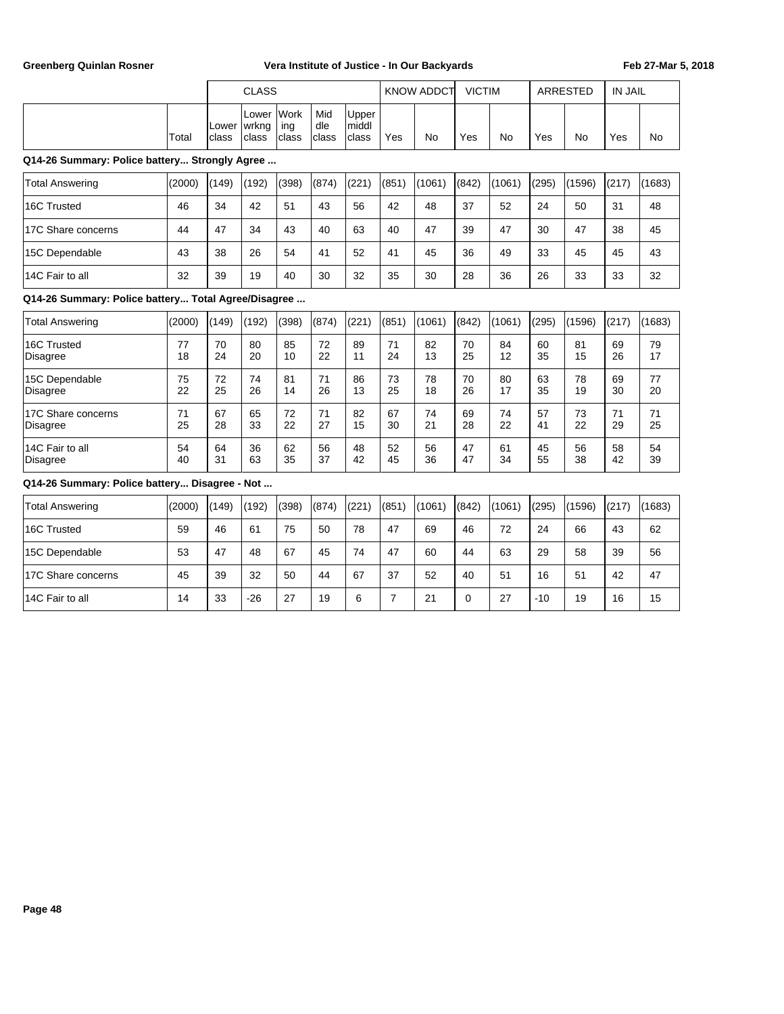|                                                     |          | <b>CLASS</b><br>Work<br>Mid<br>Upper<br>Lower |                |              |              | <b>KNOW ADDCT</b> | <b>VICTIM</b>  |          |             | <b>ARRESTED</b> | <b>IN JAIL</b> |          |          |          |
|-----------------------------------------------------|----------|-----------------------------------------------|----------------|--------------|--------------|-------------------|----------------|----------|-------------|-----------------|----------------|----------|----------|----------|
|                                                     | Total    | lLower<br>class                               | wrkng<br>class | ing<br>class | dle<br>class | middl<br>class    | Yes            | No       | Yes         | No              | Yes            | No       | Yes      | No       |
| Q14-26 Summary: Police battery Strongly Agree       |          |                                               |                |              |              |                   |                |          |             |                 |                |          |          |          |
| <b>Total Answering</b>                              | (2000)   | (149)                                         | (192)          | (398)        | (874)        | (221)             | (851)          | (1061)   | (842)       | (1061)          | (295)          | (1596)   | (217)    | (1683)   |
| 16C Trusted                                         | 46       | 34                                            | 42             | 51           | 43           | 56                | 42             | 48       | 37          | 52              | 24             | 50       | 31       | 48       |
| 17C Share concerns                                  | 44       | 47                                            | 34             | 43           | 40           | 63                | 40             | 47       | 39          | 47              | 30             | 47       | 38       | 45       |
| 15C Dependable                                      | 43       | 38                                            | 26             | 54           | 41           | 52                | 41             | 45       | 36          | 49              | 33             | 45       | 45       | 43       |
| 14C Fair to all                                     | 32       | 39                                            | 19             | 40           | 30           | 32                | 35             | 30       | 28          | 36              | 26             | 33       | 33       | 32       |
| Q14-26 Summary: Police battery Total Agree/Disagree |          |                                               |                |              |              |                   |                |          |             |                 |                |          |          |          |
| <b>Total Answering</b>                              | (2000)   | (149)                                         | (192)          | (398)        | (874)        | (221)             | (851)          | (1061)   | (842)       | (1061)          | (295)          | (1596)   | (217)    | (1683)   |
| 16C Trusted<br><b>Disagree</b>                      | 77<br>18 | 70<br>24                                      | 80<br>20       | 85<br>10     | 72<br>22     | 89<br>11          | 71<br>24       | 82<br>13 | 70<br>25    | 84<br>12        | 60<br>35       | 81<br>15 | 69<br>26 | 79<br>17 |
| 15C Dependable<br><b>Disagree</b>                   | 75<br>22 | 72<br>25                                      | 74<br>26       | 81<br>14     | 71<br>26     | 86<br>13          | 73<br>25       | 78<br>18 | 70<br>26    | 80<br>17        | 63<br>35       | 78<br>19 | 69<br>30 | 77<br>20 |
| 17C Share concerns<br><b>Disagree</b>               | 71<br>25 | 67<br>28                                      | 65<br>33       | 72<br>22     | 71<br>27     | 82<br>15          | 67<br>30       | 74<br>21 | 69<br>28    | 74<br>22        | 57<br>41       | 73<br>22 | 71<br>29 | 71<br>25 |
| 14C Fair to all<br><b>Disagree</b>                  | 54<br>40 | 64<br>31                                      | 36<br>63       | 62<br>35     | 56<br>37     | 48<br>42          | 52<br>45       | 56<br>36 | 47<br>47    | 61<br>34        | 45<br>55       | 56<br>38 | 58<br>42 | 54<br>39 |
| Q14-26 Summary: Police battery Disagree - Not       |          |                                               |                |              |              |                   |                |          |             |                 |                |          |          |          |
| <b>Total Answering</b>                              | (2000)   | (149)                                         | (192)          | (398)        | (874)        | (221)             | (851)          | (1061)   | (842)       | (1061)          | (295)          | (1596)   | (217)    | (1683)   |
| 16C Trusted                                         | 59       | 46                                            | 61             | 75           | 50           | 78                | 47             | 69       | 46          | 72              | 24             | 66       | 43       | 62       |
| 15C Dependable                                      | 53       | 47                                            | 48             | 67           | 45           | 74                | 47             | 60       | 44          | 63              | 29             | 58       | 39       | 56       |
| 17C Share concerns                                  | 45       | 39                                            | 32             | 50           | 44           | 67                | 37             | 52       | 40          | 51              | 16             | 51       | 42       | 47       |
| 14C Fair to all                                     | 14       | 33                                            | $-26$          | 27           | 19           | 6                 | $\overline{7}$ | 21       | $\mathbf 0$ | 27              | $-10$          | 19       | 16       | 15       |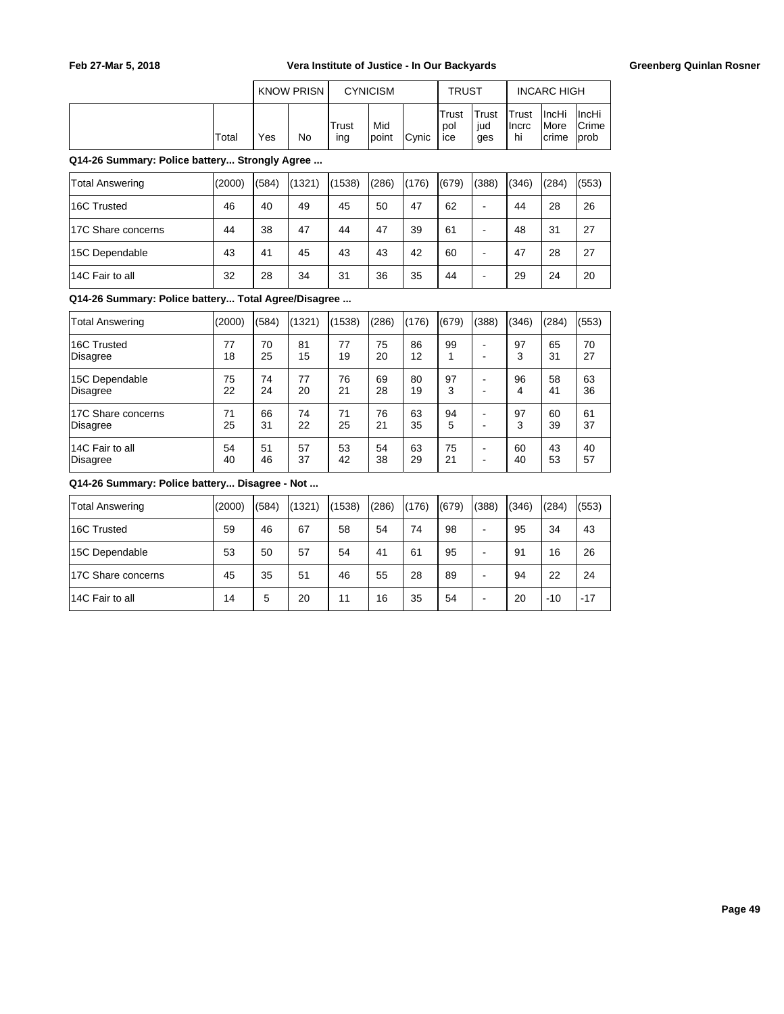|       | <b>KNOW PRISN</b> |    |              | <b>CYNICISM</b> |       | <b>TRUST</b>         |                     |                       | <b>INCARC HIGH</b>                     |                                        |
|-------|-------------------|----|--------------|-----------------|-------|----------------------|---------------------|-----------------------|----------------------------------------|----------------------------------------|
| Total | Yes               | No | Trust<br>ing | Mid<br>Ipoint   | Cynic | lTrust<br>pol<br>ice | Trust<br>iud<br>ges | Trust<br>Ilncrc<br>hi | <b>IncHi</b><br><i>IMore</i><br>Icrime | ∣IncHi<br><b>Crime</b><br><b>lprob</b> |

**Q14-26 Summary: Police battery... Strongly Agree ...**

| Total Answering    | (2000) | (584) | (1321) | (1538) | (286) | (176) | (679) | (388) | (346) | (284) | (553) |
|--------------------|--------|-------|--------|--------|-------|-------|-------|-------|-------|-------|-------|
| 16C Trusted        | 46     | 40    | 49     | 45     | 50    | 47    | 62    | -     | 44    | 28    | 26    |
| 17C Share concerns | 44     | 38    | 47     | 44     | 47    | 39    | 61    | -     | 48    | 31    | 27    |
| 15C Dependable     | 43     | 41    | 45     | 43     | 43    | 42    | 60    | -     | 47    | 28    | 27    |
| 14C Fair to all    | 32     | 28    | 34     | 31     | 36    | 35    | 44    | -     | 29    | 24    | 20    |

**Q14-26 Summary: Police battery... Total Agree/Disagree ...**

| <b>Total Answering</b> | (2000) | (584) | (1321) | (1538) | (286) | (176) | (679) | (388) | (346) | (284) | (553) |
|------------------------|--------|-------|--------|--------|-------|-------|-------|-------|-------|-------|-------|
| 16C Trusted            | 77     | 70    | 81     | 77     | 75    | 86    | 99    | -     | 97    | 65    | 70    |
| Disagree               | 18     | 25    | 15     | 19     | 20    | 12    |       | ۰     | 3     | 31    | 27    |
| 15C Dependable         | 75     | 74    | 77     | 76     | 69    | 80    | 97    | -     | 96    | 58    | 63    |
| Disagree               | 22     | 24    | 20     | 21     | 28    | 19    | 3     | -     | 4     | 41    | 36    |
| 17C Share concerns     | 71     | 66    | 74     | 71     | 76    | 63    | 94    | -     | 97    | 60    | 61    |
| Disagree               | 25     | 31    | 22     | 25     | 21    | 35    | 5     | -     | 3     | 39    | 37    |
| 14C Fair to all        | 54     | 51    | 57     | 53     | 54    | 63    | 75    | ٠     | 60    | 43    | 40    |
| Disagree               | 40     | 46    | 37     | 42     | 38    | 29    | 21    | -     | 40    | 53    | 57    |

| Total Answering    | (2000) | (584) | (1321) | (1538) | (286) | (176) | (679) | (388) | (346) | (284) | (553) |
|--------------------|--------|-------|--------|--------|-------|-------|-------|-------|-------|-------|-------|
| 16C Trusted        | 59     | 46    | 67     | 58     | 54    | 74    | 98    | -     | 95    | 34    | 43    |
| 15C Dependable     | 53     | 50    | 57     | 54     | 41    | 61    | 95    | -     | 91    | 16    | 26    |
| 17C Share concerns | 45     | 35    | 51     | 46     | 55    | 28    | 89    |       | 94    | 22    | 24    |
| 14C Fair to all    | 14     | 5     | 20     | 11     | 16    | 35    | 54    | -     | 20    | $-10$ | $-17$ |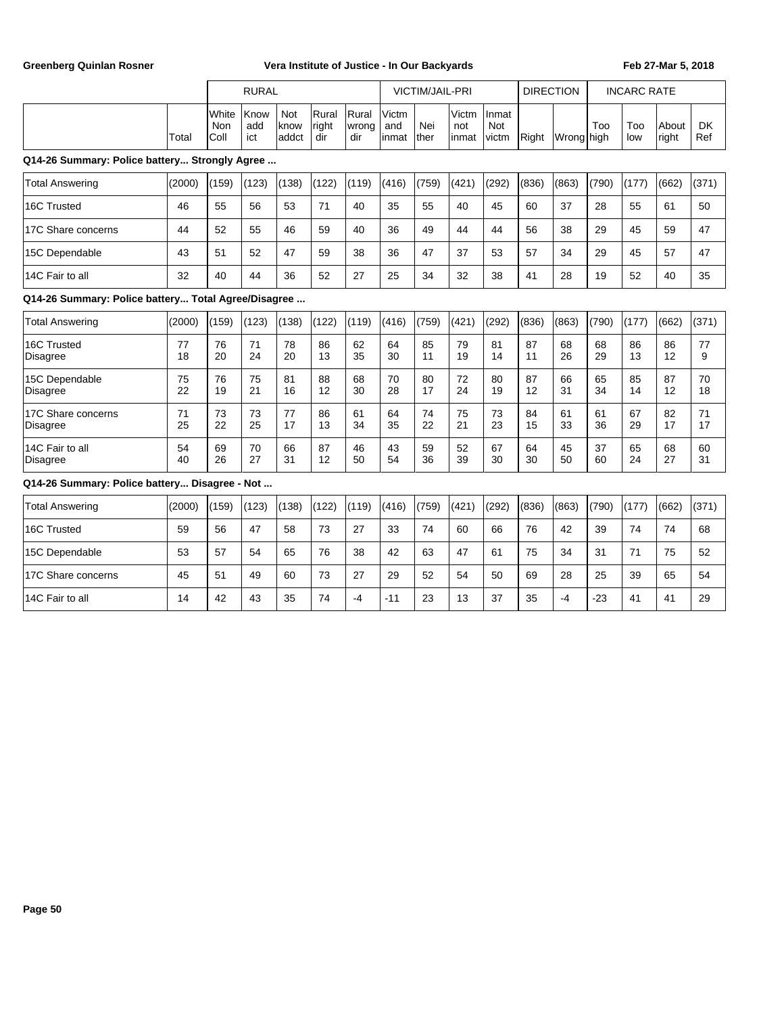|                                                     |          |                      | <b>RURAL</b>       |                             |                       |                       |                        | <b>VICTIM/JAIL-PRI</b> |                       |                       | <b>DIRECTION</b> |            | <b>INCARC RATE</b> |            |                |                  |
|-----------------------------------------------------|----------|----------------------|--------------------|-----------------------------|-----------------------|-----------------------|------------------------|------------------------|-----------------------|-----------------------|------------------|------------|--------------------|------------|----------------|------------------|
|                                                     | Total    | White<br>Non<br>Coll | Know<br>add<br>ict | <b>Not</b><br>know<br>addct | Rural<br>right<br>dir | Rural<br>wrong<br>dir | Victm<br>and<br>linmat | Nei<br>lther           | Victm<br>not<br>inmat | Inmat<br>Not<br>victm | Right            | Wrong high | Too                | Too<br>low | About<br>right | <b>DK</b><br>Ref |
| Q14-26 Summary: Police battery Strongly Agree       |          |                      |                    |                             |                       |                       |                        |                        |                       |                       |                  |            |                    |            |                |                  |
| <b>Total Answering</b>                              | (2000)   | (159)                | (123)              | (138)                       | (122)                 | (119)                 | (416)                  | (759)                  | (421)                 | (292)                 | (836)            | (863)      | (790)              | (177)      | (662)          | (371)            |
| 16C Trusted                                         | 46       | 55                   | 56                 | 53                          | 71                    | 40                    | 35                     | 55                     | 40                    | 45                    | 60               | 37         | 28                 | 55         | 61             | 50               |
| 17C Share concerns                                  | 44       | 52                   | 55                 | 46                          | 59                    | 40                    | 36                     | 49                     | 44                    | 44                    | 56               | 38         | 29                 | 45         | 59             | 47               |
| 15C Dependable                                      | 43       | 51                   | 52                 | 47                          | 59                    | 38                    | 36                     | 47                     | 37                    | 53                    | 57               | 34         | 29                 | 45         | 57             | 47               |
| 14C Fair to all                                     | 32       | 40                   | 44                 | 36                          | 52                    | 27                    | 25                     | 34                     | 32                    | 38                    | 41               | 28         | 19                 | 52         | 40             | 35               |
| Q14-26 Summary: Police battery Total Agree/Disagree |          |                      |                    |                             |                       |                       |                        |                        |                       |                       |                  |            |                    |            |                |                  |
| <b>Total Answering</b>                              | (2000)   | (159)                | (123)              | (138)                       | (122)                 | (119)                 | (416)                  | (759)                  | (421)                 | (292)                 | (836)            | (863)      | (790)              | (177)      | (662)          | (371)            |
| 16C Trusted<br><b>Disagree</b>                      | 77<br>18 | 76<br>20             | 71<br>24           | 78<br>20                    | 86<br>13              | 62<br>35              | 64<br>30               | 85<br>11               | 79<br>19              | 81<br>14              | 87<br>11         | 68<br>26   | 68<br>29           | 86<br>13   | 86<br>12       | 77<br>9          |
| 15C Dependable<br><b>Disagree</b>                   | 75<br>22 | 76<br>19             | 75<br>21           | 81<br>16                    | 88<br>12              | 68<br>30              | 70<br>28               | 80<br>17               | 72<br>24              | 80<br>19              | 87<br>12         | 66<br>31   | 65<br>34           | 85<br>14   | 87<br>12       | 70<br>18         |
| 17C Share concerns<br><b>Disagree</b>               | 71<br>25 | 73<br>22             | 73<br>25           | 77<br>17                    | 86<br>13              | 61<br>34              | 64<br>35               | 74<br>22               | 75<br>21              | 73<br>23              | 84<br>15         | 61<br>33   | 61<br>36           | 67<br>29   | 82<br>17       | 71<br>17         |
| 14C Fair to all<br>Disagree                         | 54<br>40 | 69<br>26             | 70<br>27           | 66<br>31                    | 87<br>12              | 46<br>50              | 43<br>54               | 59<br>36               | 52<br>39              | 67<br>30              | 64<br>30         | 45<br>50   | 37<br>60           | 65<br>24   | 68<br>27       | 60<br>31         |
| Q14-26 Summary: Police battery Disagree - Not       |          |                      |                    |                             |                       |                       |                        |                        |                       |                       |                  |            |                    |            |                |                  |
| <b>Total Answering</b>                              | (2000)   | (159)                | (123)              | (138)                       | (122)                 | (119)                 | (416)                  | (759)                  | (421)                 | (292)                 | (836)            | (863)      | (790)              | (177)      | (662)          | (371)            |
| 16C Trusted                                         | 59       | 56                   | 47                 | 58                          | 73                    | 27                    | 33                     | 74                     | 60                    | 66                    | 76               | 42         | 39                 | 74         | 74             | 68               |
| 15C Dependable                                      | 53       | 57                   | 54                 | 65                          | 76                    | 38                    | 42                     | 63                     | 47                    | 61                    | 75               | 34         | 31                 | 71         | 75             | 52               |
| 17C Share concerns                                  | 45       | 51                   | 49                 | 60                          | 73                    | 27                    | 29                     | 52                     | 54                    | 50                    | 69               | 28         | 25                 | 39         | 65             | 54               |
| 14C Fair to all                                     | 14       | 42                   | 43                 | 35                          | 74                    | $-4$                  | $-11$                  | 23                     | 13                    | 37                    | 35               | $-4$       | $-23$              | 41         | 41             | 29               |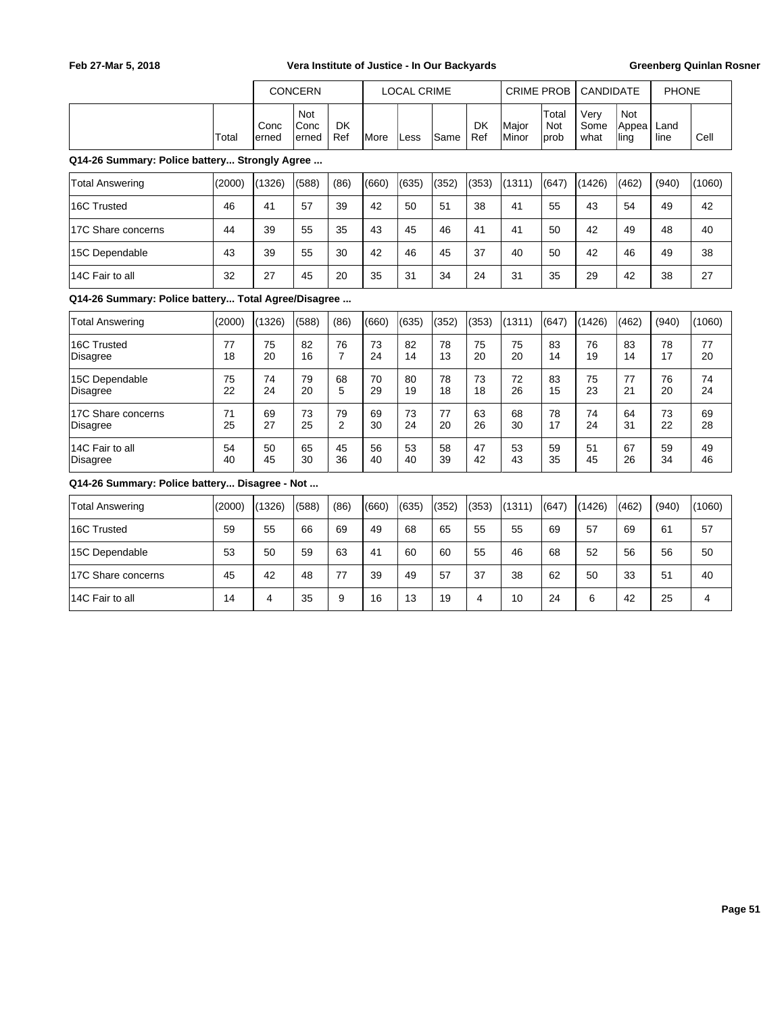|                                                     |          |               | <b>CONCERN</b>        |                      |               | <b>LOCAL CRIME</b> |          |                  | <b>CRIME PROB</b> |                             | <b>CANDIDATE</b>     |                             | <b>PHONE</b> |          |
|-----------------------------------------------------|----------|---------------|-----------------------|----------------------|---------------|--------------------|----------|------------------|-------------------|-----------------------------|----------------------|-----------------------------|--------------|----------|
|                                                     | Total    | Conc<br>erned | Not<br>Conc<br>lerned | <b>DK</b><br>Ref     | <b>I</b> More | Less               | Same     | <b>DK</b><br>Ref | Major<br>Minor    | Total<br><b>Not</b><br>prob | Very<br>Some<br>what | <b>Not</b><br>Appea<br>ling | Land<br>line | Cell     |
| Q14-26 Summary: Police battery Strongly Agree       |          |               |                       |                      |               |                    |          |                  |                   |                             |                      |                             |              |          |
| <b>Total Answering</b>                              | (2000)   | (1326)        | (588)                 | (86)                 | (660)         | (635)              | (352)    | (353)            | (1311)            | (647)                       | (1426)               | (462)                       | (940)        | (1060)   |
| 16C Trusted                                         | 46       | 41            | 57                    | 39                   | 42            | 50                 | 51       | 38               | 41                | 55                          | 43                   | 54                          | 49           | 42       |
| 17C Share concerns                                  | 44       | 39            | 55                    | 35                   | 43            | 45                 | 46       | 41               | 41                | 50                          | 42                   | 49                          | 48           | 40       |
| 15C Dependable                                      | 43       | 39            | 55                    | 30                   | 42            | 46                 | 45       | 37               | 40                | 50                          | 42                   | 46                          | 49           | 38       |
| 14C Fair to all                                     | 32       | 27            | 45                    | 20                   | 35            | 31                 | 34       | 24               | 31                | 35                          | 29                   | 42                          | 38           | 27       |
| Q14-26 Summary: Police battery Total Agree/Disagree |          |               |                       |                      |               |                    |          |                  |                   |                             |                      |                             |              |          |
| <b>Total Answering</b>                              | (2000)   | (1326)        | (588)                 | (86)                 | (660)         | (635)              | (352)    | (353)            | (1311)            | (647)                       | (1426)               | (462)                       | (940)        | (1060)   |
| 16C Trusted<br><b>Disagree</b>                      | 77<br>18 | 75<br>20      | 82<br>16              | 76<br>$\overline{7}$ | 73<br>24      | 82<br>14           | 78<br>13 | 75<br>20         | 75<br>20          | 83<br>14                    | 76<br>19             | 83<br>14                    | 78<br>17     | 77<br>20 |
| 15C Dependable<br><b>Disagree</b>                   | 75<br>22 | 74<br>24      | 79<br>20              | 68<br>5              | 70<br>29      | 80<br>19           | 78<br>18 | 73<br>18         | 72<br>26          | 83<br>15                    | 75<br>23             | 77<br>21                    | 76<br>20     | 74<br>24 |
| 17C Share concerns<br>Disagree                      | 71<br>25 | 69<br>27      | 73<br>25              | 79<br>$\overline{2}$ | 69<br>30      | 73<br>24           | 77<br>20 | 63<br>26         | 68<br>30          | 78<br>17                    | 74<br>24             | 64<br>31                    | 73<br>22     | 69<br>28 |
| 14C Fair to all<br>Disagree                         | 54<br>40 | 50<br>45      | 65<br>30              | 45<br>36             | 56<br>40      | 53<br>40           | 58<br>39 | 47<br>42         | 53<br>43          | 59<br>35                    | 51<br>45             | 67<br>26                    | 59<br>34     | 49<br>46 |
| Q14-26 Summary: Police battery Disagree - Not       |          |               |                       |                      |               |                    |          |                  |                   |                             |                      |                             |              |          |
| <b>Total Answering</b>                              | (2000)   | (1326)        | (588)                 | (86)                 | (660)         | (635)              | (352)    | (353)            | (1311)            | (647)                       | (1426)               | (462)                       | (940)        | (1060)   |
| 16C Trusted                                         | 59       | 55            | 66                    | 69                   | 49            | 68                 | 65       | 55               | 55                | 69                          | 57                   | 69                          | 61           | 57       |
| 15C Dependable                                      | 53       | 50            | 59                    | 63                   | 41            | 60                 | 60       | 55               | 46                | 68                          | 52                   | 56                          | 56           | 50       |
| 17C Share concerns                                  | 45       | 42            | 48                    | 77                   | 39            | 49                 | 57       | 37               | 38                | 62                          | 50                   | 33                          | 51           | 40       |
| 14C Fair to all                                     | 14       | 4             | 35                    | 9                    | 16            | 13                 | 19       | 4                | 10                | 24                          | 6                    | 42                          | 25           | 4        |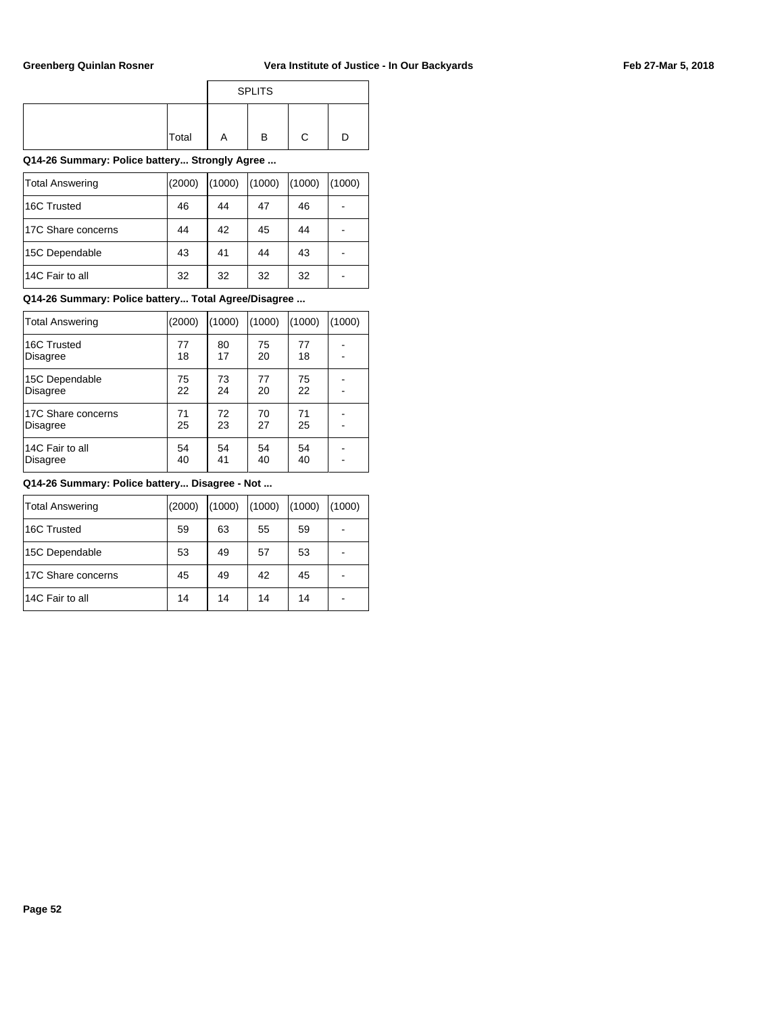|       |   | <b>SPLITS</b> |  |
|-------|---|---------------|--|
| Total | Α | в             |  |

**Q14-26 Summary: Police battery... Strongly Agree ...**

| Total Answering    | (2000) | (1000) | (1000) | (1000) | (1000) |
|--------------------|--------|--------|--------|--------|--------|
| 16C Trusted        | 46     | 44     | 47     | 46     |        |
| 17C Share concerns | 44     | 42     | 45     | 44     |        |
| 15C Dependable     | 43     | 41     | 44     | 43     |        |
| 14C Fair to all    | 32     | 32     | 32     | 32     |        |

## **Q14-26 Summary: Police battery... Total Agree/Disagree ...**

| Total Answering    | (2000) | (1000) | (1000) | (1000) | (1000) |
|--------------------|--------|--------|--------|--------|--------|
| 16C Trusted        | 77     | 80     | 75     | 77     |        |
| <b>Disagree</b>    | 18     | 17     | 20     | 18     |        |
| 15C Dependable     | 75     | 73     | 77     | 75     |        |
| <b>Disagree</b>    | 22     | 24     | 20     | 22     |        |
| 17C Share concerns | 71     | 72     | 70     | 71     |        |
| <b>Disagree</b>    | 25     | 23     | 27     | 25     |        |
| 14C Fair to all    | 54     | 54     | 54     | 54     |        |
| <b>Disagree</b>    | 40     | 41     | 40     | 40     |        |

| Total Answering    | (2000) | (1000) | (1000) | (1000) | (1000) |
|--------------------|--------|--------|--------|--------|--------|
| 16C Trusted        | 59     | 63     | 55     | 59     |        |
| 15C Dependable     | 53     | 49     | 57     | 53     |        |
| 17C Share concerns | 45     | 49     | 42     | 45     |        |
| 14C Fair to all    | 14     | 14     | 14     | 14     |        |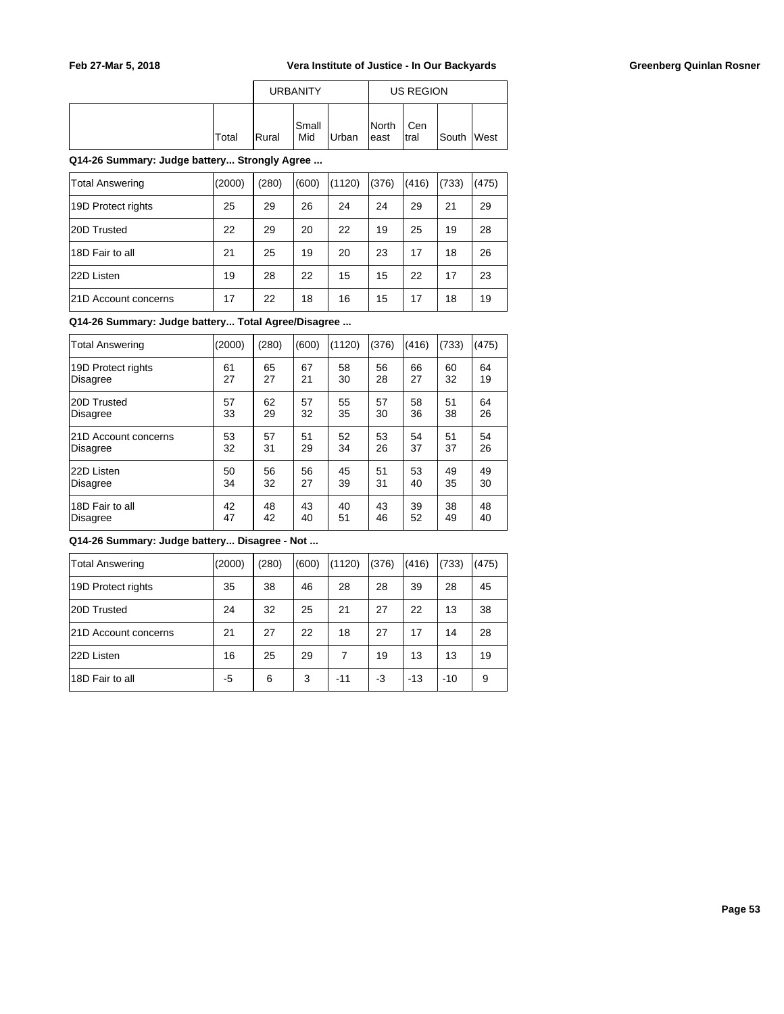|              |                | <b>URBANITY</b>     |       |                        | US REGION    |            |  |
|--------------|----------------|---------------------|-------|------------------------|--------------|------------|--|
| <b>Total</b> | <b>I</b> Rural | <b>Small</b><br>Mid | Urban | <b>INorth</b><br>least | Cen<br>Itral | South West |  |

**Q14-26 Summary: Judge battery... Strongly Agree ...**

| <b>Total Answering</b> | (2000) | (280) | (600) | (1120) | (376) | (416) | (733) | (475) |
|------------------------|--------|-------|-------|--------|-------|-------|-------|-------|
| 19D Protect rights     | 25     | 29    | 26    | 24     | 24    | 29    | 21    | 29    |
| 20D Trusted            | 22     | 29    | 20    | 22     | 19    | 25    | 19    | 28    |
| 18D Fair to all        | 21     | 25    | 19    | 20     | 23    | 17    | 18    | 26    |
| 22D Listen             | 19     | 28    | 22    | 15     | 15    | 22    | 17    | 23    |
| 21D Account concerns   | 17     | 22    | 18    | 16     | 15    | 17    | 18    | 19    |

**Q14-26 Summary: Judge battery... Total Agree/Disagree ...**

| <b>Total Answering</b> | (2000) | (280) | (600) | (1120) | (376) | (416) | (733) | (475) |
|------------------------|--------|-------|-------|--------|-------|-------|-------|-------|
| 19D Protect rights     | 61     | 65    | 67    | 58     | 56    | 66    | 60    | 64    |
| <b>Disagree</b>        | 27     | 27    | 21    | 30     | 28    | 27    | 32    | 19    |
| 20D Trusted            | 57     | 62    | 57    | 55     | 57    | 58    | 51    | 64    |
| Disagree               | 33     | 29    | 32    | 35     | 30    | 36    | 38    | 26    |
| 21D Account concerns   | 53     | 57    | 51    | 52     | 53    | 54    | 51    | 54    |
| Disagree               | 32     | 31    | 29    | 34     | 26    | 37    | 37    | 26    |
| 22D Listen             | 50     | 56    | 56    | 45     | 51    | 53    | 49    | 49    |
| Disagree               | 34     | 32    | 27    | 39     | 31    | 40    | 35    | 30    |
| 18D Fair to all        | 42     | 48    | 43    | 40     | 43    | 39    | 38    | 48    |
| Disagree               | 47     | 42    | 40    | 51     | 46    | 52    | 49    | 40    |

| <b>Total Answering</b> | (2000) | (280) | (600) | (1120) | (376) | (416) | (733) | (475) |
|------------------------|--------|-------|-------|--------|-------|-------|-------|-------|
| 19D Protect rights     | 35     | 38    | 46    | 28     | 28    | 39    | 28    | 45    |
| 20D Trusted            | 24     | 32    | 25    | 21     | 27    | 22    | 13    | 38    |
| 21D Account concerns   | 21     | 27    | 22    | 18     | 27    | 17    | 14    | 28    |
| 22D Listen             | 16     | 25    | 29    | 7      | 19    | 13    | 13    | 19    |
| 18D Fair to all        | -5     | 6     | 3     | $-11$  | -3    | $-13$ | $-10$ | 9     |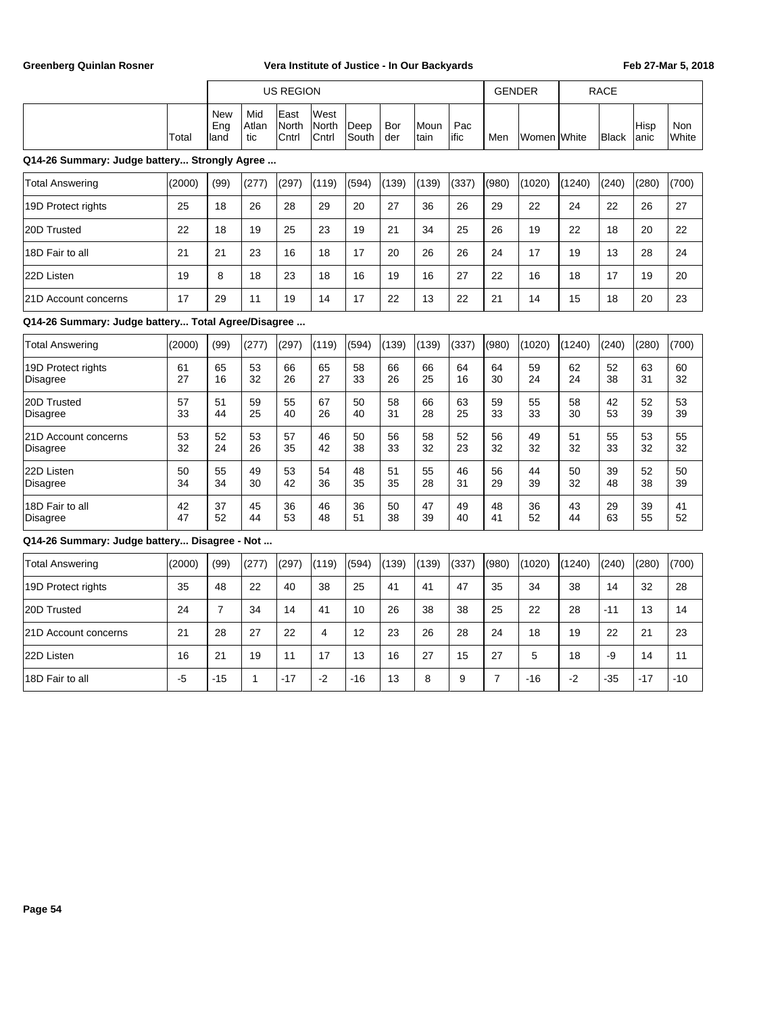|       |                            |                      | US REGION                                    |                                       |               |            |                |              | <b>GENDER</b> |             | <b>RACE</b>  |                       |                     |
|-------|----------------------------|----------------------|----------------------------------------------|---------------------------------------|---------------|------------|----------------|--------------|---------------|-------------|--------------|-----------------------|---------------------|
| Total | New<br>Eng<br><b>Iland</b> | Mid<br>lAtlan<br>tic | <b>IEast</b><br><b>North</b><br><b>Cntrl</b> | lWest<br><b>North</b><br><b>Cntrl</b> | Deep<br>South | Bor<br>der | lMoun<br>∣tain | Pac<br>lific | Men           | Women White | <b>Black</b> | <b>IHisp</b><br>lanic | Non<br><b>White</b> |

## **Q14-26 Summary: Judge battery... Strongly Agree ...**

| <b>Total Answering</b> | (2000) | (99) | (277) | (297) | (119) | (594) | (139) | (139) | (337) | (980) | (1020) | (1240) | (240) | (280) | (700) |
|------------------------|--------|------|-------|-------|-------|-------|-------|-------|-------|-------|--------|--------|-------|-------|-------|
| 19D Protect rights     | 25     | 18   | 26    | 28    | 29    | 20    | 27    | 36    | 26    | 29    | 22     | 24     | 22    | 26    | 27    |
| 20D Trusted            | 22     | 18   | 19    | 25    | 23    | 19    | 21    | 34    | 25    | 26    | 19     | 22     | 18    | 20    | 22    |
| 18D Fair to all        | 21     | 21   | 23    | 16    | 18    | 17    | 20    | 26    | 26    | 24    | 17     | 19     | 13    | 28    | 24    |
| 22D Listen             | 19     | 8    | 18    | 23    | 18    | 16    | 19    | 16    | 27    | 22    | 16     | 18     | 17    | 19    | 20    |
| 121D Account concerns  | 17     | 29   | 11    | 19    | 14    | 17    | 22    | 13    | 22    | 21    | 14     | 15     | 18    | 20    | 23    |

## **Q14-26 Summary: Judge battery... Total Agree/Disagree ...**

| Total Answering      | (2000) | (99) | (277) | (297) | (119) | (594) | (139) | (139) | (337) | (980) | (1020) | (1240) | (240) | (280) | (700) |
|----------------------|--------|------|-------|-------|-------|-------|-------|-------|-------|-------|--------|--------|-------|-------|-------|
| 19D Protect rights   | 61     | 65   | 53    | 66    | 65    | 58    | 66    | 66    | 64    | 64    | 59     | 62     | 52    | 63    | 60    |
| Disagree             | 27     | 16   | 32    | 26    | 27    | 33    | 26    | 25    | 16    | 30    | 24     | 24     | 38    | 31    | 32    |
| 20D Trusted          | 57     | 51   | 59    | 55    | 67    | 50    | 58    | 66    | 63    | 59    | 55     | 58     | 42    | 52    | 53    |
| Disagree             | 33     | 44   | 25    | 40    | 26    | 40    | 31    | 28    | 25    | 33    | 33     | 30     | 53    | 39    | 39    |
| 21D Account concerns | 53     | 52   | 53    | 57    | 46    | 50    | 56    | 58    | 52    | 56    | 49     | 51     | 55    | 53    | 55    |
| Disagree             | 32     | 24   | 26    | 35    | 42    | 38    | 33    | 32    | 23    | 32    | 32     | 32     | 33    | 32    | 32    |
| 22D Listen           | 50     | 55   | 49    | 53    | 54    | 48    | 51    | 55    | 46    | 56    | 44     | 50     | 39    | 52    | 50    |
| Disagree             | 34     | 34   | 30    | 42    | 36    | 35    | 35    | 28    | 31    | 29    | 39     | 32     | 48    | 38    | 39    |
| 18D Fair to all      | 42     | 37   | 45    | 36    | 46    | 36    | 50    | 47    | 49    | 48    | 36     | 43     | 29    | 39    | 41    |
| Disagree             | 47     | 52   | 44    | 53    | 48    | 51    | 38    | 39    | 40    | 41    | 52     | 44     | 63    | 55    | 52    |

| Total Answering             | (2000) | (99)  | (277) | (297) | (119) | (594) | (139) | (139) | (337) | (980) | (1020) | (1240) | (240) | (280) | (700) |
|-----------------------------|--------|-------|-------|-------|-------|-------|-------|-------|-------|-------|--------|--------|-------|-------|-------|
| 19D Protect rights          | 35     | 48    | 22    | 40    | 38    | 25    | -41   | 41    | 47    | 35    | 34     | 38     | 14    | 32    | 28    |
| 20D Trusted                 | 24     |       | 34    | 14    | 41    | 10    | 26    | 38    | 38    | 25    | 22     | 28     | $-11$ | 13    | 14    |
| <b>21D Account concerns</b> | 21     | 28    | 27    | 22    | 4     | 12    | 23    | 26    | 28    | 24    | 18     | 19     | 22    | 21    | 23    |
| 22D Listen                  | 16     | 21    | 19    | 11    | 17    | 13    | 16    | 27    | 15    | 27    | 5      | 18     | -9    | 14    | 11    |
| 18D Fair to all             | -5     | $-15$ |       | $-17$ | -2    | $-16$ | 13    | 8     | 9     |       | $-16$  | -2     | $-35$ | $-17$ | $-10$ |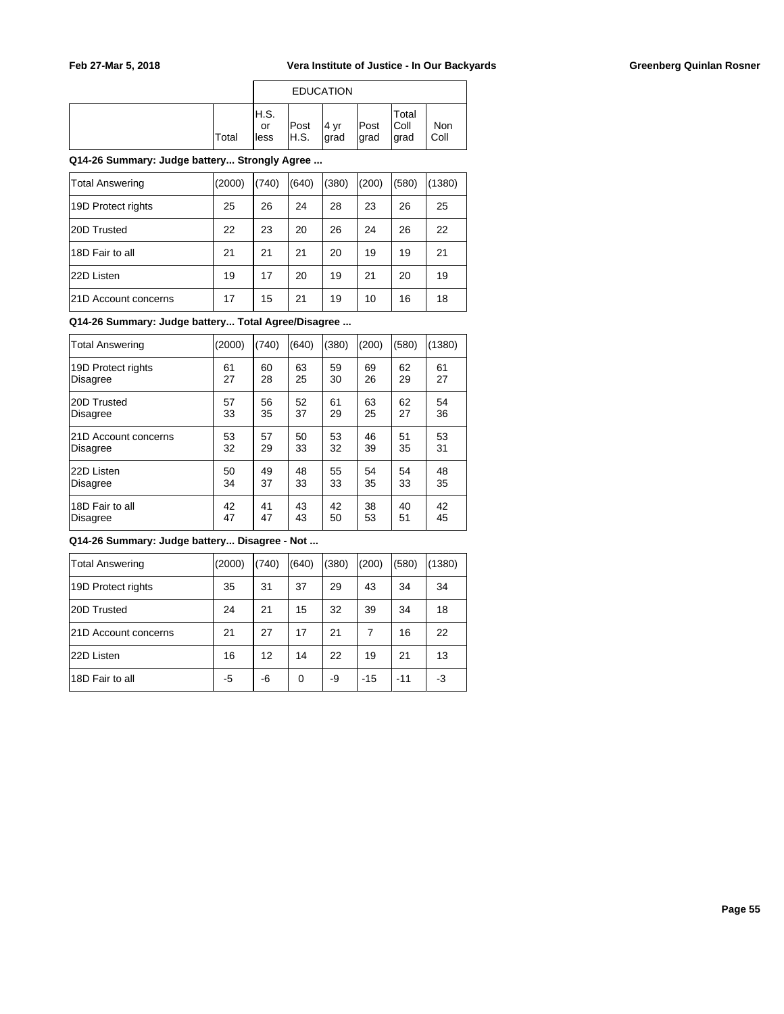|       |                     | <b>EDUCATION</b> |                |               |                         |             |
|-------|---------------------|------------------|----------------|---------------|-------------------------|-------------|
| Total | H.S.<br>or<br>lless | Post<br>IH.S.    | ∣4 ∨r<br>∣grad | Post<br>∣grad | Total<br> Coll<br> grad | Non<br>Coll |

**Q14-26 Summary: Judge battery... Strongly Agree ...**

| <b>Total Answering</b> | (2000) | (740) | (640) | 380) | (200) | (580) | (1380) |
|------------------------|--------|-------|-------|------|-------|-------|--------|
| 19D Protect rights     | 25     | 26    | 24    | 28   | 23    | 26    | 25     |
| 20D Trusted            | 22     | 23    | 20    | 26   | 24    | 26    | 22     |
| 18D Fair to all        | 21     | 21    | 21    | 20   | 19    | 19    | 21     |
| 22D Listen             | 19     | 17    | 20    | 19   | 21    | 20    | 19     |
| 121D Account concerns  | 17     | 15    | 21    | 19   | 10    | 16    | 18     |

## **Q14-26 Summary: Judge battery... Total Agree/Disagree ...**

| <b>Total Answering</b> | (2000) | (740) | (640) | (380) | (200) | (580) | (1380) |
|------------------------|--------|-------|-------|-------|-------|-------|--------|
| 19D Protect rights     | 61     | 60    | 63    | 59    | 69    | 62    | 61     |
| Disagree               | 27     | 28    | 25    | 30    | 26    | 29    | 27     |
| 20D Trusted            | 57     | 56    | 52    | 61    | 63    | 62    | 54     |
| <b>Disagree</b>        | 33     | 35    | 37    | 29    | 25    | 27    | 36     |
| 21D Account concerns   | 53     | 57    | 50    | 53    | 46    | 51    | 53     |
| <b>Disagree</b>        | 32     | 29    | 33    | 32    | 39    | 35    | 31     |
| 22D Listen             | 50     | 49    | 48    | 55    | 54    | 54    | 48     |
| <b>Disagree</b>        | 34     | 37    | 33    | 33    | 35    | 33    | 35     |
| 18D Fair to all        | 42     | 41    | 43    | 42    | 38    | 40    | 42     |
| <b>Disagree</b>        | 47     | 47    | 43    | 50    | 53    | 51    | 45     |

| <b>Total Answering</b> | (2000) | (740) | (640) | (380) | (200) | (580) | (1380) |
|------------------------|--------|-------|-------|-------|-------|-------|--------|
| 19D Protect rights     | 35     | 31    | 37    | 29    | 43    | 34    | 34     |
| 20D Trusted            | 24     | 21    | 15    | 32    | 39    | 34    | 18     |
| 21D Account concerns   | 21     | 27    | 17    | 21    | 7     | 16    | 22     |
| 22D Listen             | 16     | 12    | 14    | 22    | 19    | 21    | 13     |
| 18D Fair to all        | -5     | -6    | 0     | -9    | -15   | $-11$ | -3     |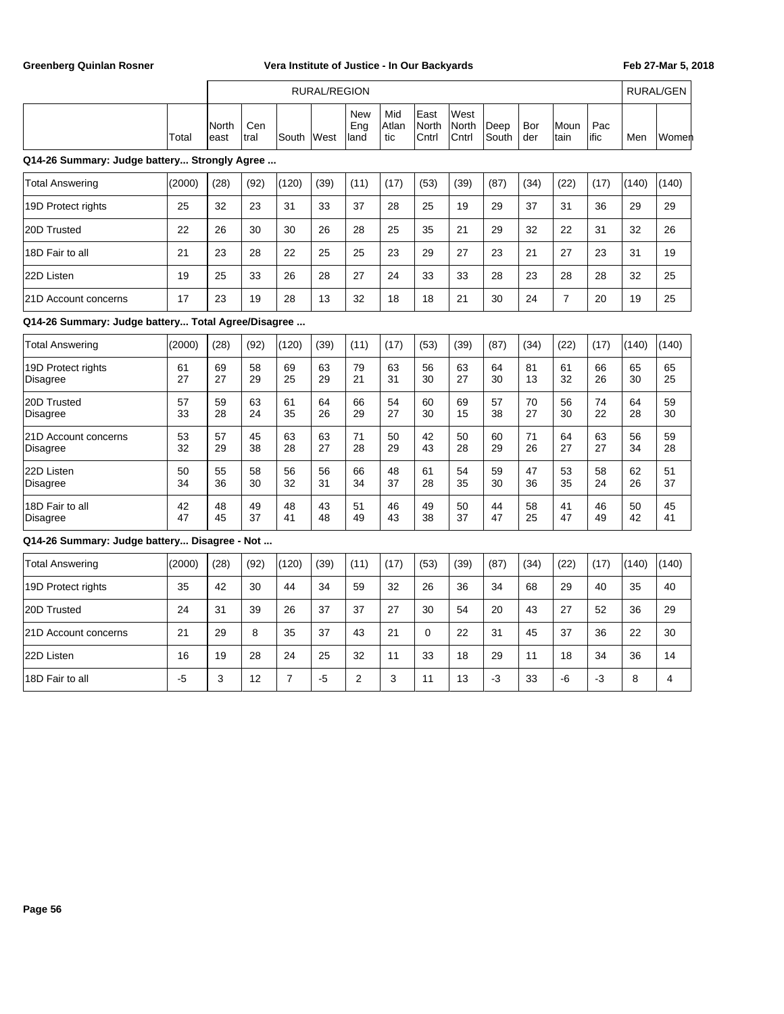|                                                    |          |               |             |                | <b>RURAL/REGION</b> |                           |                     |                        |                               |               |            |                |              |          | <b>RURAL/GEN</b> |
|----------------------------------------------------|----------|---------------|-------------|----------------|---------------------|---------------------------|---------------------|------------------------|-------------------------------|---------------|------------|----------------|--------------|----------|------------------|
|                                                    | Total    | North<br>east | Cen<br>tral | South          | West                | <b>New</b><br>Eng<br>land | Mid<br>Atlan<br>tic | East<br>North<br>Cntrl | West<br><b>North</b><br>Cntrl | Deep<br>South | Bor<br>der | Moun<br>tain   | Pac<br>lific | Men      | Women            |
| Q14-26 Summary: Judge battery Strongly Agree       |          |               |             |                |                     |                           |                     |                        |                               |               |            |                |              |          |                  |
| <b>Total Answering</b>                             | (2000)   | (28)          | (92)        | (120)          | (39)                | (11)                      | (17)                | (53)                   | (39)                          | (87)          | (34)       | (22)           | (17)         | (140)    | (140)            |
| 19D Protect rights                                 | 25       | 32            | 23          | 31             | 33                  | 37                        | 28                  | 25                     | 19                            | 29            | 37         | 31             | 36           | 29       | 29               |
| 20D Trusted                                        | 22       | 26            | 30          | 30             | 26                  | 28                        | 25                  | 35                     | 21                            | 29            | 32         | 22             | 31           | 32       | 26               |
| 18D Fair to all                                    | 21       | 23            | 28          | 22             | 25                  | 25                        | 23                  | 29                     | 27                            | 23            | 21         | 27             | 23           | 31       | 19               |
| 22D Listen                                         | 19       | 25            | 33          | 26             | 28                  | 27                        | 24                  | 33                     | 33                            | 28            | 23         | 28             | 28           | 32       | 25               |
| 21D Account concerns                               | 17       | 23            | 19          | 28             | 13                  | 32                        | 18                  | 18                     | 21                            | 30            | 24         | $\overline{7}$ | 20           | 19       | 25               |
| Q14-26 Summary: Judge battery Total Agree/Disagree |          |               |             |                |                     |                           |                     |                        |                               |               |            |                |              |          |                  |
| <b>Total Answering</b>                             | (2000)   | (28)          | (92)        | (120)          | (39)                | (11)                      | (17)                | (53)                   | (39)                          | (87)          | (34)       | (22)           | (17)         | (140)    | (140)            |
| 19D Protect rights<br>Disagree                     | 61<br>27 | 69<br>27      | 58<br>29    | 69<br>25       | 63<br>29            | 79<br>21                  | 63<br>31            | 56<br>30               | 63<br>27                      | 64<br>30      | 81<br>13   | 61<br>32       | 66<br>26     | 65<br>30 | 65<br>25         |
| 20D Trusted<br><b>Disagree</b>                     | 57<br>33 | 59<br>28      | 63<br>24    | 61<br>35       | 64<br>26            | 66<br>29                  | 54<br>27            | 60<br>30               | 69<br>15                      | 57<br>38      | 70<br>27   | 56<br>30       | 74<br>22     | 64<br>28 | 59<br>30         |
| 21D Account concerns<br><b>Disagree</b>            | 53<br>32 | 57<br>29      | 45<br>38    | 63<br>28       | 63<br>27            | 71<br>28                  | 50<br>29            | 42<br>43               | 50<br>28                      | 60<br>29      | 71<br>26   | 64<br>27       | 63<br>27     | 56<br>34 | 59<br>28         |
| 22D Listen<br><b>Disagree</b>                      | 50<br>34 | 55<br>36      | 58<br>30    | 56<br>32       | 56<br>31            | 66<br>34                  | 48<br>37            | 61<br>28               | 54<br>35                      | 59<br>30      | 47<br>36   | 53<br>35       | 58<br>24     | 62<br>26 | 51<br>37         |
| 18D Fair to all<br><b>Disagree</b>                 | 42<br>47 | 48<br>45      | 49<br>37    | 48<br>41       | 43<br>48            | 51<br>49                  | 46<br>43            | 49<br>38               | 50<br>37                      | 44<br>47      | 58<br>25   | 41<br>47       | 46<br>49     | 50<br>42 | 45<br>41         |
| Q14-26 Summary: Judge battery Disagree - Not       |          |               |             |                |                     |                           |                     |                        |                               |               |            |                |              |          |                  |
| <b>Total Answering</b>                             | (2000)   | (28)          | (92)        | (120)          | (39)                | (11)                      | (17)                | (53)                   | (39)                          | (87)          | (34)       | (22)           | (17)         | (140)    | (140)            |
| 19D Protect rights                                 | 35       | 42            | 30          | 44             | 34                  | 59                        | 32                  | 26                     | 36                            | 34            | 68         | 29             | 40           | 35       | 40               |
| 20D Trusted                                        | 24       | 31            | 39          | 26             | 37                  | 37                        | 27                  | 30                     | 54                            | 20            | 43         | 27             | 52           | 36       | 29               |
| 21D Account concerns                               | 21       | 29            | 8           | 35             | 37                  | 43                        | 21                  | $\Omega$               | 22                            | 31            | 45         | 37             | 36           | 22       | 30               |
| 22D Listen                                         | 16       | 19            | 28          | 24             | 25                  | 32                        | 11                  | 33                     | 18                            | 29            | 11         | 18             | 34           | 36       | 14               |
| 18D Fair to all                                    | -5       | 3             | 12          | $\overline{7}$ | -5                  | 2                         | 3                   | 11                     | 13                            | -3            | 33         | -6             | -3           | 8        | 4                |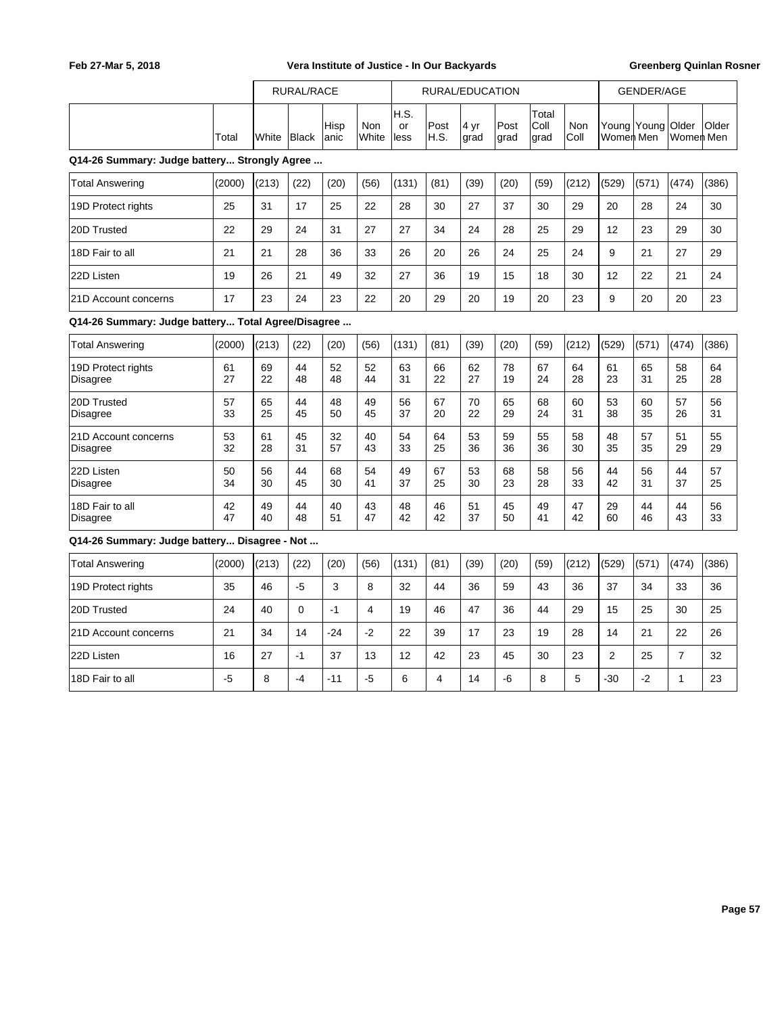|                                                    |          | RURAL/RACE |          |               |                |                      |                | RURAL/EDUCATION |              |                       |                    |           | <b>GENDER/AGE</b> |                |              |
|----------------------------------------------------|----------|------------|----------|---------------|----------------|----------------------|----------------|-----------------|--------------|-----------------------|--------------------|-----------|-------------------|----------------|--------------|
|                                                    | Total    | White      | Black    | Hisp<br>lanic | Non<br>White   | IH.S.<br>or<br>lless | Post<br>H.S.   | 4 yr<br>grad    | Post<br>grad | Total<br>Coll<br>grad | <b>Non</b><br>Coll | Women Men | Young Young Older | Women Men      | <b>Older</b> |
| Q14-26 Summary: Judge battery Strongly Agree       |          |            |          |               |                |                      |                |                 |              |                       |                    |           |                   |                |              |
| <b>Total Answering</b>                             | (2000)   | (213)      | (22)     | (20)          | (56)           | (131)                | (81)           | (39)            | (20)         | (59)                  | (212)              | (529)     | (571)             | (474)          | (386)        |
| 19D Protect rights                                 | 25       | 31         | 17       | 25            | 22             | 28                   | 30             | 27              | 37           | 30                    | 29                 | 20        | 28                | 24             | 30           |
| 20D Trusted                                        | 22       | 29         | 24       | 31            | 27             | 27                   | 34             | 24              | 28           | 25                    | 29                 | 12        | 23                | 29             | 30           |
| 18D Fair to all                                    | 21       | 21         | 28       | 36            | 33             | 26                   | 20             | 26              | 24           | 25                    | 24                 | 9         | 21                | 27             | 29           |
| 22D Listen                                         | 19       | 26         | 21       | 49            | 32             | 27                   | 36             | 19              | 15           | 18                    | 30                 | 12        | 22                | 21             | 24           |
| 21D Account concerns                               | 17       | 23         | 24       | 23            | 22             | 20                   | 29             | 20              | 19           | 20                    | 23                 | 9         | 20                | 20             | 23           |
| Q14-26 Summary: Judge battery Total Agree/Disagree |          |            |          |               |                |                      |                |                 |              |                       |                    |           |                   |                |              |
| <b>Total Answering</b>                             | (2000)   | (213)      | (22)     | (20)          | (56)           | (131)                | (81)           | (39)            | (20)         | (59)                  | (212)              | (529)     | (571)             | (474)          | (386)        |
| 19D Protect rights<br><b>Disagree</b>              | 61<br>27 | 69<br>22   | 44<br>48 | 52<br>48      | 52<br>44       | 63<br>31             | 66<br>22       | 62<br>27        | 78<br>19     | 67<br>24              | 64<br>28           | 61<br>23  | 65<br>31          | 58<br>25       | 64<br>28     |
| 20D Trusted<br><b>Disagree</b>                     | 57<br>33 | 65<br>25   | 44<br>45 | 48<br>50      | 49<br>45       | 56<br>37             | 67<br>20       | 70<br>22        | 65<br>29     | 68<br>24              | 60<br>31           | 53<br>38  | 60<br>35          | 57<br>26       | 56<br>31     |
| 21D Account concerns<br><b>Disagree</b>            | 53<br>32 | 61<br>28   | 45<br>31 | 32<br>57      | 40<br>43       | 54<br>33             | 64<br>25       | 53<br>36        | 59<br>36     | 55<br>36              | 58<br>30           | 48<br>35  | 57<br>35          | 51<br>29       | 55<br>29     |
| 22D Listen<br>Disagree                             | 50<br>34 | 56<br>30   | 44<br>45 | 68<br>30      | 54<br>41       | 49<br>37             | 67<br>25       | 53<br>30        | 68<br>23     | 58<br>28              | 56<br>33           | 44<br>42  | 56<br>31          | 44<br>37       | 57<br>25     |
| 18D Fair to all<br><b>Disagree</b>                 | 42<br>47 | 49<br>40   | 44<br>48 | 40<br>51      | 43<br>47       | 48<br>42             | 46<br>42       | 51<br>37        | 45<br>50     | 49<br>41              | 47<br>42           | 29<br>60  | 44<br>46          | 44<br>43       | 56<br>33     |
| Q14-26 Summary: Judge battery Disagree - Not       |          |            |          |               |                |                      |                |                 |              |                       |                    |           |                   |                |              |
| <b>Total Answering</b>                             | (2000)   | (213)      | (22)     | (20)          | (56)           | (131)                | (81)           | (39)            | (20)         | (59)                  | (212)              | (529)     | (571)             | (474)          | (386)        |
| 19D Protect rights                                 | 35       | 46         | $-5$     | 3             | 8              | 32                   | 44             | 36              | 59           | 43                    | 36                 | 37        | 34                | 33             | 36           |
| 20D Trusted                                        | 24       | 40         | $\Omega$ | $-1$          | $\overline{4}$ | 19                   | 46             | 47              | 36           | 44                    | 29                 | 15        | 25                | 30             | 25           |
| 21D Account concerns                               | 21       | 34         | 14       | $-24$         | $-2$           | 22                   | 39             | 17              | 23           | 19                    | 28                 | 14        | 21                | 22             | 26           |
| 22D Listen                                         | 16       | 27         | $-1$     | 37            | 13             | 12                   | 42             | 23              | 45           | 30                    | 23                 | 2         | 25                | $\overline{7}$ | 32           |
| 18D Fair to all                                    | -5       | 8          | $-4$     | $-11$         | $-5$           | 6                    | $\overline{4}$ | 14              | -6           | 8                     | 5                  | $-30$     | $-2$              | 1              | 23           |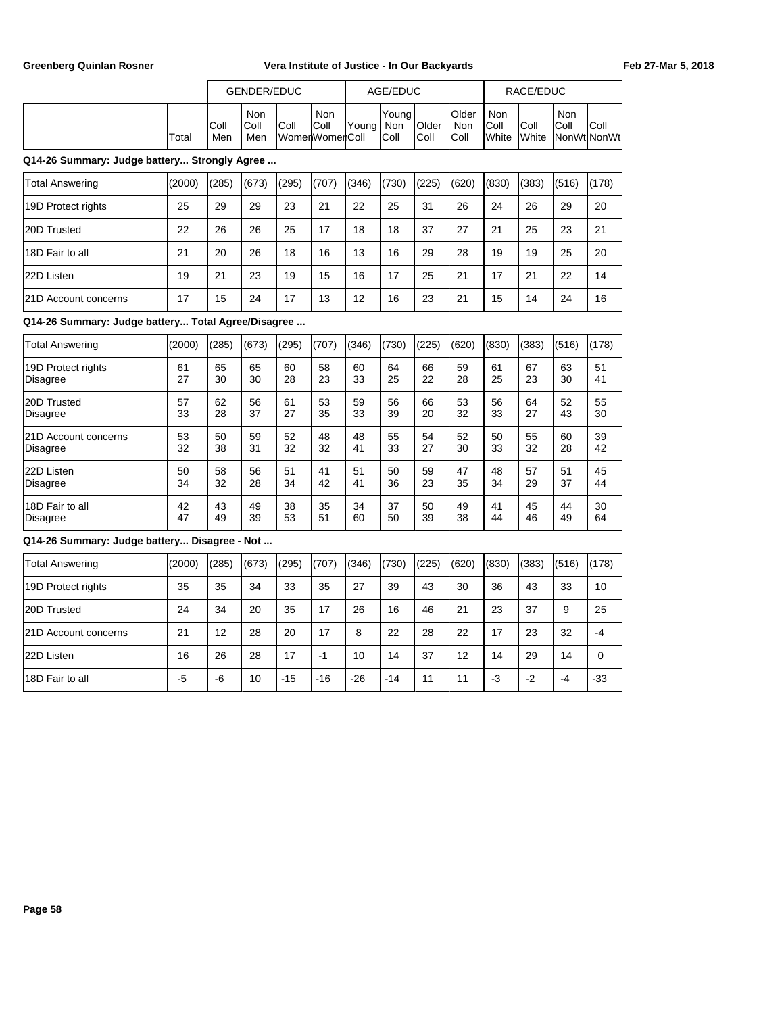|       |              | GENDER/EDUC                                                                     |  |  |  | AGE/EDUC               |                       |                              |                                       | RACE/EDUC            |                             |      |
|-------|--------------|---------------------------------------------------------------------------------|--|--|--|------------------------|-----------------------|------------------------------|---------------------------------------|----------------------|-----------------------------|------|
| Total | IColl<br>Men | Non<br><b>Non</b><br> Coll<br>Coll<br>Coll<br>'Young⊺<br> WomenWomenColl<br>Men |  |  |  | 'Youna<br>Non<br> Coll | <b>Older</b><br> Coll | <b>Older</b><br>Non<br> Coll | <b>Non</b><br>IColl<br><b>I</b> White | Coll<br><b>White</b> | Non<br> Coll<br>NonWt NonWt | Coll |

## **Q14-26 Summary: Judge battery... Strongly Agree ...**

| Total Answering             | (2000) | (285) | (673) | (295) | (707) | (346) | (730) | (225) | (620) | (830) | (383) | (516) | (178) |
|-----------------------------|--------|-------|-------|-------|-------|-------|-------|-------|-------|-------|-------|-------|-------|
| 19D Protect rights          | 25     | 29    | 29    | 23    | 21    | 22    | 25    | 31    | 26    | 24    | 26    | 29    | 20    |
| 20D Trusted                 | 22     | 26    | 26    | 25    | 17    | 18    | 18    | 37    | 27    | 21    | 25    | 23    | 21    |
| 18D Fair to all             | 21     | 20    | 26    | 18    | 16    | 13    | 16    | 29    | 28    | 19    | 19    | 25    | 20    |
| 22D Listen                  | 19     | 21    | 23    | 19    | 15    | 16    | 17    | 25    | 21    | 17    | 21    | 22    | 14    |
| <b>21D Account concerns</b> | 17     | 15    | 24    | 17    | 13    | 12    | 16    | 23    | 21    | 15    | 14    | 24    | 16    |

## **Q14-26 Summary: Judge battery... Total Agree/Disagree ...**

| <b>Total Answering</b>      | (2000) | (285) | (673) | (295) | (707) | (346) | (730) | (225) | (620) | (830) | (383) | (516) | (178) |
|-----------------------------|--------|-------|-------|-------|-------|-------|-------|-------|-------|-------|-------|-------|-------|
| 19D Protect rights          | 61     | 65    | 65    | 60    | 58    | 60    | 64    | 66    | 59    | 61    | 67    | 63    | 51    |
| Disagree                    | 27     | 30    | 30    | 28    | 23    | 33    | 25    | 22    | 28    | 25    | 23    | 30    | 41    |
| 20D Trusted                 | 57     | 62    | 56    | 61    | 53    | 59    | 56    | 66    | 53    | 56    | 64    | 52    | 55    |
| Disagree                    | 33     | 28    | 37    | 27    | 35    | 33    | 39    | 20    | 32    | 33    | 27    | 43    | 30    |
| <b>21D Account concerns</b> | 53     | 50    | 59    | 52    | 48    | 48    | 55    | 54    | 52    | 50    | 55    | 60    | 39    |
| Disagree                    | 32     | 38    | 31    | 32    | 32    | 41    | 33    | 27    | 30    | 33    | 32    | 28    | 42    |
| 22D Listen                  | 50     | 58    | 56    | 51    | 41    | 51    | 50    | 59    | 47    | 48    | 57    | 51    | 45    |
| Disagree                    | 34     | 32    | 28    | 34    | 42    | 41    | 36    | 23    | 35    | 34    | 29    | 37    | 44    |
| 18D Fair to all             | 42     | 43    | 49    | 38    | 35    | 34    | 37    | 50    | 49    | 41    | 45    | 44    | 30    |
| Disagree                    | 47     | 49    | 39    | 53    | 51    | 60    | 50    | 39    | 38    | 44    | 46    | 49    | 64    |

| <b>Total Answering</b>      | (2000) | (285) | (673) | (295) | (707) | (346) | (730) | (225) | (620) | (830) | (383) | (516) | (178)       |
|-----------------------------|--------|-------|-------|-------|-------|-------|-------|-------|-------|-------|-------|-------|-------------|
| 19D Protect rights          | 35     | 35    | 34    | 33    | 35    | 27    | 39    | 43    | 30    | 36    | 43    | 33    | 10          |
| 20D Trusted                 | 24     | 34    | 20    | 35    | 17    | 26    | 16    | 46    | 21    | 23    | 37    | 9     | 25          |
| <b>21D Account concerns</b> | 21     | 12    | 28    | 20    | 17    | 8     | 22    | 28    | 22    | 17    | 23    | 32    | $-4$        |
| 22D Listen                  | 16     | 26    | 28    | 17    | -1    | 10    | 14    | 37    | 12    | 14    | 29    | 14    | $\mathbf 0$ |
| 18D Fair to all             | -5     | -6    | 10    | $-15$ | $-16$ | $-26$ | $-14$ | 11    | 11    | -3    | $-2$  | $-4$  | $-33$       |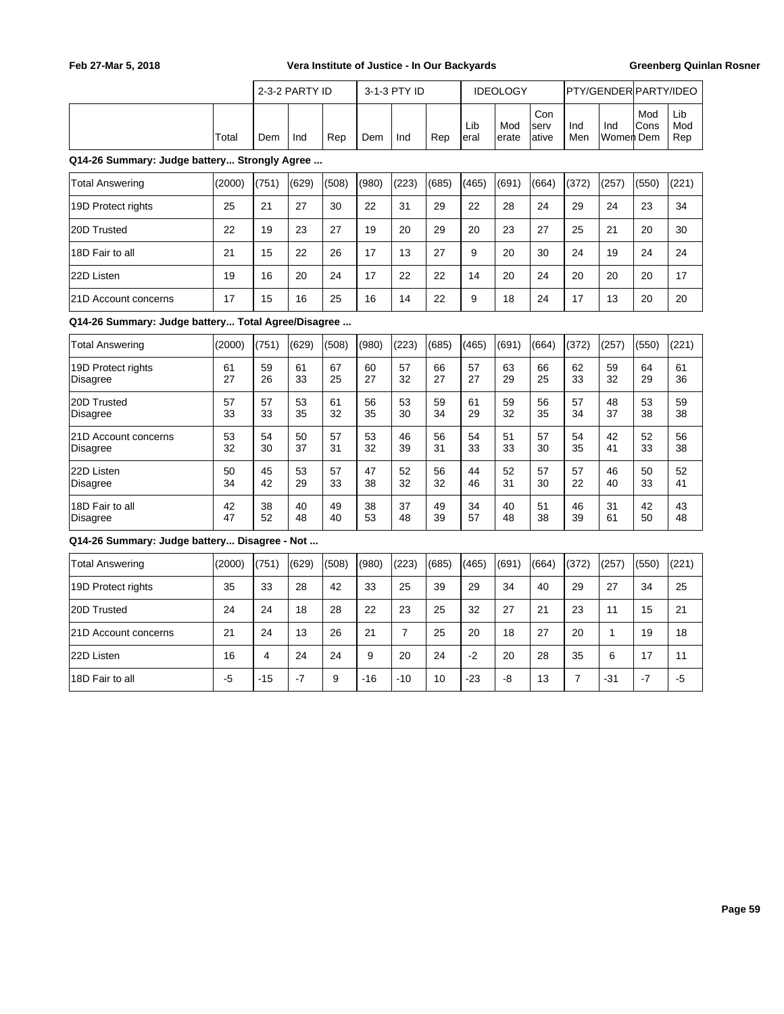|                                                    |        |       | 2-3-2 PARTY ID |       |       | 3-1-3 PTY ID |       |              | <b>IDEOLOGY</b> |                      |            | PTY/GENDER PARTY/IDEO |                    |                   |
|----------------------------------------------------|--------|-------|----------------|-------|-------|--------------|-------|--------------|-----------------|----------------------|------------|-----------------------|--------------------|-------------------|
|                                                    | Total  | Dem   | Ind            | Rep   | Dem   | Ind          | Rep   | Lib<br>leral | Mod<br>lerate   | Con<br>serv<br>ative | Ind<br>Men | Ind<br>Momen  Dem     | Mod<br><b>Cons</b> | Lib<br>Mod<br>Rep |
| Q14-26 Summary: Judge battery Strongly Agree       |        |       |                |       |       |              |       |              |                 |                      |            |                       |                    |                   |
| <b>Total Answering</b>                             | (2000) | (751) | (629)          | (508) | (980) | (223)        | (685) | (465)        | (691)           | (664)                | (372)      | (257)                 | (550)              | (221)             |
| 19D Protect rights                                 | 25     | 21    | 27             | 30    | 22    | 31           | 29    | 22           | 28              | 24                   | 29         | 24                    | 23                 | 34                |
| 20D Trusted                                        | 22     | 19    | 23             | 27    | 19    | 20           | 29    | 20           | 23              | 27                   | 25         | 21                    | 20                 | 30                |
| 18D Fair to all                                    | 21     | 15    | 22             | 26    | 17    | 13           | 27    | 9            | 20              | 30                   | 24         | 19                    | 24                 | 24                |
| 22D Listen                                         | 19     | 16    | 20             | 24    | 17    | 22           | 22    | 14           | 20              | 24                   | 20         | 20                    | 20                 | 17                |
| 121D Account concerns                              | 17     | 15    | 16             | 25    | 16    | 14           | 22    | 9            | 18              | 24                   | 17         | 13                    | 20                 | 20                |
| Q14-26 Summary: Judge battery Total Agree/Disagree |        |       |                |       |       |              |       |              |                 |                      |            |                       |                    |                   |
| <b>Total Answering</b>                             | (2000) | (751) | (629)          | (508) | (980) | (223)        | (685) | (465)        | (691)           | (664)                | (372)      | (257)                 | (550)              | (221)             |
|                                                    |        |       |                |       |       |              |       |              |                 |                      |            |                       |                    |                   |

|                      | $1 - 0 - 0 - 1$ |    | $- - -$ | --- | , J J J , |    | $\sim$ $\sim$ $\sim$ $\sim$ | $\cdot$ | $\sim$ | $\cdots$ | $\cdot$ $ \cdot$ | <u>,</u> | $\overline{\phantom{a}}$ | $\cdots$ |
|----------------------|-----------------|----|---------|-----|-----------|----|-----------------------------|---------|--------|----------|------------------|----------|--------------------------|----------|
| 19D Protect rights   | 61              | 59 | 61      | 67  | 60        | 57 | 66                          | 57      | 63     | 66       | 62               | 59       | 64                       | 61       |
| Disagree             | 27              | 26 | 33      | 25  | 27        | 32 | 27                          | 27      | 29     | 25       | 33               | 32       | 29                       | 36       |
| 20D Trusted          | 57              | 57 | 53      | 61  | 56        | 53 | 59                          | 61      | 59     | 56       | 57               | 48       | 53                       | 59       |
| Disagree             | 33              | 33 | 35      | 32  | 35        | 30 | 34                          | 29      | 32     | 35       | 34               | 37       | 38                       | 38       |
| 21D Account concerns | 53              | 54 | 50      | 57  | 53        | 46 | 56                          | 54      | 51     | 57       | 54               | 42       | 52                       | 56       |
| Disagree             | 32              | 30 | 37      | 31  | 32        | 39 | 31                          | 33      | 33     | 30       | 35               | 41       | 33                       | 38       |
| 22D Listen           | 50              | 45 | 53      | 57  | 47        | 52 | 56                          | 44      | 52     | 57       | 57               | 46       | 50                       | 52       |
| <b>Disagree</b>      | 34              | 42 | 29      | 33  | 38        | 32 | 32                          | 46      | 31     | 30       | 22               | 40       | 33                       | 41       |
| 18D Fair to all      | 42              | 38 | 40      | 49  | 38        | 37 | 49                          | 34      | 40     | 51       | 46               | 31       | 42                       | 43       |
| Disagree             | 47              | 52 | 48      | 40  | 53        | 48 | 39                          | 57      | 48     | 38       | 39               | 61       | 50                       | 48       |

| Total Answering             | (2000) | (751) | (629) | (508) | (980) | (223) | (685) | (465) | (691) | (664) | (372) | (257) | (550) | (221) |
|-----------------------------|--------|-------|-------|-------|-------|-------|-------|-------|-------|-------|-------|-------|-------|-------|
| 19D Protect rights          | 35     | 33    | 28    | 42    | 33    | 25    | 39    | 29    | 34    | 40    | 29    | 27    | 34    | 25    |
| 20D Trusted                 | 24     | 24    | 18    | 28    | 22    | 23    | 25    | 32    | 27    | 21    | 23    | 11    | 15    | 21    |
| <b>21D Account concerns</b> | 21     | 24    | 13    | 26    | 21    |       | 25    | 20    | 18    | 27    | 20    |       | 19    | 18    |
| 22D Listen                  | 16     | 4     | 24    | 24    | 9     | 20    | 24    | $-2$  | 20    | 28    | 35    | 6     | 17    | 11    |
| 18D Fair to all             | -5     | $-15$ | $-7$  | 9     | $-16$ | $-10$ | 10    | $-23$ | -8    | 13    |       | $-31$ | $-7$  | -5    |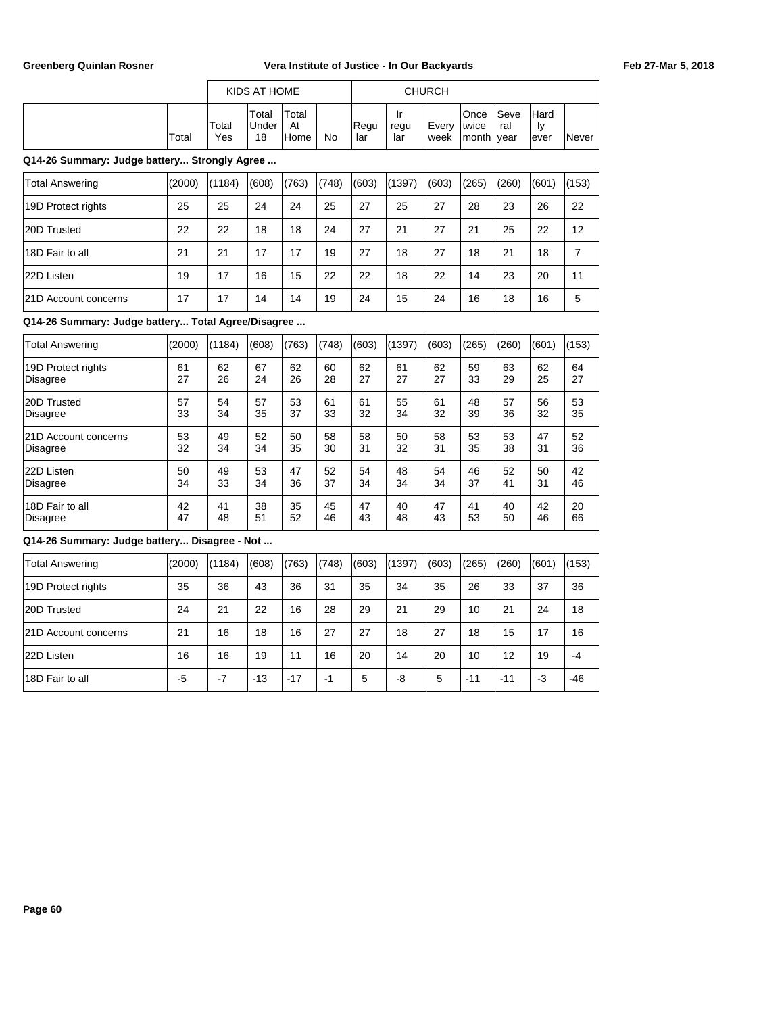|       |              | KIDS AT HOME          |                             |    |              |             | <b>CHURCH</b>   |                              |              |                     |              |
|-------|--------------|-----------------------|-----------------------------|----|--------------|-------------|-----------------|------------------------------|--------------|---------------------|--------------|
| Total | Total<br>Yes | Total<br>∣Under<br>18 | 'Total<br>At<br><b>Home</b> | No | IReau<br>lar | regu<br>lar | iEverv<br>lweek | Once<br>Itwice<br>month vear | lSeve<br>ral | Hard<br>١v<br>lever | <b>Never</b> |

## **Q14-26 Summary: Judge battery... Strongly Agree ...**

| Total Answering             | (2000) | (1184) | (608) | (763) | (748) | (603) | (1397) | (603) | (265) | (260) | (601) | (153) |
|-----------------------------|--------|--------|-------|-------|-------|-------|--------|-------|-------|-------|-------|-------|
| 19D Protect rights          | 25     | 25     | 24    | 24    | 25    | 27    | 25     | 27    | 28    | 23    | 26    | 22    |
| 20D Trusted                 | 22     | 22     | 18    | 18    | 24    | 27    | 21     | 27    | 21    | 25    | 22    | 12    |
| 18D Fair to all             | 21     | 21     | 17    | 17    | 19    | 27    | 18     | 27    | 18    | 21    | 18    |       |
| 22D Listen                  | 19     | 17     | 16    | 15    | 22    | 22    | 18     | 22    | 14    | 23    | 20    | 11    |
| <b>21D Account concerns</b> | 17     | 17     | 14    | 14    | 19    | 24    | 15     | 24    | 16    | 18    | 16    | 5     |

## **Q14-26 Summary: Judge battery... Total Agree/Disagree ...**

| <b>Total Answering</b>      | (2000) | (1184) | (608) | (763) | (748) | (603) | (1397) | (603) | (265) | (260) | (601) | (153) |
|-----------------------------|--------|--------|-------|-------|-------|-------|--------|-------|-------|-------|-------|-------|
| 19D Protect rights          | 61     | 62     | 67    | 62    | 60    | 62    | 61     | 62    | 59    | 63    | 62    | 64    |
| Disagree                    | 27     | 26     | 24    | 26    | 28    | 27    | 27     | 27    | 33    | 29    | 25    | 27    |
| 20D Trusted                 | 57     | 54     | 57    | 53    | 61    | 61    | 55     | 61    | 48    | 57    | 56    | 53    |
| <b>Disagree</b>             | 33     | 34     | 35    | 37    | 33    | 32    | 34     | 32    | 39    | 36    | 32    | 35    |
| <b>21D Account concerns</b> | 53     | 49     | 52    | 50    | 58    | 58    | 50     | 58    | 53    | 53    | 47    | 52    |
| <b>Disagree</b>             | 32     | 34     | 34    | 35    | 30    | 31    | 32     | 31    | 35    | 38    | 31    | 36    |
| 22D Listen                  | 50     | 49     | 53    | 47    | 52    | 54    | 48     | 54    | 46    | 52    | 50    | 42    |
| Disagree                    | 34     | 33     | 34    | 36    | 37    | 34    | 34     | 34    | 37    | 41    | 31    | 46    |
| 18D Fair to all             | 42     | 41     | 38    | 35    | 45    | 47    | 40     | 47    | 41    | 40    | 42    | 20    |
| Disagree                    | 47     | 48     | 51    | 52    | 46    | 43    | 48     | 43    | 53    | 50    | 46    | 66    |

| Total Answering             | (2000) | l(1184) | (608) | (763) | (748) | (603) | (1397) | (603) | (265) | (260) | (601) | (153) |
|-----------------------------|--------|---------|-------|-------|-------|-------|--------|-------|-------|-------|-------|-------|
| 19D Protect rights          | 35     | 36      | 43    | 36    | 31    | 35    | 34     | 35    | 26    | 33    | 37    | 36    |
| 20D Trusted                 | 24     | 21      | 22    | 16    | 28    | 29    | 21     | 29    | 10    | 21    | 24    | 18    |
| <b>21D Account concerns</b> | 21     | 16      | 18    | 16    | 27    | 27    | 18     | 27    | 18    | 15    | 17    | 16    |
| 22D Listen                  | 16     | 16      | 19    | 11    | 16    | 20    | 14     | 20    | 10    | 12    | 19    | -4    |
| 18D Fair to all             | -5     | $-7$    | $-13$ | $-17$ | -1    | 5     | -8     | 5     | $-11$ | $-11$ | $-3$  | $-46$ |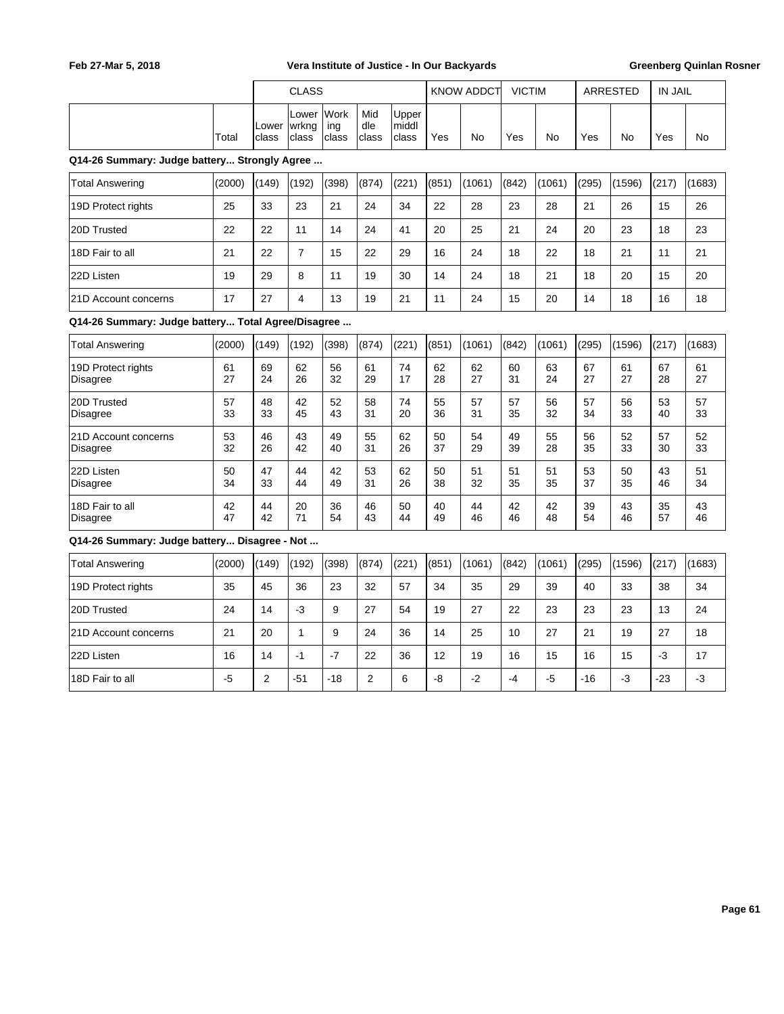|                                                    |          |                | <b>CLASS</b>            |                      |                     |                         |          | <b>KNOW ADDCT</b> | <b>VICTIM</b> |          |          | ARRESTED | <b>IN JAIL</b> |          |
|----------------------------------------------------|----------|----------------|-------------------------|----------------------|---------------------|-------------------------|----------|-------------------|---------------|----------|----------|----------|----------------|----------|
|                                                    | Total    | Lower<br>class | Lower<br>wrkng<br>class | Work<br>ing<br>class | Mid<br>dle<br>class | Upper<br>middl<br>class | Yes      | No                | Yes           | No       | Yes      | No       | Yes            | No.      |
| Q14-26 Summary: Judge battery Strongly Agree       |          |                |                         |                      |                     |                         |          |                   |               |          |          |          |                |          |
| <b>Total Answering</b>                             | (2000)   | (149)          | (192)                   | (398)                | (874)               | (221)                   | (851)    | (1061)            | (842)         | (1061)   | (295)    | (1596)   | (217)          | (1683)   |
| 19D Protect rights                                 | 25       | 33             | 23                      | 21                   | 24                  | 34                      | 22       | 28                | 23            | 28       | 21       | 26       | 15             | 26       |
| 20D Trusted                                        | 22       | 22             | 11                      | 14                   | 24                  | 41                      | 20       | 25                | 21            | 24       | 20       | 23       | 18             | 23       |
| 18D Fair to all                                    | 21       | 22             | $\overline{7}$          | 15                   | 22                  | 29                      | 16       | 24                | 18            | 22       | 18       | 21       | 11             | 21       |
| 22D Listen                                         | 19       | 29             | 8                       | 11                   | 19                  | 30                      | 14       | 24                | 18            | 21       | 18       | 20       | 15             | 20       |
| 21D Account concerns                               | 17       | 27             | $\overline{4}$          | 13                   | 19                  | 21                      | 11       | 24                | 15            | 20       | 14       | 18       | 16             | 18       |
| Q14-26 Summary: Judge battery Total Agree/Disagree |          |                |                         |                      |                     |                         |          |                   |               |          |          |          |                |          |
| <b>Total Answering</b>                             | (2000)   | (149)          | (192)                   | (398)                | (874)               | (221)                   | (851)    | (1061)            | (842)         | (1061)   | (295)    | (1596)   | (217)          | (1683)   |
| 19D Protect rights<br><b>Disagree</b>              | 61<br>27 | 69<br>24       | 62<br>26                | 56<br>32             | 61<br>29            | 74<br>17                | 62<br>28 | 62<br>27          | 60<br>31      | 63<br>24 | 67<br>27 | 61<br>27 | 67<br>28       | 61<br>27 |
| 20D Trusted<br><b>Disagree</b>                     | 57<br>33 | 48<br>33       | 42<br>45                | 52<br>43             | 58<br>31            | 74<br>20                | 55<br>36 | 57<br>31          | 57<br>35      | 56<br>32 | 57<br>34 | 56<br>33 | 53<br>40       | 57<br>33 |
| 21D Account concerns<br>Disagree                   | 53<br>32 | 46<br>26       | 43<br>42                | 49<br>40             | 55<br>31            | 62<br>26                | 50<br>37 | 54<br>29          | 49<br>39      | 55<br>28 | 56<br>35 | 52<br>33 | 57<br>30       | 52<br>33 |
| 22D Listen<br>Disagree                             | 50<br>34 | 47<br>33       | 44<br>44                | 42<br>49             | 53<br>31            | 62<br>26                | 50<br>38 | 51<br>32          | 51<br>35      | 51<br>35 | 53<br>37 | 50<br>35 | 43<br>46       | 51<br>34 |
| 18D Fair to all<br><b>Disagree</b>                 | 42<br>47 | 44<br>42       | 20<br>71                | 36<br>54             | 46<br>43            | 50<br>44                | 40<br>49 | 44<br>46          | 42<br>46      | 42<br>48 | 39<br>54 | 43<br>46 | 35<br>57       | 43<br>46 |
| Q14-26 Summary: Judge battery Disagree - Not       |          |                |                         |                      |                     |                         |          |                   |               |          |          |          |                |          |
| <b>Total Answering</b>                             | (2000)   | (149)          | (192)                   | (398)                | (874)               | (221)                   | (851)    | (1061)            | (842)         | (1061)   | (295)    | (1596)   | (217)          | (1683)   |
| 19D Protect rights                                 | 35       | 45             | 36                      | 23                   | 32                  | 57                      | 34       | 35                | 29            | 39       | 40       | 33       | 38             | 34       |
| 20D Trusted                                        | 24       | 14             | $-3$                    | 9                    | 27                  | 54                      | 19       | 27                | 22            | 23       | 23       | 23       | 13             | 24       |
| 21D Account concerns                               | 21       | 20             | 1                       | 9                    | 24                  | 36                      | 14       | 25                | 10            | 27       | 21       | 19       | 27             | 18       |

22D Listen | 16 | 14 | -1 | -7 | 22 | 36 | 12 | 19 | 16 | 15 | 16 | 15 | -3 | 17 18D Fair to all | -5 | 2 | -51 | -18 | 2 | 6 | -8 | -2 | -4 | -5 | -16 | -3 | -23 | -3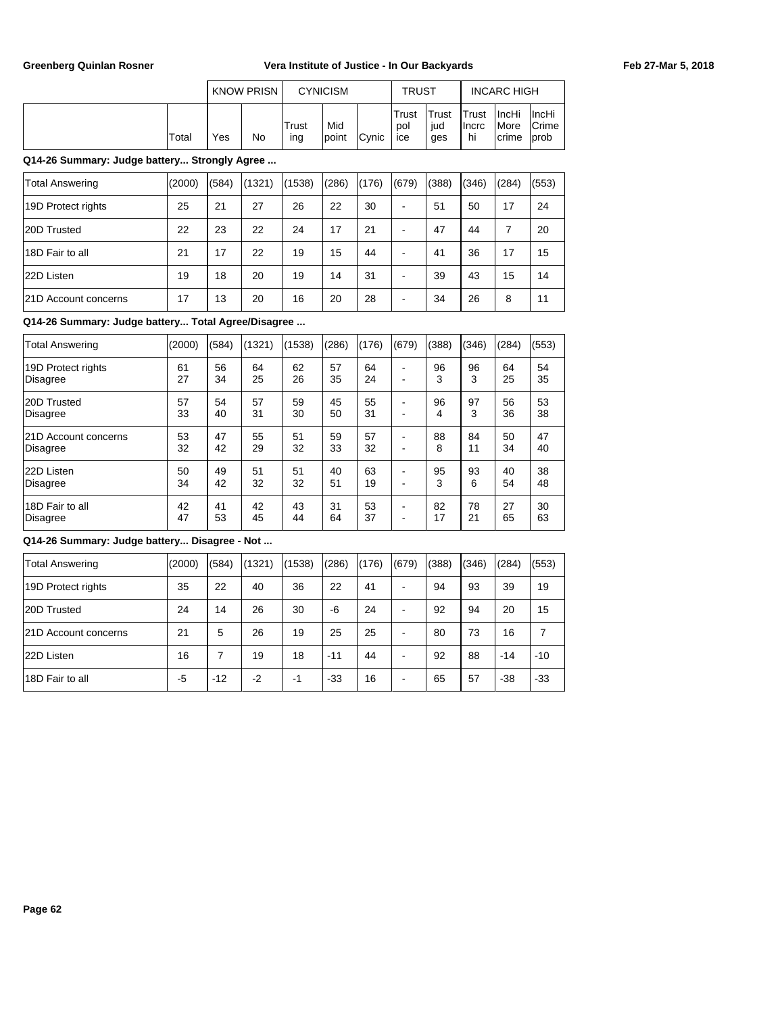|       |     | <b>KNOW PRISN</b> |                 | <b>CYNICISM</b> |               | <b>TRUST</b>          |                     |                                      | <b>INCARC HIGH</b>                             |                                        |
|-------|-----|-------------------|-----------------|-----------------|---------------|-----------------------|---------------------|--------------------------------------|------------------------------------------------|----------------------------------------|
| Total | Yes | No                | $T$ rust<br>ing | Mid<br>Ipoint   | <b>C</b> vnic | Trust<br>pol<br>I ice | Trust<br>lud<br>ges | <b>ITrust</b><br><b>Ilncrc</b><br>hi | <b>IncHi</b><br><i>I</i> More<br><b>Icrime</b> | ∣IncHi<br><b>Crime</b><br><b>lprob</b> |

## **Q14-26 Summary: Judge battery... Strongly Agree ...**

| Total Answering             | (2000) | (584) | (1321) | (1538) | (286) | (176) | (679) | (388) | (346) | (284) | (553) |
|-----------------------------|--------|-------|--------|--------|-------|-------|-------|-------|-------|-------|-------|
| 19D Protect rights          | 25     | 21    | 27     | 26     | 22    | 30    | -     | 51    | 50    | 17    | 24    |
| 20D Trusted                 | 22     | 23    | 22     | 24     | 17    | 21    | -     | 47    | 44    |       | 20    |
| 18D Fair to all             | 21     | 17    | 22     | 19     | 15    | 44    | -     | 41    | 36    | 17    | 15    |
| 22D Listen                  | 19     | 18    | 20     | 19     | 14    | 31    | ۰     | 39    | 43    | 15    | 14    |
| <b>21D Account concerns</b> | 17     | 13    | 20     | 16     | 20    | 28    | -     | 34    | 26    | 8     | 11    |

## **Q14-26 Summary: Judge battery... Total Agree/Disagree ...**

| Total Answering      | (2000) | (584) | (1321) | (1538) | (286) | (176) | (679) | (388) | (346) | (284) | (553) |
|----------------------|--------|-------|--------|--------|-------|-------|-------|-------|-------|-------|-------|
| 19D Protect rights   | 61     | 56    | 64     | 62     | 57    | 64    | -     | 96    | 96    | 64    | 54    |
| Disagree             | 27     | 34    | 25     | 26     | 35    | 24    | -     | 3     | 3     | 25    | 35    |
| 20D Trusted          | 57     | 54    | 57     | 59     | 45    | 55    | -     | 96    | 97    | 56    | 53    |
| <b>Disagree</b>      | 33     | 40    | 31     | 30     | 50    | 31    | -     | 4     | 3     | 36    | 38    |
| 21D Account concerns | 53     | 47    | 55     | 51     | 59    | 57    | -     | 88    | 84    | 50    | 47    |
| Disagree             | 32     | 42    | 29     | 32     | 33    | 32    | $\,$  | 8     | 11    | 34    | 40    |
| 22D Listen           | 50     | 49    | 51     | 51     | 40    | 63    | -     | 95    | 93    | 40    | 38    |
| Disagree             | 34     | 42    | 32     | 32     | 51    | 19    | -     | 3     | 6     | 54    | 48    |
| 18D Fair to all      | 42     | 41    | 42     | 43     | 31    | 53    | -     | 82    | 78    | 27    | 30    |
| Disagree             | 47     | 53    | 45     | 44     | 64    | 37    | $\,$  | 17    | 21    | 65    | 63    |

| <b>Total Answering</b>      | (2000) | (584) | (1321) | (1538) | (286) | (176) | (679)                    | (388) | (346) | (284) | (553) |
|-----------------------------|--------|-------|--------|--------|-------|-------|--------------------------|-------|-------|-------|-------|
| 19D Protect rights          | 35     | 22    | 40     | 36     | 22    | 41    | $\overline{\phantom{0}}$ | 94    | 93    | 39    | 19    |
| 20D Trusted                 | 24     | 14    | 26     | 30     | -6    | 24    |                          | 92    | 94    | 20    | 15    |
| <b>21D Account concerns</b> | 21     | 5     | 26     | 19     | 25    | 25    | ۰                        | 80    | 73    | 16    |       |
| 22D Listen                  | 16     |       | 19     | 18     | $-11$ | 44    | -                        | 92    | 88    | $-14$ | $-10$ |
| 18D Fair to all             | -5     | $-12$ | $-2$   | -1     | $-33$ | 16    |                          | 65    | 57    | $-38$ | $-33$ |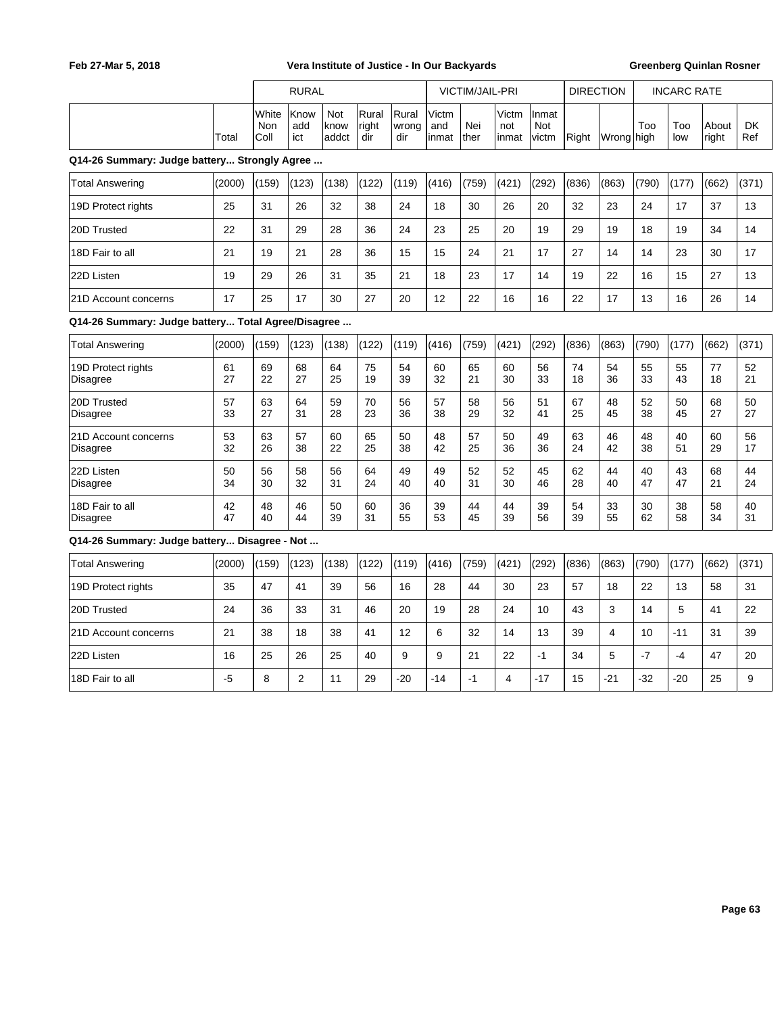|                                                    |          |                      | <b>RURAL</b>       |                              |                       |                       |                        | VICTIM/JAIL-PRI |                       |                              |          | <b>DIRECTION</b> |          | <b>INCARC RATE</b> |                |           |
|----------------------------------------------------|----------|----------------------|--------------------|------------------------------|-----------------------|-----------------------|------------------------|-----------------|-----------------------|------------------------------|----------|------------------|----------|--------------------|----------------|-----------|
|                                                    | Total    | White<br>Non<br>Coll | Know<br>add<br>ict | <b>Not</b><br>know<br>laddct | Rural<br>right<br>dir | Rural<br>wrong<br>dir | Victm<br>and<br>linmat | Nei<br>ther     | Victm<br>not<br>inmat | Inmat<br><b>Not</b><br>victm | Right    | Wrong high       | Too      | Too<br>low         | About<br>right | DK<br>Ref |
| Q14-26 Summary: Judge battery Strongly Agree       |          |                      |                    |                              |                       |                       |                        |                 |                       |                              |          |                  |          |                    |                |           |
| <b>Total Answering</b>                             | (2000)   | (159)                | (123)              | (138)                        | (122)                 | (119)                 | (416)                  | (759)           | (421)                 | (292)                        | (836)    | (863)            | (790)    | (177)              | (662)          | (371)     |
| 19D Protect rights                                 | 25       | 31                   | 26                 | 32                           | 38                    | 24                    | 18                     | 30              | 26                    | 20                           | 32       | 23               | 24       | 17                 | 37             | 13        |
| 20D Trusted                                        | 22       | 31                   | 29                 | 28                           | 36                    | 24                    | 23                     | 25              | 20                    | 19                           | 29       | 19               | 18       | 19                 | 34             | 14        |
| 18D Fair to all                                    | 21       | 19                   | 21                 | 28                           | 36                    | 15                    | 15                     | 24              | 21                    | 17                           | 27       | 14               | 14       | 23                 | 30             | 17        |
| 22D Listen                                         | 19       | 29                   | 26                 | 31                           | 35                    | 21                    | 18                     | 23              | 17                    | 14                           | 19       | 22               | 16       | 15                 | 27             | 13        |
| 21D Account concerns                               | 17       | 25                   | 17                 | 30                           | 27                    | 20                    | 12                     | 22              | 16                    | 16                           | 22       | 17               | 13       | 16                 | 26             | 14        |
| Q14-26 Summary: Judge battery Total Agree/Disagree |          |                      |                    |                              |                       |                       |                        |                 |                       |                              |          |                  |          |                    |                |           |
| <b>Total Answering</b>                             | (2000)   | (159)                | (123)              | (138)                        | (122)                 | (119)                 | (416)                  | (759)           | (421)                 | (292)                        | (836)    | (863)            | (790)    | (177)              | (662)          | (371)     |
| 19D Protect rights<br><b>Disagree</b>              | 61<br>27 | 69<br>22             | 68<br>27           | 64<br>25                     | 75<br>19              | 54<br>39              | 60<br>32               | 65<br>21        | 60<br>30              | 56<br>33                     | 74<br>18 | 54<br>36         | 55<br>33 | 55<br>43           | 77<br>18       | 52<br>21  |
| 20D Trusted<br><b>Disagree</b>                     | 57<br>33 | 63<br>27             | 64<br>31           | 59<br>28                     | 70<br>23              | 56<br>36              | 57<br>38               | 58<br>29        | 56<br>32              | 51<br>41                     | 67<br>25 | 48<br>45         | 52<br>38 | 50<br>45           | 68<br>27       | 50<br>27  |
| 21D Account concerns<br><b>Disagree</b>            | 53<br>32 | 63<br>26             | 57<br>38           | 60<br>22                     | 65<br>25              | 50<br>38              | 48<br>42               | 57<br>25        | 50<br>36              | 49<br>36                     | 63<br>24 | 46<br>42         | 48<br>38 | 40<br>51           | 60<br>29       | 56<br>17  |
| 22D Listen<br>Disagree                             | 50<br>34 | 56<br>30             | 58<br>32           | 56<br>31                     | 64<br>24              | 49<br>40              | 49<br>40               | 52<br>31        | 52<br>30              | 45<br>46                     | 62<br>28 | 44<br>40         | 40<br>47 | 43<br>47           | 68<br>21       | 44<br>24  |
| 18D Fair to all<br>Disagree                        | 42<br>47 | 48<br>40             | 46<br>44           | 50<br>39                     | 60<br>31              | 36<br>55              | 39<br>53               | 44<br>45        | 44<br>39              | 39<br>56                     | 54<br>39 | 33<br>55         | 30<br>62 | 38<br>58           | 58<br>34       | 40<br>31  |
| Q14-26 Summary: Judge battery Disagree - Not       |          |                      |                    |                              |                       |                       |                        |                 |                       |                              |          |                  |          |                    |                |           |
| <b>Total Answering</b>                             | (2000)   | (159)                | (123)              | (138)                        | (122)                 | (119)                 | (416)                  | (759)           | (421)                 | (292)                        | (836)    | (863)            | (790)    | (177)              | (662)          | (371)     |
| 19D Protect rights                                 | 35       | 47                   | 41                 | 39                           | 56                    | 16                    | 28                     | 44              | 30                    | 23                           | 57       | 18               | 22       | 13                 | 58             | 31        |
| 20D Trusted                                        | 24       | 36                   | 33                 | 31                           | 46                    | 20                    | 19                     | 28              | 24                    | 10                           | 43       | 3                | 14       | 5                  | 41             | 22        |
| 21D Account concerns                               | 21       | 38                   | 18                 | 38                           | 41                    | 12                    | 6                      | 32              | 14                    | 13                           | 39       | 4                | 10       | $-11$              | 31             | 39        |
| 22D Listen                                         | 16       | 25                   | 26                 | 25                           | 40                    | 9                     | 9                      | 21              | 22                    | $-1$                         | 34       | 5                | $-7$     | $-4$               | 47             | 20        |

18D Fair to all | -5 | 8 | 2 | 11 | 29 | -20 | -14 | -1 | 4 | -17 | 15 | -21 | -21 | -20 | 25 | 9

 $\overline{\phantom{a}}$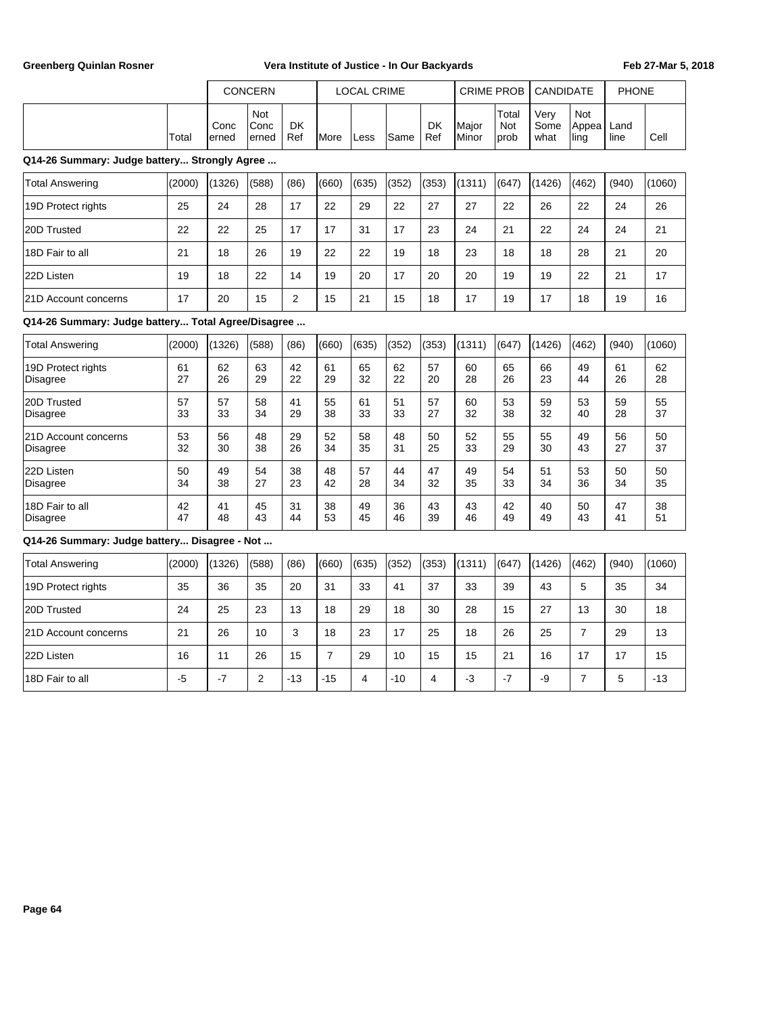|       |                | <b>CONCERN</b>         |           |               | <b>LOCAL CRIME</b> |       |           |                                 |                        | CRIME PROB CANDIDATE |                          | <b>PHONE</b> |      |
|-------|----------------|------------------------|-----------|---------------|--------------------|-------|-----------|---------------------------------|------------------------|----------------------|--------------------------|--------------|------|
| Total | Conc<br>lerned | Not<br>lConc<br>lerned | DK<br>Ref | <b>I</b> More | Less               | lSame | DK<br>Ref | <b>I</b> Maior<br><b>IMinor</b> | 'Total<br>Not<br>Iprob | Verv<br>Some<br>what | Not<br>'Appea i<br> ling | Land<br>line | Cell |

## **Q14-26 Summary: Judge battery... Strongly Agree ...**

| Total Answering             | (2000) | (1326) | (588) | (86) | (660) | (635) | (352) | (353) | (1311) | (647) | (1426) | (462) | (940) | (1060) |
|-----------------------------|--------|--------|-------|------|-------|-------|-------|-------|--------|-------|--------|-------|-------|--------|
| 19D Protect rights          | 25     | 24     | 28    | 17   | 22    | 29    | 22    | 27    | 27     | 22    | 26     | 22    | 24    | 26     |
| 20D Trusted                 | 22     | 22     | 25    | 17   | 17    | 31    | 17    | 23    | 24     | 21    | 22     | 24    | 24    | 21     |
| 18D Fair to all             | 21     | 18     | 26    | 19   | 22    | 22    | 19    | 18    | 23     | 18    | 18     | 28    | 21    | 20     |
| 22D Listen                  | 19     | 18     | 22    | 14   | 19    | 20    | 17    | 20    | 20     | 19    | 19     | 22    | 21    | 17     |
| <b>21D Account concerns</b> | 17     | 20     | 15    | 2    | 15    | 21    | 15    | 18    | 17     | 19    | 17     | 18    | 19    | 16     |

## **Q14-26 Summary: Judge battery... Total Agree/Disagree ...**

| Total Answering      | (2000) | (1326) | (588) | (86) | (660) | (635) | (352) | (353) | (1311) | (647) | (1426) | (462) | (940) | (1060) |
|----------------------|--------|--------|-------|------|-------|-------|-------|-------|--------|-------|--------|-------|-------|--------|
| 19D Protect rights   | 61     | 62     | 63    | 42   | 61    | 65    | 62    | 57    | 60     | 65    | 66     | 49    | 61    | 62     |
| Disagree             | 27     | 26     | 29    | 22   | 29    | 32    | 22    | 20    | 28     | 26    | 23     | 44    | 26    | 28     |
| 20D Trusted          | 57     | 57     | 58    | 41   | 55    | 61    | 51    | 57    | 60     | 53    | 59     | 53    | 59    | 55     |
| Disagree             | 33     | 33     | 34    | 29   | 38    | 33    | 33    | 27    | 32     | 38    | 32     | 40    | 28    | 37     |
| 21D Account concerns | 53     | 56     | 48    | 29   | 52    | 58    | 48    | 50    | 52     | 55    | 55     | 49    | 56    | 50     |
| Disagree             | 32     | 30     | 38    | 26   | 34    | 35    | 31    | 25    | 33     | 29    | 30     | 43    | 27    | 37     |
| 22D Listen           | 50     | 49     | 54    | 38   | 48    | 57    | 44    | 47    | 49     | 54    | 51     | 53    | 50    | 50     |
| Disagree             | 34     | 38     | 27    | 23   | 42    | 28    | 34    | 32    | 35     | 33    | 34     | 36    | 34    | 35     |
| 18D Fair to all      | 42     | 41     | 45    | 31   | 38    | 49    | 36    | 43    | 43     | 42    | 40     | 50    | 47    | 38     |
| Disagree             | 47     | 48     | 43    | 44   | 53    | 45    | 46    | 39    | 46     | 49    | 49     | 43    | 41    | 51     |

| Total Answering             | (2000) | (1326) | (588) | (86)  | (660) | (635) | (352) | (353) | (1311) | (647) | (1426) | (462) | (940) | (1060) |
|-----------------------------|--------|--------|-------|-------|-------|-------|-------|-------|--------|-------|--------|-------|-------|--------|
| 19D Protect rights          | 35     | 36     | 35    | 20    | 31    | 33    | 41    | 37    | 33     | 39    | 43     | 5     | 35    | 34     |
| 20D Trusted                 | 24     | 25     | 23    | 13    | 18    | 29    | 18    | 30    | 28     | 15    | 27     | 13    | 30    | 18     |
| <b>21D Account concerns</b> | 21     | 26     | 10    | 3     | 18    | 23    | 17    | 25    | 18     | 26    | 25     |       | 29    | 13     |
| 22D Listen                  | 16     | 11     | 26    | 15    | -     | 29    | 10    | 15    | 15     | 21    | 16     | 17    | 17    | 15     |
| 18D Fair to all             | -5     | $-7$   | ◠     | $-13$ | $-15$ | 4     | $-10$ | 4     | -3     | $-7$  | -9     |       | 5     | $-13$  |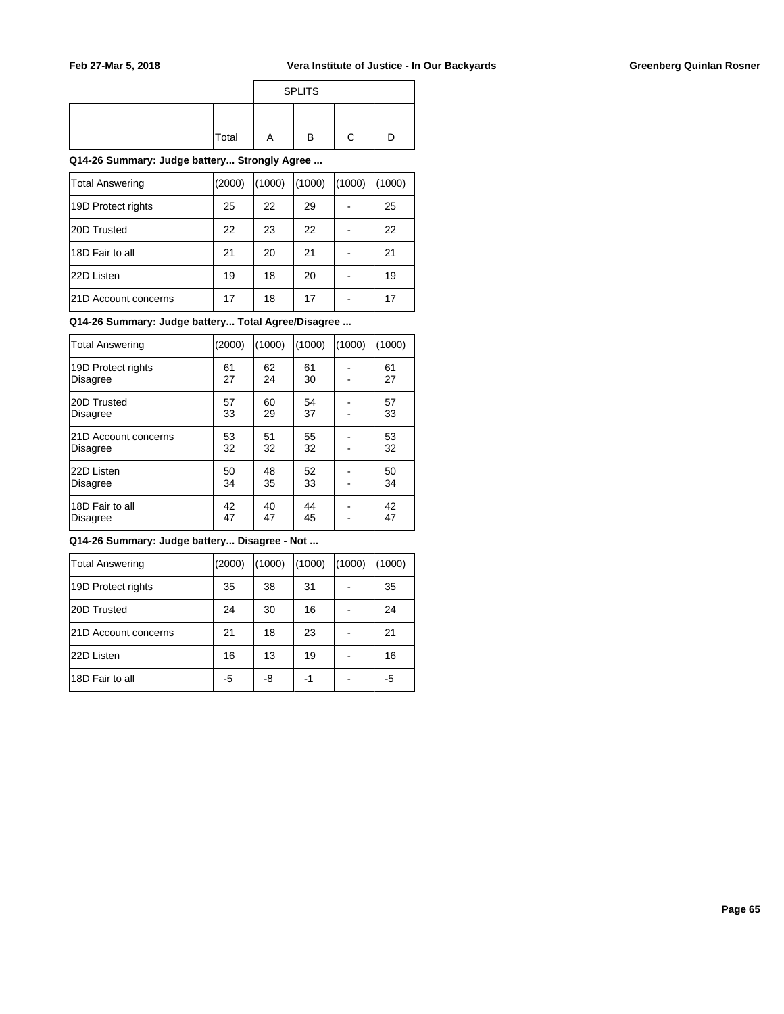|       | <b>SPLITS</b> |  |
|-------|---------------|--|
| Total | B             |  |

**Q14-26 Summary: Judge battery... Strongly Agree ...**

| <b>Total Answering</b> | (2000) | (1000) | (1000) | (1000) | (1000) |
|------------------------|--------|--------|--------|--------|--------|
| 19D Protect rights     | 25     | 22     | 29     |        | 25     |
| 20D Trusted            | 22     | 23     | 22     |        | 22     |
| 18D Fair to all        | 21     | 20     | 21     |        | 21     |
| 22D Listen             | 19     | 18     | 20     |        | 19     |
| 21D Account concerns   | 17     | 18     | 17     |        | 17     |

**Q14-26 Summary: Judge battery... Total Agree/Disagree ...**

| <b>Total Answering</b> | (2000) | (1000) | (1000) | (1000) | (1000) |
|------------------------|--------|--------|--------|--------|--------|
| 19D Protect rights     | 61     | 62     | 61     |        | 61     |
| Disagree               | 27     | 24     | 30     |        | 27     |
| 20D Trusted            | 57     | 60     | 54     |        | 57     |
| <b>Disagree</b>        | 33     | 29     | 37     |        | 33     |
| 21D Account concerns   | 53     | 51     | 55     |        | 53     |
| <b>Disagree</b>        | 32     | 32     | 32     |        | 32     |
| 22D Listen             | 50     | 48     | 52     |        | 50     |
| <b>Disagree</b>        | 34     | 35     | 33     |        | 34     |
| 18D Fair to all        | 42     | 40     | 44     |        | 42     |
| <b>Disagree</b>        | 47     | 47     | 45     |        | 47     |

| Total Answering      | (2000) | (1000) | (1000) | (1000) | (1000) |
|----------------------|--------|--------|--------|--------|--------|
| 19D Protect rights   | 35     | 38     | 31     |        | 35     |
| 20D Trusted          | 24     | 30     | 16     |        | 24     |
| 21D Account concerns | 21     | 18     | 23     |        | 21     |
| 22D Listen           | 16     | 13     | 19     |        | 16     |
| 18D Fair to all      | -5     | -8     | -1     |        | -5     |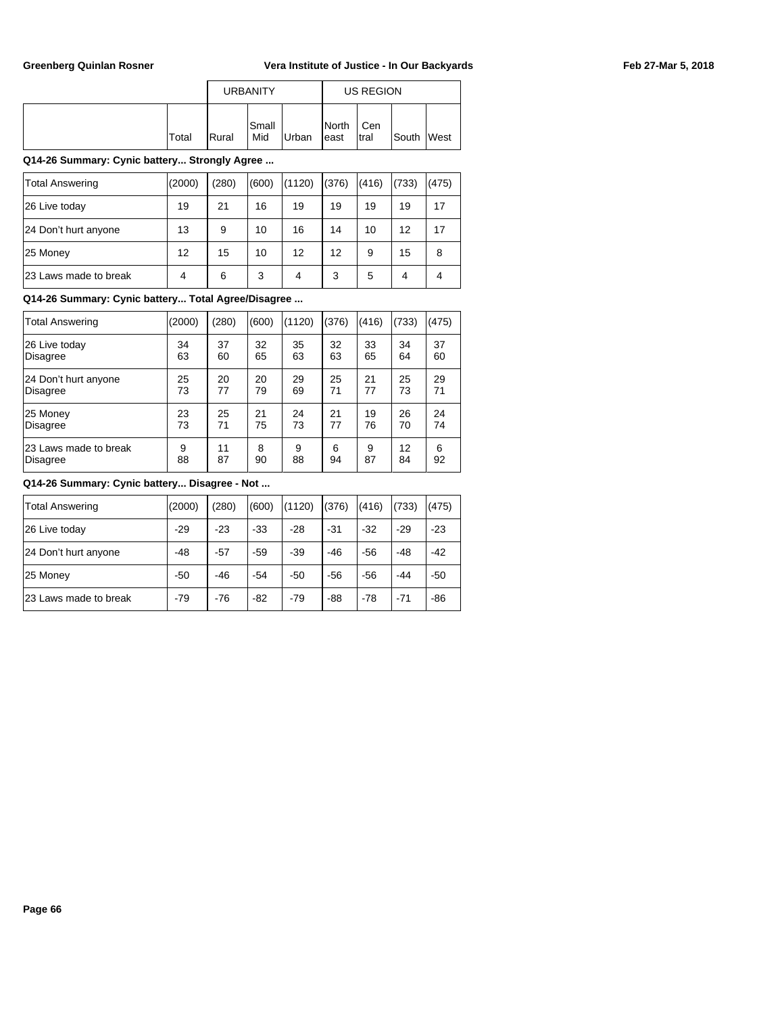|       |                | <b>URBANITY</b> |       |                         | US REGION    |       |             |
|-------|----------------|-----------------|-------|-------------------------|--------------|-------|-------------|
| Total | <b>I</b> Rural | Small<br>Mid    | Urban | <b>I</b> North<br>least | Cen<br>Itral | South | <b>Nest</b> |

## **Q14-26 Summary: Cynic battery... Strongly Agree ...**

| <b>Total Answering</b> | (2000)            | (280) | (600) | (1120) | (376) | (416) | (733) | (475) |
|------------------------|-------------------|-------|-------|--------|-------|-------|-------|-------|
| 26 Live today          | 19                | 21    | 16    | 19     | 19    | 19    | 19    | 17    |
| 24 Don't hurt anyone   | 13                | 9     | 10    | 16     | 14    | 10    | 12    | 17    |
| 25 Money               | $12 \overline{ }$ | 15    | 10    | 12     | 12    | 9     | 15    | 8     |
| 123 Laws made to break | 4                 | 6     | 3     | 4      | 3     | 5     | 4     |       |

## **Q14-26 Summary: Cynic battery... Total Agree/Disagree ...**

| <b>Total Answering</b> | (2000) | (280) | (600) | (1120) | (376) | (416) | (733) | (475) |
|------------------------|--------|-------|-------|--------|-------|-------|-------|-------|
| 26 Live today          | 34     | 37    | 32    | 35     | 32    | 33    | 34    | 37    |
| Disagree               | 63     | 60    | 65    | 63     | 63    | 65    | 64    | 60    |
| 24 Don't hurt anyone   | 25     | 20    | 20    | 29     | 25    | 21    | 25    | 29    |
| Disagree               | 73     | 77    | 79    | 69     | 71    | 77    | 73    | 71    |
| 25 Money               | 23     | 25    | 21    | 24     | 21    | 19    | 26    | 24    |
| <b>Disagree</b>        | 73     | 71    | 75    | 73     | 77    | 76    | 70    | 74    |
| 23 Laws made to break  | 9      | 11    | 8     | 9      | 6     | 9     | 12    | 6     |
| Disagree               | 88     | 87    | 90    | 88     | 94    | 87    | 84    | 92    |

| Total Answering       | (2000) | (280) | (600) | (1120) | (376) | (416) | (733) | (475) |
|-----------------------|--------|-------|-------|--------|-------|-------|-------|-------|
| 26 Live today         | $-29$  | $-23$ | $-33$ | $-28$  | $-31$ | $-32$ | $-29$ | $-23$ |
| 24 Don't hurt anyone  | $-48$  | $-57$ | $-59$ | $-39$  | $-46$ | $-56$ | $-48$ | $-42$ |
| 25 Money              | $-50$  | $-46$ | $-54$ | $-50$  | $-56$ | $-56$ | -44   | -50   |
| 23 Laws made to break | $-79$  | $-76$ | $-82$ | $-79$  | $-88$ | $-78$ | $-71$ | $-86$ |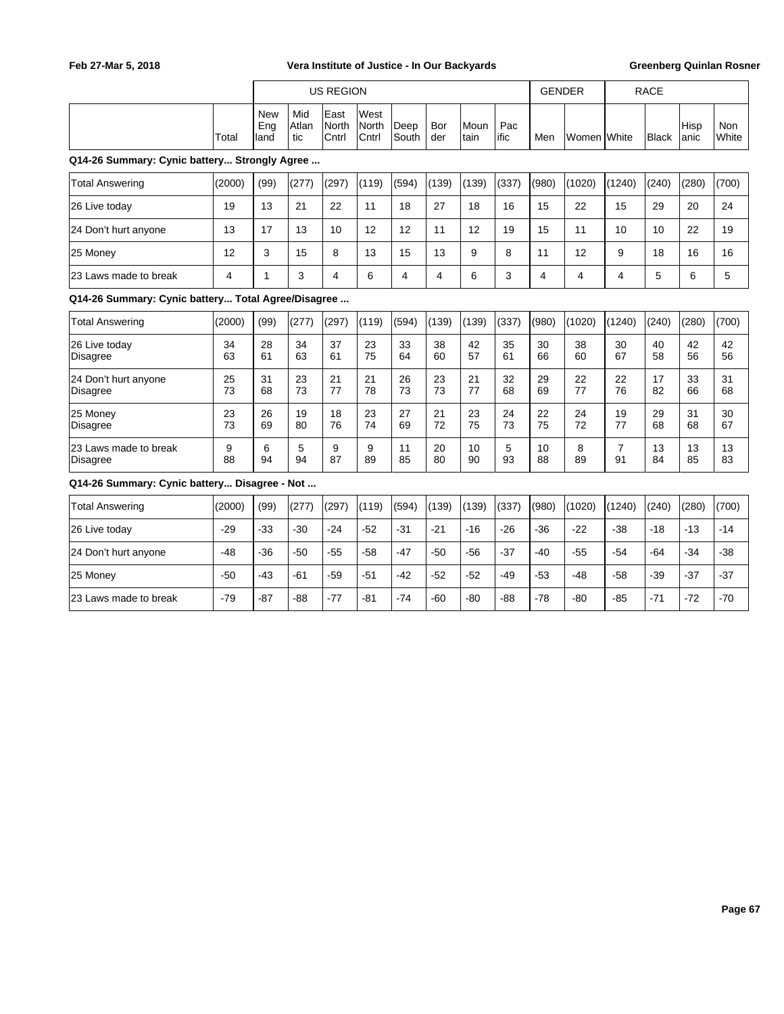|                                                    |          |                           |                     | <b>US REGION</b>       |                        |                |            |              |             | <b>GENDER</b> |             |                      | <b>RACE</b>  |               |              |
|----------------------------------------------------|----------|---------------------------|---------------------|------------------------|------------------------|----------------|------------|--------------|-------------|---------------|-------------|----------------------|--------------|---------------|--------------|
|                                                    | Total    | <b>New</b><br>Eng<br>land | Mid<br>Atlan<br>tic | East<br>North<br>Cntrl | West<br>North<br>Cntrl | Deep<br>South  | Bor<br>der | Moun<br>tain | Pac<br>ific | Men           | Women White |                      | <b>Black</b> | Hisp<br>lanic | Non<br>White |
| Q14-26 Summary: Cynic battery Strongly Agree       |          |                           |                     |                        |                        |                |            |              |             |               |             |                      |              |               |              |
| <b>Total Answering</b>                             | (2000)   | (99)                      | (277)               | (297)                  | (119)                  | (594)          | (139)      | (139)        | (337)       | (980)         | (1020)      | (1240)               | (240)        | (280)         | (700)        |
| 26 Live today                                      | 19       | 13                        | 21                  | 22                     | 11                     | 18             | 27         | 18           | 16          | 15            | 22          | 15                   | 29           | 20            | 24           |
| 24 Don't hurt anyone                               | 13       | 17                        | 13                  | 10                     | 12                     | 12             | 11         | 12           | 19          | 15            | 11          | 10                   | 10           | 22            | 19           |
| 25 Money                                           | 12       | 3                         | 15                  | 8                      | 13                     | 15             | 13         | 9            | 8           | 11            | 12          | 9                    | 18           | 16            | 16           |
| 23 Laws made to break                              | 4        | 1                         | 3                   | $\overline{4}$         | 6                      | $\overline{4}$ | 4          | 6            | 3           | 4             | 4           | 4                    | 5            | 6             | 5            |
| Q14-26 Summary: Cynic battery Total Agree/Disagree |          |                           |                     |                        |                        |                |            |              |             |               |             |                      |              |               |              |
| <b>Total Answering</b>                             | (2000)   | (99)                      | (277)               | (297)                  | (119)                  | (594)          | (139)      | (139)        | (337)       | (980)         | (1020)      | (1240)               | (240)        | (280)         | (700)        |
| 26 Live today<br>Disagree                          | 34<br>63 | 28<br>61                  | 34<br>63            | 37<br>61               | 23<br>75               | 33<br>64       | 38<br>60   | 42<br>57     | 35<br>61    | 30<br>66      | 38<br>60    | 30<br>67             | 40<br>58     | 42<br>56      | 42<br>56     |
| 24 Don't hurt anyone<br>Disagree                   | 25<br>73 | 31<br>68                  | 23<br>73            | 21<br>77               | 21<br>78               | 26<br>73       | 23<br>73   | 21<br>77     | 32<br>68    | 29<br>69      | 22<br>77    | 22<br>76             | 17<br>82     | 33<br>66      | 31<br>68     |
| 25 Money<br><b>Disagree</b>                        | 23<br>73 | 26<br>69                  | 19<br>80            | 18<br>76               | 23<br>74               | 27<br>69       | 21<br>72   | 23<br>75     | 24<br>73    | 22<br>75      | 24<br>72    | 19<br>77             | 29<br>68     | 31<br>68      | 30<br>67     |
| 23 Laws made to break<br>Disagree                  | 9<br>88  | 6<br>94                   | 5<br>94             | 9<br>87                | 9<br>89                | 11<br>85       | 20<br>80   | 10<br>90     | 5<br>93     | 10<br>88      | 8<br>89     | $\overline{7}$<br>91 | 13<br>84     | 13<br>85      | 13<br>83     |
| Q14-26 Summary: Cynic battery Disagree - Not       |          |                           |                     |                        |                        |                |            |              |             |               |             |                      |              |               |              |
| <b>Total Answering</b>                             | (2000)   | (99)                      | (277)               | (297)                  | (119)                  | (594)          | (139)      | (139)        | (337)       | (980)         | (1020)      | (1240)               | (240)        | (280)         | (700)        |
| 26 Live today                                      | $-29$    | $-33$                     | $-30$               | $-24$                  | $-52$                  | $-31$          | $-21$      | $-16$        | $-26$       | $-36$         | $-22$       | $-38$                | $-18$        | $-13$         | $-14$        |
| 24 Don't hurt anyone                               | $-48$    | $-36$                     | -50                 | $-55$                  | $-58$                  | $-47$          | $-50$      | $-56$        | $-37$       | $-40$         | $-55$       | $-54$                | $-64$        | $-34$         | $-38$        |
| 25 Money                                           | $-50$    | -43                       | -61                 | $-59$                  | $-51$                  | $-42$          | $-52$      | $-52$        | $-49$       | $-53$         | $-48$       | $-58$                | $-39$        | $-37$         | $-37$        |
| 23 Laws made to break                              | $-79$    | -87                       | -88                 | $-77$                  | $-81$                  | $-74$          | $-60$      | $-80$        | $-88$       | $-78$         | $-80$       | $-85$                | $-71$        | $-72$         | $-70$        |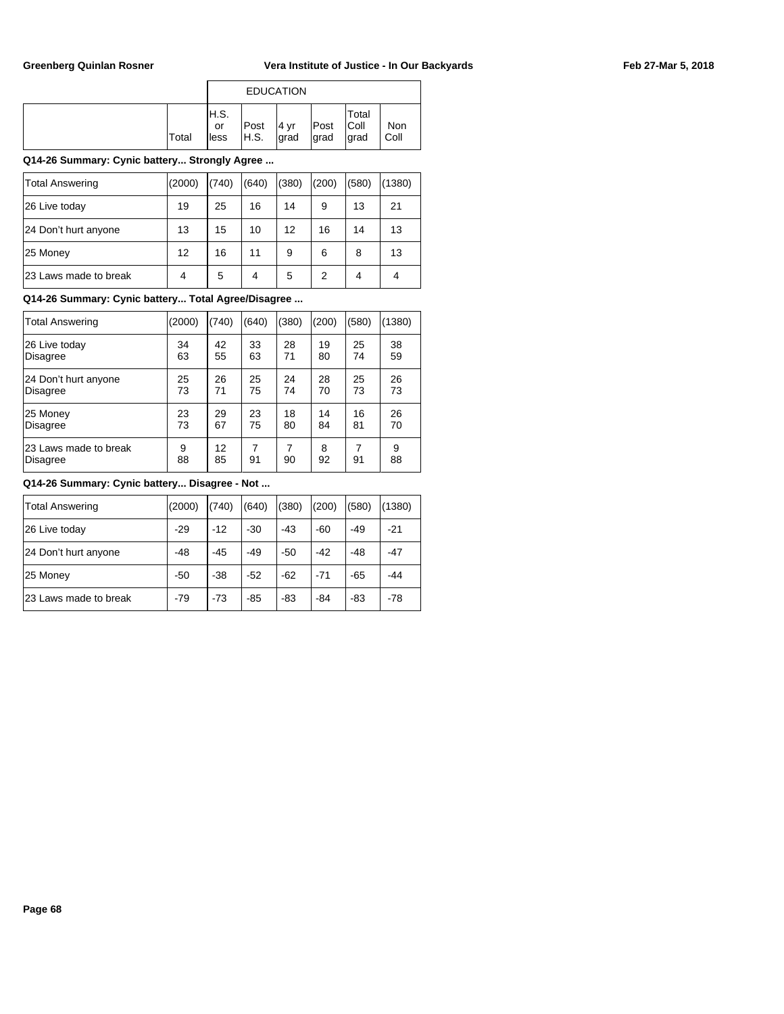|       |                     | <b>EDUCATION</b> |              |              |                               |             |
|-------|---------------------|------------------|--------------|--------------|-------------------------------|-------------|
| Total | IH.S.<br>or<br>less | Post<br>H.S.     | 4 yr<br>grad | Post<br>grad | Total<br><b>Coll</b><br>∣grad | Non<br>Coll |

## **Q14-26 Summary: Cynic battery... Strongly Agree ...**

| Total Answering       | (2000) | (740) | (640) | (380) | (200) | (580) | (1380) |
|-----------------------|--------|-------|-------|-------|-------|-------|--------|
| 26 Live today         | 19     | 25    | 16    | 14    | 9     | 13    | 21     |
| 24 Don't hurt anyone  | 13     | 15    | 10    | 12    | 16    | 14    | 13     |
| 25 Money              | 12     | 16    | 11    | 9     | 6     | 8     | 13     |
| 23 Laws made to break | 4      | 5     | 4     | 5     | 2     | 4     | 4      |

## **Q14-26 Summary: Cynic battery... Total Agree/Disagree ...**

| <b>Total Answering</b> | (2000) | (740) | (640) | (380) | (200) | (580) | (1380) |
|------------------------|--------|-------|-------|-------|-------|-------|--------|
| 26 Live today          | 34     | 42    | 33    | 28    | 19    | 25    | 38     |
| Disagree               | 63     | 55    | 63    | 71    | 80    | 74    | 59     |
| 24 Don't hurt anyone   | 25     | 26    | 25    | 24    | 28    | 25    | 26     |
| <b>Disagree</b>        | 73     | 71    | 75    | 74    | 70    | 73    | 73     |
| 25 Money               | 23     | 29    | 23    | 18    | 14    | 16    | 26     |
| <b>Disagree</b>        | 73     | 67    | 75    | 80    | 84    | 81    | 70     |
| 23 Laws made to break  | 9      | 12    | 7     | 7     | 8     | 91    | 9      |
| Disagree               | 88     | 85    | 91    | 90    | 92    |       | 88     |

| <b>Total Answering</b> | (2000) | (740) | (640) | (380) | (200) | (580) | (1380) |
|------------------------|--------|-------|-------|-------|-------|-------|--------|
| 26 Live today          | $-29$  | $-12$ | $-30$ | $-43$ | -60   | -49   | $-21$  |
| 24 Don't hurt anyone   | $-48$  | $-45$ | $-49$ | $-50$ | $-42$ | $-48$ | $-47$  |
| 25 Money               | $-50$  | $-38$ | $-52$ | $-62$ | $-71$ | $-65$ | $-44$  |
| 23 Laws made to break  | $-79$  | $-73$ | $-85$ | $-83$ | -84   | -83   | $-78$  |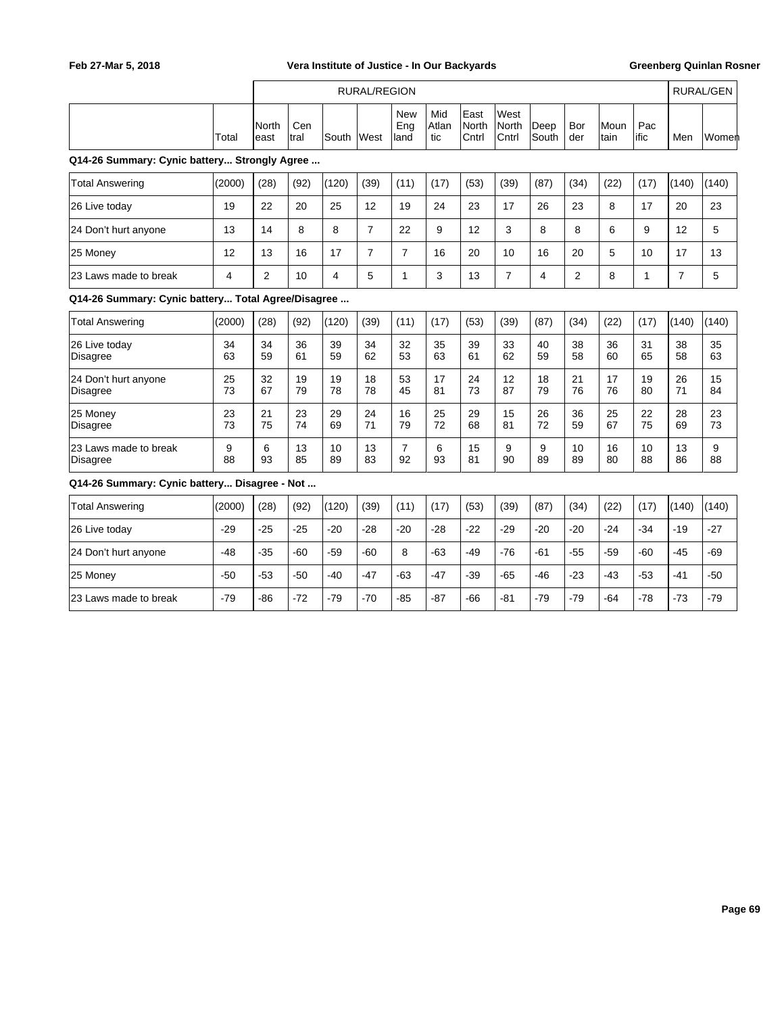|                                                    |          |                |             |          | <b>RURAL/REGION</b> |                           |                     |                        |                        |               |                |              |              |                | <b>RURAL/GEN</b> |
|----------------------------------------------------|----------|----------------|-------------|----------|---------------------|---------------------------|---------------------|------------------------|------------------------|---------------|----------------|--------------|--------------|----------------|------------------|
|                                                    | Total    | North<br>east  | Cen<br>tral | South    | lWest               | <b>New</b><br>Eng<br>land | Mid<br>Atlan<br>tic | East<br>North<br>Cntrl | West<br>North<br>Cntrl | Deep<br>South | Bor<br>der     | Moun<br>tain | Pac<br>ific  | Men            | Women            |
| Q14-26 Summary: Cynic battery Strongly Agree       |          |                |             |          |                     |                           |                     |                        |                        |               |                |              |              |                |                  |
| <b>Total Answering</b>                             | (2000)   | (28)           | (92)        | (120)    | (39)                | (11)                      | (17)                | (53)                   | (39)                   | (87)          | (34)           | (22)         | (17)         | (140)          | (140)            |
| 26 Live today                                      | 19       | 22             | 20          | 25       | 12                  | 19                        | 24                  | 23                     | 17                     | 26            | 23             | 8            | 17           | 20             | 23               |
| 24 Don't hurt anyone                               | 13       | 14             | 8           | 8        | $\overline{7}$      | 22                        | 9                   | 12                     | 3                      | 8             | 8              | 6            | 9            | 12             | 5                |
| 25 Money                                           | 12       | 13             | 16          | 17       | $\overline{7}$      | $\overline{7}$            | 16                  | 20                     | 10                     | 16            | 20             | 5            | 10           | 17             | 13               |
| 23 Laws made to break                              | 4        | $\overline{2}$ | 10          | 4        | 5                   | $\mathbf{1}$              | 3                   | 13                     | $\overline{7}$         | 4             | $\overline{2}$ | 8            | $\mathbf{1}$ | $\overline{7}$ | 5                |
| Q14-26 Summary: Cynic battery Total Agree/Disagree |          |                |             |          |                     |                           |                     |                        |                        |               |                |              |              |                |                  |
| <b>Total Answering</b>                             | (2000)   | (28)           | (92)        | (120)    | (39)                | (11)                      | (17)                | (53)                   | (39)                   | (87)          | (34)           | (22)         | (17)         | (140)          | (140)            |
| 26 Live today<br><b>Disagree</b>                   | 34<br>63 | 34<br>59       | 36<br>61    | 39<br>59 | 34<br>62            | 32<br>53                  | 35<br>63            | 39<br>61               | 33<br>62               | 40<br>59      | 38<br>58       | 36<br>60     | 31<br>65     | 38<br>58       | 35<br>63         |
| 24 Don't hurt anyone<br><b>Disagree</b>            | 25<br>73 | 32<br>67       | 19<br>79    | 19<br>78 | 18<br>78            | 53<br>45                  | 17<br>81            | 24<br>73               | 12<br>87               | 18<br>79      | 21<br>76       | 17<br>76     | 19<br>80     | 26<br>71       | 15<br>84         |
| 25 Money<br><b>Disagree</b>                        | 23<br>73 | 21<br>75       | 23<br>74    | 29<br>69 | 24<br>71            | 16<br>79                  | 25<br>72            | 29<br>68               | 15<br>81               | 26<br>72      | 36<br>59       | 25<br>67     | 22<br>75     | 28<br>69       | 23<br>73         |
| 23 Laws made to break<br>Disagree                  | 9<br>88  | 6<br>93        | 13<br>85    | 10<br>89 | 13<br>83            | $\overline{7}$<br>92      | 6<br>93             | 15<br>81               | 9<br>90                | 9<br>89       | 10<br>89       | 16<br>80     | 10<br>88     | 13<br>86       | 9<br>88          |
| Q14-26 Summary: Cynic battery Disagree - Not       |          |                |             |          |                     |                           |                     |                        |                        |               |                |              |              |                |                  |
| <b>Total Answering</b>                             | (2000)   | (28)           | (92)        | (120)    | (39)                | (11)                      | (17)                | (53)                   | (39)                   | (87)          | (34)           | (22)         | (17)         | (140)          | (140)            |
| 26 Live today                                      | $-29$    | $-25$          | $-25$       | $-20$    | $-28$               | $-20$                     | $-28$               | $-22$                  | $-29$                  | $-20$         | $-20$          | $-24$        | $-34$        | -19            | -27              |
| 24 Don't hurt anyone                               | $-48$    | $-35$          | $-60$       | $-59$    | $-60$               | 8                         | $-63$               | $-49$                  | $-76$                  | $-61$         | $-55$          | $-59$        | $-60$        | $-45$          | $-69$            |
| 25 Money                                           | $-50$    | $-53$          | $-50$       | $-40$    | $-47$               | $-63$                     | $-47$               | $-39$                  | $-65$                  | $-46$         | $-23$          | $-43$        | $-53$        | $-41$          | $-50$            |
| 23 Laws made to break                              | $-79$    | $-86$          | $-72$       | $-79$    | $-70$               | $-85$                     | $-87$               | $-66$                  | $-81$                  | $-79$         | $-79$          | $-64$        | $-78$        | $-73$          | $-79$            |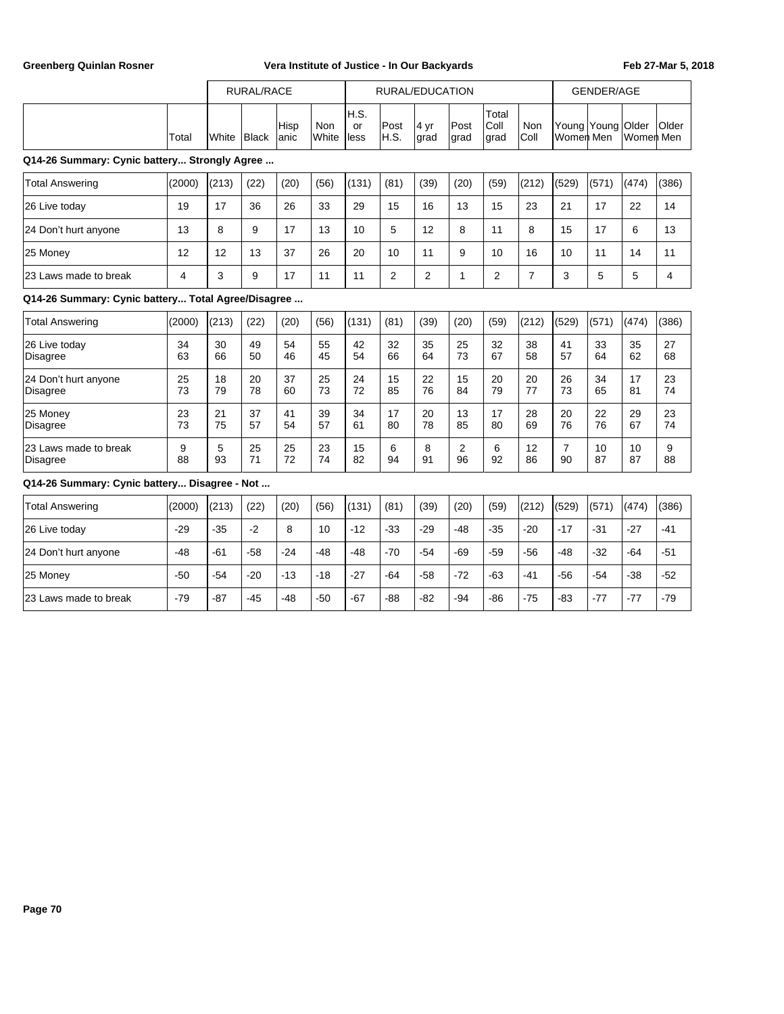|                                                    |          | <b>RURAL/RACE</b> |          |              | RURAL/EDUCATION |                   |                |              |               |                       | <b>GENDER/AGE</b> |                      |                   |           |          |
|----------------------------------------------------|----------|-------------------|----------|--------------|-----------------|-------------------|----------------|--------------|---------------|-----------------------|-------------------|----------------------|-------------------|-----------|----------|
|                                                    | Total    | White             | Black    | Hisp<br>anic | Non<br>White    | H.S.<br>or<br>ess | Post<br>H.S.   | 4 yr<br>grad | Post<br>lgrad | Total<br>Coll<br>grad | Non<br>Coll       | Women Men            | Young Young Older | Women Men | Older    |
| Q14-26 Summary: Cynic battery Strongly Agree       |          |                   |          |              |                 |                   |                |              |               |                       |                   |                      |                   |           |          |
| <b>Total Answering</b>                             | (2000)   | (213)             | (22)     | (20)         | (56)            | (131)             | (81)           | (39)         | (20)          | (59)                  | (212)             | (529)                | (571)             | (474)     | (386)    |
| 26 Live today                                      | 19       | 17                | 36       | 26           | 33              | 29                | 15             | 16           | 13            | 15                    | 23                | 21                   | 17                | 22        | 14       |
| 24 Don't hurt anyone                               | 13       | 8                 | 9        | 17           | 13              | 10                | 5              | 12           | 8             | 11                    | 8                 | 15                   | 17                | 6         | 13       |
| 25 Money                                           | 12       | 12                | 13       | 37           | 26              | 20                | 10             | 11           | 9             | 10                    | 16                | 10                   | 11                | 14        | 11       |
| 23 Laws made to break                              | 4        | 3                 | 9        | 17           | 11              | 11                | $\overline{2}$ | 2            | $\mathbf{1}$  | $\overline{2}$        | $\overline{7}$    | 3                    | 5                 | 5         | 4        |
| Q14-26 Summary: Cynic battery Total Agree/Disagree |          |                   |          |              |                 |                   |                |              |               |                       |                   |                      |                   |           |          |
| <b>Total Answering</b>                             | (2000)   | (213)             | (22)     | (20)         | (56)            | (131)             | (81)           | (39)         | (20)          | (59)                  | (212)             | (529)                | (571)             | (474)     | (386)    |
| 26 Live today<br><b>Disagree</b>                   | 34<br>63 | 30<br>66          | 49<br>50 | 54<br>46     | 55<br>45        | 42<br>54          | 32<br>66       | 35<br>64     | 25<br>73      | 32<br>67              | 38<br>58          | 41<br>57             | 33<br>64          | 35<br>62  | 27<br>68 |
| 24 Don't hurt anyone<br><b>Disagree</b>            | 25<br>73 | 18<br>79          | 20<br>78 | 37<br>60     | 25<br>73        | 24<br>72          | 15<br>85       | 22<br>76     | 15<br>84      | 20<br>79              | 20<br>77          | 26<br>73             | 34<br>65          | 17<br>81  | 23<br>74 |
| 25 Money<br><b>Disagree</b>                        | 23<br>73 | 21<br>75          | 37<br>57 | 41<br>54     | 39<br>57        | 34<br>61          | 17<br>80       | 20<br>78     | 13<br>85      | 17<br>80              | 28<br>69          | 20<br>76             | 22<br>76          | 29<br>67  | 23<br>74 |
| 23 Laws made to break<br><b>Disagree</b>           | 9<br>88  | 5<br>93           | 25<br>71 | 25<br>72     | 23<br>74        | 15<br>82          | 6<br>94        | 8<br>91      | 2<br>96       | 6<br>92               | 12<br>86          | $\overline{7}$<br>90 | 10<br>87          | 10<br>87  | 9<br>88  |
| Q14-26 Summary: Cynic battery Disagree - Not       |          |                   |          |              |                 |                   |                |              |               |                       |                   |                      |                   |           |          |
| <b>Total Answering</b>                             | (2000)   | (213)             | (22)     | (20)         | (56)            | (131)             | (81)           | (39)         | (20)          | (59)                  | (212)             | (529)                | (571)             | (474)     | (386)    |
| 26 Live today                                      | $-29$    | $-35$             | $-2$     | 8            | 10              | $-12$             | $-33$          | $-29$        | $-48$         | $-35$                 | $-20$             | $-17$                | $-31$             | $-27$     | $-41$    |
| 24 Don't hurt anyone                               | $-48$    | $-61$             | $-58$    | $-24$        | -48             | $-48$             | $-70$          | $-54$        | $-69$         | $-59$                 | -56               | -48                  | $-32$             | $-64$     | $-51$    |
| 25 Money                                           | $-50$    | $-54$             | $-20$    | $-13$        | $-18$           | $-27$             | $-64$          | $-58$        | $-72$         | $-63$                 | $-41$             | $-56$                | $-54$             | $-38$     | $-52$    |
| 23 Laws made to break                              | $-79$    | $-87$             | $-45$    | $-48$        | $-50$           | $-67$             | $-88$          | $-82$        | $-94$         | $-86$                 | $-75$             | $-83$                | $-77$             | $-77$     | $-79$    |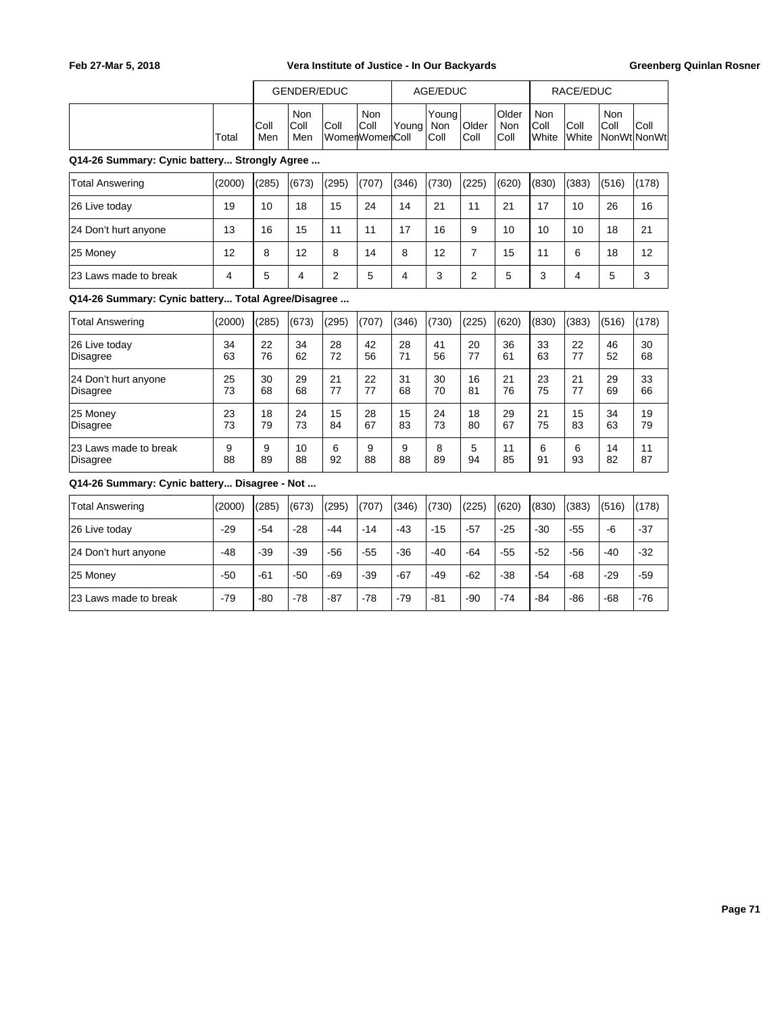|                                                    |                |             | <b>GENDER/EDUC</b> |                |                                      |                         | AGE/EDUC             |                |                      |                      | RACE/EDUC      |             |                     |
|----------------------------------------------------|----------------|-------------|--------------------|----------------|--------------------------------------|-------------------------|----------------------|----------------|----------------------|----------------------|----------------|-------------|---------------------|
|                                                    | Total          | Coll<br>Men | Non<br>Coll<br>Men | Coll           | <b>Non</b><br>Coll<br>WomenWomenColl | Young                   | Young<br>Non<br>Coll | Older<br>Coll  | Older<br>Non<br>Coll | Non<br>Coll<br>White | Coll<br>White  | Non<br>Coll | Coll<br>NonWt NonWt |
| Q14-26 Summary: Cynic battery Strongly Agree       |                |             |                    |                |                                      |                         |                      |                |                      |                      |                |             |                     |
| <b>Total Answering</b>                             | (2000)         | (285)       | (673)              | (295)          | (707)                                | (346)                   | (730)                | (225)          | (620)                | (830)                | (383)          | (516)       | (178)               |
| 26 Live today                                      | 19             | 10          | 18                 | 15             | 24                                   | 14                      | 21                   | 11             | 21                   | 17                   | 10             | 26          | 16                  |
| 24 Don't hurt anyone                               | 13             | 16          | 15                 | 11             | 11                                   | 17                      | 16                   | 9              | 10                   | 10                   | 10             | 18          | 21                  |
| 25 Money                                           | 12             | 8           | 12                 | 8              | 14                                   | 8                       | 12                   | $\overline{7}$ | 15                   | 11                   | 6              | 18          | 12                  |
| 23 Laws made to break                              | $\overline{4}$ | 5           | 4                  | $\overline{2}$ | 5                                    | $\overline{\mathbf{4}}$ | 3                    | $\overline{2}$ | 5                    | 3                    | $\overline{4}$ | 5           | 3                   |
| Q14-26 Summary: Cynic battery Total Agree/Disagree |                |             |                    |                |                                      |                         |                      |                |                      |                      |                |             |                     |
| <b>Total Answering</b>                             | (2000)         | (285)       | (673)              | (295)          | (707)                                | (346)                   | (730)                | (225)          | (620)                | (830)                | (383)          | (516)       | (178)               |
| 26 Live today<br><b>Disagree</b>                   | 34<br>63       | 22<br>76    | 34<br>62           | 28<br>72       | 42<br>56                             | 28<br>71                | 41<br>56             | 20<br>77       | 36<br>61             | 33<br>63             | 22<br>77       | 46<br>52    | 30<br>68            |
| 24 Don't hurt anyone<br><b>Disagree</b>            | 25<br>73       | 30<br>68    | 29<br>68           | 21<br>77       | 22<br>77                             | 31<br>68                | 30<br>70             | 16<br>81       | 21<br>76             | 23<br>75             | 21<br>77       | 29<br>69    | 33<br>66            |
| 25 Money<br><b>Disagree</b>                        | 23<br>73       | 18<br>79    | 24<br>73           | 15<br>84       | 28<br>67                             | 15<br>83                | 24<br>73             | 18<br>80       | 29<br>67             | 21<br>75             | 15<br>83       | 34<br>63    | 19<br>79            |
| 23 Laws made to break<br><b>Disagree</b>           | 9<br>88        | 9<br>89     | 10<br>88           | 6<br>92        | 9<br>88                              | 9<br>88                 | 8<br>89              | 5<br>94        | 11<br>85             | 6<br>91              | 6<br>93        | 14<br>82    | 11<br>87            |
| Q14-26 Summary: Cynic battery Disagree - Not       |                |             |                    |                |                                      |                         |                      |                |                      |                      |                |             |                     |
| <b>Total Answering</b>                             | (2000)         | (285)       | (673)              | (295)          | (707)                                | (346)                   | (730)                | (225)          | (620)                | (830)                | (383)          | (516)       | (178)               |
| 26 Live today                                      | $-29$          | $-54$       | $-28$              | $-44$          | $-14$                                | $-43$                   | $-15$                | -57            | $-25$                | $-30$                | $-55$          | $-6$        | $-37$               |
| 24 Don't hurt anyone                               | $-48$          | $-39$       | $-39$              | $-56$          | $-55$                                | $-36$                   | $-40$                | -64            | $-55$                | $-52$                | $-56$          | $-40$       | $-32$               |
| 25 Money                                           | $-50$          | $-61$       | $-50$              | $-69$          | $-39$                                | $-67$                   | $-49$                | $-62$          | $-38$                | $-54$                | $-68$          | $-29$       | $-59$               |
| 23 Laws made to break                              | $-79$          | -80         | $-78$              | $-87$          | $-78$                                | $-79$                   | $-81$                | $-90$          | $-74$                | $-84$                | $-86$          | -68         | $-76$               |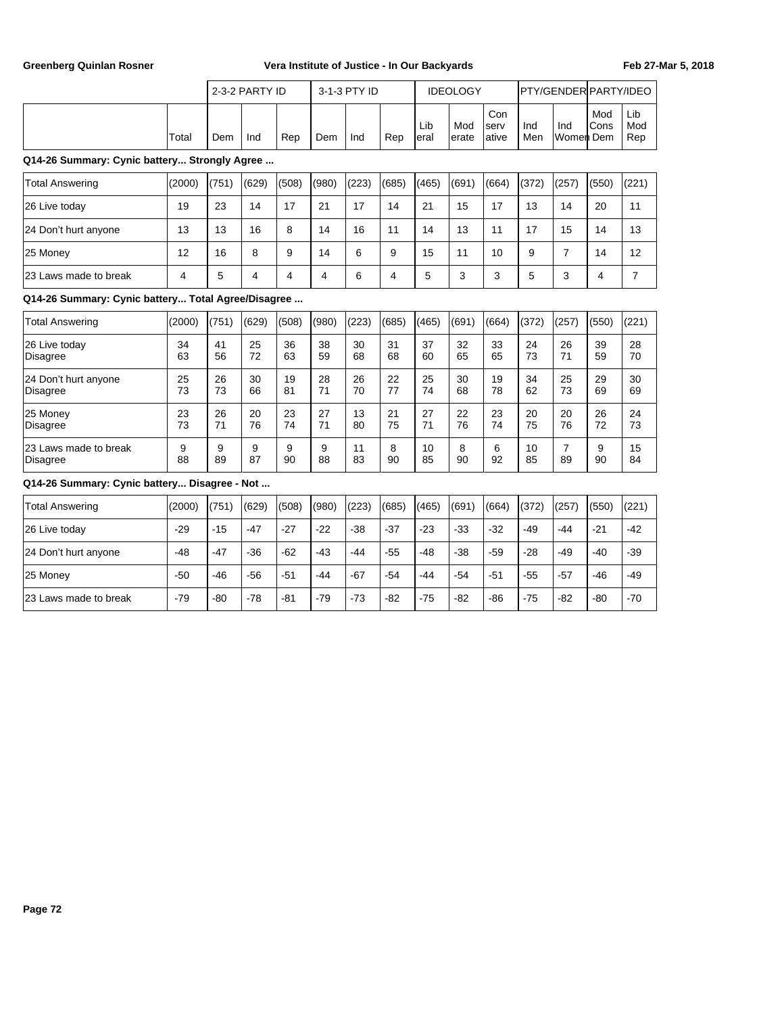|                                                    |          |          | 2-3-2 PARTY ID |                |                | 3-1-3 PTY ID |          |             | <b>IDEOLOGY</b> |                      |            | PTY/GENDER PARTY/IDEO |             |                   |
|----------------------------------------------------|----------|----------|----------------|----------------|----------------|--------------|----------|-------------|-----------------|----------------------|------------|-----------------------|-------------|-------------------|
|                                                    | Total    | Dem      | Ind            | Rep            | Dem            | Ind          | Rep      | Lib<br>eral | Mod<br>erate    | Con<br>serv<br>ative | Ind<br>Men | Ind<br>Women Dem      | Mod<br>Cons | Lib<br>Mod<br>Rep |
| Q14-26 Summary: Cynic battery Strongly Agree       |          |          |                |                |                |              |          |             |                 |                      |            |                       |             |                   |
| <b>Total Answering</b>                             | (2000)   | (751)    | (629)          | (508)          | (980)          | (223)        | (685)    | (465)       | (691)           | (664)                | (372)      | (257)                 | (550)       | (221)             |
| 26 Live today                                      | 19       | 23       | 14             | 17             | 21             | 17           | 14       | 21          | 15              | 17                   | 13         | 14                    | 20          | 11                |
| 24 Don't hurt anyone                               | 13       | 13       | 16             | 8              | 14             | 16           | 11       | 14          | 13              | 11                   | 17         | 15                    | 14          | 13                |
| 25 Money                                           | 12       | 16       | 8              | 9              | 14             | 6            | 9        | 15          | 11              | 10                   | 9          | $\overline{7}$        | 14          | 12                |
| 23 Laws made to break                              | 4        | 5        | 4              | $\overline{4}$ | $\overline{4}$ | 6            | 4        | 5           | 3               | 3                    | 5          | 3                     | 4           | $\overline{7}$    |
| Q14-26 Summary: Cynic battery Total Agree/Disagree |          |          |                |                |                |              |          |             |                 |                      |            |                       |             |                   |
| <b>Total Answering</b>                             | (2000)   | (751)    | (629)          | (508)          | (980)          | (223)        | (685)    | (465)       | (691)           | (664)                | (372)      | (257)                 | (550)       | (221)             |
| 26 Live today<br>Disagree                          | 34<br>63 | 41<br>56 | 25<br>72       | 36<br>63       | 38<br>59       | 30<br>68     | 31<br>68 | 37<br>60    | 32<br>65        | 33<br>65             | 24<br>73   | 26<br>71              | 39<br>59    | 28<br>70          |
| 24 Don't hurt anyone<br>Disagree                   | 25<br>73 | 26<br>73 | 30<br>66       | 19<br>81       | 28<br>71       | 26<br>70     | 22<br>77 | 25<br>74    | 30<br>68        | 19<br>78             | 34<br>62   | 25<br>73              | 29<br>69    | 30<br>69          |
| 25 Money<br>Disagree                               | 23<br>73 | 26<br>71 | 20<br>76       | 23<br>74       | 27<br>71       | 13<br>80     | 21<br>75 | 27<br>71    | 22<br>76        | 23<br>74             | 20<br>75   | 20<br>76              | 26<br>72    | 24<br>73          |
| 23 Laws made to break<br><b>Disagree</b>           | 9<br>88  | 9<br>89  | 9<br>87        | 9<br>90        | 9<br>88        | 11<br>83     | 8<br>90  | 10<br>85    | 8<br>90         | 6<br>92              | 10<br>85   | $\overline{7}$<br>89  | 9<br>90     | 15<br>84          |
| Q14-26 Summary: Cynic battery Disagree - Not       |          |          |                |                |                |              |          |             |                 |                      |            |                       |             |                   |
| <b>Total Answering</b>                             | (2000)   | (751)    | (629)          | (508)          | (980)          | (223)        | (685)    | (465)       | (691)           | (664)                | (372)      | (257)                 | (550)       | (221)             |
| 26 Live today                                      | $-29$    | $-15$    | $-47$          | $-27$          | $-22$          | $-38$        | $-37$    | $-23$       | $-33$           | $-32$                | $-49$      | $-44$                 | $-21$       | $-42$             |
| 24 Don't hurt anyone                               | $-48$    | $-47$    | $-36$          | $-62$          | $-43$          | $-44$        | $-55$    | $-48$       | $-38$           | $-59$                | $-28$      | $-49$                 | $-40$       | $-39$             |
| 25 Money                                           | $-50$    | -46      | -56            | $-51$          | -44            | -67          | $-54$    | -44         | -54             | -51                  | -55        | $-57$                 | -46         | $-49$             |
| 23 Laws made to break                              | $-79$    | -80      | $-78$          | -81            | $-79$          | $-73$        | $-82$    | $-75$       | -82             | -86                  | $-75$      | $-82$                 | $-80$       | $-70$             |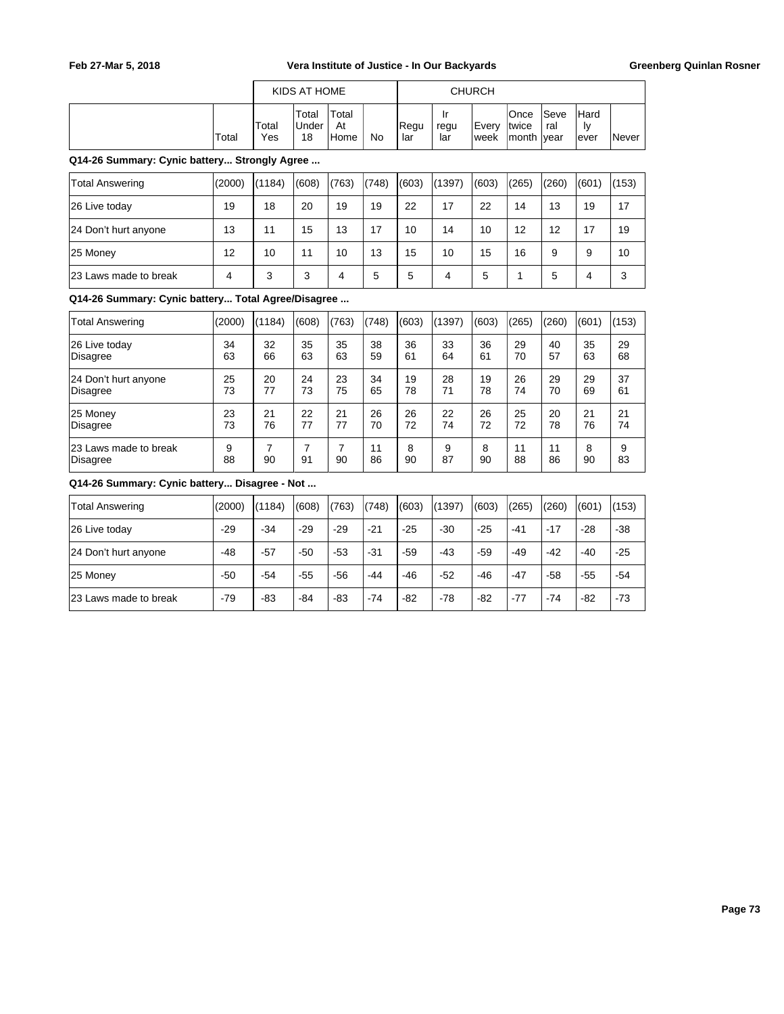|                                                    |                |              | KIDS AT HOME         |                      |           | <b>CHURCH</b> |                         |               |                        |                     |                         |          |  |
|----------------------------------------------------|----------------|--------------|----------------------|----------------------|-----------|---------------|-------------------------|---------------|------------------------|---------------------|-------------------------|----------|--|
|                                                    | Total          | Total<br>Yes | Total<br>Under<br>18 | Total<br>At<br>Home  | <b>No</b> | Regu<br>lar   | Ir<br>regu<br>lar       | Every<br>week | Once<br>twice<br>month | Seve<br>ral<br>vear | Hard<br>Iv<br>ever      | Never    |  |
| Q14-26 Summary: Cynic battery Strongly Agree       |                |              |                      |                      |           |               |                         |               |                        |                     |                         |          |  |
| <b>Total Answering</b>                             | (2000)         | (1184)       | (608)                | (763)                | (748)     | (603)         | (1397)                  | (603)         | (265)                  | (260)               | (601)                   | (153)    |  |
| 26 Live today                                      | 19             | 18           | 20                   | 19                   | 19        | 22            | 17                      | 22            | 14                     | 13                  | 19                      | 17       |  |
| 24 Don't hurt anyone                               | 13             | 11           | 15                   | 13                   | 17        | 10            | 14                      | 10            | 12                     | 12                  | 17                      | 19       |  |
| 25 Money                                           | 12             | 10           | 11                   | 10                   | 13        | 15            | 10                      | 15            | 16                     | 9                   | 9                       | 10       |  |
| 23 Laws made to break                              | $\overline{4}$ | 3            | 3                    | 4                    | 5         | 5             | $\overline{\mathbf{4}}$ | 5             | $\mathbf{1}$           | 5                   | $\overline{\mathbf{4}}$ | 3        |  |
| Q14-26 Summary: Cynic battery Total Agree/Disagree |                |              |                      |                      |           |               |                         |               |                        |                     |                         |          |  |
| <b>Total Answering</b>                             | (2000)         | (1184)       | (608)                | (763)                | (748)     | (603)         | (1397)                  | (603)         | (265)                  | (260)               | (601)                   | (153)    |  |
| 26 Live today<br>Disagree                          | 34<br>63       | 32<br>66     | 35<br>63             | 35<br>63             | 38<br>59  | 36<br>61      | 33<br>64                | 36<br>61      | 29<br>70               | 40<br>57            | 35<br>63                | 29<br>68 |  |
| 24 Don't hurt anyone<br>Disagree                   | 25<br>73       | 20<br>77     | 24<br>73             | 23<br>75             | 34<br>65  | 19<br>78      | 28<br>71                | 19<br>78      | 26<br>74               | 29<br>70            | 29<br>69                | 37<br>61 |  |
| 25 Monev<br>Disagree                               | 23<br>73       | 21<br>76     | 22<br>77             | 21<br>77             | 26<br>70  | 26<br>72      | 22<br>74                | 26<br>72      | 25<br>72               | 20<br>78            | 21<br>76                | 21<br>74 |  |
| 23 Laws made to break<br>Disagree                  | 9<br>88        | 7<br>90      | $\overline{7}$<br>91 | $\overline{7}$<br>90 | 11<br>86  | 8<br>90       | 9<br>87                 | 8<br>90       | 11<br>88               | 11<br>86            | 8<br>90                 | 9<br>83  |  |
| Q14-26 Summary: Cynic battery Disagree - Not       |                |              |                      |                      |           |               |                         |               |                        |                     |                         |          |  |
| <b>Total Answering</b>                             | (2000)         | (1184)       | (608)                | (763)                | (748)     | (603)         | (1397)                  | (603)         | (265)                  | (260)               | (601)                   | (153)    |  |
| 26 Live today                                      | $-29$          | $-34$        | $-29$                | $-29$                | $-21$     | $-25$         | $-30$                   | $-25$         | $-41$                  | $-17$               | $-28$                   | $-38$    |  |
| 24 Don't hurt anyone                               | $-48$          | $-57$        | $-50$                | $-53$                | $-31$     | $-59$         | $-43$                   | $-59$         | $-49$                  | $-42$               | $-40$                   | $-25$    |  |
| 25 Money                                           | -50            | $-54$        | $-55$                | $-56$                | $-44$     | $-46$         | $-52$                   | $-46$         | $-47$                  | $-58$               | $-55$                   | $-54$    |  |

23 Laws made to break -79 -83 -84 -83 -74 -82 -78 -82 -77 -74 -82 -73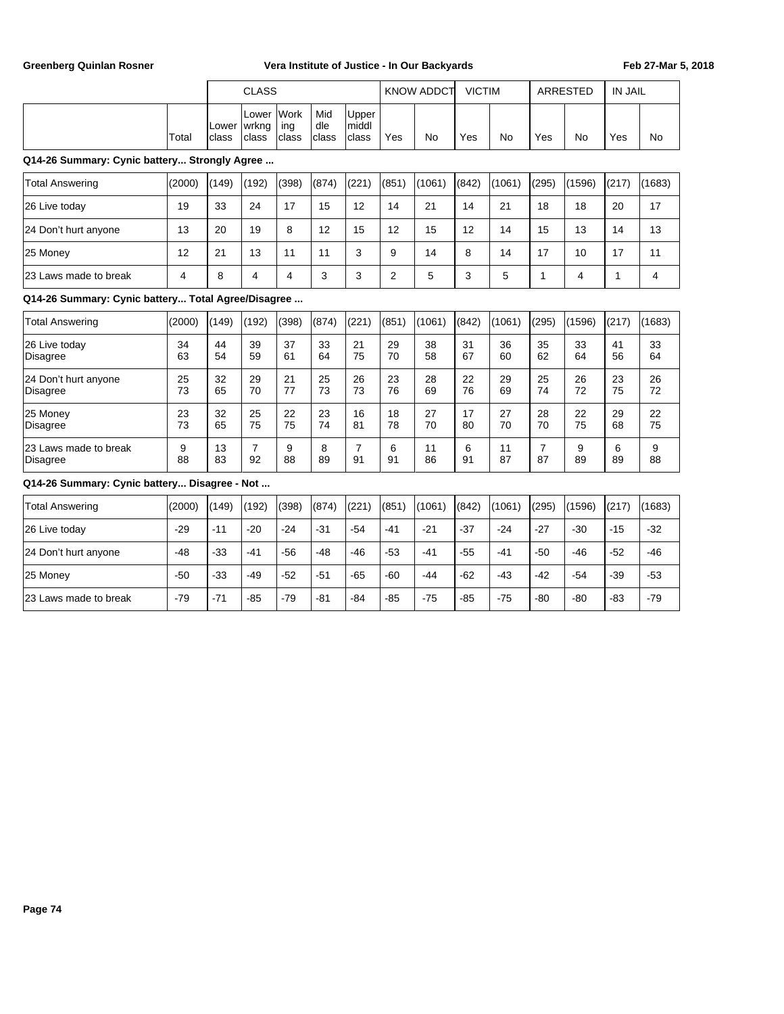|                                                    |                | <b>CLASS</b>   |                         |                      |                     | <b>KNOW ADDCT</b>       |          | <b>VICTIM</b> |          |           | <b>ARRESTED</b>      | <b>IN JAIL</b> |              |                |
|----------------------------------------------------|----------------|----------------|-------------------------|----------------------|---------------------|-------------------------|----------|---------------|----------|-----------|----------------------|----------------|--------------|----------------|
|                                                    | Total          | Lower<br>class | Lower<br>wrkng<br>class | Work<br>ing<br>class | Mid<br>dle<br>class | Upper<br>middl<br>class | Yes      | <b>No</b>     | Yes      | <b>No</b> | Yes                  | <b>No</b>      | Yes          | <b>No</b>      |
| Q14-26 Summary: Cynic battery Strongly Agree       |                |                |                         |                      |                     |                         |          |               |          |           |                      |                |              |                |
| <b>Total Answering</b>                             | (2000)         | (149)          | (192)                   | (398)                | (874)               | (221)                   | (851)    | (1061)        | (842)    | (1061)    | (295)                | (1596)         | (217)        | (1683)         |
| 26 Live today                                      | 19             | 33             | 24                      | 17                   | 15                  | 12                      | 14       | 21            | 14       | 21        | 18                   | 18             | 20           | 17             |
| 24 Don't hurt anyone                               | 13             | 20             | 19                      | 8                    | 12                  | 15                      | 12       | 15            | 12       | 14        | 15                   | 13             | 14           | 13             |
| 25 Money                                           | 12             | 21             | 13                      | 11                   | 11                  | 3                       | 9        | 14            | 8        | 14        | 17                   | 10             | 17           | 11             |
| 23 Laws made to break                              | $\overline{4}$ | 8              | $\overline{4}$          | 4                    | 3                   | 3                       | 2        | 5             | 3        | 5         | $\mathbf{1}$         | $\overline{4}$ | $\mathbf{1}$ | $\overline{4}$ |
| Q14-26 Summary: Cynic battery Total Agree/Disagree |                |                |                         |                      |                     |                         |          |               |          |           |                      |                |              |                |
| <b>Total Answering</b>                             | (2000)         | (149)          | (192)                   | (398)                | (874)               | (221)                   | (851)    | (1061)        | (842)    | (1061)    | (295)                | (1596)         | (217)        | (1683)         |
| 26 Live today<br><b>Disagree</b>                   | 34<br>63       | 44<br>54       | 39<br>59                | 37<br>61             | 33<br>64            | 21<br>75                | 29<br>70 | 38<br>58      | 31<br>67 | 36<br>60  | 35<br>62             | 33<br>64       | 41<br>56     | 33<br>64       |
| 24 Don't hurt anyone<br><b>Disagree</b>            | 25<br>73       | 32<br>65       | 29<br>70                | 21<br>77             | 25<br>73            | 26<br>73                | 23<br>76 | 28<br>69      | 22<br>76 | 29<br>69  | 25<br>74             | 26<br>72       | 23<br>75     | 26<br>72       |
| 25 Money<br><b>Disagree</b>                        | 23<br>73       | 32<br>65       | 25<br>75                | 22<br>75             | 23<br>74            | 16<br>81                | 18<br>78 | 27<br>70      | 17<br>80 | 27<br>70  | 28<br>70             | 22<br>75       | 29<br>68     | 22<br>75       |
| 23 Laws made to break<br><b>Disagree</b>           | 9<br>88        | 13<br>83       | $\overline{7}$<br>92    | 9<br>88              | 8<br>89             | $\overline{7}$<br>91    | 6<br>91  | 11<br>86      | 6<br>91  | 11<br>87  | $\overline{7}$<br>87 | 9<br>89        | 6<br>89      | 9<br>88        |
| Q14-26 Summary: Cynic battery Disagree - Not       |                |                |                         |                      |                     |                         |          |               |          |           |                      |                |              |                |
| <b>Total Answering</b>                             | (2000)         | (149)          | (192)                   | (398)                | (874)               | (221)                   | (851)    | (1061)        | (842)    | (1061)    | (295)                | (1596)         | (217)        | (1683)         |
| 26 Live today                                      | $-29$          | $-11$          | $-20$                   | $-24$                | $-31$               | $-54$                   | $-41$    | $-21$         | $-37$    | $-24$     | $-27$                | $-30$          | $-15$        | $-32$          |
| 24 Don't hurt anyone                               | $-48$          | $-33$          | $-41$                   | $-56$                | $-48$               | $-46$                   | $-53$    | $-41$         | $-55$    | $-41$     | $-50$                | $-46$          | $-52$        | $-46$          |
| 25 Money                                           | $-50$          | $-33$          | $-49$                   | $-52$                | $-51$               | $-65$                   | -60      | $-44$         | $-62$    | -43       | $-42$                | $-54$          | -39          | $-53$          |
| 23 Laws made to break                              | $-79$          | $-71$          | $-85$                   | $-79$                | $-81$               | $-84$                   | $-85$    | $-75$         | $-85$    | $-75$     | $-80$                | $-80$          | $-83$        | $-79$          |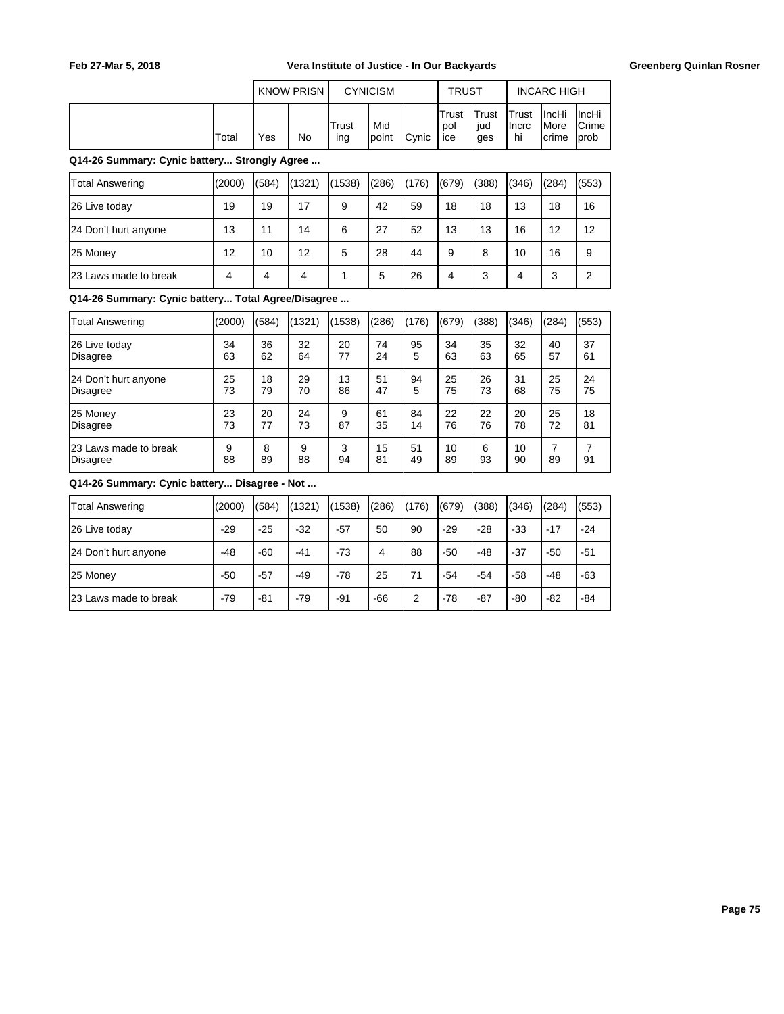|       | <b>KNOW PRISN</b> |    |              | <b>CYNICISM</b> |               | <b>TRUST</b>        |                     | <b>INCARC HIGH</b>            |                                         |                                              |
|-------|-------------------|----|--------------|-----------------|---------------|---------------------|---------------------|-------------------------------|-----------------------------------------|----------------------------------------------|
| Total | Yes               | No | Trust<br>ıng | Mid<br>point    | <b>C</b> vnic | Trust<br>pol<br>ice | Trust<br>iud<br>ges | <b>ITrust</b><br>Ilncrc<br>hi | <b>IncHi</b><br><i>I</i> More<br>Icrime | <b>IncHi</b><br><b>Crime</b><br><b>lprob</b> |

**Q14-26 Summary: Cynic battery... Strongly Agree ...**

| Total Answering       | (2000) | (584) | (1321) | (1538) | (286) | (176) | (679) | (388) | (346) | (284) | (553) |
|-----------------------|--------|-------|--------|--------|-------|-------|-------|-------|-------|-------|-------|
| 26 Live today         | 19     | 19    | 17     | 9      | 42    | 59    | 18    | 18    | 13    | 18    | 16    |
| 24 Don't hurt anyone  | 13     | 11    | 14     | 6      | 27    | 52    | 13    | 13    | 16    | 12    | 12    |
| 25 Money              | 12     | 10    | 12     | 5      | 28    | 44    | 9     | 8     | 10    | 16    | 9     |
| 23 Laws made to break | 4      | 4     | 4      |        | 5     | 26    | 4     | 3     | 4     | 3     | っ     |

**Q14-26 Summary: Cynic battery... Total Agree/Disagree ...**

| <b>Total Answering</b>            | (2000)  | (584)   | (1321)  | (1538)  | (286)    | (176)    | (679)    | (388)   | (346)    | (284) | (553) |
|-----------------------------------|---------|---------|---------|---------|----------|----------|----------|---------|----------|-------|-------|
| 26 Live today                     | 34      | 36      | 32      | 20      | 74       | 95       | 34       | 35      | 32       | 40    | 37    |
| Disagree                          | 63      | 62      | 64      | 77      | 24       | 5        | 63       | 63      | 65       | 57    | 61    |
| 24 Don't hurt anyone              | 25      | 18      | 29      | 13      | 51       | 94       | 25       | 26      | 31       | 25    | 24    |
| Disagree                          | 73      | 79      | 70      | 86      | 47       | 5        | 75       | 73      | 68       | 75    | 75    |
| 25 Money                          | 23      | 20      | 24      | 9       | 61       | 84       | 22       | 22      | 20       | 25    | 18    |
| Disagree                          | 73      | 77      | 73      | 87      | 35       | 14       | 76       | 76      | 78       | 72    | 81    |
| 23 Laws made to break<br>Disagree | 9<br>88 | 8<br>89 | 9<br>88 | 3<br>94 | 15<br>81 | 51<br>49 | 10<br>89 | 6<br>93 | 10<br>90 | 89    | 91    |

**Q14-26 Summary: Cynic battery... Disagree - Not ...**

| Total Answering       | (2000) | (584) | (1321) | (1538) | (286) | (176) | (679) | (388) | (346) | (284) | (553) |
|-----------------------|--------|-------|--------|--------|-------|-------|-------|-------|-------|-------|-------|
| 26 Live today         | $-29$  | $-25$ | $-32$  | $-57$  | 50    | 90    | $-29$ | $-28$ | $-33$ | $-17$ | $-24$ |
| 24 Don't hurt anyone  | -48    | $-60$ | $-41$  | $-73$  | 4     | 88    | $-50$ | $-48$ | $-37$ | $-50$ | $-51$ |
| 25 Money              | $-50$  | $-57$ | $-49$  | $-78$  | 25    | 71    | $-54$ | $-54$ | $-58$ | $-48$ | $-63$ |
| 23 Laws made to break | $-79$  | $-81$ | $-79$  | $-91$  | $-66$ | 2     | $-78$ | $-87$ | $-80$ | $-82$ | -84   |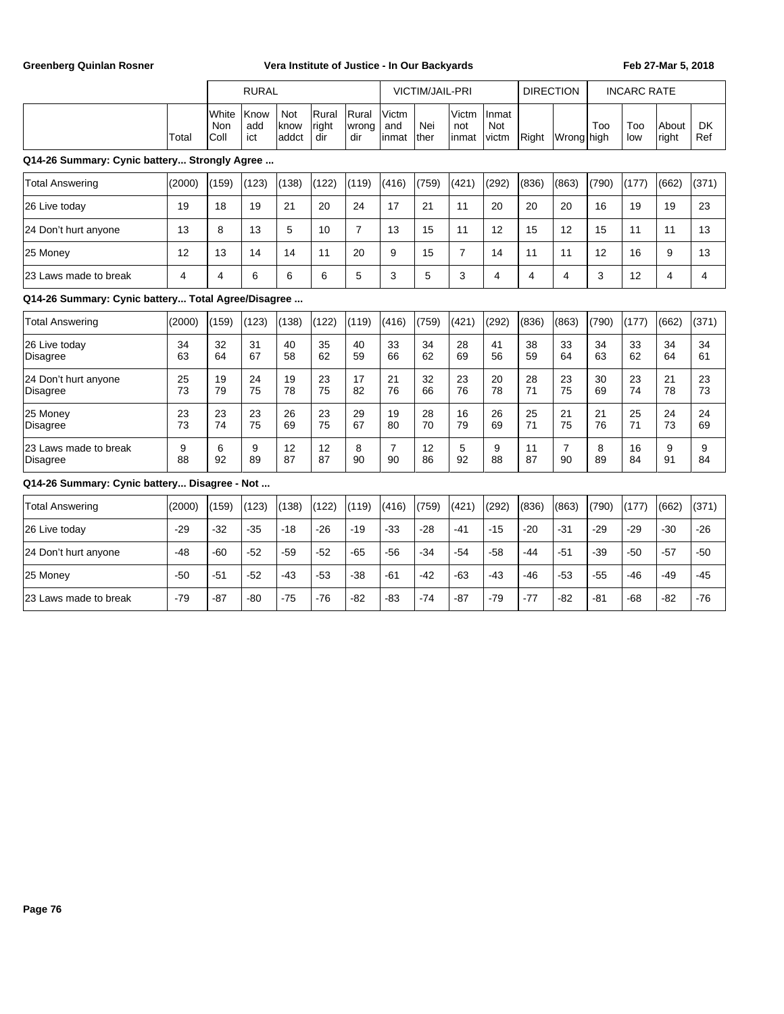|                                                    |                |                      | <b>RURAL</b>       |                      |                       |                       |                        | <b>VICTIM/JAIL-PRI</b> |                       |                              | <b>DIRECTION</b> |                      |          | <b>INCARC RATE</b> |                |                  |
|----------------------------------------------------|----------------|----------------------|--------------------|----------------------|-----------------------|-----------------------|------------------------|------------------------|-----------------------|------------------------------|------------------|----------------------|----------|--------------------|----------------|------------------|
|                                                    | Total          | White<br>Non<br>Coll | Know<br>add<br>ict | Not<br>know<br>addct | Rural<br>right<br>dir | Rural<br>wrong<br>dir | Victm<br>and<br>linmat | Nei<br>lther           | Victm<br>not<br>inmat | Inmat<br><b>Not</b><br>victm | Right            | Wrong <b>I</b> high  | Too      | Too<br>low         | About<br>right | <b>DK</b><br>Ref |
| Q14-26 Summary: Cynic battery Strongly Agree       |                |                      |                    |                      |                       |                       |                        |                        |                       |                              |                  |                      |          |                    |                |                  |
| <b>Total Answering</b>                             | (2000)         | (159)                | (123)              | (138)                | (122)                 | (119)                 | (416)                  | (759)                  | (421)                 | (292)                        | (836)            | (863)                | (790)    | (177)              | (662)          | (371)            |
| 26 Live today                                      | 19             | 18                   | 19                 | 21                   | 20                    | 24                    | 17                     | 21                     | 11                    | 20                           | 20               | 20                   | 16       | 19                 | 19             | 23               |
| 24 Don't hurt anyone                               | 13             | 8                    | 13                 | 5                    | 10                    | $\overline{7}$        | 13                     | 15                     | 11                    | 12                           | 15               | 12                   | 15       | 11                 | 11             | 13               |
| 25 Money                                           | 12             | 13                   | 14                 | 14                   | 11                    | 20                    | 9                      | 15                     | $\overline{7}$        | 14                           | 11               | 11                   | 12       | 16                 | 9              | 13               |
| 23 Laws made to break                              | $\overline{4}$ | 4                    | 6                  | 6                    | 6                     | 5                     | 3                      | 5                      | 3                     | 4                            | $\overline{4}$   | $\overline{4}$       | 3        | 12                 | 4              | 4                |
| Q14-26 Summary: Cynic battery Total Agree/Disagree |                |                      |                    |                      |                       |                       |                        |                        |                       |                              |                  |                      |          |                    |                |                  |
| <b>Total Answering</b>                             | (2000)         | (159)                | (123)              | (138)                | (122)                 | (119)                 | (416)                  | (759)                  | (421)                 | (292)                        | (836)            | (863)                | (790)    | (177)              | (662)          | (371)            |
| 26 Live today<br><b>Disagree</b>                   | 34<br>63       | 32<br>64             | 31<br>67           | 40<br>58             | 35<br>62              | 40<br>59              | 33<br>66               | 34<br>62               | 28<br>69              | 41<br>56                     | 38<br>59         | 33<br>64             | 34<br>63 | 33<br>62           | 34<br>64       | 34<br>61         |
| 24 Don't hurt anyone<br><b>Disagree</b>            | 25<br>73       | 19<br>79             | 24<br>75           | 19<br>78             | 23<br>75              | 17<br>82              | 21<br>76               | 32<br>66               | 23<br>76              | 20<br>78                     | 28<br>71         | 23<br>75             | 30<br>69 | 23<br>74           | 21<br>78       | 23<br>73         |
| 25 Money<br><b>Disagree</b>                        | 23<br>73       | 23<br>74             | 23<br>75           | 26<br>69             | 23<br>75              | 29<br>67              | 19<br>80               | 28<br>70               | 16<br>79              | 26<br>69                     | 25<br>71         | 21<br>75             | 21<br>76 | 25<br>71           | 24<br>73       | 24<br>69         |
| 23 Laws made to break<br><b>Disagree</b>           | 9<br>88        | 6<br>92              | 9<br>89            | 12<br>87             | 12<br>87              | 8<br>90               | $\overline{7}$<br>90   | 12<br>86               | 5<br>92               | 9<br>88                      | 11<br>87         | $\overline{7}$<br>90 | 8<br>89  | 16<br>84           | 9<br>91        | 9<br>84          |
| Q14-26 Summary: Cynic battery Disagree - Not       |                |                      |                    |                      |                       |                       |                        |                        |                       |                              |                  |                      |          |                    |                |                  |
| <b>Total Answering</b>                             | (2000)         | (159)                | (123)              | (138)                | (122)                 | (119)                 | (416)                  | (759)                  | (421)                 | (292)                        | (836)            | (863)                | (790)    | (177)              | (662)          | (371)            |
| 26 Live today                                      | $-29$          | $-32$                | $-35$              | $-18$                | $-26$                 | $-19$                 | $-33$                  | $-28$                  | $-41$                 | $-15$                        | $-20$            | $-31$                | $-29$    | $-29$              | $-30$          | $-26$            |
| 24 Don't hurt anyone                               | $-48$          | $-60$                | $-52$              | $-59$                | $-52$                 | $-65$                 | $-56$                  | $-34$                  | $-54$                 | $-58$                        | $-44$            | $-51$                | $-39$    | $-50$              | $-57$          | $-50$            |
| 25 Money                                           | $-50$          | $-51$                | $-52$              | $-43$                | $-53$                 | $-38$                 | $-61$                  | $-42$                  | $-63$                 | $-43$                        | $-46$            | $-53$                | $-55$    | $-46$              | $-49$          | $-45$            |
| 23 Laws made to break                              | $-79$          | $-87$                | $-80$              | $-75$                | $-76$                 | $-82$                 | $-83$                  | $-74$                  | $-87$                 | $-79$                        | $-77$            | $-82$                | $-81$    | $-68$              | $-82$          | $-76$            |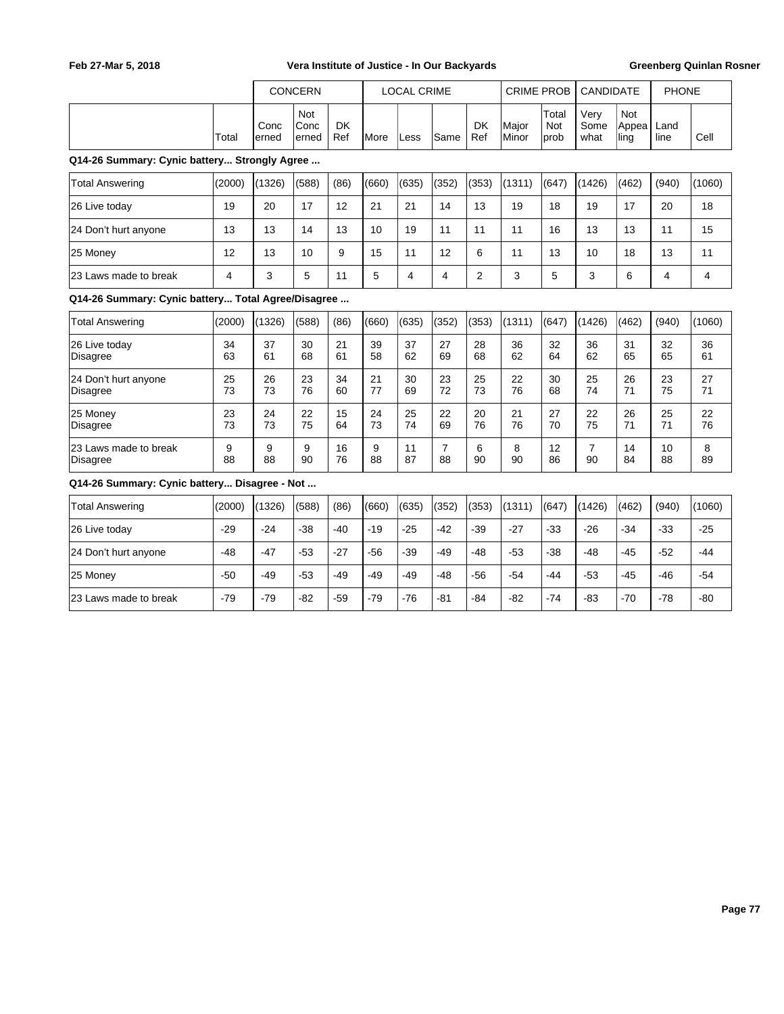|                                                    |          |               | <b>CONCERN</b>        |                  |               | <b>LOCAL CRIME</b> |                      |                  | <b>CRIME PROB</b> |                             | <b>CANDIDATE</b>     |                             | <b>PHONE</b> |                |
|----------------------------------------------------|----------|---------------|-----------------------|------------------|---------------|--------------------|----------------------|------------------|-------------------|-----------------------------|----------------------|-----------------------------|--------------|----------------|
|                                                    | Total    | Conc<br>erned | Not<br>Conc<br>lerned | <b>DK</b><br>Ref | <b>I</b> More | Less               | Same                 | <b>DK</b><br>Ref | Major<br>Minor    | Total<br><b>Not</b><br>prob | Very<br>Some<br>what | <b>Not</b><br>Appea<br>ling | Land<br>line | Cell           |
| Q14-26 Summary: Cynic battery Strongly Agree       |          |               |                       |                  |               |                    |                      |                  |                   |                             |                      |                             |              |                |
| <b>Total Answering</b>                             | (2000)   | (1326)        | (588)                 | (86)             | (660)         | (635)              | (352)                | (353)            | (1311)            | (647)                       | (1426)               | (462)                       | (940)        | (1060)         |
| 26 Live today                                      | 19       | 20            | 17                    | 12               | 21            | 21                 | 14                   | 13               | 19                | 18                          | 19                   | 17                          | 20           | 18             |
| 24 Don't hurt anyone                               | 13       | 13            | 14                    | 13               | 10            | 19                 | 11                   | 11               | 11                | 16                          | 13                   | 13                          | 11           | 15             |
| 25 Money                                           | 12       | 13            | 10                    | 9                | 15            | 11                 | 12                   | 6                | 11                | 13                          | 10                   | 18                          | 13           | 11             |
| 23 Laws made to break                              | 4        | 3             | 5                     | 11               | 5             | $\overline{4}$     | $\overline{4}$       | 2                | 3                 | 5                           | 3                    | 6                           | 4            | $\overline{4}$ |
| Q14-26 Summary: Cynic battery Total Agree/Disagree |          |               |                       |                  |               |                    |                      |                  |                   |                             |                      |                             |              |                |
| <b>Total Answering</b>                             | (2000)   | (1326)        | (588)                 | (86)             | (660)         | (635)              | (352)                | (353)            | (1311)            | (647)                       | (1426)               | (462)                       | (940)        | (1060)         |
| 26 Live today<br><b>Disagree</b>                   | 34<br>63 | 37<br>61      | 30<br>68              | 21<br>61         | 39<br>58      | 37<br>62           | 27<br>69             | 28<br>68         | 36<br>62          | 32<br>64                    | 36<br>62             | 31<br>65                    | 32<br>65     | 36<br>61       |
| 24 Don't hurt anyone<br><b>Disagree</b>            | 25<br>73 | 26<br>73      | 23<br>76              | 34<br>60         | 21<br>77      | 30<br>69           | 23<br>72             | 25<br>73         | 22<br>76          | 30<br>68                    | 25<br>74             | 26<br>71                    | 23<br>75     | 27<br>71       |
| 25 Money<br>Disagree                               | 23<br>73 | 24<br>73      | 22<br>75              | 15<br>64         | 24<br>73      | 25<br>74           | 22<br>69             | 20<br>76         | 21<br>76          | 27<br>70                    | 22<br>75             | 26<br>71                    | 25<br>71     | 22<br>76       |
| 23 Laws made to break<br>Disagree                  | 9<br>88  | 9<br>88       | 9<br>90               | 16<br>76         | 9<br>88       | 11<br>87           | $\overline{7}$<br>88 | 6<br>90          | 8<br>90           | 12<br>86                    | $\overline{7}$<br>90 | 14<br>84                    | 10<br>88     | 8<br>89        |
| Q14-26 Summary: Cynic battery Disagree - Not       |          |               |                       |                  |               |                    |                      |                  |                   |                             |                      |                             |              |                |
| <b>Total Answering</b>                             | (2000)   | (1326)        | (588)                 | (86)             | (660)         | (635)              | (352)                | (353)            | (1311)            | (647)                       | (1426)               | (462)                       | (940)        | (1060)         |
| 26 Live today                                      | $-29$    | $-24$         | -38                   | -40              | $-19$         | $-25$              | $-42$                | $-39$            | $-27$             | $-33$                       | $-26$                | $-34$                       | $-33$        | $-25$          |
| 24 Don't hurt anyone                               | $-48$    | $-47$         | $-53$                 | $-27$            | -56           | $-39$              | $-49$                | $-48$            | $-53$             | $-38$                       | $-48$                | $-45$                       | $-52$        | $-44$          |
| 25 Money                                           | $-50$    | $-49$         | $-53$                 | $-49$            | $-49$         | $-49$              | $-48$                | $-56$            | $-54$             | $-44$                       | $-53$                | $-45$                       | $-46$        | $-54$          |
| 23 Laws made to break                              | $-79$    | $-79$         | $-82$                 | $-59$            | $-79$         | $-76$              | $-81$                | $-84$            | $-82$             | $-74$                       | $-83$                | $-70$                       | $-78$        | $-80$          |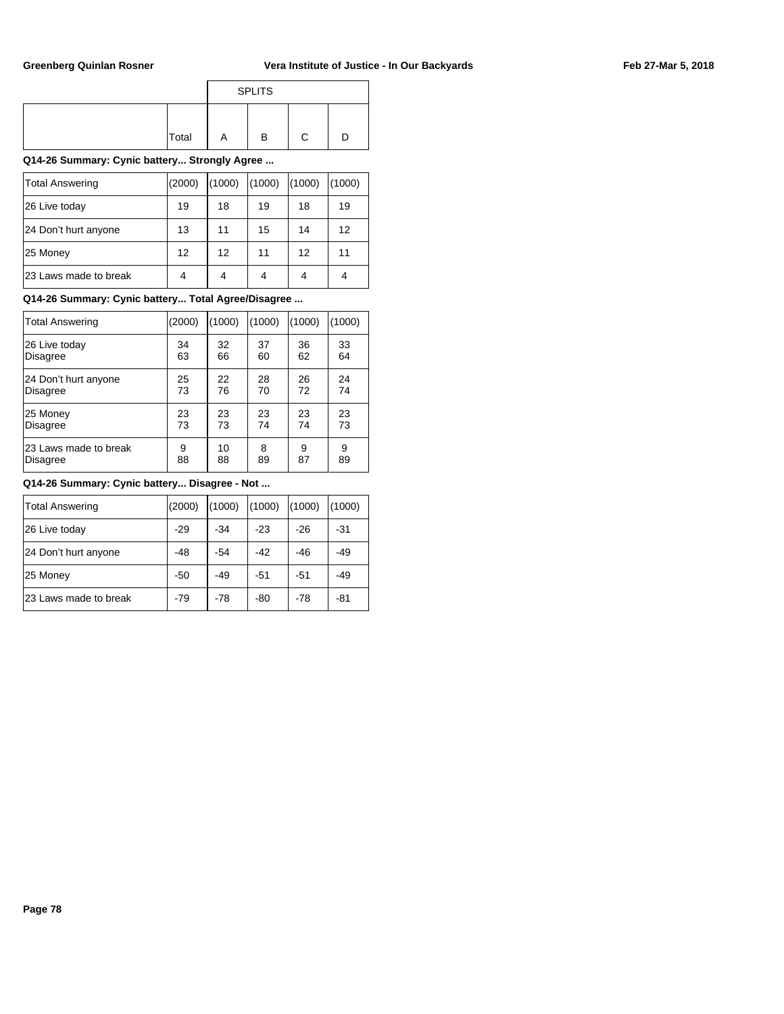|  |  | Feb 27-Mar 5, 2018 |
|--|--|--------------------|
|--|--|--------------------|

|       |   | <b>SPLITS</b> |   |  |
|-------|---|---------------|---|--|
| Total | Α | в             | C |  |

### **Q14-26 Summary: Cynic battery... Strongly Agree ...**

| Total Answering       | (2000) | (1000) | (1000) | (1000) | (1000) |
|-----------------------|--------|--------|--------|--------|--------|
| 26 Live today         | 19     | 18     | 19     | 18     | 19     |
| 24 Don't hurt anyone  | 13     | 11     | 15     | 14     | 12     |
| 25 Money              | 12     | 12     | 11     | 12     | 11     |
| 23 Laws made to break | 4      |        | 4      | 4      |        |

## **Q14-26 Summary: Cynic battery... Total Agree/Disagree ...**

| Total Answering       | (2000) | (1000) | (1000) | (1000) | (1000) |
|-----------------------|--------|--------|--------|--------|--------|
| 26 Live today         | 34     | 32     | 37     | 36     | 33     |
| <b>Disagree</b>       | 63     | 66     | 60     | 62     | 64     |
| 24 Don't hurt anyone  | 25     | 22     | 28     | 26     | 24     |
| <b>Disagree</b>       | 73     | 76     | 70     | 72     | 74     |
| 25 Money              | 23     | 23     | 23     | 23     | 23     |
| <b>Disagree</b>       | 73     | 73     | 74     | 74     | 73     |
| 23 Laws made to break | 9      | 10     | 8      | 9      | 9      |
| <b>Disagree</b>       | 88     | 88     | 89     | 87     | 89     |

#### **Q14-26 Summary: Cynic battery... Disagree - Not ...**

| Total Answering       | (2000) | (1000) | (1000) | (1000) | (1000) |
|-----------------------|--------|--------|--------|--------|--------|
| 26 Live today         | $-29$  | $-34$  | $-23$  | $-26$  | -31    |
| 24 Don't hurt anyone  | $-48$  | $-54$  | $-42$  | $-46$  | $-49$  |
| 25 Money              | $-50$  | -49    | -51    | $-51$  | -49    |
| 23 Laws made to break | $-79$  | $-78$  | -80    | $-78$  | -81    |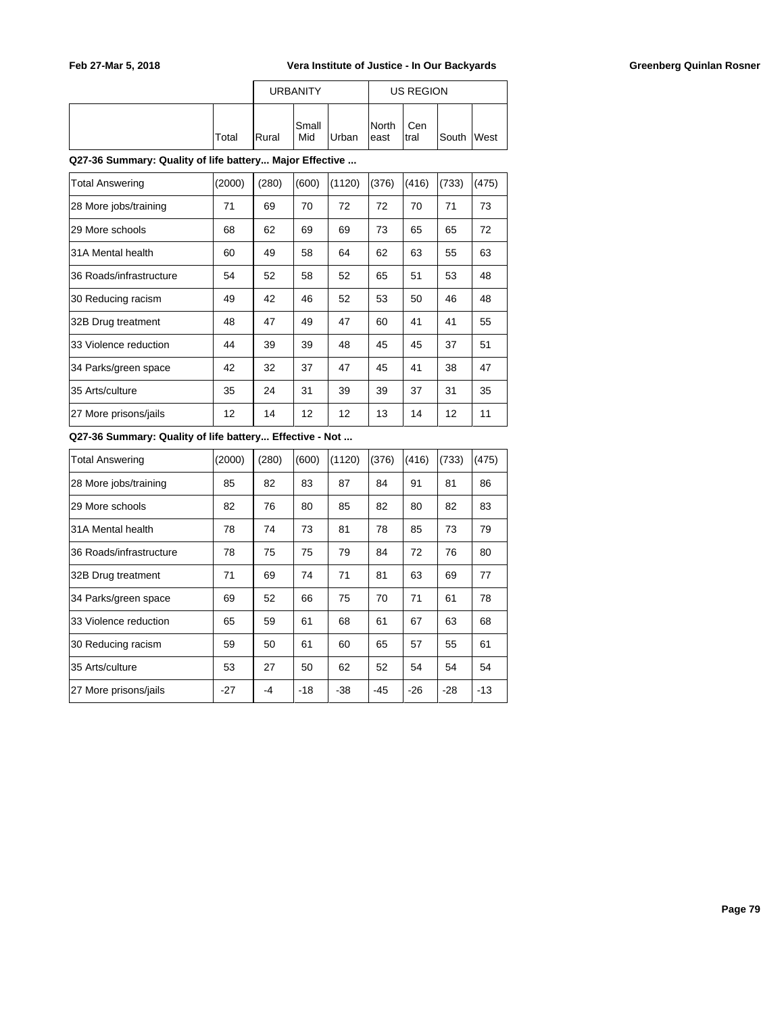|       |                | <b>URBANITY</b>     |       |                         | US REGION    |            |  |
|-------|----------------|---------------------|-------|-------------------------|--------------|------------|--|
| Total | <b>I</b> Rural | <b>Small</b><br>Mid | Urban | <b>I</b> North<br>least | Cen<br>Itral | South West |  |

### **Q27-36 Summary: Quality of life battery... Major Effective ...**

| <b>Total Answering</b>  | (2000) | (280) | (600) | (1120)            | (376) | (416) | (733) | (475) |
|-------------------------|--------|-------|-------|-------------------|-------|-------|-------|-------|
| 28 More jobs/training   | 71     | 69    | 70    | 72                | 72    | 70    | 71    | 73    |
| 29 More schools         | 68     | 62    | 69    | 69                | 73    | 65    | 65    | 72    |
| 31A Mental health       | 60     | 49    | 58    | 64                | 62    | 63    | 55    | 63    |
| 36 Roads/infrastructure | 54     | 52    | 58    | 52                | 65    | 51    | 53    | 48    |
| 30 Reducing racism      | 49     | 42    | 46    | 52                | 53    | 50    | 46    | 48    |
| 32B Drug treatment      | 48     | 47    | 49    | 47                | 60    | 41    | 41    | 55    |
| 33 Violence reduction   | 44     | 39    | 39    | 48                | 45    | 45    | 37    | 51    |
| 34 Parks/green space    | 42     | 32    | 37    | 47                | 45    | 41    | 38    | 47    |
| 35 Arts/culture         | 35     | 24    | 31    | 39                | 39    | 37    | 31    | 35    |
| 27 More prisons/jails   | 12     | 14    | 12    | $12 \overline{ }$ | 13    | 14    | 12    | 11    |

## **Q27-36 Summary: Quality of life battery... Effective - Not ...**

| Total Answering         | (2000) | (280) | (600) | (1120) | (376) | (416) | (733) | (475) |
|-------------------------|--------|-------|-------|--------|-------|-------|-------|-------|
| 28 More jobs/training   | 85     | 82    | 83    | 87     | 84    | 91    | 81    | 86    |
| 29 More schools         | 82     | 76    | 80    | 85     | 82    | 80    | 82    | 83    |
| 31A Mental health       | 78     | 74    | 73    | 81     | 78    | 85    | 73    | 79    |
| 36 Roads/infrastructure | 78     | 75    | 75    | 79     | 84    | 72    | 76    | 80    |
| 32B Drug treatment      | 71     | 69    | 74    | 71     | 81    | 63    | 69    | 77    |
| 34 Parks/green space    | 69     | 52    | 66    | 75     | 70    | 71    | 61    | 78    |
| 33 Violence reduction   | 65     | 59    | 61    | 68     | 61    | 67    | 63    | 68    |
| 30 Reducing racism      | 59     | 50    | 61    | 60     | 65    | 57    | 55    | 61    |
| 35 Arts/culture         | 53     | 27    | 50    | 62     | 52    | 54    | 54    | 54    |
| 27 More prisons/jails   | $-27$  | -4    | $-18$ | $-38$  | $-45$ | $-26$ | $-28$ | $-13$ |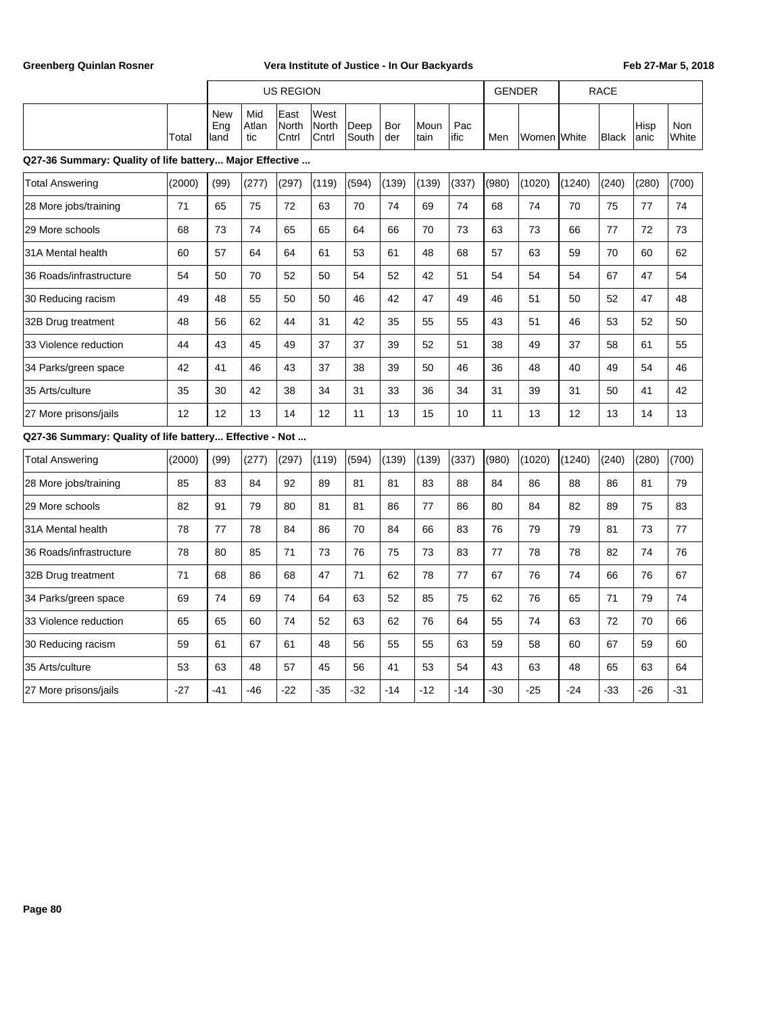|                                                         |        | <b>US REGION</b>          |                     |                        |                        |               |            |              |             | <b>GENDER</b> |             |        | <b>RACE</b>  |              |              |
|---------------------------------------------------------|--------|---------------------------|---------------------|------------------------|------------------------|---------------|------------|--------------|-------------|---------------|-------------|--------|--------------|--------------|--------------|
|                                                         | Total  | <b>New</b><br>Eng<br>land | Mid<br>Atlan<br>tic | East<br>North<br>Cntrl | West<br>North<br>Cntrl | Deep<br>South | Bor<br>der | Moun<br>tain | Pac<br>ific | Men           | Women White |        | <b>Black</b> | Hisp<br>anic | Non<br>White |
| Q27-36 Summary: Quality of life battery Major Effective |        |                           |                     |                        |                        |               |            |              |             |               |             |        |              |              |              |
| <b>Total Answering</b>                                  | (2000) | (99)                      | (277)               | (297)                  | (119)                  | (594)         | (139)      | (139)        | (337)       | (980)         | (1020)      | (1240) | (240)        | (280)        | (700)        |
| 28 More jobs/training                                   | 71     | 65                        | 75                  | 72                     | 63                     | 70            | 74         | 69           | 74          | 68            | 74          | 70     | 75           | 77           | 74           |
| 29 More schools                                         | 68     | 73                        | 74                  | 65                     | 65                     | 64            | 66         | 70           | 73          | 63            | 73          | 66     | 77           | 72           | 73           |
| 31A Mental health                                       | 60     | 57                        | 64                  | 64                     | 61                     | 53            | 61         | 48           | 68          | 57            | 63          | 59     | 70           | 60           | 62           |
| 36 Roads/infrastructure                                 | 54     | 50                        | 70                  | 52                     | 50                     | 54            | 52         | 42           | 51          | 54            | 54          | 54     | 67           | 47           | 54           |
| 30 Reducing racism                                      | 49     | 48                        | 55                  | 50                     | 50                     | 46            | 42         | 47           | 49          | 46            | 51          | 50     | 52           | 47           | 48           |
| 32B Drug treatment                                      | 48     | 56                        | 62                  | 44                     | 31                     | 42            | 35         | 55           | 55          | 43            | 51          | 46     | 53           | 52           | 50           |
| 33 Violence reduction                                   | 44     | 43                        | 45                  | 49                     | 37                     | 37            | 39         | 52           | 51          | 38            | 49          | 37     | 58           | 61           | 55           |
| 34 Parks/green space                                    | 42     | 41                        | 46                  | 43                     | 37                     | 38            | 39         | 50           | 46          | 36            | 48          | 40     | 49           | 54           | 46           |
| 35 Arts/culture                                         | 35     | 30                        | 42                  | 38                     | 34                     | 31            | 33         | 36           | 34          | 31            | 39          | 31     | 50           | 41           | 42           |
| 27 More prisons/jails                                   | 12     | 12                        | 13                  | 14                     | 12                     | 11            | 13         | 15           | 10          | 11            | 13          | 12     | 13           | 14           | 13           |
| Q27-36 Summary: Quality of life battery Effective - Not |        |                           |                     |                        |                        |               |            |              |             |               |             |        |              |              |              |
| <b>Total Answering</b>                                  | (2000) | (99)                      | (277)               | (297)                  | (119)                  | (594)         | (139)      | (139)        | (337)       | (980)         | (1020)      | (1240) | (240)        | (280)        | (700)        |
| 28 More jobs/training                                   | 85     | 83                        | 84                  | 92                     | 89                     | 81            | 81         | 83           | 88          | 84            | 86          | 88     | 86           | 81           | 79           |
| 29 More schools                                         | 82     | 91                        | 79                  | 80                     | 81                     | 81            | 86         | 77           | 86          | 80            | 84          | 82     | 89           | 75           | 83           |
| 31A Mental health                                       | 78     | 77                        | 78                  | 84                     | 86                     | 70            | 84         | 66           | 83          | 76            | 79          | 79     | 81           | 73           | 77           |
| 36 Roads/infrastructure                                 | 78     | 80                        | 85                  | 71                     | 73                     | 76            | 75         | 73           | 83          | 77            | 78          | 78     | 82           | 74           | 76           |
| 32B Drug treatment                                      | 71     | 68                        | 86                  | 68                     | 47                     | 71            | 62         | 78           | 77          | 67            | 76          | 74     | 66           | 76           | 67           |
| 34 Parks/green space                                    | 69     | 74                        | 69                  | 74                     | 64                     | 63            | 52         | 85           | 75          | 62            | 76          | 65     | 71           | 79           | 74           |
| 33 Violence reduction                                   | 65     | 65                        | 60                  | 74                     | 52                     | 63            | 62         | 76           | 64          | 55            | 74          | 63     | 72           | 70           | 66           |
| 30 Reducing racism                                      | 59     | 61                        | 67                  | 61                     | 48                     | 56            | 55         | 55           | 63          | 59            | 58          | 60     | 67           | 59           | 60           |
| 35 Arts/culture                                         | 53     | 63                        | 48                  | 57                     | 45                     | 56            | 41         | 53           | 54          | 43            | 63          | 48     | 65           | 63           | 64           |
| 27 More prisons/jails                                   | $-27$  | $-41$                     | $-46$               | $-22$                  | $-35$                  | $-32$         | $-14$      | $-12$        | $-14$       | $-30$         | $-25$       | $-24$  | $-33$        | $-26$        | $-31$        |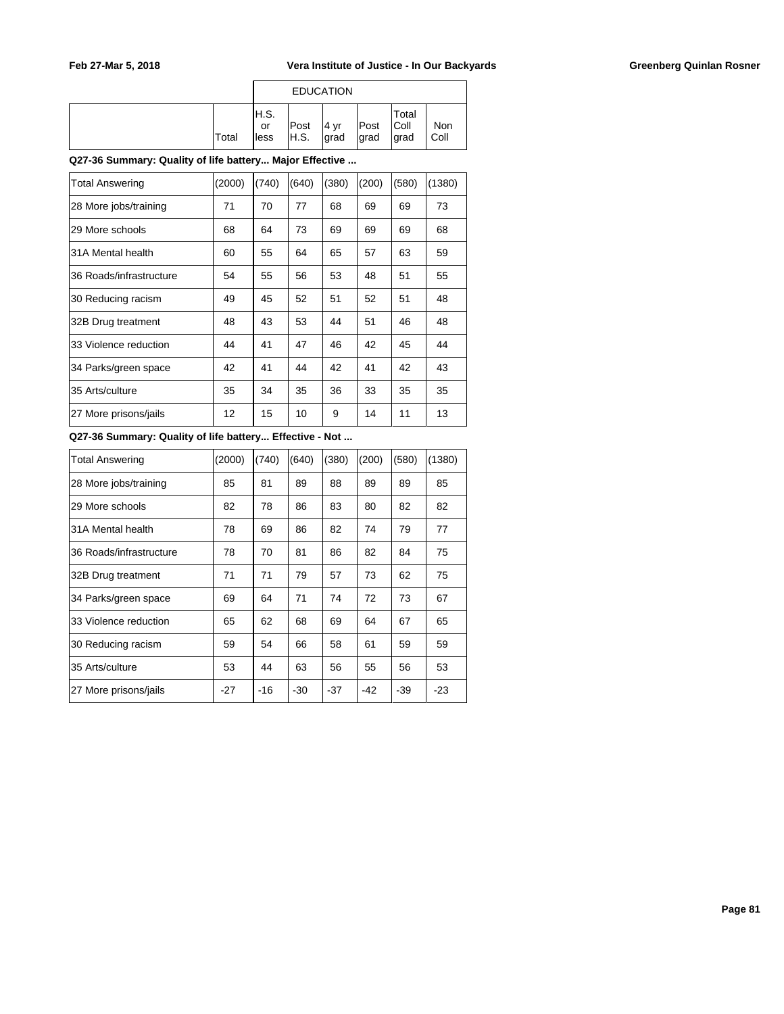|       |                      |               | <b>EDUCATION</b> |               |                         |             |
|-------|----------------------|---------------|------------------|---------------|-------------------------|-------------|
| Total | IH.S.<br>or<br>lless | Post<br> H.S. | 4 yr<br>Igrad    | Post<br> grad | Total<br> Coll<br>∣grad | Non<br>Coll |

### **Q27-36 Summary: Quality of life battery... Major Effective ...**

| <b>Total Answering</b>  | (2000) | (740) | (640) | (380) | (200) | (580) | (1380) |
|-------------------------|--------|-------|-------|-------|-------|-------|--------|
| 28 More jobs/training   | 71     | 70    | 77    | 68    | 69    | 69    | 73     |
| 29 More schools         | 68     | 64    | 73    | 69    | 69    | 69    | 68     |
| 31A Mental health       | 60     | 55    | 64    | 65    | 57    | 63    | 59     |
| 36 Roads/infrastructure | 54     | 55    | 56    | 53    | 48    | 51    | 55     |
| 30 Reducing racism      | 49     | 45    | 52    | 51    | 52    | 51    | 48     |
| 32B Drug treatment      | 48     | 43    | 53    | 44    | 51    | 46    | 48     |
| 33 Violence reduction   | 44     | 41    | 47    | 46    | 42    | 45    | 44     |
| 34 Parks/green space    | 42     | 41    | 44    | 42    | 41    | 42    | 43     |
| 35 Arts/culture         | 35     | 34    | 35    | 36    | 33    | 35    | 35     |
| 27 More prisons/jails   | 12     | 15    | 10    | 9     | 14    | 11    | 13     |

## **Q27-36 Summary: Quality of life battery... Effective - Not ...**

| Total Answering         | (2000) | (740) | (640) | (380) | (200) | (580) | (1380) |
|-------------------------|--------|-------|-------|-------|-------|-------|--------|
| 28 More jobs/training   | 85     | 81    | 89    | 88    | 89    | 89    | 85     |
| 29 More schools         | 82     | 78    | 86    | 83    | 80    | 82    | 82     |
| 31A Mental health       | 78     | 69    | 86    | 82    | 74    | 79    | 77     |
| 36 Roads/infrastructure | 78     | 70    | 81    | 86    | 82    | 84    | 75     |
| 32B Drug treatment      | 71     | 71    | 79    | 57    | 73    | 62    | 75     |
| 34 Parks/green space    | 69     | 64    | 71    | 74    | 72    | 73    | 67     |
| 33 Violence reduction   | 65     | 62    | 68    | 69    | 64    | 67    | 65     |
| 30 Reducing racism      | 59     | 54    | 66    | 58    | 61    | 59    | 59     |
| 35 Arts/culture         | 53     | 44    | 63    | 56    | 55    | 56    | 53     |
| 27 More prisons/jails   | $-27$  | $-16$ | $-30$ | $-37$ | $-42$ | -39   | $-23$  |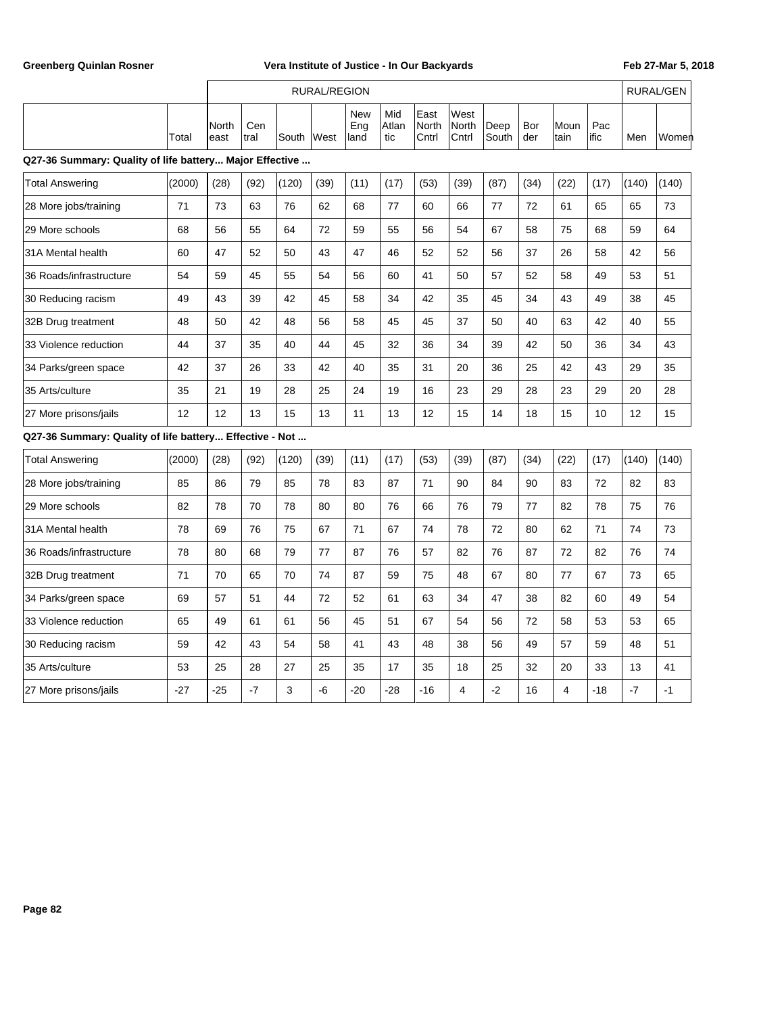|                                                         |        | <b>RURAL/REGION</b> |             |       |      |                           |                     |                        |                        |               |            |              | <b>RURAL/GEN</b> |       |       |
|---------------------------------------------------------|--------|---------------------|-------------|-------|------|---------------------------|---------------------|------------------------|------------------------|---------------|------------|--------------|------------------|-------|-------|
|                                                         | Total  | North<br>east       | Cen<br>tral | South | West | <b>New</b><br>Eng<br>land | Mid<br>Atlan<br>tic | East<br>North<br>Cntrl | West<br>North<br>Cntrl | Deep<br>South | Bor<br>der | Moun<br>tain | Pac<br>ific      | Men   | Women |
| Q27-36 Summary: Quality of life battery Major Effective |        |                     |             |       |      |                           |                     |                        |                        |               |            |              |                  |       |       |
| <b>Total Answering</b>                                  | (2000) | (28)                | (92)        | (120) | (39) | (11)                      | (17)                | (53)                   | (39)                   | (87)          | (34)       | (22)         | (17)             | (140) | (140) |
| 28 More jobs/training                                   | 71     | 73                  | 63          | 76    | 62   | 68                        | 77                  | 60                     | 66                     | 77            | 72         | 61           | 65               | 65    | 73    |
| 29 More schools                                         | 68     | 56                  | 55          | 64    | 72   | 59                        | 55                  | 56                     | 54                     | 67            | 58         | 75           | 68               | 59    | 64    |
| 31A Mental health                                       | 60     | 47                  | 52          | 50    | 43   | 47                        | 46                  | 52                     | 52                     | 56            | 37         | 26           | 58               | 42    | 56    |
| 36 Roads/infrastructure                                 | 54     | 59                  | 45          | 55    | 54   | 56                        | 60                  | 41                     | 50                     | 57            | 52         | 58           | 49               | 53    | 51    |
| 30 Reducing racism                                      | 49     | 43                  | 39          | 42    | 45   | 58                        | 34                  | 42                     | 35                     | 45            | 34         | 43           | 49               | 38    | 45    |
| 32B Drug treatment                                      | 48     | 50                  | 42          | 48    | 56   | 58                        | 45                  | 45                     | 37                     | 50            | 40         | 63           | 42               | 40    | 55    |
| 33 Violence reduction                                   | 44     | 37                  | 35          | 40    | 44   | 45                        | 32                  | 36                     | 34                     | 39            | 42         | 50           | 36               | 34    | 43    |
| 34 Parks/green space                                    | 42     | 37                  | 26          | 33    | 42   | 40                        | 35                  | 31                     | 20                     | 36            | 25         | 42           | 43               | 29    | 35    |
| 35 Arts/culture                                         | 35     | 21                  | 19          | 28    | 25   | 24                        | 19                  | 16                     | 23                     | 29            | 28         | 23           | 29               | 20    | 28    |
| 27 More prisons/jails                                   | 12     | 12                  | 13          | 15    | 13   | 11                        | 13                  | 12                     | 15                     | 14            | 18         | 15           | 10               | 12    | 15    |
| Q27-36 Summary: Quality of life battery Effective - Not |        |                     |             |       |      |                           |                     |                        |                        |               |            |              |                  |       |       |
| <b>Total Answering</b>                                  | (2000) | (28)                | (92)        | (120) | (39) | (11)                      | (17)                | (53)                   | (39)                   | (87)          | (34)       | (22)         | (17)             | (140) | (140) |
| 28 More jobs/training                                   | 85     | 86                  | 79          | 85    | 78   | 83                        | 87                  | 71                     | 90                     | 84            | 90         | 83           | 72               | 82    | 83    |
| 29 More schools                                         | 82     | 78                  | 70          | 78    | 80   | 80                        | 76                  | 66                     | 76                     | 79            | 77         | 82           | 78               | 75    | 76    |
| 31A Mental health                                       | 78     | 69                  | 76          | 75    | 67   | 71                        | 67                  | 74                     | 78                     | 72            | 80         | 62           | 71               | 74    | 73    |
| 36 Roads/infrastructure                                 | 78     | 80                  | 68          | 79    | 77   | 87                        | 76                  | 57                     | 82                     | 76            | 87         | 72           | 82               | 76    | 74    |
| 32B Drug treatment                                      | 71     | 70                  | 65          | 70    | 74   | 87                        | 59                  | 75                     | 48                     | 67            | 80         | 77           | 67               | 73    | 65    |
| 34 Parks/green space                                    | 69     | 57                  | 51          | 44    | 72   | 52                        | 61                  | 63                     | 34                     | 47            | 38         | 82           | 60               | 49    | 54    |
| 33 Violence reduction                                   | 65     | 49                  | 61          | 61    | 56   | 45                        | 51                  | 67                     | 54                     | 56            | 72         | 58           | 53               | 53    | 65    |
| 30 Reducing racism                                      | 59     | 42                  | 43          | 54    | 58   | 41                        | 43                  | 48                     | 38                     | 56            | 49         | 57           | 59               | 48    | 51    |
| 35 Arts/culture                                         | 53     | 25                  | 28          | 27    | 25   | 35                        | 17                  | 35                     | 18                     | 25            | 32         | 20           | 33               | 13    | 41    |
| 27 More prisons/jails                                   | $-27$  | $-25$               | $-7$        | 3     | -6   | $-20$                     | $-28$               | $-16$                  | $\overline{4}$         | $-2$          | 16         | 4            | $-18$            | $-7$  | $-1$  |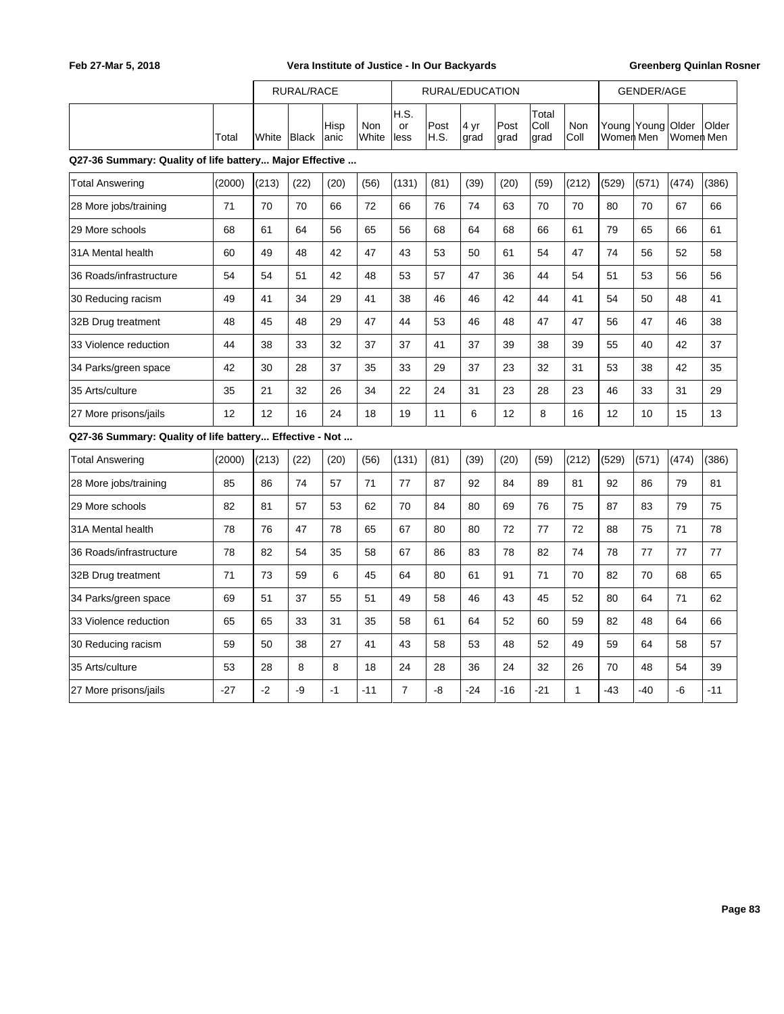|                                                         |        | RURAL/RACE |              |               |              |                    | RURAL/EDUCATION |              |              |                       | <b>GENDER/AGE</b> |                          |       |                           |              |
|---------------------------------------------------------|--------|------------|--------------|---------------|--------------|--------------------|-----------------|--------------|--------------|-----------------------|-------------------|--------------------------|-------|---------------------------|--------------|
|                                                         | Total  | White      | <b>Black</b> | Hisp<br> anic | Non<br>White | H.S.<br>or<br>less | Post<br>IH.S.   | 4 yr<br>grad | Post<br>grad | Total<br>Coll<br>grad | Non<br>Coll       | Young Young<br>Women Men |       | <b>Older</b><br>Women Men | <b>Older</b> |
| Q27-36 Summary: Quality of life battery Major Effective |        |            |              |               |              |                    |                 |              |              |                       |                   |                          |       |                           |              |
| <b>Total Answering</b>                                  | (2000) | (213)      | (22)         | (20)          | (56)         | (131)              | (81)            | (39)         | (20)         | (59)                  | (212)             | (529)                    | (571) | (474)                     | (386)        |
| 28 More jobs/training                                   | 71     | 70         | 70           | 66            | 72           | 66                 | 76              | 74           | 63           | 70                    | 70                | 80                       | 70    | 67                        | 66           |
| 29 More schools                                         | 68     | 61         | 64           | 56            | 65           | 56                 | 68              | 64           | 68           | 66                    | 61                | 79                       | 65    | 66                        | 61           |
| 31A Mental health                                       | 60     | 49         | 48           | 42            | 47           | 43                 | 53              | 50           | 61           | 54                    | 47                | 74                       | 56    | 52                        | 58           |
| 36 Roads/infrastructure                                 | 54     | 54         | 51           | 42            | 48           | 53                 | 57              | 47           | 36           | 44                    | 54                | 51                       | 53    | 56                        | 56           |
| 30 Reducing racism                                      | 49     | 41         | 34           | 29            | 41           | 38                 | 46              | 46           | 42           | 44                    | 41                | 54                       | 50    | 48                        | 41           |
| 32B Drug treatment                                      | 48     | 45         | 48           | 29            | 47           | 44                 | 53              | 46           | 48           | 47                    | 47                | 56                       | 47    | 46                        | 38           |
| 33 Violence reduction                                   | 44     | 38         | 33           | 32            | 37           | 37                 | 41              | 37           | 39           | 38                    | 39                | 55                       | 40    | 42                        | 37           |
| 34 Parks/green space                                    | 42     | 30         | 28           | 37            | 35           | 33                 | 29              | 37           | 23           | 32                    | 31                | 53                       | 38    | 42                        | 35           |
| 35 Arts/culture                                         | 35     | 21         | 32           | 26            | 34           | 22                 | 24              | 31           | 23           | 28                    | 23                | 46                       | 33    | 31                        | 29           |
| 27 More prisons/jails                                   | 12     | 12         | 16           | 24            | 18           | 19                 | 11              | 6            | 12           | 8                     | 16                | 12                       | 10    | 15                        | 13           |
| Q27-36 Summary: Quality of life battery Effective - Not |        |            |              |               |              |                    |                 |              |              |                       |                   |                          |       |                           |              |
| <b>Total Answering</b>                                  | (2000) | (213)      | (22)         | (20)          | (56)         | (131)              | (81)            | (39)         | (20)         | (59)                  | (212)             | (529)                    | (571) | (474)                     | (386)        |
| 28 More jobs/training                                   | 85     | 86         | 74           | 57            | 71           | 77                 | 87              | 92           | 84           | 89                    | 81                | 92                       | 86    | 79                        | 81           |
| 29 More schools                                         | 82     | 81         | 57           | 53            | 62           | 70                 | 84              | 80           | 69           | 76                    | 75                | 87                       | 83    | 79                        | 75           |
| 31A Mental health                                       | 78     | 76         | 47           | 78            | 65           | 67                 | 80              | 80           | 72           | 77                    | 72                | 88                       | 75    | 71                        | 78           |
| 36 Roads/infrastructure                                 | 78     | 82         | 54           | 35            | 58           | 67                 | 86              | 83           | 78           | 82                    | 74                | 78                       | 77    | 77                        | 77           |
| 32B Drug treatment                                      | 71     | 73         | 59           | 6             | 45           | 64                 | 80              | 61           | 91           | 71                    | 70                | 82                       | 70    | 68                        | 65           |
| 34 Parks/green space                                    | 69     | 51         | 37           | 55            | 51           | 49                 | 58              | 46           | 43           | 45                    | 52                | 80                       | 64    | 71                        | 62           |
| 33 Violence reduction                                   | 65     | 65         | 33           | 31            | 35           | 58                 | 61              | 64           | 52           | 60                    | 59                | 82                       | 48    | 64                        | 66           |
| 30 Reducing racism                                      | 59     | 50         | 38           | 27            | 41           | 43                 | 58              | 53           | 48           | 52                    | 49                | 59                       | 64    | 58                        | 57           |
| 35 Arts/culture                                         | 53     | 28         | 8            | 8             | 18           | 24                 | 28              | 36           | 24           | 32                    | 26                | 70                       | 48    | 54                        | 39           |
| 27 More prisons/jails                                   | $-27$  | $-2$       | -9           | $-1$          | $-11$        | $\overline{7}$     | -8              | $-24$        | $-16$        | $-21$                 | $\mathbf{1}$      | $-43$                    | -40   | $-6$                      | $-11$        |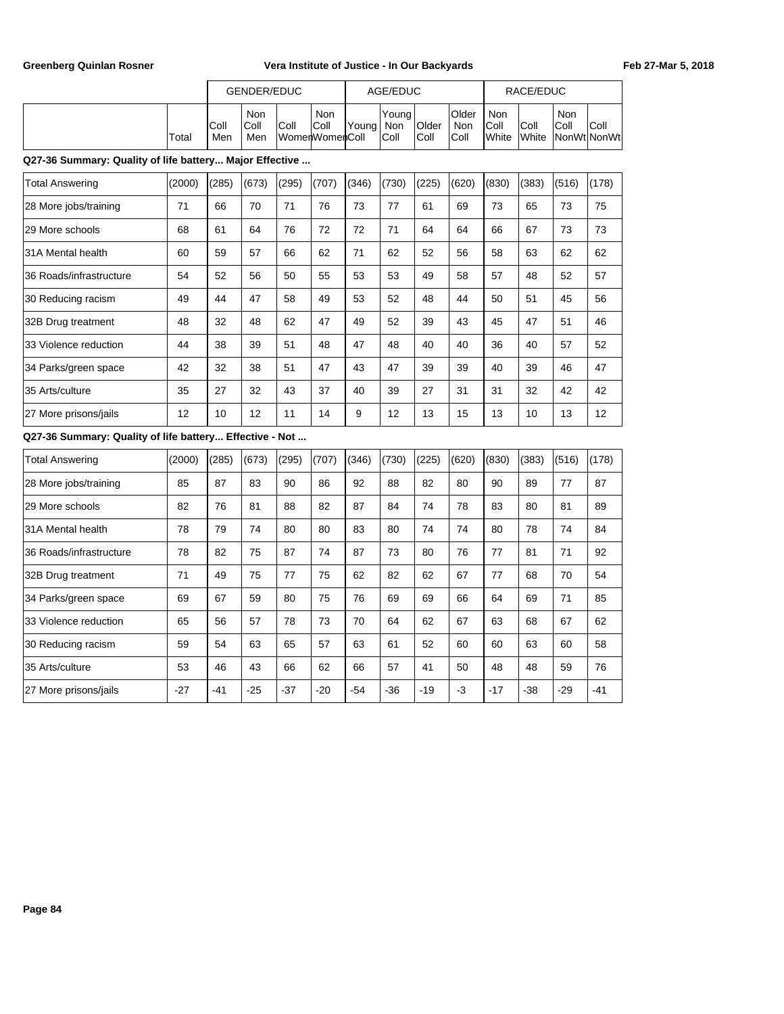|       |              | GENDER/EDUC        |      |                                       |                     | AGE/EDUC              |                       |                       |                        | RACE/EDUC |                                   |      |  |
|-------|--------------|--------------------|------|---------------------------------------|---------------------|-----------------------|-----------------------|-----------------------|------------------------|-----------|-----------------------------------|------|--|
| Total | IColl<br>Men | Non<br>Coll<br>Men | Coll | Non<br> Coll<br><b>WomenWomenColl</b> | lYoung <sub>1</sub> | Youna<br>Non<br> Coll | <b>Older</b><br> Coll | Older<br>Non<br> Coll | Non<br>IColl<br>IWhite | Coll      | Non<br>'Coll<br>White NonWt NonWt | Coll |  |

### **Q27-36 Summary: Quality of life battery... Major Effective ...**

| <b>Total Answering</b>  | (2000) | (285) | (673) | (295) | (707) | (346) | (730) | (225) | (620) | (830) | (383) | (516) | (178) |
|-------------------------|--------|-------|-------|-------|-------|-------|-------|-------|-------|-------|-------|-------|-------|
| 28 More jobs/training   | 71     | 66    | 70    | 71    | 76    | 73    | 77    | 61    | 69    | 73    | 65    | 73    | 75    |
| 29 More schools         | 68     | 61    | 64    | 76    | 72    | 72    | 71    | 64    | 64    | 66    | 67    | 73    | 73    |
| 31A Mental health       | 60     | 59    | 57    | 66    | 62    | 71    | 62    | 52    | 56    | 58    | 63    | 62    | 62    |
| 36 Roads/infrastructure | 54     | 52    | 56    | 50    | 55    | 53    | 53    | 49    | 58    | 57    | 48    | 52    | 57    |
| 30 Reducing racism      | 49     | 44    | 47    | 58    | 49    | 53    | 52    | 48    | 44    | 50    | 51    | 45    | 56    |
| 32B Drug treatment      | 48     | 32    | 48    | 62    | 47    | 49    | 52    | 39    | 43    | 45    | 47    | 51    | 46    |
| I33 Violence reduction  | 44     | 38    | 39    | 51    | 48    | 47    | 48    | 40    | 40    | 36    | 40    | 57    | 52    |
| 34 Parks/green space    | 42     | 32    | 38    | 51    | 47    | 43    | 47    | 39    | 39    | 40    | 39    | 46    | 47    |
| 35 Arts/culture         | 35     | 27    | 32    | 43    | 37    | 40    | 39    | 27    | 31    | 31    | 32    | 42    | 42    |
| 27 More prisons/jails   | 12     | 10    | 12    | 11    | 14    | 9     | 12    | 13    | 15    | 13    | 10    | 13    | 12    |

# **Q27-36 Summary: Quality of life battery... Effective - Not ...**

| Total Answering         | (2000) | (285) | (673) | (295) | (707) | (346) | (730) | (225) | (620) | (830) | (383) | (516) | (178) |
|-------------------------|--------|-------|-------|-------|-------|-------|-------|-------|-------|-------|-------|-------|-------|
| 28 More jobs/training   | 85     | 87    | 83    | 90    | 86    | 92    | 88    | 82    | 80    | 90    | 89    | 77    | 87    |
| 29 More schools         | 82     | 76    | 81    | 88    | 82    | 87    | 84    | 74    | 78    | 83    | 80    | 81    | 89    |
| 31A Mental health       | 78     | 79    | 74    | 80    | 80    | 83    | 80    | 74    | 74    | 80    | 78    | 74    | 84    |
| 36 Roads/infrastructure | 78     | 82    | 75    | 87    | 74    | 87    | 73    | 80    | 76    | 77    | 81    | 71    | 92    |
| 32B Drug treatment      | 71     | 49    | 75    | 77    | 75    | 62    | 82    | 62    | 67    | 77    | 68    | 70    | 54    |
| 34 Parks/green space    | 69     | 67    | 59    | 80    | 75    | 76    | 69    | 69    | 66    | 64    | 69    | 71    | 85    |
| 33 Violence reduction   | 65     | 56    | 57    | 78    | 73    | 70    | 64    | 62    | 67    | 63    | 68    | 67    | 62    |
| 30 Reducing racism      | 59     | 54    | 63    | 65    | 57    | 63    | 61    | 52    | 60    | 60    | 63    | 60    | 58    |
| 35 Arts/culture         | 53     | 46    | 43    | 66    | 62    | 66    | 57    | 41    | 50    | 48    | 48    | 59    | 76    |
| 27 More prisons/jails   | $-27$  | -41   | $-25$ | $-37$ | $-20$ | $-54$ | $-36$ | $-19$ | $-3$  | $-17$ | $-38$ | $-29$ | $-41$ |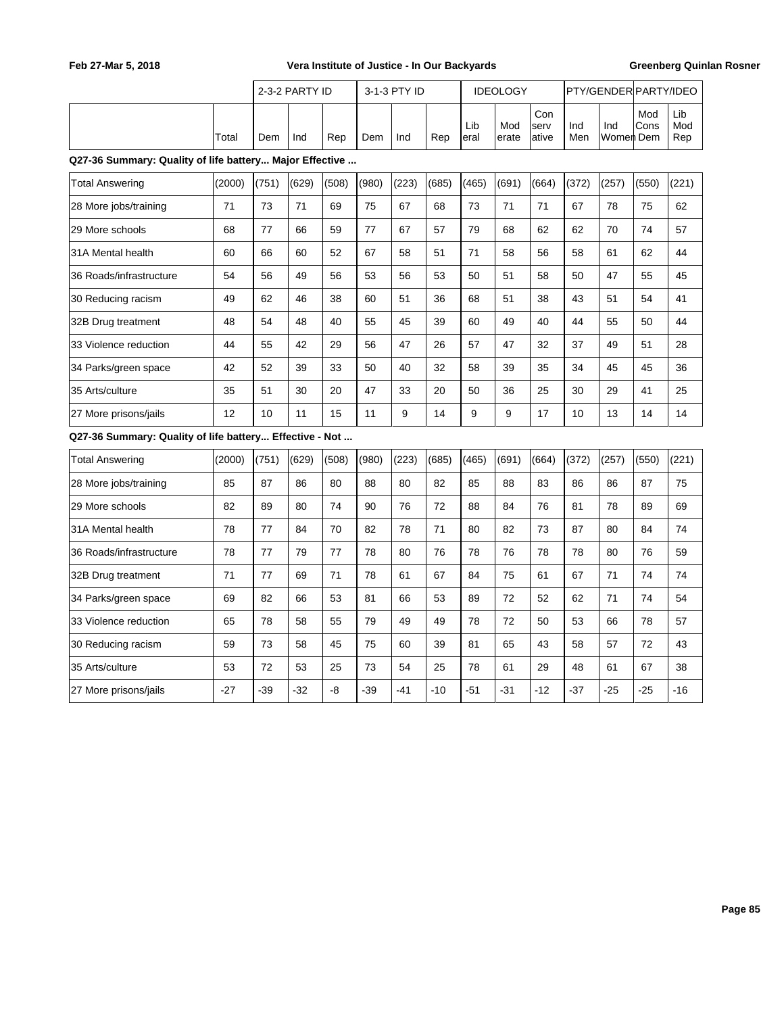|                                                         |        |       | 2-3-2 PARTY ID |       |       | 3-1-3 PTY ID |       |             | <b>IDEOLOGY</b> |                      |            | PTY/GENDER PARTY/IDEO |             |                   |
|---------------------------------------------------------|--------|-------|----------------|-------|-------|--------------|-------|-------------|-----------------|----------------------|------------|-----------------------|-------------|-------------------|
|                                                         | Total  | Dem   | Ind            | Rep   | Dem   | Ind          | Rep   | Lib<br>eral | Mod<br>erate    | Con<br>serv<br>ative | Ind<br>Men | Ind<br>Womer Dem      | Mod<br>Cons | Lib<br>Mod<br>Rep |
| Q27-36 Summary: Quality of life battery Major Effective |        |       |                |       |       |              |       |             |                 |                      |            |                       |             |                   |
| <b>Total Answering</b>                                  | (2000) | (751) | (629)          | (508) | (980) | (223)        | (685) | (465)       | (691)           | (664)                | (372)      | (257)                 | (550)       | (221)             |
| 28 More jobs/training                                   | 71     | 73    | 71             | 69    | 75    | 67           | 68    | 73          | 71              | 71                   | 67         | 78                    | 75          | 62                |
| 29 More schools                                         | 68     | 77    | 66             | 59    | 77    | 67           | 57    | 79          | 68              | 62                   | 62         | 70                    | 74          | 57                |
| 31A Mental health                                       | 60     | 66    | 60             | 52    | 67    | 58           | 51    | 71          | 58              | 56                   | 58         | 61                    | 62          | 44                |
| 36 Roads/infrastructure                                 | 54     | 56    | 49             | 56    | 53    | 56           | 53    | 50          | 51              | 58                   | 50         | 47                    | 55          | 45                |
| 30 Reducing racism                                      | 49     | 62    | 46             | 38    | 60    | 51           | 36    | 68          | 51              | 38                   | 43         | 51                    | 54          | 41                |
| 32B Drug treatment                                      | 48     | 54    | 48             | 40    | 55    | 45           | 39    | 60          | 49              | 40                   | 44         | 55                    | 50          | 44                |
| 33 Violence reduction                                   | 44     | 55    | 42             | 29    | 56    | 47           | 26    | 57          | 47              | 32                   | 37         | 49                    | 51          | 28                |
| 34 Parks/green space                                    | 42     | 52    | 39             | 33    | 50    | 40           | 32    | 58          | 39              | 35                   | 34         | 45                    | 45          | 36                |
| 35 Arts/culture                                         | 35     | 51    | 30             | 20    | 47    | 33           | 20    | 50          | 36              | 25                   | 30         | 29                    | 41          | 25                |
| 27 More prisons/jails                                   | 12     | 10    | 11             | 15    | 11    | 9            | 14    | 9           | 9               | 17                   | 10         | 13                    | 14          | 14                |
| Q27-36 Summary: Quality of life battery Effective - Not |        |       |                |       |       |              |       |             |                 |                      |            |                       |             |                   |
| <b>Total Answering</b>                                  | (2000) | (751) | (629)          | (508) | (980) | (223)        | (685) | (465)       | (691)           | (664)                | (372)      | (257)                 | (550)       | (221)             |
| 28 More jobs/training                                   | 85     | 87    | 86             | 80    | 88    | 80           | 82    | 85          | 88              | 83                   | 86         | 86                    | 87          | 75                |
| 29 More schools                                         | 82     | 89    | 80             | 74    | 90    | 76           | 72    | 88          | 84              | 76                   | 81         | 78                    | 89          | 69                |
| 31A Mental health                                       | 78     | 77    | 84             | 70    | 82    | 78           | 71    | 80          | 82              | 73                   | 87         | 80                    | 84          | 74                |
| 36 Roads/infrastructure                                 | 78     | 77    | 79             | 77    | 78    | 80           | 76    | 78          | 76              | 78                   | 78         | 80                    | 76          | 59                |
| 32B Drug treatment                                      | 71     | 77    | 69             | 71    | 78    | 61           | 67    | 84          | 75              | 61                   | 67         | 71                    | 74          | 74                |
| 34 Parks/green space                                    | 69     | 82    | 66             | 53    | 81    | 66           | 53    | 89          | 72              | 52                   | 62         | 71                    | 74          | 54                |
| 33 Violence reduction                                   | 65     | 78    | 58             | 55    | 79    | 49           | 49    | 78          | 72              | 50                   | 53         | 66                    | 78          | 57                |
| 30 Reducing racism                                      | 59     | 73    | 58             | 45    | 75    | 60           | 39    | 81          | 65              | 43                   | 58         | 57                    | 72          | 43                |
| 35 Arts/culture                                         | 53     | 72    | 53             | 25    | 73    | 54           | 25    | 78          | 61              | 29                   | 48         | 61                    | 67          | 38                |
| 27 More prisons/jails                                   | $-27$  | -39   | $-32$          | -8    | -39   | $-41$        | $-10$ | $-51$       | $-31$           | $-12$                | $-37$      | $-25$                 | $-25$       | $-16$             |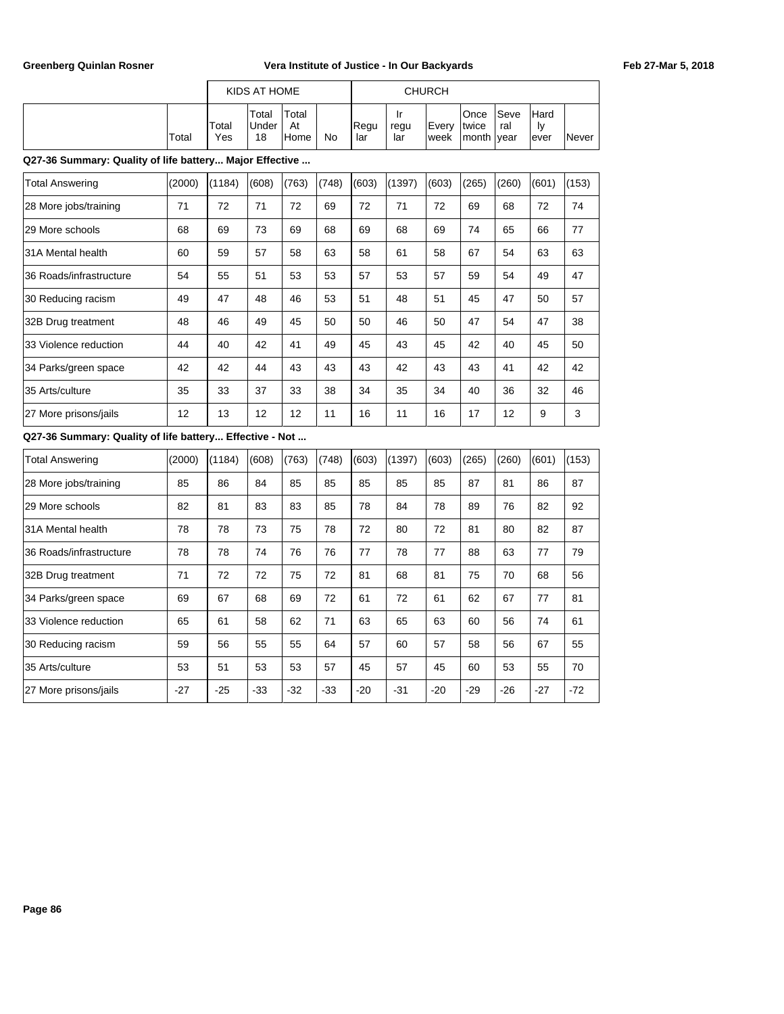|                                                         |        |              | KIDS AT HOME         |                     |           |             |                   | <b>CHURCH</b> |                        |                     |                    |       |
|---------------------------------------------------------|--------|--------------|----------------------|---------------------|-----------|-------------|-------------------|---------------|------------------------|---------------------|--------------------|-------|
|                                                         | Total  | Total<br>Yes | Total<br>Under<br>18 | Total<br>At<br>Home | <b>No</b> | Regu<br>lar | Ir<br>regu<br>lar | Every<br>week | Once<br>twice<br>month | Seve<br>ral<br>year | Hard<br>ly<br>ever | Never |
| Q27-36 Summary: Quality of life battery Major Effective |        |              |                      |                     |           |             |                   |               |                        |                     |                    |       |
| <b>Total Answering</b>                                  | (2000) | (1184)       | (608)                | (763)               | (748)     | (603)       | (1397)            | (603)         | (265)                  | (260)               | (601)              | (153) |
| 28 More jobs/training                                   | 71     | 72           | 71                   | 72                  | 69        | 72          | 71                | 72            | 69                     | 68                  | 72                 | 74    |
| 29 More schools                                         | 68     | 69           | 73                   | 69                  | 68        | 69          | 68                | 69            | 74                     | 65                  | 66                 | 77    |
| 31A Mental health                                       | 60     | 59           | 57                   | 58                  | 63        | 58          | 61                | 58            | 67                     | 54                  | 63                 | 63    |
| 36 Roads/infrastructure                                 | 54     | 55           | 51                   | 53                  | 53        | 57          | 53                | 57            | 59                     | 54                  | 49                 | 47    |
| 30 Reducing racism                                      | 49     | 47           | 48                   | 46                  | 53        | 51          | 48                | 51            | 45                     | 47                  | 50                 | 57    |
| 32B Drug treatment                                      | 48     | 46           | 49                   | 45                  | 50        | 50          | 46                | 50            | 47                     | 54                  | 47                 | 38    |
| 33 Violence reduction                                   | 44     | 40           | 42                   | 41                  | 49        | 45          | 43                | 45            | 42                     | 40                  | 45                 | 50    |
| 34 Parks/green space                                    | 42     | 42           | 44                   | 43                  | 43        | 43          | 42                | 43            | 43                     | 41                  | 42                 | 42    |
| 35 Arts/culture                                         | 35     | 33           | 37                   | 33                  | 38        | 34          | 35                | 34            | 40                     | 36                  | 32                 | 46    |
| 27 More prisons/jails                                   | 12     | 13           | 12                   | 12                  | 11        | 16          | 11                | 16            | 17                     | 12                  | 9                  | 3     |
| Q27-36 Summary: Quality of life battery Effective - Not |        |              |                      |                     |           |             |                   |               |                        |                     |                    |       |
| <b>Total Answering</b>                                  | (2000) | (1184)       | (608)                | (763)               | (748)     | (603)       | (1397)            | (603)         | (265)                  | (260)               | (601)              | (153) |
| 28 More jobs/training                                   | 85     | 86           | 84                   | 85                  | 85        | 85          | 85                | 85            | 87                     | 81                  | 86                 | 87    |
| 29 More schools                                         | 82     | 81           | 83                   | 83                  | 85        | 78          | 84                | 78            | 89                     | 76                  | 82                 | 92    |
| 31A Mental health                                       | 78     | 78           | 73                   | 75                  | 78        | 72          | 80                | 72            | 81                     | 80                  | 82                 | 87    |
| 36 Roads/infrastructure                                 | 78     | 78           | 74                   | 76                  | 76        | 77          | 78                | 77            | 88                     | 63                  | 77                 | 79    |

32B Drug treatment | 71 | 72 | 72 | 75 | 72 | 81 | 68 | 81 | 75 | 70 | 68 | 56 34 Parks/green space 69 67 68 69 72 61 72 61 62 67 77 81 33 Violence reduction 65 61 58 62 71 63 65 63 60 56 74 61 30 Reducing racism 59 56 55 55 64 57 60 57 58 56 67 55 |35 Arts/culture | 53 | 51 | 53 | 53 | 57 | 45 | 57 | 45 | 60 | 53 | 55 | 70 |27 More prisons/jails | -27 | -25 | -33 | -32 | -33 | -20 | -31 | -20 | -29 | -26 | -27 | -72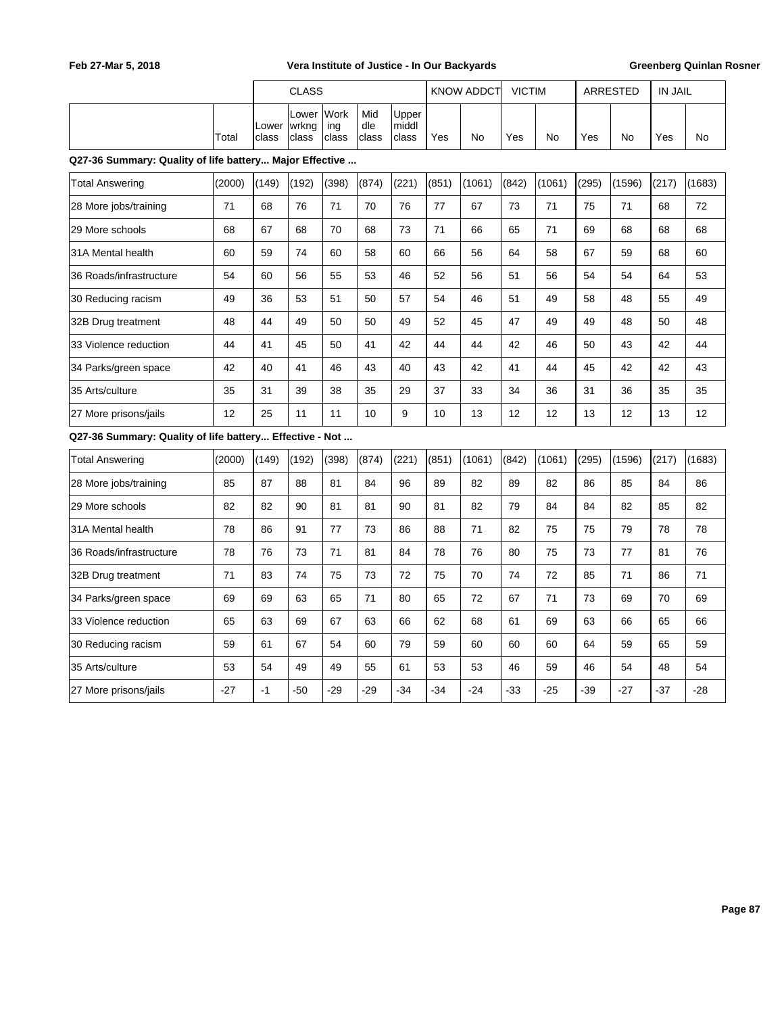|                                                         |        |                | <b>CLASS</b>            |                      |                     |                         |       | <b>KNOW ADDCT</b> | <b>VICTIM</b> |        |       | ARRESTED | <b>IN JAIL</b> |        |
|---------------------------------------------------------|--------|----------------|-------------------------|----------------------|---------------------|-------------------------|-------|-------------------|---------------|--------|-------|----------|----------------|--------|
|                                                         | Total  | Lower<br>class | Lower<br>wrkng<br>class | Work<br>ing<br>class | Mid<br>dle<br>class | Upper<br>middl<br>class | Yes   | No                | Yes           | No     | Yes   | No       | Yes            | No     |
| Q27-36 Summary: Quality of life battery Major Effective |        |                |                         |                      |                     |                         |       |                   |               |        |       |          |                |        |
| <b>Total Answering</b>                                  | (2000) | (149)          | (192)                   | (398)                | (874)               | (221)                   | (851) | (1061)            | (842)         | (1061) | (295) | (1596)   | (217)          | (1683) |
| 28 More jobs/training                                   | 71     | 68             | 76                      | 71                   | 70                  | 76                      | 77    | 67                | 73            | 71     | 75    | 71       | 68             | 72     |
| 29 More schools                                         | 68     | 67             | 68                      | 70                   | 68                  | 73                      | 71    | 66                | 65            | 71     | 69    | 68       | 68             | 68     |
| 31A Mental health                                       | 60     | 59             | 74                      | 60                   | 58                  | 60                      | 66    | 56                | 64            | 58     | 67    | 59       | 68             | 60     |
| 36 Roads/infrastructure                                 | 54     | 60             | 56                      | 55                   | 53                  | 46                      | 52    | 56                | 51            | 56     | 54    | 54       | 64             | 53     |
| 30 Reducing racism                                      | 49     | 36             | 53                      | 51                   | 50                  | 57                      | 54    | 46                | 51            | 49     | 58    | 48       | 55             | 49     |
| 32B Drug treatment                                      | 48     | 44             | 49                      | 50                   | 50                  | 49                      | 52    | 45                | 47            | 49     | 49    | 48       | 50             | 48     |
| 33 Violence reduction                                   | 44     | 41             | 45                      | 50                   | 41                  | 42                      | 44    | 44                | 42            | 46     | 50    | 43       | 42             | 44     |
| 34 Parks/green space                                    | 42     | 40             | 41                      | 46                   | 43                  | 40                      | 43    | 42                | 41            | 44     | 45    | 42       | 42             | 43     |
| 35 Arts/culture                                         | 35     | 31             | 39                      | 38                   | 35                  | 29                      | 37    | 33                | 34            | 36     | 31    | 36       | 35             | 35     |
| 27 More prisons/jails                                   | 12     | 25             | 11                      | 11                   | 10                  | 9                       | 10    | 13                | 12            | 12     | 13    | 12       | 13             | 12     |
| Q27-36 Summary: Quality of life battery Effective - Not |        |                |                         |                      |                     |                         |       |                   |               |        |       |          |                |        |
| <b>Total Answering</b>                                  | (2000) | (149)          | (192)                   | (398)                | (874)               | (221)                   | (851) | (1061)            | (842)         | (1061) | (295) | (1596)   | (217)          | (1683) |
| 28 More jobs/training                                   | 85     | 87             | 88                      | 81                   | 84                  | 96                      | 89    | 82                | 89            | 82     | 86    | 85       | 84             | 86     |
| 29 More schools                                         | 82     | 82             | 90                      | 81                   | 81                  | 90                      | 81    | 82                | 79            | 84     | 84    | 82       | 85             | 82     |
| 31A Mental health                                       | 78     | 86             | 91                      | 77                   | 73                  | 86                      | 88    | 71                | 82            | 75     | 75    | 79       | 78             | 78     |
| 36 Roads/infrastructure                                 | 78     | 76             | 73                      | 71                   | 81                  | 84                      | 78    | 76                | 80            | 75     | 73    | 77       | 81             | 76     |
| 32B Drug treatment                                      | 71     | 83             | 74                      | 75                   | 73                  | 72                      | 75    | 70                | 74            | 72     | 85    | 71       | 86             | 71     |
| 34 Parks/green space                                    | 69     | 69             | 63                      | 65                   | 71                  | 80                      | 65    | 72                | 67            | 71     | 73    | 69       | 70             | 69     |
| 33 Violence reduction                                   | 65     | 63             | 69                      | 67                   | 63                  | 66                      | 62    | 68                | 61            | 69     | 63    | 66       | 65             | 66     |
| 30 Reducing racism                                      | 59     | 61             | 67                      | 54                   | 60                  | 79                      | 59    | 60                | 60            | 60     | 64    | 59       | 65             | 59     |
| 35 Arts/culture                                         | 53     | 54             | 49                      | 49                   | 55                  | 61                      | 53    | 53                | 46            | 59     | 46    | 54       | 48             | 54     |
| 27 More prisons/jails                                   | $-27$  | $-1$           | $-50$                   | $-29$                | $-29$               | $-34$                   | $-34$ | $-24$             | $-33$         | $-25$  | $-39$ | $-27$    | $-37$          | $-28$  |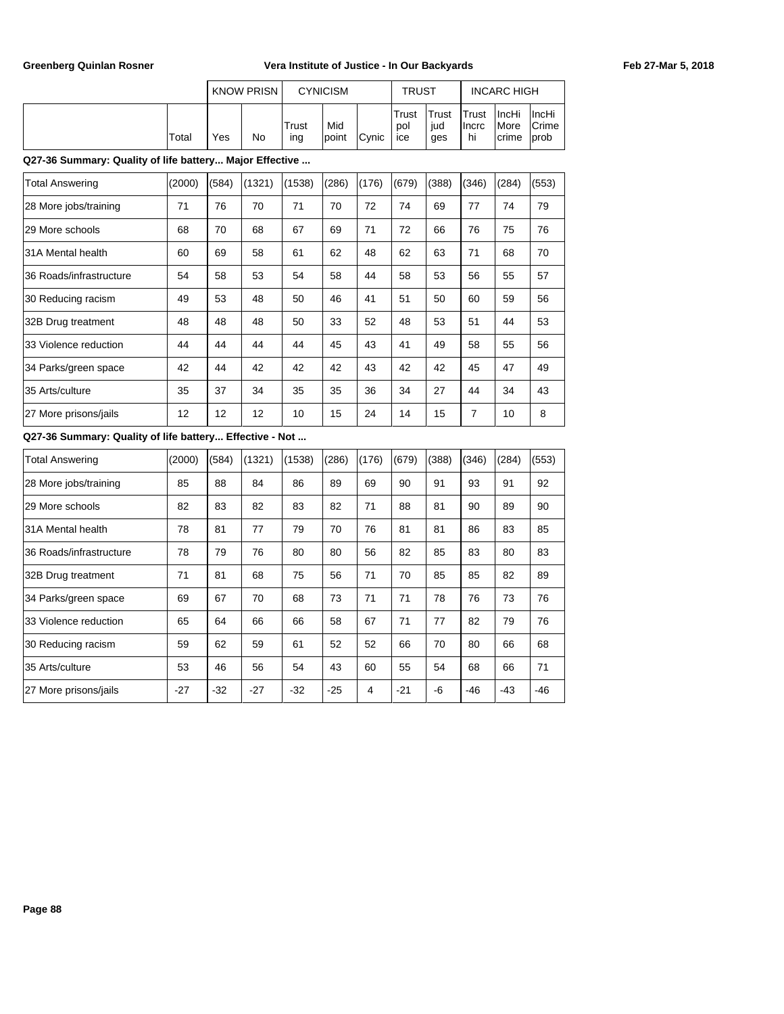|       |     | <b>KNOW PRISN</b> |              | <b>CYNICISM</b> |               | <b>TRUST</b>        |                      |                               | <b>INCARC HIGH</b>                           |                                   |
|-------|-----|-------------------|--------------|-----------------|---------------|---------------------|----------------------|-------------------------------|----------------------------------------------|-----------------------------------|
| Total | Yes | No                | Trust<br>ing | Mid<br>Ipoint   | <b>C</b> vnic | Trust<br>pol<br>ice | 'Trust<br>iud<br>ges | <b>ITrust</b><br>Ilncrc<br>hi | <b>IncHi</b><br><i>IMore</i><br><b>crime</b> | ∣IncHi<br>lCrime<br><b>l</b> prob |

**Q27-36 Summary: Quality of life battery... Major Effective ...**

| <b>Total Answering</b>  | (2000) | (584) | (1321) | (1538) | (286) | (176) | (679) | (388) | (346) | (284) | (553) |
|-------------------------|--------|-------|--------|--------|-------|-------|-------|-------|-------|-------|-------|
| 28 More jobs/training   | 71     | 76    | 70     | 71     | 70    | 72    | 74    | 69    | 77    | 74    | 79    |
| 129 More schools        | 68     | 70    | 68     | 67     | 69    | 71    | 72    | 66    | 76    | 75    | 76    |
| 31A Mental health       | 60     | 69    | 58     | 61     | 62    | 48    | 62    | 63    | 71    | 68    | 70    |
| 36 Roads/infrastructure | 54     | 58    | 53     | 54     | 58    | 44    | 58    | 53    | 56    | 55    | 57    |
| 30 Reducing racism      | 49     | 53    | 48     | 50     | 46    | 41    | 51    | 50    | 60    | 59    | 56    |
| 32B Drug treatment      | 48     | 48    | 48     | 50     | 33    | 52    | 48    | 53    | 51    | 44    | 53    |
| 33 Violence reduction   | 44     | 44    | 44     | 44     | 45    | 43    | 41    | 49    | 58    | 55    | 56    |
| 34 Parks/green space    | 42     | 44    | 42     | 42     | 42    | 43    | 42    | 42    | 45    | 47    | 49    |
| 35 Arts/culture         | 35     | 37    | 34     | 35     | 35    | 36    | 34    | 27    | 44    | 34    | 43    |
| 27 More prisons/jails   | 12     | 12    | 12     | 10     | 15    | 24    | 14    | 15    | 7     | 10    | 8     |

## **Q27-36 Summary: Quality of life battery... Effective - Not ...**

| <b>Total Answering</b>  | (2000) | (584) | (1321) | (1538) | (286) | (176) | (679) | (388) | (346) | (284) | (553) |
|-------------------------|--------|-------|--------|--------|-------|-------|-------|-------|-------|-------|-------|
| 28 More jobs/training   | 85     | 88    | 84     | 86     | 89    | 69    | 90    | 91    | 93    | 91    | 92    |
| 29 More schools         | 82     | 83    | 82     | 83     | 82    | 71    | 88    | 81    | 90    | 89    | 90    |
| 31A Mental health       | 78     | 81    | 77     | 79     | 70    | 76    | 81    | 81    | 86    | 83    | 85    |
| 36 Roads/infrastructure | 78     | 79    | 76     | 80     | 80    | 56    | 82    | 85    | 83    | 80    | 83    |
| 32B Drug treatment      | 71     | 81    | 68     | 75     | 56    | 71    | 70    | 85    | 85    | 82    | 89    |
| 34 Parks/green space    | 69     | 67    | 70     | 68     | 73    | 71    | 71    | 78    | 76    | 73    | 76    |
| 33 Violence reduction   | 65     | 64    | 66     | 66     | 58    | 67    | 71    | 77    | 82    | 79    | 76    |
| 30 Reducing racism      | 59     | 62    | 59     | 61     | 52    | 52    | 66    | 70    | 80    | 66    | 68    |
| 35 Arts/culture         | 53     | 46    | 56     | 54     | 43    | 60    | 55    | 54    | 68    | 66    | 71    |
| 27 More prisons/jails   | $-27$  | $-32$ | $-27$  | $-32$  | $-25$ | 4     | $-21$ | -6    | -46   | $-43$ | $-46$ |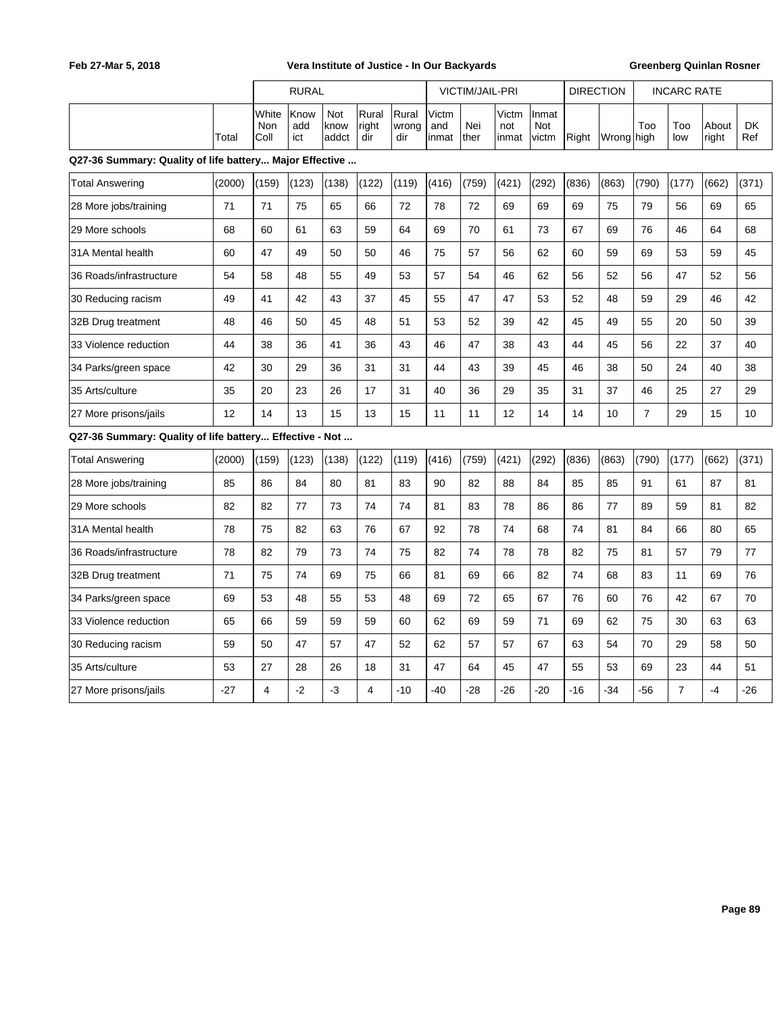|                                                         |        |                      | <b>RURAL</b>       |                      |                       |                       |                       | VICTIM/JAIL-PRI |                       |                       | <b>DIRECTION</b> |            |                  | <b>INCARC RATE</b> |                |                  |
|---------------------------------------------------------|--------|----------------------|--------------------|----------------------|-----------------------|-----------------------|-----------------------|-----------------|-----------------------|-----------------------|------------------|------------|------------------|--------------------|----------------|------------------|
|                                                         | Total  | White<br>Non<br>Coll | Know<br>add<br>ict | Not<br>know<br>addct | Rural<br>right<br>dir | Rural<br>wrong<br>dir | Victm<br>and<br>inmat | Nei<br>ther     | Victm<br>not<br>inmat | Inmat<br>Not<br>victm | Right            | Wrong high | Too              | Too<br>low         | About<br>right | <b>DK</b><br>Ref |
| Q27-36 Summary: Quality of life battery Major Effective |        |                      |                    |                      |                       |                       |                       |                 |                       |                       |                  |            |                  |                    |                |                  |
| Total Answering                                         | (2000) | (159)                | (123)              | (138)                | (122)                 | (119)                 | (416)                 | (759)           | (421)                 | (292)                 | (836)            | (863)      | (790)            | (177)              | (662)          | (371)            |
| 28 More jobs/training                                   | 71     | 71                   | 75                 | 65                   | 66                    | 72                    | 78                    | 72              | 69                    | 69                    | 69               | 75         | 79               | 56                 | 69             | 65               |
| 29 More schools                                         | 68     | 60                   | 61                 | 63                   | 59                    | 64                    | 69                    | 70              | 61                    | 73                    | 67               | 69         | 76               | 46                 | 64             | 68               |
| 31A Mental health                                       | 60     | 47                   | 49                 | 50                   | 50                    | 46                    | 75                    | 57              | 56                    | 62                    | 60               | 59         | 69               | 53                 | 59             | 45               |
| 36 Roads/infrastructure                                 | 54     | 58                   | 48                 | 55                   | 49                    | 53                    | 57                    | 54              | 46                    | 62                    | 56               | 52         | 56               | 47                 | 52             | 56               |
| 30 Reducing racism                                      | 49     | 41                   | 42                 | 43                   | 37                    | 45                    | 55                    | 47              | 47                    | 53                    | 52               | 48         | 59               | 29                 | 46             | 42               |
| 32B Drug treatment                                      | 48     | 46                   | 50                 | 45                   | 48                    | 51                    | 53                    | 52              | 39                    | 42                    | 45               | 49         | 55               | 20                 | 50             | 39               |
| 33 Violence reduction                                   | 44     | 38                   | 36                 | 41                   | 36                    | 43                    | 46                    | 47              | 38                    | 43                    | 44               | 45         | 56               | 22                 | 37             | 40               |
| 34 Parks/green space                                    | 42     | 30                   | 29                 | 36                   | 31                    | 31                    | 44                    | 43              | 39                    | 45                    | 46               | 38         | 50               | 24                 | 40             | 38               |
| 35 Arts/culture                                         | 35     | 20                   | 23                 | 26                   | 17                    | 31                    | 40                    | 36              | 29                    | 35                    | 31               | 37         | 46               | 25                 | 27             | 29               |
| 27 More prisons/jails                                   | 12     | 14                   | 13                 | 15                   | 13                    | 15                    | 11                    | 11              | 12                    | 14                    | 14               | 10         | $\boldsymbol{7}$ | 29                 | 15             | 10               |
| Q27-36 Summary: Quality of life battery Effective - Not |        |                      |                    |                      |                       |                       |                       |                 |                       |                       |                  |            |                  |                    |                |                  |
| Total Answering                                         | (2000) | (159)                | (123)              | (138)                | (122)                 | (119)                 | (416)                 | (759)           | (421)                 | (292)                 | (836)            | (863)      | (790)            | (177)              | (662)          | (371)            |
| 28 More jobs/training                                   | 85     | 86                   | 84                 | 80                   | 81                    | 83                    | 90                    | 82              | 88                    | 84                    | 85               | 85         | 91               | 61                 | 87             | 81               |
| 29 More schools                                         | 82     | 82                   | 77                 | 73                   | 74                    | 74                    | 81                    | 83              | 78                    | 86                    | 86               | 77         | 89               | 59                 | 81             | 82               |
| 31A Mental health                                       | 78     | 75                   | 82                 | 63                   | 76                    | 67                    | 92                    | 78              | 74                    | 68                    | 74               | 81         | 84               | 66                 | 80             | 65               |
| 36 Roads/infrastructure                                 | 78     | 82                   | 79                 | 73                   | 74                    | 75                    | 82                    | 74              | 78                    | 78                    | 82               | 75         | 81               | 57                 | 79             | 77               |
| 32B Drug treatment                                      | 71     | 75                   | 74                 | 69                   | 75                    | 66                    | 81                    | 69              | 66                    | 82                    | 74               | 68         | 83               | 11                 | 69             | 76               |
| 34 Parks/green space                                    | 69     | 53                   | 48                 | 55                   | 53                    | 48                    | 69                    | 72              | 65                    | 67                    | 76               | 60         | 76               | 42                 | 67             | 70               |
| 33 Violence reduction                                   | 65     | 66                   | 59                 | 59                   | 59                    | 60                    | 62                    | 69              | 59                    | 71                    | 69               | 62         | 75               | 30                 | 63             | 63               |
| 30 Reducing racism                                      | 59     | 50                   | 47                 | 57                   | 47                    | 52                    | 62                    | 57              | 57                    | 67                    | 63               | 54         | 70               | 29                 | 58             | 50               |
| 35 Arts/culture                                         | 53     | 27                   | 28                 | 26                   | 18                    | 31                    | 47                    | 64              | 45                    | 47                    | 55               | 53         | 69               | 23                 | 44             | 51               |
| 27 More prisons/jails                                   | $-27$  | 4                    | $-2$               | -3                   | 4                     | $-10$                 | $-40$                 | -28             | $-26$                 | $-20$                 | $-16$            | $-34$      | $-56$            | $\overline{7}$     | $-4$           | -26              |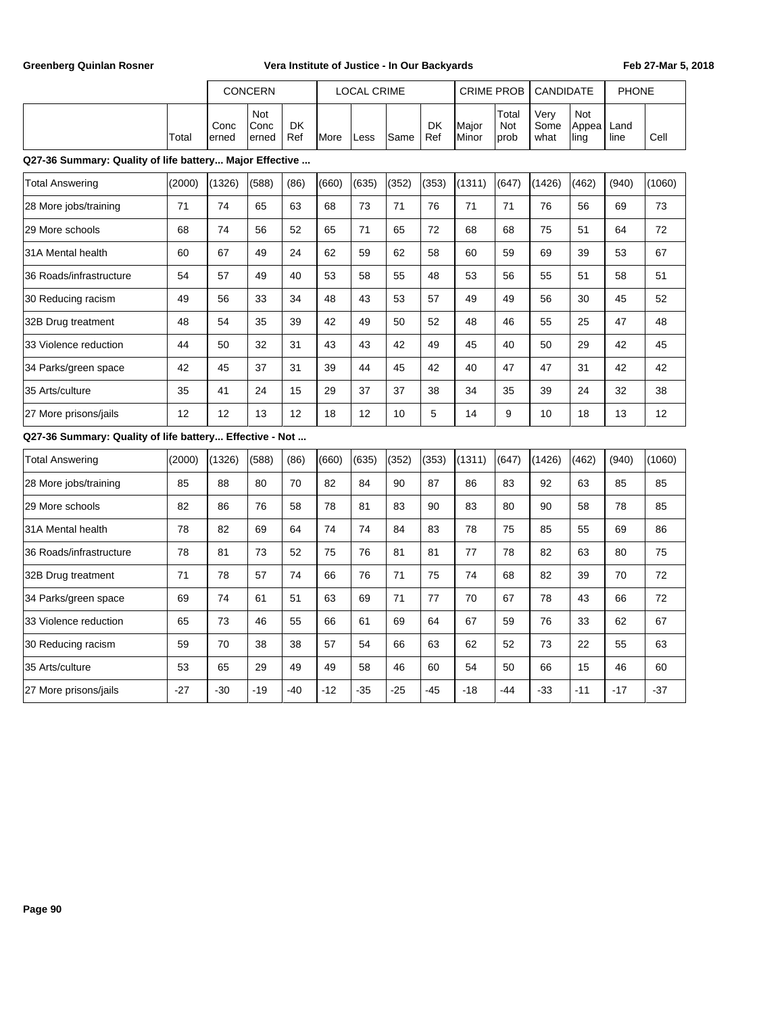| Greenberg Quinlan Rosner                                |        | Vera Institute of Justice - In Our Backyards |                      |                  |       |                    |       |                  |                   |                      |                      |                      | Feb 27-Mar 5, 2018 |        |
|---------------------------------------------------------|--------|----------------------------------------------|----------------------|------------------|-------|--------------------|-------|------------------|-------------------|----------------------|----------------------|----------------------|--------------------|--------|
|                                                         |        |                                              | CONCERN              |                  |       | <b>LOCAL CRIME</b> |       |                  | <b>CRIME PROB</b> |                      | CANDIDATE            |                      | <b>PHONE</b>       |        |
| Q27-36 Summary: Quality of life battery Major Effective | Total  | Conc<br>erned                                | Not<br>Conc<br>erned | <b>DK</b><br>Ref | More  | Less               | Same  | <b>DK</b><br>Ref | Major<br>Minor    | Total<br>Not<br>prob | Very<br>Some<br>what | Not<br>Appea<br>ling | Land<br>line       | Cell   |
|                                                         |        |                                              |                      |                  |       |                    |       |                  |                   |                      |                      |                      |                    |        |
| <b>Total Answering</b>                                  | (2000) | (1326)                                       | (588)                | (86)             | (660) | (635)              | (352) | (353)            | (1311)            | (647)                | (1426)               | (462)                | (940)              | (1060) |
| 28 More jobs/training                                   | 71     | 74                                           | 65                   | 63               | 68    | 73                 | 71    | 76               | 71                | 71                   | 76                   | 56                   | 69                 | 73     |
| 29 More schools                                         | 68     | 74                                           | 56                   | 52               | 65    | 71                 | 65    | 72               | 68                | 68                   | 75                   | 51                   | 64                 | 72     |
| 31A Mental health                                       | 60     | 67                                           | 49                   | 24               | 62    | 59                 | 62    | 58               | 60                | 59                   | 69                   | 39                   | 53                 | 67     |
| 36 Roads/infrastructure                                 | 54     | 57                                           | 49                   | 40               | 53    | 58                 | 55    | 48               | 53                | 56                   | 55                   | 51                   | 58                 | 51     |
| 30 Reducing racism                                      | 49     | 56                                           | 33                   | 34               | 48    | 43                 | 53    | 57               | 49                | 49                   | 56                   | 30                   | 45                 | 52     |
| 32B Drug treatment                                      | 48     | 54                                           | 35                   | 39               | 42    | 49                 | 50    | 52               | 48                | 46                   | 55                   | 25                   | 47                 | 48     |
| 33 Violence reduction                                   | 44     | 50                                           | 32                   | 31               | 43    | 43                 | 42    | 49               | 45                | 40                   | 50                   | 29                   | 42                 | 45     |
| 34 Parks/green space                                    | 42     | 45                                           | 37                   | 31               | 39    | 44                 | 45    | 42               | 40                | 47                   | 47                   | 31                   | 42                 | 42     |
| 35 Arts/culture                                         | 35     | 41                                           | 24                   | 15               | 29    | 37                 | 37    | 38               | 34                | 35                   | 39                   | 24                   | 32                 | 38     |
| 27 More prisons/jails                                   | 12     | 12                                           | 13                   | 12               | 18    | 12                 | 10    | 5                | 14                | 9                    | 10                   | 18                   | 13                 | 12     |
| Q27-36 Summary: Quality of life battery Effective - Not |        |                                              |                      |                  |       |                    |       |                  |                   |                      |                      |                      |                    |        |
| <b>Total Answering</b>                                  | (2000) | (1326)                                       | (588)                | (86)             | (660) | (635)              | (352) | (353)            | (1311)            | (647)                | (1426)               | (462)                | (940)              | (1060) |
| 28 More jobs/training                                   | 85     | 88                                           | 80                   | 70               | 82    | 84                 | 90    | 87               | 86                | 83                   | 92                   | 63                   | 85                 | 85     |
| 29 More schools                                         | 82     | 86                                           | 76                   | 58               | 78    | 81                 | 83    | 90               | 83                | 80                   | 90                   | 58                   | 78                 | 85     |
| 31A Mental health                                       | 78     | 82                                           | 69                   | 64               | 74    | 74                 | 84    | 83               | 78                | 75                   | 85                   | 55                   | 69                 | 86     |
| 36 Roads/infrastructure                                 | 78     | 81                                           | 73                   | 52               | 75    | 76                 | 81    | 81               | 77                | 78                   | 82                   | 63                   | 80                 | 75     |
| 32B Drug treatment                                      | 71     | 78                                           | 57                   | 74               | 66    | 76                 | 71    | 75               | 74                | 68                   | 82                   | 39                   | 70                 | 72     |
| 34 Parks/green space                                    | 69     | 74                                           | 61                   | 51               | 63    | 69                 | 71    | 77               | 70                | 67                   | 78                   | 43                   | 66                 | 72     |
| 33 Violence reduction                                   | 65     | 73                                           | 46                   | 55               | 66    | 61                 | 69    | 64               | 67                | 59                   | 76                   | 33                   | 62                 | 67     |
| 30 Reducing racism                                      | 59     | 70                                           | 38                   | 38               | 57    | 54                 | 66    | 63               | 62                | 52                   | 73                   | 22                   | 55                 | 63     |
| 35 Arts/culture                                         | 53     | 65                                           | 29                   | 49               | 49    | 58                 | 46    | 60               | 54                | 50                   | 66                   | 15                   | 46                 | 60     |
| 27 More prisons/jails                                   | $-27$  | -30                                          | $-19$                | -40              | $-12$ | $-35$              | $-25$ | $-45$            | $-18$             | $-44$                | -33                  | -11                  | $-17$              | $-37$  |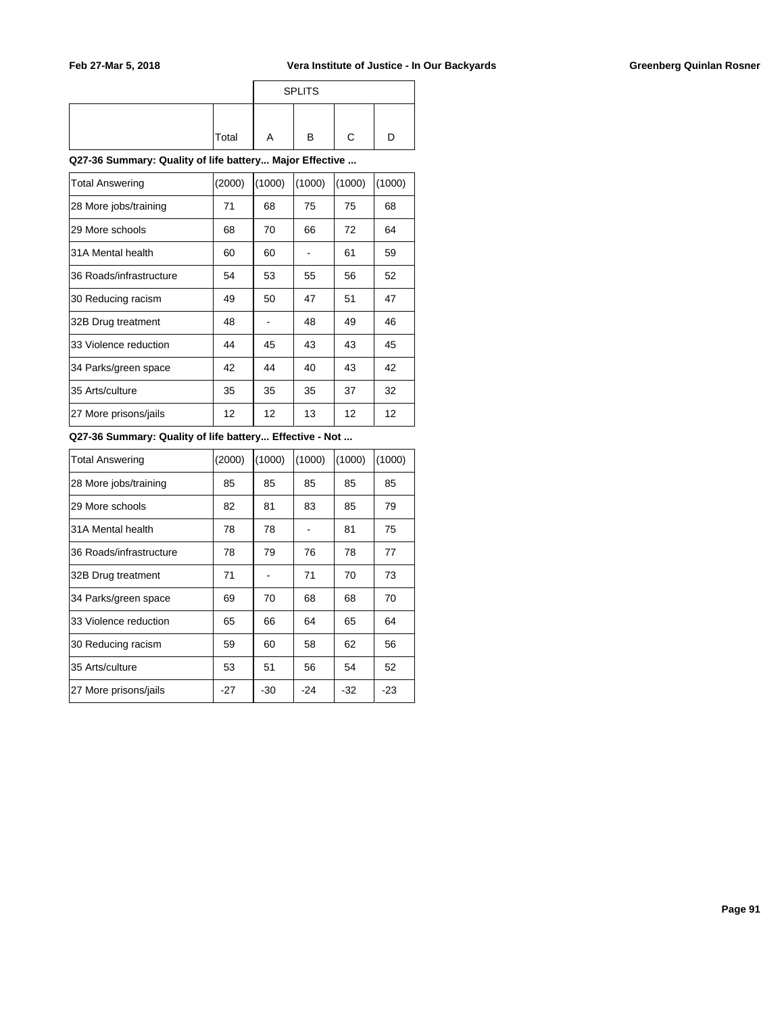|       |   | <b>SPLITS</b> |  |
|-------|---|---------------|--|
| Total | A | в             |  |

**Q27-36 Summary: Quality of life battery... Major Effective ...**

| <b>Total Answering</b>  | (2000) | (1000) | (1000) | (1000) | (1000) |
|-------------------------|--------|--------|--------|--------|--------|
| 28 More jobs/training   | 71     | 68     | 75     | 75     | 68     |
| 29 More schools         | 68     | 70     | 66     | 72     | 64     |
| 31A Mental health       | 60     | 60     |        | 61     | 59     |
| 36 Roads/infrastructure | 54     | 53     | 55     | 56     | 52     |
| 30 Reducing racism      | 49     | 50     | 47     | 51     | 47     |
| 32B Drug treatment      | 48     |        | 48     | 49     | 46     |
| 33 Violence reduction   | 44     | 45     | 43     | 43     | 45     |
| 34 Parks/green space    | 42     | 44     | 40     | 43     | 42     |
| 35 Arts/culture         | 35     | 35     | 35     | 37     | 32     |
| 27 More prisons/jails   | 12     | 12     | 13     | 12     | 12     |

## **Q27-36 Summary: Quality of life battery... Effective - Not ...**

| Total Answering         | (2000) | (1000) | (1000) | (1000) | (1000) |
|-------------------------|--------|--------|--------|--------|--------|
| 28 More jobs/training   | 85     | 85     | 85     | 85     | 85     |
| 29 More schools         | 82     | 81     | 83     | 85     | 79     |
| 31A Mental health       | 78     | 78     |        | 81     | 75     |
| 36 Roads/infrastructure | 78     | 79     | 76     | 78     | 77     |
| 32B Drug treatment      | 71     |        | 71     | 70     | 73     |
| 34 Parks/green space    | 69     | 70     | 68     | 68     | 70     |
| 33 Violence reduction   | 65     | 66     | 64     | 65     | 64     |
| 30 Reducing racism      | 59     | 60     | 58     | 62     | 56     |
| 35 Arts/culture         | 53     | 51     | 56     | 54     | 52     |
| 27 More prisons/jails   | $-27$  | $-30$  | $-24$  | -32    | $-23$  |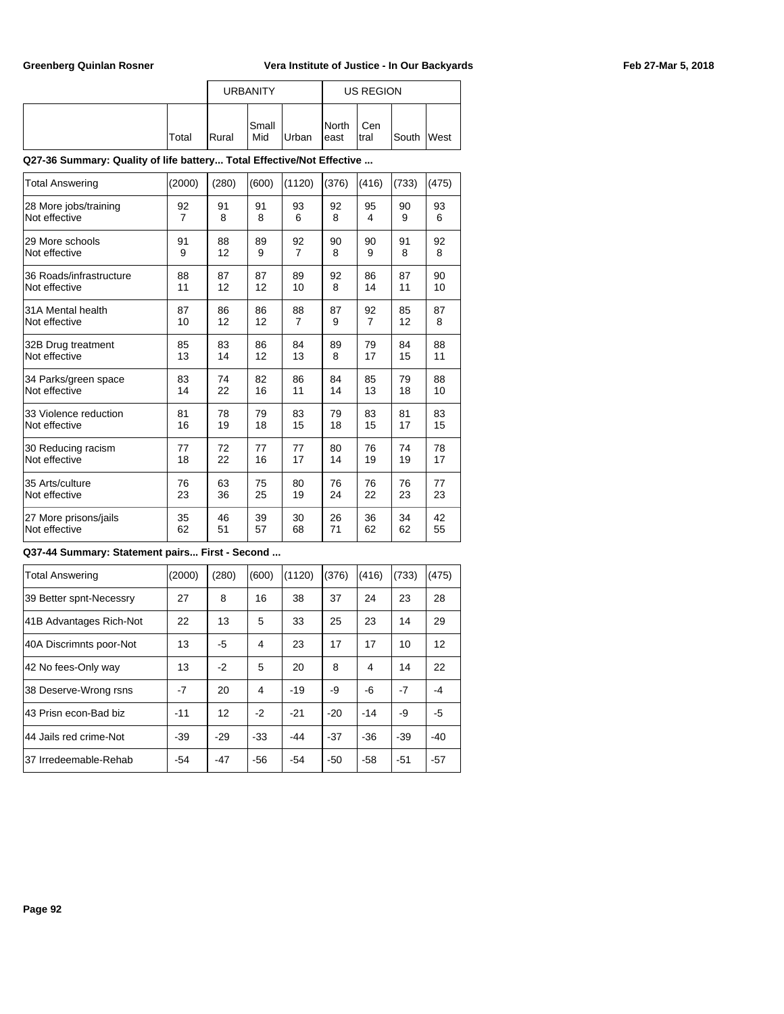|       |                | <b>URBANITY</b> |       | US REGION               |              |       |             |  |  |
|-------|----------------|-----------------|-------|-------------------------|--------------|-------|-------------|--|--|
| Total | <b>I</b> Rural | lSmall<br>Mid   | Urban | <b>I</b> North<br>least | Cen<br>Itral | South | <b>West</b> |  |  |

### **Q27-36 Summary: Quality of life battery... Total Effective/Not Effective ...**

| <b>Total Answering</b>  | (2000)         | (280) | (600) | (1120)         | (376) | (416)          | (733) | (475) |
|-------------------------|----------------|-------|-------|----------------|-------|----------------|-------|-------|
| 28 More jobs/training   | 92             | 91    | 91    | 93             | 92    | 95             | 90    | 93    |
| Not effective           | $\overline{7}$ | 8     | 8     | 6              | 8     | 4              | 9     | 6     |
| 29 More schools         | 91             | 88    | 89    | 92             | 90    | 90             | 91    | 92    |
| Not effective           | 9              | 12    | 9     | $\overline{7}$ | 8     | 9              | 8     | 8     |
| 36 Roads/infrastructure | 88             | 87    | 87    | 89             | 92    | 86             | 87    | 90    |
| Not effective           | 11             | 12    | 12    | 10             | 8     | 14             | 11    | 10    |
| l31A Mental health      | 87             | 86    | 86    | 88             | 87    | 92             | 85    | 87    |
| Not effective           | 10             | 12    | 12    | $\overline{7}$ | 9     | $\overline{7}$ | 12    | 8     |
| 32B Drug treatment      | 85             | 83    | 86    | 84             | 89    | 79             | 84    | 88    |
| Not effective           | 13             | 14    | 12    | 13             | 8     | 17             | 15    | 11    |
| 34 Parks/green space    | 83             | 74    | 82    | 86             | 84    | 85             | 79    | 88    |
| Not effective           | 14             | 22    | 16    | 11             | 14    | 13             | 18    | 10    |
| 33 Violence reduction   | 81             | 78    | 79    | 83             | 79    | 83             | 81    | 83    |
| Not effective           | 16             | 19    | 18    | 15             | 18    | 15             | 17    | 15    |
| 30 Reducing racism      | 77             | 72    | 77    | 77             | 80    | 76             | 74    | 78    |
| Not effective           | 18             | 22    | 16    | 17             | 14    | 19             | 19    | 17    |
| 35 Arts/culture         | 76             | 63    | 75    | 80             | 76    | 76             | 76    | 77    |
| Not effective           | 23             | 36    | 25    | 19             | 24    | 22             | 23    | 23    |
| 27 More prisons/jails   | 35             | 46    | 39    | 30             | 26    | 36             | 34    | 42    |
| Not effective           | 62             | 51    | 57    | 68             | 71    | 62             | 62    | 55    |

### **Q37-44 Summary: Statement pairs... First - Second ...**

| <b>Total Answering</b>  | (2000) | (280) | (600) | (1120) | (376) | (416) | (733) | (475) |
|-------------------------|--------|-------|-------|--------|-------|-------|-------|-------|
| 39 Better spnt-Necessry | 27     | 8     | 16    | 38     | 37    | 24    | 23    | 28    |
| 41B Advantages Rich-Not | 22     | 13    | 5     | 33     | 25    | 23    | 14    | 29    |
| 40A Discrimnts poor-Not | 13     | -5    | 4     | 23     | 17    | 17    | 10    | 12    |
| 42 No fees-Only way     | 13     | $-2$  | 5     | 20     | 8     | 4     | 14    | 22    |
| 38 Deserve-Wrong rsns   | $-7$   | 20    | 4     | $-19$  | -9    | -6    | $-7$  | $-4$  |
| 43 Prisn econ-Bad biz   | $-11$  | 12    | $-2$  | $-21$  | $-20$ | $-14$ | -9    | -5    |
| 44 Jails red crime-Not  | $-39$  | $-29$ | $-33$ | -44    | $-37$ | $-36$ | $-39$ | $-40$ |
| 37 Irredeemable-Rehab   | $-54$  | $-47$ | $-56$ | $-54$  | $-50$ | $-58$ | $-51$ | $-57$ |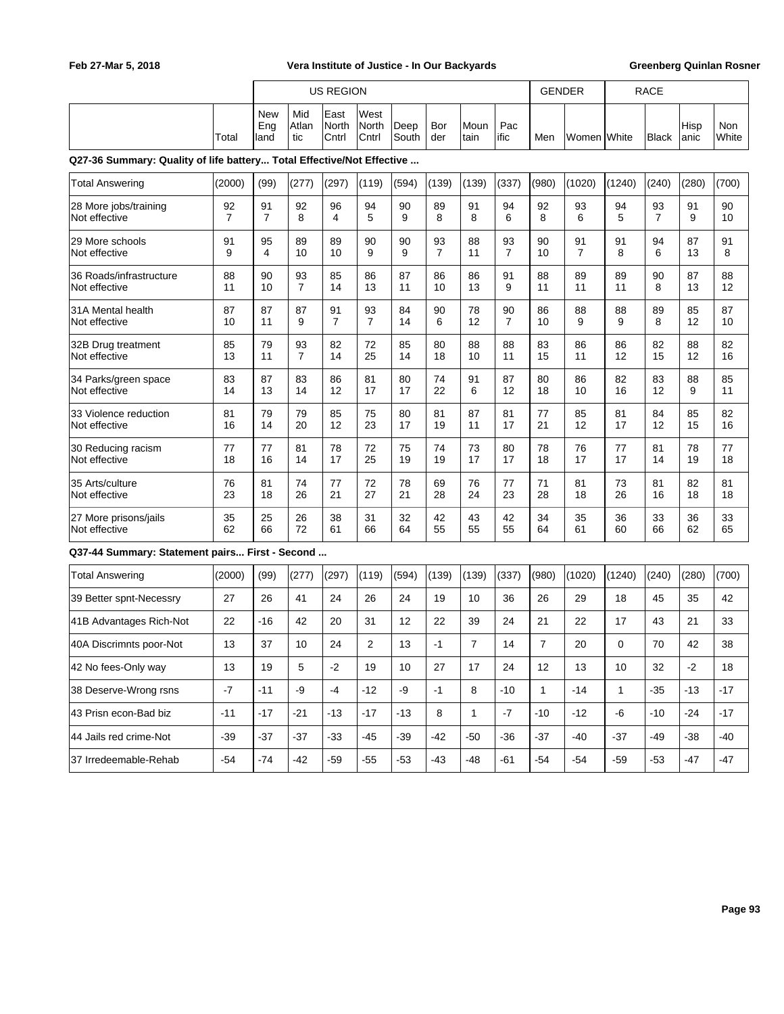|                                                                       |                      | <b>US REGION</b>          |                      |                        |                        |               |                      |                |                      | <b>GENDER</b>  |                      |              | <b>RACE</b>          |              |              |
|-----------------------------------------------------------------------|----------------------|---------------------------|----------------------|------------------------|------------------------|---------------|----------------------|----------------|----------------------|----------------|----------------------|--------------|----------------------|--------------|--------------|
|                                                                       | Total                | <b>New</b><br>Eng<br>land | Mid<br>Atlan<br>tic  | East<br>North<br>Cntrl | West<br>North<br>Cntrl | Deep<br>South | Bor<br>der           | Moun<br>tain   | Pac<br>ific          | Men            | Women White          |              | <b>Black</b>         | Hisp<br>anic | Non<br>White |
| Q27-36 Summary: Quality of life battery Total Effective/Not Effective |                      |                           |                      |                        |                        |               |                      |                |                      |                |                      |              |                      |              |              |
| <b>Total Answering</b>                                                | (2000)               | (99)                      | (277)                | (297)                  | (119)                  | (594)         | (139)                | (139)          | (337)                | (980)          | (1020)               | (1240)       | (240)                | (280)        | (700)        |
| 28 More jobs/training<br>Not effective                                | 92<br>$\overline{7}$ | 91<br>$\overline{7}$      | 92<br>8              | 96<br>4                | 94<br>5                | 90<br>9       | 89<br>8              | 91<br>8        | 94<br>6              | 92<br>8        | 93<br>6              | 94<br>5      | 93<br>$\overline{7}$ | 91<br>9      | 90<br>10     |
| 29 More schools<br>Not effective                                      | 91<br>9              | 95<br>4                   | 89<br>10             | 89<br>10               | 90<br>9                | 90<br>9       | 93<br>$\overline{7}$ | 88<br>11       | 93<br>$\overline{7}$ | 90<br>10       | 91<br>$\overline{7}$ | 91<br>8      | 94<br>6              | 87<br>13     | 91<br>8      |
| 36 Roads/infrastructure<br>Not effective                              | 88<br>11             | 90<br>10                  | 93<br>$\overline{7}$ | 85<br>14               | 86<br>13               | 87<br>11      | 86<br>10             | 86<br>13       | 91<br>9              | 88<br>11       | 89<br>11             | 89<br>11     | 90<br>8              | 87<br>13     | 88<br>12     |
| 31A Mental health<br>Not effective                                    | 87<br>10             | 87<br>11                  | 87<br>9              | 91<br>$\overline{7}$   | 93<br>$\overline{7}$   | 84<br>14      | 90<br>6              | 78<br>12       | 90<br>$\overline{7}$ | 86<br>10       | 88<br>9              | 88<br>9      | 89<br>8              | 85<br>12     | 87<br>10     |
| 32B Drug treatment<br>Not effective                                   | 85<br>13             | 79<br>11                  | 93<br>$\overline{7}$ | 82<br>14               | 72<br>25               | 85<br>14      | 80<br>18             | 88<br>10       | 88<br>11             | 83<br>15       | 86<br>11             | 86<br>12     | 82<br>15             | 88<br>12     | 82<br>16     |
| 34 Parks/green space<br>Not effective                                 | 83<br>14             | 87<br>13                  | 83<br>14             | 86<br>12               | 81<br>17               | 80<br>17      | 74<br>22             | 91<br>6        | 87<br>12             | 80<br>18       | 86<br>10             | 82<br>16     | 83<br>12             | 88<br>9      | 85<br>11     |
| 33 Violence reduction<br>Not effective                                | 81<br>16             | 79<br>14                  | 79<br>20             | 85<br>12               | 75<br>23               | 80<br>17      | 81<br>19             | 87<br>11       | 81<br>17             | 77<br>21       | 85<br>12             | 81<br>17     | 84<br>12             | 85<br>15     | 82<br>16     |
| 30 Reducing racism<br>Not effective                                   | 77<br>18             | 77<br>16                  | 81<br>14             | 78<br>17               | 72<br>25               | 75<br>19      | 74<br>19             | 73<br>17       | 80<br>17             | 78<br>18       | 76<br>17             | 77<br>17     | 81<br>14             | 78<br>19     | 77<br>18     |
| 35 Arts/culture<br>Not effective                                      | 76<br>23             | 81<br>18                  | 74<br>26             | 77<br>21               | 72<br>27               | 78<br>21      | 69<br>28             | 76<br>24       | 77<br>23             | 71<br>28       | 81<br>18             | 73<br>26     | 81<br>16             | 82<br>18     | 81<br>18     |
| 27 More prisons/jails<br>Not effective                                | 35<br>62             | 25<br>66                  | 26<br>72             | 38<br>61               | 31<br>66               | 32<br>64      | 42<br>55             | 43<br>55       | 42<br>55             | 34<br>64       | 35<br>61             | 36<br>60     | 33<br>66             | 36<br>62     | 33<br>65     |
| Q37-44 Summary: Statement pairs First - Second                        |                      |                           |                      |                        |                        |               |                      |                |                      |                |                      |              |                      |              |              |
| <b>Total Answering</b>                                                | (2000)               | (99)                      | (277)                | (297)                  | (119)                  | (594)         | (139)                | (139)          | (337)                | (980)          | (1020)               | (1240)       | (240)                | (280)        | (700)        |
| 39 Better spnt-Necessry                                               | 27                   | 26                        | 41                   | 24                     | 26                     | 24            | 19                   | 10             | 36                   | 26             | 29                   | 18           | 45                   | 35           | 42           |
| 41B Advantages Rich-Not                                               | 22                   | -16                       | 42                   | 20                     | 31                     | 12            | 22                   | 39             | 24                   | 21             | 22                   | 17           | 43                   | 21           | 33           |
| 40A Discrimnts poor-Not                                               | 13                   | 37                        | 10                   | 24                     | $\overline{2}$         | 13            | $-1$                 | $\overline{7}$ | 14                   | $\overline{7}$ | 20                   | $\Omega$     | 70                   | 42           | 38           |
| 42 No fees-Only way                                                   | 13                   | 19                        | 5                    | $-2$                   | 19                     | 10            | 27                   | 17             | 24                   | 12             | 13                   | 10           | 32                   | $-2$         | 18           |
| 38 Deserve-Wrong rsns                                                 | $-7$                 | $-11$                     | -9                   | $-4$                   | $-12$                  | -9            | $-1$                 | 8              | -10                  | $\mathbf{1}$   | $-14$                | $\mathbf{1}$ | $-35$                | $-13$        | $-17$        |
| 43 Prisn econ-Bad biz                                                 | $-11$                | -17                       | $-21$                | $-13$                  | $-17$                  | $-13$         | 8                    | $\mathbf{1}$   | $-7$                 | -10            | $-12$                | -6           | -10                  | -24          | $-17$        |
| 44 Jails red crime-Not                                                | $-39$                | $-37$                     | $-37$                | $-33$                  | -45                    | -39           | $-42$                | -50            | $-36$                | $-37$          | $-40$                | -37          | -49                  | -38          | -40          |
| 37 Irredeemable-Rehab                                                 | $-54$                | $-74$                     | $-42$                | $-59$                  | $-55$                  | $-53$         | $-43$                | -48            | $-61$                | $-54$          | $-54$                | $-59$        | $-53$                | $-47$        | $-47$        |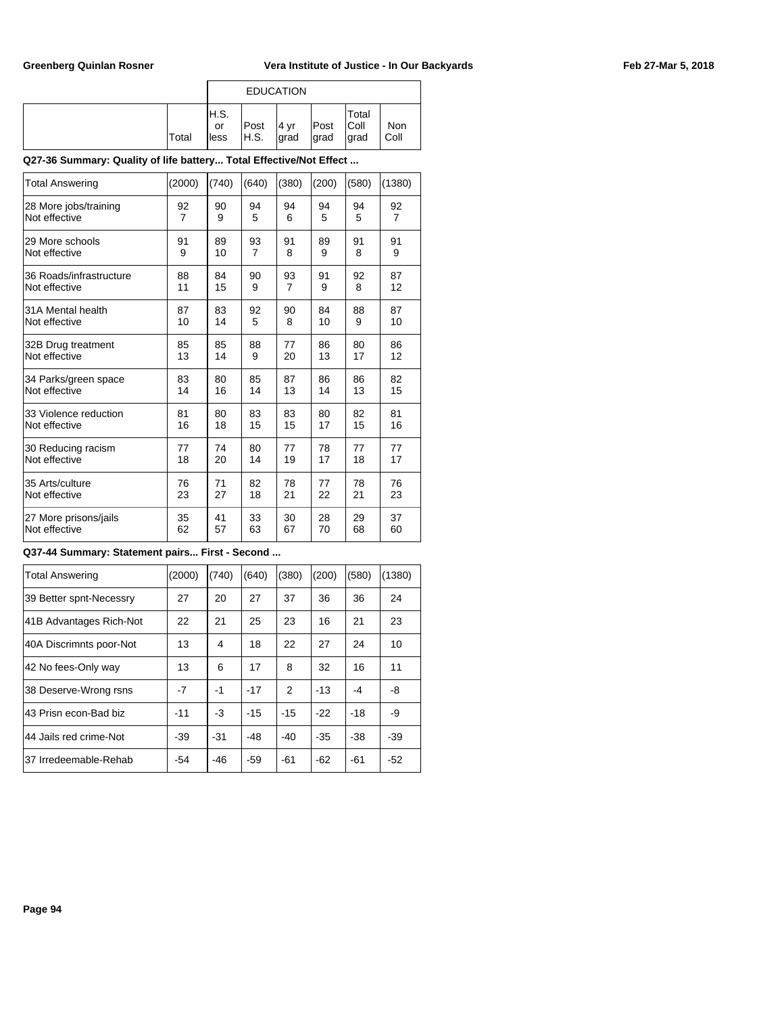|       |                     | <b>EDUCATION</b> |               |               |                       |                    |
|-------|---------------------|------------------|---------------|---------------|-----------------------|--------------------|
| Total | H.S.<br>or<br>lless | Post<br> H.S.    | l4 vr<br>grad | Post<br>∣grad | Total<br>Coll<br>grad | <b>Non</b><br>Coll |

### **Q27-36 Summary: Quality of life battery... Total Effective/Not Effect ...**

| <b>Total Answering</b>  | (2000) | (740) | (640)          | (380)          | (200) | (580) | (1380)         |
|-------------------------|--------|-------|----------------|----------------|-------|-------|----------------|
| 28 More jobs/training   | 92     | 90    | 94             | 94             | 94    | 94    | 92             |
| Not effective           | 7      | 9     | 5              | 6              | 5     | 5     | $\overline{7}$ |
| 29 More schools         | 91     | 89    | 93             | 91             | 89    | 91    | 91             |
| Not effective           | 9      | 10    | $\overline{7}$ | 8              | 9     | 8     | 9              |
| 36 Roads/infrastructure | 88     | 84    | 90             | 93             | 91    | 92    | 87             |
| Not effective           | 11     | 15    | 9              | $\overline{7}$ | 9     | 8     | 12             |
| 31A Mental health       | 87     | 83    | 92             | 90             | 84    | 88    | 87             |
| Not effective           | 10     | 14    | 5              | 8              | 10    | 9     | 10             |
| 32B Drug treatment      | 85     | 85    | 88             | 77             | 86    | 80    | 86             |
| Not effective           | 13     | 14    | 9              | 20             | 13    | 17    | 12             |
| 34 Parks/green space    | 83     | 80    | 85             | 87             | 86    | 86    | 82             |
| Not effective           | 14     | 16    | 14             | 13             | 14    | 13    | 15             |
| 33 Violence reduction   | 81     | 80    | 83             | 83             | 80    | 82    | 81             |
| Not effective           | 16     | 18    | 15             | 15             | 17    | 15    | 16             |
| 30 Reducing racism      | 77     | 74    | 80             | 77             | 78    | 77    | 77             |
| Not effective           | 18     | 20    | 14             | 19             | 17    | 18    | 17             |
| 35 Arts/culture         | 76     | 71    | 82             | 78             | 77    | 78    | 76             |
| Not effective           | 23     | 27    | 18             | 21             | 22    | 21    | 23             |
| 27 More prisons/jails   | 35     | 41    | 33             | 30             | 28    | 29    | 37             |
| Not effective           | 62     | 57    | 63             | 67             | 70    | 68    | 60             |

## **Q37-44 Summary: Statement pairs... First - Second ...**

| <b>Total Answering</b>  | (2000) | (740) | (640) | (380) | (200) | (580) | (1380) |
|-------------------------|--------|-------|-------|-------|-------|-------|--------|
| 39 Better spnt-Necessry | 27     | 20    | 27    | 37    | 36    | 36    | 24     |
| 41B Advantages Rich-Not | 22     | 21    | 25    | 23    | 16    | 21    | 23     |
| 40A Discrimnts poor-Not | 13     | 4     | 18    | 22    | 27    | 24    | 10     |
| 42 No fees-Only way     | 13     | 6     | 17    | 8     | 32    | 16    | 11     |
| 38 Deserve-Wrong rsns   | $-7$   | -1    | $-17$ | 2     | $-13$ | -4    | -8     |
| 43 Prisn econ-Bad biz   | $-11$  | $-3$  | $-15$ | $-15$ | $-22$ | $-18$ | -9     |
| 44 Jails red crime-Not  | $-39$  | $-31$ | -48   | $-40$ | $-35$ | $-38$ | $-39$  |
| 37 Irredeemable-Rehab   | -54    | $-46$ | $-59$ | $-61$ | $-62$ | $-61$ | $-52$  |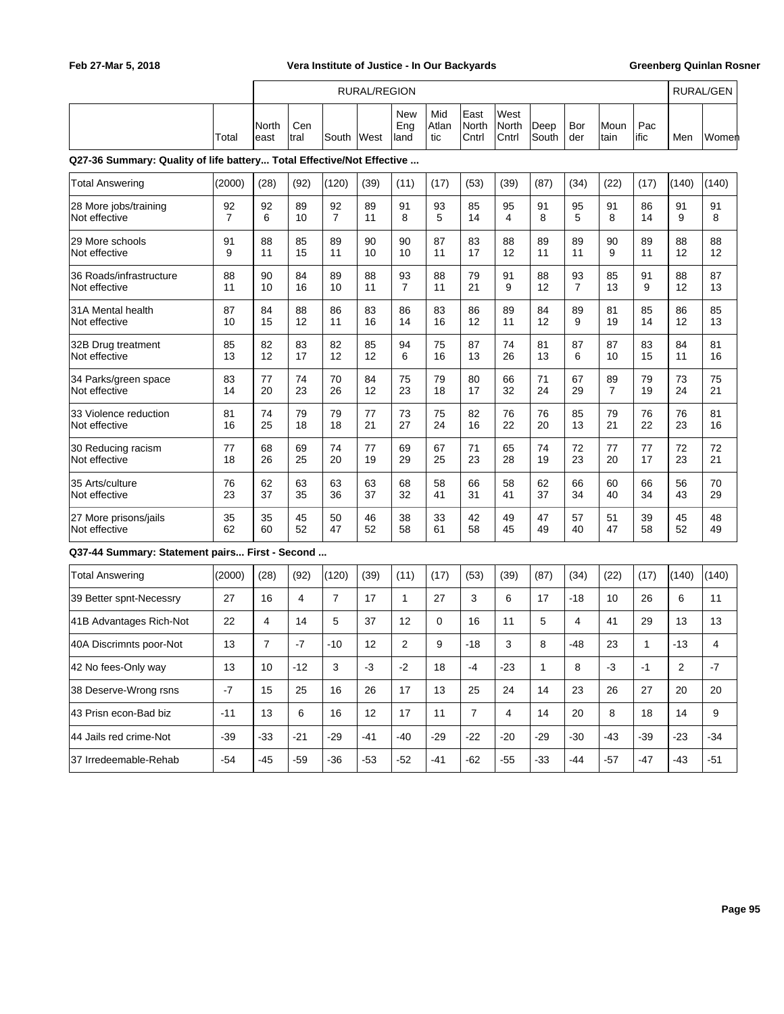r

## Feb 27-Mar 5, 2018 **The State of Justice - In Our Backyards** Greenberg Quinlan Rosner

 $\overline{\phantom{a}}$ 

|                                                                       |                      |                |             |                      | <b>RURAL/REGION</b> |                      |                     |                        |                        |               |                      |                      |              |                         | <b>RURAL/GEN</b> |
|-----------------------------------------------------------------------|----------------------|----------------|-------------|----------------------|---------------------|----------------------|---------------------|------------------------|------------------------|---------------|----------------------|----------------------|--------------|-------------------------|------------------|
|                                                                       | Total                | North<br>least | Cen<br>tral | South                | West                | New<br>Eng<br>land   | Mid<br>Atlan<br>tic | East<br>North<br>Cntrl | West<br>North<br>Cntrl | Deep<br>South | Bor<br>der           | Moun<br>tain         | Pac<br>lific | Men                     | Women            |
| Q27-36 Summary: Quality of life battery Total Effective/Not Effective |                      |                |             |                      |                     |                      |                     |                        |                        |               |                      |                      |              |                         |                  |
| <b>Total Answering</b>                                                | (2000)               | (28)           | (92)        | (120)                | (39)                | (11)                 | (17)                | (53)                   | (39)                   | (87)          | (34)                 | (22)                 | (17)         | (140)                   | (140)            |
| 28 More jobs/training<br>Not effective                                | 92<br>$\overline{7}$ | 92<br>6        | 89<br>10    | 92<br>$\overline{7}$ | 89<br>11            | 91<br>8              | 93<br>5             | 85<br>14               | 95<br>4                | 91<br>8       | 95<br>5              | 91<br>8              | 86<br>14     | 91<br>9                 | 91<br>8          |
| 29 More schools<br>Not effective                                      | 91<br>9              | 88<br>11       | 85<br>15    | 89<br>11             | 90<br>10            | 90<br>10             | 87<br>11            | 83<br>17               | 88<br>12               | 89<br>11      | 89<br>11             | 90<br>9              | 89<br>11     | 88<br>12                | 88<br>12         |
| 36 Roads/infrastructure<br>Not effective                              | 88<br>11             | 90<br>10       | 84<br>16    | 89<br>10             | 88<br>11            | 93<br>$\overline{7}$ | 88<br>11            | 79<br>21               | 91<br>9                | 88<br>12      | 93<br>$\overline{7}$ | 85<br>13             | 91<br>9      | 88<br>12                | 87<br>13         |
| 31A Mental health<br>Not effective                                    | 87<br>10             | 84<br>15       | 88<br>12    | 86<br>11             | 83<br>16            | 86<br>14             | 83<br>16            | 86<br>12               | 89<br>11               | 84<br>12      | 89<br>9              | 81<br>19             | 85<br>14     | 86<br>12                | 85<br>13         |
| 32B Drug treatment<br>Not effective                                   | 85<br>13             | 82<br>12       | 83<br>17    | 82<br>12             | 85<br>12            | 94<br>6              | 75<br>16            | 87<br>13               | 74<br>26               | 81<br>13      | 87<br>6              | 87<br>10             | 83<br>15     | 84<br>11                | 81<br>16         |
| 34 Parks/green space<br>Not effective                                 | 83<br>14             | 77<br>20       | 74<br>23    | 70<br>26             | 84<br>12            | 75<br>23             | 79<br>18            | 80<br>17               | 66<br>32               | 71<br>24      | 67<br>29             | 89<br>$\overline{7}$ | 79<br>19     | 73<br>24                | 75<br>21         |
| 33 Violence reduction<br>Not effective                                | 81<br>16             | 74<br>25       | 79<br>18    | 79<br>18             | 77<br>21            | 73<br>27             | 75<br>24            | 82<br>16               | 76<br>22               | 76<br>20      | 85<br>13             | 79<br>21             | 76<br>22     | 76<br>23                | 81<br>16         |
| 30 Reducing racism<br>Not effective                                   | 77<br>18             | 68<br>26       | 69<br>25    | 74<br>20             | 77<br>19            | 69<br>29             | 67<br>25            | 71<br>23               | 65<br>28               | 74<br>19      | 72<br>23             | 77<br>20             | 77<br>17     | 72<br>23                | 72<br>21         |
| 35 Arts/culture<br>Not effective                                      | 76<br>23             | 62<br>37       | 63<br>35    | 63<br>36             | 63<br>37            | 68<br>32             | 58<br>41            | 66<br>31               | 58<br>41               | 62<br>37      | 66<br>34             | 60<br>40             | 66<br>34     | 56<br>43                | 70<br>29         |
| 27 More prisons/jails<br>Not effective                                | 35<br>62             | 35<br>60       | 45<br>52    | 50<br>47             | 46<br>52            | 38<br>58             | 33<br>61            | 42<br>58               | 49<br>45               | 47<br>49      | 57<br>40             | 51<br>47             | 39<br>58     | 45<br>52                | 48<br>49         |
| Q37-44 Summary: Statement pairs First - Second                        |                      |                |             |                      |                     |                      |                     |                        |                        |               |                      |                      |              |                         |                  |
| <b>Total Answering</b>                                                | (2000)               | (28)           | (92)        | (120)                | (39)                | (11)                 | (17)                | (53)                   | (39)                   | (87)          | (34)                 | (22)                 | (17)         | (140)                   | (140)            |
| 39 Better spnt-Necessry                                               | 27                   | 16             | 4           | $\overline{7}$       | 17                  | $\mathbf{1}$         | 27                  | 3                      | 6                      | 17            | $-18$                | 10                   | 26           | 6                       | 11               |
| 41B Advantages Rich-Not                                               | 22                   | 4              | 14          | 5                    | 37                  | 12                   | 0                   | 16                     | 11                     | 5             | 4                    | 41                   | 29           | 13                      | 13               |
| 40A Discrimnts poor-Not                                               | 13                   | $\overline{7}$ | $-7$        | $-10$                | 12                  | $\overline{2}$       | 9                   | $-18$                  | 3                      | 8             | -48                  | 23                   | 1            | $-13$                   | 4                |
| 42 No fees-Only way                                                   | 13                   | 10             | $-12$       | 3                    | $-3$                | $-2$                 | 18                  | -4                     | $-23$                  | $\mathbf{1}$  | 8                    | $-3$                 | $-1$         | $\overline{\mathbf{c}}$ | $-7$             |
| 38 Deserve-Wrong rsns                                                 | $-7$                 | 15             | 25          | 16                   | 26                  | 17                   | 13                  | 25                     | 24                     | 14            | 23                   | 26                   | 27           | 20                      | 20               |
| 43 Prisn econ-Bad biz                                                 | $-11$                | 13             | 6           | 16                   | 12                  | 17                   | 11                  | $\overline{7}$         | $\overline{4}$         | 14            | 20                   | 8                    | 18           | 14                      | 9                |
| 44 Jails red crime-Not                                                | $-39$                | $-33$          | $-21$       | $-29$                | $-41$               | $-40$                | $-29$               | $-22$                  | $-20$                  | $-29$         | $-30$                | $-43$                | $-39$        | $-23$                   | $-34$            |
| 37 Irredeemable-Rehab                                                 | $-54$                | $-45$          | $-59$       | $-36$                | $-53$               | $-52$                | $-41$               | $-62$                  | $-55$                  | $-33$         | $-44$                | $-57$                | $-47$        | $-43$                   | $-51$            |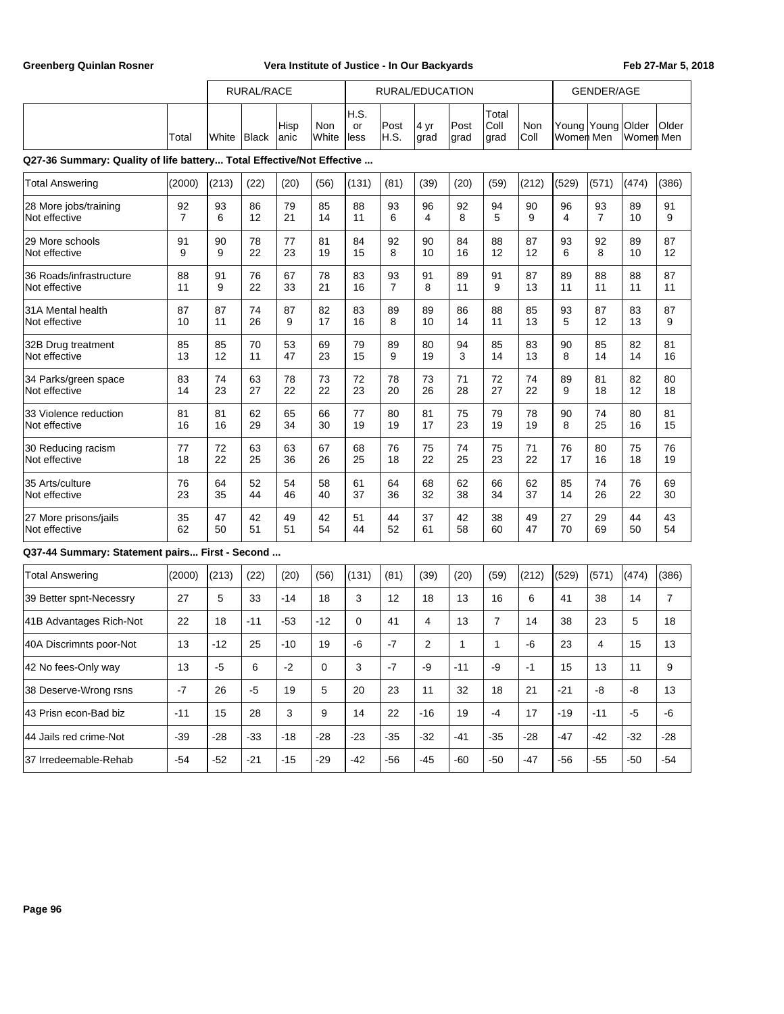|                                                                       |                      | <b>RURAL/RACE</b> |          | RURAL/EDUCATION |              |                    |                      |              | <b>GENDER/AGE</b> |                       |             |                          |                      |                           |                |
|-----------------------------------------------------------------------|----------------------|-------------------|----------|-----------------|--------------|--------------------|----------------------|--------------|-------------------|-----------------------|-------------|--------------------------|----------------------|---------------------------|----------------|
|                                                                       | Total                | White   Black     |          | Hisp<br>anic    | Non<br>White | H.S.<br>or<br>less | Post<br>H.S.         | 4 yr<br>grad | Post<br>grad      | Total<br>Coll<br>grad | Non<br>Coll | Young Young<br>Women Men |                      | <b>Older</b><br>Women Men | Older          |
| Q27-36 Summary: Quality of life battery Total Effective/Not Effective |                      |                   |          |                 |              |                    |                      |              |                   |                       |             |                          |                      |                           |                |
| <b>Total Answering</b>                                                | (2000)               | (213)             | (22)     | (20)            | (56)         | (131)              | (81)                 | (39)         | (20)              | (59)                  | (212)       | (529)                    | (571)                | (474)                     | (386)          |
| 28 More jobs/training<br>Not effective                                | 92<br>$\overline{7}$ | 93<br>6           | 86<br>12 | 79<br>21        | 85<br>14     | 88<br>11           | 93<br>6              | 96<br>4      | 92<br>8           | 94<br>5               | 90<br>9     | 96<br>4                  | 93<br>$\overline{7}$ | 89<br>10                  | 91<br>9        |
| 29 More schools<br>Not effective                                      | 91<br>9              | 90<br>9           | 78<br>22 | 77<br>23        | 81<br>19     | 84<br>15           | 92<br>8              | 90<br>10     | 84<br>16          | 88<br>12              | 87<br>12    | 93<br>6                  | 92<br>8              | 89<br>10                  | 87<br>12       |
| 36 Roads/infrastructure<br>Not effective                              | 88<br>11             | 91<br>9           | 76<br>22 | 67<br>33        | 78<br>21     | 83<br>16           | 93<br>$\overline{7}$ | 91<br>8      | 89<br>11          | 91<br>9               | 87<br>13    | 89<br>11                 | 88<br>11             | 88<br>11                  | 87<br>11       |
| 31A Mental health<br>Not effective                                    | 87<br>10             | 87<br>11          | 74<br>26 | 87<br>9         | 82<br>17     | 83<br>16           | 89<br>8              | 89<br>10     | 86<br>14          | 88<br>11              | 85<br>13    | 93<br>5                  | 87<br>12             | 83<br>13                  | 87<br>9        |
| 32B Drug treatment<br>Not effective                                   | 85<br>13             | 85<br>12          | 70<br>11 | 53<br>47        | 69<br>23     | 79<br>15           | 89<br>9              | 80<br>19     | 94<br>3           | 85<br>14              | 83<br>13    | 90<br>8                  | 85<br>14             | 82<br>14                  | 81<br>16       |
| 34 Parks/green space<br>Not effective                                 | 83<br>14             | 74<br>23          | 63<br>27 | 78<br>22        | 73<br>22     | 72<br>23           | 78<br>20             | 73<br>26     | 71<br>28          | 72<br>27              | 74<br>22    | 89<br>9                  | 81<br>18             | 82<br>12                  | 80<br>18       |
| 33 Violence reduction<br>Not effective                                | 81<br>16             | 81<br>16          | 62<br>29 | 65<br>34        | 66<br>30     | 77<br>19           | 80<br>19             | 81<br>17     | 75<br>23          | 79<br>19              | 78<br>19    | 90<br>8                  | 74<br>25             | 80<br>16                  | 81<br>15       |
| 30 Reducing racism<br>Not effective                                   | 77<br>18             | 72<br>22          | 63<br>25 | 63<br>36        | 67<br>26     | 68<br>25           | 76<br>18             | 75<br>22     | 74<br>25          | 75<br>23              | 71<br>22    | 76<br>17                 | 80<br>16             | 75<br>18                  | 76<br>19       |
| 35 Arts/culture<br>Not effective                                      | 76<br>23             | 64<br>35          | 52<br>44 | 54<br>46        | 58<br>40     | 61<br>37           | 64<br>36             | 68<br>32     | 62<br>38          | 66<br>34              | 62<br>37    | 85<br>14                 | 74<br>26             | 76<br>22                  | 69<br>30       |
| 27 More prisons/jails<br>Not effective                                | 35<br>62             | 47<br>50          | 42<br>51 | 49<br>51        | 42<br>54     | 51<br>44           | 44<br>52             | 37<br>61     | 42<br>58          | 38<br>60              | 49<br>47    | 27<br>70                 | 29<br>69             | 44<br>50                  | 43<br>54       |
| Q37-44 Summary: Statement pairs First - Second                        |                      |                   |          |                 |              |                    |                      |              |                   |                       |             |                          |                      |                           |                |
| <b>Total Answering</b>                                                | (2000)               | (213)             | (22)     | (20)            | (56)         | (131)              | (81)                 | (39)         | (20)              | (59)                  | (212)       | (529)                    | (571)                | (474)                     | (386)          |
| 39 Better spnt-Necessry                                               | 27                   | 5                 | 33       | $-14$           | 18           | 3                  | 12                   | 18           | 13                | 16                    | 6           | 41                       | 38                   | 14                        | $\overline{7}$ |
| 41B Advantages Rich-Not                                               | 22                   | 18                | $-11$    | $-53$           | $-12$        | 0                  | 41                   | 4            | 13                | 7                     | 14          | 38                       | 23                   | 5                         | 18             |
| 40A Discrimnts poor-Not                                               | 13                   | $-12$             | 25       | $-10$           | 19           | -6                 | $-7$                 | 2            | 1                 | 1                     | -6          | 23                       | 4                    | 15                        | 13             |
| 42 No fees-Only way                                                   | 13                   | $-5$              | 6        | $-2$            | 0            | 3                  | $-7$                 | -9           | $-11$             | -9                    | $-1$        | 15                       | 13                   | 11                        | 9              |
| 38 Deserve-Wrong rsns                                                 | $-7$                 | 26                | $-5$     | 19              | 5            | 20                 | 23                   | 11           | 32                | 18                    | 21          | $-21$                    | -8                   | -8                        | 13             |
| 43 Prisn econ-Bad biz                                                 | $-11$                | 15                | 28       | 3               | 9            | 14                 | 22                   | -16          | 19                | -4                    | 17          | -19                      | $-11$                | $-5$                      | -6             |
| 44 Jails red crime-Not                                                | $-39$                | $-28$             | $-33$    | $-18$           | $-28$        | $-23$              | $-35$                | -32          | $-41$             | $-35$                 | -28         | -47                      | -42                  | $-32$                     | -28            |
| 37 Irredeemable-Rehab                                                 | $-54$                | $-52$             | $-21$    | $-15$           | $-29$        | $-42$              | $-56$                | $-45$        | $-60$             | $-50$                 | $-47$       | $-56$                    | $-55$                | $-50$                     | $-54$          |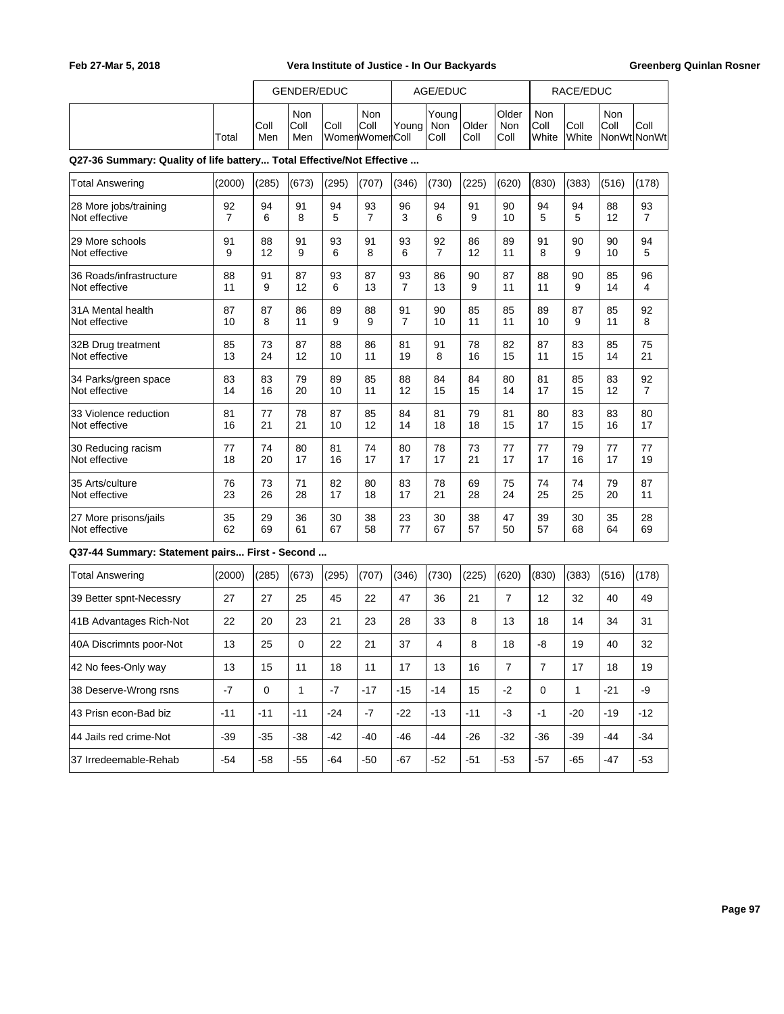|                                                                       |          |             | GENDER/EDUC        |          |                               |                      | AGE/EDUC             |               |                      |                      | RACE/EDUC     |             |                      |
|-----------------------------------------------------------------------|----------|-------------|--------------------|----------|-------------------------------|----------------------|----------------------|---------------|----------------------|----------------------|---------------|-------------|----------------------|
|                                                                       | Total    | Coll<br>Men | Non<br>Coll<br>Men | Coll     | Non<br>Coll<br>WomenWomenColl | Young                | Young<br>Non<br>Coll | Older<br>Coll | Older<br>Non<br>Coll | Non<br>Coll<br>White | Coll<br>White | Non<br>Coll | Coll<br>NonWt NonWt  |
| Q27-36 Summary: Quality of life battery Total Effective/Not Effective |          |             |                    |          |                               |                      |                      |               |                      |                      |               |             |                      |
| <b>Total Answering</b>                                                | (2000)   | (285)       | (673)              | (295)    | (707)                         | (346)                | (730)                | (225)         | (620)                | (830)                | (383)         | (516)       | (178)                |
| 28 More jobs/training<br>Not effective                                | 92<br>7  | 94<br>6     | 91<br>8            | 94<br>5  | 93<br>7                       | 96<br>3              | 94<br>6              | 91<br>9       | 90<br>10             | 94<br>5              | 94<br>5       | 88<br>12    | 93<br>$\overline{7}$ |
| 29 More schools<br>Not effective                                      | 91<br>9  | 88<br>12    | 91<br>9            | 93<br>6  | 91<br>8                       | 93<br>6              | 92<br>$\overline{7}$ | 86<br>12      | 89<br>11             | 91<br>8              | 90<br>9       | 90<br>10    | 94<br>5              |
| 36 Roads/infrastructure<br>Not effective                              | 88<br>11 | 91<br>9     | 87<br>12           | 93<br>6  | 87<br>13                      | 93<br>$\overline{7}$ | 86<br>13             | 90<br>9       | 87<br>11             | 88<br>11             | 90<br>9       | 85<br>14    | 96<br>4              |
| 31A Mental health<br>Not effective                                    | 87<br>10 | 87<br>8     | 86<br>11           | 89<br>9  | 88<br>9                       | 91<br>$\overline{7}$ | 90<br>10             | 85<br>11      | 85<br>11             | 89<br>10             | 87<br>9       | 85<br>11    | 92<br>8              |
| 32B Drug treatment<br>Not effective                                   | 85<br>13 | 73<br>24    | 87<br>12           | 88<br>10 | 86<br>11                      | 81<br>19             | 91<br>8              | 78<br>16      | 82<br>15             | 87<br>11             | 83<br>15      | 85<br>14    | 75<br>21             |
| 34 Parks/green space<br>Not effective                                 | 83<br>14 | 83<br>16    | 79<br>20           | 89<br>10 | 85<br>11                      | 88<br>12             | 84<br>15             | 84<br>15      | 80<br>14             | 81<br>17             | 85<br>15      | 83<br>12    | 92<br>$\overline{7}$ |
| 33 Violence reduction<br>Not effective                                | 81<br>16 | 77<br>21    | 78<br>21           | 87<br>10 | 85<br>12                      | 84<br>14             | 81<br>18             | 79<br>18      | 81<br>15             | 80<br>17             | 83<br>15      | 83<br>16    | 80<br>17             |
| 30 Reducing racism<br>Not effective                                   | 77<br>18 | 74<br>20    | 80<br>17           | 81<br>16 | 74<br>17                      | 80<br>17             | 78<br>17             | 73<br>21      | 77<br>17             | 77<br>17             | 79<br>16      | 77<br>17    | 77<br>19             |
| 35 Arts/culture<br>Not effective                                      | 76<br>23 | 73<br>26    | 71<br>28           | 82<br>17 | 80<br>18                      | 83<br>17             | 78<br>21             | 69<br>28      | 75<br>24             | 74<br>25             | 74<br>25      | 79<br>20    | 87<br>11             |
| 27 More prisons/jails<br>Not effective                                | 35<br>62 | 29<br>69    | 36<br>61           | 30<br>67 | 38<br>58                      | 23<br>77             | 30<br>67             | 38<br>57      | 47<br>50             | 39<br>57             | 30<br>68      | 35<br>64    | 28<br>69             |
| Q37-44 Summary: Statement pairs First - Second                        |          |             |                    |          |                               |                      |                      |               |                      |                      |               |             |                      |
| <b>Total Answering</b>                                                | (2000)   | (285)       | (673)              | (295)    | (707)                         | (346)                | (730)                | (225)         | (620)                | (830)                | (383)         | (516)       | (178)                |
| 39 Better spnt-Necessry                                               | 27       | 27          | 25                 | 45       | 22                            | 47                   | 36                   | 21            | $\overline{7}$       | 12                   | 32            | 40          | 49                   |
| 41B Advantages Rich-Not                                               | 22       | 20          | 23                 | 21       | 23                            | 28                   | 33                   | 8             | 13                   | 18                   | 14            | 34          | 31                   |
| 40A Discrimnts poor-Not                                               | 13       | 25          | 0                  | 22       | 21                            | 37                   | 4                    | 8             | 18                   | -8                   | 19            | 40          | 32                   |
| 42 No fees-Only way                                                   | 13       | 15          | 11                 | 18       | 11                            | 17                   | 13                   | 16            | $\overline{7}$       | $\boldsymbol{7}$     | 17            | 18          | 19                   |
| 38 Deserve-Wrong rsns                                                 | $-7$     | $\mathbf 0$ | $\mathbf{1}$       | $-7$     | $-17$                         | $-15$                | $-14$                | 15            | $-2$                 | $\pmb{0}$            | $\mathbf{1}$  | $-21$       | -9                   |
| 43 Prisn econ-Bad biz                                                 | $-11$    | $-11$       | $-11$              | $-24$    | $-7$                          | $-22$                | $-13$                | $-11$         | $-3$                 | $-1$                 | $-20$         | $-19$       | $-12$                |
| 44 Jails red crime-Not                                                | $-39$    | $-35$       | $-38$              | $-42$    | $-40$                         | $-46$                | $-44$                | $-26$         | $-32$                | $-36$                | $-39$         | $-44$       | $-34$                |
| 37 Irredeemable-Rehab                                                 | $-54$    | $-58$       | $-55$              | $-64$    | $-50$                         | $-67$                | $-52$                | $-51$         | $-53$                | $-57$                | $-65$         | $-47$       | $-53$                |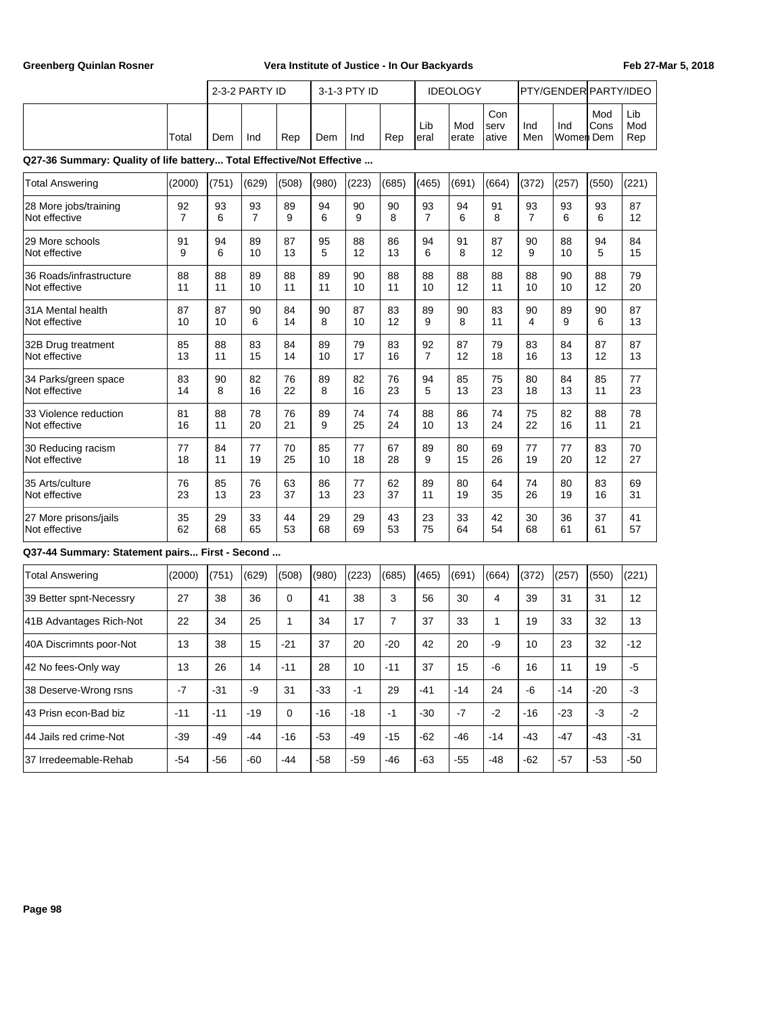|                                                                       |                      | 2-3-2 PARTY ID |          |             | 3-1-3 PTY ID |          | <b>IDEOLOGY</b> |                      |              |                      | PTY/GENDER PARTY/IDEO |                  |             |                   |
|-----------------------------------------------------------------------|----------------------|----------------|----------|-------------|--------------|----------|-----------------|----------------------|--------------|----------------------|-----------------------|------------------|-------------|-------------------|
|                                                                       | Total                | Dem            | Ind      | Rep         | Dem          | Ind      | Rep             | Lib<br>eral          | Mod<br>erate | Con<br>serv<br>ative | Ind<br>Men            | Ind<br>Women Dem | Mod<br>Cons | Lib<br>Mod<br>Rep |
| Q27-36 Summary: Quality of life battery Total Effective/Not Effective |                      |                |          |             |              |          |                 |                      |              |                      |                       |                  |             |                   |
| <b>Total Answering</b>                                                | (2000)               | (751)          | (629)    | (508)       | (980)        | (223)    | (685)           | (465)                | (691)        | (664)                | (372)                 | (257)            | (550)       | (221)             |
| 28 More jobs/training<br>Not effective                                | 92<br>$\overline{7}$ | 93<br>6        | 93<br>7  | 89<br>9     | 94<br>6      | 90<br>9  | 90<br>8         | 93<br>$\overline{7}$ | 94<br>6      | 91<br>8              | 93<br>$\overline{7}$  | 93<br>6          | 93<br>6     | 87<br>12          |
| 29 More schools<br>Not effective                                      | 91<br>9              | 94<br>6        | 89<br>10 | 87<br>13    | 95<br>5      | 88<br>12 | 86<br>13        | 94<br>6              | 91<br>8      | 87<br>12             | 90<br>9               | 88<br>10         | 94<br>5     | 84<br>15          |
| 36 Roads/infrastructure<br>Not effective                              | 88<br>11             | 88<br>11       | 89<br>10 | 88<br>11    | 89<br>11     | 90<br>10 | 88<br>11        | 88<br>10             | 88<br>12     | 88<br>11             | 88<br>10              | 90<br>10         | 88<br>12    | 79<br>20          |
| 31A Mental health<br>Not effective                                    | 87<br>10             | 87<br>10       | 90<br>6  | 84<br>14    | 90<br>8      | 87<br>10 | 83<br>12        | 89<br>9              | 90<br>8      | 83<br>11             | 90<br>4               | 89<br>9          | 90<br>6     | 87<br>13          |
| 32B Drug treatment<br>Not effective                                   | 85<br>13             | 88<br>11       | 83<br>15 | 84<br>14    | 89<br>10     | 79<br>17 | 83<br>16        | 92<br>7              | 87<br>12     | 79<br>18             | 83<br>16              | 84<br>13         | 87<br>12    | 87<br>13          |
| 34 Parks/green space<br>Not effective                                 | 83<br>14             | 90<br>8        | 82<br>16 | 76<br>22    | 89<br>8      | 82<br>16 | 76<br>23        | 94<br>5              | 85<br>13     | 75<br>23             | 80<br>18              | 84<br>13         | 85<br>11    | 77<br>23          |
| 33 Violence reduction<br>Not effective                                | 81<br>16             | 88<br>11       | 78<br>20 | 76<br>21    | 89<br>9      | 74<br>25 | 74<br>24        | 88<br>10             | 86<br>13     | 74<br>24             | 75<br>22              | 82<br>16         | 88<br>11    | 78<br>21          |
| 30 Reducing racism<br>Not effective                                   | 77<br>18             | 84<br>11       | 77<br>19 | 70<br>25    | 85<br>10     | 77<br>18 | 67<br>28        | 89<br>9              | 80<br>15     | 69<br>26             | 77<br>19              | 77<br>20         | 83<br>12    | 70<br>27          |
| 35 Arts/culture<br>Not effective                                      | 76<br>23             | 85<br>13       | 76<br>23 | 63<br>37    | 86<br>13     | 77<br>23 | 62<br>37        | 89<br>11             | 80<br>19     | 64<br>35             | 74<br>26              | 80<br>19         | 83<br>16    | 69<br>31          |
| 27 More prisons/jails<br>Not effective                                | 35<br>62             | 29<br>68       | 33<br>65 | 44<br>53    | 29<br>68     | 29<br>69 | 43<br>53        | 23<br>75             | 33<br>64     | 42<br>54             | 30<br>68              | 36<br>61         | 37<br>61    | 41<br>57          |
| Q37-44 Summary: Statement pairs First - Second                        |                      |                |          |             |              |          |                 |                      |              |                      |                       |                  |             |                   |
| <b>Total Answering</b>                                                | (2000)               | (751)          | (629)    | (508)       | (980)        | (223)    | (685)           | (465)                | (691)        | (664)                | (372)                 | (257)            | (550)       | (221)             |
| 39 Better spnt-Necessry                                               | 27                   | 38             | 36       | $\mathbf 0$ | 41           | 38       | 3               | 56                   | 30           | 4                    | 39                    | 31               | 31          | 12                |
| 41B Advantages Rich-Not                                               | 22                   | 34             | 25       | 1           | 34           | 17       | $\overline{7}$  | 37                   | 33           | 1                    | 19                    | 33               | 32          | 13                |
| 40A Discrimnts poor-Not                                               | 13                   | 38             | 15       | $-21$       | 37           | 20       | $-20$           | 42                   | 20           | -9                   | 10                    | 23               | 32          | $-12$             |
| 42 No fees-Only way                                                   | 13                   | 26             | 14       | $-11$       | 28           | 10       | $-11$           | 37                   | 15           | -6                   | 16                    | 11               | 19          | $-5$              |
| 38 Deserve-Wrong rsns                                                 | $-7$                 | $-31$          | $-9$     | 31          | $-33$        | $-1$     | 29              | $-41$                | $-14$        | 24                   | $-6$                  | $-14$            | $-20$       | $-3$              |
| 43 Prisn econ-Bad biz                                                 | $-11$                | $-11$          | $-19$    | $\mathbf 0$ | $-16$        | $-18$    | $-1$            | $-30$                | $-7$         | $-2$                 | $-16$                 | $-23$            | $-3$        | $-2$              |
| 44 Jails red crime-Not                                                | $-39$                | $-49$          | $-44$    | $-16$       | $-53$        | $-49$    | $-15$           | $-62$                | $-46$        | $-14$                | $-43$                 | $-47$            | $-43$       | $-31$             |
| 37 Irredeemable-Rehab                                                 | $-54$                | $-56$          | $-60$    | $-44$       | $-58$        | $-59$    | $-46$           | $-63$                | $-55$        | $-48$                | $-62$                 | $-57$            | $-53$       | $-50$             |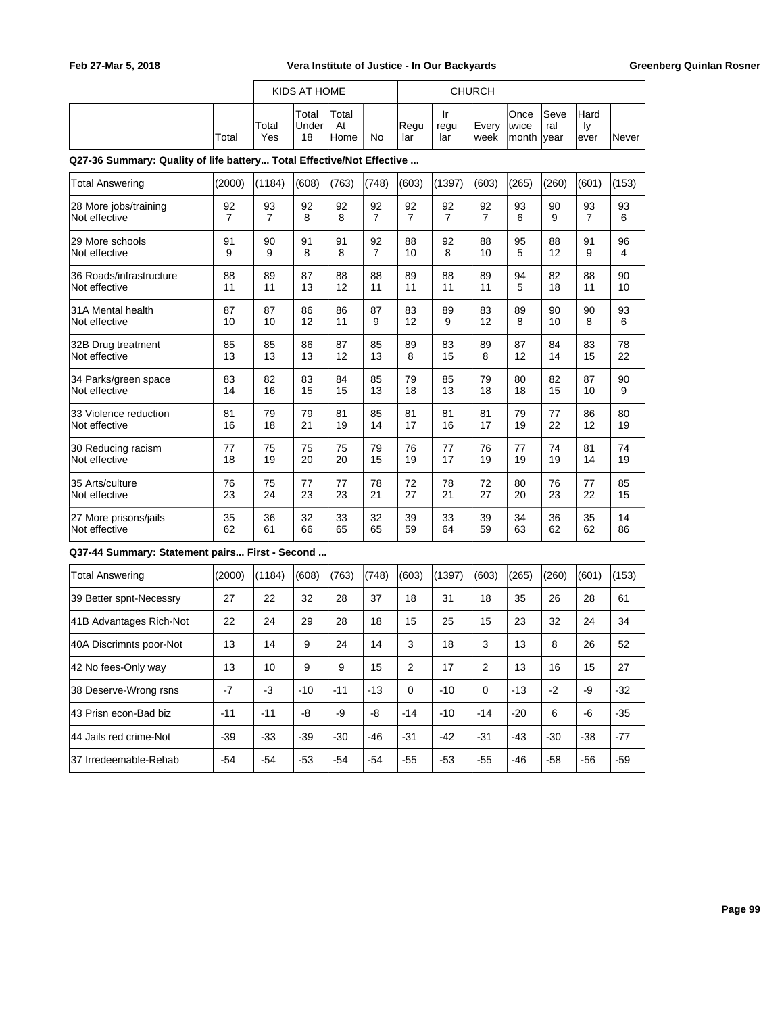|       |              | KIDS AT HOME                |                       |    |             |                   | <b>CHURCH</b>  |                                      |              |                            |        |  |
|-------|--------------|-----------------------------|-----------------------|----|-------------|-------------------|----------------|--------------------------------------|--------------|----------------------------|--------|--|
| Total | Total<br>Yes | Total<br><b>Under</b><br>18 | Total<br>At<br>l Home | No | Regu<br>lar | ١r<br>regu<br>lar | Every<br>lweek | lOnce<br><b>Itwice</b><br>month vear | lSeve<br>ral | <b>Hard</b><br>1v<br>lever | lNever |  |

### **Q27-36 Summary: Quality of life battery... Total Effective/Not Effective ...**

| <b>Total Answering</b>                         | (2000)         | (1184)         | (608) | (763) | (748)          | (603)          | (1397)         | (603)          | (265) | (260) | (601)          | (153) |
|------------------------------------------------|----------------|----------------|-------|-------|----------------|----------------|----------------|----------------|-------|-------|----------------|-------|
| 28 More jobs/training                          | 92             | 93             | 92    | 92    | 92             | 92             | 92             | 92             | 93    | 90    | 93             | 93    |
| Not effective                                  | $\overline{7}$ | $\overline{7}$ | 8     | 8     | $\overline{7}$ | $\overline{7}$ | $\overline{7}$ | $\overline{7}$ | 6     | 9     | $\overline{7}$ | 6     |
| 29 More schools                                | 91             | 90             | 91    | 91    | 92             | 88             | 92             | 88             | 95    | 88    | 91             | 96    |
| Not effective                                  | 9              | 9              | 8     | 8     | $\overline{7}$ | 10             | 8              | 10             | 5     | 12    | 9              | 4     |
| 36 Roads/infrastructure                        | 88             | 89             | 87    | 88    | 88             | 89             | 88             | 89             | 94    | 82    | 88             | 90    |
| Not effective                                  | 11             | 11             | 13    | 12    | 11             | 11             | 11             | 11             | 5     | 18    | 11             | 10    |
| 31A Mental health                              | 87             | 87             | 86    | 86    | 87             | 83             | 89             | 83             | 89    | 90    | 90             | 93    |
| Not effective                                  | 10             | 10             | 12    | 11    | 9              | 12             | 9              | 12             | 8     | 10    | 8              | 6     |
| 32B Drug treatment                             | 85             | 85             | 86    | 87    | 85             | 89             | 83             | 89             | 87    | 84    | 83             | 78    |
| Not effective                                  | 13             | 13             | 13    | 12    | 13             | 8              | 15             | 8              | 12    | 14    | 15             | 22    |
| 34 Parks/green space                           | 83             | 82             | 83    | 84    | 85             | 79             | 85             | 79             | 80    | 82    | 87             | 90    |
| Not effective                                  | 14             | 16             | 15    | 15    | 13             | 18             | 13             | 18             | 18    | 15    | 10             | 9     |
| 33 Violence reduction                          | 81             | 79             | 79    | 81    | 85             | 81             | 81             | 81             | 79    | 77    | 86             | 80    |
| Not effective                                  | 16             | 18             | 21    | 19    | 14             | 17             | 16             | 17             | 19    | 22    | 12             | 19    |
| 30 Reducing racism                             | 77             | 75             | 75    | 75    | 79             | 76             | 77             | 76             | 77    | 74    | 81             | 74    |
| Not effective                                  | 18             | 19             | 20    | 20    | 15             | 19             | 17             | 19             | 19    | 19    | 14             | 19    |
| 35 Arts/culture                                | 76             | 75             | 77    | 77    | 78             | 72             | 78             | 72             | 80    | 76    | 77             | 85    |
| Not effective                                  | 23             | 24             | 23    | 23    | 21             | 27             | 21             | 27             | 20    | 23    | 22             | 15    |
| 27 More prisons/jails                          | 35             | 36             | 32    | 33    | 32             | 39             | 33             | 39             | 34    | 36    | 35             | 14    |
| Not effective                                  | 62             | 61             | 66    | 65    | 65             | 59             | 64             | 59             | 63    | 62    | 62             | 86    |
| Q37-44 Summary: Statement pairs First - Second |                |                |       |       |                |                |                |                |       |       |                |       |
| <b>Total Answering</b>                         | (2000)         | (1184)         | (608) | (763) | (748)          | (603)          | (1397)         | (603)          | (265) | (260) | (601)          | (153) |
| 39 Better spnt-Necessry                        | 27             | 22             | 32    | 28    | 37             | 18             | 31             | 18             | 35    | 26    | 28             | 61    |
| 41B Advantages Rich-Not                        | 22             | 24             | 29    | 28    | 18             | 15             | 25             | 15             | 23    | 32    | 24             | 34    |

40A Discrimnts poor-Not | 13 | 14 | 9 | 24 | 14 | 3 | 18 | 3 | 13 | 8 | 26 | 52 42 No fees-Only way | 13 | 10 | 9 | 9 | 15 | 2 | 17 | 2 | 13 | 16 | 15 | 27 38 Deserve-Wrong rsns | -7 | -3 | -10 | -11 | -13 | 0 | -10 | 0 | -13 | -2 | -9 | -32 43 Prisn econ-Bad biz | -11 | -11 | -8 | -9 | -8 | -14 | -10 | -14 | -20 | 6 | -6 | -35 44 Jails red crime-Not  $\begin{vmatrix} -39 & -33 & -39 & -30 \end{vmatrix}$  -30  $\begin{vmatrix} -46 & -31 & -42 & -31 & -43 & -30 & -38 & -77 \end{vmatrix}$ 37 Irredeemable-Rehab | -54 | -54 | -53 | -54 | -54 | -55 | -53 | -55 | -46 | -58 | -56 | -59

**Page 99**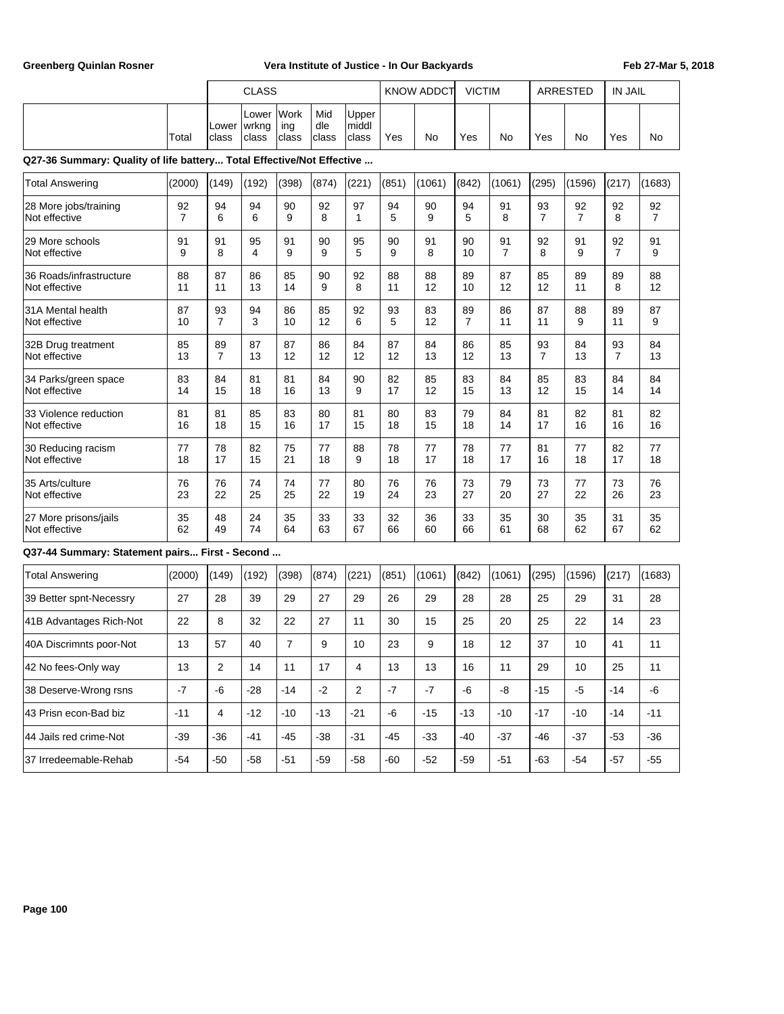|                                                                       |                      |                      | <b>CLASS</b>            |                      |                      |                         | <b>KNOW ADDCT</b> |          | <b>VICTIM</b>        |                      | <b>ARRESTED</b>      |                      | <b>IN JAIL</b>       |                      |
|-----------------------------------------------------------------------|----------------------|----------------------|-------------------------|----------------------|----------------------|-------------------------|-------------------|----------|----------------------|----------------------|----------------------|----------------------|----------------------|----------------------|
|                                                                       | Total                | Lower<br>class       | Lower<br>wrkng<br>class | Work<br>ing<br>class | Mid<br>dle<br> class | Upper<br>middl<br>class | Yes               | No       | Yes                  | No                   | Yes                  | No                   | Yes                  | No                   |
| Q27-36 Summary: Quality of life battery Total Effective/Not Effective |                      |                      |                         |                      |                      |                         |                   |          |                      |                      |                      |                      |                      |                      |
| <b>Total Answering</b>                                                | (2000)               | (149)                | (192)                   | (398)                | (874)                | (221)                   | (851)             | (1061)   | (842)                | (1061)               | (295)                | (1596)               | (217)                | (1683)               |
| 28 More jobs/training<br>Not effective                                | 92<br>$\overline{7}$ | 94<br>6              | 94<br>6                 | 90<br>9              | 92<br>8              | 97<br>1                 | 94<br>5           | 90<br>9  | 94<br>5              | 91<br>8              | 93<br>$\overline{7}$ | 92<br>$\overline{7}$ | 92<br>8              | 92<br>$\overline{7}$ |
| 29 More schools<br>Not effective                                      | 91<br>9              | 91<br>8              | 95<br>4                 | 91<br>9              | 90<br>9              | 95<br>5                 | 90<br>9           | 91<br>8  | 90<br>10             | 91<br>$\overline{7}$ | 92<br>8              | 91<br>9              | 92<br>$\overline{7}$ | 91<br>9              |
| 36 Roads/infrastructure<br>Not effective                              | 88<br>11             | 87<br>11             | 86<br>13                | 85<br>14             | 90<br>9              | 92<br>8                 | 88<br>11          | 88<br>12 | 89<br>10             | 87<br>12             | 85<br>12             | 89<br>11             | 89<br>8              | 88<br>12             |
| 31A Mental health<br>Not effective                                    | 87<br>10             | 93<br>$\overline{7}$ | 94<br>3                 | 86<br>10             | 85<br>12             | 92<br>6                 | 93<br>5           | 83<br>12 | 89<br>$\overline{7}$ | 86<br>11             | 87<br>11             | 88<br>9              | 89<br>11             | 87<br>9              |
| 32B Drug treatment<br>Not effective                                   | 85<br>13             | 89<br>$\overline{7}$ | 87<br>13                | 87<br>12             | 86<br>12             | 84<br>12                | 87<br>12          | 84<br>13 | 86<br>12             | 85<br>13             | 93<br>$\overline{7}$ | 84<br>13             | 93<br>$\overline{7}$ | 84<br>13             |
| 34 Parks/green space<br>Not effective                                 | 83<br>14             | 84<br>15             | 81<br>18                | 81<br>16             | 84<br>13             | 90<br>9                 | 82<br>17          | 85<br>12 | 83<br>15             | 84<br>13             | 85<br>12             | 83<br>15             | 84<br>14             | 84<br>14             |
| 33 Violence reduction<br>Not effective                                | 81<br>16             | 81<br>18             | 85<br>15                | 83<br>16             | 80<br>17             | 81<br>15                | 80<br>18          | 83<br>15 | 79<br>18             | 84<br>14             | 81<br>17             | 82<br>16             | 81<br>16             | 82<br>16             |
| 30 Reducing racism<br>Not effective                                   | 77<br>18             | 78<br>17             | 82<br>15                | 75<br>21             | 77<br>18             | 88<br>9                 | 78<br>18          | 77<br>17 | 78<br>18             | 77<br>17             | 81<br>16             | 77<br>18             | 82<br>17             | 77<br>18             |
| 35 Arts/culture<br>Not effective                                      | 76<br>23             | 76<br>22             | 74<br>25                | 74<br>25             | 77<br>22             | 80<br>19                | 76<br>24          | 76<br>23 | 73<br>27             | 79<br>20             | 73<br>27             | 77<br>22             | 73<br>26             | 76<br>23             |
| 27 More prisons/jails<br>Not effective                                | 35<br>62             | 48<br>49             | 24<br>74                | 35<br>64             | 33<br>63             | 33<br>67                | 32<br>66          | 36<br>60 | 33<br>66             | 35<br>61             | 30<br>68             | 35<br>62             | 31<br>67             | 35<br>62             |
| Q37-44 Summary: Statement pairs First - Second                        |                      |                      |                         |                      |                      |                         |                   |          |                      |                      |                      |                      |                      |                      |
| <b>Total Answering</b>                                                | (2000)               | (149)                | (192)                   | (398)                | (874)                | (221)                   | (851)             | (1061)   | (842)                | (1061)               | (295)                | (1596)               | (217)                | (1683)               |
| 39 Better spnt-Necessry                                               | 27                   | 28                   | 39                      | 29                   | 27                   | 29                      | 26                | 29       | 28                   | 28                   | 25                   | 29                   | 31                   | 28                   |
| 41B Advantages Rich-Not                                               | 22                   | 8                    | 32                      | 22                   | 27                   | 11                      | 30                | 15       | 25                   | 20                   | 25                   | 22                   | 14                   | 23                   |
| 40A Discrimnts poor-Not                                               | 13                   | 57                   | 40                      | 7                    | 9                    | 10                      | 23                | 9        | 18                   | 12                   | 37                   | 10                   | 41                   | 11                   |
| 42 No fees-Only way                                                   | 13                   | $\sqrt{2}$           | 14                      | 11                   | 17                   | 4                       | 13                | 13       | 16                   | 11                   | 29                   | 10                   | 25                   | 11                   |
| 38 Deserve-Wrong rsns                                                 | $-7$                 | $-6$                 | $-28$                   | $-14$                | $-2$                 | $\mathbf 2$             | $-7$              | $-7$     | -6                   | $\mbox{-}8$          | $-15$                | $-5$                 | $-14$                | -6                   |
| 43 Prisn econ-Bad biz                                                 | $-11$                | $\overline{4}$       | $-12$                   | $-10$                | $-13$                | $-21$                   | -6                | $-15$    | $-13$                | $-10$                | $-17$                | $-10$                | $-14$                | $-11$                |
| 44 Jails red crime-Not                                                | $-39$                | $-36$                | -41                     | $-45$                | $-38$                | $-31$                   | $-45$             | $-33$    | $-40$                | $-37$                | -46                  | $-37$                | $-53$                | $-36$                |
| 37 Irredeemable-Rehab                                                 | $-54$                | $-50$                | $-58$                   | $-51$                | $-59$                | $-58$                   | -60               | $-52$    | $-59$                | $-51$                | -63                  | $-54$                | $-57$                | $-55$                |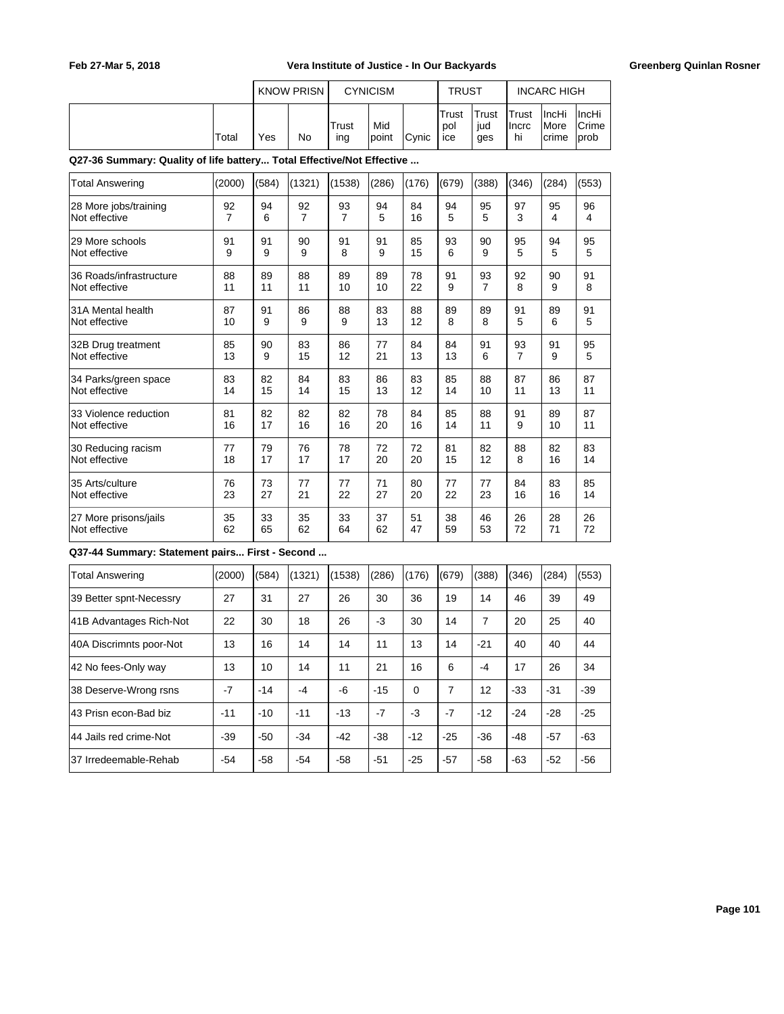|       |     | <b>KNOW PRISN</b> | <b>CYNICISM</b> |               |               | <b>TRUST</b>        |                     | <b>INCARC HIGH</b>            |                                         |                            |
|-------|-----|-------------------|-----------------|---------------|---------------|---------------------|---------------------|-------------------------------|-----------------------------------------|----------------------------|
| Total | Yes | No                | Trust<br>ing    | Mid<br>lpoint | <b>C</b> vnic | Trust<br>pol<br>ice | Trust<br>iud<br>ges | <b>ITrust</b><br>Ilncrc<br>hi | <b>IncHi</b><br><i>I</i> More<br>Icrime | ∣IncHi<br>lCrime∶<br>Iprob |

**Q27-36 Summary: Quality of life battery... Total Effective/Not Effective ...**

| <b>Total Answering</b>                         | (2000)         | (584) | (1321)         | (1538) | (286) | (176) | (679) | (388)          | (346) | (284) | (553) |
|------------------------------------------------|----------------|-------|----------------|--------|-------|-------|-------|----------------|-------|-------|-------|
| 28 More jobs/training                          | 92             | 94    | 92             | 93     | 94    | 84    | 94    | 95             | 97    | 95    | 96    |
| Not effective                                  | $\overline{7}$ | 6     | $\overline{7}$ | 7      | 5     | 16    | 5     | 5              | 3     | 4     | 4     |
| 29 More schools                                | 91             | 91    | 90             | 91     | 91    | 85    | 93    | 90             | 95    | 94    | 95    |
| Not effective                                  | 9              | 9     | 9              | 8      | 9     | 15    | 6     | 9              | 5     | 5     | 5     |
| 36 Roads/infrastructure                        | 88             | 89    | 88             | 89     | 89    | 78    | 91    | 93             | 92    | 90    | 91    |
| Not effective                                  | 11             | 11    | 11             | 10     | 10    | 22    | 9     | $\overline{7}$ | 8     | 9     | 8     |
| 31A Mental health                              | 87             | 91    | 86             | 88     | 83    | 88    | 89    | 89             | 91    | 89    | 91    |
| Not effective                                  | 10             | 9     | 9              | 9      | 13    | 12    | 8     | 8              | 5     | 6     | 5     |
| 32B Drug treatment                             | 85             | 90    | 83             | 86     | 77    | 84    | 84    | 91             | 93    | 91    | 95    |
| Not effective                                  | 13             | 9     | 15             | 12     | 21    | 13    | 13    | 6              | 7     | 9     | 5     |
| 34 Parks/green space                           | 83             | 82    | 84             | 83     | 86    | 83    | 85    | 88             | 87    | 86    | 87    |
| Not effective                                  | 14             | 15    | 14             | 15     | 13    | 12    | 14    | 10             | 11    | 13    | 11    |
| 33 Violence reduction                          | 81             | 82    | 82             | 82     | 78    | 84    | 85    | 88             | 91    | 89    | 87    |
| Not effective                                  | 16             | 17    | 16             | 16     | 20    | 16    | 14    | 11             | 9     | 10    | 11    |
| 30 Reducing racism                             | 77             | 79    | 76             | 78     | 72    | 72    | 81    | 82             | 88    | 82    | 83    |
| Not effective                                  | 18             | 17    | 17             | 17     | 20    | 20    | 15    | 12             | 8     | 16    | 14    |
| 35 Arts/culture                                | 76             | 73    | 77             | 77     | 71    | 80    | 77    | 77             | 84    | 83    | 85    |
| Not effective                                  | 23             | 27    | 21             | 22     | 27    | 20    | 22    | 23             | 16    | 16    | 14    |
| 27 More prisons/jails                          | 35             | 33    | 35             | 33     | 37    | 51    | 38    | 46             | 26    | 28    | 26    |
| Not effective                                  | 62             | 65    | 62             | 64     | 62    | 47    | 59    | 53             | 72    | 71    | 72    |
| Q37-44 Summary: Statement pairs First - Second |                |       |                |        |       |       |       |                |       |       |       |
| <b>Total Answering</b>                         | (2000)         | (584) | (1321)         | (1538) | (286) | (176) | (679) | (388)          | (346) | (284) | (553) |
| 39 Better spnt-Necessry                        | 27             | 31    | 27             | 26     | 30    | 36    | 19    | 14             | 46    | 39    | 49    |
| 41B Advantages Rich-Not                        | 22             | 30    | 18             | 26     | $-3$  | 30    | 14    | $\overline{7}$ | 20    | 25    | 40    |
| 40A Discrimnts poor-Not                        | 13             | 16    | 14             | 14     | 11    | 13    | 14    | $-21$          | 40    | 40    | 44    |

 $\vert$ 42 No fees-Only way  $\vert$  13  $\vert$  10  $\vert$  14  $\vert$  11  $\vert$  21  $\vert$  16  $\vert$  6  $\vert$  -4  $\vert$  17  $\vert$  26  $\vert$  34 38 Deserve-Wrong rsns | -7 | -14 | -4 | -6 | -15 | 0 | 7 | 12 | -33 | -31 | -39 43 Prisn econ-Bad biz | -11 | -10 | -11 | -13 | -7 | -3 | -7 | -12 | -24 | -28 | -25 44 Jails red crime-Not -39 -50 -34 -42 -38 -12 -25 -36 -48 -57 -63 37 Irredeemable-Rehab | -54 | -58 | -54 | -58 | -51 | -25 | -57 | -58 | -63 | -52 | -56

**Page 101**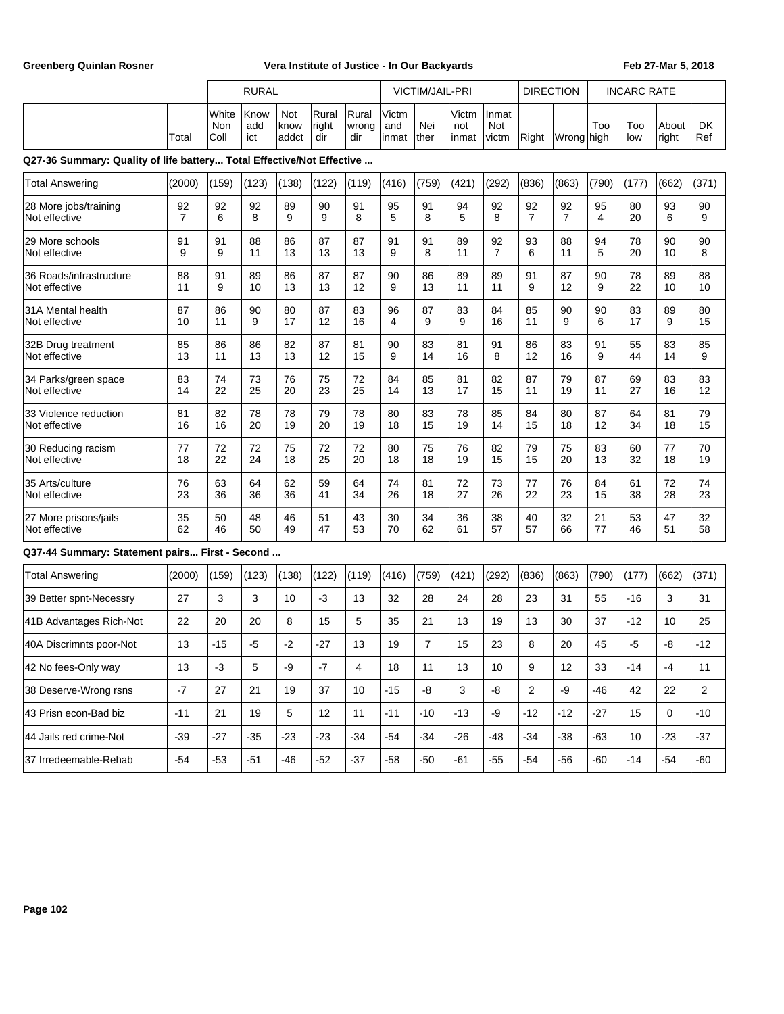|                                                                       |                      |                      | <b>RURAL</b>       |                      |                       |                       | <b>VICTIM/JAIL-PRI</b> |                |                       |                       | <b>DIRECTION</b>     |                      | <b>INCARC RATE</b> |            |                |                |
|-----------------------------------------------------------------------|----------------------|----------------------|--------------------|----------------------|-----------------------|-----------------------|------------------------|----------------|-----------------------|-----------------------|----------------------|----------------------|--------------------|------------|----------------|----------------|
|                                                                       | Total                | White<br>Non<br>Coll | Know<br>add<br>ict | Not<br>know<br>addct | Rural<br>right<br>dir | Rural<br>wrong<br>dir | Victm<br>and<br>linmat | Nei<br>lther   | Victm<br>not<br>inmat | Inmat<br>Not<br>victm | Right                | Wrong high           | Too                | Too<br>low | About<br>right | DK<br>Ref      |
| Q27-36 Summary: Quality of life battery Total Effective/Not Effective |                      |                      |                    |                      |                       |                       |                        |                |                       |                       |                      |                      |                    |            |                |                |
| <b>Total Answering</b>                                                | (2000)               | (159)                | (123)              | (138)                | (122)                 | (119)                 | (416)                  | (759)          | (421)                 | (292)                 | (836)                | (863)                | (790)              | (177)      | (662)          | (371)          |
| 28 More jobs/training<br>Not effective                                | 92<br>$\overline{7}$ | 92<br>6              | 92<br>8            | 89<br>9              | 90<br>9               | 91<br>8               | 95<br>5                | 91<br>8        | 94<br>5               | 92<br>8               | 92<br>$\overline{7}$ | 92<br>$\overline{7}$ | 95<br>4            | 80<br>20   | 93<br>6        | 90<br>9        |
| 29 More schools<br>Not effective                                      | 91<br>9              | 91<br>9              | 88<br>11           | 86<br>13             | 87<br>13              | 87<br>13              | 91<br>9                | 91<br>8        | 89<br>11              | 92<br>$\overline{7}$  | 93<br>6              | 88<br>11             | 94<br>5            | 78<br>20   | 90<br>10       | 90<br>8        |
| 36 Roads/infrastructure<br>Not effective                              | 88<br>11             | 91<br>9              | 89<br>10           | 86<br>13             | 87<br>13              | 87<br>12              | 90<br>9                | 86<br>13       | 89<br>11              | 89<br>11              | 91<br>9              | 87<br>12             | 90<br>9            | 78<br>22   | 89<br>10       | 88<br>10       |
| 31A Mental health<br>Not effective                                    | 87<br>10             | 86<br>11             | 90<br>9            | 80<br>17             | 87<br>12              | 83<br>16              | 96<br>4                | 87<br>9        | 83<br>9               | 84<br>16              | 85<br>11             | 90<br>9              | 90<br>6            | 83<br>17   | 89<br>9        | 80<br>15       |
| 32B Drug treatment<br>Not effective                                   | 85<br>13             | 86<br>11             | 86<br>13           | 82<br>13             | 87<br>12              | 81<br>15              | 90<br>9                | 83<br>14       | 81<br>16              | 91<br>8               | 86<br>12             | 83<br>16             | 91<br>9            | 55<br>44   | 83<br>14       | 85<br>9        |
| 34 Parks/green space<br>Not effective                                 | 83<br>14             | 74<br>22             | 73<br>25           | 76<br>20             | 75<br>23              | 72<br>25              | 84<br>14               | 85<br>13       | 81<br>17              | 82<br>15              | 87<br>11             | 79<br>19             | 87<br>11           | 69<br>27   | 83<br>16       | 83<br>12       |
| 33 Violence reduction<br>Not effective                                | 81<br>16             | 82<br>16             | 78<br>20           | 78<br>19             | 79<br>20              | 78<br>19              | 80<br>18               | 83<br>15       | 78<br>19              | 85<br>14              | 84<br>15             | 80<br>18             | 87<br>12           | 64<br>34   | 81<br>18       | 79<br>15       |
| 30 Reducing racism<br>Not effective                                   | 77<br>18             | 72<br>22             | 72<br>24           | 75<br>18             | 72<br>25              | 72<br>20              | 80<br>18               | 75<br>18       | 76<br>19              | 82<br>15              | 79<br>15             | 75<br>20             | 83<br>13           | 60<br>32   | 77<br>18       | 70<br>19       |
| 35 Arts/culture<br>Not effective                                      | 76<br>23             | 63<br>36             | 64<br>36           | 62<br>36             | 59<br>41              | 64<br>34              | 74<br>26               | 81<br>18       | 72<br>27              | 73<br>26              | 77<br>22             | 76<br>23             | 84<br>15           | 61<br>38   | 72<br>28       | 74<br>23       |
| 27 More prisons/jails<br>Not effective                                | 35<br>62             | 50<br>46             | 48<br>50           | 46<br>49             | 51<br>47              | 43<br>53              | 30<br>70               | 34<br>62       | 36<br>61              | 38<br>57              | 40<br>57             | 32<br>66             | 21<br>77           | 53<br>46   | 47<br>51       | 32<br>58       |
| Q37-44 Summary: Statement pairs First - Second                        |                      |                      |                    |                      |                       |                       |                        |                |                       |                       |                      |                      |                    |            |                |                |
| <b>Total Answering</b>                                                | (2000)               | (159)                | (123)              | (138)                | (122)                 | (119)                 | (416)                  | (759)          | (421)                 | (292)                 | (836)                | (863)                | (790)              | (177)      | (662)          | (371)          |
| 39 Better spnt-Necessry                                               | 27                   | 3                    | 3                  | 10                   | $-3$                  | 13                    | 32                     | 28             | 24                    | 28                    | 23                   | 31                   | 55                 | $-16$      | 3              | 31             |
| 41B Advantages Rich-Not                                               | 22                   | 20                   | 20                 | 8                    | 15                    | 5                     | 35                     | 21             | 13                    | 19                    | 13                   | 30                   | 37                 | -12        | 10             | 25             |
| 40A Discrimnts poor-Not                                               | 13                   | -15                  | $-5$               | $-2$                 | -27                   | 13                    | 19                     | $\overline{7}$ | 15                    | 23                    | 8                    | 20                   | 45                 | $-5$       | -8             | $-12$          |
| 42 No fees-Only way                                                   | 13                   | $-3$                 | 5                  | -9                   | $-7$                  | 4                     | 18                     | 11             | 13                    | 10                    | 9                    | 12                   | 33                 | $-14$      | $-4$           | 11             |
| 38 Deserve-Wrong rsns                                                 | $-7$                 | 27                   | 21                 | 19                   | 37                    | 10                    | $-15$                  | -8             | 3                     | -8                    | $\overline{2}$       | -9                   | $-46$              | 42         | 22             | $\overline{2}$ |
| 43 Prisn econ-Bad biz                                                 | $-11$                | 21                   | 19                 | 5                    | 12                    | 11                    | $-11$                  | $-10$          | $-13$                 | -9                    | $-12$                | $-12$                | $-27$              | 15         | 0              | $-10$          |
| 44 Jails red crime-Not                                                | $-39$                | $-27$                | $-35$              | $-23$                | $-23$                 | $-34$                 | $-54$                  | $-34$          | $-26$                 | $-48$                 | $-34$                | $-38$                | $-63$              | 10         | $-23$          | $-37$          |
| 37 Irredeemable-Rehab                                                 | $-54$                | $-53$                | $-51$              | $-46$                | $-52$                 | $-37$                 | $-58$                  | $-50$          | $-61$                 | $-55$                 | $-54$                | $-56$                | $-60$              | $-14$      | $-54$          | $-60$          |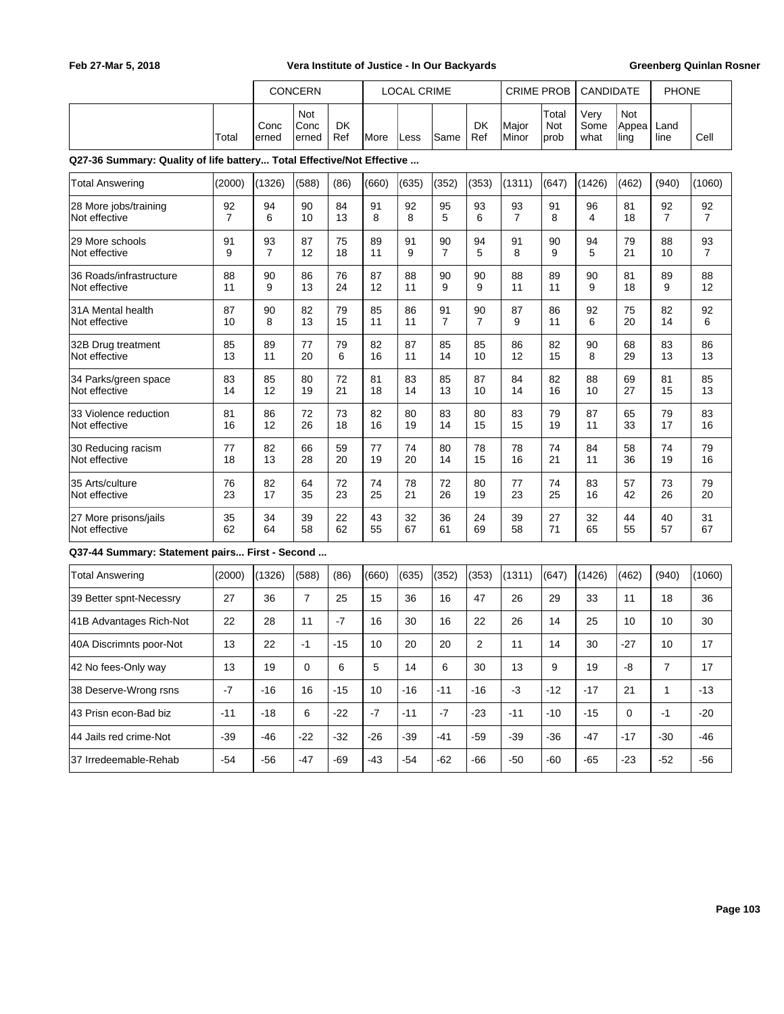|                                                                       |                      |                      | CONCERN              |                  | <b>LOCAL CRIME</b> |          | <b>CRIME PROB</b>    |                  | <b>CANDIDATE</b>     |                      | <b>PHONE</b>         |                             |                      |                      |
|-----------------------------------------------------------------------|----------------------|----------------------|----------------------|------------------|--------------------|----------|----------------------|------------------|----------------------|----------------------|----------------------|-----------------------------|----------------------|----------------------|
|                                                                       | Total                | Conc<br>erned        | Not<br>Conc<br>erned | <b>DK</b><br>Ref | <b>More</b>        | Less     | Same                 | <b>DK</b><br>Ref | Major<br>Minor       | Total<br>Not<br>prob | Very<br>Some<br>what | <b>Not</b><br>Appea<br>ling | Land<br>line         | Cell                 |
| Q27-36 Summary: Quality of life battery Total Effective/Not Effective |                      |                      |                      |                  |                    |          |                      |                  |                      |                      |                      |                             |                      |                      |
| <b>Total Answering</b>                                                | (2000)               | (1326)               | (588)                | (86)             | (660)              | (635)    | (352)                | (353)            | (1311)               | (647)                | (1426)               | (462)                       | (940)                | (1060)               |
| 28 More jobs/training<br>Not effective                                | 92<br>$\overline{7}$ | 94<br>6              | 90<br>10             | 84<br>13         | 91<br>8            | 92<br>8  | 95<br>5              | 93<br>6          | 93<br>$\overline{7}$ | 91<br>8              | 96<br>4              | 81<br>18                    | 92<br>$\overline{7}$ | 92<br>$\overline{7}$ |
| 29 More schools<br>Not effective                                      | 91<br>9              | 93<br>$\overline{7}$ | 87<br>12             | 75<br>18         | 89<br>11           | 91<br>9  | 90<br>$\overline{7}$ | 94<br>5          | 91<br>8              | 90<br>9              | 94<br>5              | 79<br>21                    | 88<br>10             | 93<br>$\overline{7}$ |
| 36 Roads/infrastructure<br>Not effective                              | 88<br>11             | 90<br>9              | 86<br>13             | 76<br>24         | 87<br>12           | 88<br>11 | 90<br>9              | 90<br>9          | 88<br>11             | 89<br>11             | 90<br>9              | 81<br>18                    | 89<br>9              | 88<br>12             |
| 31A Mental health<br>Not effective                                    | 87<br>10             | 90<br>8              | 82<br>13             | 79<br>15         | 85<br>11           | 86<br>11 | 91<br>$\overline{7}$ | 90<br>7          | 87<br>9              | 86<br>11             | 92<br>6              | 75<br>20                    | 82<br>14             | 92<br>6              |
| 32B Drug treatment<br>Not effective                                   | 85<br>13             | 89<br>11             | 77<br>20             | 79<br>6          | 82<br>16           | 87<br>11 | 85<br>14             | 85<br>10         | 86<br>12             | 82<br>15             | 90<br>8              | 68<br>29                    | 83<br>13             | 86<br>13             |
| 34 Parks/green space<br>Not effective                                 | 83<br>14             | 85<br>12             | 80<br>19             | 72<br>21         | 81<br>18           | 83<br>14 | 85<br>13             | 87<br>10         | 84<br>14             | 82<br>16             | 88<br>10             | 69<br>27                    | 81<br>15             | 85<br>13             |
| 33 Violence reduction<br>Not effective                                | 81<br>16             | 86<br>12             | 72<br>26             | 73<br>18         | 82<br>16           | 80<br>19 | 83<br>14             | 80<br>15         | 83<br>15             | 79<br>19             | 87<br>11             | 65<br>33                    | 79<br>17             | 83<br>16             |
| 30 Reducing racism<br>Not effective                                   | 77<br>18             | 82<br>13             | 66<br>28             | 59<br>20         | 77<br>19           | 74<br>20 | 80<br>14             | 78<br>15         | 78<br>16             | 74<br>21             | 84<br>11             | 58<br>36                    | 74<br>19             | 79<br>16             |
| 35 Arts/culture<br>Not effective                                      | 76<br>23             | 82<br>17             | 64<br>35             | 72<br>23         | 74<br>25           | 78<br>21 | 72<br>26             | 80<br>19         | 77<br>23             | 74<br>25             | 83<br>16             | 57<br>42                    | 73<br>26             | 79<br>20             |
| 27 More prisons/jails<br>Not effective                                | 35<br>62             | 34<br>64             | 39<br>58             | 22<br>62         | 43<br>55           | 32<br>67 | 36<br>61             | 24<br>69         | 39<br>58             | 27<br>71             | 32<br>65             | 44<br>55                    | 40<br>57             | 31<br>67             |
| Q37-44 Summary: Statement pairs First - Second                        |                      |                      |                      |                  |                    |          |                      |                  |                      |                      |                      |                             |                      |                      |
| <b>Total Answering</b>                                                | (2000)               | (1326)               | (588)                | (86)             | (660)              | (635)    | (352)                | (353)            | (1311)               | (647)                | (1426)               | (462)                       | (940)                | (1060)               |
| 39 Better spnt-Necessry                                               | 27                   | 36                   | $\overline{7}$       | 25               | 15                 | 36       | 16                   | 47               | 26                   | 29                   | 33                   | 11                          | 18                   | 36                   |
| 41B Advantages Rich-Not                                               | 22                   | 28                   | 11                   | $-7$             | 16                 | 30       | 16                   | 22               | 26                   | 14                   | 25                   | 10                          | 10                   | 30                   |
| 40A Discrimnts poor-Not                                               | 13                   | 22                   | $-1$                 | $-15$            | 10                 | 20       | 20                   | 2                | 11                   | 14                   | 30                   | $-27$                       | 10                   | 17                   |
| 42 No fees-Only way                                                   | 13                   | 19                   | 0                    | 6                | 5                  | 14       | 6                    | 30               | 13                   | 9                    | 19                   | -8                          | $\overline{7}$       | 17                   |
| 38 Deserve-Wrong rsns                                                 | $-7$                 | $-16$                | 16                   | $-15$            | 10                 | -16      | $-11$                | -16              | $-3$                 | $-12$                | -17                  | 21                          | $\mathbf{1}$         | $-13$                |
| 43 Prisn econ-Bad biz                                                 | $-11$                | $-18$                | 6                    | $-22$            | $-7$               | $-11$    | $-7$                 | $-23$            | $-11$                | $-10$                | -15                  | $\mathbf 0$                 | $-1$                 | $-20$                |
| 44 Jails red crime-Not                                                | $-39$                | -46                  | $-22$                | -32              | -26                | $-39$    | $-41$                | -59              | $-39$                | $-36$                | -47                  | -17                         | $-30$                | -46                  |
| 37 Irredeemable-Rehab                                                 | $-54$                | $-56$                | $-47$                | -69              | $-43$              | $-54$    | $-62$                | -66              | $-50$                | $-60$                | $-65$                | $-23$                       | $-52$                | $-56$                |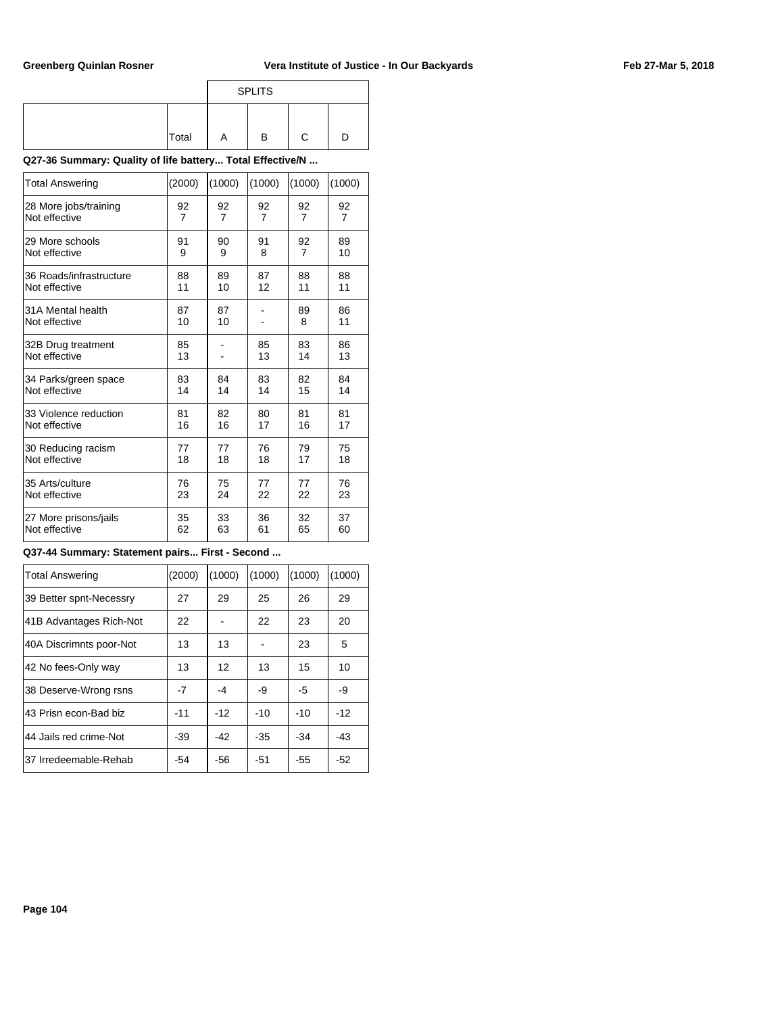|       |   | <b>SPLITS</b> |   |  |
|-------|---|---------------|---|--|
|       |   |               |   |  |
| Total | Α | В             | C |  |

**Q27-36 Summary: Quality of life battery... Total Effective/N ...**

| <b>Total Answering</b>  | (2000) | (1000)         | (1000)         | (1000)         | (1000)         |
|-------------------------|--------|----------------|----------------|----------------|----------------|
| 28 More jobs/training   | 92     | 92             | 92             | 92             | 92             |
| Not effective           | 7      | $\overline{7}$ | $\overline{7}$ | $\overline{7}$ | $\overline{7}$ |
| 29 More schools         | 91     | 90             | 91             | 92             | 89             |
| Not effective           | 9      | 9              | 8              | 7              | 10             |
| 36 Roads/infrastructure | 88     | 89             | 87             | 88             | 88             |
| Not effective           | 11     | 10             | 12             | 11             | 11             |
| 31A Mental health       | 87     | 87             |                | 89             | 86             |
| Not effective           | 10     | 10             |                | 8              | 11             |
| 32B Drug treatment      | 85     |                | 85             | 83             | 86             |
| Not effective           | 13     |                | 13             | 14             | 13             |
| 34 Parks/green space    | 83     | 84             | 83             | 82             | 84             |
| Not effective           | 14     | 14             | 14             | 15             | 14             |
| 33 Violence reduction   | 81     | 82             | 80             | 81             | 81             |
| Not effective           | 16     | 16             | 17             | 16             | 17             |
| 30 Reducing racism      | 77     | 77             | 76             | 79             | 75             |
| Not effective           | 18     | 18             | 18             | 17             | 18             |
| 35 Arts/culture         | 76     | 75             | 77             | 77             | 76             |
| Not effective           | 23     | 24             | 22             | 22             | 23             |
| 27 More prisons/jails   | 35     | 33             | 36             | 32             | 37             |
| Not effective           | 62     | 63             | 61             | 65             | 60             |

### **Q37-44 Summary: Statement pairs... First - Second ...**

| <b>Total Answering</b>  | (2000) | (1000) | (1000) | (1000) | (1000) |
|-------------------------|--------|--------|--------|--------|--------|
| 39 Better spnt-Necessry | 27     | 29     | 25     | 26     | 29     |
| 41B Advantages Rich-Not | 22     |        | 22     | 23     | 20     |
| 40A Discrimnts poor-Not | 13     | 13     |        | 23     | 5      |
| 42 No fees-Only way     | 13     | 12     | 13     | 15     | 10     |
| 38 Deserve-Wrong rsns   | -7     | -4     | -9     | -5     | -9     |
| 43 Prisn econ-Bad biz   | $-11$  | $-12$  | $-10$  | $-10$  | $-12$  |
| 44 Jails red crime-Not  | -39    | $-42$  | -35    | $-34$  | $-43$  |
| 37 Irredeemable-Rehab   | -54    | -56    | -51    | -55    | $-52$  |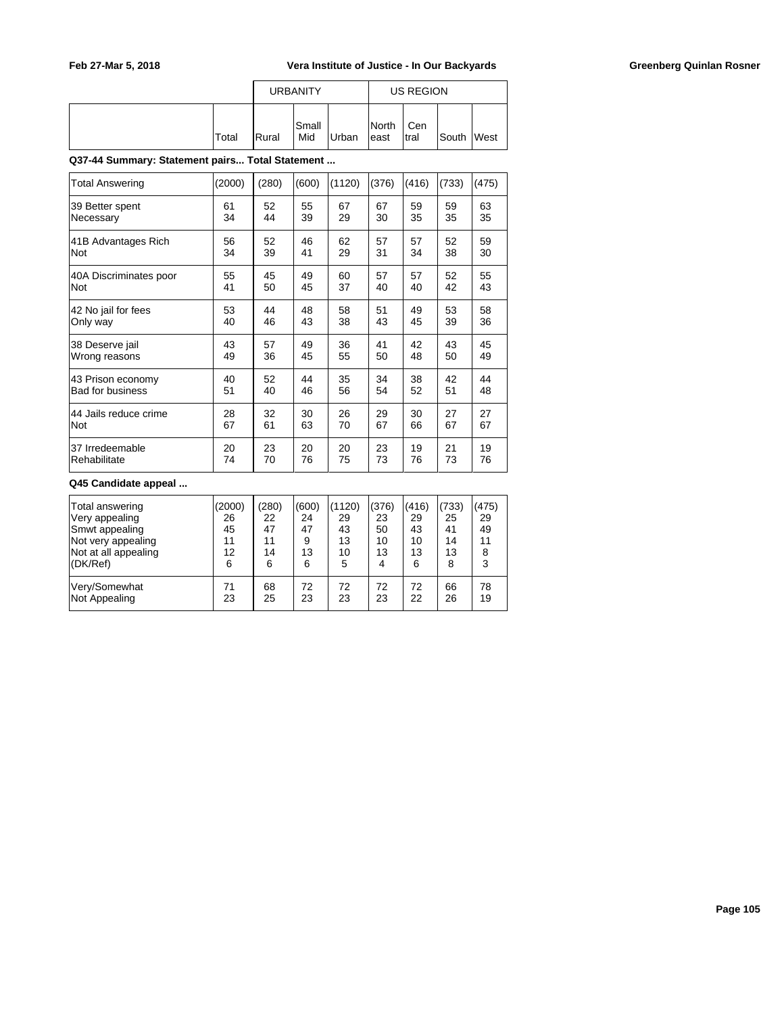|       |                | <b>URBANITY</b> |       | US REGION              |              |            |  |
|-------|----------------|-----------------|-------|------------------------|--------------|------------|--|
| Total | <b>I</b> Rural | Small<br>Mid    | Urban | <b>INorth</b><br>least | Cen<br>Itral | South West |  |

**Q37-44 Summary: Statement pairs... Total Statement ...**

| Total Answering         | (2000) | (280) | (600) | (1120) | (376) | (416) | (733) | (475) |
|-------------------------|--------|-------|-------|--------|-------|-------|-------|-------|
| 39 Better spent         | 61     | 52    | 55    | 67     | 67    | 59    | 59    | 63    |
| Necessary               | 34     | 44    | 39    | 29     | 30    | 35    | 35    | 35    |
| 41B Advantages Rich     | 56     | 52    | 46    | 62     | 57    | 57    | 52    | 59    |
| Not                     | 34     | 39    | 41    | 29     | 31    | 34    | 38    | 30    |
| 40A Discriminates poor  | 55     | 45    | 49    | 60     | 57    | 57    | 52    | 55    |
| Not                     | 41     | 50    | 45    | 37     | 40    | 40    | 42    | 43    |
| 42 No jail for fees     | 53     | 44    | 48    | 58     | 51    | 49    | 53    | 58    |
| Only way                | 40     | 46    | 43    | 38     | 43    | 45    | 39    | 36    |
| 38 Deserve jail         | 43     | 57    | 49    | 36     | 41    | 42    | 43    | 45    |
| Wrong reasons           | 49     | 36    | 45    | 55     | 50    | 48    | 50    | 49    |
| 43 Prison economy       | 40     | 52    | 44    | 35     | 34    | 38    | 42    | 44    |
| <b>Bad for business</b> | 51     | 40    | 46    | 56     | 54    | 52    | 51    | 48    |
| 44 Jails reduce crime   | 28     | 32    | 30    | 26     | 29    | 30    | 27    | 27    |
| Not                     | 67     | 61    | 63    | 70     | 67    | 66    | 67    | 67    |
| 37 Irredeemable         | 20     | 23    | 20    | 20     | 23    | 19    | 21    | 19    |
| Rehabilitate            | 74     | 70    | 76    | 75     | 73    | 76    | 73    | 76    |

#### **Q45 Candidate appeal ...**

| Total answering<br>Very appealing<br>Smwt appealing<br>Not very appealing<br>Not at all appealing<br>(DK/Ref) | (2000)<br>26<br>45<br>11<br>12<br>6 | (280)<br>22<br>47<br>11<br>14<br>6 | (600)<br>24<br>47<br>9<br>13<br>6 | (1120)<br>29<br>43<br>13<br>10<br>5 | (376)<br>23<br>50<br>10<br>13<br>4 | (416)<br>29<br>43<br>10<br>13<br>6 | (733)<br>25<br>41<br>14<br>13<br>8 | (475)<br>29<br>49<br>11 |
|---------------------------------------------------------------------------------------------------------------|-------------------------------------|------------------------------------|-----------------------------------|-------------------------------------|------------------------------------|------------------------------------|------------------------------------|-------------------------|
| Very/Somewhat                                                                                                 | 71                                  | 68                                 | 72                                | 72                                  | 72                                 | 72                                 | 66                                 | 78                      |
| Not Appealing                                                                                                 | 23                                  | 25                                 | 23                                | 23                                  | 23                                 | 22                                 | 26                                 | 19                      |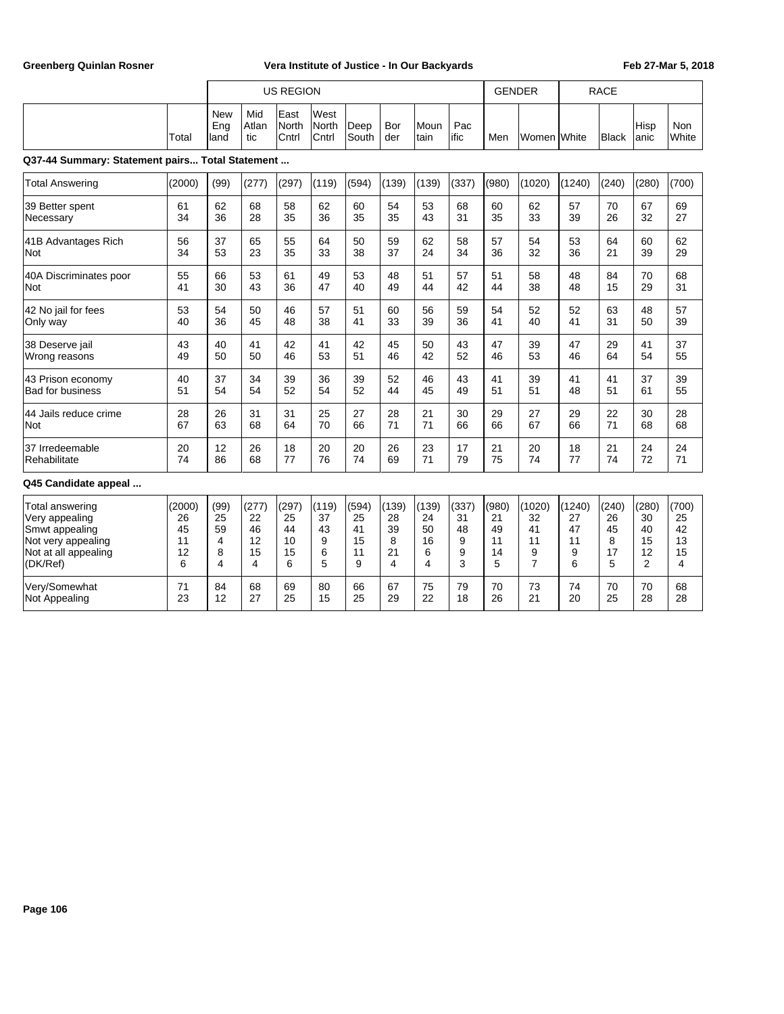|                                                 |        |                          |                     | <b>US REGION</b>       |                        |               |            |              |             | <b>GENDER</b> |                |        | <b>RACE</b>  |                |                     |
|-------------------------------------------------|--------|--------------------------|---------------------|------------------------|------------------------|---------------|------------|--------------|-------------|---------------|----------------|--------|--------------|----------------|---------------------|
|                                                 | Total  | <b>New</b><br>Eng<br>and | Mid<br>Atlan<br>tic | East<br>North<br>Cntrl | West<br>North<br>Cntrl | Deep<br>South | Bor<br>der | Moun<br>tain | Pac<br>ific | Men           | Women IWhite   |        | <b>Black</b> | Hisp<br>anic   | <b>Non</b><br>White |
| Q37-44 Summary: Statement pairs Total Statement |        |                          |                     |                        |                        |               |            |              |             |               |                |        |              |                |                     |
| <b>Total Answering</b>                          | (2000) | (99)                     | (277)               | (297)                  | (119)                  | (594)         | (139)      | (139)        | (337)       | (980)         | (1020)         | (1240) | (240)        | (280)          | (700)               |
| 39 Better spent                                 | 61     | 62                       | 68                  | 58                     | 62                     | 60            | 54         | 53           | 68          | 60            | 62             | 57     | 70           | 67             | 69                  |
| Necessary                                       | 34     | 36                       | 28                  | 35                     | 36                     | 35            | 35         | 43           | 31          | 35            | 33             | 39     | 26           | 32             | 27                  |
| 41B Advantages Rich                             | 56     | 37                       | 65                  | 55                     | 64                     | 50            | 59         | 62           | 58          | 57            | 54             | 53     | 64           | 60             | 62                  |
| Not                                             | 34     | 53                       | 23                  | 35                     | 33                     | 38            | 37         | 24           | 34          | 36            | 32             | 36     | 21           | 39             | 29                  |
| 40A Discriminates poor                          | 55     | 66                       | 53                  | 61                     | 49                     | 53            | 48         | 51           | 57          | 51            | 58             | 48     | 84           | 70             | 68                  |
| <b>Not</b>                                      | 41     | 30                       | 43                  | 36                     | 47                     | 40            | 49         | 44           | 42          | 44            | 38             | 48     | 15           | 29             | 31                  |
| 42 No jail for fees                             | 53     | 54                       | 50                  | 46                     | 57                     | 51            | 60         | 56           | 59          | 54            | 52             | 52     | 63           | 48             | 57                  |
| Only way                                        | 40     | 36                       | 45                  | 48                     | 38                     | 41            | 33         | 39           | 36          | 41            | 40             | 41     | 31           | 50             | 39                  |
| 38 Deserve jail                                 | 43     | 40                       | 41                  | 42                     | 41                     | 42            | 45         | 50           | 43          | 47            | 39             | 47     | 29           | 41             | 37                  |
| Wrong reasons                                   | 49     | 50                       | 50                  | 46                     | 53                     | 51            | 46         | 42           | 52          | 46            | 53             | 46     | 64           | 54             | 55                  |
| 43 Prison economy                               | 40     | 37                       | 34                  | 39                     | 36                     | 39            | 52         | 46           | 43          | 41            | 39             | 41     | 41           | 37             | 39                  |
| <b>Bad for business</b>                         | 51     | 54                       | 54                  | 52                     | 54                     | 52            | 44         | 45           | 49          | 51            | 51             | 48     | 51           | 61             | 55                  |
| 44 Jails reduce crime                           | 28     | 26                       | 31                  | 31                     | 25                     | 27            | 28         | 21           | 30          | 29            | 27             | 29     | 22           | 30             | 28                  |
| Not                                             | 67     | 63                       | 68                  | 64                     | 70                     | 66            | 71         | 71           | 66          | 66            | 67             | 66     | 71           | 68             | 68                  |
| 37 Irredeemable                                 | 20     | 12                       | 26                  | 18                     | 20                     | 20            | 26         | 23           | 17          | 21            | 20             | 18     | 21           | 24             | 24                  |
| Rehabilitate                                    | 74     | 86                       | 68                  | 77                     | 76                     | 74            | 69         | 71           | 79          | 75            | 74             | 77     | 74           | 72             | 71                  |
| Q45 Candidate appeal                            |        |                          |                     |                        |                        |               |            |              |             |               |                |        |              |                |                     |
| Total answering                                 | (2000) | (99)                     | (277)               | (297)                  | (119)                  | (594)         | (139)      | (139)        | (337)       | (980)         | (1020)         | (1240) | (240)        | (280)          | (700)               |
| Very appealing                                  | 26     | 25                       | 22                  | 25                     | 37                     | 25            | 28         | 24           | 31          | 21            | 32             | 27     | 26           | 30             | 25                  |
| Smwt appealing                                  | 45     | 59                       | 46                  | 44                     | 43                     | 41            | 39         | 50           | 48          | 49            | 41             | 47     | 45           | 40             | 42                  |
| Not very appealing                              | 11     | 4                        | 12                  | 10                     | 9                      | 15            | 8          | 16           | 9           | 11            | 11             | 11     | 8            | 15             | 13                  |
| Not at all appealing                            | 12     | 8                        | 15                  | 15                     | 6                      | 11            | 21         | 6            | 9           | 14            | 9              | 9      | 17           | 12             | 15                  |
| (DK/Ref)                                        | 6      | 4                        | 4                   | 6                      | 5                      | 9             | 4          | 4            | 3           | 5             | $\overline{7}$ | 6      | 5            | $\overline{2}$ | 4                   |
| Verv/Somewhat                                   | 71     | 84                       | 68                  | 69                     | 80                     | 66            | 67         | 75           | 79          | 70            | 73             | 74     | 70           | 70             | 68                  |
| <b>Not Appealing</b>                            | 23     | 12                       | 27                  | 25                     | 15                     | 25            | 29         | 22           | 18          | 26            | 21             | 20     | 25           | 28             | 28                  |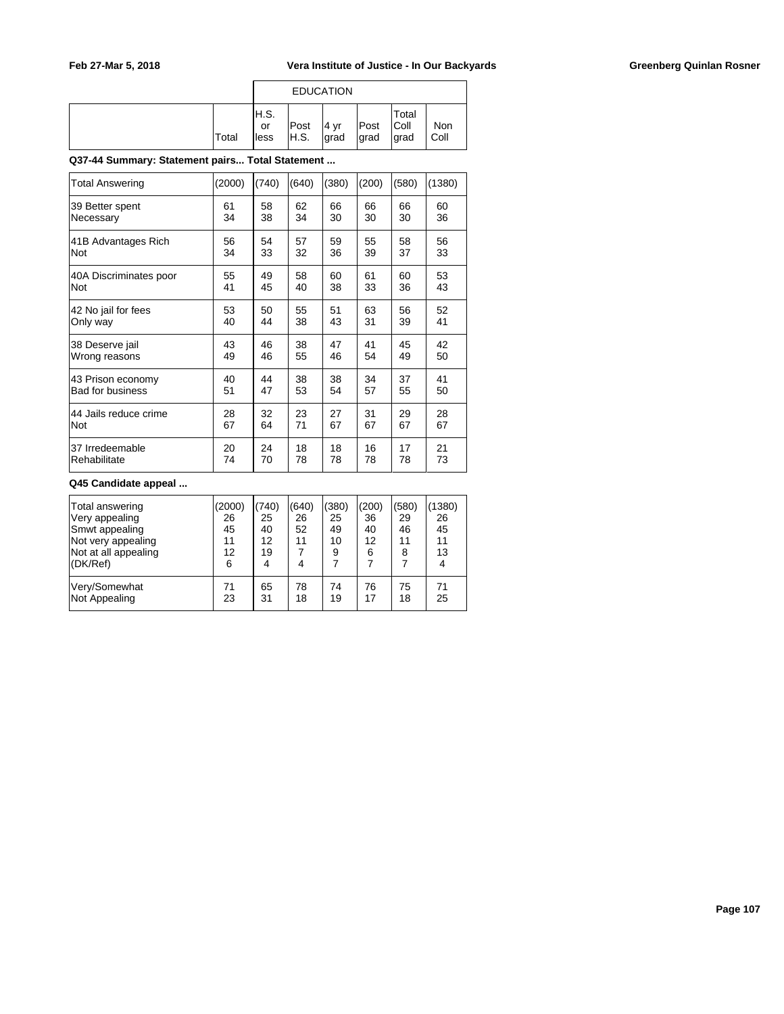| <b>Total</b> | H.S.<br>or<br>lless | Post<br>IH.S. | ∣4 vr<br>Igrad | Post<br>∣grad | Total<br> Coll<br>grad | Non<br>Coll |
|--------------|---------------------|---------------|----------------|---------------|------------------------|-------------|

### **Q37-44 Summary: Statement pairs... Total Statement ...**

| Total Answering         | (2000) | (740) | (640) | (380) | (200) | (580) | (1380) |
|-------------------------|--------|-------|-------|-------|-------|-------|--------|
| 39 Better spent         | 61     | 58    | 62    | 66    | 66    | 66    | 60     |
| Necessary               | 34     | 38    | 34    | 30    | 30    | 30    | 36     |
| 41B Advantages Rich     | 56     | 54    | 57    | 59    | 55    | 58    | 56     |
| <b>Not</b>              | 34     | 33    | 32    | 36    | 39    | 37    | 33     |
| 40A Discriminates poor  | 55     | 49    | 58    | 60    | 61    | 60    | 53     |
| <b>Not</b>              | 41     | 45    | 40    | 38    | 33    | 36    | 43     |
| 42 No jail for fees     | 53     | 50    | 55    | 51    | 63    | 56    | 52     |
| Only way                | 40     | 44    | 38    | 43    | 31    | 39    | 41     |
| 38 Deserve jail         | 43     | 46    | 38    | 47    | 41    | 45    | 42     |
| Wrong reasons           | 49     | 46    | 55    | 46    | 54    | 49    | 50     |
| 43 Prison economy       | 40     | 44    | 38    | 38    | 34    | 37    | 41     |
| <b>Bad for business</b> | 51     | 47    | 53    | 54    | 57    | 55    | 50     |
| 44 Jails reduce crime   | 28     | 32    | 23    | 27    | 31    | 29    | 28     |
| <b>Not</b>              | 67     | 64    | 71    | 67    | 67    | 67    | 67     |
| 37 Irredeemable         | 20     | 24    | 18    | 18    | 16    | 17    | 21     |
| Rehabilitate            | 74     | 70    | 78    | 78    | 78    | 78    | 73     |

#### **Q45 Candidate appeal ...**

| Total answering<br>Very appealing<br>Smwt appealing<br>Not very appealing<br>Not at all appealing<br>(DK/Ref) | (2000)<br>26<br>45<br>11<br>12<br>6 | (740)<br>25<br>40<br>$12 \overline{ }$<br>19<br>4 | (640)<br>26<br>52<br>11<br>4 | (380)<br>25<br>49<br>10<br>9 | (200)<br>36<br>40<br>12<br>6 | (580)<br>29<br>46<br>11<br>8 | (1380)<br>26<br>45<br>11<br>13<br>4 |
|---------------------------------------------------------------------------------------------------------------|-------------------------------------|---------------------------------------------------|------------------------------|------------------------------|------------------------------|------------------------------|-------------------------------------|
| Very/Somewhat                                                                                                 | 71                                  | 65                                                | 78                           | 74                           | 76                           | 75                           | 71                                  |
| Not Appealing                                                                                                 | 23                                  | 31                                                | 18                           | 19                           | 17                           | 18                           | 25                                  |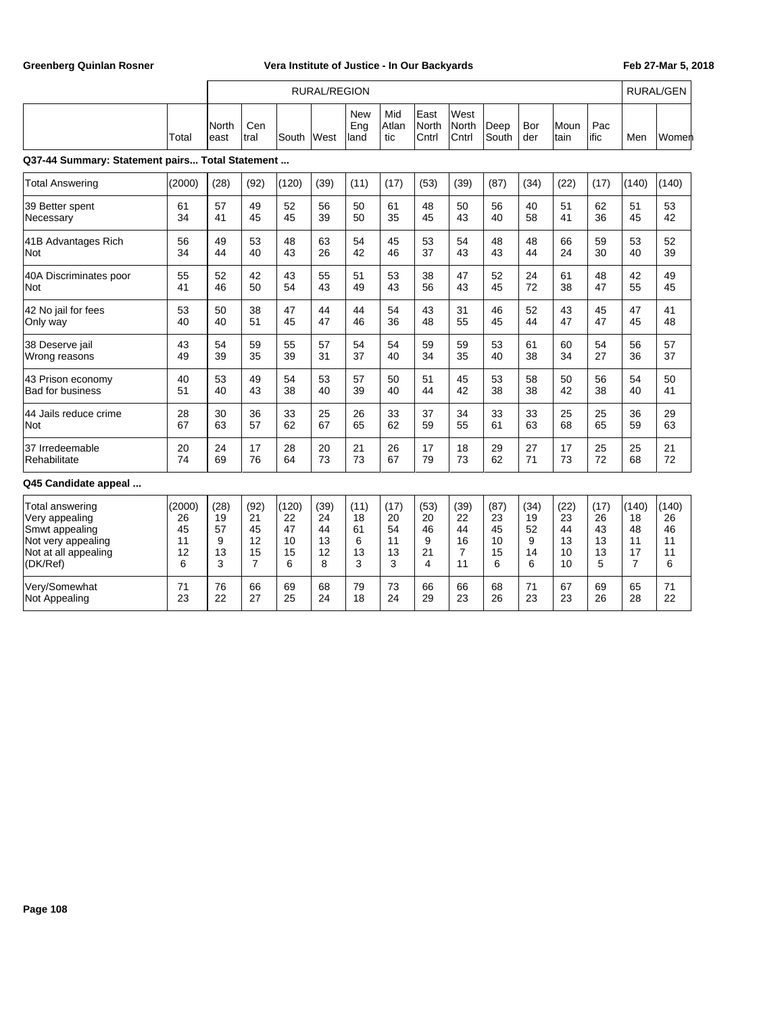|                                                 |        | <b>RURAL/REGION</b> |                |       |      |                           |                     |                        |                               |               |            |              | <b>RURAL/GEN</b> |                |       |
|-------------------------------------------------|--------|---------------------|----------------|-------|------|---------------------------|---------------------|------------------------|-------------------------------|---------------|------------|--------------|------------------|----------------|-------|
|                                                 | Total  | North<br>east       | Cen<br>tral    | South | West | <b>New</b><br>Eng<br>land | Mid<br>Atlan<br>tic | East<br>North<br>Cntrl | West<br><b>North</b><br>Cntrl | Deep<br>South | Bor<br>der | Moun<br>tain | Pac<br>ific      | Men            | Women |
| Q37-44 Summary: Statement pairs Total Statement |        |                     |                |       |      |                           |                     |                        |                               |               |            |              |                  |                |       |
| <b>Total Answering</b>                          | (2000) | (28)                | (92)           | (120) | (39) | (11)                      | (17)                | (53)                   | (39)                          | (87)          | (34)       | (22)         | (17)             | (140)          | (140) |
| 39 Better spent                                 | 61     | 57                  | 49             | 52    | 56   | 50                        | 61                  | 48                     | 50                            | 56            | 40         | 51           | 62               | 51             | 53    |
| Necessary                                       | 34     | 41                  | 45             | 45    | 39   | 50                        | 35                  | 45                     | 43                            | 40            | 58         | 41           | 36               | 45             | 42    |
| 41B Advantages Rich                             | 56     | 49                  | 53             | 48    | 63   | 54                        | 45                  | 53                     | 54                            | 48            | 48         | 66           | 59               | 53             | 52    |
| Not                                             | 34     | 44                  | 40             | 43    | 26   | 42                        | 46                  | 37                     | 43                            | 43            | 44         | 24           | 30               | 40             | 39    |
| 40A Discriminates poor                          | 55     | 52                  | 42             | 43    | 55   | 51                        | 53                  | 38                     | 47                            | 52            | 24         | 61           | 48               | 42             | 49    |
| Not                                             | 41     | 46                  | 50             | 54    | 43   | 49                        | 43                  | 56                     | 43                            | 45            | 72         | 38           | 47               | 55             | 45    |
| 42 No jail for fees                             | 53     | 50                  | 38             | 47    | 44   | 44                        | 54                  | 43                     | 31                            | 46            | 52         | 43           | 45               | 47             | 41    |
| Only way                                        | 40     | 40                  | 51             | 45    | 47   | 46                        | 36                  | 48                     | 55                            | 45            | 44         | 47           | 47               | 45             | 48    |
| 38 Deserve jail                                 | 43     | 54                  | 59             | 55    | 57   | 54                        | 54                  | 59                     | 59                            | 53            | 61         | 60           | 54               | 56             | 57    |
| Wrong reasons                                   | 49     | 39                  | 35             | 39    | 31   | 37                        | 40                  | 34                     | 35                            | 40            | 38         | 34           | 27               | 36             | 37    |
| 43 Prison economy                               | 40     | 53                  | 49             | 54    | 53   | 57                        | 50                  | 51                     | 45                            | 53            | 58         | 50           | 56               | 54             | 50    |
| Bad for business                                | 51     | 40                  | 43             | 38    | 40   | 39                        | 40                  | 44                     | 42                            | 38            | 38         | 42           | 38               | 40             | 41    |
| 44 Jails reduce crime                           | 28     | 30                  | 36             | 33    | 25   | 26                        | 33                  | 37                     | 34                            | 33            | 33         | 25           | 25               | 36             | 29    |
| Not                                             | 67     | 63                  | 57             | 62    | 67   | 65                        | 62                  | 59                     | 55                            | 61            | 63         | 68           | 65               | 59             | 63    |
| 37 Irredeemable                                 | 20     | 24                  | 17             | 28    | 20   | 21                        | 26                  | 17                     | 18                            | 29            | 27         | 17           | 25               | 25             | 21    |
| Rehabilitate                                    | 74     | 69                  | 76             | 64    | 73   | 73                        | 67                  | 79                     | 73                            | 62            | 71         | 73           | 72               | 68             | 72    |
| Q45 Candidate appeal                            |        |                     |                |       |      |                           |                     |                        |                               |               |            |              |                  |                |       |
| <b>Total answering</b>                          | (2000) | (28)                | (92)           | (120) | (39) | (11)                      | (17)                | (53)                   | (39)                          | (87)          | (34)       | (22)         | (17)             | (140)          | (140) |
| Very appealing                                  | 26     | 19                  | 21             | 22    | 24   | 18                        | 20                  | 20                     | 22                            | 23            | 19         | 23           | 26               | 18             | 26    |
| Smwt appealing                                  | 45     | 57                  | 45             | 47    | 44   | 61                        | 54                  | 46                     | 44                            | 45            | 52         | 44           | 43               | 48             | 46    |
| Not very appealing                              | 11     | 9                   | 12             | 10    | 13   | 6                         | 11                  | 9                      | 16                            | 10            | 9          | 13           | 13               | 11             | 11    |
| Not at all appealing                            | 12     | 13                  | 15             | 15    | 12   | 13                        | 13                  | 21                     | 7                             | 15            | 14         | 10           | 13               | 17             | 11    |
| (DK/Ref)                                        | 6      | 3                   | $\overline{7}$ | 6     | 8    | 3                         | 3                   | 4                      | 11                            | 6             | 6          | 10           | 5                | $\overline{7}$ | 6     |
| Very/Somewhat                                   | 71     | 76                  | 66             | 69    | 68   | 79                        | 73                  | 66                     | 66                            | 68            | 71         | 67           | 69               | 65             | 71    |
| <b>Not Appealing</b>                            | 23     | 22                  | 27             | 25    | 24   | 18                        | 24                  | 29                     | 23                            | 26            | 23         | 23           | 26               | 28             | 22    |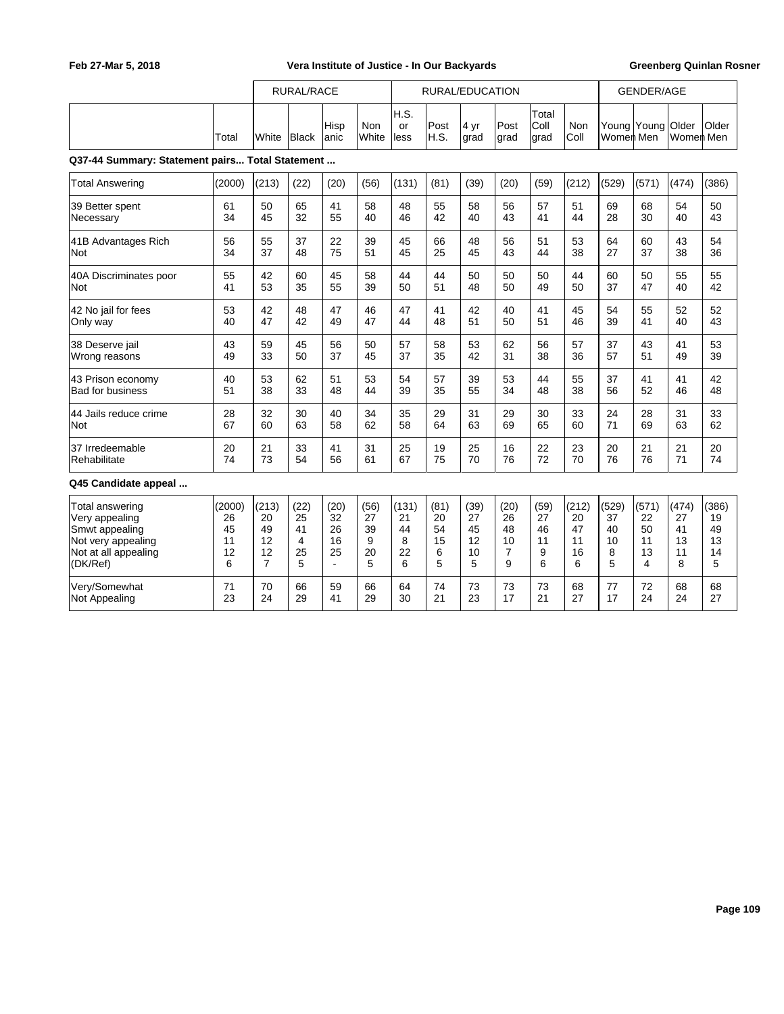|                                                 |        |                | <b>RURAL/RACE</b> |                |              |                    |               | RURAL/EDUCATION |              |                       |             |                          | <b>GENDER/AGE</b> |                    |       |
|-------------------------------------------------|--------|----------------|-------------------|----------------|--------------|--------------------|---------------|-----------------|--------------|-----------------------|-------------|--------------------------|-------------------|--------------------|-------|
|                                                 | Total  | White          | Black             | Hisp<br>anic   | Non<br>White | H.S.<br>or<br>less | Post<br>IH.S. | 4 yr<br>grad    | Post<br>grad | Total<br>Coll<br>grad | Non<br>Coll | Young Young<br>Women Men |                   | Older<br>Women Men | Older |
| Q37-44 Summary: Statement pairs Total Statement |        |                |                   |                |              |                    |               |                 |              |                       |             |                          |                   |                    |       |
| <b>Total Answering</b>                          | (2000) | (213)          | (22)              | (20)           | (56)         | (131)              | (81)          | (39)            | (20)         | (59)                  | (212)       | (529)                    | (571)             | (474)              | (386) |
| 39 Better spent                                 | 61     | 50             | 65                | 41             | 58           | 48                 | 55            | 58              | 56           | 57                    | 51          | 69                       | 68                | 54                 | 50    |
| Necessary                                       | 34     | 45             | 32                | 55             | 40           | 46                 | 42            | 40              | 43           | 41                    | 44          | 28                       | 30                | 40                 | 43    |
| 41B Advantages Rich                             | 56     | 55             | 37                | 22             | 39           | 45                 | 66            | 48              | 56           | 51                    | 53          | 64                       | 60                | 43                 | 54    |
| Not                                             | 34     | 37             | 48                | 75             | 51           | 45                 | 25            | 45              | 43           | 44                    | 38          | 27                       | 37                | 38                 | 36    |
| 40A Discriminates poor                          | 55     | 42             | 60                | 45             | 58           | 44                 | 44            | 50              | 50           | 50                    | 44          | 60                       | 50                | 55                 | 55    |
| Not                                             | 41     | 53             | 35                | 55             | 39           | 50                 | 51            | 48              | 50           | 49                    | 50          | 37                       | 47                | 40                 | 42    |
| 42 No jail for fees                             | 53     | 42             | 48                | 47             | 46           | 47                 | 41            | 42              | 40           | 41                    | 45          | 54                       | 55                | 52                 | 52    |
| Only way                                        | 40     | 47             | 42                | 49             | 47           | 44                 | 48            | 51              | 50           | 51                    | 46          | 39                       | 41                | 40                 | 43    |
| 38 Deserve jail                                 | 43     | 59             | 45                | 56             | 50           | 57                 | 58            | 53              | 62           | 56                    | 57          | 37                       | 43                | 41                 | 53    |
| Wrong reasons                                   | 49     | 33             | 50                | 37             | 45           | 37                 | 35            | 42              | 31           | 38                    | 36          | 57                       | 51                | 49                 | 39    |
| 43 Prison economy                               | 40     | 53             | 62                | 51             | 53           | 54                 | 57            | 39              | 53           | 44                    | 55          | 37                       | 41                | 41                 | 42    |
| <b>Bad for business</b>                         | 51     | 38             | 33                | 48             | 44           | 39                 | 35            | 55              | 34           | 48                    | 38          | 56                       | 52                | 46                 | 48    |
| 44 Jails reduce crime                           | 28     | 32             | 30                | 40             | 34           | 35                 | 29            | 31              | 29           | 30                    | 33          | 24                       | 28                | 31                 | 33    |
| Not                                             | 67     | 60             | 63                | 58             | 62           | 58                 | 64            | 63              | 69           | 65                    | 60          | 71                       | 69                | 63                 | 62    |
| 37 Irredeemable                                 | 20     | 21             | 33                | 41             | 31           | 25                 | 19            | 25              | 16           | 22                    | 23          | 20                       | 21                | 21                 | 20    |
| Rehabilitate                                    | 74     | 73             | 54                | 56             | 61           | 67                 | 75            | 70              | 76           | 72                    | 70          | 76                       | 76                | 71                 | 74    |
| Q45 Candidate appeal                            |        |                |                   |                |              |                    |               |                 |              |                       |             |                          |                   |                    |       |
| <b>Total answering</b>                          | (2000) | (213)          | (22)              | (20)           | (56)         | (131)              | (81)          | (39)            | (20)         | (59)                  | (212)       | (529)                    | (571)             | (474)              | (386) |
| Very appealing                                  | 26     | 20             | 25                | 32             | 27           | 21                 | 20            | 27              | 26           | 27                    | 20          | 37                       | 22                | 27                 | 19    |
| Smwt appealing                                  | 45     | 49             | 41                | 26             | 39           | 44                 | 54            | 45              | 48           | 46                    | 47          | 40                       | 50                | 41                 | 49    |
| Not very appealing                              | 11     | 12             | 4                 | 16             | 9            | 8                  | 15            | 12              | 10           | 11                    | 11          | 10                       | 11                | 13                 | 13    |
| Not at all appealing                            | 12     | 12             | 25                | 25             | 20           | 22                 | 6             | 10              | 7            | 9                     | 16          | 8                        | 13                | 11                 | 14    |
| (DK/Ref)                                        | 6      | $\overline{7}$ | 5                 | $\overline{a}$ | 5            | 6                  | 5             | 5               | 9            | 6                     | 6           | 5                        | 4                 | 8                  | 5     |
| Very/Somewhat                                   | 71     | 70             | 66                | 59             | 66           | 64                 | 74            | 73              | 73           | 73                    | 68          | 77                       | 72                | 68                 | 68    |
| <b>Not Appealing</b>                            | 23     | 24             | 29                | 41             | 29           | 30                 | 21            | 23              | 17           | 21                    | 27          | 17                       | 24                | 24                 | 27    |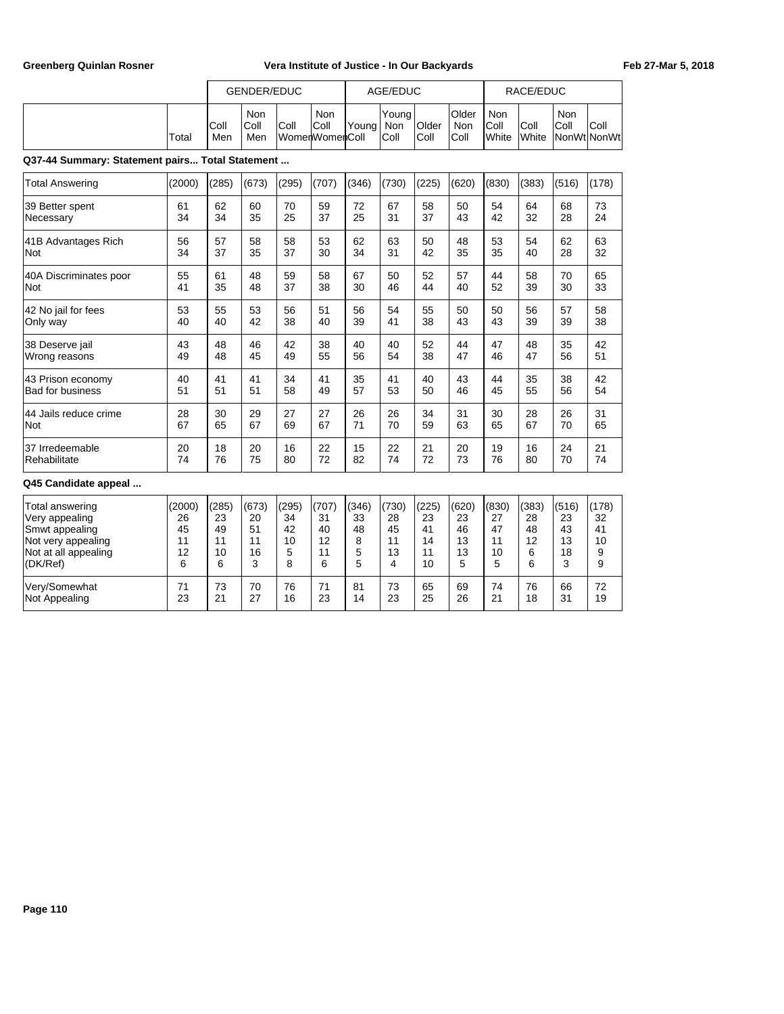|                                                 |        | <b>GENDER/EDUC</b> |                    |       |                               |       | AGE/EDUC             |               |                             |                      | RACE/EDUC     |             |                     |
|-------------------------------------------------|--------|--------------------|--------------------|-------|-------------------------------|-------|----------------------|---------------|-----------------------------|----------------------|---------------|-------------|---------------------|
|                                                 | Total  | Coll<br>Men        | Non<br>Coll<br>Men | Coll  | Non<br>Coll<br>WomenWomenColl | Young | Young<br>Non<br>Coll | Older<br>Coll | Older<br><b>Non</b><br>Coll | Non<br>Coll<br>White | Coll<br>White | Non<br>Coll | Coll<br>NonWtlNonWt |
| Q37-44 Summary: Statement pairs Total Statement |        |                    |                    |       |                               |       |                      |               |                             |                      |               |             |                     |
| <b>Total Answering</b>                          | (2000) | (285)              | (673)              | (295) | (707)                         | (346) | (730)                | (225)         | (620)                       | (830)                | (383)         | (516)       | (178)               |
| 39 Better spent                                 | 61     | 62                 | 60                 | 70    | 59                            | 72    | 67                   | 58            | 50                          | 54                   | 64            | 68          | 73                  |
| Necessary                                       | 34     | 34                 | 35                 | 25    | 37                            | 25    | 31                   | 37            | 43                          | 42                   | 32            | 28          | 24                  |
| 41B Advantages Rich                             | 56     | 57                 | 58                 | 58    | 53                            | 62    | 63                   | 50            | 48                          | 53                   | 54            | 62          | 63                  |
| Not                                             | 34     | 37                 | 35                 | 37    | 30                            | 34    | 31                   | 42            | 35                          | 35                   | 40            | 28          | 32                  |
| 40A Discriminates poor                          | 55     | 61                 | 48                 | 59    | 58                            | 67    | 50                   | 52            | 57                          | 44                   | 58            | 70          | 65                  |
| Not                                             | 41     | 35                 | 48                 | 37    | 38                            | 30    | 46                   | 44            | 40                          | 52                   | 39            | 30          | 33                  |
| 42 No jail for fees                             | 53     | 55                 | 53                 | 56    | 51                            | 56    | 54                   | 55            | 50                          | 50                   | 56            | 57          | 58                  |
| Only way                                        | 40     | 40                 | 42                 | 38    | 40                            | 39    | 41                   | 38            | 43                          | 43                   | 39            | 39          | 38                  |
| 38 Deserve jail                                 | 43     | 48                 | 46                 | 42    | 38                            | 40    | 40                   | 52            | 44                          | 47                   | 48            | 35          | 42                  |
| Wrong reasons                                   | 49     | 48                 | 45                 | 49    | 55                            | 56    | 54                   | 38            | 47                          | 46                   | 47            | 56          | 51                  |
| 43 Prison economy                               | 40     | 41                 | 41                 | 34    | 41                            | 35    | 41                   | 40            | 43                          | 44                   | 35            | 38          | 42                  |
| <b>Bad for business</b>                         | 51     | 51                 | 51                 | 58    | 49                            | 57    | 53                   | 50            | 46                          | 45                   | 55            | 56          | 54                  |
| 44 Jails reduce crime                           | 28     | 30                 | 29                 | 27    | 27                            | 26    | 26                   | 34            | 31                          | 30                   | 28            | 26          | 31                  |
| <b>Not</b>                                      | 67     | 65                 | 67                 | 69    | 67                            | 71    | 70                   | 59            | 63                          | 65                   | 67            | 70          | 65                  |
| 37 Irredeemable                                 | 20     | 18                 | 20                 | 16    | 22                            | 15    | 22                   | 21            | 20                          | 19                   | 16            | 24          | 21                  |
| Rehabilitate                                    | 74     | 76                 | 75                 | 80    | 72                            | 82    | 74                   | 72            | 73                          | 76                   | 80            | 70          | 74                  |
| Q45 Candidate appeal                            |        |                    |                    |       |                               |       |                      |               |                             |                      |               |             |                     |
| Total answering                                 | (2000) | (285)              | (673)              | (295) | (707)                         | (346) | (730)                | (225)         | (620)                       | (830)                | (383)         | (516)       | (178)               |
| Very appealing                                  | 26     | 23                 | 20                 | 34    | 31                            | 33    | 28                   | 23            | 23                          | 27                   | 28            | 23          | 32                  |
| Smwt appealing                                  | 45     | 49                 | 51                 | 42    | 40                            | 48    | 45                   | 41            | 46                          | 47                   | 48            | 43          | 41                  |
| Not very appealing                              | 11     | 11                 | 11                 | 10    | 12                            | 8     | 11                   | 14            | 13                          | 11                   | 12            | 13          | 10                  |
| Not at all appealing                            | 12     | 10                 | 16                 | 5     | 11                            | 5     | 13                   | 11            | 13                          | 10                   | 6             | 18          | 9                   |
| (DK/Ref)                                        | 6      | 6                  | 3                  | 8     | 6                             | 5     | 4                    | 10            | 5                           | 5                    | 6             | 3           | 9                   |
| Very/Somewhat                                   | 71     | 73                 | 70                 | 76    | 71                            | 81    | 73                   | 65            | 69                          | 74                   | 76            | 66          | 72                  |
| Not Appealing                                   | 23     | 21                 | 27                 | 16    | 23                            | 14    | 23                   | 25            | 26                          | 21                   | 18            | 31          | 19                  |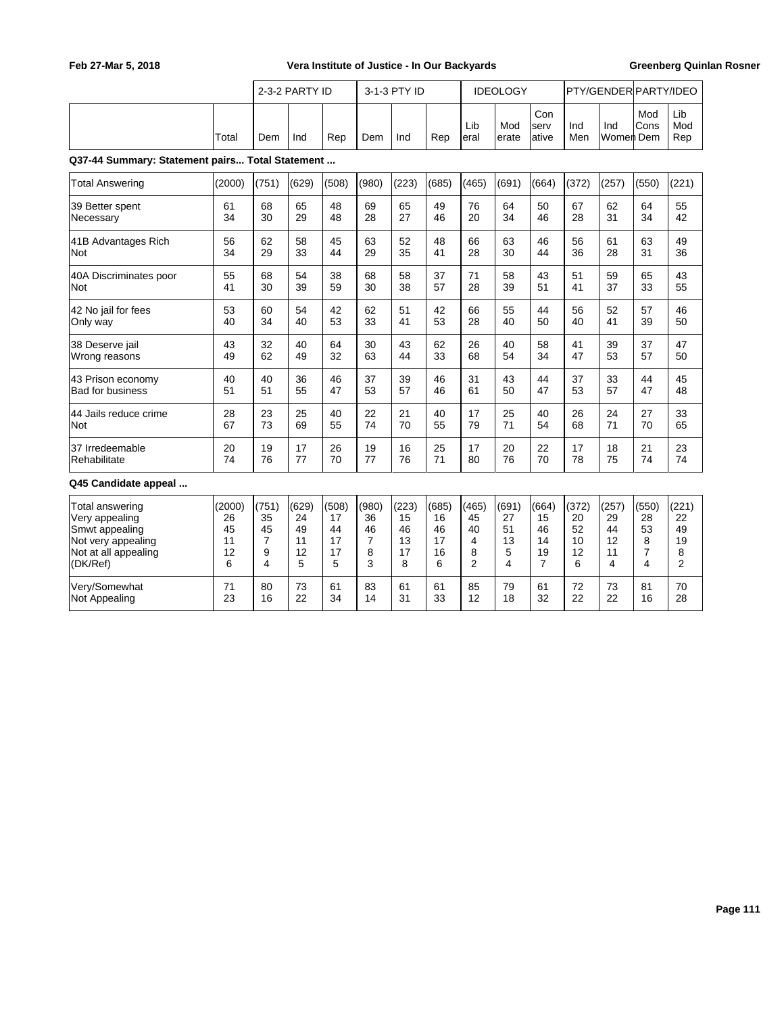|                                                 |        |                | 2-3-2 PARTY ID |       |       | 3-1-3 PTY ID |       |                | <b>IDEOLOGY</b> |                      |            | PTY/GENDER PARTY/IDEO |                |                   |
|-------------------------------------------------|--------|----------------|----------------|-------|-------|--------------|-------|----------------|-----------------|----------------------|------------|-----------------------|----------------|-------------------|
|                                                 | Total  | Dem            | Ind            | Rep   | Dem   | Ind          | Rep   | Lib<br>eral    | Mod<br>erate    | Con<br>serv<br>ative | Ind<br>Men | Ind<br>Women Dem      | Mod<br>Cons    | Lib<br>Mod<br>Rep |
| Q37-44 Summary: Statement pairs Total Statement |        |                |                |       |       |              |       |                |                 |                      |            |                       |                |                   |
| <b>Total Answering</b>                          | (2000) | (751)          | (629)          | (508) | (980) | (223)        | (685) | (465)          | (691)           | (664)                | (372)      | (257)                 | (550)          | (221)             |
| 39 Better spent                                 | 61     | 68             | 65             | 48    | 69    | 65           | 49    | 76             | 64              | 50                   | 67         | 62                    | 64             | 55                |
| Necessary                                       | 34     | 30             | 29             | 48    | 28    | 27           | 46    | 20             | 34              | 46                   | 28         | 31                    | 34             | 42                |
| 41B Advantages Rich                             | 56     | 62             | 58             | 45    | 63    | 52           | 48    | 66             | 63              | 46                   | 56         | 61                    | 63             | 49                |
| Not                                             | 34     | 29             | 33             | 44    | 29    | 35           | 41    | 28             | 30              | 44                   | 36         | 28                    | 31             | 36                |
| 40A Discriminates poor                          | 55     | 68             | 54             | 38    | 68    | 58           | 37    | 71             | 58              | 43                   | 51         | 59                    | 65             | 43                |
| Not                                             | 41     | 30             | 39             | 59    | 30    | 38           | 57    | 28             | 39              | 51                   | 41         | 37                    | 33             | 55                |
| 42 No jail for fees                             | 53     | 60             | 54             | 42    | 62    | 51           | 42    | 66             | 55              | 44                   | 56         | 52                    | 57             | 46                |
| Only way                                        | 40     | 34             | 40             | 53    | 33    | 41           | 53    | 28             | 40              | 50                   | 40         | 41                    | 39             | 50                |
| 38 Deserve jail                                 | 43     | 32             | 40             | 64    | 30    | 43           | 62    | 26             | 40              | 58                   | 41         | 39                    | 37             | 47                |
| Wrong reasons                                   | 49     | 62             | 49             | 32    | 63    | 44           | 33    | 68             | 54              | 34                   | 47         | 53                    | 57             | 50                |
| 43 Prison economy                               | 40     | 40             | 36             | 46    | 37    | 39           | 46    | 31             | 43              | 44                   | 37         | 33                    | 44             | 45                |
| <b>Bad for business</b>                         | 51     | 51             | 55             | 47    | 53    | 57           | 46    | 61             | 50              | 47                   | 53         | 57                    | 47             | 48                |
| 44 Jails reduce crime                           | 28     | 23             | 25             | 40    | 22    | 21           | 40    | 17             | 25              | 40                   | 26         | 24                    | 27             | 33                |
| Not                                             | 67     | 73             | 69             | 55    | 74    | 70           | 55    | 79             | 71              | 54                   | 68         | 71                    | 70             | 65                |
| 37 Irredeemable                                 | 20     | 19             | 17             | 26    | 19    | 16           | 25    | 17             | 20              | 22                   | 17         | 18                    | 21             | 23                |
| Rehabilitate                                    | 74     | 76             | 77             | 70    | 77    | 76           | 71    | 80             | 76              | 70                   | 78         | 75                    | 74             | 74                |
| Q45 Candidate appeal                            |        |                |                |       |       |              |       |                |                 |                      |            |                       |                |                   |
| <b>Total answering</b>                          | (2000) | (751)          | (629)          | (508) | (980) | (223)        | (685) | (465)          | (691)           | (664)                | (372)      | (257)                 | (550)          | (221)             |
| Very appealing                                  | 26     | 35             | 24             | 17    | 36    | 15           | 16    | 45             | 27              | 15                   | 20         | 29                    | 28             | 22                |
| Smwt appealing                                  | 45     | 45             | 49             | 44    | 46    | 46           | 46    | 40             | 51              | 46                   | 52         | 44                    | 53             | 49                |
| Not very appealing                              | 11     | $\overline{7}$ | 11             | 17    | 7     | 13           | 17    | 4              | 13              | 14                   | 10         | 12                    | 8              | 19                |
| Not at all appealing                            | 12     | 9              | 12             | 17    | 8     | 17           | 16    | 8              | 5               | 19                   | 12         | 11                    | $\overline{7}$ | 8                 |
| (DK/Ref)                                        | 6      | 4              | 5              | 5     | 3     | 8            | 6     | $\overline{2}$ | 4               | $\overline{7}$       | 6          | 4                     | 4              | 2                 |
| Very/Somewhat                                   | 71     | 80             | 73             | 61    | 83    | 61           | 61    | 85             | 79              | 61                   | 72         | 73                    | 81             | 70                |
| Not Appealing                                   | 23     | 16             | 22             | 34    | 14    | 31           | 33    | 12             | 18              | 32                   | 22         | 22                    | 16             | 28                |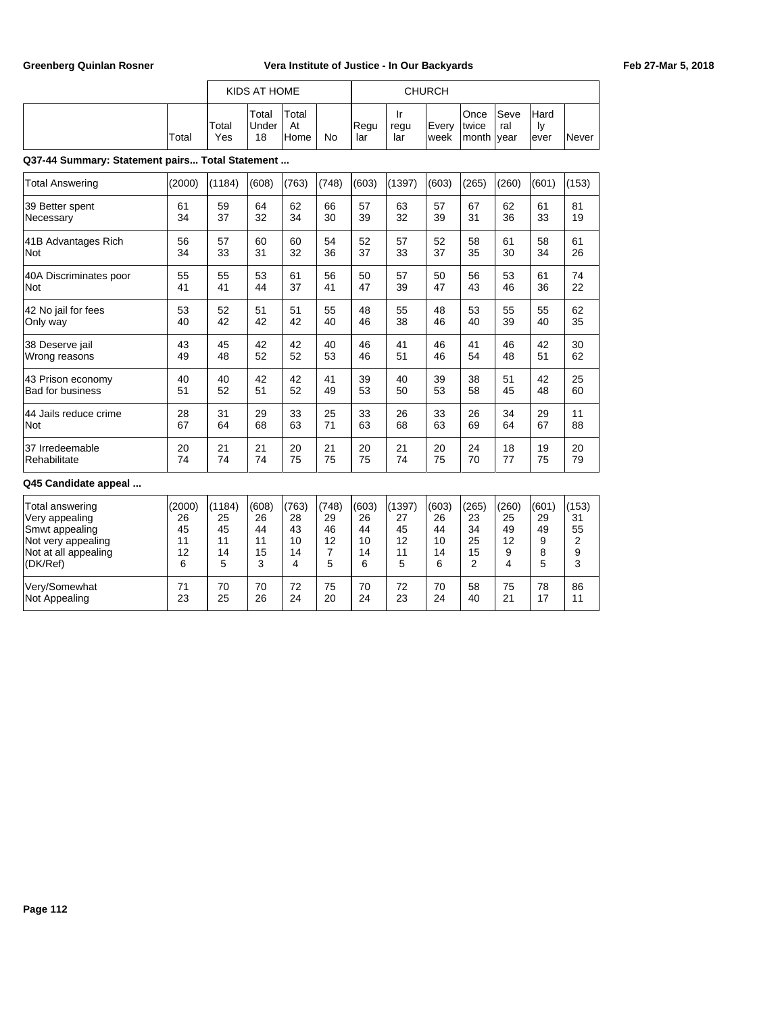|                                                 |        |              | KIDS AT HOME         |                     |       |             |                   | <b>CHURCH</b> |                         |                     |                    |       |
|-------------------------------------------------|--------|--------------|----------------------|---------------------|-------|-------------|-------------------|---------------|-------------------------|---------------------|--------------------|-------|
|                                                 | Total  | Total<br>Yes | Total<br>Under<br>18 | Total<br>At<br>Home | No    | Regu<br>lar | Ir<br>regu<br>lar | Every<br>week | Once<br>Itwice<br>month | Seve<br>ral<br>vear | Hard<br>ly<br>ever | Never |
| Q37-44 Summary: Statement pairs Total Statement |        |              |                      |                     |       |             |                   |               |                         |                     |                    |       |
| <b>Total Answering</b>                          | (2000) | (1184)       | (608)                | (763)               | (748) | (603)       | (1397)            | (603)         | (265)                   | (260)               | (601)              | (153) |
| 39 Better spent                                 | 61     | 59           | 64                   | 62                  | 66    | 57          | 63                | 57            | 67                      | 62                  | 61                 | 81    |
| Necessary                                       | 34     | 37           | 32                   | 34                  | 30    | 39          | 32                | 39            | 31                      | 36                  | 33                 | 19    |
| 41B Advantages Rich                             | 56     | 57           | 60                   | 60                  | 54    | 52          | 57                | 52            | 58                      | 61                  | 58                 | 61    |
| Not                                             | 34     | 33           | 31                   | 32                  | 36    | 37          | 33                | 37            | 35                      | 30                  | 34                 | 26    |
| 40A Discriminates poor                          | 55     | 55           | 53                   | 61                  | 56    | 50          | 57                | 50            | 56                      | 53                  | 61                 | 74    |
| Not                                             | 41     | 41           | 44                   | 37                  | 41    | 47          | 39                | 47            | 43                      | 46                  | 36                 | 22    |
| 42 No jail for fees                             | 53     | 52           | 51                   | 51                  | 55    | 48          | 55                | 48            | 53                      | 55                  | 55                 | 62    |
| Only way                                        | 40     | 42           | 42                   | 42                  | 40    | 46          | 38                | 46            | 40                      | 39                  | 40                 | 35    |
| 38 Deserve jail                                 | 43     | 45           | 42                   | 42                  | 40    | 46          | 41                | 46            | 41                      | 46                  | 42                 | 30    |
| Wrong reasons                                   | 49     | 48           | 52                   | 52                  | 53    | 46          | 51                | 46            | 54                      | 48                  | 51                 | 62    |
| 43 Prison economy                               | 40     | 40           | 42                   | 42                  | 41    | 39          | 40                | 39            | 38                      | 51                  | 42                 | 25    |
| <b>Bad for business</b>                         | 51     | 52           | 51                   | 52                  | 49    | 53          | 50                | 53            | 58                      | 45                  | 48                 | 60    |
| 44 Jails reduce crime                           | 28     | 31           | 29                   | 33                  | 25    | 33          | 26                | 33            | 26                      | 34                  | 29                 | 11    |
| <b>Not</b>                                      | 67     | 64           | 68                   | 63                  | 71    | 63          | 68                | 63            | 69                      | 64                  | 67                 | 88    |
| 37 Irredeemable                                 | 20     | 21           | 21                   | 20                  | 21    | 20          | 21                | 20            | 24                      | 18                  | 19                 | 20    |
| Rehabilitate                                    | 74     | 74           | 74                   | 75                  | 75    | 75          | 74                | 75            | 70                      | 77                  | 75                 | 79    |
| Q45 Candidate appeal                            |        |              |                      |                     |       |             |                   |               |                         |                     |                    |       |
| Total answering                                 | (2000) | (1184)       | (608)                | (763)               | (748) | (603)       | (1397)            | (603)         | (265)                   | (260)               | (601)              | (153) |
| Very appealing                                  | 26     | 25           | 26                   | 28                  | 29    | 26          | 27                | 26            | 23                      | 25                  | 29                 | 31    |
| Smwt appealing                                  | 45     | 45           | 44                   | 43                  | 46    | 44          | 45                | 44            | 34                      | 49                  | 49                 | 55    |
| Not very appealing                              | 11     | 11           | 11                   | 10                  | 12    | 10          | 12                | 10            | 25                      | 12                  | 9                  | 2     |
| Not at all appealing                            | 12     | 14           | 15                   | 14                  | 7     | 14          | 11                | 14            | 15                      | 9                   | 8                  | 9     |
| (DK/Ref)                                        | 6      | 5            | 3                    | 4                   | 5     | 6           | 5                 | 6             | $\overline{2}$          | 4                   | 5                  | 3     |
| Very/Somewhat                                   | 71     | 70           | 70                   | 72                  | 75    | 70          | 72                | 70            | 58                      | 75                  | 78                 | 86    |
| Not Appealing                                   | 23     | 25           | 26                   | 24                  | 20    | 24          | 23                | 24            | 40                      | 21                  | 17                 | 11    |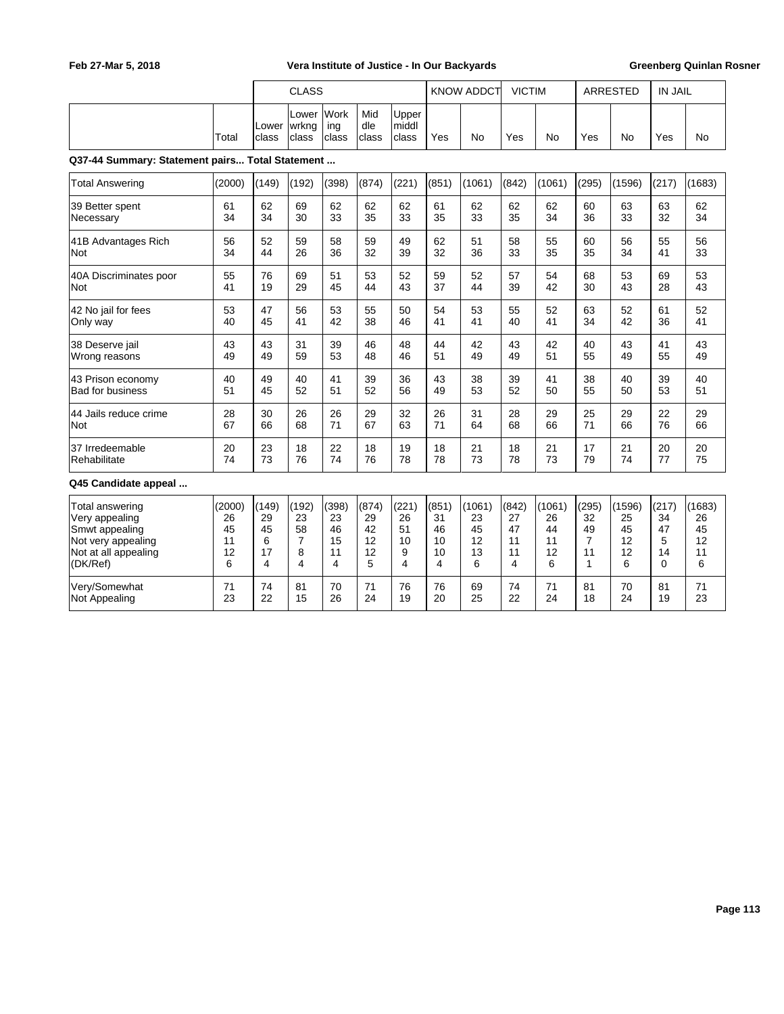|                                                 |        |                | <b>CLASS</b>            |                      |                     |                         |       | <b>KNOW ADDCT</b> | <b>VICTIM</b> |        |              | <b>ARRESTED</b> | <b>IN JAIL</b> |        |
|-------------------------------------------------|--------|----------------|-------------------------|----------------------|---------------------|-------------------------|-------|-------------------|---------------|--------|--------------|-----------------|----------------|--------|
|                                                 | Total  | Lower<br>class | Lower<br>wrkng<br>class | Work<br>ing<br>class | Mid<br>dle<br>class | Upper<br>middl<br>class | Yes   | <b>No</b>         | Yes           | No     | Yes          | <b>No</b>       | Yes            | No     |
| Q37-44 Summary: Statement pairs Total Statement |        |                |                         |                      |                     |                         |       |                   |               |        |              |                 |                |        |
| <b>Total Answering</b>                          | (2000) | (149)          | (192)                   | (398)                | (874)               | (221)                   | (851) | (1061)            | (842)         | (1061) | (295)        | (1596)          | (217)          | (1683) |
| 39 Better spent                                 | 61     | 62             | 69                      | 62                   | 62                  | 62                      | 61    | 62                | 62            | 62     | 60           | 63              | 63             | 62     |
| Necessary                                       | 34     | 34             | 30                      | 33                   | 35                  | 33                      | 35    | 33                | 35            | 34     | 36           | 33              | 32             | 34     |
| 41B Advantages Rich                             | 56     | 52             | 59                      | 58                   | 59                  | 49                      | 62    | 51                | 58            | 55     | 60           | 56              | 55             | 56     |
| Not                                             | 34     | 44             | 26                      | 36                   | 32                  | 39                      | 32    | 36                | 33            | 35     | 35           | 34              | 41             | 33     |
| 40A Discriminates poor                          | 55     | 76             | 69                      | 51                   | 53                  | 52                      | 59    | 52                | 57            | 54     | 68           | 53              | 69             | 53     |
| Not                                             | 41     | 19             | 29                      | 45                   | 44                  | 43                      | 37    | 44                | 39            | 42     | 30           | 43              | 28             | 43     |
| 42 No jail for fees                             | 53     | 47             | 56                      | 53                   | 55                  | 50                      | 54    | 53                | 55            | 52     | 63           | 52              | 61             | 52     |
| Only way                                        | 40     | 45             | 41                      | 42                   | 38                  | 46                      | 41    | 41                | 40            | 41     | 34           | 42              | 36             | 41     |
| 38 Deserve jail                                 | 43     | 43             | 31                      | 39                   | 46                  | 48                      | 44    | 42                | 43            | 42     | 40           | 43              | 41             | 43     |
| Wrong reasons                                   | 49     | 49             | 59                      | 53                   | 48                  | 46                      | 51    | 49                | 49            | 51     | 55           | 49              | 55             | 49     |
| 43 Prison economy                               | 40     | 49             | 40                      | 41                   | 39                  | 36                      | 43    | 38                | 39            | 41     | 38           | 40              | 39             | 40     |
| <b>Bad for business</b>                         | 51     | 45             | 52                      | 51                   | 52                  | 56                      | 49    | 53                | 52            | 50     | 55           | 50              | 53             | 51     |
| 44 Jails reduce crime                           | 28     | 30             | 26                      | 26                   | 29                  | 32                      | 26    | 31                | 28            | 29     | 25           | 29              | 22             | 29     |
| Not                                             | 67     | 66             | 68                      | 71                   | 67                  | 63                      | 71    | 64                | 68            | 66     | 71           | 66              | 76             | 66     |
| 37 Irredeemable                                 | 20     | 23             | 18                      | 22                   | 18                  | 19                      | 18    | 21                | 18            | 21     | 17           | 21              | 20             | 20     |
| Rehabilitate                                    | 74     | 73             | 76                      | 74                   | 76                  | 78                      | 78    | 73                | 78            | 73     | 79           | 74              | 77             | 75     |
| Q45 Candidate appeal                            |        |                |                         |                      |                     |                         |       |                   |               |        |              |                 |                |        |
| Total answering                                 | (2000) | (149)          | (192)                   | (398)                | (874)               | (221)                   | (851) | (1061)            | (842)         | (1061) | (295)        | (1596)          | (217)          | (1683) |
| Very appealing                                  | 26     | 29             | 23                      | 23                   | 29                  | 26                      | 31    | 23                | 27            | 26     | 32           | 25              | 34             | 26     |
| Smwt appealing                                  | 45     | 45             | 58                      | 46                   | 42                  | 51                      | 46    | 45                | 47            | 44     | 49           | 45              | 47             | 45     |
| Not very appealing                              | 11     | 6              | 7                       | 15                   | 12                  | 10                      | 10    | 12                | 11            | 11     | 7            | 12              | 5              | 12     |
| Not at all appealing                            | 12     | 17             | 8                       | 11                   | 12                  | 9                       | 10    | 13                | 11            | 12     | 11           | 12              | 14             | 11     |
| (DK/Ref)                                        | 6      | 4              | 4                       | 4                    | 5                   | 4                       | 4     | 6                 | 4             | 6      | $\mathbf{1}$ | 6               | $\Omega$       | 6      |
| Very/Somewhat                                   | 71     | 74             | 81                      | 70                   | 71                  | 76                      | 76    | 69                | 74            | 71     | 81           | 70              | 81             | 71     |
| <b>Not Appealing</b>                            | 23     | 22             | 15                      | 26                   | 24                  | 19                      | 20    | 25                | 22            | 24     | 18           | 24              | 19             | 23     |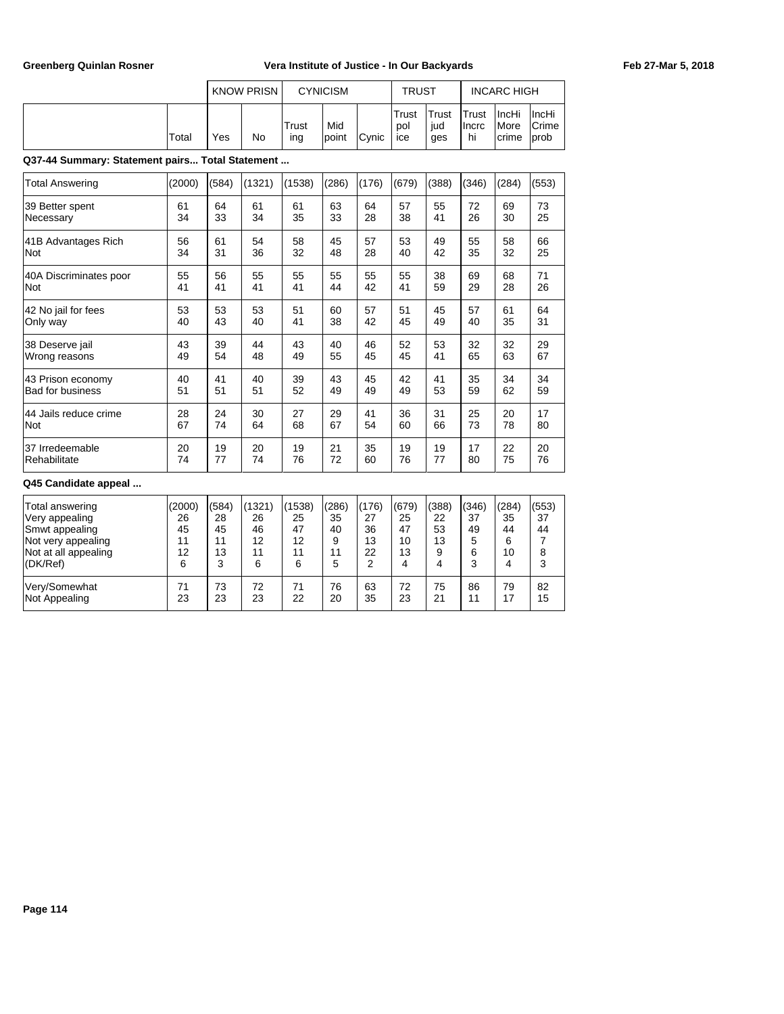|       |     | <b>KNOW PRISN</b> |              | <b>CYNICISM</b> |               | <b>TRUST</b>        |                            |                                      | <b>INCARC HIGH</b>                      |                                               |
|-------|-----|-------------------|--------------|-----------------|---------------|---------------------|----------------------------|--------------------------------------|-----------------------------------------|-----------------------------------------------|
| Total | Yes | No                | Trust<br>ing | Mid<br>lpoint   | <b>C</b> vnic | Trust<br>pol<br>ice | <b>Trust</b><br>iud<br>ges | <b>ITrust</b><br><b>Ilncrc</b><br>hi | <b>IncHi</b><br><i>I</i> More<br>Icrime | <b>IncHi</b><br><b>Crime</b><br><b>l</b> prob |

**Q37-44 Summary: Statement pairs... Total Statement ...**

| <b>Total Answering</b>  | (2000) | (584) | (1321) | (1538) | (286) | (176) | (679) | (388) | (346) | (284) | (553) |
|-------------------------|--------|-------|--------|--------|-------|-------|-------|-------|-------|-------|-------|
| 39 Better spent         | 61     | 64    | 61     | 61     | 63    | 64    | 57    | 55    | 72    | 69    | 73    |
| Necessary               | 34     | 33    | 34     | 35     | 33    | 28    | 38    | 41    | 26    | 30    | 25    |
| 41B Advantages Rich     | 56     | 61    | 54     | 58     | 45    | 57    | 53    | 49    | 55    | 58    | 66    |
| Not                     | 34     | 31    | 36     | 32     | 48    | 28    | 40    | 42    | 35    | 32    | 25    |
| 40A Discriminates poor  | 55     | 56    | 55     | 55     | 55    | 55    | 55    | 38    | 69    | 68    | 71    |
| Not                     | 41     | 41    | 41     | 41     | 44    | 42    | 41    | 59    | 29    | 28    | 26    |
| 42 No jail for fees     | 53     | 53    | 53     | 51     | 60    | 57    | 51    | 45    | 57    | 61    | 64    |
| Only way                | 40     | 43    | 40     | 41     | 38    | 42    | 45    | 49    | 40    | 35    | 31    |
| 38 Deserve jail         | 43     | 39    | 44     | 43     | 40    | 46    | 52    | 53    | 32    | 32    | 29    |
| Wrong reasons           | 49     | 54    | 48     | 49     | 55    | 45    | 45    | 41    | 65    | 63    | 67    |
| 43 Prison economy       | 40     | 41    | 40     | 39     | 43    | 45    | 42    | 41    | 35    | 34    | 34    |
| <b>Bad for business</b> | 51     | 51    | 51     | 52     | 49    | 49    | 49    | 53    | 59    | 62    | 59    |
| 44 Jails reduce crime   | 28     | 24    | 30     | 27     | 29    | 41    | 36    | 31    | 25    | 20    | 17    |
| Not                     | 67     | 74    | 64     | 68     | 67    | 54    | 60    | 66    | 73    | 78    | 80    |
| 37 Irredeemable         | 20     | 19    | 20     | 19     | 21    | 35    | 19    | 19    | 17    | 22    | 20    |
| Rehabilitate            | 74     | 77    | 74     | 76     | 72    | 60    | 76    | 77    | 80    | 75    | 76    |
| Q45 Candidate appeal    |        |       |        |        |       |       |       |       |       |       |       |
| Total answering         | (2000) | (584) | (1321) | (1538) | (286) | (176) | (679) | (388) | (346) | (284) | (553) |
| Very appealing          | 26     | 28    | 26     | 25     | 35    | 27    | 25    | 22    | 37    | 35    | 37    |
| Smwt appealing          | 45     | 45    | 46     | 47     | 40    | 36    | 47    | 53    | 49    | 44    | 44    |

Not very appealing 11 | 11 | 12 | 12 | 9 | 13 | 10 | 13 | 5 | 6 | 7 Not at all appealing 12 | 12 | 13 | 11 | 11 | 11 | 22 | 13 | 9 | 6 | 10 | 8 (DK/Ref) 6 3 6 6 6 5 2 4 4 3 4 3

Very/Somewhat 71 73 72 71 76 63 72 75 86 79 82<br>Not Appealing 23 23 23 22 20 35 23 21 11 17 15

Not Appealing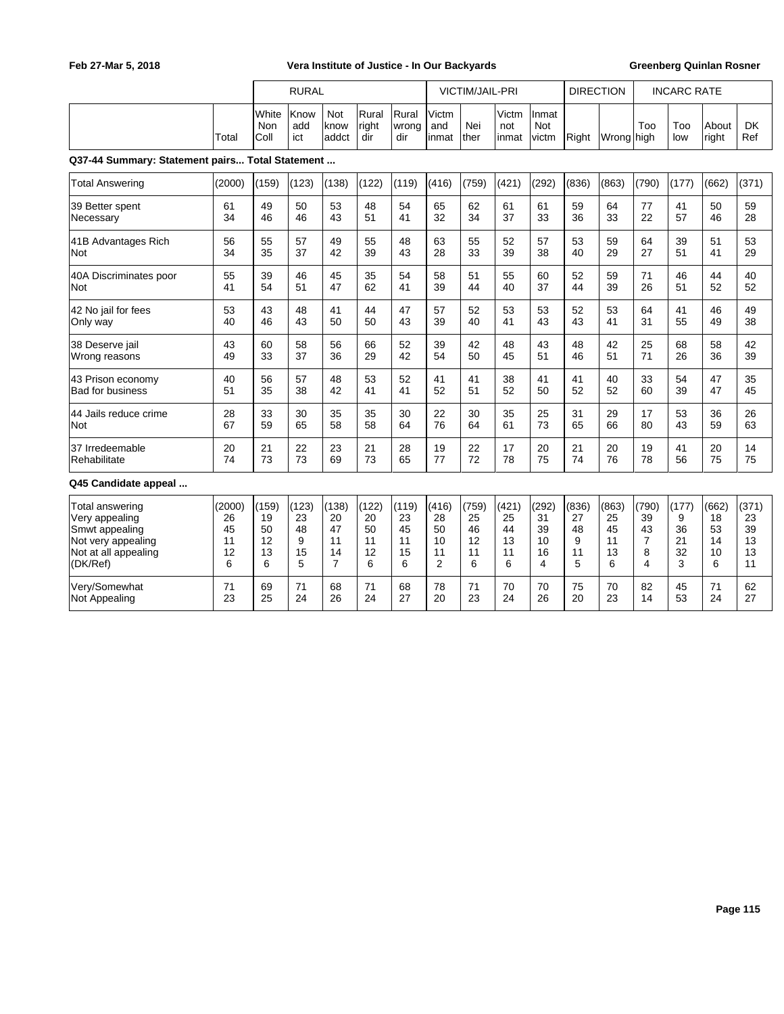|                                                 |        |                      | <b>RURAL</b>       |                             |                       |                       |                       | <b>VICTIM/JAIL-PRI</b> |                       |                       | <b>DIRECTION</b> |                     |                | <b>INCARC RATE</b> |                |                  |
|-------------------------------------------------|--------|----------------------|--------------------|-----------------------------|-----------------------|-----------------------|-----------------------|------------------------|-----------------------|-----------------------|------------------|---------------------|----------------|--------------------|----------------|------------------|
|                                                 | Total  | White<br>Non<br>Coll | Know<br>add<br>ict | <b>Not</b><br>know<br>addct | Rural<br>right<br>dir | Rural<br>wrong<br>dir | Victm<br>and<br>inmat | Nei<br>ther            | Victm<br>not<br>inmat | Inmat<br>Not<br>victm | Right            | Wrong <b>I</b> high | Too            | Too<br>low         | About<br>right | <b>DK</b><br>Ref |
| Q37-44 Summary: Statement pairs Total Statement |        |                      |                    |                             |                       |                       |                       |                        |                       |                       |                  |                     |                |                    |                |                  |
| <b>Total Answering</b>                          | (2000) | (159)                | (123)              | (138)                       | (122)                 | (119)                 | (416)                 | (759)                  | (421)                 | (292)                 | (836)            | (863)               | (790)          | (177)              | (662)          | (371)            |
| 39 Better spent                                 | 61     | 49                   | 50                 | 53                          | 48                    | 54                    | 65                    | 62                     | 61                    | 61                    | 59               | 64                  | 77             | 41                 | 50             | 59               |
| Necessary                                       | 34     | 46                   | 46                 | 43                          | 51                    | 41                    | 32                    | 34                     | 37                    | 33                    | 36               | 33                  | 22             | 57                 | 46             | 28               |
| 41B Advantages Rich                             | 56     | 55                   | 57                 | 49                          | 55                    | 48                    | 63                    | 55                     | 52                    | 57                    | 53               | 59                  | 64             | 39                 | 51             | 53               |
| Not                                             | 34     | 35                   | 37                 | 42                          | 39                    | 43                    | 28                    | 33                     | 39                    | 38                    | 40               | 29                  | 27             | 51                 | 41             | 29               |
| 40A Discriminates poor                          | 55     | 39                   | 46                 | 45                          | 35                    | 54                    | 58                    | 51                     | 55                    | 60                    | 52               | 59                  | 71             | 46                 | 44             | 40               |
| Not                                             | 41     | 54                   | 51                 | 47                          | 62                    | 41                    | 39                    | 44                     | 40                    | 37                    | 44               | 39                  | 26             | 51                 | 52             | 52               |
| 42 No jail for fees                             | 53     | 43                   | 48                 | 41                          | 44                    | 47                    | 57                    | 52                     | 53                    | 53                    | 52               | 53                  | 64             | 41                 | 46             | 49               |
| Only way                                        | 40     | 46                   | 43                 | 50                          | 50                    | 43                    | 39                    | 40                     | 41                    | 43                    | 43               | 41                  | 31             | 55                 | 49             | 38               |
| 38 Deserve jail                                 | 43     | 60                   | 58                 | 56                          | 66                    | 52                    | 39                    | 42                     | 48                    | 43                    | 48               | 42                  | 25             | 68                 | 58             | 42               |
| Wrong reasons                                   | 49     | 33                   | 37                 | 36                          | 29                    | 42                    | 54                    | 50                     | 45                    | 51                    | 46               | 51                  | 71             | 26                 | 36             | 39               |
| 43 Prison economy                               | 40     | 56                   | 57                 | 48                          | 53                    | 52                    | 41                    | 41                     | 38                    | 41                    | 41               | 40                  | 33             | 54                 | 47             | 35               |
| <b>Bad for business</b>                         | 51     | 35                   | 38                 | 42                          | 41                    | 41                    | 52                    | 51                     | 52                    | 50                    | 52               | 52                  | 60             | 39                 | 47             | 45               |
| 44 Jails reduce crime                           | 28     | 33                   | 30                 | 35                          | 35                    | 30                    | 22                    | 30                     | 35                    | 25                    | 31               | 29                  | 17             | 53                 | 36             | 26               |
| Not                                             | 67     | 59                   | 65                 | 58                          | 58                    | 64                    | 76                    | 64                     | 61                    | 73                    | 65               | 66                  | 80             | 43                 | 59             | 63               |
| 37 Irredeemable                                 | 20     | 21                   | 22                 | 23                          | 21                    | 28                    | 19                    | 22                     | 17                    | 20                    | 21               | 20                  | 19             | 41                 | 20             | 14               |
| Rehabilitate                                    | 74     | 73                   | 73                 | 69                          | 73                    | 65                    | 77                    | 72                     | 78                    | 75                    | 74               | 76                  | 78             | 56                 | 75             | 75               |
| Q45 Candidate appeal                            |        |                      |                    |                             |                       |                       |                       |                        |                       |                       |                  |                     |                |                    |                |                  |
| Total answering                                 | (2000) | (159)                | (123)              | (138)                       | (122)                 | (119)                 | (416)                 | (759)                  | (421)                 | (292)                 | (836)            | (863)               | (790)          | (177)              | (662)          | (371)            |
| Very appealing                                  | 26     | 19                   | 23                 | 20                          | 20                    | 23                    | 28                    | 25                     | 25                    | 31                    | 27               | 25                  | 39             | 9                  | 18             | 23               |
| Smwt appealing                                  | 45     | 50                   | 48                 | 47                          | 50                    | 45                    | 50                    | 46                     | 44                    | 39                    | 48               | 45                  | 43             | 36                 | 53             | 39               |
| Not very appealing                              | 11     | 12                   | 9                  | 11                          | 11                    | 11                    | 10                    | 12                     | 13                    | 10                    | 9                | 11                  | $\overline{7}$ | 21                 | 14             | 13               |
| Not at all appealing                            | 12     | 13                   | 15                 | 14                          | 12                    | 15                    | 11                    | 11                     | 11                    | 16                    | 11               | 13                  | 8              | 32                 | 10             | 13               |
| (DK/Ref)                                        | 6      | 6                    | 5                  | $\overline{7}$              | 6                     | 6                     | $\overline{2}$        | 6                      | 6                     | 4                     | 5                | 6                   | 4              | 3                  | 6              | 11               |
| Very/Somewhat                                   | 71     | 69                   | 71                 | 68                          | 71                    | 68                    | 78                    | 71                     | 70                    | 70                    | 75               | 70                  | 82             | 45                 | 71             | 62               |
| Not Appealing                                   | 23     | 25                   | 24                 | 26                          | 24                    | 27                    | 20                    | 23                     | 24                    | 26                    | 20               | 23                  | 14             | 53                 | 24             | 27               |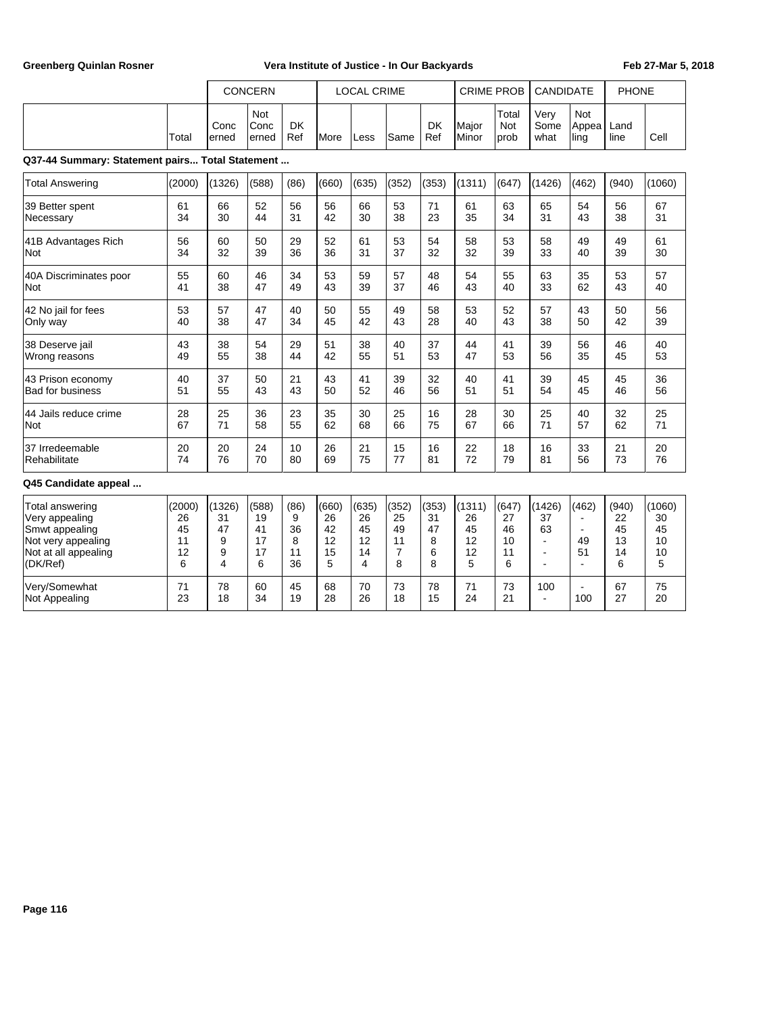|                                                                                                               |                                     |                                   | <b>CONCERN</b>                     |                                  |                                    | <b>LOCAL CRIME</b>                 |                                   |                                  | <b>CRIME PROB</b>                   |                                    | <b>CANDIDATE</b>                           |                                                             | <b>PHONE</b>                       |                                     |
|---------------------------------------------------------------------------------------------------------------|-------------------------------------|-----------------------------------|------------------------------------|----------------------------------|------------------------------------|------------------------------------|-----------------------------------|----------------------------------|-------------------------------------|------------------------------------|--------------------------------------------|-------------------------------------------------------------|------------------------------------|-------------------------------------|
|                                                                                                               | Total                               | Conc<br>erned                     | Not<br>Conc<br>erned               | DK<br>Ref                        | <b>More</b>                        | Less                               | Same                              | <b>DK</b><br>Ref                 | Major<br>Minor                      | Total<br>Not<br>prob               | Very<br>Some<br>what                       | Not<br>Appea<br>ling                                        | Land<br>line                       | Cell                                |
| Q37-44 Summary: Statement pairs Total Statement                                                               |                                     |                                   |                                    |                                  |                                    |                                    |                                   |                                  |                                     |                                    |                                            |                                                             |                                    |                                     |
| <b>Total Answering</b>                                                                                        | (2000)                              | (1326)                            | (588)                              | (86)                             | (660)                              | (635)                              | (352)                             | (353)                            | (1311)                              | (647)                              | (1426)                                     | (462)                                                       | (940)                              | (1060)                              |
| 39 Better spent                                                                                               | 61                                  | 66                                | 52                                 | 56                               | 56                                 | 66                                 | 53                                | 71                               | 61                                  | 63                                 | 65                                         | 54                                                          | 56                                 | 67                                  |
| Necessary                                                                                                     | 34                                  | 30                                | 44                                 | 31                               | 42                                 | 30                                 | 38                                | 23                               | 35                                  | 34                                 | 31                                         | 43                                                          | 38                                 | 31                                  |
| 41B Advantages Rich                                                                                           | 56                                  | 60                                | 50                                 | 29                               | 52                                 | 61                                 | 53                                | 54                               | 58                                  | 53                                 | 58                                         | 49                                                          | 49                                 | 61                                  |
| Not                                                                                                           | 34                                  | 32                                | 39                                 | 36                               | 36                                 | 31                                 | 37                                | 32                               | 32                                  | 39                                 | 33                                         | 40                                                          | 39                                 | 30                                  |
| 40A Discriminates poor                                                                                        | 55                                  | 60                                | 46                                 | 34                               | 53                                 | 59                                 | 57                                | 48                               | 54                                  | 55                                 | 63                                         | 35                                                          | 53                                 | 57                                  |
| Not                                                                                                           | 41                                  | 38                                | 47                                 | 49                               | 43                                 | 39                                 | 37                                | 46                               | 43                                  | 40                                 | 33                                         | 62                                                          | 43                                 | 40                                  |
| 42 No jail for fees                                                                                           | 53                                  | 57                                | 47                                 | 40                               | 50                                 | 55                                 | 49                                | 58                               | 53                                  | 52                                 | 57                                         | 43                                                          | 50                                 | 56                                  |
| Only way                                                                                                      | 40                                  | 38                                | 47                                 | 34                               | 45                                 | 42                                 | 43                                | 28                               | 40                                  | 43                                 | 38                                         | 50                                                          | 42                                 | 39                                  |
| 38 Deserve jail                                                                                               | 43                                  | 38                                | 54                                 | 29                               | 51                                 | 38                                 | 40                                | 37                               | 44                                  | 41                                 | 39                                         | 56                                                          | 46                                 | 40                                  |
| Wrong reasons                                                                                                 | 49                                  | 55                                | 38                                 | 44                               | 42                                 | 55                                 | 51                                | 53                               | 47                                  | 53                                 | 56                                         | 35                                                          | 45                                 | 53                                  |
| 43 Prison economy                                                                                             | 40                                  | 37                                | 50                                 | 21                               | 43                                 | 41                                 | 39                                | 32                               | 40                                  | 41                                 | 39                                         | 45                                                          | 45                                 | 36                                  |
| <b>Bad for business</b>                                                                                       | 51                                  | 55                                | 43                                 | 43                               | 50                                 | 52                                 | 46                                | 56                               | 51                                  | 51                                 | 54                                         | 45                                                          | 46                                 | 56                                  |
| 44 Jails reduce crime                                                                                         | 28                                  | 25                                | 36                                 | 23                               | 35                                 | 30                                 | 25                                | 16                               | 28                                  | 30                                 | 25                                         | 40                                                          | 32                                 | 25                                  |
| Not                                                                                                           | 67                                  | 71                                | 58                                 | 55                               | 62                                 | 68                                 | 66                                | 75                               | 67                                  | 66                                 | 71                                         | 57                                                          | 62                                 | 71                                  |
| 37 Irredeemable                                                                                               | 20                                  | 20                                | 24                                 | 10                               | 26                                 | 21                                 | 15                                | 16                               | 22                                  | 18                                 | 16                                         | 33                                                          | 21                                 | 20                                  |
| Rehabilitate                                                                                                  | 74                                  | 76                                | 70                                 | 80                               | 69                                 | 75                                 | 77                                | 81                               | 72                                  | 79                                 | 81                                         | 56                                                          | 73                                 | 76                                  |
| Q45 Candidate appeal                                                                                          |                                     |                                   |                                    |                                  |                                    |                                    |                                   |                                  |                                     |                                    |                                            |                                                             |                                    |                                     |
| Total answering<br>Very appealing<br>Smwt appealing<br>Not very appealing<br>Not at all appealing<br>(DK/Ref) | (2000)<br>26<br>45<br>11<br>12<br>6 | (1326)<br>31<br>47<br>9<br>9<br>4 | (588)<br>19<br>41<br>17<br>17<br>6 | (86)<br>9<br>36<br>8<br>11<br>36 | (660)<br>26<br>42<br>12<br>15<br>5 | (635)<br>26<br>45<br>12<br>14<br>4 | (352)<br>25<br>49<br>11<br>7<br>8 | (353)<br>31<br>47<br>8<br>6<br>8 | (1311)<br>26<br>45<br>12<br>12<br>5 | (647)<br>27<br>46<br>10<br>11<br>6 | (1426)<br>37<br>63<br>÷,<br>$\overline{a}$ | (462)<br>$\blacksquare$<br>$\blacksquare$<br>49<br>51<br>ä, | (940)<br>22<br>45<br>13<br>14<br>6 | (1060)<br>30<br>45<br>10<br>10<br>5 |
| Very/Somewhat                                                                                                 | 71                                  | 78                                | 60                                 | 45                               | 68                                 | 70                                 | 73                                | 78                               | 71                                  | 73                                 | 100                                        | ä,                                                          | 67                                 | 75                                  |
| Not Appealing                                                                                                 | 23                                  | 18                                | 34                                 | 19                               | 28                                 | 26                                 | 18                                | 15                               | 24                                  | 21                                 | ÷,                                         | 100                                                         | 27                                 | 20                                  |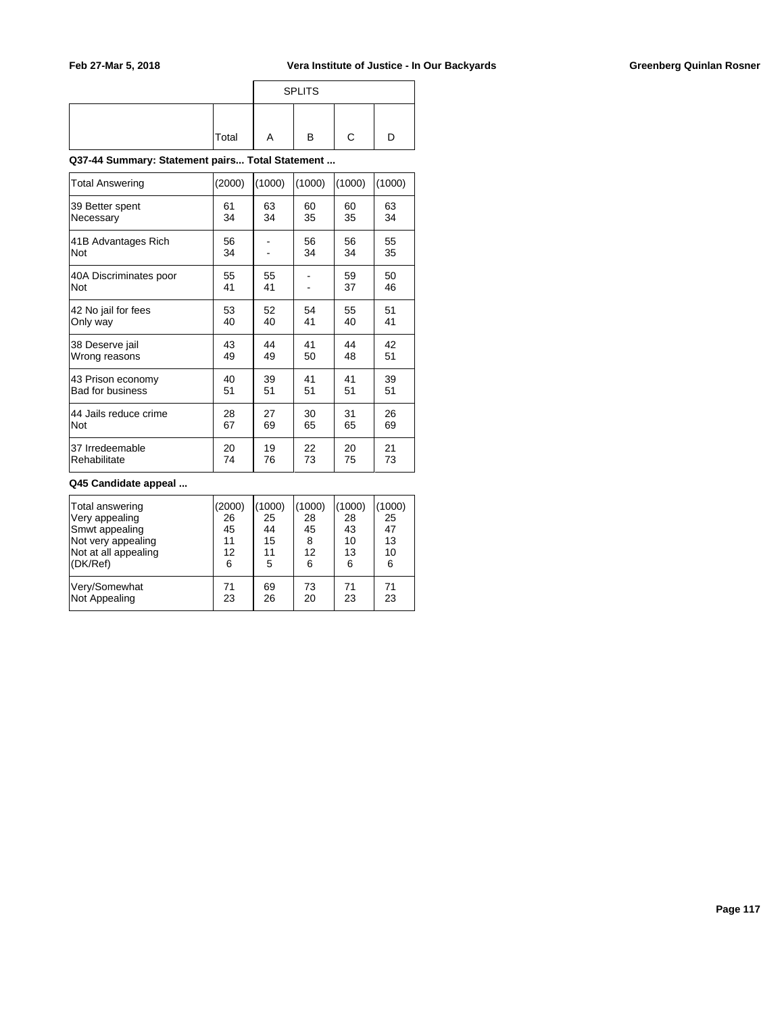|       |   | <b>SPLITS</b> |  |
|-------|---|---------------|--|
| Total | A | в             |  |

**Q37-44 Summary: Statement pairs... Total Statement ...**

| Total Answering         | (2000) | (1000) | (1000) | (1000) | (1000) |
|-------------------------|--------|--------|--------|--------|--------|
| 39 Better spent         | 61     | 63     | 60     | 60     | 63     |
| Necessary               | 34     | 34     | 35     | 35     | 34     |
| 41B Advantages Rich     | 56     |        | 56     | 56     | 55     |
| <b>Not</b>              | 34     |        | 34     | 34     | 35     |
| 40A Discriminates poor  | 55     | 55     |        | 59     | 50     |
| <b>Not</b>              | 41     | 41     |        | 37     | 46     |
| 42 No jail for fees     | 53     | 52     | 54     | 55     | 51     |
| Only way                | 40     | 40     | 41     | 40     | 41     |
| 38 Deserve jail         | 43     | 44     | 41     | 44     | 42     |
| Wrong reasons           | 49     | 49     | 50     | 48     | 51     |
| 43 Prison economy       | 40     | 39     | 41     | 41     | 39     |
| <b>Bad for business</b> | 51     | 51     | 51     | 51     | 51     |
| 44 Jails reduce crime   | 28     | 27     | 30     | 31     | 26     |
| Not                     | 67     | 69     | 65     | 65     | 69     |
| 37 Irredeemable         | 20     | 19     | 22     | 20     | 21     |
| Rehabilitate            | 74     | 76     | 73     | 75     | 73     |

### **Q45 Candidate appeal ...**

| Total answering      | (2000) | (1000) | (1000) | (1000) | (1000) |
|----------------------|--------|--------|--------|--------|--------|
| Very appealing       | 26     | 25     | 28     | 28     | 25     |
| Smwt appealing       | 45     | 44     | 45     | 43     | 47     |
| Not very appealing   | 11     | 15     | 8      | 10     | 13     |
| Not at all appealing | 12     | 11     | 12     | 13     | 10     |
| (DK/Ref)             | 6      | 5      | 6      | 6      | 6      |
| Very/Somewhat        | 71     | 69     | 73     | 71     | 71     |
| Not Appealing        | 23     | 26     | 20     | 23     | 23     |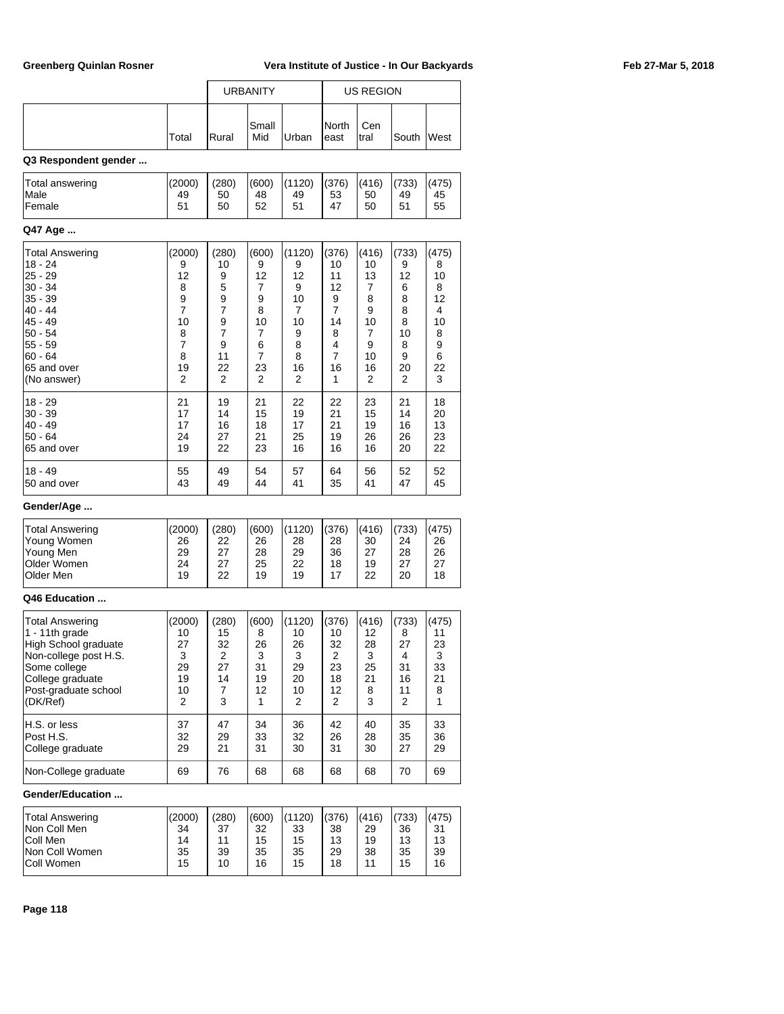|                                          |                    |                   | <b>URBANITY</b>   |                   |                   | <b>US REGION</b>  |                   |                   |  |
|------------------------------------------|--------------------|-------------------|-------------------|-------------------|-------------------|-------------------|-------------------|-------------------|--|
|                                          | Total              | Rural             | Small<br>Mid      | Urban             | North<br>east     | Cen<br>tral       | South             | West              |  |
| Q3 Respondent gender                     |                    |                   |                   |                   |                   |                   |                   |                   |  |
| <b>Total answering</b><br>Male<br>Female | (2000)<br>49<br>51 | (280)<br>50<br>50 | (600)<br>48<br>52 | 1120)<br>49<br>51 | (376)<br>53<br>47 | (416)<br>50<br>50 | (733)<br>49<br>51 | (475)<br>45<br>55 |  |
| Q47 Age                                  |                    |                   |                   |                   |                   |                   |                   |                   |  |
| <b>Total Answering</b><br>$18 - 21$      | (2000)<br>Q        | (280)<br>1 $\cap$ | (600)<br>a        | (1120)<br>a       | (376)<br>1 $\cap$ | (416)<br>1 $\cap$ | (733)<br>Q        | (475)<br>Ω        |  |

| 18 - 24     | 9                                     | 10            | 9              | 9              | 10             | 10 | 9  | 8  |
|-------------|---------------------------------------|---------------|----------------|----------------|----------------|----|----|----|
| $25 - 29$   | 12                                    | 9             | 12             | 12             | 11             | 13 | 12 | 10 |
| $30 - 34$   | 8                                     | 5             | 7              | 9              | 12             | 7  | 6  | 8  |
| $35 - 39$   | $\frac{9}{7}$                         | $\frac{9}{7}$ | 9              | 10             | 9              | 8  | 8  | 12 |
| 40 - 44     |                                       |               | 8              | $\overline{7}$ | $\overline{7}$ | 9  | 8  | 4  |
| 45 - 49     | 10                                    | $\frac{9}{7}$ | 10             | 10             | 14             | 10 | 8  | 10 |
| $50 - 54$   | $\begin{array}{c} 8 \\ 7 \end{array}$ |               | $\overline{7}$ | 9              | 8              | 7  | 10 | 8  |
| 55 - 59     |                                       | 9             | 6              | 8              | 4              | 9  | 8  | 9  |
| $60 - 64$   | 8                                     | 11            | $\overline{7}$ | 8              | $\overline{7}$ | 10 | 9  | 6  |
| 65 and over | 19                                    | 22            | 23             | 16             | 16             | 16 | 20 | 22 |
| (No answer) | 2                                     | 2             | 2              | 2              | 1              | 2  | 2  | 3  |
| $18 - 29$   | 21                                    | 19            | 21             | 22             | 22             | 23 | 21 | 18 |
| $30 - 39$   | 17                                    | 14            | 15             | 19             | 21             | 15 | 14 | 20 |
| $40 - 49$   | 17                                    | 16            | 18             | 17             | 21             | 19 | 16 | 13 |
| $50 - 64$   | 24                                    | 27            | 21             | 25             | 19             | 26 | 26 | 23 |
| 65 and over | 19                                    | 22            | 23             | 16             | 16             | 16 | 20 | 22 |
| $18 - 49$   | 55                                    | 49            | 54             | 57             | 64             | 56 | 52 | 52 |
| 50 and over | 43                                    | 49            | 44             | 41             | 35             | 41 | 47 | 45 |

## **Gender/Age ...**

| Total Answering    | (2000) | (280) | (600) | (1120) | (376) | (416) | (733) | (475) |
|--------------------|--------|-------|-------|--------|-------|-------|-------|-------|
| Young Women        | 26     | 22    | 26    | 28     | 28    | 30    | 24    | 26    |
| Young Men          | 29     | 27    | 28    | 29     | 36    | 27    | 28    | 26    |
| <b>Older Women</b> | 24     | 27    | 25    | 22     | 18    | 19    | っっ    | 27    |
| <b>Older Men</b>   | 19     | 22    | 19    | 19     |       | 22    | 20    | 18    |
|                    |        |       |       |        |       |       |       |       |

### **Q46 Education ...**

| <b>Total Answering</b><br>$1 - 11$ th grade<br>High School graduate<br>Non-college post H.S.<br>Some college<br>College graduate<br>Post-graduate school<br>(DK/Ref) | (2000)<br>10<br>27<br>3<br>29<br>19<br>10<br>2 | (280)<br>15<br>32<br>2<br>27<br>14<br>7<br>3 | (600)<br>8<br>26<br>3<br>31<br>19<br>12 | (1120)<br>10<br>26<br>3<br>29<br>20<br>10<br>2 | (376)<br>10<br>32<br>2<br>23<br>18<br>12<br>2 | (416)<br>12<br>28<br>3<br>25<br>21<br>8<br>3 | (733)<br>8<br>27<br>4<br>31<br>16<br>11<br>2 | (475)<br>11<br>23<br>3<br>33<br>21<br>8 |
|----------------------------------------------------------------------------------------------------------------------------------------------------------------------|------------------------------------------------|----------------------------------------------|-----------------------------------------|------------------------------------------------|-----------------------------------------------|----------------------------------------------|----------------------------------------------|-----------------------------------------|
| H.S. or less                                                                                                                                                         | 37                                             | 47                                           | 34                                      | 36                                             | 42                                            | 40                                           | 35                                           | 33                                      |
| Post H.S.                                                                                                                                                            | 32                                             | 29                                           | 33                                      | 32                                             | 26                                            | 28                                           | 35                                           | 36                                      |
| College graduate                                                                                                                                                     | 29                                             | 21                                           | 31                                      | 30                                             | 31                                            | 30                                           | 27                                           | 29                                      |
| Non-College graduate                                                                                                                                                 | 69                                             | 76                                           | 68                                      | 68                                             | 68                                            | 68                                           | 70                                           | 69                                      |

### **Gender/Education ...**

| <b>Total Answering</b> | (2000) | (280) | (600) | (1120) | (376) | (416) | (733) | (475) |
|------------------------|--------|-------|-------|--------|-------|-------|-------|-------|
| Non Coll Men           | 34     | 37    | 32    | 33     | 38    | 29    | 36    | 31    |
| Coll Men               | 14     |       | 15    | 15     | 13    | 19    | 13    | 13    |
| Non Coll Women         | 35     | 39    | 35    | 35     | 29    | 38    | 35    | 39    |
| <b>Coll Women</b>      | 15     | 10    | 16    | 15     | 18    | 44    | 15    | 16    |
|                        |        |       |       |        |       |       |       |       |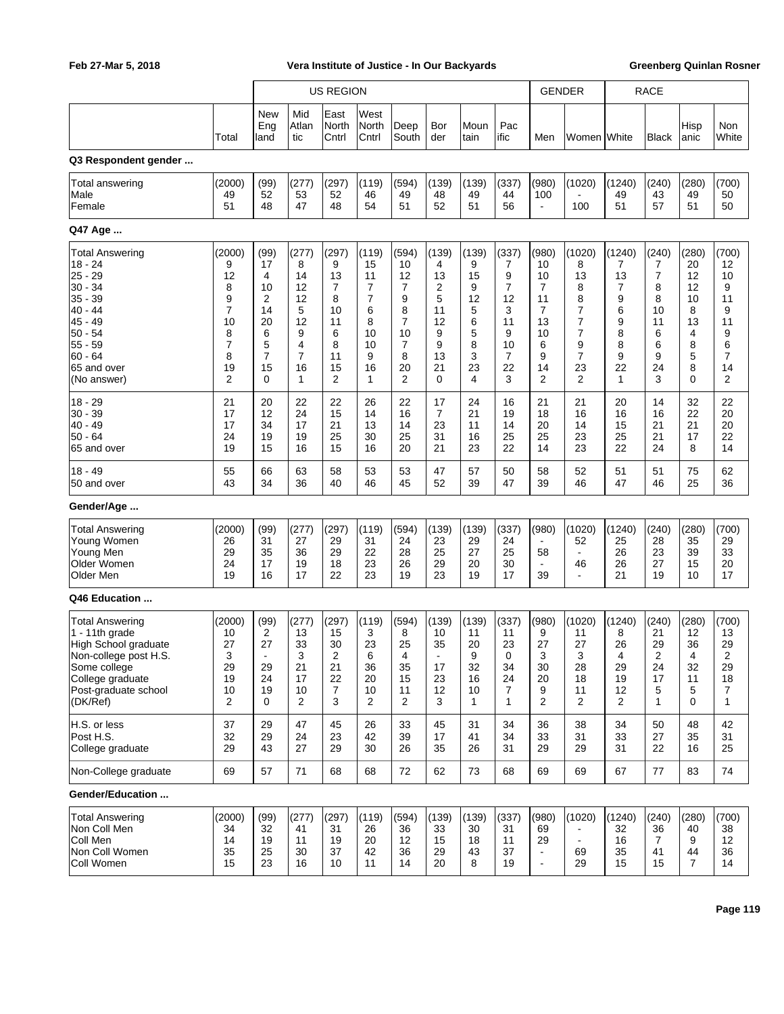|                                                                                                                                                                         |                                                                                                         | <b>US REGION</b>                                                              |                                                                   | <b>GENDER</b>                                                                  |                                                                   | <b>RACE</b>                                                                   |                                                                   |                                                                 |                                                                  |                                                                    |                                                                              |                                                                              |                                                                 |                                                                             |                                                                      |
|-------------------------------------------------------------------------------------------------------------------------------------------------------------------------|---------------------------------------------------------------------------------------------------------|-------------------------------------------------------------------------------|-------------------------------------------------------------------|--------------------------------------------------------------------------------|-------------------------------------------------------------------|-------------------------------------------------------------------------------|-------------------------------------------------------------------|-----------------------------------------------------------------|------------------------------------------------------------------|--------------------------------------------------------------------|------------------------------------------------------------------------------|------------------------------------------------------------------------------|-----------------------------------------------------------------|-----------------------------------------------------------------------------|----------------------------------------------------------------------|
|                                                                                                                                                                         |                                                                                                         |                                                                               |                                                                   |                                                                                |                                                                   |                                                                               |                                                                   |                                                                 |                                                                  |                                                                    |                                                                              |                                                                              |                                                                 |                                                                             |                                                                      |
|                                                                                                                                                                         | Total                                                                                                   | New<br>Eng<br>land                                                            | Mid<br>Atlan<br>tic                                               | East<br>North<br>Cntrl                                                         | West<br>North<br>Cntrl                                            | Deep<br>South                                                                 | Bor<br>der                                                        | Moun<br>tain                                                    | Pac<br>ific                                                      | Men                                                                | Women White                                                                  |                                                                              | <b>Black</b>                                                    | Hisp<br>anic                                                                | Non<br>White                                                         |
| Q3 Respondent gender                                                                                                                                                    |                                                                                                         |                                                                               |                                                                   |                                                                                |                                                                   |                                                                               |                                                                   |                                                                 |                                                                  |                                                                    |                                                                              |                                                                              |                                                                 |                                                                             |                                                                      |
| Total answering<br>Male<br>Female                                                                                                                                       | (2000)<br>49<br>51                                                                                      | (99)<br>52<br>48                                                              | (277)<br>53<br>47                                                 | (297)<br>52<br>48                                                              | (119)<br>46<br>54                                                 | (594)<br>49<br>51                                                             | (139)<br>48<br>52                                                 | (139)<br>49<br>51                                               | (337)<br>44<br>56                                                | (980)<br>100<br>$\blacksquare$                                     | (1020)<br>100                                                                | (1240)<br>49<br>51                                                           | (240)<br>43<br>57                                               | (280)<br>49<br>51                                                           | (700)<br>50<br>50                                                    |
| Q47 Age                                                                                                                                                                 |                                                                                                         |                                                                               |                                                                   |                                                                                |                                                                   |                                                                               |                                                                   |                                                                 |                                                                  |                                                                    |                                                                              |                                                                              |                                                                 |                                                                             |                                                                      |
| <b>Total Answering</b><br>$18 - 24$<br>$25 - 29$<br>$30 - 34$<br>$35 - 39$<br>$40 - 44$<br>$45 - 49$<br>$50 - 54$<br>$55 - 59$<br>60 - 64<br>65 and over<br>(No answer) | (2000)<br>9<br>12<br>8<br>9<br>$\overline{7}$<br>10<br>8<br>$\overline{7}$<br>8<br>19<br>$\overline{2}$ | (99)<br>17<br>4<br>10<br>2<br>14<br>20<br>6<br>5<br>$\overline{7}$<br>15<br>0 | (277)<br>8<br>14<br>12<br>12<br>5<br>12<br>9<br>4<br>7<br>16<br>1 | (297)<br>9<br>13<br>$\overline{7}$<br>8<br>10<br>11<br>6<br>8<br>11<br>15<br>2 | (119)<br>15<br>11<br>7<br>7<br>6<br>8<br>10<br>10<br>9<br>16<br>1 | (594)<br>10<br>12<br>7<br>9<br>8<br>$\overline{7}$<br>10<br>7<br>8<br>20<br>2 | (139)<br>4<br>13<br>2<br>5<br>11<br>12<br>9<br>9<br>13<br>21<br>0 | (139)<br>9<br>15<br>9<br>12<br>5<br>6<br>5<br>8<br>3<br>23<br>4 | (337)<br>7<br>9<br>7<br>12<br>3<br>11<br>9<br>10<br>7<br>22<br>3 | (980)<br>10<br>10<br>7<br>11<br>7<br>13<br>10<br>6<br>9<br>14<br>2 | (1020)<br>8<br>13<br>8<br>8<br>7<br>7<br>7<br>9<br>7<br>23<br>$\overline{2}$ | (1240)<br>7<br>13<br>$\overline{7}$<br>9<br>6<br>9<br>8<br>8<br>9<br>22<br>1 | (240)<br>7<br>7<br>8<br>8<br>10<br>11<br>6<br>6<br>9<br>24<br>3 | (280)<br>20<br>12<br>12<br>10<br>8<br>13<br>4<br>8<br>5<br>8<br>$\mathbf 0$ | (700)<br>12<br>10<br>9<br>11<br>9<br>11<br>9<br>6<br>7<br>14<br>2    |
| $18 - 29$<br>$30 - 39$<br>$40 - 49$<br>$50 - 64$<br>65 and over                                                                                                         | 21<br>17<br>17<br>24<br>19                                                                              | 20<br>12<br>34<br>19<br>15                                                    | 22<br>24<br>17<br>19<br>16                                        | 22<br>15<br>21<br>25<br>15                                                     | 26<br>14<br>13<br>30<br>16                                        | 22<br>16<br>14<br>25<br>20                                                    | 17<br>7<br>23<br>31<br>21                                         | 24<br>21<br>11<br>16<br>23                                      | 16<br>19<br>14<br>25<br>22                                       | 21<br>18<br>20<br>25<br>14                                         | 21<br>16<br>14<br>23<br>23                                                   | 20<br>16<br>15<br>25<br>22                                                   | 14<br>16<br>21<br>21<br>24                                      | 32<br>22<br>21<br>17<br>8                                                   | 22<br>20<br>20<br>22<br>14                                           |
| $18 - 49$<br>50 and over                                                                                                                                                | 55<br>43                                                                                                | 66<br>34                                                                      | 63<br>36                                                          | 58<br>40                                                                       | 53<br>46                                                          | 53<br>45                                                                      | 47<br>52                                                          | 57<br>39                                                        | 50<br>47                                                         | 58<br>39                                                           | 52<br>46                                                                     | 51<br>47                                                                     | 51<br>46                                                        | 75<br>25                                                                    | 62<br>36                                                             |
| Gender/Age                                                                                                                                                              |                                                                                                         |                                                                               |                                                                   |                                                                                |                                                                   |                                                                               |                                                                   |                                                                 |                                                                  |                                                                    |                                                                              |                                                                              |                                                                 |                                                                             |                                                                      |
| <b>Total Answering</b><br>Young Women<br>Young Men<br>Older Women<br>Older Men                                                                                          | (2000)<br>26<br>29<br>24<br>19                                                                          | (99)<br>31<br>35<br>17<br>16                                                  | (277)<br>27<br>36<br>19<br>17                                     | (297)<br>29<br>29<br>18<br>22                                                  | (119)<br>31<br>22<br>23<br>23                                     | (594)<br>24<br>28<br>26<br>19                                                 | (139)<br>23<br>25<br>29<br>23                                     | (139)<br>29<br>27<br>20<br>19                                   | (337)<br>24<br>25<br>30<br>17                                    | (980)<br>$\blacksquare$<br>58<br>٠<br>39                           | (1020)<br>52<br>$\blacksquare$<br>46<br>$\blacksquare$                       | (1240)<br>25<br>26<br>26<br>21                                               | (240)<br>28<br>23<br>27<br>19                                   | (280)<br>35<br>39<br>15<br>10                                               | (700)<br>29<br>33<br>20<br>17                                        |
| Q46 Education                                                                                                                                                           |                                                                                                         |                                                                               |                                                                   |                                                                                |                                                                   |                                                                               |                                                                   |                                                                 |                                                                  |                                                                    |                                                                              |                                                                              |                                                                 |                                                                             |                                                                      |
| <b>Total Answering</b><br>1 - 11th grade<br>High School graduate<br>Non-college post H.S.<br>Some college<br>College graduate<br>Post-graduate school<br>(DK/Ref)       | (2000)<br>10<br>27<br>3<br>29<br>19<br>10<br>2                                                          | (99)<br>2<br>27<br>$\blacksquare$<br>29<br>24<br>19<br>0                      | (277)<br>13<br>33<br>3<br>21<br>17<br>10<br>2                     | (297)<br>15<br>30<br>2<br>21<br>22<br>7<br>3                                   | (119)<br>3<br>23<br>6<br>36<br>20<br>10<br>2                      | (594)<br>8<br>25<br>4<br>35<br>15<br>11<br>2                                  | (139)<br>10<br>35<br>$\blacksquare$<br>17<br>23<br>12<br>3        | (139)<br>11<br>20<br>9<br>32<br>16<br>10<br>1                   | (337)<br>11<br>23<br>0<br>34<br>24<br>7<br>$\mathbf{1}$          | (980)<br>9<br>27<br>3<br>30<br>20<br>9<br>2                        | (1020)<br>11<br>27<br>3<br>28<br>18<br>11<br>$\overline{2}$                  | (1240)<br>8<br>26<br>4<br>29<br>19<br>12<br>$\overline{2}$                   | (240)<br>21<br>29<br>2<br>24<br>17<br>5<br>1                    | (280)<br>12<br>36<br>4<br>32<br>11<br>5<br>0                                | (700)<br>13<br>29<br>2<br>29<br>18<br>$\overline{7}$<br>$\mathbf{1}$ |
| H.S. or less<br>Post H.S.<br>College graduate                                                                                                                           | 37<br>32<br>29                                                                                          | 29<br>29<br>43                                                                | 47<br>24<br>27                                                    | 45<br>23<br>29                                                                 | 26<br>42<br>30                                                    | 33<br>39<br>26                                                                | 45<br>17<br>35                                                    | 31<br>41<br>26                                                  | 34<br>34<br>31                                                   | 36<br>33<br>29                                                     | 38<br>31<br>29                                                               | 34<br>33<br>31                                                               | 50<br>27<br>22                                                  | 48<br>35<br>16                                                              | 42<br>31<br>25                                                       |
| Non-College graduate                                                                                                                                                    | 69                                                                                                      | 57                                                                            | 71                                                                | 68                                                                             | 68                                                                | 72                                                                            | 62                                                                | 73                                                              | 68                                                               | 69                                                                 | 69                                                                           | 67                                                                           | 77                                                              | 83                                                                          | 74                                                                   |
| Gender/Education                                                                                                                                                        |                                                                                                         |                                                                               |                                                                   |                                                                                |                                                                   |                                                                               |                                                                   |                                                                 |                                                                  |                                                                    |                                                                              |                                                                              |                                                                 |                                                                             |                                                                      |
| <b>Total Answering</b><br>Non Coll Men<br>Coll Men<br>Non Coll Women<br>Coll Women                                                                                      | (2000)<br>34<br>14<br>35<br>15                                                                          | (99)<br>32<br>19<br>25<br>23                                                  | (277)<br>41<br>11<br>30<br>16                                     | (297)<br>31<br>19<br>37<br>10                                                  | (119)<br>26<br>20<br>42<br>11                                     | (594)<br>36<br>12<br>36<br>14                                                 | (139)<br>33<br>15<br>29<br>20                                     | (139)<br>30<br>18<br>43<br>8                                    | (337)<br>31<br>11<br>37<br>19                                    | (980)<br>69<br>29<br>$\blacksquare$<br>$\blacksquare$              | (1020)<br>$\blacksquare$<br>69<br>29                                         | (1240)<br>32<br>16<br>35<br>15                                               | (240)<br>36<br>$\overline{7}$<br>41<br>15                       | (280)<br>40<br>9<br>44<br>$\overline{7}$                                    | (700)<br>38<br>12<br>36<br>14                                        |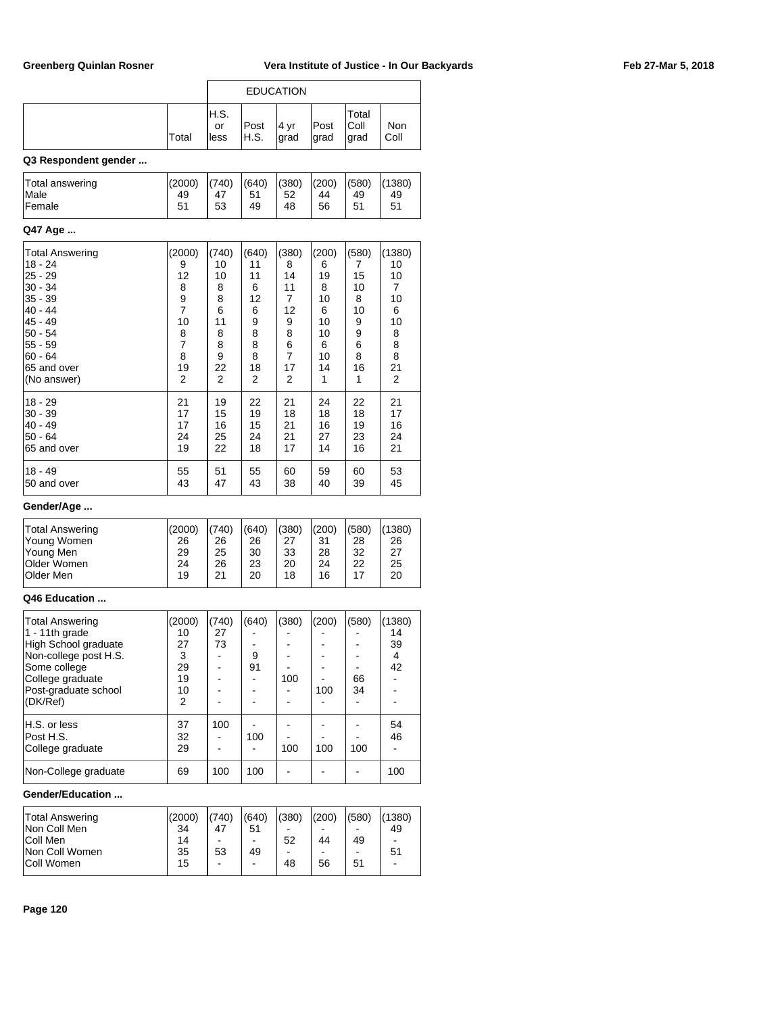|                      |       | <b>EDUCATION</b>     |               |              |              |                        |             |  |  |  |
|----------------------|-------|----------------------|---------------|--------------|--------------|------------------------|-------------|--|--|--|
|                      | Total | IH.S.<br>or<br>lless | Post<br>IH.S. | 4 yr<br>grad | Post<br>grad | Total<br>Coll<br> grad | Non<br>Coll |  |  |  |
| 02 Daonandant aandar |       |                      |               |              |              |                        |             |  |  |  |

### **Q3 Respondent gender ...**

| Total answering | (2000) | (740) | (640) | (380) | (200) | (580) | (1380) |
|-----------------|--------|-------|-------|-------|-------|-------|--------|
| <i>Male</i>     | 49     | 47    | 51    | 52    | 44    | 49    | 49     |
| <b>Female</b>   | 51     | 53    | 49    | 48    | 56    | 51    | 51     |

### **Q47 Age ...**

| Total Answering<br>18 - 24<br>$25 - 29$<br>$30 - 34$<br>$35 - 39$<br>$40 - 44$<br>$45 - 49$<br>$50 - 54$<br>$55 - 59$<br>$60 - 64$<br>65 and over<br>(No answer) | (2000)<br>9<br>12<br>8<br>$\frac{9}{7}$<br>10<br>8<br>$\overline{7}$<br>8<br>19<br>2 | (740)<br>10<br>10<br>8<br>8<br>6<br>11<br>8<br>8<br>9<br>22<br>2 | (640)<br>11<br>11<br>6<br>12<br>6<br>9<br>8<br>8<br>8<br>18<br>2 | (380)<br>8<br>14<br>11<br>$\overline{7}$<br>12<br>9<br>8<br>6<br>$\overline{7}$<br>17<br>2 | (200)<br>6<br>19<br>8<br>10<br>6<br>10<br>10<br>6<br>10<br>14<br>1 | (580)<br>7<br>15<br>10<br>8<br>10<br>9<br>9<br>6<br>8<br>16<br>1 | (1380)<br>10<br>10<br>7<br>10<br>6<br>10<br>8<br>8<br>8<br>21<br>2 |
|------------------------------------------------------------------------------------------------------------------------------------------------------------------|--------------------------------------------------------------------------------------|------------------------------------------------------------------|------------------------------------------------------------------|--------------------------------------------------------------------------------------------|--------------------------------------------------------------------|------------------------------------------------------------------|--------------------------------------------------------------------|
| $18 - 29$                                                                                                                                                        | 21                                                                                   | 19                                                               | 22                                                               | 21                                                                                         | 24                                                                 | 22                                                               | 21                                                                 |
| $30 - 39$                                                                                                                                                        | 17                                                                                   | 15                                                               | 19                                                               | 18                                                                                         | 18                                                                 | 18                                                               | 17                                                                 |
| $40 - 49$                                                                                                                                                        | 17                                                                                   | 16                                                               | 15                                                               | 21                                                                                         | 16                                                                 | 19                                                               | 16                                                                 |
| $50 - 64$                                                                                                                                                        | 24                                                                                   | 25                                                               | 24                                                               | 21                                                                                         | 27                                                                 | 23                                                               | 24                                                                 |
| 65 and over                                                                                                                                                      | 19                                                                                   | 22                                                               | 18                                                               | 17                                                                                         | 14                                                                 | 16                                                               | 21                                                                 |
| $18 - 49$                                                                                                                                                        | 55                                                                                   | 51                                                               | 55                                                               | 60                                                                                         | 59                                                                 | 60                                                               | 53                                                                 |
| 50 and over                                                                                                                                                      | 43                                                                                   | 47                                                               | 43                                                               | 38                                                                                         | 40                                                                 | 39                                                               | 45                                                                 |

## **Gender/Age ...**

|                        |        | 1(740) |       |       |       |       |        |  |
|------------------------|--------|--------|-------|-------|-------|-------|--------|--|
| <b>Total Answering</b> | (2000) |        | (640) | (380) | (200) | (580) | (1380) |  |
| Young Women            | 26     | 26     | 26    | 27    | 31    | 28    | 26     |  |
| Young Men              | 29     | 25     | 30    | 33    | 28    | 32    | 27     |  |
| <b>Older Women</b>     | 24     | 26     | 23    | 20    | 24    | 22    | 25     |  |
| <b>Older Men</b>       | 19     | 21     | 20    | 18    | 16    |       | 20     |  |
|                        |        |        |       |       |       |       |        |  |

### **Q46 Education ...**

| <b>Total Answering</b><br>$1 - 11$ th grade<br>High School graduate<br>Non-college post H.S.<br>Some college<br>College graduate<br>Post-graduate school | (2000)<br>10<br>27<br>3<br>29<br>19<br>10 | 740)<br>27<br>73 | (640)<br>9<br>91 | (380)<br>100 | (200)<br>100 | (580)<br>66<br>34 | (1380)<br>14<br>39<br>4<br>42 |
|----------------------------------------------------------------------------------------------------------------------------------------------------------|-------------------------------------------|------------------|------------------|--------------|--------------|-------------------|-------------------------------|
| (DK/Ref)<br>H.S. or less<br>Post H.S.<br>College graduate<br>Non-College graduate                                                                        | $\overline{2}$<br>37<br>32<br>29<br>69    | 100<br>100       | 100<br>100       | 100          | 100          | 100               | 54<br>46<br>100               |

### **Gender/Education ...**

| Total Answering   | (2000) | (740) | (640) | (380) | (200) | (580) | (1380)                   |
|-------------------|--------|-------|-------|-------|-------|-------|--------------------------|
| Non Coll Men      | 34     | 47    | 51    |       |       | -     | 49                       |
| Coll Men          | 14     |       |       | 52    | 44    | 49    | $\overline{\phantom{a}}$ |
| Non Coll Women    | 35     | 53    | 49    | -     |       | -     | 51                       |
| <b>Coll Women</b> | 15     |       | -     | 48    | 56    | 51    | $\overline{\phantom{a}}$ |
|                   |        |       |       |       |       |       |                          |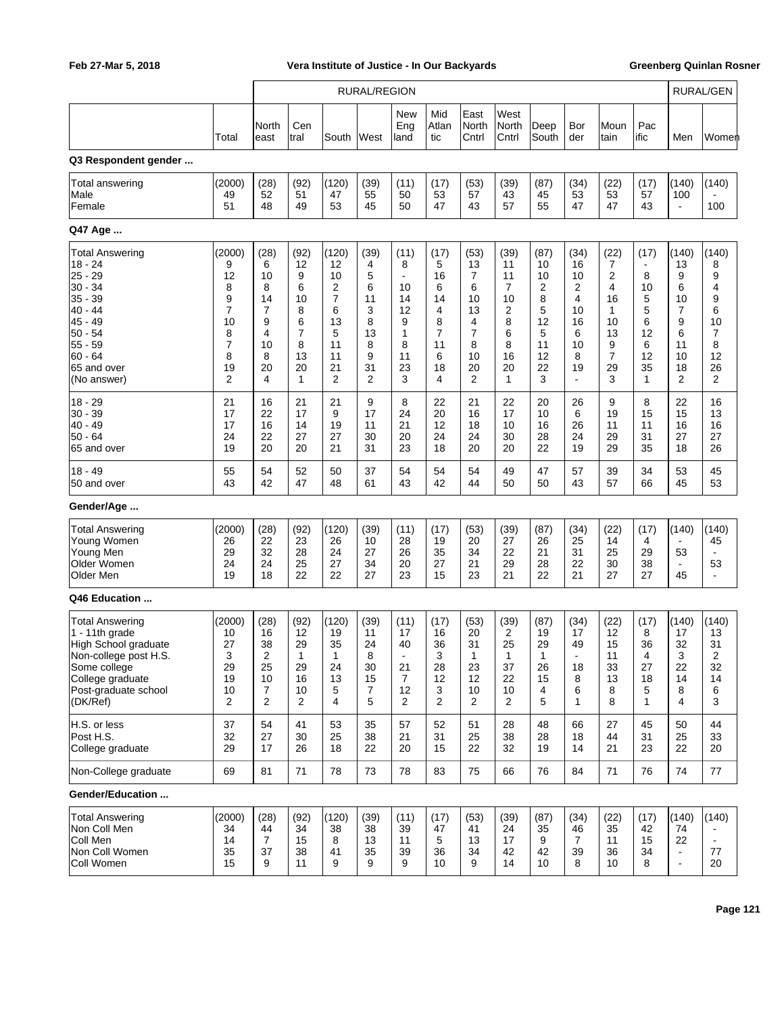|                                                                                                                                                                   |                                                                               | <b>RURAL/REGION</b>                                                          |                                                                              |                                                                                              |                                                                |                                                                                 |                                                                              |                                                                               |                                                                  |                                                                   |                                                                                |                                                                              |                                                                                        | <b>RURAL/GEN</b>                                                               |                                                                              |
|-------------------------------------------------------------------------------------------------------------------------------------------------------------------|-------------------------------------------------------------------------------|------------------------------------------------------------------------------|------------------------------------------------------------------------------|----------------------------------------------------------------------------------------------|----------------------------------------------------------------|---------------------------------------------------------------------------------|------------------------------------------------------------------------------|-------------------------------------------------------------------------------|------------------------------------------------------------------|-------------------------------------------------------------------|--------------------------------------------------------------------------------|------------------------------------------------------------------------------|----------------------------------------------------------------------------------------|--------------------------------------------------------------------------------|------------------------------------------------------------------------------|
|                                                                                                                                                                   | Total                                                                         | North<br>east                                                                | Cen<br>tral                                                                  | South                                                                                        | West                                                           | <b>New</b><br>Eng<br>land                                                       | Mid<br>Atlan<br>tic                                                          | East<br>North<br>Cntrl                                                        | West<br>North<br>Cntrl                                           | Deep<br>South                                                     | Bor<br>der                                                                     | Moun<br>tain                                                                 | Pac<br>ific                                                                            | Men                                                                            | Women                                                                        |
| Q3 Respondent gender                                                                                                                                              |                                                                               |                                                                              |                                                                              |                                                                                              |                                                                |                                                                                 |                                                                              |                                                                               |                                                                  |                                                                   |                                                                                |                                                                              |                                                                                        |                                                                                |                                                                              |
| Total answering<br>Male<br>Female                                                                                                                                 | (2000)<br>49<br>51                                                            | (28)<br>52<br>48                                                             | (92)<br>51<br>49                                                             | (120)<br>47<br>53                                                                            | (39)<br>55<br>45                                               | (11)<br>50<br>50                                                                | (17)<br>53<br>47                                                             | (53)<br>57<br>43                                                              | (39)<br>43<br>57                                                 | (87)<br>45<br>55                                                  | (34)<br>53<br>47                                                               | (22)<br>53<br>47                                                             | (17)<br>57<br>43                                                                       | (140)<br>100<br>$\blacksquare$                                                 | (140)<br>100                                                                 |
| Q47 Age                                                                                                                                                           |                                                                               |                                                                              |                                                                              |                                                                                              |                                                                |                                                                                 |                                                                              |                                                                               |                                                                  |                                                                   |                                                                                |                                                                              |                                                                                        |                                                                                |                                                                              |
| Total Answering<br>$18 - 24$<br>25 - 29<br>$30 - 34$<br>35 - 39<br>$40 - 44$<br>$45 - 49$<br>$50 - 54$<br>$55 - 59$<br>$60 - 64$<br>65 and over<br>(No answer)    | (2000)<br>9<br>12<br>8<br>9<br>$\overline{7}$<br>10<br>8<br>7<br>8<br>19<br>2 | (28)<br>6<br>10<br>8<br>14<br>$\overline{7}$<br>9<br>4<br>10<br>8<br>20<br>4 | (92)<br>12<br>9<br>6<br>10<br>8<br>6<br>$\overline{7}$<br>8<br>13<br>20<br>1 | (120)<br>12<br>10<br>2<br>$\overline{7}$<br>6<br>13<br>5<br>11<br>11<br>21<br>$\overline{2}$ | (39)<br>4<br>5<br>6<br>11<br>3<br>8<br>13<br>8<br>9<br>31<br>2 | (11)<br>8<br>$\blacksquare$<br>10<br>14<br>12<br>9<br>1<br>8<br>11<br>23<br>3   | (17)<br>5<br>16<br>6<br>14<br>4<br>8<br>$\overline{7}$<br>11<br>6<br>18<br>4 | (53)<br>13<br>7<br>6<br>10<br>13<br>4<br>$\overline{7}$<br>8<br>10<br>20<br>2 | (39)<br>11<br>11<br>7<br>10<br>2<br>8<br>6<br>8<br>16<br>20<br>1 | (87)<br>10<br>10<br>2<br>8<br>5<br>12<br>5<br>11<br>12<br>22<br>3 | (34)<br>16<br>10<br>2<br>4<br>10<br>16<br>6<br>10<br>8<br>19<br>$\blacksquare$ | (22)<br>7<br>2<br>4<br>16<br>1<br>10<br>13<br>9<br>$\overline{7}$<br>29<br>3 | (17)<br>$\overline{\phantom{a}}$<br>8<br>10<br>5<br>5<br>6<br>12<br>6<br>12<br>35<br>1 | (140)<br>13<br>9<br>6<br>10<br>7<br>9<br>6<br>11<br>10<br>18<br>$\overline{2}$ | (140)<br>8<br>9<br>4<br>9<br>6<br>10<br>$\overline{7}$<br>8<br>12<br>26<br>2 |
| $18 - 29$<br>$30 - 39$<br>$40 - 49$<br>$50 - 64$<br>65 and over                                                                                                   | 21<br>17<br>17<br>24<br>19                                                    | 16<br>22<br>16<br>22<br>20                                                   | 21<br>17<br>14<br>27<br>20                                                   | 21<br>9<br>19<br>27<br>21                                                                    | 9<br>17<br>11<br>30<br>31                                      | 8<br>24<br>21<br>20<br>23                                                       | 22<br>20<br>12<br>24<br>18                                                   | 21<br>16<br>18<br>24<br>20                                                    | 22<br>17<br>10<br>30<br>20                                       | 20<br>10<br>16<br>28<br>22                                        | 26<br>6<br>26<br>24<br>19                                                      | 9<br>19<br>11<br>29<br>29                                                    | 8<br>15<br>11<br>31<br>35                                                              | 22<br>15<br>16<br>27<br>18                                                     | 16<br>13<br>16<br>27<br>26                                                   |
| $18 - 49$<br>50 and over                                                                                                                                          | 55<br>43                                                                      | 54<br>42                                                                     | 52<br>47                                                                     | 50<br>48                                                                                     | 37<br>61                                                       | 54<br>43                                                                        | 54<br>42                                                                     | 54<br>44                                                                      | 49<br>50                                                         | 47<br>50                                                          | 57<br>43                                                                       | 39<br>57                                                                     | 34<br>66                                                                               | 53<br>45                                                                       | 45<br>53                                                                     |
| Gender/Age                                                                                                                                                        |                                                                               |                                                                              |                                                                              |                                                                                              |                                                                |                                                                                 |                                                                              |                                                                               |                                                                  |                                                                   |                                                                                |                                                                              |                                                                                        |                                                                                |                                                                              |
| <b>Total Answering</b><br>Young Women<br>Young Men<br>Older Women<br>Older Men                                                                                    | (2000)<br>26<br>29<br>24<br>19                                                | (28)<br>22<br>32<br>24<br>18                                                 | (92)<br>23<br>28<br>25<br>22                                                 | (120)<br>26<br>24<br>27<br>22                                                                | (39)<br>10<br>27<br>34<br>27                                   | (11)<br>28<br>26<br>20<br>23                                                    | (17)<br>19<br>35<br>27<br>15                                                 | (53)<br>20<br>34<br>21<br>23                                                  | (39)<br>27<br>22<br>29<br>21                                     | (87)<br>26<br>21<br>28<br>22                                      | (34)<br>25<br>31<br>22<br>21                                                   | (22)<br>14<br>25<br>30<br>27                                                 | (17)<br>4<br>29<br>38<br>27                                                            | (140)<br>$\blacksquare$<br>53<br>$\blacksquare$<br>45                          | (140)<br>45<br>53<br>$\overline{\phantom{a}}$                                |
| Q46 Education                                                                                                                                                     |                                                                               |                                                                              |                                                                              |                                                                                              |                                                                |                                                                                 |                                                                              |                                                                               |                                                                  |                                                                   |                                                                                |                                                                              |                                                                                        |                                                                                |                                                                              |
| <b>Total Answering</b><br>1 - 11th grade<br>High School graduate<br>Non-college post H.S.<br>Some college<br>College graduate<br>Post-graduate school<br>(DK/Ref) | (2000)<br>10<br>27<br>3<br>29<br>19<br>10<br>2                                | (28)<br>16<br>38<br>2<br>25<br>10<br>7<br>2                                  | (92)<br>12<br>29<br>1<br>29<br>16<br>10<br>2                                 | (120)<br>19<br>35<br>1<br>24<br>13<br>5<br>4                                                 | (39)<br>11<br>24<br>୪<br>30<br>15<br>7<br>5                    | (11)<br>17<br>40<br>$\overline{\phantom{a}}$<br>21<br>7<br>12<br>$\overline{2}$ | (17)<br>16<br>36<br>3<br>28<br>12<br>3<br>2                                  | (53)<br>20<br>31<br>1<br>23<br>12<br>10<br>2                                  | (39)<br>2<br>25<br>1<br>37<br>22<br>10<br>$\overline{2}$         | (87)<br>19<br>29<br>1<br>26<br>15<br>4<br>5                       | (34)<br>17<br>49<br>$\overline{\phantom{a}}$<br>18<br>8<br>6<br>1              | (22)<br>12<br>15<br>11<br>33<br>13<br>8<br>8                                 | (17)<br>8<br>36<br>4<br>27<br>18<br>5<br>1                                             | (140)<br>17<br>32<br>3<br>22<br>14<br>8<br>4                                   | (140)<br>13<br>31<br>2<br>32<br>14<br>6<br>3                                 |
| H.S. or less<br>Post H.S.<br>College graduate                                                                                                                     | 37<br>32<br>29                                                                | 54<br>27<br>17                                                               | 41<br>30<br>26                                                               | 53<br>25<br>18                                                                               | 35<br>38<br>22                                                 | 57<br>21<br>20                                                                  | 52<br>31<br>15                                                               | 51<br>25<br>22                                                                | 28<br>38<br>32                                                   | 48<br>28<br>19                                                    | 66<br>18<br>14                                                                 | 27<br>44<br>21                                                               | 45<br>31<br>23                                                                         | 50<br>25<br>22                                                                 | 44<br>33<br>20                                                               |
| Non-College graduate                                                                                                                                              | 69                                                                            | 81                                                                           | 71                                                                           | 78                                                                                           | 73                                                             | 78                                                                              | 83                                                                           | 75                                                                            | 66                                                               | 76                                                                | 84                                                                             | 71                                                                           | 76                                                                                     | 74                                                                             | 77                                                                           |
| Gender/Education                                                                                                                                                  |                                                                               |                                                                              |                                                                              |                                                                                              |                                                                |                                                                                 |                                                                              |                                                                               |                                                                  |                                                                   |                                                                                |                                                                              |                                                                                        |                                                                                |                                                                              |
| <b>Total Answering</b><br>Non Coll Men<br>Coll Men<br>Non Coll Women<br>Coll Women                                                                                | (2000)<br>34<br>14<br>35<br>15                                                | (28)<br>44<br>$\overline{7}$<br>37<br>9                                      | (92)<br>34<br>15<br>38<br>11                                                 | (120)<br>38<br>8<br>41<br>9                                                                  | (39)<br>38<br>13<br>35<br>9                                    | (11)<br>39<br>11<br>39<br>9                                                     | (17)<br>47<br>5<br>36<br>10                                                  | (53)<br>41<br>13<br>34<br>9                                                   | (39)<br>24<br>17<br>42<br>14                                     | (87)<br>35<br>9<br>42<br>10                                       | (34)<br>46<br>7<br>39<br>8                                                     | (22)<br>35<br>11<br>36<br>10                                                 | (17)<br>42<br>15<br>34<br>8                                                            | (140)<br>74<br>22<br>$\blacksquare$<br>$\blacksquare$                          | (140)<br>77<br>20                                                            |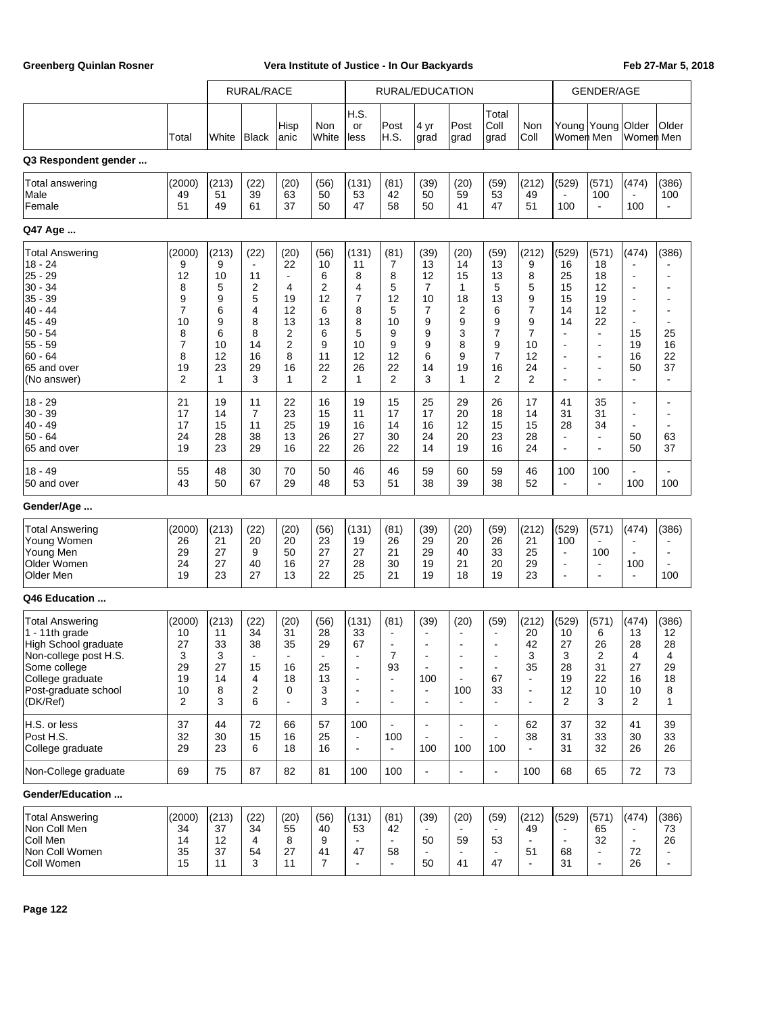|                                                                                                                                                                       |                                                                                            | RURAL/RACE                                                       |                                                                              |                                                                                 | RURAL/EDUCATION                                                  |                                                                              |                                                                                                           |                                                                                                                                   |                                                                                                         | <b>GENDER/AGE</b>                                                                                  |                                                                                           |                                                                                                                                               |                                                                                                                                                         |                                                                                                                                                                                 |                                                                                                                                        |
|-----------------------------------------------------------------------------------------------------------------------------------------------------------------------|--------------------------------------------------------------------------------------------|------------------------------------------------------------------|------------------------------------------------------------------------------|---------------------------------------------------------------------------------|------------------------------------------------------------------|------------------------------------------------------------------------------|-----------------------------------------------------------------------------------------------------------|-----------------------------------------------------------------------------------------------------------------------------------|---------------------------------------------------------------------------------------------------------|----------------------------------------------------------------------------------------------------|-------------------------------------------------------------------------------------------|-----------------------------------------------------------------------------------------------------------------------------------------------|---------------------------------------------------------------------------------------------------------------------------------------------------------|---------------------------------------------------------------------------------------------------------------------------------------------------------------------------------|----------------------------------------------------------------------------------------------------------------------------------------|
|                                                                                                                                                                       | Total                                                                                      | White                                                            | <b>Black</b>                                                                 | Hisp<br>anic                                                                    | Non<br>White                                                     | H.S.<br>or<br>less                                                           | Post<br>H.S.                                                                                              | 4 yr<br>grad                                                                                                                      | Post<br>grad                                                                                            | Total<br>Coll<br>grad                                                                              | Non<br>Coll                                                                               | Women Men                                                                                                                                     | Young Young                                                                                                                                             | <b>Older</b><br>Women Men                                                                                                                                                       | Older                                                                                                                                  |
| Q3 Respondent gender                                                                                                                                                  |                                                                                            |                                                                  |                                                                              |                                                                                 |                                                                  |                                                                              |                                                                                                           |                                                                                                                                   |                                                                                                         |                                                                                                    |                                                                                           |                                                                                                                                               |                                                                                                                                                         |                                                                                                                                                                                 |                                                                                                                                        |
| Total answering<br>Male<br>Female                                                                                                                                     | (2000)<br>49<br>51                                                                         | (213)<br>51<br>49                                                | (22)<br>39<br>61                                                             | (20)<br>63<br>37                                                                | (56)<br>50<br>50                                                 | (131)<br>53<br>47                                                            | (81)<br>42<br>58                                                                                          | (39)<br>50<br>50                                                                                                                  | (20)<br>59<br>41                                                                                        | (59)<br>53<br>47                                                                                   | (212)<br>49<br>51                                                                         | (529)<br>$\blacksquare$<br>100                                                                                                                | (571)<br>100<br>$\blacksquare$                                                                                                                          | (474)<br>100                                                                                                                                                                    | (386)<br>100<br>$\overline{\phantom{a}}$                                                                                               |
| Q47 Age                                                                                                                                                               |                                                                                            |                                                                  |                                                                              |                                                                                 |                                                                  |                                                                              |                                                                                                           |                                                                                                                                   |                                                                                                         |                                                                                                    |                                                                                           |                                                                                                                                               |                                                                                                                                                         |                                                                                                                                                                                 |                                                                                                                                        |
| <b>Total Answering</b><br>$18 - 24$<br>25 - 29<br>$30 - 34$<br>$35 - 39$<br>$40 - 44$<br>45 - 49<br>$50 - 54$<br>$55 - 59$<br>$60 - 64$<br>65 and over<br>(No answer) | (2000)<br>9<br>12<br>8<br>9<br>$\overline{7}$<br>10<br>8<br>7<br>8<br>19<br>$\overline{2}$ | (213)<br>9<br>10<br>5<br>9<br>6<br>9<br>6<br>10<br>12<br>23<br>1 | (22)<br>$\blacksquare$<br>11<br>2<br>5<br>4<br>8<br>8<br>14<br>16<br>29<br>3 | (20)<br>22<br>$\blacksquare$<br>4<br>19<br>12<br>13<br>2<br>2<br>8<br>16<br>1   | (56)<br>10<br>6<br>2<br>12<br>6<br>13<br>6<br>9<br>11<br>22<br>2 | (131)<br>11<br>8<br>4<br>7<br>8<br>8<br>5<br>10<br>12<br>26<br>1             | (81)<br>7<br>8<br>5<br>12<br>5<br>10<br>9<br>9<br>12<br>22<br>2                                           | (39)<br>13<br>12<br>7<br>10<br>7<br>9<br>9<br>9<br>6<br>14<br>3                                                                   | (20)<br>14<br>15<br>1<br>18<br>2<br>9<br>3<br>8<br>9<br>19<br>1                                         | (59)<br>13<br>13<br>5<br>13<br>6<br>9<br>7<br>9<br>$\overline{7}$<br>16<br>2                       | (212)<br>9<br>8<br>5<br>9<br>$\overline{7}$<br>9<br>$\overline{7}$<br>10<br>12<br>24<br>2 | (529)<br>16<br>25<br>15<br>15<br>14<br>14<br>$\blacksquare$<br>$\overline{\phantom{a}}$<br>$\blacksquare$<br>$\blacksquare$<br>$\blacksquare$ | (571)<br>18<br>18<br>12<br>19<br>12<br>22<br>$\blacksquare$<br>$\overline{\phantom{a}}$<br>$\blacksquare$<br>$\blacksquare$<br>$\overline{\phantom{a}}$ | (474)<br>$\blacksquare$<br>$\overline{\phantom{a}}$<br>$\blacksquare$<br>$\overline{\phantom{a}}$<br>$\blacksquare$<br>$\blacksquare$<br>15<br>19<br>16<br>50<br>$\blacksquare$ | (386)<br>٠<br>$\overline{a}$<br>$\overline{\phantom{a}}$<br>$\blacksquare$<br>$\blacksquare$<br>25<br>16<br>22<br>37<br>$\blacksquare$ |
| $18 - 29$<br>$30 - 39$<br>$40 - 49$<br>$50 - 64$<br>65 and over                                                                                                       | 21<br>17<br>17<br>24<br>19                                                                 | 19<br>14<br>15<br>28<br>23                                       | 11<br>7<br>11<br>38<br>29                                                    | 22<br>23<br>25<br>13<br>16                                                      | 16<br>15<br>19<br>26<br>22                                       | 19<br>11<br>16<br>27<br>26                                                   | 15<br>17<br>14<br>30<br>22                                                                                | 25<br>17<br>16<br>24<br>14                                                                                                        | 29<br>20<br>12<br>20<br>19                                                                              | 26<br>18<br>15<br>23<br>16                                                                         | 17<br>14<br>15<br>28<br>24                                                                | 41<br>31<br>28<br>$\blacksquare$<br>$\blacksquare$                                                                                            | 35<br>31<br>34<br>$\blacksquare$<br>$\blacksquare$                                                                                                      | $\overline{\phantom{a}}$<br>$\blacksquare$<br>$\blacksquare$<br>50<br>50                                                                                                        | $\overline{\phantom{a}}$<br>$\blacksquare$<br>$\overline{\phantom{a}}$<br>63<br>37                                                     |
| 18 - 49<br>50 and over                                                                                                                                                | 55<br>43                                                                                   | 48<br>50                                                         | 30<br>67                                                                     | 70<br>29                                                                        | 50<br>48                                                         | 46<br>53                                                                     | 46<br>51                                                                                                  | 59<br>38                                                                                                                          | 60<br>39                                                                                                | 59<br>38                                                                                           | 46<br>52                                                                                  | 100<br>$\blacksquare$                                                                                                                         | 100<br>$\blacksquare$                                                                                                                                   | $\blacksquare$<br>100                                                                                                                                                           | 100                                                                                                                                    |
| Gender/Age                                                                                                                                                            |                                                                                            |                                                                  |                                                                              |                                                                                 |                                                                  |                                                                              |                                                                                                           |                                                                                                                                   |                                                                                                         |                                                                                                    |                                                                                           |                                                                                                                                               |                                                                                                                                                         |                                                                                                                                                                                 |                                                                                                                                        |
| <b>Total Answering</b><br>Young Women<br>Young Men<br>Older Women<br>Older Men                                                                                        | (2000)<br>26<br>29<br>24<br>19                                                             | (213)<br>21<br>27<br>27<br>23                                    | (22)<br>20<br>9<br>40<br>27                                                  | (20)<br>20<br>50<br>16<br>13                                                    | (56)<br>23<br>27<br>27<br>22                                     | (131)<br>19<br>27<br>28<br>25                                                | (81)<br>26<br>21<br>30<br>21                                                                              | (39)<br>29<br>29<br>19<br>19                                                                                                      | (20)<br>20<br>40<br>21<br>18                                                                            | (59)<br>26<br>33<br>20<br>19                                                                       | (212)<br>21<br>25<br>29<br>23                                                             | (529)<br>100<br>$\blacksquare$<br>$\blacksquare$<br>$\overline{\phantom{a}}$                                                                  | (571)<br>$\blacksquare$<br>100<br>$\blacksquare$<br>$\blacksquare$                                                                                      | (474)<br>$\overline{\phantom{a}}$<br>$\blacksquare$<br>100<br>$\blacksquare$                                                                                                    | (386)<br>÷<br>$\overline{\phantom{a}}$<br>$\blacksquare$<br>100                                                                        |
| Q46 Education                                                                                                                                                         |                                                                                            |                                                                  |                                                                              |                                                                                 |                                                                  |                                                                              |                                                                                                           |                                                                                                                                   |                                                                                                         |                                                                                                    |                                                                                           |                                                                                                                                               |                                                                                                                                                         |                                                                                                                                                                                 |                                                                                                                                        |
| <b>Total Answering</b><br>$1 - 11$ th grade<br>High School graduate<br>Non-college post H.S.<br>Some college<br>College graduate<br>Post-graduate school<br>(DK/Ref)  | (2000)<br>10<br>27<br>3<br>29<br>19<br>10<br>$\overline{2}$                                | (213)<br>11<br>33<br>3<br>27<br>14<br>8<br>3                     | (22)<br>34<br>38<br>۰<br>15<br>4<br>$\overline{2}$<br>6                      | (20)<br>31<br>35<br>$\overline{\phantom{a}}$<br>16<br>18<br>0<br>$\overline{a}$ | (56)<br>28<br>29<br>25<br>13<br>3<br>3                           | (131)<br>33<br>67<br>$\blacksquare$<br>$\blacksquare$<br>$\blacksquare$<br>÷ | (81)<br>$\blacksquare$<br>$\blacksquare$<br>7<br>93<br>$\blacksquare$<br>$\blacksquare$<br>$\blacksquare$ | (39)<br>$\blacksquare$<br>$\blacksquare$<br>$\overline{\phantom{a}}$<br>$\blacksquare$<br>100<br>$\blacksquare$<br>$\blacksquare$ | (20)<br>$\blacksquare$<br>$\overline{\phantom{a}}$<br>$\overline{\phantom{a}}$<br>100<br>$\blacksquare$ | (59)<br>$\blacksquare$<br>$\overline{\phantom{a}}$<br>$\overline{a}$<br>$\blacksquare$<br>67<br>33 | (212)<br>20<br>42<br>3<br>35<br>÷,<br>$\blacksquare$<br>$\overline{a}$                    | (529)<br>10<br>27<br>3<br>28<br>19<br>12<br>2                                                                                                 | (571)<br>6<br>26<br>$\mathbf{z}$<br>31<br>22<br>10<br>3                                                                                                 | (474)<br>13<br>28<br>4<br>27<br>16<br>10<br>2                                                                                                                                   | (386)<br>12<br>28<br>4<br>29<br>18<br>8<br>$\mathbf{1}$                                                                                |
| H.S. or less<br>Post H.S.<br>College graduate                                                                                                                         | 37<br>32<br>29                                                                             | 44<br>30<br>23                                                   | 72<br>15<br>6                                                                | 66<br>16<br>18                                                                  | 57<br>25<br>16                                                   | 100<br>$\blacksquare$<br>$\blacksquare$                                      | $\blacksquare$<br>100<br>$\blacksquare$                                                                   | $\blacksquare$<br>$\sim$<br>100                                                                                                   | $\blacksquare$<br>100                                                                                   | $\overline{\phantom{a}}$<br>$\sim$<br>100                                                          | 62<br>38                                                                                  | 37<br>31<br>31                                                                                                                                | 32<br>33<br>32                                                                                                                                          | 41<br>30<br>26                                                                                                                                                                  | 39<br>33<br>26                                                                                                                         |
| Non-College graduate                                                                                                                                                  | 69                                                                                         | 75                                                               | 87                                                                           | 82                                                                              | 81                                                               | 100                                                                          | 100                                                                                                       | ٠                                                                                                                                 | $\overline{\phantom{a}}$                                                                                | $\blacksquare$                                                                                     | 100                                                                                       | 68                                                                                                                                            | 65                                                                                                                                                      | 72                                                                                                                                                                              | 73                                                                                                                                     |
| Gender/Education                                                                                                                                                      |                                                                                            |                                                                  |                                                                              |                                                                                 |                                                                  |                                                                              |                                                                                                           |                                                                                                                                   |                                                                                                         |                                                                                                    |                                                                                           |                                                                                                                                               |                                                                                                                                                         |                                                                                                                                                                                 |                                                                                                                                        |
| <b>Total Answering</b><br>Non Coll Men<br>Coll Men<br>Non Coll Women<br>Coll Women                                                                                    | (2000)<br>34<br>14<br>35<br>15                                                             | (213)<br>37<br>12<br>37<br>11                                    | (22)<br>34<br>4<br>54<br>3                                                   | (20)<br>55<br>8<br>27<br>11                                                     | (56)<br>40<br>9<br>41<br>$\overline{7}$                          | (131)<br>53<br>$\blacksquare$<br>47<br>ä,                                    | (81)<br>42<br>$\blacksquare$<br>58<br>$\sim$                                                              | (39)<br>50<br>50                                                                                                                  | (20)<br>59<br>41                                                                                        | (59)<br>53<br>47                                                                                   | (212)<br>49<br>$\blacksquare$<br>51<br>ä,                                                 | (529)<br>$\blacksquare$<br>68<br>31                                                                                                           | (571)<br>65<br>32<br>$\blacksquare$<br>$\blacksquare$                                                                                                   | (474)<br>$\blacksquare$<br>$\blacksquare$<br>72<br>26                                                                                                                           | (386)<br>73<br>26<br>$\blacksquare$<br>$\blacksquare$                                                                                  |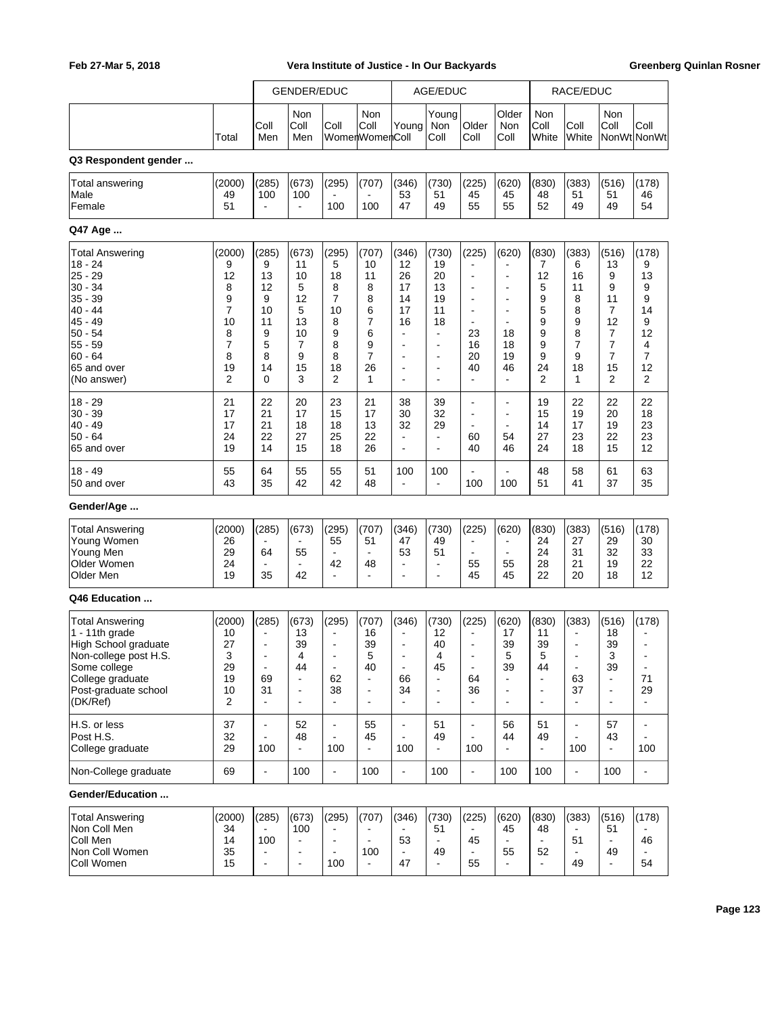|                                                                                                                                                                         |                                                                  |                                                                                                                       | <b>GENDER/EDUC</b>                                                                 |                                                                                                                                     |                                                                                      |                                                                                                                         | AGE/EDUC                                                                                                                          |                                                                                                                                                                       |                                                                                                                              |                                                                                    | RACE/EDUC                                                                                                   |                                                                                              |                                                                                                     |
|-------------------------------------------------------------------------------------------------------------------------------------------------------------------------|------------------------------------------------------------------|-----------------------------------------------------------------------------------------------------------------------|------------------------------------------------------------------------------------|-------------------------------------------------------------------------------------------------------------------------------------|--------------------------------------------------------------------------------------|-------------------------------------------------------------------------------------------------------------------------|-----------------------------------------------------------------------------------------------------------------------------------|-----------------------------------------------------------------------------------------------------------------------------------------------------------------------|------------------------------------------------------------------------------------------------------------------------------|------------------------------------------------------------------------------------|-------------------------------------------------------------------------------------------------------------|----------------------------------------------------------------------------------------------|-----------------------------------------------------------------------------------------------------|
|                                                                                                                                                                         | Total                                                            | Coll<br>Men                                                                                                           | Non<br>Coll<br>Men                                                                 | Coll                                                                                                                                | Non<br>Coll<br>WomenWomenColl                                                        | Young                                                                                                                   | Young<br>Non<br>Coll                                                                                                              | Older<br>Coll                                                                                                                                                         | Older<br>Non<br>Coll                                                                                                         | Non<br>Coll<br>White                                                               | Coll<br>White                                                                                               | Non<br>Coll                                                                                  | Coll<br>NonWt NonWt                                                                                 |
| Q3 Respondent gender                                                                                                                                                    |                                                                  |                                                                                                                       |                                                                                    |                                                                                                                                     |                                                                                      |                                                                                                                         |                                                                                                                                   |                                                                                                                                                                       |                                                                                                                              |                                                                                    |                                                                                                             |                                                                                              |                                                                                                     |
| Total answering<br>Male<br>Female                                                                                                                                       | (2000)<br>49<br>51                                               | (285)<br>100<br>$\blacksquare$                                                                                        | (673)<br>100<br>$\blacksquare$                                                     | (295)<br>100                                                                                                                        | (707)<br>100                                                                         | (346)<br>53<br>47                                                                                                       | (730)<br>51<br>49                                                                                                                 | (225)<br>45<br>55                                                                                                                                                     | (620)<br>45<br>55                                                                                                            | (830)<br>48<br>52                                                                  | (383)<br>51<br>49                                                                                           | (516)<br>51<br>49                                                                            | (178)<br>46<br>54                                                                                   |
| Q47 Age                                                                                                                                                                 |                                                                  |                                                                                                                       |                                                                                    |                                                                                                                                     |                                                                                      |                                                                                                                         |                                                                                                                                   |                                                                                                                                                                       |                                                                                                                              |                                                                                    |                                                                                                             |                                                                                              |                                                                                                     |
| <b>Total Answering</b><br>$18 - 24$<br>$25 - 29$<br>$30 - 34$<br>35 - 39<br>$40 - 44$<br>$45 - 49$<br>$50 - 54$<br>$55 - 59$<br>$60 - 64$<br>65 and over<br>(No answer) | (2000)<br>9<br>12<br>8<br>9<br>7<br>10<br>8<br>7<br>8<br>19<br>2 | (285)<br>9<br>13<br>12<br>9<br>10<br>11<br>9<br>5<br>8<br>14<br>0                                                     | (673)<br>11<br>10<br>5<br>12<br>5<br>13<br>10<br>7<br>9<br>15<br>3                 | (295)<br>5<br>18<br>8<br>7<br>10<br>8<br>9<br>8<br>8<br>18<br>2                                                                     | (707)<br>10<br>11<br>8<br>8<br>6<br>7<br>6<br>9<br>7<br>26<br>1                      | (346)<br>12<br>26<br>17<br>14<br>17<br>16<br>$\overline{a}$<br>$\overline{a}$<br>$\overline{a}$<br>÷.<br>$\overline{a}$ | (730)<br>19<br>20<br>13<br>19<br>11<br>18<br>$\mathbf{r}$<br>$\blacksquare$<br>$\blacksquare$<br>$\blacksquare$<br>$\blacksquare$ | (225)<br>$\overline{\phantom{a}}$<br>$\blacksquare$<br>$\blacksquare$<br>$\blacksquare$<br>$\blacksquare$<br>$\blacksquare$<br>23<br>16<br>20<br>40<br>$\blacksquare$ | (620)<br>$\overline{a}$<br>$\blacksquare$<br>$\overline{a}$<br>$\blacksquare$<br>$\overline{a}$<br>18<br>18<br>19<br>46<br>÷ | (830)<br>7<br>12<br>5<br>9<br>5<br>9<br>9<br>9<br>9<br>24<br>$\overline{2}$        | (383)<br>6<br>16<br>11<br>8<br>8<br>9<br>8<br>$\overline{7}$<br>9<br>18<br>1                                | (516)<br>13<br>9<br>9<br>11<br>7<br>12<br>7<br>$\overline{7}$<br>7<br>15<br>2                | (178)<br>9<br>13<br>9<br>9<br>14<br>9<br>12<br>4<br>7<br>12<br>2                                    |
| $18 - 29$<br>$30 - 39$<br>$40 - 49$<br>$50 - 64$<br>65 and over                                                                                                         | 21<br>17<br>17<br>24<br>19                                       | 22<br>21<br>21<br>22<br>14                                                                                            | 20<br>17<br>18<br>27<br>15                                                         | 23<br>15<br>18<br>25<br>18                                                                                                          | 21<br>17<br>13<br>22<br>26                                                           | 38<br>30<br>32<br>$\overline{\phantom{a}}$<br>÷.                                                                        | 39<br>32<br>29<br>$\blacksquare$<br>$\blacksquare$                                                                                | $\blacksquare$<br>$\blacksquare$<br>$\blacksquare$<br>60<br>40                                                                                                        | $\blacksquare$<br>$\blacksquare$<br>$\blacksquare$<br>54<br>46                                                               | 19<br>15<br>14<br>27<br>24                                                         | 22<br>19<br>17<br>23<br>18                                                                                  | 22<br>20<br>19<br>22<br>15                                                                   | 22<br>18<br>23<br>23<br>12                                                                          |
| $18 - 49$<br>50 and over                                                                                                                                                | 55<br>43                                                         | 64<br>35                                                                                                              | 55<br>42                                                                           | 55<br>42                                                                                                                            | 51<br>48                                                                             | 100                                                                                                                     | 100<br>$\blacksquare$                                                                                                             | 100                                                                                                                                                                   | 100                                                                                                                          | 48<br>51                                                                           | 58<br>41                                                                                                    | 61<br>37                                                                                     | 63<br>35                                                                                            |
| Gender/Age                                                                                                                                                              |                                                                  |                                                                                                                       |                                                                                    |                                                                                                                                     |                                                                                      |                                                                                                                         |                                                                                                                                   |                                                                                                                                                                       |                                                                                                                              |                                                                                    |                                                                                                             |                                                                                              |                                                                                                     |
| <b>Total Answering</b><br>Young Women<br>Young Men<br>Older Women<br>Older Men                                                                                          | (2000)<br>26<br>29<br>24<br>19                                   | (285)<br>64<br>35                                                                                                     | (673)<br>55<br>$\overline{\phantom{a}}$<br>42                                      | (295)<br>55<br>$\overline{\phantom{a}}$<br>42<br>$\blacksquare$                                                                     | (707)<br>51<br>$\overline{\phantom{a}}$<br>48<br>$\blacksquare$                      | (346)<br>47<br>53<br>$\blacksquare$<br>$\blacksquare$                                                                   | (730)<br>49<br>51<br>$\blacksquare$<br>$\blacksquare$                                                                             | (225)<br>$\overline{\phantom{0}}$<br>۰<br>55<br>45                                                                                                                    | (620)<br>$\blacksquare$<br>$\blacksquare$<br>55<br>45                                                                        | (830)<br>24<br>24<br>28<br>22                                                      | (383)<br>27<br>31<br>21<br>20                                                                               | (516)<br>29<br>32<br>19<br>18                                                                | (178)<br>30<br>33<br>22<br>12                                                                       |
| Q46 Education                                                                                                                                                           |                                                                  |                                                                                                                       |                                                                                    |                                                                                                                                     |                                                                                      |                                                                                                                         |                                                                                                                                   |                                                                                                                                                                       |                                                                                                                              |                                                                                    |                                                                                                             |                                                                                              |                                                                                                     |
| <b>Total Answering</b><br>1 - 11th grade<br>High School graduate<br>Non-college post H.S.<br>Some college<br>College graduate<br>Post-graduate school<br>(DK/Ref)       | (2000)<br>10<br>27<br>3<br>29<br>19<br>10<br>2                   | (285)<br>$\overline{a}$<br>$\blacksquare$<br>$\overline{\phantom{a}}$<br>$\blacksquare$<br>69<br>31<br>$\blacksquare$ | (673)<br>13<br>39<br>4<br>44<br>$\blacksquare$<br>$\blacksquare$<br>$\blacksquare$ | (295)<br>$\qquad \qquad \blacksquare$<br>$\blacksquare$<br>$\overline{\phantom{a}}$<br>$\blacksquare$<br>62<br>38<br>$\blacksquare$ | (707)<br>16<br>39<br>5<br>40<br>÷,<br>$\qquad \qquad \blacksquare$<br>$\blacksquare$ | (346)<br>٠<br>$\overline{a}$<br>$\qquad \qquad \blacksquare$<br>$\blacksquare$<br>66<br>34<br>$\blacksquare$            | (730)<br>12<br>40<br>4<br>45<br>$\blacksquare$<br>$\blacksquare$<br>$\blacksquare$                                                | (225)<br>$\overline{\phantom{a}}$<br>$\blacksquare$<br>$\overline{\phantom{a}}$<br>$\blacksquare$<br>64<br>36<br>$\blacksquare$                                       | (620)<br>17<br>39<br>5<br>39<br>$\blacksquare$<br>$\blacksquare$                                                             | (830)<br>11<br>39<br>5<br>44<br>$\blacksquare$<br>$\blacksquare$<br>$\blacksquare$ | (383)<br>$\blacksquare$<br>$\blacksquare$<br>$\blacksquare$<br>$\blacksquare$<br>63<br>37<br>$\blacksquare$ | (516)<br>18<br>39<br>3<br>39<br>$\overline{\phantom{a}}$<br>$\blacksquare$<br>$\blacksquare$ | (178)<br>$\blacksquare$<br>$\overline{\phantom{a}}$<br>$\blacksquare$<br>71<br>29<br>$\blacksquare$ |
| H.S. or less<br>Post H.S.<br>College graduate                                                                                                                           | 37<br>32<br>29                                                   | $\blacksquare$<br>100                                                                                                 | 52<br>48<br>$\blacksquare$                                                         | $\blacksquare$<br>$\overline{\phantom{a}}$<br>100                                                                                   | 55<br>45<br>$\overline{a}$                                                           | $\blacksquare$<br>100                                                                                                   | 51<br>49<br>$\Box$                                                                                                                | $\blacksquare$<br>100                                                                                                                                                 | 56<br>44<br>$\blacksquare$                                                                                                   | 51<br>49<br>$\blacksquare$                                                         | $\blacksquare$<br>100                                                                                       | 57<br>43<br>$\blacksquare$                                                                   | $\blacksquare$<br>$\blacksquare$<br>100                                                             |
| Non-College graduate                                                                                                                                                    | 69                                                               | $\blacksquare$                                                                                                        | 100                                                                                | $\frac{1}{2}$                                                                                                                       | 100                                                                                  | $\blacksquare$                                                                                                          | 100                                                                                                                               | $\blacksquare$                                                                                                                                                        | 100                                                                                                                          | 100                                                                                | $\Box$                                                                                                      | 100                                                                                          | $\frac{1}{2}$                                                                                       |
| Gender/Education                                                                                                                                                        |                                                                  |                                                                                                                       |                                                                                    |                                                                                                                                     |                                                                                      |                                                                                                                         |                                                                                                                                   |                                                                                                                                                                       |                                                                                                                              |                                                                                    |                                                                                                             |                                                                                              |                                                                                                     |
| <b>Total Answering</b><br>Non Coll Men<br>Coll Men<br>Non Coll Women<br>Coll Women                                                                                      | (2000)<br>34<br>14<br>35<br>15                                   | (285)<br>100                                                                                                          | (673)<br>100<br>$\blacksquare$<br>$\blacksquare$<br>$\blacksquare$                 | (295)<br>$\blacksquare$<br>$\overline{\phantom{a}}$<br>$\overline{\phantom{a}}$<br>100                                              | (707)<br>$\blacksquare$<br>100                                                       | (346)<br>53<br>47                                                                                                       | (730)<br>51<br>$\blacksquare$<br>49<br>$\blacksquare$                                                                             | (225)<br>45<br>55                                                                                                                                                     | (620)<br>45<br>$\blacksquare$<br>55                                                                                          | (830)<br>48<br>$\blacksquare$<br>52                                                | (383)<br>51<br>49                                                                                           | (516)<br>51<br>$\mathbf{r}$<br>49<br>÷.                                                      | (178)<br>46<br>Ξ.<br>54                                                                             |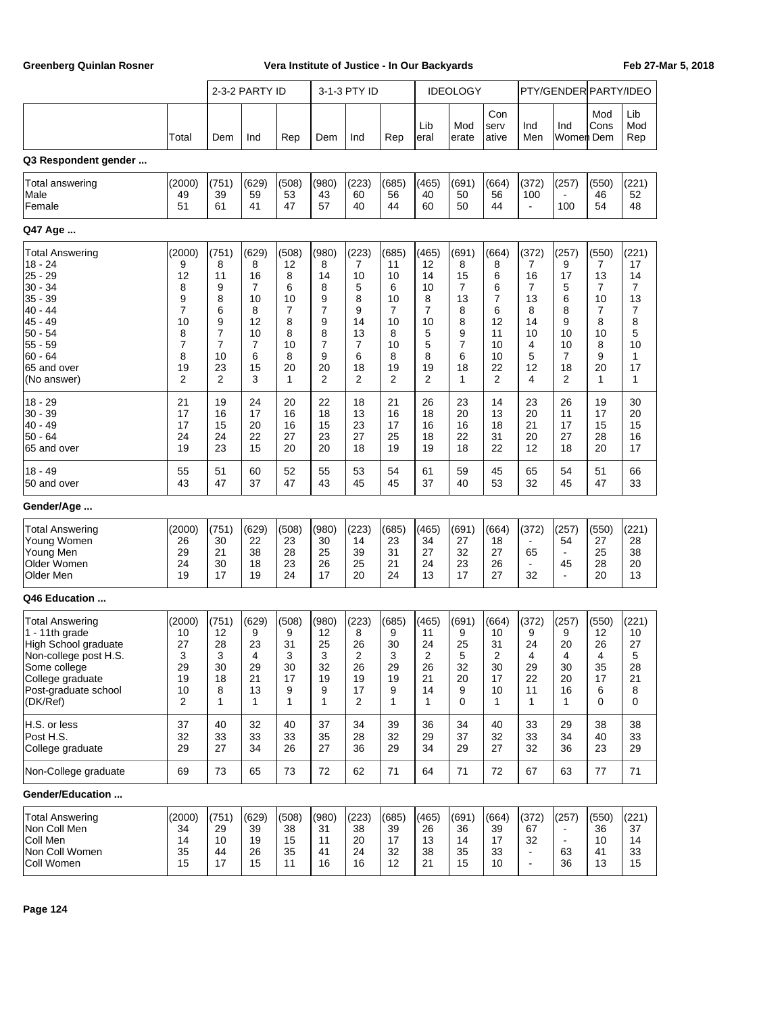|                                                                                                                                                                       |                                                                               |                                                                 | 2-3-2 PARTY ID                                                    |                                                                  |                                                                             | 3-1-3 PTY ID                                                     |                                                                    |                                                                   | <b>IDEOLOGY</b>                                                 |                                                                                |                                                                   | PTY/GENDER PARTY/IDEO                                                         |                                                                            |                                                                   |
|-----------------------------------------------------------------------------------------------------------------------------------------------------------------------|-------------------------------------------------------------------------------|-----------------------------------------------------------------|-------------------------------------------------------------------|------------------------------------------------------------------|-----------------------------------------------------------------------------|------------------------------------------------------------------|--------------------------------------------------------------------|-------------------------------------------------------------------|-----------------------------------------------------------------|--------------------------------------------------------------------------------|-------------------------------------------------------------------|-------------------------------------------------------------------------------|----------------------------------------------------------------------------|-------------------------------------------------------------------|
|                                                                                                                                                                       | Total                                                                         | Dem                                                             | Ind                                                               | Rep                                                              | Dem                                                                         | Ind                                                              | Rep                                                                | Lib<br>eral                                                       | Mod<br>erate                                                    | Con<br>serv<br>ative                                                           | Ind<br>Men                                                        | Ind<br>Women  Dem                                                             | Mod<br>Cons                                                                | Lib<br>Mod<br>Rep                                                 |
| Q3 Respondent gender                                                                                                                                                  |                                                                               |                                                                 |                                                                   |                                                                  |                                                                             |                                                                  |                                                                    |                                                                   |                                                                 |                                                                                |                                                                   |                                                                               |                                                                            |                                                                   |
| <b>Total answering</b><br>Male<br>Female                                                                                                                              | (2000)<br>49<br>51                                                            | (751)<br>39<br>61                                               | (629)<br>59<br>41                                                 | (508)<br>53<br>47                                                | (980)<br>43<br>57                                                           | (223)<br>60<br>40                                                | (685)<br>56<br>44                                                  | (465)<br>40<br>60                                                 | (691)<br>50<br>50                                               | (664)<br>56<br>44                                                              | (372)<br>100<br>$\blacksquare$                                    | (257)<br>100                                                                  | (550)<br>46<br>54                                                          | (221)<br>52<br>48                                                 |
| Q47 Age                                                                                                                                                               |                                                                               |                                                                 |                                                                   |                                                                  |                                                                             |                                                                  |                                                                    |                                                                   |                                                                 |                                                                                |                                                                   |                                                                               |                                                                            |                                                                   |
| <b>Total Answering</b><br> 18 - 24<br>$25 - 29$<br>$30 - 34$<br>$35 - 39$<br>40 - 44<br>$45 - 49$<br>$50 - 54$<br>$55 - 59$<br> 60 - 64<br>65 and over<br>(No answer) | (2000)<br>9<br>12<br>8<br>9<br>7<br>10<br>8<br>7<br>8<br>19<br>$\overline{2}$ | (751)<br>8<br>11<br>9<br>8<br>6<br>9<br>7<br>7<br>10<br>23<br>2 | (629)<br>8<br>16<br>7<br>10<br>8<br>12<br>10<br>7<br>6<br>15<br>3 | (508)<br>12<br>8<br>6<br>10<br>7<br>8<br>8<br>10<br>8<br>20<br>1 | (980)<br>8<br>14<br>8<br>9<br>7<br>9<br>8<br>7<br>9<br>20<br>$\overline{2}$ | (223)<br>7<br>10<br>5<br>8<br>9<br>14<br>13<br>7<br>6<br>18<br>2 | (685)<br>11<br>10<br>6<br>10<br>7<br>10<br>8<br>10<br>8<br>19<br>2 | (465)<br>12<br>14<br>10<br>8<br>7<br>10<br>5<br>5<br>8<br>19<br>2 | (691)<br>8<br>15<br>7<br>13<br>8<br>8<br>9<br>7<br>6<br>18<br>1 | (664)<br>8<br>6<br>6<br>7<br>6<br>12<br>11<br>10<br>10<br>22<br>$\overline{2}$ | (372)<br>7<br>16<br>7<br>13<br>8<br>14<br>10<br>4<br>5<br>12<br>4 | (257)<br>9<br>17<br>5<br>6<br>8<br>9<br>10<br>10<br>$\overline{7}$<br>18<br>2 | (550)<br>7<br>13<br>7<br>10<br>7<br>8<br>10<br>8<br>9<br>20<br>$\mathbf 1$ | (221)<br>17<br>14<br>7<br>13<br>7<br>8<br>5<br>10<br>1<br>17<br>1 |
| $18 - 29$<br>$30 - 39$<br>40 - 49<br>$50 - 64$<br>65 and over                                                                                                         | 21<br>17<br>17<br>24<br>19                                                    | 19<br>16<br>15<br>24<br>23                                      | 24<br>17<br>20<br>22<br>15                                        | 20<br>16<br>16<br>27<br>20                                       | 22<br>18<br>15<br>23<br>20                                                  | 18<br>13<br>23<br>27<br>18                                       | 21<br>16<br>17<br>25<br>19                                         | 26<br>18<br>16<br>18<br>19                                        | 23<br>20<br>16<br>22<br>18                                      | 14<br>13<br>18<br>31<br>22                                                     | 23<br>20<br>21<br>20<br>12                                        | 26<br>11<br>17<br>27<br>18                                                    | 19<br>17<br>15<br>28<br>20                                                 | 30<br>20<br>15<br>16<br>17                                        |
| 18 - 49<br>50 and over                                                                                                                                                | 55<br>43                                                                      | 51<br>47                                                        | 60<br>37                                                          | 52<br>47                                                         | 55<br>43                                                                    | 53<br>45                                                         | 54<br>45                                                           | 61<br>37                                                          | 59<br>40                                                        | 45<br>53                                                                       | 65<br>32                                                          | 54<br>45                                                                      | 51<br>47                                                                   | 66<br>33                                                          |
| Gender/Age                                                                                                                                                            |                                                                               |                                                                 |                                                                   |                                                                  |                                                                             |                                                                  |                                                                    |                                                                   |                                                                 |                                                                                |                                                                   |                                                                               |                                                                            |                                                                   |
| <b>Total Answering</b><br>Young Women<br>Young Men<br>Older Women<br>Older Men                                                                                        | (2000)<br>26<br>29<br>24<br>19                                                | (751)<br>30<br>21<br>30<br>17                                   | (629)<br>22<br>38<br>18<br>19                                     | (508)<br>23<br>28<br>23<br>24                                    | (980)<br>30<br>25<br>26<br>17                                               | (223)<br>14<br>39<br>25<br>20                                    | (685)<br>23<br>31<br>21<br>24                                      | (465)<br>34<br>27<br>24<br>13                                     | (691)<br>27<br>32<br>23<br>17                                   | (664)<br>18<br>27<br>26<br>27                                                  | (372)<br>65<br>$\overline{\phantom{a}}$<br>32                     | (257)<br>54<br>45<br>$\overline{\phantom{a}}$                                 | (550)<br>27<br>25<br>28<br>20                                              | (221)<br>28<br>38<br>20<br>13                                     |
| Q46 Education                                                                                                                                                         |                                                                               |                                                                 |                                                                   |                                                                  |                                                                             |                                                                  |                                                                    |                                                                   |                                                                 |                                                                                |                                                                   |                                                                               |                                                                            |                                                                   |
| <b>Total Answering</b><br>$ 1 - 11$ th grade<br>High School graduate<br>Non-college post H.S.<br>Some college<br>College graduate<br>Post-graduate school<br>(DK/Ref) | (2000)<br>10<br>27<br>3<br>29<br>19<br>10<br>2                                | (751)<br>12<br>28<br>3<br>30<br>18<br>8<br>1                    | (629)<br>9<br>23<br>4<br>29<br>21<br>13<br>1                      | (508)<br>9<br>31<br>3<br>30<br>17<br>9<br>$\mathbf{1}$           | (980)<br>12<br>25<br>3<br>32<br>19<br>9<br>1                                | (223)<br>8<br>26<br>2<br>26<br>19<br>17<br>2                     | (685)<br>9<br>30<br>3<br>29<br>19<br>9<br>1                        | (465)<br>11<br>24<br>2<br>26<br>21<br>14<br>1                     | (691)<br>9<br>25<br>5<br>32<br>20<br>9<br>0                     | (664)<br>10<br>31<br>2<br>30<br>17<br>10<br>1                                  | (372)<br>9<br>24<br>4<br>29<br>22<br>11<br>1                      | (257)<br>9<br>20<br>4<br>30<br>20<br>16<br>1                                  | (550)<br>12<br>26<br>4<br>35<br>17<br>6<br>0                               | (221)<br>10<br>27<br>5<br>28<br>21<br>8<br>0                      |
| H.S. or less<br>Post H.S.<br>College graduate                                                                                                                         | 37<br>32<br>29                                                                | 40<br>33<br>27                                                  | 32<br>33<br>34                                                    | 40<br>33<br>26                                                   | 37<br>35<br>27                                                              | 34<br>28<br>36                                                   | 39<br>32<br>29                                                     | 36<br>29<br>34                                                    | 34<br>37<br>29                                                  | 40<br>32<br>27                                                                 | 33<br>33<br>32                                                    | 29<br>34<br>36                                                                | 38<br>40<br>23                                                             | 38<br>33<br>29                                                    |
| Non-College graduate                                                                                                                                                  | 69                                                                            | 73                                                              | 65                                                                | 73                                                               | 72                                                                          | 62                                                               | 71                                                                 | 64                                                                | 71                                                              | 72                                                                             | 67                                                                | 63                                                                            | 77                                                                         | 71                                                                |
| Gender/Education                                                                                                                                                      |                                                                               |                                                                 |                                                                   |                                                                  |                                                                             |                                                                  |                                                                    |                                                                   |                                                                 |                                                                                |                                                                   |                                                                               |                                                                            |                                                                   |
| <b>Total Answering</b><br>Non Coll Men<br>Coll Men<br>Non Coll Women<br>Coll Women                                                                                    | (2000)<br>34<br>14<br>35<br>15                                                | (751)<br>29<br>10<br>44<br>17                                   | (629)<br>39<br>19<br>26<br>15                                     | (508)<br>38<br>15<br>35<br>11                                    | (980)<br>31<br>11<br>41<br>16                                               | (223)<br>38<br>20<br>24<br>16                                    | (685)<br>39<br>17<br>32<br>12                                      | (465)<br>26<br>13<br>38<br>21                                     | (691)<br>36<br>14<br>35<br>15                                   | (664)<br>39<br>17<br>33<br>10                                                  | (372)<br>67<br>32<br>$\overline{a}$<br>$\blacksquare$             | (257)<br>$\blacksquare$<br>63<br>36                                           | (550)<br>36<br>10<br>41<br>13                                              | (221)<br>37<br>14<br>33<br>15                                     |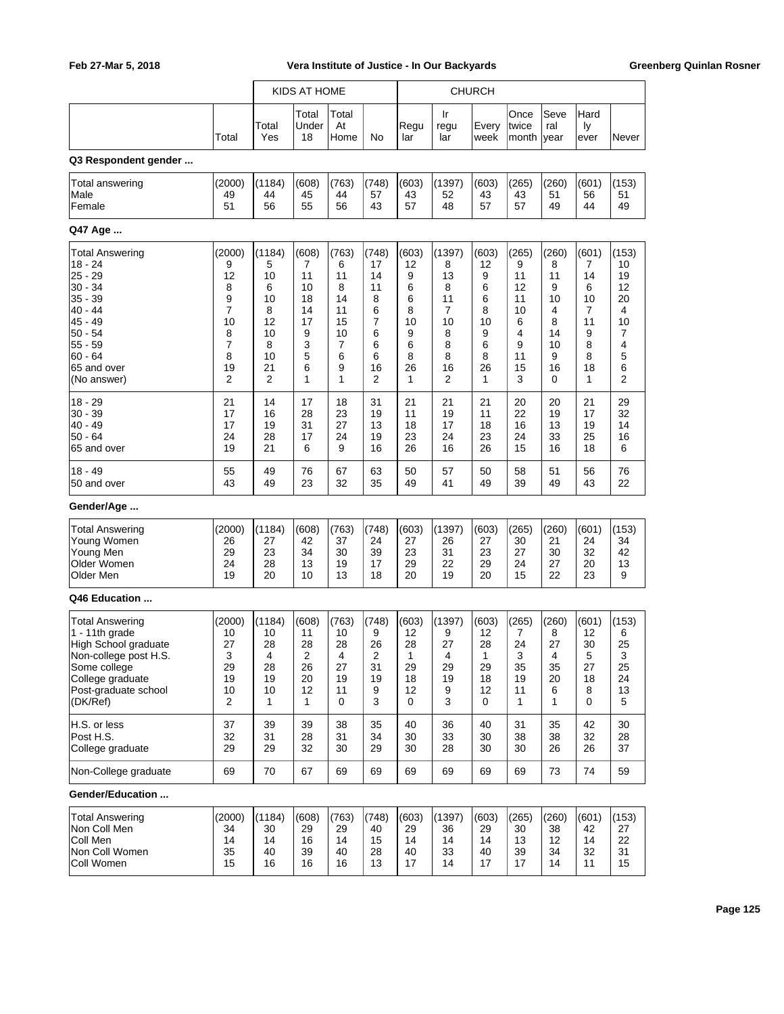|                        |                |              | KIDS AT HOME         |                     |                |             |                   | <b>CHURCH</b> |                        |                     |                    |                |
|------------------------|----------------|--------------|----------------------|---------------------|----------------|-------------|-------------------|---------------|------------------------|---------------------|--------------------|----------------|
|                        | Total          | Total<br>Yes | Total<br>Under<br>18 | Total<br>At<br>Home | No             | Regu<br>lar | Ir<br>regu<br>lar | Every<br>week | Once<br>twice<br>month | Seve<br>ral<br>year | Hard<br>ly<br>ever | Never          |
| Q3 Respondent gender   |                |              |                      |                     |                |             |                   |               |                        |                     |                    |                |
| Total answering        | (2000)         | (1184)       | (608)                | (763)               | (748)          | (603)       | (1397)            | (603)         | (265)                  | (260)               | (601)              | (153)          |
| Male                   | 49             | 44           | 45                   | 44                  | 57             | 43          | 52                | 43            | 43                     | 51                  | 56                 | 51             |
| Female                 | 51             | 56           | 55                   | 56                  | 43             | 57          | 48                | 57            | 57                     | 49                  | 44                 | 49             |
| Q47 Age                |                |              |                      |                     |                |             |                   |               |                        |                     |                    |                |
| <b>Total Answering</b> | (2000)         | (1184)       | (608)                | (763)               | (748)          | (603)       | (1397)            | (603)         | (265)                  | (260)               | (601)              | (153)          |
| $18 - 24$              | 9              | 5            | 7                    | 6                   | 17             | 12          | 8                 | 12            | 9                      | 8                   | 7                  | 10             |
| $25 - 29$              | 12             | 10           | 11                   | 11                  | 14             | 9           | 13                | 9             | 11                     | 11                  | 14                 | 19             |
| $30 - 34$              | 8              | 6            | 10                   | 8                   | 11             | 6           | 8                 | 6             | 12                     | 9                   | 6                  | 12             |
| 35 - 39                | 9              | 10           | 18                   | 14                  | 8              | 6           | 11                | 6             | 11                     | 10                  | 10                 | 20             |
| 40 - 44                | 7              | 8            | 14                   | 11                  | 6              | 8           | 7                 | 8             | 10                     | 4                   | $\overline{7}$     | 4              |
| 45 - 49                | 10             | 12           | 17                   | 15                  | 7              | 10          | 10                | 10            | 6                      | 8                   | 11                 | 10             |
| $50 - 54$              | 8              | 10           | 9                    | 10                  | 6              | 9           | 8                 | 9             | 4                      | 14                  | 9                  | 7              |
| $55 - 59$              | 7              | 8            | 3                    | 7                   | 6              | 6           | 8                 | 6             | 9                      | 10                  | 8                  | 4              |
| $60 - 64$              | 8              | 10           | 5                    | 6                   | 6              | 8           | 8                 | 8             | 11                     | 9                   | 8                  | 5              |
| 65 and over            | 19             | 21           | 6                    | 9                   | 16             | 26          | 16                | 26            | 15                     | 16                  | 18                 | 6              |
| (No answer)            | $\overline{2}$ | 2            | 1                    | 1                   | $\overline{2}$ | 1           | 2                 | 1             | 3                      | $\mathbf 0$         | 1                  | $\overline{2}$ |
| $18 - 29$              | 21             | 14           | 17                   | 18                  | 31             | 21          | 21                | 21            | 20                     | 20                  | 21                 | 29             |
| $30 - 39$              | 17             | 16           | 28                   | 23                  | 19             | 11          | 19                | 11            | 22                     | 19                  | 17                 | 32             |
| $40 - 49$              | 17             | 19           | 31                   | 27                  | 13             | 18          | 17                | 18            | 16                     | 13                  | 19                 | 14             |
| $50 - 64$              | 24             | 28           | 17                   | 24                  | 19             | 23          | 24                | 23            | 24                     | 33                  | 25                 | 16             |
| 65 and over            | 19             | 21           | 6                    | 9                   | 16             | 26          | 16                | 26            | 15                     | 16                  | 18                 | 6              |
| $18 - 49$              | 55             | 49           | 76                   | 67                  | 63             | 50          | 57                | 50            | 58                     | 51                  | 56                 | 76             |
| 50 and over            | 43             | 49           | 23                   | 32                  | 35             | 49          | 41                | 49            | 39                     | 49                  | 43                 | 22             |
| Gender/Age             |                |              |                      |                     |                |             |                   |               |                        |                     |                    |                |
| <b>Total Answering</b> | (2000)         | (1184)       | (608)                | (763)               | (748)          | (603)       | (1397)            | (603)         | (265)                  | (260)               | (601)              | (153)          |
| Young Women            | 26             | 27           | 42                   | 37                  | 24             | 27          | 26                | 27            | 30                     | 21                  | 24                 | 34             |
| Young Men              | 29             | 23           | 34                   | 30                  | 39             | 23          | 31                | 23            | 27                     | 30                  | 32                 | 42             |
| Older Women            | 24             | 28           | 13                   | 19                  | 17             | 29          | 22                | 29            | 24                     | 27                  | 20                 | 13             |
| Older Men              | 19             | 20           | 10                   | 13                  | 18             | 20          | 19                | 20            | 15                     | 22                  | 23                 | 9              |
| Q46 Education          |                |              |                      |                     |                |             |                   |               |                        |                     |                    |                |
| <b>Total Answering</b> | (2000)         | (1184)       | (608)                | (763)               | (748)          | (603)       | (1397)            | (603)         | (265)                  | (260)               | (601)              | (153)          |
| 1 - 11th grade         | 10             | 10           | 11                   | 10                  | 9              | 12          | 9                 | 12            | 7                      | 8                   | 12                 | 6              |
| High School graduate   | 27             | 28           | 28                   | 28                  | 26             | 28          | 27                | 28            | 24                     | 27                  | 30                 | 25             |
| Non-college post H.S.  | 3              | 4            | 2                    | 4                   | 2              | 1           | 4                 | 1             | 3.                     | 4                   | 5                  | 3              |
| Some college           | 29             | 28           | 26                   | 27                  | 31             | 29          | 29                | 29            | 35                     | 35                  | 27                 | 25             |
| College graduate       | 19             | 19           | 20                   | 19                  | 19             | 18          | 19                | 18            | 19                     | 20                  | 18                 | 24             |
| Post-graduate school   | 10             | 10           | 12                   | 11                  | 9              | 12          | 9                 | 12            | 11                     | 6                   | 8                  | 13             |
| (DK/Ref)               | 2              | 1            | 1                    | 0                   | 3              | 0           | 3                 | 0             | 1                      | 1                   | 0                  | 5              |
| H.S. or less           | 37             | 39           | 39                   | 38                  | 35             | 40          | 36                | 40            | 31                     | 35                  | 42                 | 30             |
| Post H.S.              | 32             | 31           | 28                   | 31                  | 34             | 30          | 33                | 30            | 38                     | 38                  | 32                 | 28             |
| College graduate       | 29             | 29           | 32                   | 30                  | 29             | 30          | 28                | 30            | 30                     | 26                  | 26                 | 37             |
| Non-College graduate   | 69             | 70           | 67                   | 69                  | 69             | 69          | 69                | 69            | 69                     | 73                  | 74                 | 59             |
| Gender/Education       |                |              |                      |                     |                |             |                   |               |                        |                     |                    |                |
| <b>Total Answering</b> | (2000)         | (1184)       | (608)                | (763)               | (748)          | (603)       | (1397)            | (603)         | (265)                  | (260)               | (601)              | (153)          |
| Non Coll Men           | 34             | 30           | 29                   | 29                  | 40             | 29          | 36                | 29            | 30                     | 38                  | 42                 | 27             |
| Coll Men               | 14             | 14           | 16                   | 14                  | 15             | 14          | 14                | 14            | 13                     | 12                  | 14                 | 22             |
| Non Coll Women         | 35             | 40           | 39                   | 40                  | 28             | 40          | 33                | 40            | 39                     | 34                  | 32                 | 31             |
| Coll Women             | 15             | 16           | 16                   | 16                  | 13             | 17          | 14                | 17            | 17                     | 14                  | 11                 | 15             |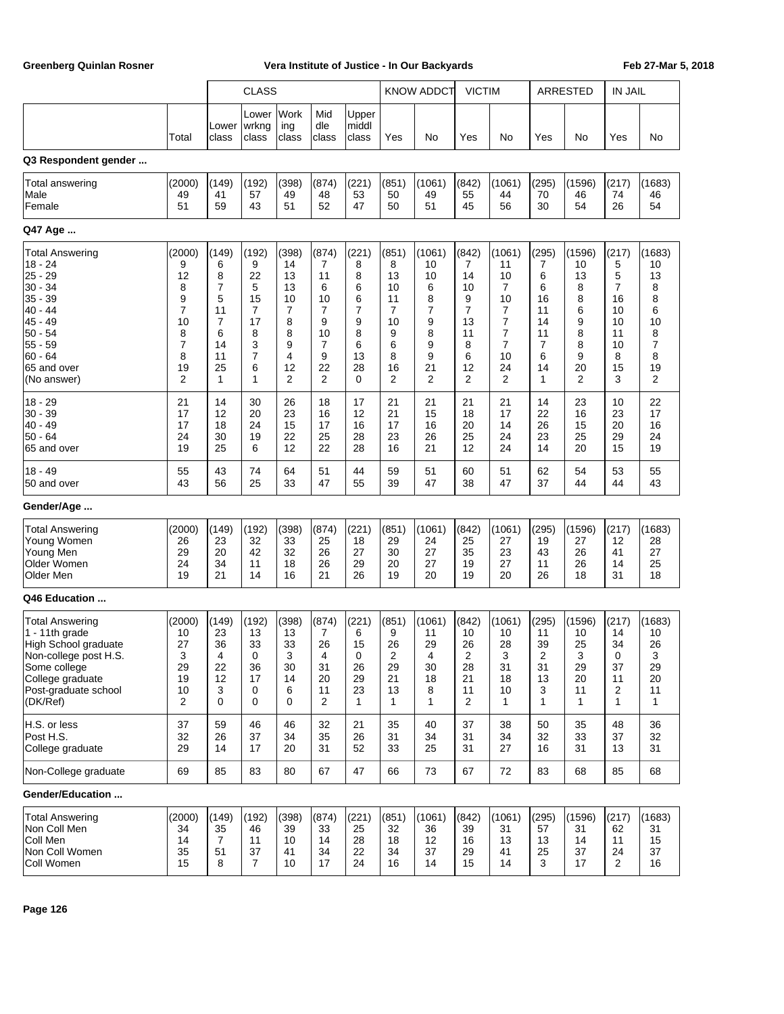|                        |                | <b>CLASS</b>   |                         |                      |                     |                         |              | <b>KNOW ADDCT</b> | <b>VICTIM</b>  |                |              | <b>ARRESTED</b> | <b>IN JAIL</b> |                |
|------------------------|----------------|----------------|-------------------------|----------------------|---------------------|-------------------------|--------------|-------------------|----------------|----------------|--------------|-----------------|----------------|----------------|
|                        | Total          | Lower<br>class | Lower<br>wrkng<br>class | Work<br>ing<br>class | Mid<br>dle<br>class | Upper<br>middl<br>class | Yes          | No                | Yes            | No             | Yes          | No              | Yes            | No             |
| Q3 Respondent gender   |                |                |                         |                      |                     |                         |              |                   |                |                |              |                 |                |                |
| Total answering        | (2000)         | (149)          | (192)                   | (398)                | (874)               | (221)                   | (851)        | (1061)            | (842)          | (1061)         | (295)        | (1596)          | (217)          | (1683)         |
| Male                   | 49             | 41             | 57                      | 49                   | 48                  | 53                      | 50           | 49                | 55             | 44             | 70           | 46              | 74             | 46             |
| Female                 | 51             | 59             | 43                      | 51                   | 52                  | 47                      | 50           | 51                | 45             | 56             | 30           | 54              | 26             | 54             |
| Q47 Age                |                |                |                         |                      |                     |                         |              |                   |                |                |              |                 |                |                |
| <b>Total Answering</b> | (2000)         | (149)          | (192)                   | (398)                | (874)               | (221)                   | (851)        | (1061)            | (842)          | (1061)         | (295)        | (1596)          | (217)          | (1683)         |
| $18 - 24$              | 9              | 6              | 9                       | 14                   | 7                   | 8                       | 8            | 10                | 7              | 11             | 7            | 10              | 5              | 10             |
| 25 - 29                | 12             | 8              | 22                      | 13                   | 11                  | 8                       | 13           | 10                | 14             | 10             | 6            | 13              | 5              | 13             |
| $30 - 34$              | 8              | $\overline{7}$ | 5                       | 13                   | 6                   | 6                       | 10           | 6                 | 10             | 7              | 6            | 8               | $\overline{7}$ | 8              |
| $35 - 39$              | 9              | 5              | 15                      | 10                   | 10                  | 6                       | 11           | 8                 | 9              | 10             | 16           | 8               | 16             | 8              |
| $40 - 44$              | 7              | 11             | 7                       | 7                    | 7                   | 7                       | 7            | $\overline{7}$    | $\overline{7}$ | 7              | 11           | 6               | 10             | 6              |
| 45 - 49                | 10             | $\overline{7}$ | 17                      | 8                    | 9                   | 9                       | 10           | 9                 | 13             | 7              | 14           | 9               | 10             | 10             |
| $50 - 54$              | 8              | 6              | 8                       | 8                    | 10                  | 8                       | 9            | 8                 | 11             | $\overline{7}$ | 11           | 8               | 11             | 8              |
| $55 - 59$              | 7              | 14             | 3                       | 9                    | 7                   | 6                       | 6            | 9                 | 8              | $\overline{7}$ | 7            | 8               | 10             | $\overline{7}$ |
| $60 - 64$              | 8              | 11             | $\overline{7}$          | 4                    | 9                   | 13                      | 8            | 9                 | 6              | 10             | 6            | 9               | 8              | 8              |
| 65 and over            | 19             | 25             | 6                       | 12                   | 22                  | 28                      | 16           | 21                | 12             | 24             | 14           | 20              | 15             | 19             |
| (No answer)            | $\overline{2}$ | 1              | 1                       | $\overline{2}$       | $\overline{2}$      | $\mathbf 0$             | 2            | $\overline{2}$    | 2              | 2              | 1            | $\overline{2}$  | 3              | $\overline{2}$ |
| $18 - 29$              | 21             | 14             | 30                      | 26                   | 18                  | 17                      | 21           | 21                | 21             | 21             | 14           | 23              | 10             | 22             |
| $30 - 39$              | 17             | 12             | 20                      | 23                   | 16                  | 12                      | 21           | 15                | 18             | 17             | 22           | 16              | 23             | 17             |
| $40 - 49$              | 17             | 18             | 24                      | 15                   | 17                  | 16                      | 17           | 16                | 20             | 14             | 26           | 15              | 20             | 16             |
| $50 - 64$              | 24             | 30             | 19                      | 22                   | 25                  | 28                      | 23           | 26                | 25             | 24             | 23           | 25              | 29             | 24             |
| 65 and over            | 19             | 25             | 6                       | 12                   | 22                  | 28                      | 16           | 21                | 12             | 24             | 14           | 20              | 15             | 19             |
| $18 - 49$              | 55             | 43             | 74                      | 64                   | 51                  | 44                      | 59           | 51                | 60             | 51             | 62           | 54              | 53             | 55             |
| 50 and over            | 43             | 56             | 25                      | 33                   | 47                  | 55                      | 39           | 47                | 38             | 47             | 37           | 44              | 44             | 43             |
| Gender/Age             |                |                |                         |                      |                     |                         |              |                   |                |                |              |                 |                |                |
| <b>Total Answering</b> | (2000)         | (149)          | (192)                   | (398)                | (874)               | (221)                   | (851)        | (1061)            | (842)          | (1061)         | (295)        | (1596)          | (217)          | (1683)         |
| Young Women            | 26             | 23             | 32                      | 33                   | 25                  | 18                      | 29           | 24                | 25             | 27             | 19           | 27              | 12             | 28             |
| Young Men              | 29             | 20             | 42                      | 32                   | 26                  | 27                      | 30           | 27                | 35             | 23             | 43           | 26              | 41             | 27             |
| Older Women            | 24             | 34             | 11                      | 18                   | 26                  | 29                      | 20           | 27                | 19             | 27             | 11           | 26              | 14             | 25             |
| Older Men              | 19             | 21             | 14                      | 16                   | 21                  | 26                      | 19           | 20                | 19             | 20             | 26           | 18              | 31             | 18             |
| Q46 Education          |                |                |                         |                      |                     |                         |              |                   |                |                |              |                 |                |                |
| <b>Total Answering</b> | (2000)         | (149)          | (192)                   | (398)                | (874)               | (221)                   | (851)        | (1061)            | (842)          | (1061)         | (295)        | (1596)          | (217)          | (1683)         |
| 1 - 11th grade         | 10             | 23             | 13                      | 13                   | 7                   | 6                       | 9            | 11                | 10             | 10             | 11           | 10              | 14             | 10             |
| High School graduate   | 27             | 36             | 33                      | 33                   | 26                  | 15                      | 26           | 29                | 26             | 28             | 39           | 25              | 34             | 26             |
| Non-college post H.S.  | 3              | 4              | 0                       | 3                    | 4                   | 0                       | 2            | 4                 | 2              | 3              | 2            | 3               | 0              | 3              |
| Some college           | 29             | 22             | 36                      | 30                   | 31                  | 26                      | 29           | 30                | 28             | 31             | 31           | 29              | 37             | 29             |
| College graduate       | 19             | 12             | 17                      | 14                   | 20                  | 29                      | 21           | 18                | 21             | 18             | 13           | 20              | 11             | 20             |
| Post-graduate school   | 10             | 3              | 0                       | 6                    | 11                  | 23                      | 13           | 8                 | 11             | 10             | 3            | 11              | $\overline{c}$ | 11             |
| (DK/Ref)               | 2              | 0              | 0                       | 0                    | $\overline{2}$      | $\mathbf{1}$            | $\mathbf{1}$ | 1                 | 2              | 1              | $\mathbf{1}$ | 1               | $\mathbf{1}$   | $\mathbf{1}$   |
| H.S. or less           | 37             | 59             | 46                      | 46                   | 32                  | 21                      | 35           | 40                | 37             | 38             | 50           | 35              | 48             | 36             |
| Post H.S.              | 32             | 26             | 37                      | 34                   | 35                  | 26                      | 31           | 34                | 31             | 34             | 32           | 33              | 37             | 32             |
| College graduate       | 29             | 14             | 17                      | 20                   | 31                  | 52                      | 33           | 25                | 31             | 27             | 16           | 31              | 13             | 31             |
| Non-College graduate   | 69             | 85             | 83                      | 80                   | 67                  | 47                      | 66           | 73                | 67             | 72             | 83           | 68              | 85             | 68             |
| Gender/Education       |                |                |                         |                      |                     |                         |              |                   |                |                |              |                 |                |                |
| <b>Total Answering</b> | (2000)         | (149)          | (192)                   | (398)                | (874)               | (221)                   | (851)        | (1061)            | (842)          | (1061)         | (295)        | (1596)          | (217)          | (1683)         |
| Non Coll Men           | 34             | 35             | 46                      | 39                   | 33                  | 25                      | 32           | 36                | 39             | 31             | 57           | 31              | 62             | 31             |
| Coll Men               | 14             | 7              | 11                      | 10                   | 14                  | 28                      | 18           | 12                | 16             | 13             | 13           | 14              | 11             | 15             |
| Non Coll Women         | 35             | 51             | 37                      | 41                   | 34                  | 22                      | 34           | 37                | 29             | 41             | 25           | 37              | 24             | 37             |
| Coll Women             | 15             | 8              | $\overline{7}$          | 10                   | 17                  | 24                      | 16           | 14                | 15             | 14             | 3            | 17              | 2              | 16             |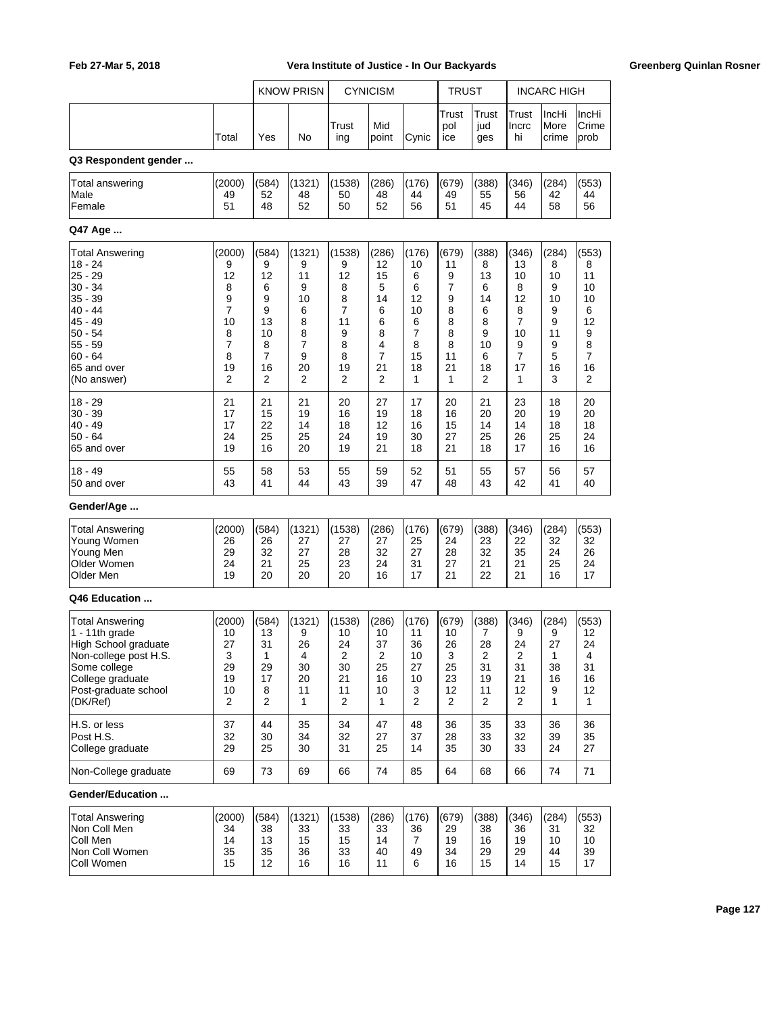|                        |                |       | <b>KNOW PRISN</b> |              | <b>CYNICISM</b> |       | <b>TRUST</b>        |                     |                      | <b>INCARC HIGH</b>     |                        |
|------------------------|----------------|-------|-------------------|--------------|-----------------|-------|---------------------|---------------------|----------------------|------------------------|------------------------|
|                        | Total          | Yes   | No                | Trust<br>ing | Mid<br>point    | Cynic | Trust<br>pol<br>ice | Trust<br>jud<br>ges | Trust<br>Incrc<br>hi | IncHi<br>More<br>crime | IncHi<br>Crime<br>prob |
| Q3 Respondent gender   |                |       |                   |              |                 |       |                     |                     |                      |                        |                        |
| <b>Total answering</b> | (2000)         | (584) | (1321)            | (1538)       | (286)           | (176) | (679)               | (388)               | (346)                | (284)                  | (553)                  |
| Male                   | 49             | 52    | 48                | 50           | 48              | 44    | 49                  | 55                  | 56                   | 42                     | 44                     |
| Female                 | 51             | 48    | 52                | 50           | 52              | 56    | 51                  | 45                  | 44                   | 58                     | 56                     |
| Q47 Age                |                |       |                   |              |                 |       |                     |                     |                      |                        |                        |
| Total Answering        | (2000)         | (584) | (1321)            | (1538)       | (286)           | (176) | (679)               | (388)               | (346)                | (284)                  | (553)                  |
| $18 - 24$              | 9              | 9     | 9                 | 9            | 12              | 10    | 11                  | 8                   | 13                   | 8                      | 8                      |
| $25 - 29$              | 12             | 12    | 11                | 12           | 15              | 6     | 9                   | 13                  | 10                   | 10                     | 11                     |
| 30 - 34                | 8              | 6     | 9                 | 8            | 5               | 6     | 7                   | 6                   | 8                    | 9                      | 10                     |
| 35 - 39                | 9              | 9     | 10                | 8            | 14              | 12    | 9                   | 14                  | 12                   | 10                     | 10                     |
| $40 - 44$              | 7              | 9     | 6                 | 7            | 6               | 10    | 8                   | 6                   | 8                    | 9                      | 6                      |
| 45 - 49                | 10             | 13    | 8                 | 11           | 6               | 6     | 8                   | 8                   | 7                    | 9                      | 12                     |
| $50 - 54$              | 8              | 10    | 8                 | 9            | 8               | 7     | 8                   | 9                   | 10                   | 11                     | 9                      |
| $55 - 59$              | 7              | 8     | 7                 | 8            | 4               | 8     | 8                   | 10                  | 9                    | 9                      | 8                      |
| $60 - 64$              | 8              | 7     | 9                 | 8            | 7               | 15    | 11                  | 6                   | 7                    | 5                      | 7                      |
| 65 and over            | 19             | 16    | 20                | 19           | 21              | 18    | 21                  | 18                  | 17                   | 16                     | 16                     |
| (No answer)            | 2              | 2     | 2                 | 2            | 2               | 1     | 1                   | 2                   | 1                    | 3                      | 2                      |
| $18 - 29$              | 21             | 21    | 21                | 20           | 27              | 17    | 20                  | 21                  | 23                   | 18                     | 20                     |
| $30 - 39$              | 17             | 15    | 19                | 16           | 19              | 18    | 16                  | 20                  | 20                   | 19                     | 20                     |
| $40 - 49$              | 17             | 22    | 14                | 18           | 12              | 16    | 15                  | 14                  | 14                   | 18                     | 18                     |
| $50 - 64$              | 24             | 25    | 25                | 24           | 19              | 30    | 27                  | 25                  | 26                   | 25                     | 24                     |
| 65 and over            | 19             | 16    | 20                | 19           | 21              | 18    | 21                  | 18                  | 17                   | 16                     | 16                     |
| $18 - 49$              | 55             | 58    | 53                | 55           | 59              | 52    | 51                  | 55                  | 57                   | 56                     | 57                     |
| 50 and over            | 43             | 41    | 44                | 43           | 39              | 47    | 48                  | 43                  | 42                   | 41                     | 40                     |
| Gender/Age             |                |       |                   |              |                 |       |                     |                     |                      |                        |                        |
| Total Answering        | (2000)         | (584) | (1321)            | (1538)       | (286)           | (176) | (679)               | (388)               | (346)                | (284)                  | (553)                  |
| Young Women            | 26             | 26    | 27                | 27           | 27              | 25    | 24                  | 23                  | 22                   | 32                     | 32                     |
| Young Men              | 29             | 32    | 27                | 28           | 32              | 27    | 28                  | 32                  | 35                   | 24                     | 26                     |
| Older Women            | 24             | 21    | 25                | 23           | 24              | 31    | 27                  | 21                  | 21                   | 25                     | 24                     |
| Older Men              | 19             | 20    | 20                | 20           | 16              | 17    | 21                  | 22                  | 21                   | 16                     | 17                     |
| Q46 Education          |                |       |                   |              |                 |       |                     |                     |                      |                        |                        |
| Total Answering        | (2000)         | (584) | (1321)            | (1538)       | (286)           | (176) | (679)               | (388)               | (346)                | (284)                  | (553)                  |
| 1 - 11th grade         | 10             | 13    | 9                 | 10           | 10              | 11    | 10                  | 7                   | 9                    | 9                      | 12                     |
| High School graduate   | 27             | 31    | 26                | 24           | 37              | 36    | 26                  | 28                  | 24                   | 27                     | 24                     |
| Non-college post H.S.  | 3              | 1     | 4                 | 2            | 2               | 10    | 3                   | 2                   | 2                    | 1                      | 4                      |
| Some college           | 29             | 29    | 30                | 30           | 25              | 27    | 25                  | 31                  | 31                   | 38                     | 31                     |
| College graduate       | 19             | 17    | 20                | 21           | 16              | 10    | 23                  | 19                  | 21                   | 16                     | 16                     |
| Post-graduate school   | 10             | 8     | 11                | 11           | 10              | 3     | 12                  | 11                  | 12                   | 9                      | 12                     |
| (DK/Ref)               | $\overline{2}$ | 2     | $\mathbf{1}$      | 2            | 1               | 2     | $\overline{2}$      | 2                   | 2                    | 1                      | $\mathbf{1}$           |
| H.S. or less           | 37             | 44    | 35                | 34           | 47              | 48    | 36                  | 35                  | 33                   | 36                     | 36                     |
| Post H.S.              | 32             | 30    | 34                | 32           | 27              | 37    | 28                  | 33                  | 32                   | 39                     | 35                     |
| College graduate       | 29             | 25    | 30                | 31           | 25              | 14    | 35                  | 30                  | 33                   | 24                     | 27                     |
| Non-College graduate   | 69             | 73    | 69                | 66           | 74              | 85    | 64                  | 68                  | 66                   | 74                     | 71                     |
| Gender/Education       |                |       |                   |              |                 |       |                     |                     |                      |                        |                        |
| <b>Total Answering</b> | (2000)         | (584) | (1321)            | (1538)       | (286)           | (176) | (679)               | (388)               | (346)                | (284)                  | (553)                  |
| Non Coll Men           | 34             | 38    | 33                | 33           | 33              | 36    | 29                  | 38                  | 36                   | 31                     | 32                     |
| Coll Men               | 14             | 13    | 15                | 15           | 14              | 7     | 19                  | 16                  | 19                   | 10                     | 10                     |
| Non Coll Women         | 35             | 35    | 36                | 33           | 40              | 49    | 34                  | 29                  | 29                   | 44                     | 39                     |
| Coll Women             | 15             | 12    | 16                | 16           | 11              | 6     | 16                  | 15                  | 14                   | 15                     | 17                     |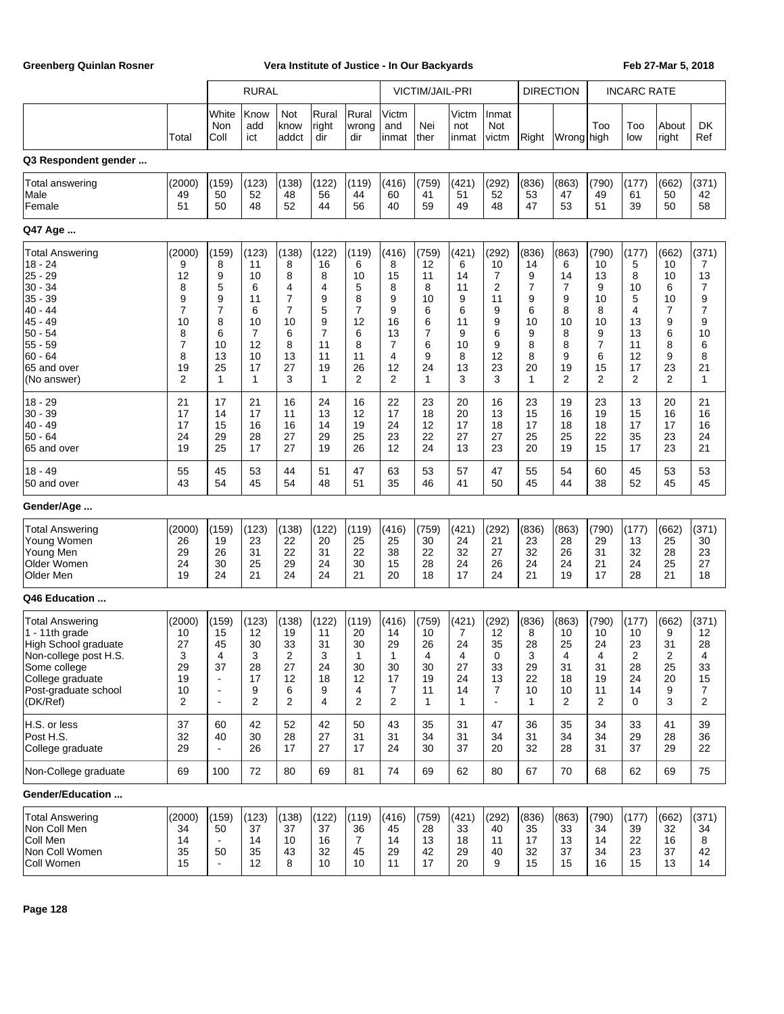|                                                                                                                                                                   |                                                                               |                                                                            | <b>RURAL</b>                                                        |                                                                 |                                                                               |                                                                                            |                                                                  | VICTIM/JAIL-PRI                                                  |                                                                   |                                                                  | <b>DIRECTION</b>                                                           |                                                                              |                                                                   | <b>INCARC RATE</b>                                                              |                                                                  |                                                                              |
|-------------------------------------------------------------------------------------------------------------------------------------------------------------------|-------------------------------------------------------------------------------|----------------------------------------------------------------------------|---------------------------------------------------------------------|-----------------------------------------------------------------|-------------------------------------------------------------------------------|--------------------------------------------------------------------------------------------|------------------------------------------------------------------|------------------------------------------------------------------|-------------------------------------------------------------------|------------------------------------------------------------------|----------------------------------------------------------------------------|------------------------------------------------------------------------------|-------------------------------------------------------------------|---------------------------------------------------------------------------------|------------------------------------------------------------------|------------------------------------------------------------------------------|
|                                                                                                                                                                   | Total                                                                         | White<br>Non<br>Coll                                                       | Know<br>add<br>ict                                                  | Not<br>know<br>addct                                            | Rural<br>right<br>dir                                                         | Rural<br>wrong<br>dir                                                                      | Victm<br>and<br>linmat                                           | Nei<br>ther                                                      | Victm<br>not<br>inmat                                             | Inmat<br>Not<br>victm                                            | Right                                                                      | Wrong high                                                                   | Too                                                               | Too<br>low                                                                      | About<br>right                                                   | <b>DK</b><br>Ref                                                             |
| Q3 Respondent gender                                                                                                                                              |                                                                               |                                                                            |                                                                     |                                                                 |                                                                               |                                                                                            |                                                                  |                                                                  |                                                                   |                                                                  |                                                                            |                                                                              |                                                                   |                                                                                 |                                                                  |                                                                              |
| Total answering<br>Male<br> Female                                                                                                                                | (2000)<br>49<br>51                                                            | (159)<br>50<br>50                                                          | (123)<br>52<br>48                                                   | (138)<br>48<br>52                                               | (122)<br>56<br>44                                                             | (119)<br>44<br>56                                                                          | (416)<br>60<br>40                                                | (759)<br>41<br>59                                                | (421)<br>51<br>49                                                 | (292)<br>52<br>48                                                | (836)<br>53<br>47                                                          | (863)<br>47<br>53                                                            | (790)<br>49<br>51                                                 | (177)<br>61<br>39                                                               | (662)<br>50<br>50                                                | (371)<br>42<br>58                                                            |
| Q47 Age                                                                                                                                                           |                                                                               |                                                                            |                                                                     |                                                                 |                                                                               |                                                                                            |                                                                  |                                                                  |                                                                   |                                                                  |                                                                            |                                                                              |                                                                   |                                                                                 |                                                                  |                                                                              |
| Total Answering<br>$18 - 24$<br>25 - 29<br>$30 - 34$<br>$35 - 39$<br>$40 - 44$<br>45 - 49<br>$50 - 54$<br>55 - 59<br>$60 - 64$<br>65 and over<br>(No answer)      | (2000)<br>9<br>12<br>8<br>9<br>$\overline{7}$<br>10<br>8<br>7<br>8<br>19<br>2 | (159)<br>8<br>9<br>5<br>9<br>7<br>8<br>6<br>10<br>13<br>25<br>1            | (123)<br>11<br>10<br>6<br>11<br>6<br>10<br>7<br>12<br>10<br>17<br>1 | (138)<br>8<br>8<br>4<br>7<br>7<br>10<br>6<br>8<br>13<br>27<br>3 | (122)<br>16<br>8<br>4<br>9<br>5<br>9<br>$\overline{7}$<br>11<br>11<br>19<br>1 | (119)<br>6<br>10<br>5<br>8<br>$\overline{7}$<br>12<br>6<br>8<br>11<br>26<br>$\overline{2}$ | (416)<br>8<br>15<br>8<br>9<br>9<br>16<br>13<br>7<br>4<br>12<br>2 | (759)<br>12<br>11<br>8<br>10<br>6<br>6<br>7<br>6<br>9<br>24<br>1 | (421)<br>6<br>14<br>11<br>9<br>6<br>11<br>9<br>10<br>8<br>13<br>3 | (292)<br>10<br>7<br>2<br>11<br>9<br>9<br>6<br>9<br>12<br>23<br>3 | (836)<br>14<br>9<br>7<br>9<br>6<br>10<br>9<br>8<br>8<br>20<br>$\mathbf{1}$ | (863)<br>6<br>14<br>7<br>9<br>8<br>10<br>8<br>8<br>9<br>19<br>$\overline{2}$ | (790)<br>10<br>13<br>9<br>10<br>8<br>10<br>9<br>7<br>6<br>15<br>2 | (177)<br>5<br>8<br>10<br>5<br>4<br>13<br>13<br>11<br>12<br>17<br>$\overline{2}$ | (662)<br>10<br>10<br>6<br>10<br>7<br>9<br>6<br>8<br>9<br>23<br>2 | (371)<br>7<br>13<br>7<br>9<br>$\overline{7}$<br>9<br>10<br>6<br>8<br>21<br>1 |
| $18 - 29$<br>$30 - 39$<br>$40 - 49$<br>$50 - 64$<br>65 and over                                                                                                   | 21<br>17<br>17<br>24<br>19                                                    | 17<br>14<br>15<br>29<br>25                                                 | 21<br>17<br>16<br>28<br>17                                          | 16<br>11<br>16<br>27<br>27                                      | 24<br>13<br>14<br>29<br>19                                                    | 16<br>12<br>19<br>25<br>26                                                                 | 22<br>17<br>24<br>23<br>12                                       | 23<br>18<br>12<br>22<br>24                                       | 20<br>20<br>17<br>27<br>13                                        | 16<br>13<br>18<br>27<br>23                                       | 23<br>15<br>17<br>25<br>20                                                 | 19<br>16<br>18<br>25<br>19                                                   | 23<br>19<br>18<br>22<br>15                                        | 13<br>15<br>17<br>35<br>17                                                      | 20<br>16<br>17<br>23<br>23                                       | 21<br>16<br>16<br>24<br>21                                                   |
| $18 - 49$<br>50 and over                                                                                                                                          | 55<br>43                                                                      | 45<br>54                                                                   | 53<br>45                                                            | 44<br>54                                                        | 51<br>48                                                                      | 47<br>51                                                                                   | 63<br>35                                                         | 53<br>46                                                         | 57<br>41                                                          | 47<br>50                                                         | 55<br>45                                                                   | 54<br>44                                                                     | 60<br>38                                                          | 45<br>52                                                                        | 53<br>45                                                         | 53<br>45                                                                     |
| Gender/Age                                                                                                                                                        |                                                                               |                                                                            |                                                                     |                                                                 |                                                                               |                                                                                            |                                                                  |                                                                  |                                                                   |                                                                  |                                                                            |                                                                              |                                                                   |                                                                                 |                                                                  |                                                                              |
| <b>Total Answering</b><br>Young Women<br>Young Men<br>Older Women<br>Older Men                                                                                    | (2000)<br>26<br>29<br>24<br>19                                                | (159)<br>19<br>26<br>30<br>24                                              | (123)<br>23<br>31<br>25<br>21                                       | (138)<br>22<br>22<br>29<br>24                                   | (122)<br>20<br>31<br>24<br>24                                                 | (119)<br>25<br>22<br>30<br>21                                                              | (416)<br>25<br>38<br>15<br>20                                    | (759)<br>30<br>22<br>28<br>18                                    | (421)<br>24<br>32<br>24<br>17                                     | (292)<br>21<br>27<br>26<br>24                                    | (836)<br>23<br>32<br>24<br>21                                              | (863)<br>28<br>26<br>24<br>19                                                | (790)<br>29<br>31<br>21<br>17                                     | (177)<br>13<br>32<br>24<br>28                                                   | (662)<br>25<br>28<br>25<br>21                                    | (371)<br>30<br>23<br>27<br>18                                                |
| Q46 Education                                                                                                                                                     |                                                                               |                                                                            |                                                                     |                                                                 |                                                                               |                                                                                            |                                                                  |                                                                  |                                                                   |                                                                  |                                                                            |                                                                              |                                                                   |                                                                                 |                                                                  |                                                                              |
| <b>Total Answering</b><br>1 - 11th grade<br>High School graduate<br>Non-college post H.S.<br>Some college<br>College graduate<br>Post-graduate school<br>(DK/Ref) | (2000)<br>10<br>27<br>3<br>29<br>19<br>10<br>$\overline{2}$                   | (159)<br>15<br>45<br>4<br>37<br>$\sim$<br>$\blacksquare$<br>$\blacksquare$ | (123)<br>12<br>30<br>3<br>28<br>17<br>9<br>$\overline{2}$           | (138)<br>19<br>33<br>2<br>27<br>12<br>6<br>2                    | (122)<br>11<br>31<br>3<br>24<br>18<br>9<br>$\overline{4}$                     | (119)<br>20<br>30<br>1<br>30<br>12<br>4<br>2                                               | (416)<br>14<br>29<br>1<br>30<br>17<br>7<br>2                     | (759)<br>10<br>26<br>4<br>30<br>19<br>11<br>$\mathbf{1}$         | (421)<br>7<br>24<br>4<br>27<br>24<br>14<br>$\mathbf 1$            | (292)<br>12<br>35<br>0<br>33<br>13<br>7<br>$\blacksquare$        | (836)<br>8<br>28<br>3<br>29<br>22<br>10<br>$\mathbf{1}$                    | (863)<br>10<br>25<br>4<br>31<br>18<br>10<br>2                                | (790)<br>10<br>24<br>4<br>31<br>19<br>11<br>2                     | (177)<br>10<br>23<br>2<br>28<br>24<br>14<br>0                                   | (662)<br>9<br>31<br>2<br>25<br>20<br>9<br>3                      | (371)<br>12<br>28<br>4<br>33<br>15<br>7<br>$\overline{2}$                    |
| H.S. or less<br>Post H.S.<br>College graduate                                                                                                                     | 37<br>32<br>29                                                                | 60<br>40<br>$\blacksquare$                                                 | 42<br>30<br>26                                                      | 52<br>28<br>17                                                  | 42<br>27<br>27                                                                | 50<br>31<br>17                                                                             | 43<br>31<br>24                                                   | 35<br>34<br>30                                                   | 31<br>31<br>37                                                    | 47<br>34<br>20                                                   | 36<br>31<br>32                                                             | 35<br>34<br>28                                                               | 34<br>34<br>31                                                    | 33<br>29<br>37                                                                  | 41<br>28<br>29                                                   | 39<br>36<br>22                                                               |
| Non-College graduate                                                                                                                                              | 69                                                                            | 100                                                                        | 72                                                                  | 80                                                              | 69                                                                            | 81                                                                                         | 74                                                               | 69                                                               | 62                                                                | 80                                                               | 67                                                                         | 70                                                                           | 68                                                                | 62                                                                              | 69                                                               | 75                                                                           |
| Gender/Education                                                                                                                                                  |                                                                               |                                                                            |                                                                     |                                                                 |                                                                               |                                                                                            |                                                                  |                                                                  |                                                                   |                                                                  |                                                                            |                                                                              |                                                                   |                                                                                 |                                                                  |                                                                              |
| <b>Total Answering</b><br>Non Coll Men<br>Coll Men<br>Non Coll Women<br>Coll Women                                                                                | (2000)<br>34<br>14<br>35<br>15                                                | (159)<br>50<br>$\sim$<br>50                                                | (123)<br>37<br>14<br>35<br>12                                       | (138)<br>37<br>10<br>43<br>8                                    | (122)<br>37<br>16<br>32<br>10                                                 | (119)<br>36<br>7<br>45<br>10                                                               | (416)<br>45<br>14<br>29<br>11                                    | (759)<br>28<br>13<br>42<br>17                                    | (421)<br>33<br>18<br>29<br>20                                     | (292)<br>40<br>11<br>40<br>9                                     | (836)<br>35<br>17<br>32<br>15                                              | (863)<br>33<br>13<br>37<br>15                                                | (790)<br>34<br>14<br>34<br>16                                     | (177)<br>39<br>22<br>23<br>15                                                   | (662)<br>32<br>16<br>37<br>13                                    | (371)<br>34<br>8<br>42<br>14                                                 |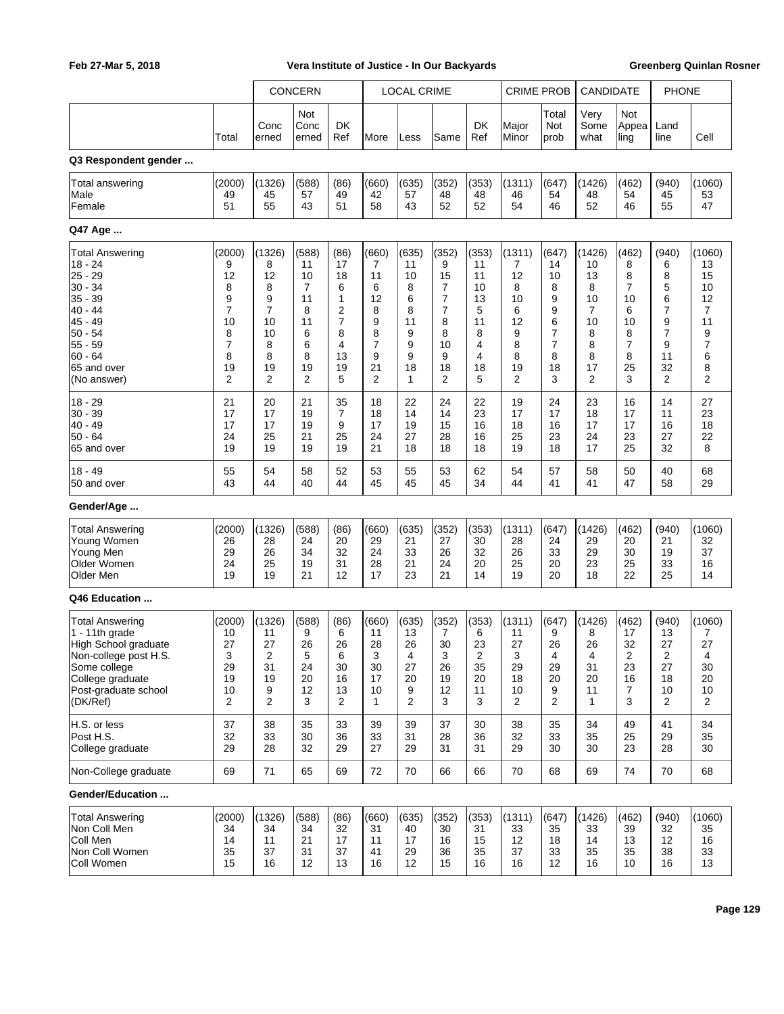|                                                                                                                                                                   |                                                             | <b>CONCERN</b>                                                      |                                                        |                                                                                | <b>LOCAL CRIME</b>                                                |                                                       |                                                      | <b>CRIME PROB</b>                                       |                                                        | CANDIDATE                                                         |                                                         | <b>PHONE</b>                                                      |                                                           |                                                                       |
|-------------------------------------------------------------------------------------------------------------------------------------------------------------------|-------------------------------------------------------------|---------------------------------------------------------------------|--------------------------------------------------------|--------------------------------------------------------------------------------|-------------------------------------------------------------------|-------------------------------------------------------|------------------------------------------------------|---------------------------------------------------------|--------------------------------------------------------|-------------------------------------------------------------------|---------------------------------------------------------|-------------------------------------------------------------------|-----------------------------------------------------------|-----------------------------------------------------------------------|
|                                                                                                                                                                   |                                                             |                                                                     | Not                                                    |                                                                                |                                                                   |                                                       |                                                      |                                                         |                                                        | Total                                                             | Very                                                    | Not                                                               |                                                           |                                                                       |
|                                                                                                                                                                   | Total                                                       | Conc<br>erned                                                       | Conc<br>erned                                          | DK<br>Ref                                                                      | More                                                              | Less                                                  | Same                                                 | DK<br>Ref                                               | Major<br>Minor                                         | Not<br>prob                                                       | Some<br>what                                            | Appea<br>ling                                                     | Land<br>line                                              | Cell                                                                  |
| Q3 Respondent gender                                                                                                                                              |                                                             |                                                                     |                                                        |                                                                                |                                                                   |                                                       |                                                      |                                                         |                                                        |                                                                   |                                                         |                                                                   |                                                           |                                                                       |
| <b>Total answering</b><br>Male<br>Female                                                                                                                          | (2000)<br>49<br>51                                          | (1326)<br>45<br>55                                                  | (588)<br>57<br>43                                      | (86)<br>49<br>51                                                               | (660)<br>42<br>58                                                 | (635)<br>57<br>43                                     | (352)<br>48<br>52                                    | (353)<br>48<br>52                                       | (1311)<br>46<br>54                                     | (647)<br>54<br>46                                                 | (1426)<br>48<br>52                                      | (462)<br>54<br>46                                                 | (940)<br>45<br>55                                         | (1060)<br>53<br>47                                                    |
| Q47 Age                                                                                                                                                           |                                                             |                                                                     |                                                        |                                                                                |                                                                   |                                                       |                                                      |                                                         |                                                        |                                                                   |                                                         |                                                                   |                                                           |                                                                       |
| <b>Total Answering</b><br>$18 - 24$<br>$25 - 29$<br>$30 - 34$<br>$35 - 39$<br>$40 - 44$<br>$45 - 49$<br>$50 - 54$<br>55 - 59<br>$60 - 64$                         | (2000)<br>9<br>12<br>8<br>9<br>7<br>10<br>8<br>7<br>8       | (1326)<br>8<br>12<br>8<br>9<br>$\overline{7}$<br>10<br>10<br>8<br>8 | (588)<br>11<br>10<br>7<br>11<br>8<br>11<br>6<br>6<br>8 | (86)<br>17<br>18<br>6<br>1<br>$\overline{2}$<br>$\overline{7}$<br>8<br>4<br>13 | (660)<br>7<br>11<br>6<br>12<br>8<br>9<br>8<br>$\overline{7}$<br>9 | (635)<br>11<br>10<br>8<br>6<br>8<br>11<br>9<br>9<br>9 | (352)<br>9<br>15<br>7<br>7<br>7<br>8<br>8<br>10<br>9 | (353)<br>11<br>11<br>10<br>13<br>5<br>11<br>8<br>4<br>4 | (1311)<br>7<br>12<br>8<br>10<br>6<br>12<br>9<br>8<br>8 | (647)<br>14<br>10<br>8<br>9<br>9<br>6<br>7<br>$\overline{7}$<br>8 | (1426)<br>10<br>13<br>8<br>10<br>7<br>10<br>8<br>8<br>8 | (462)<br>8<br>8<br>7<br>10<br>6<br>10<br>8<br>$\overline{7}$<br>8 | (940)<br>6<br>8<br>5<br>6<br>7<br>9<br>7<br>9<br>11<br>32 | (1060)<br>13<br>15<br>10<br>12<br>7<br>11<br>9<br>$\overline{7}$<br>6 |
| 65 and over<br>(No answer)                                                                                                                                        | 19<br>2                                                     | 19<br>$\overline{2}$                                                | 19<br>2                                                | 19<br>5                                                                        | 21<br>$\overline{2}$                                              | 18<br>1                                               | 18<br>2                                              | 18<br>5                                                 | 19<br>2                                                | 18<br>3                                                           | 17<br>2                                                 | 25<br>3                                                           | $\overline{2}$                                            | 8<br>2                                                                |
| $18 - 29$<br>$30 - 39$<br>$40 - 49$<br>50 - 64<br>65 and over                                                                                                     | 21<br>17<br>17<br>24<br>19                                  | 20<br>17<br>17<br>25<br>19                                          | 21<br>19<br>19<br>21<br>19                             | 35<br>$\overline{7}$<br>9<br>25<br>19                                          | 18<br>18<br>17<br>24<br>21                                        | 22<br>14<br>19<br>27<br>18                            | 24<br>14<br>15<br>28<br>18                           | 22<br>23<br>16<br>16<br>18                              | 19<br>17<br>18<br>25<br>19                             | 24<br>17<br>16<br>23<br>18                                        | 23<br>18<br>17<br>24<br>17                              | 16<br>17<br>17<br>23<br>25                                        | 14<br>11<br>16<br>27<br>32                                | 27<br>23<br>18<br>22<br>8                                             |
| $18 - 49$<br>50 and over                                                                                                                                          | 55<br>43                                                    | 54<br>44                                                            | 58<br>40                                               | 52<br>44                                                                       | 53<br>45                                                          | 55<br>45                                              | 53<br>45                                             | 62<br>34                                                | 54<br>44                                               | 57<br>41                                                          | 58<br>41                                                | 50<br>47                                                          | 40<br>58                                                  | 68<br>29                                                              |
| Gender/Age                                                                                                                                                        |                                                             |                                                                     |                                                        |                                                                                |                                                                   |                                                       |                                                      |                                                         |                                                        |                                                                   |                                                         |                                                                   |                                                           |                                                                       |
| <b>Total Answering</b><br>Young Women<br>Young Men<br>Older Women<br>Older Men                                                                                    | (2000)<br>26<br>29<br>24<br>19                              | (1326)<br>28<br>26<br>25<br>19                                      | (588)<br>24<br>34<br>19<br>21                          | (86)<br>20<br>32<br>31<br>12                                                   | (660)<br>29<br>24<br>28<br>17                                     | (635)<br>21<br>33<br>21<br>23                         | (352)<br>27<br>26<br>24<br>21                        | (353)<br>30<br>32<br>20<br>14                           | (1311)<br>28<br>26<br>25<br>19                         | (647)<br>24<br>33<br>20<br>20                                     | (1426)<br>29<br>29<br>23<br>18                          | (462)<br>20<br>30<br>25<br>22                                     | (940)<br>21<br>19<br>33<br>25                             | (1060)<br>32<br>37<br>16<br>14                                        |
| Q46 Education                                                                                                                                                     |                                                             |                                                                     |                                                        |                                                                                |                                                                   |                                                       |                                                      |                                                         |                                                        |                                                                   |                                                         |                                                                   |                                                           |                                                                       |
| <b>Total Answering</b><br>1 - 11th grade<br>High School graduate<br>Non-college post H.S.<br>Some college<br>College graduate<br>Post-graduate school<br>(DK/Ref) | (2000)<br>10<br>27<br>3<br>29<br>19<br>10<br>$\overline{2}$ | (1326)<br>11<br>27<br>2<br>31<br>19<br>9<br>$\overline{2}$          | (588)<br>9<br>26<br>5<br>24<br>20<br>12<br>3           | (86)<br>6<br>26<br>6<br>30<br>16<br>13<br>$\overline{2}$                       | (660)<br>11<br>28<br>3<br>30<br>17<br>10<br>1                     | (635)<br>13<br>26<br>4<br>27<br>20<br>9<br>2          | (352)<br>7<br>30<br>3<br>26<br>19<br>12<br>3         | (353)<br>6<br>23<br>2<br>35<br>20<br>11<br>3            | (1311)<br>11<br>27<br>3<br>29<br>18<br>10<br>2         | (647)<br>9<br>26<br>4<br>29<br>20<br>9<br>2                       | (1426)<br>8<br>26<br>4<br>31<br>20<br>11<br>1           | (462)<br>17<br>32<br>2<br>23<br>16<br>7<br>3                      | (940)<br>13<br>27<br>2<br>27<br>18<br>10<br>2             | (1060)<br>7<br>27<br>4<br>30<br>20<br>10<br>2                         |
| H.S. or less<br>Post H.S.<br>College graduate                                                                                                                     | 37<br>32<br>29                                              | 38<br>33<br>28                                                      | 35<br>30<br>32                                         | 33<br>36<br>29                                                                 | 39<br>33<br>27                                                    | 39<br>31<br>29                                        | 37<br>28<br>31                                       | 30<br>36<br>31                                          | 38<br>32<br>29                                         | 35<br>33<br>30                                                    | 34<br>35<br>30                                          | 49<br>25<br>23                                                    | 41<br>29<br>28                                            | 34<br>35<br>30                                                        |
| Non-College graduate                                                                                                                                              | 69                                                          | 71                                                                  | 65                                                     | 69                                                                             | 72                                                                | 70                                                    | 66                                                   | 66                                                      | 70                                                     | 68                                                                | 69                                                      | 74                                                                | 70                                                        | 68                                                                    |
| Gender/Education                                                                                                                                                  |                                                             |                                                                     |                                                        |                                                                                |                                                                   |                                                       |                                                      |                                                         |                                                        |                                                                   |                                                         |                                                                   |                                                           |                                                                       |
| <b>Total Answering</b><br>Non Coll Men<br>Coll Men<br>Non Coll Women<br>Coll Women                                                                                | (2000)<br>34<br>14<br>35<br>15                              | (1326)<br>34<br>11<br>37<br>16                                      | (588)<br>34<br>21<br>31<br>12                          | (86)<br>32<br>17<br>37<br>13                                                   | (660)<br>31<br>11<br>41<br>16                                     | (635)<br>40<br>17<br>29<br>12                         | (352)<br>30<br>16<br>36<br>15                        | (353)<br>31<br>15<br>35<br>16                           | (1311)<br>33<br>12<br>37<br>16                         | (647)<br>35<br>18<br>33<br>12                                     | (1426)<br>33<br>14<br>35<br>16                          | (462)<br>39<br>13<br>35<br>10                                     | (940)<br>32<br>12<br>38<br>16                             | (1060)<br>35<br>16<br>33<br>13                                        |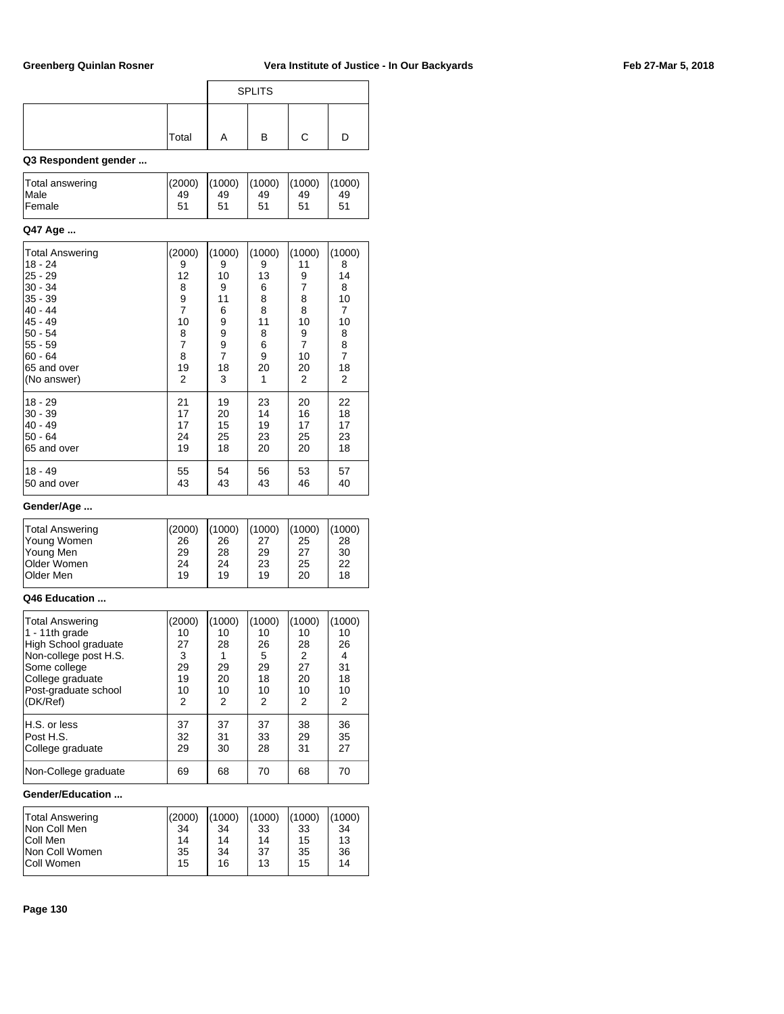|       |   | <b>SPLITS</b> |  |
|-------|---|---------------|--|
| Total | A | в             |  |

## **Q3 Respondent gender ...**

| Total answering | (2000) | (1000) | (1000) | (1000) | (1000) |
|-----------------|--------|--------|--------|--------|--------|
| <b>Male</b>     | 49     | 49     | 49     | 49     | 49     |
| <b>Female</b>   | 51     | 51     | 51     | 51     | 51     |
|                 |        |        |        |        |        |

### **Q47 Age ...**

| Total Answering<br>18 - 24<br> 25 - 29<br> 30 - 34<br> 35 - 39<br> 40 - 44<br> 45 - 49<br>50 - 54<br>55 - 59<br> 60 - 64<br>65 and over<br>(No answer) | (2000)<br>9<br>12<br>8<br>9<br>$\overline{7}$<br>10<br>8<br>$\overline{7}$<br>8<br>19<br>2 | (1000)<br>9<br>10<br>9<br>11<br>6<br>9<br>9<br>$\frac{9}{7}$<br>18<br>3 | (1000)<br>9<br>13<br>6<br>8<br>8<br>11<br>8<br>6<br>9<br>20<br>1 | (1000)<br>11<br>9<br>7<br>8<br>8<br>10<br>$\frac{9}{7}$<br>10<br>20<br>2 | (1000)<br>8<br>14<br>8<br>10<br>7<br>10<br>8<br>8<br>7<br>18<br>2 |
|--------------------------------------------------------------------------------------------------------------------------------------------------------|--------------------------------------------------------------------------------------------|-------------------------------------------------------------------------|------------------------------------------------------------------|--------------------------------------------------------------------------|-------------------------------------------------------------------|
| 18 - 29                                                                                                                                                | 21                                                                                         | 19                                                                      | 23                                                               | 20                                                                       | 22                                                                |
| $ 30 - 39$                                                                                                                                             | 17                                                                                         | 20                                                                      | 14                                                               | 16                                                                       | 18                                                                |
| 40 - 49                                                                                                                                                | 17                                                                                         | 15                                                                      | 19                                                               | 17                                                                       | 17                                                                |
| 50 - 64                                                                                                                                                | 24                                                                                         | 25                                                                      | 23                                                               | 25                                                                       | 23                                                                |
| 65 and over                                                                                                                                            | 19                                                                                         | 18                                                                      | 20                                                               | 20                                                                       | 18                                                                |
| 18 - 49                                                                                                                                                | 55                                                                                         | 54                                                                      | 56                                                               | 53                                                                       | 57                                                                |
| 50 and over                                                                                                                                            | 43                                                                                         | 43                                                                      | 43                                                               | 46                                                                       | 40                                                                |

## **Gender/Age ...**

| Total Answering    | (2000) | (1000) | (1000) | (1000) | (1000) |
|--------------------|--------|--------|--------|--------|--------|
| Young Women        | 26     | 26     | 27     | 25     | 28     |
| Young Men          | 29     | 28     | 29     | 27     | 30     |
| <b>Older Women</b> | 24     | 24     | 23     | 25     | 22     |
| <b>Older Men</b>   | 19     | 19     | 19     | 20     | 18     |

### **Q46 Education ...**

| Total Answering<br>$1 - 11$ th grade<br>High School graduate<br>Non-college post H.S.<br>Some college<br>College graduate<br>Post-graduate school<br>(DK/Ref) | (2000)<br>10<br>27<br>3<br>29<br>19<br>10<br>2 | (1000)<br>10<br>28<br>29<br>20<br>10<br>2 | (1000)<br>10<br>26<br>5<br>29<br>18<br>10<br>2 | (1000)<br>10<br>28<br>2<br>27<br>20<br>10<br>2 | (1000)<br>10<br>26<br>4<br>31<br>18<br>10<br>2 |
|---------------------------------------------------------------------------------------------------------------------------------------------------------------|------------------------------------------------|-------------------------------------------|------------------------------------------------|------------------------------------------------|------------------------------------------------|
| H.S. or less                                                                                                                                                  | 37                                             | 37                                        | 37                                             | 38                                             | 36                                             |
| Post H.S.                                                                                                                                                     | 32                                             | 31                                        | 33                                             | 29                                             | 35                                             |
| College graduate                                                                                                                                              | 29                                             | 30                                        | 28                                             | 31                                             | 27                                             |
| Non-College graduate                                                                                                                                          | 69                                             | 68                                        | 70                                             | 68                                             | 70                                             |

### **Gender/Education ...**

| <b>Total Answering</b> | (2000) | (1000) | (1000) | (1000) | (1000) |
|------------------------|--------|--------|--------|--------|--------|
| INon Coll Men          | 34     | 34     | 33     | 33     | 34     |
| Coll Men               | 14     | 14     | 14     | 15     | 13     |
| Non Coll Women         | 35     | 34     | -37    | 35     | 36     |
| <b>Coll Women</b>      | 15     | 16     | 13     | 15     | 14     |
|                        |        |        |        |        |        |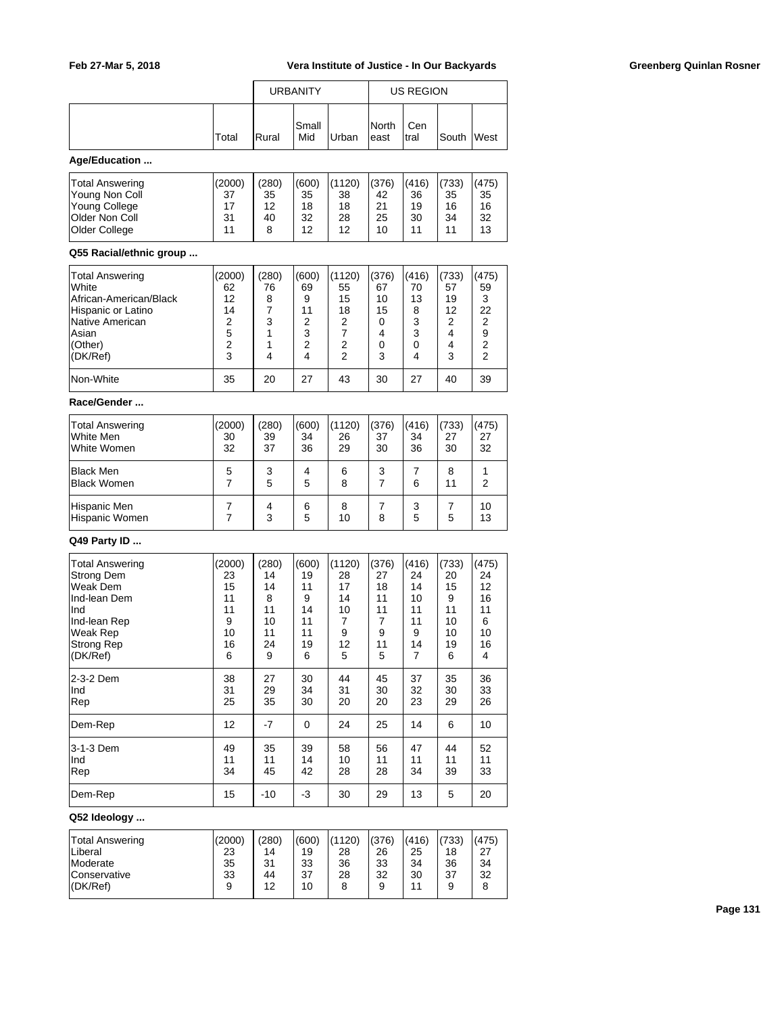|                                                                                                                                          |                                                      |                                                     | <b>URBANITY</b>                                     |                                                                              |                                                    | <b>US REGION</b>                                    |                                                     |                                                     |  |  |
|------------------------------------------------------------------------------------------------------------------------------------------|------------------------------------------------------|-----------------------------------------------------|-----------------------------------------------------|------------------------------------------------------------------------------|----------------------------------------------------|-----------------------------------------------------|-----------------------------------------------------|-----------------------------------------------------|--|--|
|                                                                                                                                          | Total                                                | Rural                                               | Small<br>Mid                                        | Urban                                                                        | North<br>east                                      | Cen<br>tral                                         | South                                               | West                                                |  |  |
| Age/Education                                                                                                                            |                                                      |                                                     |                                                     |                                                                              |                                                    |                                                     |                                                     |                                                     |  |  |
| Total Answering<br>Young Non Coll<br>Young College<br>Older Non Coll<br>Older College                                                    | (2000)<br>37<br>17<br>31<br>11                       | (280)<br>35<br>12<br>40<br>8                        | (600)<br>35<br>18<br>32<br>12                       | (1120)<br>38<br>18<br>28<br>12                                               | (376)<br>42<br>21<br>25<br>10                      | (416)<br>36<br>19<br>30<br>11                       | (733)<br>35<br>16<br>34<br>11                       | (475)<br>35<br>16<br>32<br>13                       |  |  |
| Q55 Racial/ethnic group                                                                                                                  |                                                      |                                                     |                                                     |                                                                              |                                                    |                                                     |                                                     |                                                     |  |  |
| Total Answering<br>White<br>African-American/Black<br>Hispanic or Latino<br>Native American<br>Asian<br>(Other)<br>(DK/Ref)<br>Non-White | (2000)<br>62<br>12<br>14<br>2<br>5<br>2<br>3<br>35   | (280)<br>76<br>8<br>7<br>3<br>1<br>1<br>4<br>20     | (600)<br>69<br>9<br>11<br>2<br>3<br>2<br>4<br>27    | (1120)<br>55<br>15<br>18<br>2<br>$\overline{7}$<br>2<br>$\overline{2}$<br>43 | (376)<br>67<br>10<br>15<br>0<br>4<br>0<br>3<br>30  | (416)<br>70<br>13<br>8<br>3<br>3<br>0<br>4<br>27    | (733)<br>57<br>19<br>12<br>2<br>4<br>4<br>3<br>40   | (475)<br>59<br>3<br>22<br>2<br>9<br>2<br>2<br>39    |  |  |
| Race/Gender                                                                                                                              |                                                      |                                                     |                                                     |                                                                              |                                                    |                                                     |                                                     |                                                     |  |  |
| Total Answering<br>White Men<br>White Women                                                                                              | (2000)<br>30<br>32                                   | (280)<br>39<br>37                                   | (600)<br>34<br>36                                   | (1120)<br>26<br>29                                                           | (376)<br>37<br>30                                  | (416)<br>34<br>36                                   | (733)<br>27<br>30                                   | (475)<br>27<br>32                                   |  |  |
| Black Men<br><b>Black Women</b>                                                                                                          | 5<br>7                                               | 3<br>5                                              | 4<br>5                                              | 6<br>8                                                                       | 3<br>7                                             | 7<br>6                                              | 8<br>11                                             | 1<br>2                                              |  |  |
| Hispanic Men<br>Hispanic Women                                                                                                           | 7<br>7                                               | 4<br>3                                              | 6<br>5                                              | 8<br>10                                                                      | 7<br>8                                             | 3<br>5                                              | 7<br>5                                              | 10<br>13                                            |  |  |
| Q49 Party ID                                                                                                                             |                                                      |                                                     |                                                     |                                                                              |                                                    |                                                     |                                                     |                                                     |  |  |
| Total Answering<br><b>Strong Dem</b><br>Weak Dem<br>Ind-lean Dem<br>Ind<br>Ind-lean Rep<br>Weak Rep<br>Strong Rep<br>(DK/Ref)            | (2000)<br>23<br>15<br>11<br>11<br>9<br>10<br>16<br>6 | (280)<br>14<br>14<br>8<br>11<br>10<br>11<br>24<br>9 | (600)<br>19<br>11<br>9<br>14<br>11<br>11<br>19<br>6 | (1120)<br>28<br>17<br>14<br>10<br>7<br>9<br>12<br>5                          | (376)<br>27<br>18<br>11<br>11<br>7<br>9<br>11<br>5 | (416)<br>24<br>14<br>10<br>11<br>11<br>9<br>14<br>7 | (733)<br>20<br>15<br>9<br>11<br>10<br>10<br>19<br>6 | (475)<br>24<br>12<br>16<br>11<br>6<br>10<br>16<br>4 |  |  |
| 2-3-2 Dem<br>Ind<br>Rep                                                                                                                  | 38<br>31<br>25                                       | 27<br>29<br>35                                      | 30<br>34<br>30                                      | 44<br>31<br>20                                                               | 45<br>30<br>20                                     | 37<br>32<br>23                                      | 35<br>30<br>29                                      | 36<br>33<br>26                                      |  |  |
| Dem-Rep                                                                                                                                  | 12                                                   | $-7$                                                | 0                                                   | 24                                                                           | 25                                                 | 14                                                  | 6                                                   | 10                                                  |  |  |
| 3-1-3 Dem<br>Ind<br>Rep                                                                                                                  | 49<br>11<br>34                                       | 35<br>11<br>45                                      | 39<br>14<br>42                                      | 58<br>10<br>28                                                               | 56<br>11<br>28                                     | 47<br>11<br>34                                      | 44<br>11<br>39                                      | 52<br>11<br>33                                      |  |  |
| Dem-Rep                                                                                                                                  | 15                                                   | $-10$                                               | -3                                                  | 30                                                                           | 29                                                 | 13                                                  | 5                                                   | 20                                                  |  |  |
| Q52 Ideology                                                                                                                             |                                                      |                                                     |                                                     |                                                                              |                                                    |                                                     |                                                     |                                                     |  |  |
| <b>Total Answering</b><br>Liberal<br>Moderate<br>Conservative<br>(DK/Ref)                                                                | (2000)<br>23<br>35<br>33<br>9                        | (280)<br>14<br>31<br>44<br>12                       | (600)<br>19<br>33<br>37<br>10                       | (1120)<br>28<br>36<br>28<br>8                                                | (376)<br>26<br>33<br>32<br>9                       | (416)<br>25<br>34<br>30<br>11                       | (733)<br>18<br>36<br>37<br>9                        | (475)<br>27<br>34<br>32<br>8                        |  |  |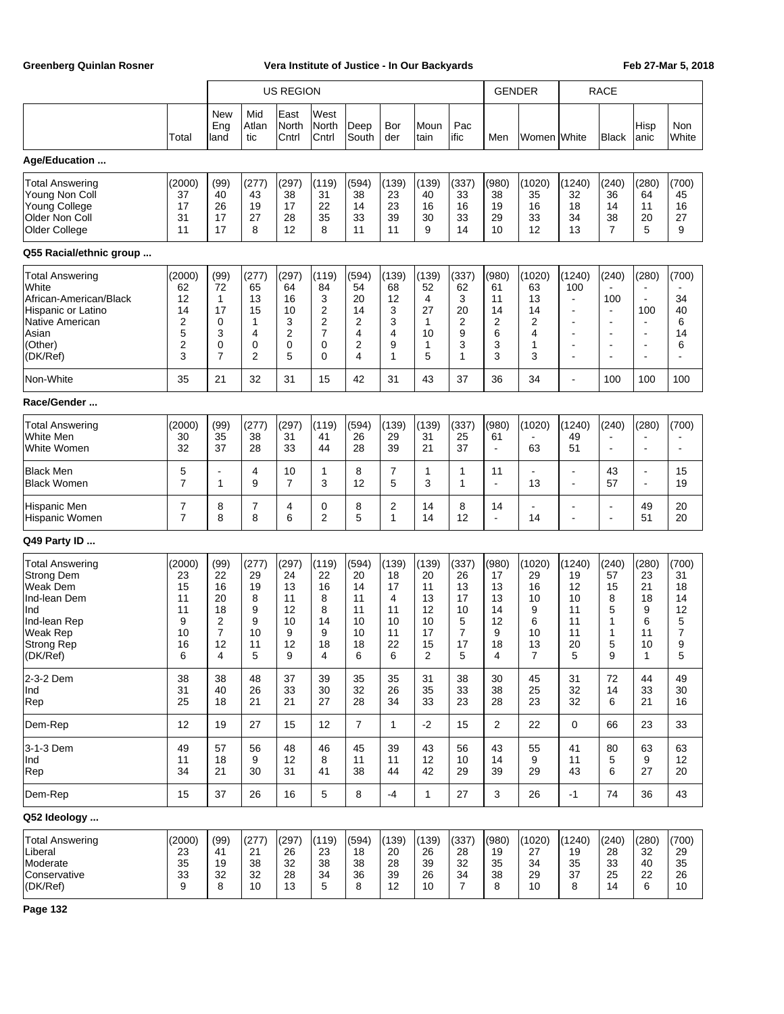|                                                                                                                                             |                                                      |                                                                             |                                                          | <b>US REGION</b>                                         |                                                        |                                                                                    |                                                     |                                                        |                                                                 | <b>GENDER</b>                                       |                                                           |                                                                                                           | <b>RACE</b>                                                                                                      |                                                                                                                                                        |                                                   |
|---------------------------------------------------------------------------------------------------------------------------------------------|------------------------------------------------------|-----------------------------------------------------------------------------|----------------------------------------------------------|----------------------------------------------------------|--------------------------------------------------------|------------------------------------------------------------------------------------|-----------------------------------------------------|--------------------------------------------------------|-----------------------------------------------------------------|-----------------------------------------------------|-----------------------------------------------------------|-----------------------------------------------------------------------------------------------------------|------------------------------------------------------------------------------------------------------------------|--------------------------------------------------------------------------------------------------------------------------------------------------------|---------------------------------------------------|
|                                                                                                                                             | Total                                                | <b>New</b><br>Eng<br>land                                                   | Mid<br>Atlan<br>tic                                      | East<br>North<br>Cntrl                                   | West<br>North<br>Cntrl                                 | Deep<br>South                                                                      | Bor<br>der                                          | Moun<br>tain                                           | Pac<br>ific                                                     | Men                                                 | Women White                                               |                                                                                                           | Black                                                                                                            | Hisp<br>lanic                                                                                                                                          | Non<br>White                                      |
| Age/Education                                                                                                                               |                                                      |                                                                             |                                                          |                                                          |                                                        |                                                                                    |                                                     |                                                        |                                                                 |                                                     |                                                           |                                                                                                           |                                                                                                                  |                                                                                                                                                        |                                                   |
| <b>Total Answering</b><br>Young Non Coll<br>Young College<br>Older Non Coll<br>Older College                                                | (2000)<br>37<br>17<br>31<br>11                       | (99)<br>40<br>26<br>17<br>17                                                | (277)<br>43<br>19<br>27<br>8                             | (297)<br>38<br>17<br>28<br>12                            | (119)<br>31<br>22<br>35<br>8                           | (594)<br>38<br>14<br>33<br>11                                                      | (139)<br>23<br>23<br>39<br>11                       | (139)<br>40<br>16<br>30<br>9                           | (337)<br>33<br>16<br>33<br>14                                   | (980)<br>38<br>19<br>29<br>10                       | (1020)<br>35<br>16<br>33<br>12                            | (1240)<br>32<br>18<br>34<br>13                                                                            | (240)<br>36<br>14<br>38<br>$\overline{7}$                                                                        | (280)<br>64<br>11<br>20<br>5                                                                                                                           | (700)<br>45<br>16<br>27<br>9                      |
| Q55 Racial/ethnic group                                                                                                                     |                                                      |                                                                             |                                                          |                                                          |                                                        |                                                                                    |                                                     |                                                        |                                                                 |                                                     |                                                           |                                                                                                           |                                                                                                                  |                                                                                                                                                        |                                                   |
| <b>Total Answering</b><br>White<br>African-American/Black<br><b>Hispanic or Latino</b><br>Native American<br>Asian<br>(Other)<br>(DK/Ref)   | (2000)<br>62<br>12<br>14<br>2<br>5<br>2<br>3         | (99)<br>72<br>$\mathbf{1}$<br>17<br>0<br>3<br>$\mathbf 0$<br>$\overline{7}$ | (277)<br>65<br>13<br>15<br>1<br>4<br>0<br>$\overline{2}$ | (297)<br>64<br>16<br>10<br>3<br>$\overline{2}$<br>0<br>5 | (119)<br>84<br>3<br>2<br>2<br>$\overline{7}$<br>0<br>0 | (594)<br>54<br>20<br>14<br>$\overline{2}$<br>$\overline{4}$<br>$\overline{2}$<br>4 | (139)<br>68<br>12<br>3<br>3<br>4<br>9<br>1          | (139)<br>52<br>4<br>27<br>$\mathbf{1}$<br>10<br>1<br>5 | (337)<br>62<br>3<br>20<br>2<br>9<br>3<br>$\mathbf{1}$           | (980)<br>61<br>11<br>14<br>2<br>6<br>3<br>3         | (1020)<br>63<br>13<br>14<br>$\overline{2}$<br>4<br>1<br>3 | (1240)<br>100<br>$\blacksquare$<br>٠<br>٠<br>$\overline{\phantom{a}}$<br>$\blacksquare$<br>$\blacksquare$ | (240)<br>100<br>$\blacksquare$<br>$\overline{\phantom{a}}$<br>$\blacksquare$<br>$\blacksquare$<br>$\blacksquare$ | (280)<br>$\overline{\phantom{a}}$<br>$\blacksquare$<br>100<br>$\blacksquare$<br>$\blacksquare$<br>$\overline{\phantom{a}}$<br>$\overline{\phantom{a}}$ | (700)<br>34<br>40<br>6<br>14<br>6<br>÷,           |
| Non-White                                                                                                                                   | 35                                                   | 21                                                                          | 32                                                       | 31                                                       | 15                                                     | 42                                                                                 | 31                                                  | 43                                                     | 37                                                              | 36                                                  | 34                                                        | L,                                                                                                        | 100                                                                                                              | 100                                                                                                                                                    | 100                                               |
| Race/Gender                                                                                                                                 |                                                      |                                                                             |                                                          |                                                          |                                                        |                                                                                    |                                                     |                                                        |                                                                 |                                                     |                                                           |                                                                                                           |                                                                                                                  |                                                                                                                                                        |                                                   |
| <b>Total Answering</b><br>White Men<br>White Women                                                                                          | (2000)<br>30<br>32                                   | (99)<br>35<br>37                                                            | (277)<br>38<br>28                                        | (297)<br>31<br>33                                        | (119)<br>41<br>44                                      | (594)<br>26<br>28                                                                  | (139)<br>29<br>39                                   | (139)<br>31<br>21                                      | (337)<br>25<br>37                                               | (980)<br>61<br>$\overline{a}$                       | (1020)<br>63                                              | (1240)<br>49<br>51                                                                                        | (240)<br>$\overline{\phantom{a}}$<br>$\overline{\phantom{a}}$                                                    | (280)<br>$\overline{\phantom{a}}$                                                                                                                      | (700)<br>$\overline{a}$                           |
| Black Men<br><b>Black Women</b>                                                                                                             | 5<br>$\overline{7}$                                  | $\overline{\phantom{a}}$<br>1                                               | 4<br>9                                                   | 10<br>$\overline{7}$                                     | 1<br>3                                                 | 8<br>12                                                                            | $\overline{7}$<br>5                                 | 1<br>3                                                 | 1<br>$\mathbf{1}$                                               | 11<br>$\overline{a}$                                | 13                                                        | ä,<br>$\overline{a}$                                                                                      | 43<br>57                                                                                                         | $\blacksquare$<br>$\ddot{\phantom{a}}$                                                                                                                 | 15<br>19                                          |
| Hispanic Men<br>Hispanic Women                                                                                                              | $\overline{7}$<br>$\overline{7}$                     | 8<br>8                                                                      | 7<br>8                                                   | $\overline{4}$<br>6                                      | 0<br>2                                                 | 8<br>5                                                                             | $\overline{2}$<br>$\mathbf{1}$                      | 14<br>14                                               | 8<br>12                                                         | 14<br>$\overline{a}$                                | 14                                                        | ä,<br>L,                                                                                                  | $\overline{\phantom{a}}$<br>$\overline{\phantom{a}}$                                                             | 49<br>51                                                                                                                                               | 20<br>20                                          |
| Q49 Party ID                                                                                                                                |                                                      |                                                                             |                                                          |                                                          |                                                        |                                                                                    |                                                     |                                                        |                                                                 |                                                     |                                                           |                                                                                                           |                                                                                                                  |                                                                                                                                                        |                                                   |
| <b>Total Answering</b><br><b>Strong Dem</b><br><b>Weak Dem</b><br>Ind-lean Dem<br>Ind<br>Ind-lean Rep<br>Weak Rep<br>Strong Rep<br>(DK/Ref) | (2000)<br>23<br>15<br>11<br>11<br>9<br>10<br>16<br>6 | (99)<br>22<br>16<br>20<br>18<br>2<br>$\overline{7}$<br>12<br>4              | (277)<br>29<br>19<br>8<br>9<br>9<br>10<br>11<br>5        | (297)<br>24<br>13<br>11<br>12<br>10<br>9<br>12<br>9      | (119)<br>22<br>16<br>8<br>8<br>14<br>9<br>18<br>4      | (594)<br>20<br>14<br>11<br>11<br>10<br>10<br>18<br>6                               | (139)<br>18<br>17<br>4<br>11<br>10<br>11<br>22<br>6 | (139)<br>20<br>11<br>13<br>12<br>10<br>17<br>15<br>2   | (337)<br>26<br>13<br>17<br>10<br>5<br>$\overline{7}$<br>17<br>5 | (980)<br>17<br>13<br>13<br>14<br>12<br>9<br>18<br>4 | (1020)<br>29<br>16<br>10<br>9<br>6<br>10<br>13<br>7       | (1240)<br>19<br>12<br>10<br>11<br>11<br>11<br>20<br>5                                                     | (240)<br>57<br>15<br>8<br>5<br>1<br>1<br>5<br>9                                                                  | (280)<br>23<br>21<br>18<br>9<br>6<br>11<br>10<br>1                                                                                                     | (700)<br>31<br>18<br>14<br>12<br>5<br>7<br>9<br>5 |
| 2-3-2 Dem<br> Ind<br>Rep                                                                                                                    | 38<br>31<br>25                                       | 38<br>40<br>18                                                              | 48<br>26<br>21                                           | 37<br>33<br>21                                           | 39<br>30<br>27                                         | 35<br>32<br>28                                                                     | 35<br>26<br>34                                      | 31<br>35<br>33                                         | 38<br>33<br>23                                                  | 30<br>38<br>28                                      | 45<br>25<br>23                                            | 31<br>32<br>32                                                                                            | 72<br>14<br>6                                                                                                    | 44<br>33<br>21                                                                                                                                         | 49<br>30<br>16                                    |
| Dem-Rep                                                                                                                                     | 12                                                   | 19                                                                          | 27                                                       | 15                                                       | 12                                                     | $\overline{7}$                                                                     | $\mathbf{1}$                                        | $-2$                                                   | 15                                                              | 2                                                   | 22                                                        | 0                                                                                                         | 66                                                                                                               | 23                                                                                                                                                     | 33                                                |
| 3-1-3 Dem<br>Ind<br>Rep                                                                                                                     | 49<br>11<br>34                                       | 57<br>18<br>21                                                              | 56<br>9<br>30                                            | 48<br>12<br>31                                           | 46<br>8<br>41                                          | 45<br>11<br>38                                                                     | 39<br>11<br>44                                      | 43<br>12<br>42                                         | 56<br>10<br>29                                                  | 43<br>14<br>39                                      | 55<br>9<br>29                                             | 41<br>11<br>43                                                                                            | 80<br>5<br>6                                                                                                     | 63<br>9<br>27                                                                                                                                          | 63<br>12<br>20                                    |
| Dem-Rep                                                                                                                                     | 15                                                   | 37                                                                          | 26                                                       | 16                                                       | 5                                                      | 8                                                                                  | $-4$                                                | $\mathbf{1}$                                           | 27                                                              | 3                                                   | 26                                                        | $-1$                                                                                                      | 74                                                                                                               | 36                                                                                                                                                     | 43                                                |
| Q52 Ideology                                                                                                                                |                                                      |                                                                             |                                                          |                                                          |                                                        |                                                                                    |                                                     |                                                        |                                                                 |                                                     |                                                           |                                                                                                           |                                                                                                                  |                                                                                                                                                        |                                                   |
| <b>Total Answering</b><br>Liberal<br>Moderate<br>Conservative<br>(DK/Ref)                                                                   | (2000)<br>23<br>35<br>33<br>9                        | (99)<br>41<br>19<br>32<br>8                                                 | (277)<br>21<br>38<br>32<br>10                            | (297)<br>26<br>32<br>28<br>13                            | (119)<br>23<br>38<br>34<br>5                           | (594)<br>18<br>38<br>36<br>8                                                       | (139)<br>20<br>28<br>39<br>12                       | (139)<br>26<br>39<br>26<br>10                          | (337)<br>28<br>32<br>34<br>$\overline{7}$                       | (980)<br>19<br>35<br>38<br>8                        | (1020)<br>27<br>34<br>29<br>10                            | (1240)<br>19<br>35<br>37<br>8                                                                             | (240)<br>28<br>33<br>25<br>14                                                                                    | (280)<br>32<br>40<br>22<br>6                                                                                                                           | (700)<br>29<br>35<br>26<br>10                     |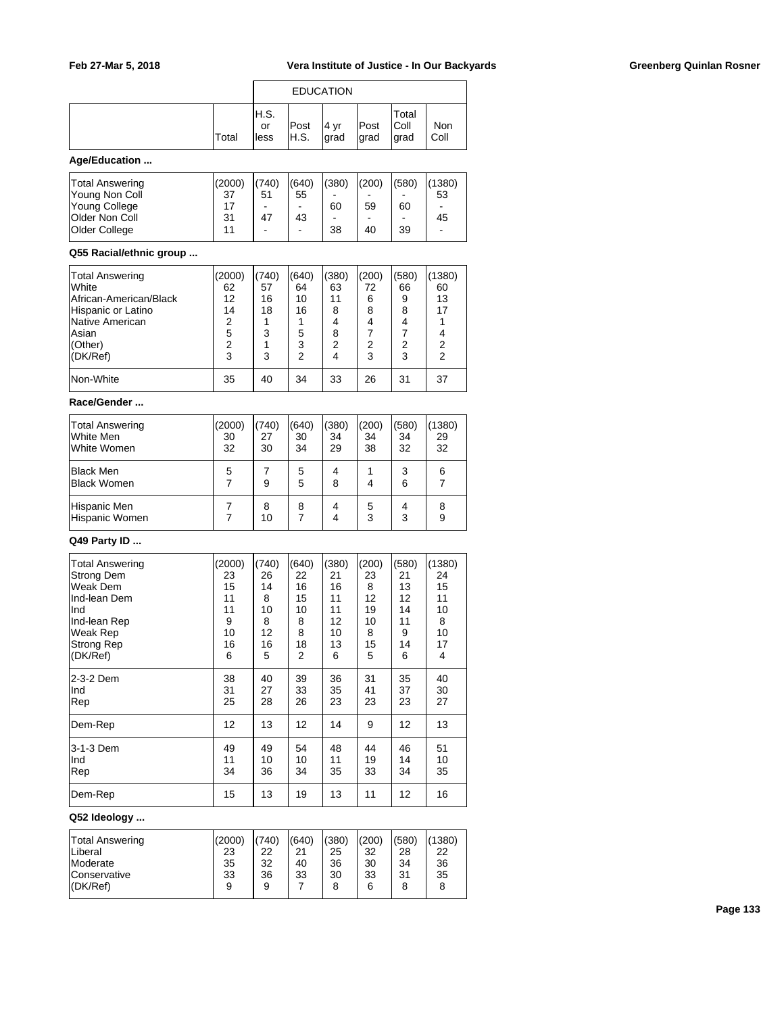| IH.S.<br>or<br>Total<br>lless | Post<br>IH.S. | .4 vr<br>grad | Post<br>∣grad | Total<br> Coll<br>∣grad | Non<br>Coll |
|-------------------------------|---------------|---------------|---------------|-------------------------|-------------|

### **Age/Education ...**

| Total Answering       | (2000) | 1(740) | (640) | (380)                        | (200) | (580) | (1380)                   |
|-----------------------|--------|--------|-------|------------------------------|-------|-------|--------------------------|
| Young Non Coll        | 37     | 51     | 55    | $\qquad \qquad \blacksquare$ | -     | -     | 53                       |
| Young College         | 17     | ۰      | -     | 60                           | 59    | 60    | $\overline{\phantom{0}}$ |
| <b>Older Non Coll</b> | 31     | 47     | 43    | $\overline{\phantom{0}}$     | -     | -     | 45                       |
| <b>Older College</b>  | 11     | ۰      | -     | 38                           | 40    | 39    | $\blacksquare$           |
|                       |        |        |       |                              |       |       |                          |

### **Q55 Racial/ethnic group ...**

| Total Answering        | (2000) | (740) | (640) | (380) | (200) | (580) | (1380)         |
|------------------------|--------|-------|-------|-------|-------|-------|----------------|
| <b>White</b>           | 62     | 57    | 64    | 63    | 72    | 66    | 60             |
| African-American/Black | 12     | 16    | 10    | 11    | 6     | 9     | 13             |
| Hispanic or Latino     | 14     | 18    | 16    | 8     | 8     | 8     | 17             |
| Native American        | 2      |       |       | 4     | 4     |       |                |
| lAsian                 | 5      | 3     | 5     | 8     |       |       | 4              |
| (Other)                | 2      |       | 3     | 2     | 2     | 2     | 2              |
| (DK/Ref)               | 3      | 3     | 2     |       | 3     | 3     | $\overline{2}$ |
| Non-White              | 35     | 40    | 34    | 33    | 26    | 31    | 37             |

### **Race/Gender ...**

| Total Answering<br>lWhite Men<br>White Women | (2000)<br>30<br>32 | (740)<br>27<br>30 | (640)<br>30<br>34 | (380)<br>34<br>29 | (200)<br>34<br>38 | (580)<br>34<br>32 | 1380<br>29<br>32 |
|----------------------------------------------|--------------------|-------------------|-------------------|-------------------|-------------------|-------------------|------------------|
| <b>Black Men</b><br>Black Women              | 5                  | 9                 | 5<br>5            | 4<br>8            |                   | 3<br>6            | 6                |
| Hispanic Men<br>Hispanic Women               |                    | 8<br>10           | 8                 | 4<br>4            | 5<br>3            | 4<br>3            | 8<br>9           |

## **Q49 Party ID ...**

| <b>Total Answering</b> | (2000) | (740) | (640) | (380) | (200) | (580) | (1380) |
|------------------------|--------|-------|-------|-------|-------|-------|--------|
| <b>Strong Dem</b>      | 23     | 26    | 22    | 21    | 23    | 21    | 24     |
| Weak Dem               | 15     | 14    | 16    | 16    | 8     | 13    | 15     |
| Ind-lean Dem           | 11     | 8     | 15    | 11    | 12    | 12    | 11     |
| Ind                    | 11     | 10    | 10    | 11    | 19    | 14    | 10     |
| Ind-lean Rep           | 9      | 8     | 8     | 12    | 10    | 11    | 8      |
| Weak Rep               | 10     | 12    | 8     | 10    | 8     | 9     | 10     |
| Strong Rep             | 16     | 16    | 18    | 13    | 15    | 14    | 17     |
| (DK/Ref)               | 6      | 5     | 2     | 6     | 5     | 6     | 4      |
| l2-3-2 Dem             | 38     | 40    | 39    | 36    | 31    | 35    | 40     |
| Ind                    | 31     | 27    | 33    | 35    | 41    | 37    | 30     |
| Rep                    | 25     | 28    | 26    | 23    | 23    | 23    | 27     |
| Dem-Rep                | 12     | 13    | 12    | 14    | 9     | 12    | 13     |
| 3-1-3 Dem              | 49     | 49    | 54    | 48    | 44    | 46    | 51     |
| Ind                    | 11     | 10    | 10    | 11    | 19    | 14    | 10     |
| Rep                    | 34     | 36    | 34    | 35    | 33    | 34    | 35     |
| Dem-Rep                | 15     | 13    | 19    | 13    | 11    | 12    | 16     |

# **Q52 Ideology ...**

| Total Answering     | (2000) | (740) | (640) | (380) | (200) | (580) | (1380) |
|---------------------|--------|-------|-------|-------|-------|-------|--------|
| Liberal             | 23     | 22    | 21    | 25    | 32    | 28    | 22     |
| Moderate            | 35     | 32    | 40    | 36    | 30    | 34    | 36     |
| <b>Conservative</b> | 33     | 36    | 33    | 30    | 33    | 31    | 35     |
| (DK/Ref)            | 9      | 9     |       | 8     | 6     |       | 8      |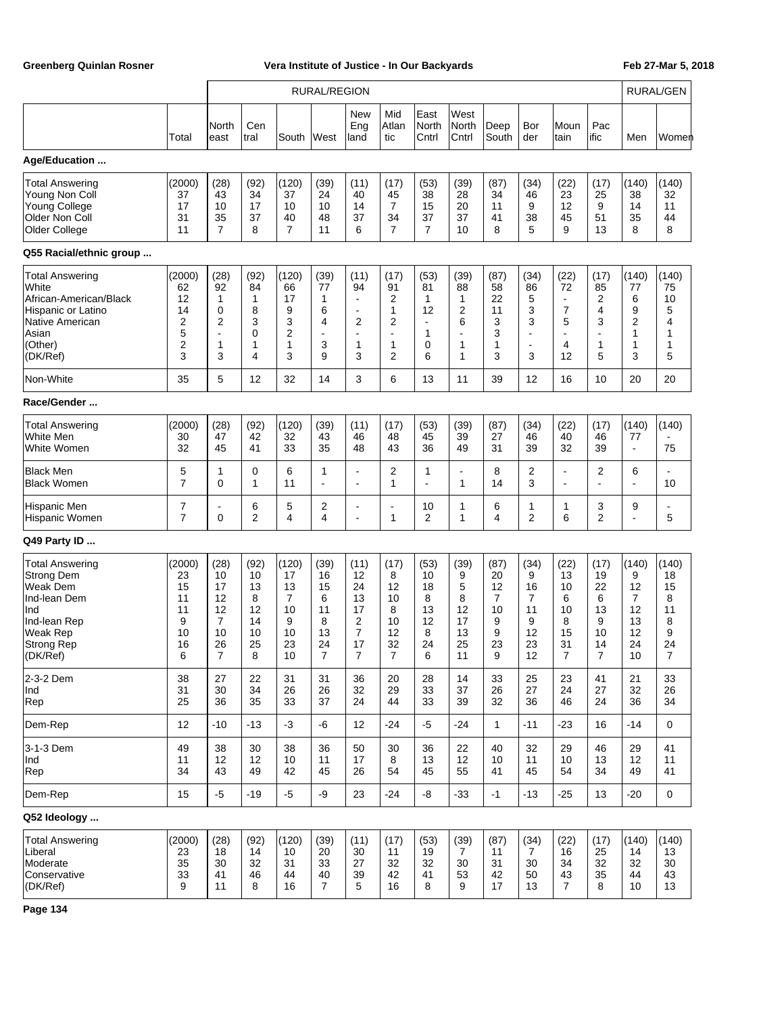|                                                                                                                                             |                                                      |                                                                 |                                                    |                                                                  | <b>RURAL/REGION</b>                                             |                                                                                 |                                                                    |                                                                   |                                                       |                                                  |                                                                    |                                                                                            |                                                                  |                                                        | <b>RURAL/GEN</b>                                  |
|---------------------------------------------------------------------------------------------------------------------------------------------|------------------------------------------------------|-----------------------------------------------------------------|----------------------------------------------------|------------------------------------------------------------------|-----------------------------------------------------------------|---------------------------------------------------------------------------------|--------------------------------------------------------------------|-------------------------------------------------------------------|-------------------------------------------------------|--------------------------------------------------|--------------------------------------------------------------------|--------------------------------------------------------------------------------------------|------------------------------------------------------------------|--------------------------------------------------------|---------------------------------------------------|
|                                                                                                                                             | Total                                                | North<br>east                                                   | Cen<br>tral                                        | South                                                            | West                                                            | New<br>Eng<br>land                                                              | Mid<br>Atlan<br>tic                                                | East<br>North<br>Cntrl                                            | West<br>North<br>Cntrl                                | Deep<br>South                                    | Bor<br>der                                                         | Moun<br>tain                                                                               | Pac<br>ific                                                      | Men                                                    | Women                                             |
| Age/Education                                                                                                                               |                                                      |                                                                 |                                                    |                                                                  |                                                                 |                                                                                 |                                                                    |                                                                   |                                                       |                                                  |                                                                    |                                                                                            |                                                                  |                                                        |                                                   |
| Total Answering<br>Young Non Coll<br><b>Young College</b><br>Older Non Coll<br>Older College                                                | (2000)<br>37<br>17<br>31<br>11                       | (28)<br>43<br>10<br>35<br>$\overline{7}$                        | (92)<br>34<br>17<br>37<br>8                        | (120)<br>37<br>10<br>40<br>$\overline{7}$                        | (39)<br>24<br>10<br>48<br>11                                    | (11)<br>40<br>14<br>37<br>6                                                     | (17)<br>45<br>7<br>34<br>$\overline{7}$                            | (53)<br>38<br>15<br>37<br>$\overline{7}$                          | (39)<br>28<br>20<br>37<br>10                          | (87)<br>34<br>11<br>41<br>8                      | (34)<br>46<br>9<br>38<br>5                                         | (22)<br>23<br>12<br>45<br>9                                                                | (17)<br>25<br>9<br>51<br>13                                      | (140)<br>38<br>14<br>35<br>8                           | (140)<br>32<br>11<br>44<br>8                      |
| Q55 Racial/ethnic group                                                                                                                     |                                                      |                                                                 |                                                    |                                                                  |                                                                 |                                                                                 |                                                                    |                                                                   |                                                       |                                                  |                                                                    |                                                                                            |                                                                  |                                                        |                                                   |
| <b>Total Answering</b><br>White<br>African-American/Black<br>Hispanic or Latino<br>Native American<br>Asian<br>(Other)<br>(DK/Ref)          | (2000)<br>62<br>12<br>14<br>2<br>5<br>2<br>3         | (28)<br>92<br>1<br>$\mathbf 0$<br>2<br>$\blacksquare$<br>1<br>3 | (92)<br>84<br>1<br>8<br>3<br>0<br>1<br>4           | (120)<br>66<br>17<br>9<br>3<br>$\overline{2}$<br>1<br>3          | (39)<br>77<br>1<br>6<br>4<br>$\overline{\phantom{a}}$<br>3<br>9 | (11)<br>94<br>$\blacksquare$<br>$\blacksquare$<br>2<br>$\blacksquare$<br>1<br>3 | (17)<br>91<br>2<br>1<br>$\overline{2}$<br>$\blacksquare$<br>1<br>2 | (53)<br>81<br>$\mathbf{1}$<br>12<br>$\blacksquare$<br>1<br>0<br>6 | (39)<br>88<br>1<br>2<br>6<br>$\blacksquare$<br>1<br>1 | (87)<br>58<br>22<br>11<br>3<br>3<br>1<br>3       | (34)<br>86<br>5<br>3<br>3<br>$\overline{a}$<br>$\blacksquare$<br>3 | (22)<br>72<br>$\blacksquare$<br>$\overline{7}$<br>5<br>$\overline{\phantom{a}}$<br>4<br>12 | (17)<br>85<br>2<br>4<br>3<br>$\blacksquare$<br>$\mathbf{1}$<br>5 | (140)<br>77<br>6<br>9<br>$\overline{2}$<br>1<br>1<br>3 | (140)<br>75<br>10<br>5<br>4<br>1<br>1<br>5        |
| Non-White                                                                                                                                   | 35                                                   | 5                                                               | 12                                                 | 32                                                               | 14                                                              | 3                                                                               | 6                                                                  | 13                                                                | 11                                                    | 39                                               | 12                                                                 | 16                                                                                         | 10                                                               | 20                                                     | 20                                                |
| Race/Gender                                                                                                                                 |                                                      |                                                                 |                                                    |                                                                  |                                                                 |                                                                                 |                                                                    |                                                                   |                                                       |                                                  |                                                                    |                                                                                            |                                                                  |                                                        |                                                   |
| <b>Total Answering</b><br>White Men<br>White Women                                                                                          | (2000)<br>30<br>32                                   | (28)<br>47<br>45                                                | (92)<br>42<br>41                                   | (120)<br>32<br>33                                                | (39)<br>43<br>35                                                | (11)<br>46<br>48                                                                | (17)<br>48<br>43                                                   | (53)<br>45<br>36                                                  | (39)<br>39<br>49                                      | (87)<br>27<br>31                                 | (34)<br>46<br>39                                                   | (22)<br>40<br>32                                                                           | (17)<br>46<br>39                                                 | (140)<br>77<br>$\blacksquare$                          | (140)<br>75                                       |
| <b>Black Men</b><br><b>Black Women</b>                                                                                                      | 5<br>7                                               | 1<br>$\mathbf 0$                                                | 0<br>1                                             | 6<br>11                                                          | 1<br>÷.                                                         | $\blacksquare$<br>۰                                                             | 2<br>1                                                             | 1<br>÷                                                            | $\overline{\phantom{a}}$<br>1                         | 8<br>14                                          | 2<br>3                                                             | $\overline{\phantom{a}}$<br>$\blacksquare$                                                 | 2<br>÷                                                           | 6<br>۰                                                 | 10                                                |
| <b>Hispanic Men</b><br>Hispanic Women                                                                                                       | 7<br>7                                               | $\blacksquare$<br>$\mathbf 0$                                   | 6<br>2                                             | 5<br>4                                                           | 2<br>4                                                          | $\blacksquare$<br>$\blacksquare$                                                | $\blacksquare$<br>1                                                | 10<br>2                                                           | 1<br>1                                                | 6<br>4                                           | 1<br>2                                                             | 1<br>6                                                                                     | 3<br>$\overline{2}$                                              | 9<br>ä,                                                | 5                                                 |
| Q49 Party ID                                                                                                                                |                                                      |                                                                 |                                                    |                                                                  |                                                                 |                                                                                 |                                                                    |                                                                   |                                                       |                                                  |                                                                    |                                                                                            |                                                                  |                                                        |                                                   |
| <b>Total Answering</b><br><b>Strong Dem</b><br>Weak Dem<br>Ind-lean Dem<br>Ind<br>Ind-lean Rep<br>Weak Rep<br><b>Strong Rep</b><br>(DK/Ref) | (2000)<br>23<br>15<br>11<br>11<br>9<br>10<br>16<br>6 | (28)<br>10<br>17<br>12<br>12<br>7<br>10<br>26<br>$\overline{7}$ | (92)<br>10<br>13<br>8<br>12<br>14<br>10<br>25<br>8 | (120)<br>17<br>13<br>$\overline{7}$<br>10<br>9<br>10<br>23<br>10 | (39)<br>16<br>15<br>6<br>11<br>8<br>13<br>24<br>$\overline{7}$  | (11)<br>12<br>24<br>13<br>17<br>$\overline{2}$<br>$\overline{7}$<br>17<br>7     | (17)<br>8<br>12<br>10<br>8<br>10<br>12<br>32<br>7                  | (53)<br>10<br>18<br>8<br>13<br>12<br>8<br>24<br>6                 | (39)<br>9<br>5<br>8<br>12<br>17<br>13<br>25<br>11     | (87)<br>20<br>12<br>7<br>10<br>9<br>9<br>23<br>9 | (34)<br>9<br>16<br>7<br>11<br>9<br>12<br>23<br>12                  | (22)<br>13<br>10<br>6<br>10<br>8<br>15<br>31<br>7                                          | (17)<br>19<br>22<br>6<br>13<br>9<br>10<br>14<br>$\overline{7}$   | (140)<br>9<br>12<br>7<br>12<br>13<br>12<br>24<br>10    | (140)<br>18<br>15<br>8<br>11<br>8<br>9<br>24<br>7 |
| 2-3-2 Dem<br>Ind<br>Rep                                                                                                                     | 38<br>31<br>25                                       | 27<br>30<br>36                                                  | 22<br>34<br>35                                     | 31<br>26<br>33                                                   | 31<br>26<br>37                                                  | 36<br>32<br>24                                                                  | 20<br>29<br>44                                                     | 28<br>33<br>33                                                    | 14<br>37<br>39                                        | 33<br>26<br>32                                   | 25<br>27<br>36                                                     | 23<br>24<br>46                                                                             | 41<br>27<br>24                                                   | 21<br>32<br>36                                         | 33<br>26<br>34                                    |
| Dem-Rep                                                                                                                                     | 12                                                   | $-10$                                                           | $-13$                                              | $-3$                                                             | -6                                                              | 12                                                                              | $-24$                                                              | $-5$                                                              | $-24$                                                 | $\mathbf{1}$                                     | $-11$                                                              | $-23$                                                                                      | 16                                                               | $-14$                                                  | $\mathbf 0$                                       |
| 3-1-3 Dem<br>Ind<br>Rep                                                                                                                     | 49<br>11<br>34                                       | 38<br>12<br>43                                                  | 30<br>12<br>49                                     | 38<br>10<br>42                                                   | 36<br>11<br>45                                                  | 50<br>17<br>26                                                                  | 30<br>8<br>54                                                      | 36<br>13<br>45                                                    | 22<br>12<br>55                                        | 40<br>10<br>41                                   | 32<br>11<br>45                                                     | 29<br>10<br>54                                                                             | 46<br>13<br>34                                                   | 29<br>12<br>49                                         | 41<br>11<br>41                                    |
| Dem-Rep                                                                                                                                     | 15                                                   | $-5$                                                            | $-19$                                              | $-5$                                                             | -9                                                              | 23                                                                              | $-24$                                                              | $-8$                                                              | $-33$                                                 | $-1$                                             | $-13$                                                              | $-25$                                                                                      | 13                                                               | $-20$                                                  | $\mathbf 0$                                       |
| Q52 Ideology                                                                                                                                |                                                      |                                                                 |                                                    |                                                                  |                                                                 |                                                                                 |                                                                    |                                                                   |                                                       |                                                  |                                                                    |                                                                                            |                                                                  |                                                        |                                                   |
| <b>Total Answering</b><br>Liberal<br>Moderate<br>Conservative<br>(DK/Ref)                                                                   | (2000)<br>23<br>35<br>33<br>9                        | (28)<br>18<br>30<br>41<br>11                                    | (92)<br>14<br>32<br>46<br>8                        | (120)<br>10<br>31<br>44<br>16                                    | (39)<br>20<br>33<br>40<br>$\overline{7}$                        | (11)<br>30<br>27<br>39<br>5                                                     | (17)<br>11<br>32<br>42<br>16                                       | (53)<br>19<br>32<br>41<br>8                                       | (39)<br>7<br>30<br>53<br>9                            | (87)<br>11<br>31<br>42<br>17                     | (34)<br>7<br>30<br>50<br>13                                        | (22)<br>16<br>34<br>43<br>$\overline{7}$                                                   | (17)<br>25<br>32<br>35<br>8                                      | (140)<br>14<br>32<br>44<br>10                          | (140)<br>13<br>30<br>43<br>13                     |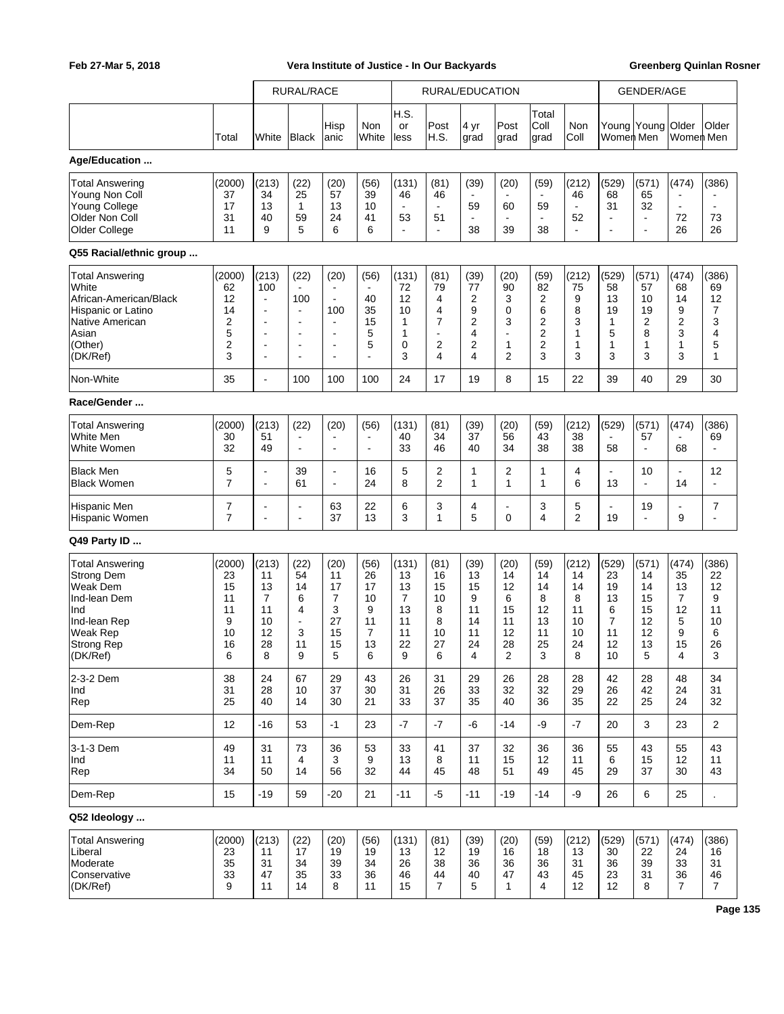|                                                                                                                                             |                                                           | <b>RURAL/RACE</b>                                                                                                               |                                                                                                       | RURAL/EDUCATION                                                                                                                     |                                                                |                                                     |                                                                    |                                                      |                                                       | <b>GENDER/AGE</b>                                  |                                                     |                                                                  |                                                       |                                                                    |                                                    |
|---------------------------------------------------------------------------------------------------------------------------------------------|-----------------------------------------------------------|---------------------------------------------------------------------------------------------------------------------------------|-------------------------------------------------------------------------------------------------------|-------------------------------------------------------------------------------------------------------------------------------------|----------------------------------------------------------------|-----------------------------------------------------|--------------------------------------------------------------------|------------------------------------------------------|-------------------------------------------------------|----------------------------------------------------|-----------------------------------------------------|------------------------------------------------------------------|-------------------------------------------------------|--------------------------------------------------------------------|----------------------------------------------------|
|                                                                                                                                             |                                                           |                                                                                                                                 |                                                                                                       |                                                                                                                                     |                                                                | H.S.                                                |                                                                    |                                                      |                                                       | Total                                              |                                                     |                                                                  |                                                       |                                                                    |                                                    |
|                                                                                                                                             | Total                                                     | White                                                                                                                           | Black                                                                                                 | Hisp<br>anic                                                                                                                        | Non<br>White                                                   | or<br>less                                          | Post<br>H.S.                                                       | 4 yr<br>grad                                         | Post<br>grad                                          | Coll<br>grad                                       | Non<br>Coll                                         | Women Men                                                        | Young Young Older                                     | Women Men                                                          | Older                                              |
| Age/Education                                                                                                                               |                                                           |                                                                                                                                 |                                                                                                       |                                                                                                                                     |                                                                |                                                     |                                                                    |                                                      |                                                       |                                                    |                                                     |                                                                  |                                                       |                                                                    |                                                    |
| <b>Total Answering</b><br>Young Non Coll<br><b>Young College</b><br>Older Non Coll<br>Older College                                         | (2000)<br>37<br>17<br>31<br>11                            | (213)<br>34<br>13<br>40<br>9                                                                                                    | (22)<br>25<br>1<br>59<br>5                                                                            | (20)<br>57<br>13<br>24<br>6                                                                                                         | (56)<br>39<br>10<br>41<br>6                                    | (131)<br>46<br>$\blacksquare$<br>53                 | (81)<br>46<br>$\blacksquare$<br>51<br>$\blacksquare$               | (39)<br>$\blacksquare$<br>59<br>$\blacksquare$<br>38 | (20)<br>60<br>39                                      | (59)<br>59<br>$\blacksquare$<br>38                 | (212)<br>46<br>$\blacksquare$<br>52<br>÷,           | (529)<br>68<br>31<br>$\blacksquare$<br>$\overline{a}$            | (571)<br>65<br>32<br>$\blacksquare$<br>$\blacksquare$ | (474)<br>$\ddot{\phantom{0}}$<br>$\blacksquare$<br>72<br>26        | (386)<br>73<br>26                                  |
| Q55 Racial/ethnic group                                                                                                                     |                                                           |                                                                                                                                 |                                                                                                       |                                                                                                                                     |                                                                |                                                     |                                                                    |                                                      |                                                       |                                                    |                                                     |                                                                  |                                                       |                                                                    |                                                    |
| <b>Total Answering</b><br>White<br>African-American/Black<br>Hispanic or Latino<br>Native American<br>Asian<br>(Other)<br>(DK/Ref)          | (2000)<br>62<br>12<br>14<br>2<br>5<br>$\overline{2}$<br>3 | (213)<br>100<br>$\overline{a}$<br>$\overline{a}$<br>÷<br>$\overline{a}$<br>$\overline{\phantom{a}}$<br>$\overline{\phantom{a}}$ | (22)<br>100<br>$\blacksquare$<br>$\blacksquare$<br>$\blacksquare$<br>$\blacksquare$<br>$\blacksquare$ | (20)<br>$\blacksquare$<br>100<br>$\overline{a}$<br>$\overline{\phantom{a}}$<br>$\overline{\phantom{a}}$<br>$\overline{\phantom{a}}$ | (56)<br>$\blacksquare$<br>40<br>35<br>15<br>5<br>5<br>÷,       | (131)<br>72<br>12<br>10<br>1<br>1<br>0<br>3         | (81)<br>79<br>4<br>4<br>$\overline{7}$<br>$\blacksquare$<br>2<br>4 | (39)<br>77<br>2<br>9<br>2<br>4<br>2<br>4             | (20)<br>90<br>3<br>0<br>3<br>$\blacksquare$<br>1<br>2 | (59)<br>82<br>2<br>6<br>2<br>2<br>2<br>3           | (212)<br>75<br>9<br>8<br>3<br>1<br>1<br>3           | (529)<br>58<br>13<br>19<br>1<br>5<br>1<br>3                      | (571)<br>57<br>10<br>19<br>2<br>8<br>1<br>3           | (474)<br>68<br>14<br>9<br>$\overline{2}$<br>3<br>$\mathbf{1}$<br>3 | (386)<br>69<br>12<br>7<br>3<br>4<br>5<br>1         |
| Non-White                                                                                                                                   | 35                                                        | $\blacksquare$                                                                                                                  | 100                                                                                                   | 100                                                                                                                                 | 100                                                            | 24                                                  | 17                                                                 | 19                                                   | 8                                                     | 15                                                 | 22                                                  | 39                                                               | 40                                                    | 29                                                                 | 30                                                 |
| Race/Gender                                                                                                                                 |                                                           |                                                                                                                                 |                                                                                                       |                                                                                                                                     |                                                                |                                                     |                                                                    |                                                      |                                                       |                                                    |                                                     |                                                                  |                                                       |                                                                    |                                                    |
| <b>Total Answering</b><br>White Men<br>White Women                                                                                          | (2000)<br>30<br>32                                        | (213)<br>51<br>49                                                                                                               | (22)<br>$\blacksquare$                                                                                | (20)<br>$\overline{a}$<br>$\overline{\phantom{a}}$                                                                                  | (56)<br>÷,                                                     | (131)<br>40<br>33                                   | (81)<br>34<br>46                                                   | (39)<br>37<br>40                                     | (20)<br>56<br>34                                      | (59)<br>43<br>38                                   | (212)<br>38<br>38                                   | (529)<br>58                                                      | (571)<br>57<br>$\blacksquare$                         | (474)<br>68                                                        | (386)<br>69<br>÷,                                  |
| <b>Black Men</b><br><b>Black Women</b>                                                                                                      | 5<br>$\overline{7}$                                       | ÷<br>÷                                                                                                                          | 39<br>61                                                                                              | $\overline{\phantom{a}}$<br>$\overline{a}$                                                                                          | 16<br>24                                                       | 5<br>8                                              | 2<br>$\overline{2}$                                                | $\mathbf{1}$<br>1                                    | 2<br>1                                                | 1<br>1                                             | 4<br>6                                              | $\blacksquare$<br>13                                             | 10<br>÷,                                              | $\blacksquare$<br>14                                               | 12                                                 |
| Hispanic Men<br>Hispanic Women                                                                                                              | 7<br>$\overline{7}$                                       | ÷<br>÷                                                                                                                          | $\overline{a}$<br>$\blacksquare$                                                                      | 63<br>37                                                                                                                            | 22<br>13                                                       | 6<br>3                                              | 3<br>1                                                             | 4<br>5                                               | $\Omega$                                              | 3<br>4                                             | 5<br>$\overline{2}$                                 | $\overline{a}$<br>19                                             | 19<br>$\blacksquare$                                  | $\blacksquare$<br>9                                                | 7<br>$\overline{a}$                                |
| Q49 Party ID                                                                                                                                |                                                           |                                                                                                                                 |                                                                                                       |                                                                                                                                     |                                                                |                                                     |                                                                    |                                                      |                                                       |                                                    |                                                     |                                                                  |                                                       |                                                                    |                                                    |
| <b>Total Answering</b><br><b>Strong Dem</b><br>Weak Dem<br>Ind-lean Dem<br>Ind<br>Ind-lean Rep<br><b>Weak Rep</b><br>Strong Rep<br>(DK/Ref) | (2000)<br>23<br>15<br>11<br>11<br>9<br>10<br>16<br>6      | (213)<br>11<br>13<br>$\overline{7}$<br>11<br>10<br>12<br>28<br>8                                                                | (22)<br>54<br>14<br>6<br>4<br>$\blacksquare$<br>3<br>11<br>9                                          | (20)<br>11<br>17<br>7<br>3<br>27<br>15<br>15<br>5                                                                                   | (56)<br>26<br>17<br>10<br>9<br>11<br>$\overline{7}$<br>13<br>6 | (131)<br>13<br>13<br>7<br>13<br>11<br>11<br>22<br>9 | (81)<br>16<br>15<br>10<br>8<br>8<br>10<br>27<br>6                  | (39)<br>13<br>15<br>9<br>11<br>14<br>11<br>24<br>4   | (20)<br>14<br>12<br>6<br>15<br>11<br>12<br>28<br>2    | (59)<br>14<br>14<br>8<br>12<br>13<br>11<br>25<br>3 | (212)<br>14<br>14<br>8<br>11<br>10<br>10<br>24<br>8 | (529)<br>23<br>19<br>13<br>6<br>$\overline{7}$<br>11<br>12<br>10 | (571)<br>14<br>14<br>15<br>15<br>12<br>12<br>13<br>5  | (474)<br>35<br>13<br>7<br>12<br>5<br>9<br>15<br>4                  | (386)<br>22<br>12<br>9<br>11<br>10<br>6<br>26<br>3 |
| 2-3-2 Dem<br>Ind<br>Rep                                                                                                                     | 38<br>31<br>25                                            | 24<br>28<br>40                                                                                                                  | 67<br>10<br>14                                                                                        | 29<br>37<br>30                                                                                                                      | 43<br>30<br>21                                                 | 26<br>31<br>33                                      | 31<br>26<br>37                                                     | 29<br>33<br>35                                       | 26<br>32<br>40                                        | 28<br>32<br>36                                     | 28<br>29<br>35                                      | 42<br>26<br>22                                                   | 28<br>42<br>25                                        | 48<br>24<br>24                                                     | 34<br>31<br>32                                     |
| Dem-Rep                                                                                                                                     | 12                                                        | $-16$                                                                                                                           | 53                                                                                                    | $-1$                                                                                                                                | 23                                                             | -7                                                  | $-7$                                                               | -6                                                   | $-14$                                                 | -9                                                 | $-7$                                                | 20                                                               | 3                                                     | 23                                                                 | 2                                                  |
| 3-1-3 Dem<br>Ind<br>Rep                                                                                                                     | 49<br>11<br>34                                            | 31<br>11<br>50                                                                                                                  | 73<br>4<br>14                                                                                         | 36<br>3<br>56                                                                                                                       | 53<br>9<br>32                                                  | 33<br>13<br>44                                      | 41<br>8<br>45                                                      | 37<br>11<br>48                                       | 32<br>15<br>51                                        | 36<br>12<br>49                                     | 36<br>11<br>45                                      | 55<br>6<br>29                                                    | 43<br>15<br>37                                        | 55<br>12<br>30                                                     | 43<br>11<br>43                                     |
| Dem-Rep                                                                                                                                     | 15                                                        | $-19$                                                                                                                           | 59                                                                                                    | $-20$                                                                                                                               | 21                                                             | $-11$                                               | $-5$                                                               | $-11$                                                | $-19$                                                 | $-14$                                              | -9                                                  | 26                                                               | 6                                                     | 25                                                                 | $\ddot{\phantom{0}}$                               |
| Q52 Ideology                                                                                                                                |                                                           |                                                                                                                                 |                                                                                                       |                                                                                                                                     |                                                                |                                                     |                                                                    |                                                      |                                                       |                                                    |                                                     |                                                                  |                                                       |                                                                    |                                                    |
| <b>Total Answering</b><br>Liberal<br>Moderate<br>Conservative<br>(DK/Ref)                                                                   | (2000)<br>23<br>35<br>33<br>9                             | (213)<br>11<br>31<br>47<br>11                                                                                                   | (22)<br>17<br>34<br>35<br>14                                                                          | (20)<br>19<br>39<br>33<br>8                                                                                                         | (56)<br>19<br>34<br>36<br>11                                   | (131)<br>13<br>26<br>46<br>15                       | (81)<br>$12 \overline{ }$<br>38<br>44<br>$\overline{7}$            | (39)<br>19<br>36<br>40<br>5                          | (20)<br>16<br>36<br>47<br>$\mathbf{1}$                | (59)<br>18<br>36<br>43<br>4                        | (212)<br>13<br>31<br>45<br>12                       | (529)<br>30<br>36<br>23<br>12                                    | (571)<br>22<br>39<br>31<br>8                          | (474)<br>24<br>33<br>36<br>$\overline{7}$                          | (386)<br>16<br>31<br>46<br>$\overline{7}$          |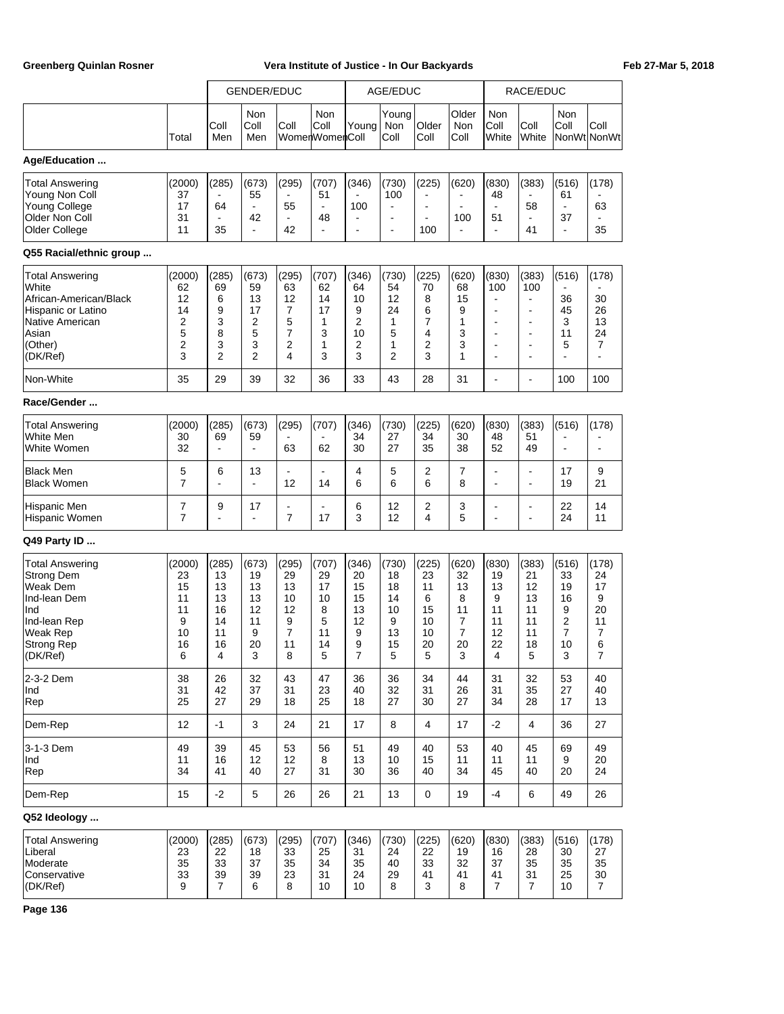|                                                                                                                                      |                                                                    |                                                                            | <b>GENDER/EDUC</b>                                       |                                                                 |                                                    |                                                    | AGE/EDUC                                                                     |                                                        |                                                                |                                                                                                                                                                  | RACE/EDUC                                                                                                        |                                                                |                                                                  |
|--------------------------------------------------------------------------------------------------------------------------------------|--------------------------------------------------------------------|----------------------------------------------------------------------------|----------------------------------------------------------|-----------------------------------------------------------------|----------------------------------------------------|----------------------------------------------------|------------------------------------------------------------------------------|--------------------------------------------------------|----------------------------------------------------------------|------------------------------------------------------------------------------------------------------------------------------------------------------------------|------------------------------------------------------------------------------------------------------------------|----------------------------------------------------------------|------------------------------------------------------------------|
|                                                                                                                                      | Total                                                              | Coll<br>Men                                                                | Non<br>Coll<br>Men                                       | Coll                                                            | Non<br>Coll<br>WomenWomenColl                      | Young                                              | Young<br>Non<br>Coll                                                         | Older<br>Coll                                          | Older<br>Non<br>Coll                                           | Non<br>Coll<br>White                                                                                                                                             | Coll<br>White                                                                                                    | Non<br>Coll                                                    | Coll<br>NonWt NonWt                                              |
| Age/Education                                                                                                                        |                                                                    |                                                                            |                                                          |                                                                 |                                                    |                                                    |                                                                              |                                                        |                                                                |                                                                                                                                                                  |                                                                                                                  |                                                                |                                                                  |
| <b>Total Answering</b><br>Young Non Coll<br><b>Young College</b><br>Older Non Coll<br>Older College                                  | (2000)<br>37<br>17<br>31<br>11                                     | (285)<br>64<br>35                                                          | (673)<br>55<br>$\blacksquare$<br>42<br>$\blacksquare$    | (295)<br>$\blacksquare$<br>55<br>$\blacksquare$<br>42           | (707)<br>51<br>$\overline{a}$<br>48<br>L,          | (346)<br>100<br>L,                                 | (730)<br>100<br>$\blacksquare$<br>$\overline{\phantom{a}}$<br>$\blacksquare$ | (225)<br>$\blacksquare$<br>$\blacksquare$<br>100       | (620)<br>100                                                   | (830)<br>48<br>$\blacksquare$<br>51<br>$\overline{\phantom{a}}$                                                                                                  | (383)<br>58<br>$\overline{a}$<br>41                                                                              | (516)<br>61<br>37<br>$\blacksquare$                            | (178)<br>63<br>35                                                |
| Q55 Racial/ethnic group                                                                                                              |                                                                    |                                                                            |                                                          |                                                                 |                                                    |                                                    |                                                                              |                                                        |                                                                |                                                                                                                                                                  |                                                                                                                  |                                                                |                                                                  |
| <b>Total Answering</b><br>White<br>African-American/Black<br>Hispanic or Latino<br>Native American<br>Asian<br>(Other)<br>(DK/Ref)   | (2000)<br>62<br>12<br>14<br>2<br>5<br>$\overline{\mathbf{c}}$<br>3 | (285)<br>69<br>6<br>9<br>3<br>8<br>3<br>$\overline{2}$                     | (673)<br>59<br>13<br>17<br>2<br>5<br>3<br>$\overline{2}$ | (295)<br>63<br>12<br>7<br>5<br>7<br>2<br>4                      | (707)<br>62<br>14<br>17<br>1<br>3<br>1<br>3        | (346)<br>64<br>10<br>9<br>2<br>10<br>2<br>3        | (730)<br>54<br>12<br>24<br>1<br>5<br>1<br>2                                  | (225)<br>70<br>8<br>6<br>$\overline{7}$<br>4<br>2<br>3 | (620)<br>68<br>15<br>9<br>1<br>3<br>3<br>1                     | (830)<br>100<br>$\blacksquare$<br>$\overline{\phantom{a}}$<br>$\overline{\phantom{a}}$<br>$\overline{\phantom{a}}$<br>$\blacksquare$<br>$\overline{\phantom{a}}$ | (383)<br>100<br>$\overline{\phantom{a}}$<br>$\overline{\phantom{a}}$<br>۰<br>$\overline{\phantom{a}}$<br>٠<br>ä, | (516)<br>36<br>45<br>3<br>11<br>5                              | (178)<br>30<br>26<br>13<br>24<br>7<br>$\blacksquare$             |
| Non-White                                                                                                                            | 35                                                                 | 29                                                                         | 39                                                       | 32                                                              | 36                                                 | 33                                                 | 43                                                                           | 28                                                     | 31                                                             | $\blacksquare$                                                                                                                                                   | L,                                                                                                               | 100                                                            | 100                                                              |
| Race/Gender                                                                                                                          |                                                                    |                                                                            |                                                          |                                                                 |                                                    |                                                    |                                                                              |                                                        |                                                                |                                                                                                                                                                  |                                                                                                                  |                                                                |                                                                  |
| <b>Total Answering</b><br>White Men<br>White Women                                                                                   | (2000)<br>30<br>32                                                 | (285)<br>69<br>$\overline{\phantom{a}}$                                    | (673)<br>59<br>$\blacksquare$                            | (295)<br>63                                                     | (707)<br>62                                        | (346)<br>34<br>30                                  | (730)<br>27<br>27                                                            | (225)<br>34<br>35                                      | (620)<br>30<br>38                                              | (830)<br>48<br>52                                                                                                                                                | (383)<br>51<br>49                                                                                                | (516)                                                          | (178)<br>$\blacksquare$                                          |
| <b>Black Men</b><br><b>Black Women</b>                                                                                               | 5<br>$\overline{7}$                                                | 6                                                                          | 13<br>$\blacksquare$                                     | $\overline{\phantom{a}}$<br>12                                  | $\overline{\phantom{a}}$<br>14                     | 4<br>6                                             | 5<br>6                                                                       | 2<br>6                                                 | 7<br>8                                                         | $\blacksquare$<br>$\blacksquare$                                                                                                                                 | $\overline{\phantom{a}}$<br>ä,                                                                                   | 17<br>19                                                       | 9<br>21                                                          |
| Hispanic Men<br>Hispanic Women                                                                                                       | 7<br>$\overline{7}$                                                | 9<br>$\overline{\phantom{a}}$                                              | 17<br>$\blacksquare$                                     | ۰<br>$\overline{7}$                                             | 17                                                 | 6<br>3                                             | 12<br>12                                                                     | 2<br>4                                                 | 3<br>5                                                         | $\blacksquare$<br>$\ddot{\phantom{1}}$                                                                                                                           | ٠<br>L,                                                                                                          | 22<br>24                                                       | 14<br>11                                                         |
| Q49 Party ID                                                                                                                         |                                                                    |                                                                            |                                                          |                                                                 |                                                    |                                                    |                                                                              |                                                        |                                                                |                                                                                                                                                                  |                                                                                                                  |                                                                |                                                                  |
| <b>Total Answering</b><br><b>Strong Dem</b><br>Weak Dem<br>Ind-lean Dem<br>Ind<br>Ind-lean Rep<br>Weak Rep<br>Strong Rep<br>(DK/Ref) | (2000)<br>23<br>15<br>11<br>11<br>9<br>10<br>16<br>6               | (285)<br>13<br>13<br>13<br>16<br>14<br>11<br>16<br>$\overline{\mathbf{4}}$ | (673)<br>19<br>13<br>13<br>12<br>11<br>9<br>20<br>3      | (295)<br>29<br>13<br>10<br>12<br>9<br>$\overline{7}$<br>11<br>8 | (707)<br>29<br>17<br>10<br>8<br>5<br>11<br>14<br>5 | (346)<br>20<br>15<br>15<br>13<br>12<br>9<br>9<br>7 | (730)<br>18<br>18<br>14<br>10<br>9<br>13<br>15<br>5                          | (225)<br>23<br>11<br>6<br>15<br>10<br>10<br>20<br>5    | (620)<br>32<br>13<br>8<br>11<br>7<br>$\overline{7}$<br>20<br>3 | (830)<br>19<br>13<br>9<br>11<br>11<br>12<br>22<br>$\overline{\mathbf{4}}$                                                                                        | (383)<br>21<br>12<br>13<br>11<br>11<br>11<br>18<br>5                                                             | (516)<br>33<br>19<br>16<br>9<br>2<br>$\overline{7}$<br>10<br>3 | (178)<br>24<br>17<br>9<br>20<br>11<br>7<br>6<br>$\boldsymbol{7}$ |
| 2-3-2 Dem<br>Ind<br>Rep                                                                                                              | 38<br>31<br>25                                                     | 26<br>42<br>27                                                             | 32<br>37<br>29                                           | 43<br>31<br>18                                                  | 47<br>23<br>25                                     | 36<br>40<br>18                                     | 36<br>32<br>27                                                               | 34<br>31<br>30                                         | 44<br>26<br>27                                                 | 31<br>31<br>34                                                                                                                                                   | 32<br>35<br>28                                                                                                   | 53<br>27<br>17                                                 | 40<br>40<br>13                                                   |
| Dem-Rep                                                                                                                              | 12                                                                 | $-1$                                                                       | $\mathsf 3$                                              | 24                                                              | 21                                                 | 17                                                 | 8                                                                            | 4                                                      | 17                                                             | $-2$                                                                                                                                                             | 4                                                                                                                | 36                                                             | 27                                                               |
| 3-1-3 Dem<br>Ind<br>Rep                                                                                                              | 49<br>11<br>34                                                     | 39<br>16<br>41                                                             | 45<br>12<br>40                                           | 53<br>12<br>27                                                  | 56<br>8<br>31                                      | 51<br>13<br>30                                     | 49<br>10<br>36                                                               | 40<br>15<br>40                                         | 53<br>11<br>34                                                 | 40<br>11<br>45                                                                                                                                                   | 45<br>11<br>40                                                                                                   | 69<br>9<br>20                                                  | 49<br>20<br>24                                                   |
| Dem-Rep                                                                                                                              | 15                                                                 | $-2$                                                                       | $\mathbf 5$                                              | 26                                                              | 26                                                 | 21                                                 | 13                                                                           | $\mathbf 0$                                            | 19                                                             | $-4$                                                                                                                                                             | 6                                                                                                                | 49                                                             | 26                                                               |
| Q52 Ideology                                                                                                                         |                                                                    |                                                                            |                                                          |                                                                 |                                                    |                                                    |                                                                              |                                                        |                                                                |                                                                                                                                                                  |                                                                                                                  |                                                                |                                                                  |
| <b>Total Answering</b><br>Liberal<br>Moderate<br>Conservative<br>(DK/Ref)                                                            | (2000)<br>23<br>35<br>33<br>9                                      | (285)<br>22<br>33<br>39<br>$\overline{7}$                                  | (673)<br>18<br>37<br>39<br>6                             | (295)<br>33<br>35<br>23<br>8                                    | (707)<br>25<br>34<br>31<br>10                      | (346)<br>31<br>35<br>24<br>10                      | (730)<br>24<br>40<br>29<br>8                                                 | (225)<br>22<br>33<br>41<br>3                           | (620)<br>19<br>32<br>41<br>8                                   | (830)<br>16<br>37<br>41<br>7                                                                                                                                     | (383)<br>28<br>35<br>31<br>$\overline{7}$                                                                        | (516)<br>30<br>35<br>25<br>10                                  | (178)<br>27<br>35<br>30<br>$\overline{7}$                        |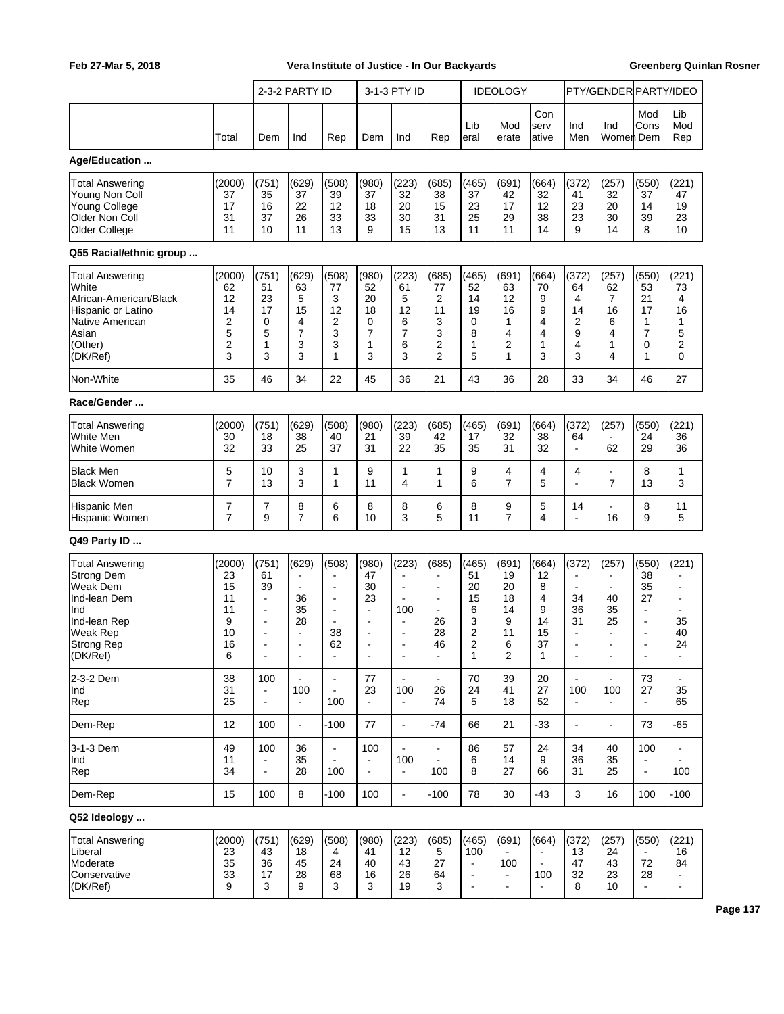|                                                                                                                                             |                                                      |                                                                                           | 2-3-2 PARTY ID                                                                                            |                                                                                                             |                                                                                                           | 3-1-3 PTY ID                                                                                                |                                                                                                                     |                                                            | <b>IDEOLOGY</b>                                    |                                                   |                                                                                 | PTY/GENDER PARTY/IDEO                                                 |                                                                                                           |                                                       |
|---------------------------------------------------------------------------------------------------------------------------------------------|------------------------------------------------------|-------------------------------------------------------------------------------------------|-----------------------------------------------------------------------------------------------------------|-------------------------------------------------------------------------------------------------------------|-----------------------------------------------------------------------------------------------------------|-------------------------------------------------------------------------------------------------------------|---------------------------------------------------------------------------------------------------------------------|------------------------------------------------------------|----------------------------------------------------|---------------------------------------------------|---------------------------------------------------------------------------------|-----------------------------------------------------------------------|-----------------------------------------------------------------------------------------------------------|-------------------------------------------------------|
|                                                                                                                                             | Total                                                | Dem                                                                                       | Ind                                                                                                       | Rep                                                                                                         | Dem                                                                                                       | Ind                                                                                                         | Rep                                                                                                                 | Lib<br>eral                                                | Mod<br>erate                                       | Con<br>serv<br>ative                              | Ind<br>Men                                                                      | Ind<br>Women  Dem                                                     | Mod<br>Cons                                                                                               | Lib<br>Mod<br>Rep                                     |
| Age/Education                                                                                                                               |                                                      |                                                                                           |                                                                                                           |                                                                                                             |                                                                                                           |                                                                                                             |                                                                                                                     |                                                            |                                                    |                                                   |                                                                                 |                                                                       |                                                                                                           |                                                       |
| <b>Total Answering</b><br>Young Non Coll<br><b>Young College</b><br>Older Non Coll<br>Older College                                         | (2000)<br>37<br>17<br>31<br>11                       | (751)<br>35<br>16<br>37<br>10                                                             | (629)<br>37<br>22<br>26<br>11                                                                             | (508)<br>39<br>12<br>33<br>13                                                                               | (980)<br>37<br>18<br>33<br>9                                                                              | (223)<br>32<br>20<br>30<br>15                                                                               | (685)<br>38<br>15<br>31<br>13                                                                                       | (465)<br>37<br>23<br>25<br>11                              | (691)<br>42<br>17<br>29<br>11                      | (664)<br>32<br>12<br>38<br>14                     | (372)<br>41<br>23<br>23<br>9                                                    | (257)<br>32<br>20<br>30<br>14                                         | (550)<br>37<br>14<br>39<br>8                                                                              | (221)<br>47<br>19<br>23<br>10                         |
| Q55 Racial/ethnic group                                                                                                                     |                                                      |                                                                                           |                                                                                                           |                                                                                                             |                                                                                                           |                                                                                                             |                                                                                                                     |                                                            |                                                    |                                                   |                                                                                 |                                                                       |                                                                                                           |                                                       |
| <b>Total Answering</b><br>White<br>African-American/Black<br>Hispanic or Latino<br>Native American<br>Asian<br>(Other)<br>(DK/Ref)          | (2000)<br>62<br>12<br>14<br>2<br>5<br>2<br>3         | (751)<br>51<br>23<br>17<br>0<br>5<br>1<br>3                                               | (629)<br>63<br>5<br>15<br>4<br>$\overline{7}$<br>3<br>3                                                   | (508)<br>77<br>3<br>12<br>2<br>3<br>3<br>1                                                                  | (980)<br>52<br>20<br>18<br>0<br>7<br>1<br>3                                                               | (223)<br>61<br>5<br>12<br>6<br>7<br>6<br>3                                                                  | (685)<br>77<br>2<br>11<br>3<br>3<br>2<br>$\overline{2}$                                                             | (465)<br>52<br>14<br>19<br>0<br>8<br>1<br>5                | (691)<br>63<br>12<br>16<br>1<br>4<br>2<br>1        | (664)<br>70<br>9<br>9<br>4<br>4<br>1<br>3         | (372)<br>64<br>4<br>14<br>$\overline{2}$<br>9<br>$\overline{4}$<br>3            | (257)<br>62<br>7<br>16<br>6<br>4<br>1<br>4                            | (550)<br>53<br>21<br>17<br>1<br>7<br>0<br>1                                                               | (221)<br>73<br>4<br>16<br>1<br>5<br>2<br>0            |
| Non-White                                                                                                                                   | 35                                                   | 46                                                                                        | 34                                                                                                        | 22                                                                                                          | 45                                                                                                        | 36                                                                                                          | 21                                                                                                                  | 43                                                         | 36                                                 | 28                                                | 33                                                                              | 34                                                                    | 46                                                                                                        | 27                                                    |
| Race/Gender                                                                                                                                 |                                                      |                                                                                           |                                                                                                           |                                                                                                             |                                                                                                           |                                                                                                             |                                                                                                                     |                                                            |                                                    |                                                   |                                                                                 |                                                                       |                                                                                                           |                                                       |
| <b>Total Answering</b><br>White Men<br>White Women                                                                                          | (2000)<br>30<br>32                                   | (751)<br>18<br>33                                                                         | (629)<br>38<br>25                                                                                         | (508)<br>40<br>37                                                                                           | (980)<br>21<br>31                                                                                         | (223)<br>39<br>22                                                                                           | (685)<br>42<br>35                                                                                                   | (465)<br>17<br>35                                          | (691)<br>32<br>31                                  | (664)<br>38<br>32                                 | (372)<br>64<br>$\overline{\phantom{a}}$                                         | (257)<br>62                                                           | (550)<br>24<br>29                                                                                         | (221)<br>36<br>36                                     |
| <b>Black Men</b><br><b>Black Women</b>                                                                                                      | 5<br>7                                               | 10<br>13                                                                                  | 3<br>3                                                                                                    | 1<br>1                                                                                                      | 9<br>11                                                                                                   | 1<br>4                                                                                                      | 1<br>1                                                                                                              | 9<br>6                                                     | 4<br>$\overline{7}$                                | 4<br>5                                            | 4<br>$\overline{a}$                                                             | $\overline{7}$                                                        | 8<br>13                                                                                                   | 1<br>3                                                |
| Hispanic Men<br>Hispanic Women                                                                                                              | 7<br>7                                               | 7<br>9                                                                                    | 8<br>$\overline{7}$                                                                                       | 6<br>6                                                                                                      | 8<br>10                                                                                                   | 8<br>3                                                                                                      | 6<br>5                                                                                                              | 8<br>11                                                    | 9<br>$\overline{7}$                                | 5<br>4                                            | 14<br>$\overline{\phantom{a}}$                                                  | 16                                                                    | 8<br>9                                                                                                    | 11<br>5                                               |
| Q49 Party ID                                                                                                                                |                                                      |                                                                                           |                                                                                                           |                                                                                                             |                                                                                                           |                                                                                                             |                                                                                                                     |                                                            |                                                    |                                                   |                                                                                 |                                                                       |                                                                                                           |                                                       |
| <b>Total Answering</b><br><b>Strong Dem</b><br>Weak Dem<br>Ind-lean Dem<br>Ind<br>Ind-lean Rep<br>Weak Rep<br><b>Strong Rep</b><br>(DK/Ref) | (2000)<br>23<br>15<br>11<br>11<br>9<br>10<br>16<br>6 | (751)<br>61<br>39<br>$\blacksquare$<br>$\blacksquare$<br>$\blacksquare$<br>$\overline{a}$ | (629)<br>$\blacksquare$<br>$\blacksquare$<br>36<br>35<br>28<br>$\overline{\phantom{a}}$<br>$\overline{a}$ | (508)<br>$\blacksquare$<br>$\blacksquare$<br>$\blacksquare$<br>$\blacksquare$<br>$\blacksquare$<br>38<br>62 | (980)<br>47<br>30<br>23<br>$\overline{\phantom{a}}$<br>$\blacksquare$<br>$\blacksquare$<br>$\blacksquare$ | (223)<br>$\overline{a}$<br>÷<br>$\blacksquare$<br>100<br>$\blacksquare$<br>$\blacksquare$<br>$\overline{a}$ | (685)<br>$\blacksquare$<br>$\blacksquare$<br>$\overline{\phantom{a}}$<br>$\overline{\phantom{a}}$<br>26<br>28<br>46 | (465)<br>51<br>20<br>15<br>6<br>3<br>2<br>2<br>1           | (691)<br>19<br>20<br>18<br>14<br>9<br>11<br>6<br>2 | (664)<br>12<br>8<br>4<br>9<br>14<br>15<br>37<br>1 | (372)<br>34<br>36<br>31<br>$\overline{\phantom{a}}$<br>$\overline{\phantom{a}}$ | (257)<br>40<br>35<br>25<br>$\overline{\phantom{a}}$<br>$\overline{a}$ | (550)<br>38<br>35<br>27<br>$\overline{a}$<br>$\blacksquare$<br>$\blacksquare$<br>$\overline{\phantom{a}}$ | (221)<br>۰<br>35<br>40<br>24                          |
| 2-3-2 Dem<br>Ind<br>Rep                                                                                                                     | 38<br>31<br>25                                       | 100<br>$\blacksquare$<br>$\blacksquare$                                                   | $\overline{a}$<br>100<br>$\blacksquare$                                                                   | $\blacksquare$<br>$\blacksquare$<br>100                                                                     | 77<br>23                                                                                                  | $\blacksquare$<br>100<br>$\frac{1}{2}$                                                                      | $\blacksquare$<br>26<br>74                                                                                          | 70<br>24<br>5                                              | 39<br>41<br>18                                     | 20<br>27<br>52                                    | 100<br>$\blacksquare$                                                           | $\mathbf{r}$<br>100                                                   | 73<br>27<br>$\blacksquare$                                                                                | ÷.<br>35<br>65                                        |
| Dem-Rep                                                                                                                                     | 12                                                   | 100                                                                                       | $\blacksquare$                                                                                            | $-100$                                                                                                      | 77                                                                                                        | $\blacksquare$                                                                                              | $-74$                                                                                                               | 66                                                         | 21                                                 | $-33$                                             | $\blacksquare$                                                                  | $\blacksquare$                                                        | 73                                                                                                        | $-65$                                                 |
| 3-1-3 Dem<br>Ind<br>Rep                                                                                                                     | 49<br>11<br>34                                       | 100<br>$\blacksquare$<br>$\frac{1}{2}$                                                    | 36<br>35<br>28                                                                                            | $\blacksquare$<br>100                                                                                       | 100<br>$\blacksquare$<br>$\blacksquare$                                                                   | $\blacksquare$<br>100<br>$\blacksquare$                                                                     | $\blacksquare$<br>100                                                                                               | 86<br>6<br>8                                               | 57<br>14<br>27                                     | 24<br>9<br>66                                     | 34<br>36<br>31                                                                  | 40<br>35<br>25                                                        | 100<br>$\blacksquare$                                                                                     | 100                                                   |
| Dem-Rep                                                                                                                                     | 15                                                   | 100                                                                                       | 8                                                                                                         | $-100$                                                                                                      | 100                                                                                                       | $\blacksquare$                                                                                              | $-100$                                                                                                              | 78                                                         | 30                                                 | $-43$                                             | 3                                                                               | 16                                                                    | 100                                                                                                       | $-100$                                                |
| Q52 Ideology                                                                                                                                |                                                      |                                                                                           |                                                                                                           |                                                                                                             |                                                                                                           |                                                                                                             |                                                                                                                     |                                                            |                                                    |                                                   |                                                                                 |                                                                       |                                                                                                           |                                                       |
| <b>Total Answering</b><br>Liberal<br>Moderate<br>Conservative<br>(DK/Ref)                                                                   | (2000)<br>23<br>35<br>33<br>9                        | (751)<br>43<br>36<br>17<br>3                                                              | (629)<br>18<br>45<br>28<br>9                                                                              | (508)<br>4<br>24<br>68<br>3                                                                                 | (980)<br>41<br>40<br>16<br>3                                                                              | (223)<br>12<br>43<br>26<br>19                                                                               | (685)<br>5<br>27<br>64<br>3                                                                                         | (465)<br>100<br>$\Box$<br>$\overline{a}$<br>$\overline{a}$ | (691)<br>100<br>$\blacksquare$<br>$\overline{a}$   | (664)<br>100                                      | (372)<br>13<br>47<br>32<br>8                                                    | (257)<br>24<br>43<br>23<br>10                                         | (550)<br>72<br>28                                                                                         | (221)<br>16<br>84<br>$\blacksquare$<br>$\blacksquare$ |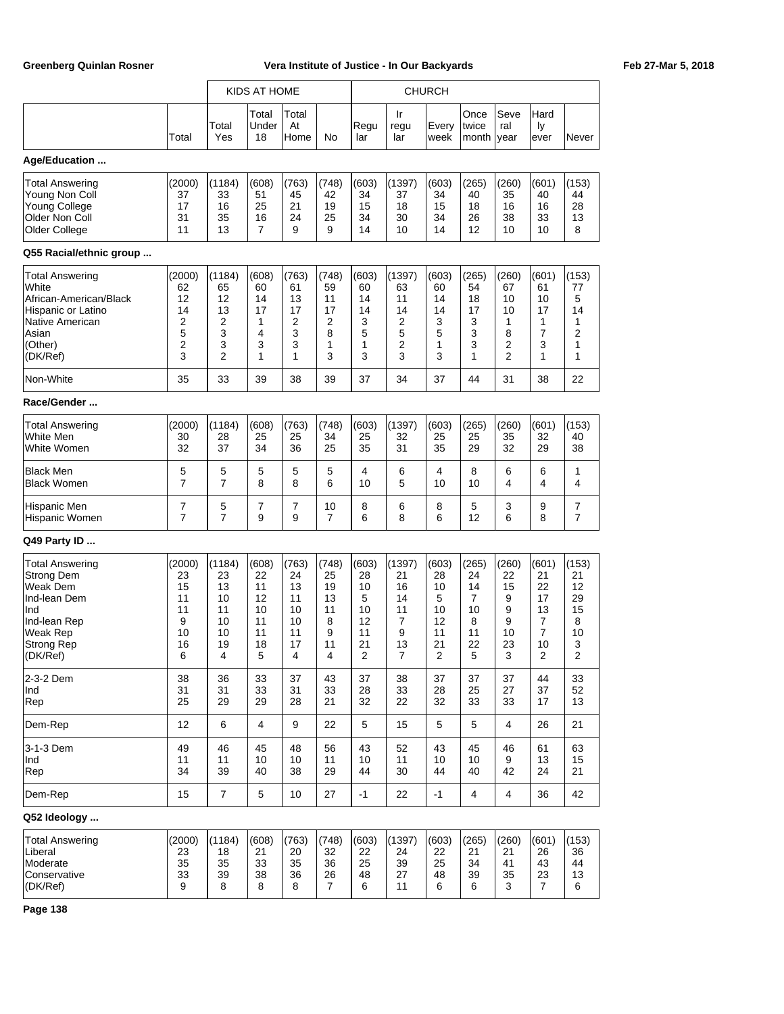|                                                                                                                               |                                                      |                                                                    | KIDS AT HOME                                         |                                                      |                                                                          | <b>CHURCH</b>                                                             |                                                                  |                                                                  |                                                              |                                                          |                                                                 |                                                                   |
|-------------------------------------------------------------------------------------------------------------------------------|------------------------------------------------------|--------------------------------------------------------------------|------------------------------------------------------|------------------------------------------------------|--------------------------------------------------------------------------|---------------------------------------------------------------------------|------------------------------------------------------------------|------------------------------------------------------------------|--------------------------------------------------------------|----------------------------------------------------------|-----------------------------------------------------------------|-------------------------------------------------------------------|
|                                                                                                                               | Total                                                | Total<br>Yes                                                       | Total<br>Under<br>18                                 | Total<br>At<br>Home                                  | No                                                                       | Regu<br>lar                                                               | Ir<br>regu<br>lar                                                | Every<br>week                                                    | Once<br>twice<br>month                                       | Seve<br>ral<br>year                                      | Hard<br>Ιy<br>ever                                              | Never                                                             |
| Age/Education                                                                                                                 |                                                      |                                                                    |                                                      |                                                      |                                                                          |                                                                           |                                                                  |                                                                  |                                                              |                                                          |                                                                 |                                                                   |
| Total Answering<br>Young Non Coll<br><b>Young College</b><br>Older Non Coll<br>Older College                                  | (2000)<br>37<br>17<br>31<br>11                       | (1184)<br>33<br>16<br>35<br>13                                     | (608)<br>51<br>25<br>16<br>$\overline{7}$            | (763)<br>45<br>21<br>24<br>9                         | (748)<br>42<br>19<br>25<br>9                                             | (603)<br>34<br>15<br>34<br>14                                             | (1397)<br>37<br>18<br>30<br>10                                   | (603)<br>34<br>15<br>34<br>14                                    | (265)<br>40<br>18<br>26<br>12                                | (260)<br>35<br>16<br>38<br>10                            | (601)<br>40<br>16<br>33<br>10                                   | (153)<br>44<br>28<br>13<br>8                                      |
| Q55 Racial/ethnic group                                                                                                       |                                                      |                                                                    |                                                      |                                                      |                                                                          |                                                                           |                                                                  |                                                                  |                                                              |                                                          |                                                                 |                                                                   |
| Total Answering<br>White<br>African-American/Black<br>Hispanic or Latino<br>Native American<br>Asian<br>(Other)<br>(DK/Ref)   | (2000)<br>62<br>12<br>14<br>2<br>5<br>2<br>3         | (1184)<br>65<br>12<br>13<br>2<br>3<br>3<br>$\overline{2}$          | (608)<br>60<br>14<br>17<br>1<br>4<br>3<br>1          | (763)<br>61<br>13<br>17<br>2<br>3<br>3<br>1          | (748)<br>59<br>11<br>17<br>$\overline{2}$<br>8<br>1<br>3                 | (603)<br>60<br>14<br>14<br>3<br>5<br>1<br>3                               | (1397)<br>63<br>11<br>14<br>2<br>5<br>2<br>3                     | (603)<br>60<br>14<br>14<br>3<br>5<br>1<br>3                      | (265)<br>54<br>18<br>17<br>3<br>3<br>3<br>1                  | (260)<br>67<br>10<br>10<br>1<br>8<br>2<br>$\overline{2}$ | (601)<br>61<br>10<br>17<br>1<br>7<br>3<br>1                     | (153)<br>77<br>5<br>14<br>1<br>2<br>1<br>1                        |
| Non-White                                                                                                                     | 35                                                   | 33                                                                 | 39                                                   | 38                                                   | 39                                                                       | 37                                                                        | 34                                                               | 37                                                               | 44                                                           | 31                                                       | 38                                                              | 22                                                                |
| Race/Gender                                                                                                                   |                                                      |                                                                    |                                                      |                                                      |                                                                          |                                                                           |                                                                  |                                                                  |                                                              |                                                          |                                                                 |                                                                   |
| <b>Total Answering</b><br>White Men<br>White Women                                                                            | (2000)<br>30<br>32                                   | (1184)<br>28<br>37                                                 | (608)<br>25<br>34                                    | (763)<br>25<br>36                                    | (748)<br>34<br>25                                                        | (603)<br>25<br>35                                                         | (1397)<br>32<br>31                                               | (603)<br>25<br>35                                                | (265)<br>25<br>29                                            | (260)<br>35<br>32                                        | (601)<br>32<br>29                                               | (153)<br>40<br>38                                                 |
| <b>Black Men</b><br><b>Black Women</b>                                                                                        | 5<br>$\overline{7}$                                  | 5<br>$\overline{7}$                                                | 5<br>8                                               | 5<br>8                                               | 5<br>6                                                                   | 4<br>10                                                                   | 6<br>5                                                           | 4<br>10                                                          | 8<br>10                                                      | 6<br>4                                                   | 6<br>4                                                          | 1<br>4                                                            |
| Hispanic Men<br>Hispanic Women                                                                                                | 7<br>$\overline{7}$                                  | 5<br>$\overline{7}$                                                | 7<br>9                                               | 7<br>9                                               | 10<br>$\overline{7}$                                                     | 8<br>6                                                                    | 6<br>8                                                           | 8<br>6                                                           | 5<br>12                                                      | 3<br>6                                                   | 9<br>8                                                          | $\overline{7}$<br>7                                               |
| Q49 Party ID                                                                                                                  |                                                      |                                                                    |                                                      |                                                      |                                                                          |                                                                           |                                                                  |                                                                  |                                                              |                                                          |                                                                 |                                                                   |
| Total Answering<br><b>Strong Dem</b><br>Weak Dem<br>Ind-lean Dem<br>Ind<br>Ind-lean Rep<br>Weak Rep<br>Strong Rep<br>(DK/Ref) | (2000)<br>23<br>15<br>11<br>11<br>9<br>10<br>16<br>6 | (1184)<br>23<br>13<br>10<br>11<br>10<br>10<br>19<br>$\overline{4}$ | (608)<br>22<br>11<br>12<br>10<br>11<br>11<br>18<br>5 | (763)<br>24<br>13<br>11<br>10<br>10<br>11<br>17<br>4 | (748)<br>25<br>19<br>13<br>11<br>8<br>9<br>11<br>$\overline{\mathbf{4}}$ | (603)<br>28<br>10<br>5<br>10<br>12<br>11<br>21<br>$\overline{\mathbf{c}}$ | (1397)<br>21<br>16<br>14<br>11<br>7<br>9<br>13<br>$\overline{7}$ | (603)<br>28<br>10<br>5<br>10<br>12<br>11<br>21<br>$\overline{2}$ | (265)<br>24<br>14<br>7<br>10<br>8<br>11<br>22<br>$\mathbf 5$ | (260)<br>22<br>15<br>9<br>9<br>9<br>10<br>23<br>3        | (601)<br>21<br>22<br>17<br>13<br>7<br>7<br>10<br>$\overline{2}$ | (153)<br>21<br>12<br>29<br>15<br>8<br>10<br>3<br>$\boldsymbol{2}$ |
| 2-3-2 Dem<br>Ind<br>Rep                                                                                                       | 38<br>31<br>25                                       | 36<br>31<br>29                                                     | 33<br>33<br>29                                       | 37<br>31<br>28                                       | 43<br>33<br>21                                                           | 37<br>28<br>32                                                            | 38<br>33<br>22                                                   | 37<br>28<br>32                                                   | 37<br>25<br>33                                               | 37<br>27<br>33                                           | 44<br>37<br>17                                                  | 33<br>52<br>13                                                    |
| Dem-Rep                                                                                                                       | 12                                                   | 6                                                                  | 4                                                    | 9                                                    | 22                                                                       | 5                                                                         | 15                                                               | 5                                                                | 5                                                            | 4                                                        | 26                                                              | 21                                                                |
| 3-1-3 Dem<br>Ind<br>Rep                                                                                                       | 49<br>11<br>34                                       | 46<br>11<br>39                                                     | 45<br>10<br>40                                       | 48<br>10<br>38                                       | 56<br>11<br>29                                                           | 43<br>10<br>44                                                            | 52<br>11<br>30                                                   | 43<br>10<br>44                                                   | 45<br>10<br>40                                               | 46<br>9<br>42                                            | 61<br>13<br>24                                                  | 63<br>15<br>21                                                    |
| Dem-Rep                                                                                                                       | 15                                                   | $\boldsymbol{7}$                                                   | 5                                                    | 10                                                   | 27                                                                       | $-1$                                                                      | 22                                                               | $-1$                                                             | 4                                                            | 4                                                        | 36                                                              | 42                                                                |
| Q52 Ideology                                                                                                                  |                                                      |                                                                    |                                                      |                                                      |                                                                          |                                                                           |                                                                  |                                                                  |                                                              |                                                          |                                                                 |                                                                   |
| <b>Total Answering</b><br>Liberal<br>Moderate<br>Conservative<br>(DK/Ref)                                                     | (2000)<br>23<br>35<br>33<br>9                        | (1184)<br>18<br>35<br>39<br>8                                      | (608)<br>21<br>33<br>38<br>8                         | (763)<br>20<br>35<br>36<br>8                         | (748)<br>32<br>36<br>26<br>$\overline{7}$                                | (603)<br>22<br>25<br>48<br>6                                              | (1397)<br>24<br>39<br>27<br>11                                   | (603)<br>22<br>25<br>48<br>6                                     | (265)<br>21<br>34<br>39<br>6                                 | (260)<br>21<br>41<br>35<br>3                             | (601)<br>26<br>43<br>23<br>$\overline{7}$                       | (153)<br>36<br>44<br>13<br>6                                      |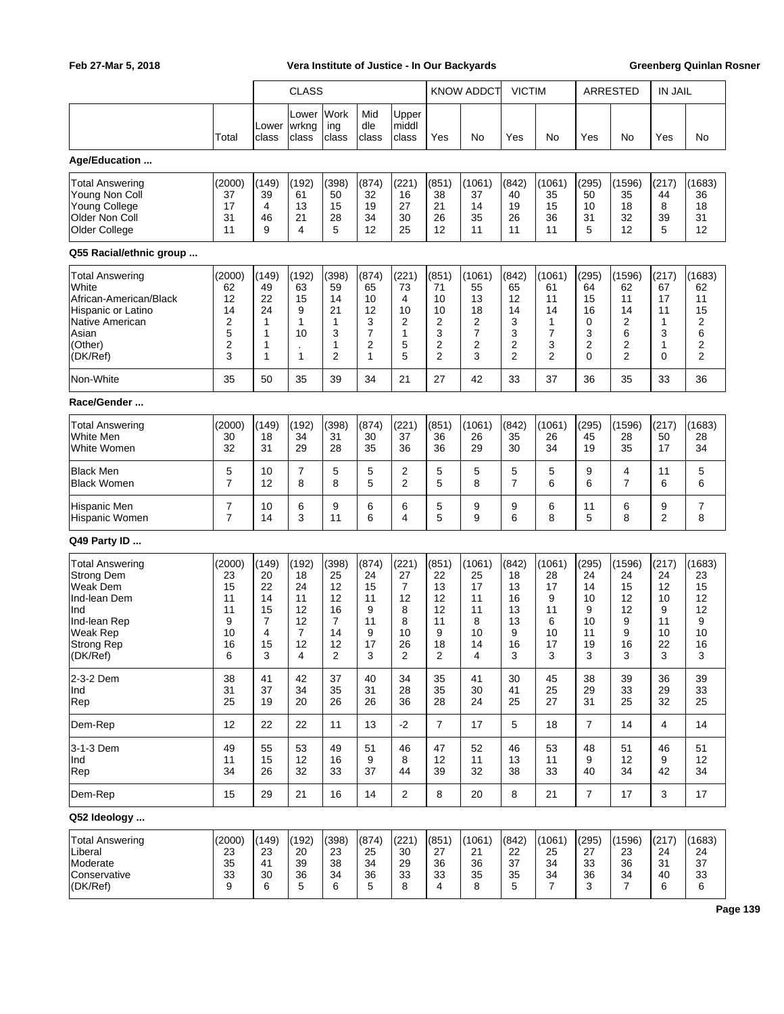|                                                                                                                                                           |                                                             |                                                    | <b>CLASS</b>                                                            |                                                                  |                                                               |                                                       |                                                     | <b>KNOW ADDCT</b>                                    | <b>VICTIM</b>                                            |                                                                        |                                                                 | ARRESTED                                                  | <b>IN JAIL</b>                                      |                                                      |
|-----------------------------------------------------------------------------------------------------------------------------------------------------------|-------------------------------------------------------------|----------------------------------------------------|-------------------------------------------------------------------------|------------------------------------------------------------------|---------------------------------------------------------------|-------------------------------------------------------|-----------------------------------------------------|------------------------------------------------------|----------------------------------------------------------|------------------------------------------------------------------------|-----------------------------------------------------------------|-----------------------------------------------------------|-----------------------------------------------------|------------------------------------------------------|
|                                                                                                                                                           |                                                             |                                                    | Lower                                                                   | Work                                                             | Mid                                                           | Upper                                                 |                                                     |                                                      |                                                          |                                                                        |                                                                 |                                                           |                                                     |                                                      |
|                                                                                                                                                           | Total                                                       | Lower<br>class                                     | wrkng<br>class                                                          | ing<br>class                                                     | dle<br>class                                                  | middl<br>class                                        | Yes                                                 | No                                                   | Yes                                                      | No                                                                     | Yes                                                             | No                                                        | Yes                                                 | No                                                   |
| Age/Education                                                                                                                                             |                                                             |                                                    |                                                                         |                                                                  |                                                               |                                                       |                                                     |                                                      |                                                          |                                                                        |                                                                 |                                                           |                                                     |                                                      |
| Total Answering<br>Young Non Coll<br><b>Young College</b><br>Older Non Coll<br>Older College                                                              | (2000)<br>37<br>17<br>31<br>11                              | (149)<br>39<br>4<br>46<br>9                        | (192)<br>61<br>13<br>21<br>4                                            | (398)<br>50<br>15<br>28<br>5                                     | (874)<br>32<br>19<br>34<br>12                                 | (221)<br>16<br>27<br>30<br>25                         | (851)<br>38<br>21<br>26<br>12                       | (1061)<br>37<br>14<br>35<br>11                       | (842)<br>40<br>19<br>26<br>11                            | (1061)<br>35<br>15<br>36<br>11                                         | (295)<br>50<br>10<br>31<br>5                                    | (1596)<br>35<br>18<br>32<br>12                            | (217)<br>44<br>8<br>39<br>5                         | (1683)<br>36<br>18<br>31<br>12                       |
| Q55 Racial/ethnic group                                                                                                                                   |                                                             |                                                    |                                                                         |                                                                  |                                                               |                                                       |                                                     |                                                      |                                                          |                                                                        |                                                                 |                                                           |                                                     |                                                      |
| <b>Total Answering</b><br>White<br>African-American/Black<br>Hispanic or Latino<br>Native American<br>Asian<br>(Other)<br>(DK/Ref)                        | (2000)<br>62<br>12<br>14<br>2<br>5<br>$\boldsymbol{2}$<br>3 | (149)<br>49<br>22<br>24<br>1<br>1<br>1<br>1        | (192)<br>63<br>15<br>9<br>$\mathbf{1}$<br>10<br>$\cdot$<br>$\mathbf{1}$ | (398)<br>59<br>14<br>21<br>1<br>3<br>1<br>2                      | (874)<br>65<br>10<br>12<br>3<br>7<br>2<br>1                   | (221)<br>73<br>4<br>10<br>2<br>$\mathbf{1}$<br>5<br>5 | (851)<br>71<br>10<br>10<br>2<br>3<br>2<br>2         | (1061)<br>55<br>13<br>18<br>2<br>7<br>2<br>3         | (842)<br>65<br>12<br>14<br>3<br>3<br>2<br>$\overline{2}$ | (1061)<br>61<br>11<br>14<br>1<br>$\overline{7}$<br>3<br>$\overline{2}$ | (295)<br>64<br>15<br>16<br>0<br>3<br>$\overline{2}$<br>$\Omega$ | (1596)<br>62<br>11<br>14<br>2<br>6<br>2<br>$\overline{2}$ | (217)<br>67<br>17<br>11<br>1<br>3<br>1<br>0         | (1683)<br>62<br>11<br>15<br>2<br>6<br>2<br>2         |
| Non-White                                                                                                                                                 | 35                                                          | 50                                                 | 35                                                                      | 39                                                               | 34                                                            | 21                                                    | 27                                                  | 42                                                   | 33                                                       | 37                                                                     | 36                                                              | 35                                                        | 33                                                  | 36                                                   |
| Race/Gender                                                                                                                                               |                                                             |                                                    |                                                                         |                                                                  |                                                               |                                                       |                                                     |                                                      |                                                          |                                                                        |                                                                 |                                                           |                                                     |                                                      |
| <b>Total Answering</b><br>White Men<br>White Women                                                                                                        | (2000)<br>30<br>32                                          | (149)<br>18<br>31                                  | (192)<br>34<br>29                                                       | (398)<br>31<br>28                                                | (874)<br>30<br>35                                             | (221)<br>37<br>36                                     | (851)<br>36<br>36                                   | (1061)<br>26<br>29                                   | (842)<br>35<br>30                                        | (1061)<br>26<br>34                                                     | (295)<br>45<br>19                                               | (1596)<br>28<br>35                                        | (217)<br>50<br>17                                   | (1683)<br>28<br>34                                   |
| <b>Black Men</b><br><b>Black Women</b>                                                                                                                    | 5<br>$\overline{7}$                                         | 10<br>12                                           | 7<br>8                                                                  | 5<br>8                                                           | 5<br>5                                                        | 2<br>$\overline{2}$                                   | 5<br>5                                              | 5<br>8                                               | 5<br>$\overline{7}$                                      | 5<br>6                                                                 | 9<br>6                                                          | 4<br>$\overline{7}$                                       | 11<br>6                                             | 5<br>6                                               |
| Hispanic Men<br>Hispanic Women                                                                                                                            | 7<br>$\overline{7}$                                         | 10<br>14                                           | 6<br>3                                                                  | 9<br>11                                                          | 6<br>6                                                        | 6<br>4                                                | 5<br>5                                              | 9<br>9                                               | 9<br>6                                                   | 6<br>8                                                                 | 11<br>5                                                         | 6<br>8                                                    | 9<br>2                                              | 7<br>8                                               |
| Q49 Party ID                                                                                                                                              |                                                             |                                                    |                                                                         |                                                                  |                                                               |                                                       |                                                     |                                                      |                                                          |                                                                        |                                                                 |                                                           |                                                     |                                                      |
| <b>Total Answering</b><br><b>Strong Dem</b><br><b>Weak Dem</b><br>Ind-lean Dem<br>Ind<br>Ind-lean Rep<br><b>Weak Rep</b><br><b>Strong Rep</b><br>(DK/Ref) | (2000)<br>23<br>15<br>11<br>11<br>9<br>10<br>16<br>6        | (149)<br>20<br>22<br>14<br>15<br>7<br>4<br>15<br>3 | (192)<br>18<br>24<br>11<br>12<br>12<br>7<br>12<br>4                     | (398)<br>25<br>12<br>12<br>16<br>$\overline{7}$<br>14<br>12<br>2 | (874)<br>24<br>15<br>11<br>9<br>11<br>9<br>17<br>$\mathbf{3}$ | (221)<br>27<br>7<br>12<br>8<br>8<br>10<br>26<br>2     | (851)<br>22<br>13<br>12<br>12<br>11<br>9<br>18<br>2 | (1061)<br>25<br>17<br>11<br>11<br>8<br>10<br>14<br>4 | (842)<br>18<br>13<br>16<br>13<br>13<br>9<br>16<br>3      | (1061)<br>28<br>17<br>9<br>11<br>6<br>10<br>17<br>3                    | (295)<br>24<br>14<br>10<br>9<br>10<br>11<br>19<br>3             | (1596)<br>24<br>15<br>12<br>12<br>9<br>9<br>16<br>3       | (217)<br>24<br>12<br>10<br>9<br>11<br>10<br>22<br>3 | (1683)<br>23<br>15<br>12<br>12<br>9<br>10<br>16<br>3 |
| 2-3-2 Dem<br>Ind<br>Rep                                                                                                                                   | 38<br>31<br>25                                              | 41<br>37<br>19                                     | 42<br>34<br>20                                                          | 37<br>35<br>26                                                   | 40<br>31<br>26                                                | 34<br>28<br>36                                        | 35<br>35<br>28                                      | 41<br>30<br>24                                       | 30<br>41<br>25                                           | 45<br>25<br>27                                                         | 38<br>29<br>31                                                  | 39<br>33<br>25                                            | 36<br>29<br>32                                      | 39<br>33<br>25                                       |
| Dem-Rep                                                                                                                                                   | 12                                                          | 22                                                 | 22                                                                      | 11                                                               | 13                                                            | $-2$                                                  | $\overline{7}$                                      | 17                                                   | 5                                                        | 18                                                                     | $\overline{7}$                                                  | 14                                                        | 4                                                   | 14                                                   |
| 3-1-3 Dem<br>Ind<br>Rep                                                                                                                                   | 49<br>11<br>34                                              | 55<br>15<br>26                                     | 53<br>12<br>32                                                          | 49<br>16<br>33                                                   | 51<br>9<br>37                                                 | 46<br>8<br>44                                         | 47<br>12<br>39                                      | 52<br>11<br>32                                       | 46<br>13<br>38                                           | 53<br>11<br>33                                                         | 48<br>9<br>40                                                   | 51<br>12<br>34                                            | 46<br>9<br>42                                       | 51<br>12<br>34                                       |
| Dem-Rep                                                                                                                                                   | 15                                                          | 29                                                 | 21                                                                      | 16                                                               | 14                                                            | $\overline{2}$                                        | 8                                                   | 20                                                   | 8                                                        | 21                                                                     | $\overline{7}$                                                  | 17                                                        | 3                                                   | 17                                                   |
| Q52 Ideology                                                                                                                                              |                                                             |                                                    |                                                                         |                                                                  |                                                               |                                                       |                                                     |                                                      |                                                          |                                                                        |                                                                 |                                                           |                                                     |                                                      |
| <b>Total Answering</b><br>Liberal<br>Moderate<br>Conservative<br>(DK/Ref)                                                                                 | (2000)<br>23<br>35<br>33<br>9                               | (149)<br>23<br>41<br>30<br>6                       | (192)<br>20<br>39<br>36<br>5                                            | (398)<br>23<br>38<br>34<br>6                                     | (874)<br>25<br>34<br>36<br>5                                  | (221)<br>30<br>29<br>33<br>8                          | (851)<br>27<br>36<br>33<br>4                        | (1061)<br>21<br>36<br>35<br>8                        | (842)<br>22<br>37<br>35<br>5                             | (1061)<br>25<br>34<br>34<br>$\overline{7}$                             | (295)<br>27<br>33<br>36<br>3                                    | (1596)<br>23<br>36<br>34<br>$\overline{7}$                | (217)<br>24<br>31<br>40<br>6                        | (1683)<br>24<br>37<br>33<br>6                        |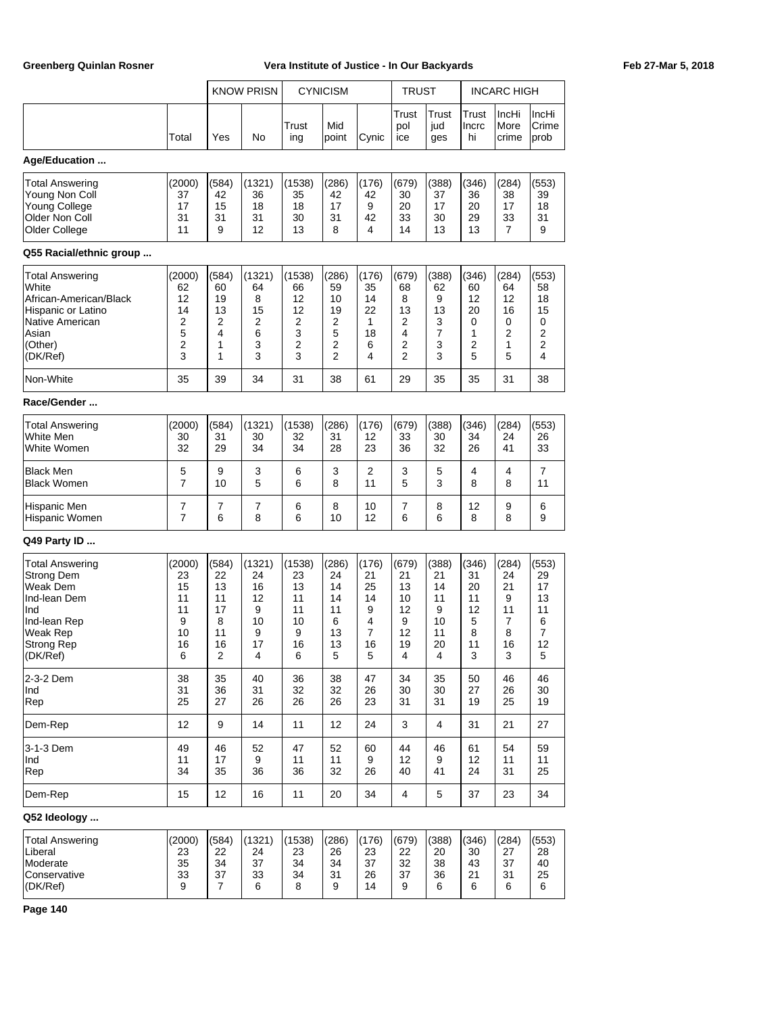|                                                                                                                                    |                                                           |                                                     | <b>KNOW PRISN</b>                                   |                                                      | <b>CYNICISM</b>                                     |                                                   | TRUST                                               |                                                     |                                                    | <b>INCARC HIGH</b>                                |                                                    |
|------------------------------------------------------------------------------------------------------------------------------------|-----------------------------------------------------------|-----------------------------------------------------|-----------------------------------------------------|------------------------------------------------------|-----------------------------------------------------|---------------------------------------------------|-----------------------------------------------------|-----------------------------------------------------|----------------------------------------------------|---------------------------------------------------|----------------------------------------------------|
|                                                                                                                                    | Total                                                     | Yes                                                 | No                                                  | Trust<br>ing                                         | Mid<br>point                                        | Cynic                                             | Trust<br>pol<br>ice                                 | Trust<br>jud<br>ges                                 | Trust<br>Incrc<br>hi                               | IncHi<br>More<br>crime                            | IncHi<br>Crime<br>prob                             |
| Age/Education                                                                                                                      |                                                           |                                                     |                                                     |                                                      |                                                     |                                                   |                                                     |                                                     |                                                    |                                                   |                                                    |
| Total Answering<br>Young Non Coll<br><b>Young College</b><br>Older Non Coll<br>Older College                                       | (2000)<br>37<br>17<br>31<br>11                            | (584)<br>42<br>15<br>31<br>9                        | (1321)<br>36<br>18<br>31<br>12                      | (1538)<br>35<br>18<br>30<br>13                       | (286)<br>42<br>17<br>31<br>8                        | (176)<br>42<br>9<br>42<br>4                       | (679)<br>30<br>20<br>33<br>14                       | (388)<br>37<br>17<br>30<br>13                       | (346)<br>36<br>20<br>29<br>13                      | (284)<br>38<br>17<br>33<br>7                      | (553)<br>39<br>18<br>31<br>9                       |
| Q55 Racial/ethnic group                                                                                                            |                                                           |                                                     |                                                     |                                                      |                                                     |                                                   |                                                     |                                                     |                                                    |                                                   |                                                    |
| <b>Total Answering</b><br>White<br>African-American/Black<br>Hispanic or Latino<br>Native American<br>Asian<br>(Other)<br>(DK/Ref) | (2000)<br>62<br>12<br>14<br>2<br>5<br>$\overline{2}$<br>3 | (584)<br>60<br>19<br>13<br>2<br>4<br>1<br>1         | (1321)<br>64<br>8<br>15<br>2<br>6<br>3<br>3         | (1538)<br>66<br>12<br>12<br>2<br>3<br>2<br>3         | (286)<br>59<br>10<br>19<br>2<br>5<br>2<br>2         | (176)<br>35<br>14<br>22<br>1<br>18<br>6<br>4      | (679)<br>68<br>8<br>13<br>2<br>4<br>2<br>2          | (388)<br>62<br>9<br>13<br>3<br>7<br>3<br>3          | (346)<br>60<br>12<br>20<br>0<br>1<br>2<br>5        | (284)<br>64<br>12<br>16<br>0<br>2<br>1<br>5       | (553)<br>58<br>18<br>15<br>0<br>2<br>2<br>4        |
| Non-White                                                                                                                          | 35                                                        | 39                                                  | 34                                                  | 31                                                   | 38                                                  | 61                                                | 29                                                  | 35                                                  | 35                                                 | 31                                                | 38                                                 |
| Race/Gender                                                                                                                        |                                                           |                                                     |                                                     |                                                      |                                                     |                                                   |                                                     |                                                     |                                                    |                                                   |                                                    |
| Total Answering<br>White Men<br>White Women                                                                                        | (2000)<br>30<br>32                                        | (584)<br>31<br>29                                   | (1321)<br>30<br>34                                  | (1538)<br>32<br>34                                   | (286)<br>31<br>28                                   | (176)<br>12<br>23                                 | (679)<br>33<br>36                                   | (388)<br>30<br>32                                   | (346)<br>34<br>26                                  | (284)<br>24<br>41                                 | (553)<br>26<br>33                                  |
| <b>Black Men</b><br><b>Black Women</b>                                                                                             | 5<br>7                                                    | 9<br>10                                             | 3<br>5                                              | 6<br>6                                               | 3<br>8                                              | 2<br>11                                           | 3<br>5                                              | 5<br>3                                              | 4<br>8                                             | 4<br>8                                            | 7<br>11                                            |
| Hispanic Men<br>Hispanic Women                                                                                                     | 7<br>$\overline{7}$                                       | 7<br>6                                              | 7<br>8                                              | 6<br>6                                               | 8<br>10                                             | 10<br>12                                          | 7<br>6                                              | 8<br>6                                              | 12<br>8                                            | 9<br>8                                            | 6<br>9                                             |
| Q49 Party ID                                                                                                                       |                                                           |                                                     |                                                     |                                                      |                                                     |                                                   |                                                     |                                                     |                                                    |                                                   |                                                    |
| Total Answering<br><b>Strong Dem</b><br>Weak Dem<br>Ind-lean Dem<br>Ind<br>Ind-lean Rep<br>Weak Rep<br>Strong Rep<br>(DK/Ref)      | (2000)<br>23<br>15<br>11<br>11<br>9<br>10<br>16<br>6      | (584)<br>22<br>13<br>11<br>17<br>8<br>11<br>16<br>2 | (1321)<br>24<br>16<br>12<br>9<br>10<br>9<br>17<br>4 | (1538)<br>23<br>13<br>11<br>11<br>10<br>9<br>16<br>6 | (286)<br>24<br>14<br>14<br>11<br>6<br>13<br>13<br>5 | (176)<br>21<br>25<br>14<br>9<br>4<br>7<br>16<br>5 | (679)<br>21<br>13<br>10<br>12<br>9<br>12<br>19<br>4 | (388)<br>21<br>14<br>11<br>9<br>10<br>11<br>20<br>4 | (346)<br>31<br>20<br>11<br>12<br>5<br>8<br>11<br>3 | (284)<br>24<br>21<br>9<br>11<br>7<br>8<br>16<br>3 | (553)<br>29<br>17<br>13<br>11<br>6<br>7<br>12<br>5 |
| 2-3-2 Dem<br>Ind<br>Rep                                                                                                            | 38<br>31<br>25                                            | 35<br>36<br>27                                      | 40<br>31<br>26                                      | 36<br>32<br>26                                       | 38<br>32<br>26                                      | 47<br>26<br>23                                    | 34<br>30<br>31                                      | 35<br>30<br>31                                      | 50<br>27<br>19                                     | 46<br>26<br>25                                    | 46<br>30<br>19                                     |
| Dem-Rep                                                                                                                            | 12                                                        | 9                                                   | 14                                                  | 11                                                   | 12                                                  | 24                                                | 3                                                   | 4                                                   | 31                                                 | 21                                                | 27                                                 |
| 3-1-3 Dem<br>Ind<br>Rep                                                                                                            | 49<br>11<br>34                                            | 46<br>17<br>35                                      | 52<br>9<br>36                                       | 47<br>11<br>36                                       | 52<br>11<br>32                                      | 60<br>9<br>26                                     | 44<br>12<br>40                                      | 46<br>9<br>41                                       | 61<br>12<br>24                                     | 54<br>11<br>31                                    | 59<br>11<br>25                                     |
| Dem-Rep                                                                                                                            | 15                                                        | 12                                                  | 16                                                  | 11                                                   | 20                                                  | 34                                                | 4                                                   | 5                                                   | 37                                                 | 23                                                | 34                                                 |
| Q52 Ideology                                                                                                                       |                                                           |                                                     |                                                     |                                                      |                                                     |                                                   |                                                     |                                                     |                                                    |                                                   |                                                    |
| <b>Total Answering</b><br>Liberal<br>Moderate<br>Conservative<br>(DK/Ref)                                                          | (2000)<br>23<br>35<br>33<br>9                             | (584)<br>22<br>34<br>37<br>7                        | (1321)<br>24<br>37<br>33<br>6                       | (1538)<br>23<br>34<br>34<br>8                        | (286)<br>26<br>34<br>31<br>9                        | (176)<br>23<br>37<br>26<br>14                     | (679)<br>22<br>32<br>37<br>9                        | (388)<br>20<br>38<br>36<br>6                        | (346)<br>30<br>43<br>21<br>6                       | (284)<br>27<br>37<br>31<br>6                      | (553)<br>28<br>40<br>25<br>6                       |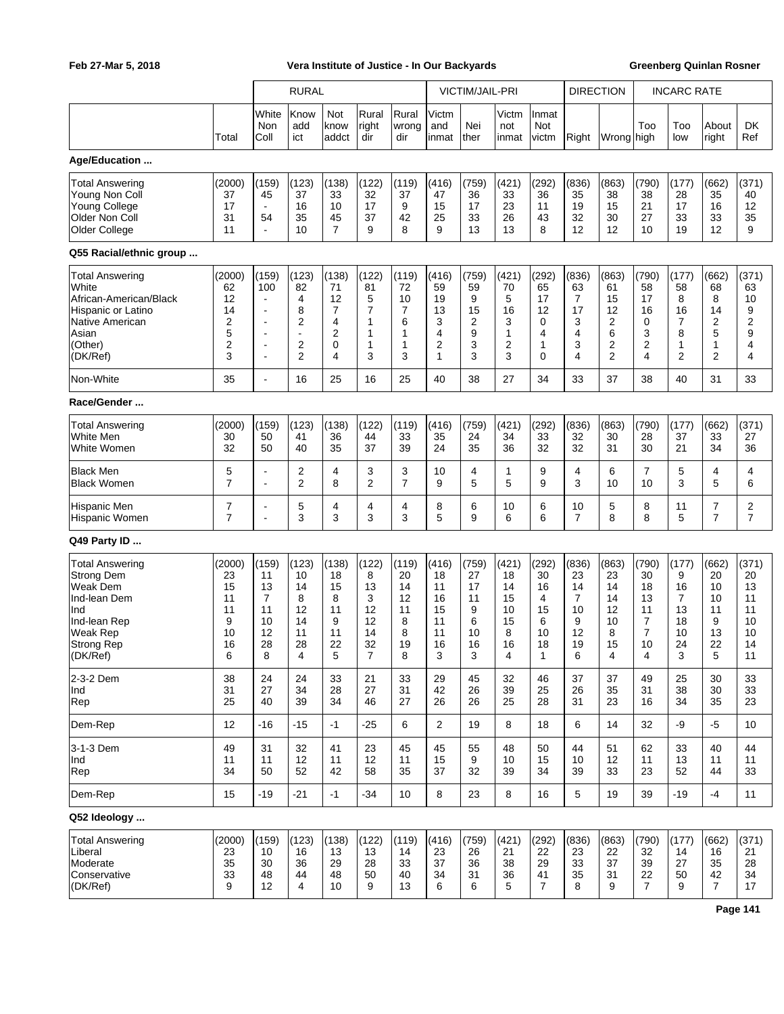|                                                                                                                                             |                                                      |                                                                                                                     | <b>RURAL</b>                                                                                            |                                                                      |                                                                 |                                                    |                                                          | <b>VICTIM/JAIL-PRI</b>                             |                                                         |                                                       |                                                                 | <b>DIRECTION</b>                                                      |                                                          | <b>INCARC RATE</b>                                      |                                                                      |                                                           |
|---------------------------------------------------------------------------------------------------------------------------------------------|------------------------------------------------------|---------------------------------------------------------------------------------------------------------------------|---------------------------------------------------------------------------------------------------------|----------------------------------------------------------------------|-----------------------------------------------------------------|----------------------------------------------------|----------------------------------------------------------|----------------------------------------------------|---------------------------------------------------------|-------------------------------------------------------|-----------------------------------------------------------------|-----------------------------------------------------------------------|----------------------------------------------------------|---------------------------------------------------------|----------------------------------------------------------------------|-----------------------------------------------------------|
|                                                                                                                                             | Total                                                | White<br>Non<br>Coll                                                                                                | Know<br>add<br>ict                                                                                      | Not<br>know<br>addct                                                 | Rural<br>right<br>dir                                           | Rural<br>wrong<br>dir                              | Victm<br>and<br>inmat                                    | Nei<br>ther                                        | Victm<br>not<br>inmat                                   | Inmat<br>Not<br>victm                                 | Right                                                           | Wrong high                                                            | Too                                                      | Too<br>low                                              | About<br>right                                                       | DK<br>Ref                                                 |
| Age/Education                                                                                                                               |                                                      |                                                                                                                     |                                                                                                         |                                                                      |                                                                 |                                                    |                                                          |                                                    |                                                         |                                                       |                                                                 |                                                                       |                                                          |                                                         |                                                                      |                                                           |
| <b>Total Answering</b><br>Young Non Coll<br><b>Young College</b><br>Older Non Coll<br>Older College                                         | (2000)<br>37<br>17<br>31<br>11                       | (159)<br>45<br>$\blacksquare$<br>54<br>ä,                                                                           | (123)<br>37<br>16<br>35<br>10                                                                           | (138)<br>33<br>10<br>45<br>$\overline{7}$                            | (122)<br>32<br>17<br>37<br>9                                    | (119)<br>37<br>9<br>42<br>8                        | (416)<br>47<br>15<br>25<br>9                             | (759)<br>36<br>17<br>33<br>13                      | (421)<br>33<br>23<br>26<br>13                           | (292)<br>36<br>11<br>43<br>8                          | (836)<br>35<br>19<br>32<br>12                                   | (863)<br>38<br>15<br>30<br>12                                         | (790)<br>38<br>21<br>27<br>10                            | (177)<br>28<br>17<br>33<br>19                           | (662)<br>35<br>16<br>33<br>12                                        | (371)<br>40<br>12<br>35<br>9                              |
| Q55 Racial/ethnic group                                                                                                                     |                                                      |                                                                                                                     |                                                                                                         |                                                                      |                                                                 |                                                    |                                                          |                                                    |                                                         |                                                       |                                                                 |                                                                       |                                                          |                                                         |                                                                      |                                                           |
| <b>Total Answering</b><br>White<br>African-American/Black<br>Hispanic or Latino<br>Native American<br>Asian<br>(Other)<br>(DK/Ref)          | (2000)<br>62<br>12<br>14<br>2<br>5<br>2<br>3         | (159)<br>100<br>$\blacksquare$<br>$\overline{\phantom{a}}$<br>Ē,<br>$\blacksquare$<br>٠<br>$\overline{\phantom{a}}$ | (123)<br>82<br>4<br>8<br>$\overline{2}$<br>$\overline{\phantom{a}}$<br>$\overline{2}$<br>$\overline{2}$ | (138)<br>71<br>12<br>$\overline{7}$<br>4<br>$\overline{2}$<br>0<br>4 | (122)<br>81<br>5<br>7<br>1<br>1<br>$\mathbf{1}$<br>3            | (119)<br>72<br>10<br>7<br>6<br>1<br>1<br>3         | (416)<br>59<br>19<br>13<br>3<br>4<br>$\overline{2}$<br>1 | (759)<br>59<br>9<br>15<br>2<br>9<br>3<br>3         | (421)<br>70<br>5<br>16<br>3<br>1<br>$\overline{2}$<br>3 | (292)<br>65<br>17<br>12<br>0<br>4<br>1<br>$\mathbf 0$ | (836)<br>63<br>$\overline{7}$<br>17<br>3<br>4<br>3<br>4         | (863)<br>61<br>15<br>12<br>$\overline{2}$<br>6<br>2<br>$\overline{2}$ | (790)<br>58<br>17<br>16<br>0<br>3<br>$\overline{2}$<br>4 | (177)<br>58<br>8<br>16<br>7<br>8<br>1<br>$\overline{2}$ | (662)<br>68<br>8<br>14<br>$\overline{2}$<br>5<br>1<br>$\overline{2}$ | (371)<br>63<br>10<br>9<br>$\boldsymbol{2}$<br>9<br>4<br>4 |
| Non-White                                                                                                                                   | 35                                                   | L,                                                                                                                  | 16                                                                                                      | 25                                                                   | 16                                                              | 25                                                 | 40                                                       | 38                                                 | 27                                                      | 34                                                    | 33                                                              | 37                                                                    | 38                                                       | 40                                                      | 31                                                                   | 33                                                        |
| Race/Gender                                                                                                                                 |                                                      |                                                                                                                     |                                                                                                         |                                                                      |                                                                 |                                                    |                                                          |                                                    |                                                         |                                                       |                                                                 |                                                                       |                                                          |                                                         |                                                                      |                                                           |
| <b>Total Answering</b><br>White Men<br>White Women                                                                                          | (2000)<br>30<br>32                                   | (159)<br>50<br>50                                                                                                   | (123)<br>41<br>40                                                                                       | (138)<br>36<br>35                                                    | (122)<br>44<br>37                                               | (119)<br>33<br>39                                  | (416)<br>35<br>24                                        | (759)<br>24<br>35                                  | (421)<br>34<br>36                                       | (292)<br>33<br>32                                     | (836)<br>32<br>32                                               | (863)<br>30<br>31                                                     | (790)<br>28<br>30                                        | (177)<br>37<br>21                                       | (662)<br>33<br>34                                                    | (371)<br>27<br>36                                         |
| <b>Black Men</b><br><b>Black Women</b>                                                                                                      | 5<br>$\overline{7}$                                  | L,<br>Ē,                                                                                                            | 2<br>$\overline{2}$                                                                                     | 4<br>8                                                               | 3<br>$\overline{c}$                                             | 3<br>$\overline{7}$                                | 10<br>9                                                  | 4<br>5                                             | 1<br>5                                                  | 9<br>9                                                | 4<br>3                                                          | 6<br>10                                                               | 7<br>10                                                  | 5<br>3                                                  | 4<br>5                                                               | 4<br>6                                                    |
| Hispanic Men<br>Hispanic Women                                                                                                              | 7<br>$\overline{7}$                                  | L,                                                                                                                  | 5<br>3                                                                                                  | 4<br>3                                                               | 4<br>3                                                          | 4<br>3                                             | 8<br>5                                                   | 6<br>9                                             | 10<br>6                                                 | 6<br>6                                                | 10<br>$\overline{7}$                                            | 5<br>8                                                                | 8<br>8                                                   | 11<br>5                                                 | 7<br>$\overline{7}$                                                  | $\overline{2}$<br>$\overline{7}$                          |
| Q49 Party ID                                                                                                                                |                                                      |                                                                                                                     |                                                                                                         |                                                                      |                                                                 |                                                    |                                                          |                                                    |                                                         |                                                       |                                                                 |                                                                       |                                                          |                                                         |                                                                      |                                                           |
| <b>Total Answering</b><br><b>Strong Dem</b><br><b>Weak Dem</b><br>Ind-lean Dem<br>Ind<br>Ind-lean Rep<br>Weak Rep<br>Strong Rep<br>(DK/Ref) | (2000)<br>23<br>15<br>11<br>11<br>9<br>10<br>16<br>6 | (159)<br>11<br>13<br>7<br>11<br>10<br>12<br>28<br>8                                                                 | (123)<br>10<br>14<br>8<br>12<br>14<br>11<br>28<br>4                                                     | (138)<br>18<br>15<br>8<br>11<br>9<br>11<br>22<br>5                   | (122)<br>8<br>13<br>3<br>12<br>12<br>14<br>32<br>$\overline{7}$ | (119)<br>20<br>14<br>12<br>11<br>8<br>8<br>19<br>8 | (416)<br>18<br>11<br>16<br>15<br>11<br>11<br>16<br>3     | (759)<br>27<br>17<br>11<br>9<br>6<br>10<br>16<br>3 | (421)<br>18<br>14<br>15<br>10<br>15<br>8<br>16<br>4     | (292)<br>30<br>16<br>4<br>15<br>6<br>10<br>18<br>1    | (836)<br>23<br>14<br>$\overline{7}$<br>10<br>9<br>12<br>19<br>6 | (863)<br>23<br>14<br>14<br>12<br>10<br>8<br>15<br>4                   | (790)<br>30<br>18<br>13<br>11<br>7<br>7<br>10<br>4       | (177)<br>9<br>16<br>7<br>13<br>18<br>10<br>24<br>3      | (662)<br>20<br>10<br>10<br>11<br>9<br>13<br>22<br>5                  | (371)<br>20<br>13<br>11<br>11<br>10<br>10<br>14<br>11     |
| 2-3-2 Dem<br>Ind<br>Rep                                                                                                                     | 38<br>31<br>25                                       | 24<br>27<br>40                                                                                                      | 24<br>34<br>39                                                                                          | 33<br>28<br>34                                                       | 21<br>27<br>46                                                  | 33<br>31<br>27                                     | 29<br>42<br>26                                           | 45<br>26<br>26                                     | 32<br>39<br>25                                          | 46<br>25<br>28                                        | 37<br>26<br>31                                                  | 37<br>35<br>23                                                        | 49<br>31<br>16                                           | 25<br>38<br>34                                          | 30<br>30<br>35                                                       | 33<br>33<br>23                                            |
| Dem-Rep                                                                                                                                     | 12                                                   | -16                                                                                                                 | $-15$                                                                                                   | $-1$                                                                 | $-25$                                                           | 6                                                  | 2                                                        | 19                                                 | 8                                                       | 18                                                    | 6                                                               | 14                                                                    | 32                                                       | -9                                                      | -5                                                                   | 10                                                        |
| 3-1-3 Dem<br>Ind<br>Rep                                                                                                                     | 49<br>11<br>34                                       | 31<br>11<br>50                                                                                                      | 32<br>12<br>52                                                                                          | 41<br>11<br>42                                                       | 23<br>12<br>58                                                  | 45<br>11<br>35                                     | 45<br>15<br>37                                           | 55<br>9<br>32                                      | 48<br>10<br>39                                          | 50<br>15<br>34                                        | 44<br>10<br>39                                                  | 51<br>12<br>33                                                        | 62<br>11<br>23                                           | 33<br>13<br>52                                          | 40<br>11<br>44                                                       | 44<br>11<br>33                                            |
| Dem-Rep                                                                                                                                     | 15                                                   | $-19$                                                                                                               | $-21$                                                                                                   | $-1$                                                                 | $-34$                                                           | 10                                                 | 8                                                        | 23                                                 | 8                                                       | 16                                                    | 5                                                               | 19                                                                    | 39                                                       | $-19$                                                   | -4                                                                   | 11                                                        |
| Q52 Ideology                                                                                                                                |                                                      |                                                                                                                     |                                                                                                         |                                                                      |                                                                 |                                                    |                                                          |                                                    |                                                         |                                                       |                                                                 |                                                                       |                                                          |                                                         |                                                                      |                                                           |
| <b>Total Answering</b><br>Liberal<br>Moderate<br>Conservative<br>(DK/Ref)                                                                   | (2000)<br>23<br>35<br>33<br>9                        | (159)<br>10<br>30<br>48<br>12                                                                                       | (123)<br>16<br>36<br>44<br>4                                                                            | (138)<br>13<br>29<br>48<br>10                                        | (122)<br>13<br>28<br>50<br>9                                    | (119)<br>14<br>33<br>40<br>13                      | (416)<br>23<br>37<br>34<br>6                             | (759)<br>26<br>36<br>31<br>6                       | (421)<br>21<br>38<br>36<br>5                            | (292)<br>22<br>29<br>41<br>$\overline{7}$             | (836)<br>23<br>33<br>35<br>8                                    | (863)<br>22<br>37<br>31<br>9                                          | (790)<br>32<br>39<br>22<br>$\overline{7}$                | (177)<br>14<br>27<br>50<br>9                            | (662)<br>16<br>35<br>42<br>$\overline{7}$                            | (371)<br>21<br>28<br>34<br>17                             |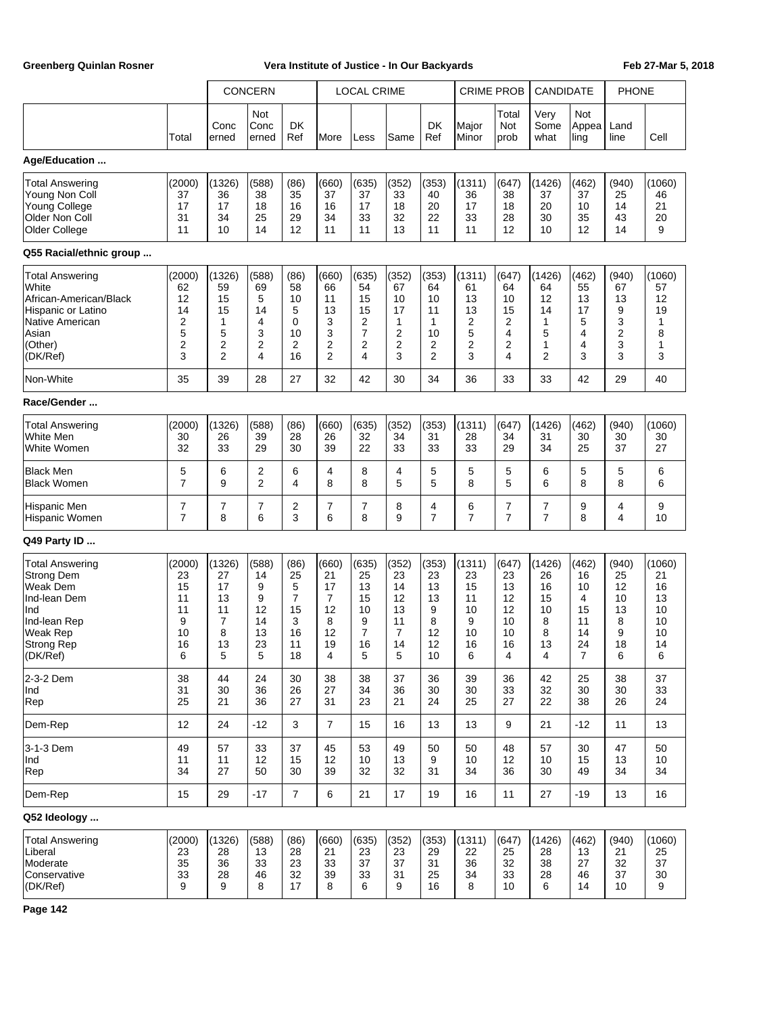|                                                                                                                                             |                                                           |                                                                  | <b>CONCERN</b>                                     |                                                                |                                                          | <b>LOCAL CRIME</b>                                              |                                                                       |                                                           | <b>CRIME PROB</b>                                         |                                                      | CANDIDATE                                                 |                                                     | <b>PHONE</b>                                            |                                                       |
|---------------------------------------------------------------------------------------------------------------------------------------------|-----------------------------------------------------------|------------------------------------------------------------------|----------------------------------------------------|----------------------------------------------------------------|----------------------------------------------------------|-----------------------------------------------------------------|-----------------------------------------------------------------------|-----------------------------------------------------------|-----------------------------------------------------------|------------------------------------------------------|-----------------------------------------------------------|-----------------------------------------------------|---------------------------------------------------------|-------------------------------------------------------|
|                                                                                                                                             | Total                                                     | Conc<br>erned                                                    | Not<br>Conc<br>erned                               | DK<br>Ref                                                      | More                                                     | Less                                                            | Same                                                                  | DK<br>Ref                                                 | Major<br>Minor                                            | Total<br>Not<br>prob                                 | Very<br>Some<br>what                                      | Not<br>Appea<br>ling                                | Land<br>line                                            | Cell                                                  |
| Age/Education                                                                                                                               |                                                           |                                                                  |                                                    |                                                                |                                                          |                                                                 |                                                                       |                                                           |                                                           |                                                      |                                                           |                                                     |                                                         |                                                       |
| <b>Total Answering</b><br>Young Non Coll<br><b>Young College</b><br>Older Non Coll<br>Older College                                         | (2000)<br>37<br>17<br>31<br>11                            | (1326)<br>36<br>17<br>34<br>10                                   | (588)<br>38<br>18<br>25<br>14                      | (86)<br>35<br>16<br>29<br>12                                   | (660)<br>37<br>16<br>34<br>11                            | (635)<br>37<br>17<br>33<br>11                                   | (352)<br>33<br>18<br>32<br>13                                         | (353)<br>40<br>20<br>22<br>11                             | (1311)<br>36<br>17<br>33<br>11                            | (647)<br>38<br>18<br>28<br>12                        | (1426)<br>37<br>20<br>30<br>10                            | (462)<br>37<br>10<br>35<br>12                       | (940)<br>25<br>14<br>43<br>14                           | (1060)<br>46<br>21<br>20<br>9                         |
| Q55 Racial/ethnic group                                                                                                                     |                                                           |                                                                  |                                                    |                                                                |                                                          |                                                                 |                                                                       |                                                           |                                                           |                                                      |                                                           |                                                     |                                                         |                                                       |
| Total Answering<br>White<br>African-American/Black<br>Hispanic or Latino<br>Native American<br>Asian<br>(Other)<br>(DK/Ref)                 | (2000)<br>62<br>12<br>14<br>$\overline{2}$<br>5<br>2<br>3 | (1326)<br>59<br>15<br>15<br>1<br>5<br>2<br>$\overline{2}$        | (588)<br>69<br>5<br>14<br>4<br>3<br>2<br>4         | (86)<br>58<br>10<br>5<br>0<br>10<br>2<br>16                    | (660)<br>66<br>11<br>13<br>3<br>3<br>2<br>$\overline{2}$ | (635)<br>54<br>15<br>15<br>2<br>7<br>2<br>4                     | (352)<br>67<br>10<br>17<br>1<br>$\overline{2}$<br>$\overline{c}$<br>3 | (353)<br>64<br>10<br>11<br>1<br>10<br>2<br>$\overline{2}$ | (1311)<br>61<br>13<br>13<br>$\overline{2}$<br>5<br>2<br>3 | (647)<br>64<br>10<br>15<br>2<br>4<br>2<br>4          | (1426)<br>64<br>12<br>14<br>1<br>5<br>1<br>$\overline{2}$ | (462)<br>55<br>13<br>17<br>5<br>4<br>4<br>3         | (940)<br>67<br>13<br>9<br>3<br>$\overline{2}$<br>3<br>3 | (1060)<br>57<br>12<br>19<br>1<br>8<br>1<br>3          |
| Non-White                                                                                                                                   | 35                                                        | 39                                                               | 28                                                 | 27                                                             | 32                                                       | 42                                                              | 30                                                                    | 34                                                        | 36                                                        | 33                                                   | 33                                                        | 42                                                  | 29                                                      | 40                                                    |
| Race/Gender                                                                                                                                 |                                                           |                                                                  |                                                    |                                                                |                                                          |                                                                 |                                                                       |                                                           |                                                           |                                                      |                                                           |                                                     |                                                         |                                                       |
| <b>Total Answering</b><br>White Men<br>White Women                                                                                          | (2000)<br>30<br>32                                        | (1326)<br>26<br>33                                               | (588)<br>39<br>29                                  | (86)<br>28<br>30                                               | (660)<br>26<br>39                                        | (635)<br>32<br>22                                               | (352)<br>34<br>33                                                     | (353)<br>31<br>33                                         | (1311)<br>28<br>33                                        | (647)<br>34<br>29                                    | (1426)<br>31<br>34                                        | (462)<br>30<br>25                                   | (940)<br>30<br>37                                       | (1060)<br>30<br>27                                    |
| <b>Black Men</b><br><b>Black Women</b>                                                                                                      | 5<br>7                                                    | 6<br>9                                                           | $\overline{\mathbf{c}}$<br>$\overline{2}$          | 6<br>4                                                         | 4<br>8                                                   | 8<br>8                                                          | 4<br>5                                                                | 5<br>5                                                    | 5<br>8                                                    | 5<br>5                                               | 6<br>6                                                    | 5<br>8                                              | 5<br>8                                                  | 6<br>6                                                |
| <b>Hispanic Men</b><br>Hispanic Women                                                                                                       | 7<br>$\overline{7}$                                       | 7<br>8                                                           | 7<br>6                                             | 2<br>3                                                         | 7<br>6                                                   | 7<br>8                                                          | 8<br>9                                                                | 4<br>$\overline{7}$                                       | 6<br>$\overline{7}$                                       | $\overline{7}$<br>$\overline{7}$                     | 7<br>$\overline{7}$                                       | 9<br>8                                              | 4<br>4                                                  | 9<br>10                                               |
| Q49 Party ID                                                                                                                                |                                                           |                                                                  |                                                    |                                                                |                                                          |                                                                 |                                                                       |                                                           |                                                           |                                                      |                                                           |                                                     |                                                         |                                                       |
| <b>Total Answering</b><br><b>Strong Dem</b><br>Weak Dem<br>Ind-lean Dem<br>Ind<br>Ind-lean Rep<br><b>Weak Rep</b><br>Strong Rep<br>(DK/Ret) | (2000)<br>23<br>15<br>11<br>11<br>9<br>10<br>16<br>6      | (1326)<br>27<br>17<br>13<br>11<br>$\overline{7}$<br>8<br>13<br>5 | (588)<br>14<br>9<br>9<br>12<br>14<br>13<br>23<br>5 | (86)<br>25<br>5<br>$\overline{7}$<br>15<br>3<br>16<br>11<br>18 | (660)<br>21<br>17<br>7<br>12<br>8<br>12<br>19<br>4       | (635)<br>25<br>13<br>15<br>10<br>9<br>$\overline{7}$<br>16<br>5 | (352)<br>23<br>14<br>12<br>13<br>11<br>$\overline{7}$<br>14<br>5      | (353)<br>23<br>13<br>13<br>9<br>8<br>12<br>12<br>10       | (1311)<br>23<br>15<br>11<br>10<br>9<br>10<br>16<br>6      | (647)<br>23<br>13<br>12<br>12<br>10<br>10<br>16<br>4 | (1426)<br>26<br>16<br>15<br>10<br>8<br>8<br>13<br>4       | (462)<br>16<br>10<br>4<br>15<br>11<br>14<br>24<br>7 | (940)<br>25<br>12<br>10<br>13<br>8<br>9<br>18<br>6      | (1060)<br>21<br>16<br>13<br>10<br>10<br>10<br>14<br>6 |
| 2-3-2 Dem<br>Ind<br>Rep                                                                                                                     | 38<br>31<br>25                                            | 44<br>30<br>21                                                   | 24<br>36<br>36                                     | 30<br>26<br>27                                                 | 38<br>27<br>31                                           | 38<br>34<br>23                                                  | 37<br>36<br>21                                                        | 36<br>30<br>24                                            | 39<br>30<br>25                                            | 36<br>33<br>27                                       | 42<br>32<br>22                                            | 25<br>30<br>38                                      | 38<br>30<br>26                                          | 37<br>33<br>24                                        |
| Dem-Rep                                                                                                                                     | 12                                                        | 24                                                               | $-12$                                              | 3                                                              | $\overline{7}$                                           | 15                                                              | 16                                                                    | 13                                                        | 13                                                        | 9                                                    | 21                                                        | $-12$                                               | 11                                                      | 13                                                    |
| 3-1-3 Dem<br>Ind<br>Rep                                                                                                                     | 49<br>11<br>34                                            | 57<br>11<br>27                                                   | 33<br>12<br>50                                     | 37<br>15<br>30                                                 | 45<br>12<br>39                                           | 53<br>10<br>32                                                  | 49<br>13<br>32                                                        | 50<br>9<br>31                                             | 50<br>10<br>34                                            | 48<br>12<br>36                                       | 57<br>10<br>30                                            | 30<br>15<br>49                                      | 47<br>13<br>34                                          | 50<br>10<br>34                                        |
| Dem-Rep                                                                                                                                     | 15                                                        | 29                                                               | $-17$                                              | $\overline{7}$                                                 | 6                                                        | 21                                                              | 17                                                                    | 19                                                        | 16                                                        | 11                                                   | 27                                                        | $-19$                                               | 13                                                      | 16                                                    |
| Q52 Ideology                                                                                                                                |                                                           |                                                                  |                                                    |                                                                |                                                          |                                                                 |                                                                       |                                                           |                                                           |                                                      |                                                           |                                                     |                                                         |                                                       |
| <b>Total Answering</b><br>Liberal<br>Moderate<br>Conservative<br>(DK/Ref)                                                                   | (2000)<br>23<br>35<br>33<br>9                             | (1326)<br>28<br>36<br>28<br>9                                    | (588)<br>13<br>33<br>46<br>8                       | (86)<br>28<br>23<br>32<br>17                                   | (660)<br>21<br>33<br>39<br>8                             | (635)<br>23<br>37<br>33<br>6                                    | (352)<br>23<br>37<br>31<br>9                                          | (353)<br>29<br>31<br>25<br>16                             | (1311)<br>22<br>36<br>34<br>8                             | (647)<br>25<br>32<br>33<br>10                        | (1426)<br>28<br>38<br>28<br>6                             | (462)<br>13<br>27<br>46<br>14                       | (940)<br>21<br>32<br>37<br>10                           | (1060)<br>25<br>37<br>30<br>9                         |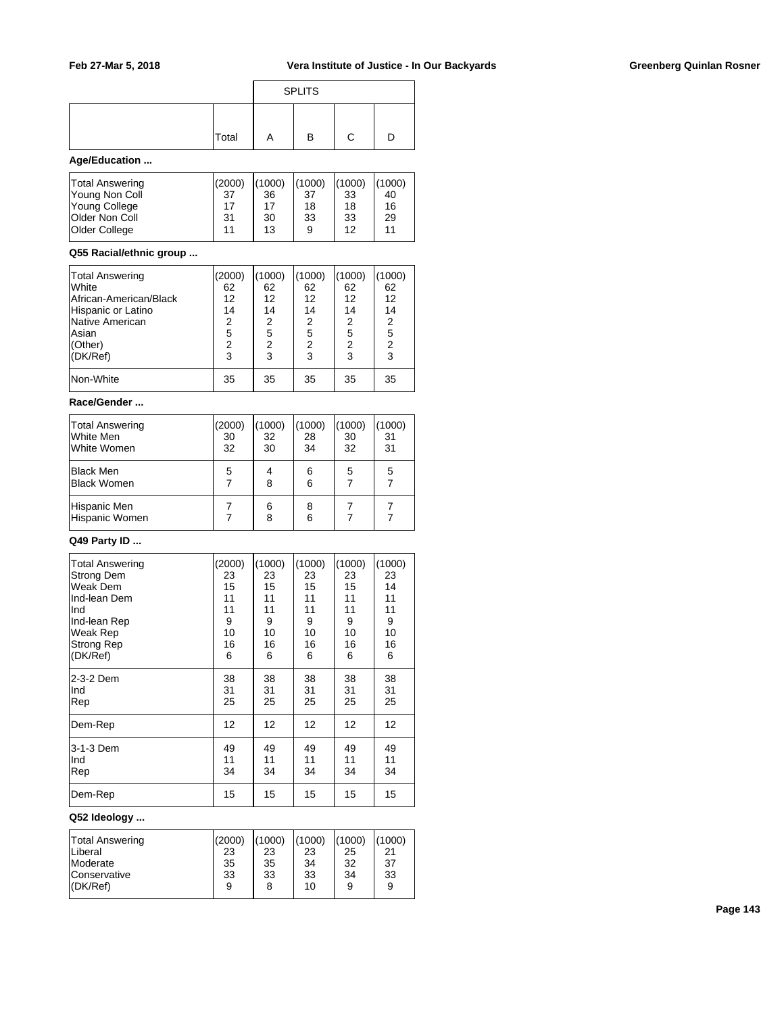|       |   | <b>SPLITS</b> |  |
|-------|---|---------------|--|
| Total | A | в             |  |

## **Age/Education ...**

| Total Answering<br>Young Non Coll<br>Young College<br><b>Older Non Coll</b> | (2000)<br>-37<br>17<br>31 | (1000)<br>36<br>17<br>30 | (1000)<br>37<br>18<br>33 | (1000)<br>33<br>18<br>33 | (1000)<br>40<br>16<br>29 |
|-----------------------------------------------------------------------------|---------------------------|--------------------------|--------------------------|--------------------------|--------------------------|
|                                                                             |                           |                          |                          |                          |                          |
| Older College                                                               | 11                        | 13                       | 9                        | 12                       | 11                       |

## **Q55 Racial/ethnic group ...**

| Total Answering        | (2000) | (1000)         | (1000) | (1000)         | (1000)         |  |
|------------------------|--------|----------------|--------|----------------|----------------|--|
| <b>White</b>           | 62     | 62             | 62     | 62             | 62             |  |
| African-American/Black | 12     | 12             | 12     | 12             | 12             |  |
| Hispanic or Latino     | 14     | 14             | 14     | 14             | 14             |  |
| Native American        | 2      | 2              | 2      | 2              | $\overline{2}$ |  |
| lAsian                 | 5      | 5              | 5      | 5              | 5              |  |
| (Other)                | 2      | $\overline{2}$ | 2      | $\overline{2}$ | $\overline{2}$ |  |
| (DK/Ref)               | 3      | 3              | 3      | 3              | 3              |  |
| Non-White              | 35     | 35             | 35     | 35             | 35             |  |

## **Race/Gender ...**

| Total Answering<br>White Men<br>White Women | (2000)<br>30<br>32 | (1000)<br>32<br>30 | (1000)<br>28<br>34 | (1000)<br>30<br>32 | (1000)<br>31<br>31 |
|---------------------------------------------|--------------------|--------------------|--------------------|--------------------|--------------------|
| <b>Black Men</b><br><b>Black Women</b>      | 5                  | 4<br>8             | 6<br>6             | 5                  | 5                  |
| Hispanic Men<br>Hispanic Women              |                    | 6<br>8             | 8<br>6             |                    |                    |

## **Q49 Party ID ...**

| <b>Total Answering</b> | (2000) | (1000) | (1000) | (1000) | (1000) |
|------------------------|--------|--------|--------|--------|--------|
| Strong Dem             | 23     | 23     | 23     | 23     | 23     |
| Weak Dem               | 15     | 15     | 15     | 15     | 14     |
| Ind-lean Dem           | 11     | 11     | 11     | 11     | 11     |
| Ind                    | 11     | 11     | 11     | 11     | 11     |
| Ind-lean Rep           | 9      | 9      | 9      | 9      | 9      |
| Weak Rep               | 10     | 10     | 10     | 10     | 10     |
| Strong Rep             | 16     | 16     | 16     | 16     | 16     |
| (DK/Ref)               | 6      | 6      | 6      | 6      | 6      |
| 2-3-2 Dem              | 38     | 38     | 38     | 38     | 38     |
| Ind                    | 31     | 31     | 31     | 31     | 31     |
| Rep                    | 25     | 25     | 25     | 25     | 25     |
| Dem-Rep                | 12     | 12     | 12     | 12     | 12     |
| 3-1-3 Dem              | 49     | 49     | 49     | 49     | 49     |
| Ind                    | 11     | 11     | 11     | 11     | 11     |
| Rep                    | 34     | 34     | 34     | 34     | 34     |
| Dem-Rep                | 15     | 15     | 15     | 15     | 15     |

# **Q52 Ideology ...**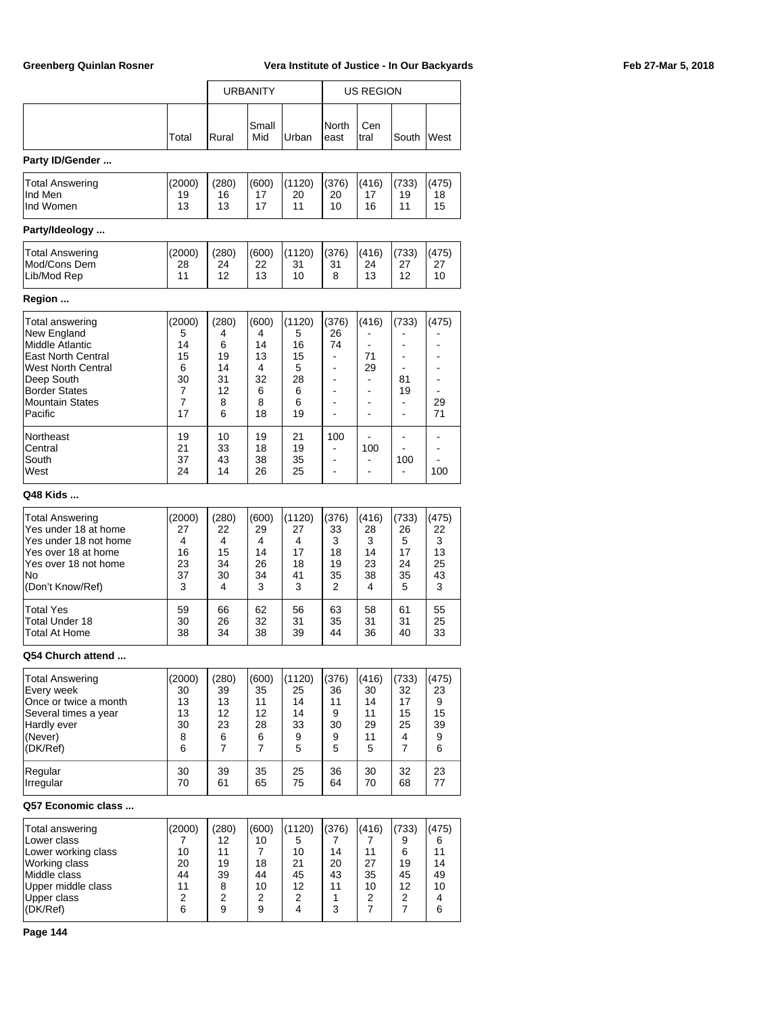|                                                                                                                                                                                 |                                                    | <b>URBANITY</b>                                   |                                                   |                                                    | <b>US REGION</b>                                                                                                 |                                                                                           |                                                                                                |                                                                      |  |  |  |  |
|---------------------------------------------------------------------------------------------------------------------------------------------------------------------------------|----------------------------------------------------|---------------------------------------------------|---------------------------------------------------|----------------------------------------------------|------------------------------------------------------------------------------------------------------------------|-------------------------------------------------------------------------------------------|------------------------------------------------------------------------------------------------|----------------------------------------------------------------------|--|--|--|--|
|                                                                                                                                                                                 | Total                                              | Rural                                             | Small<br>Mid                                      | Urban                                              | North<br>east                                                                                                    | Cen<br>tral                                                                               | South                                                                                          | West                                                                 |  |  |  |  |
| Party ID/Gender                                                                                                                                                                 |                                                    |                                                   |                                                   |                                                    |                                                                                                                  |                                                                                           |                                                                                                |                                                                      |  |  |  |  |
| Total Answering<br>Ind Men<br>Ind Women                                                                                                                                         | (2000)<br>19<br>13                                 | (280)<br>16<br>13                                 | (600)<br>17<br>17                                 | (1120)<br>20<br>11                                 | (376)<br>20<br>10                                                                                                | (416)<br>17<br>16                                                                         | (733)<br>19<br>11                                                                              | (475)<br>18<br>15                                                    |  |  |  |  |
| Party/Ideology                                                                                                                                                                  |                                                    |                                                   |                                                   |                                                    |                                                                                                                  |                                                                                           |                                                                                                |                                                                      |  |  |  |  |
| <b>Total Answering</b><br>Mod/Cons Dem<br>Lib/Mod Rep                                                                                                                           | (2000)<br>28<br>11                                 | (280)<br>24<br>12                                 | (600)<br>22<br>13                                 | (1120)<br>31<br>10                                 | (376)<br>31<br>8                                                                                                 | (416)<br>24<br>13                                                                         | (733)<br>27<br>12                                                                              | (475)<br>27<br>10                                                    |  |  |  |  |
| Region                                                                                                                                                                          |                                                    |                                                   |                                                   |                                                    |                                                                                                                  |                                                                                           |                                                                                                |                                                                      |  |  |  |  |
| Total answering<br>New England<br>Middle Atlantic<br><b>East North Central</b><br>West North Central<br>Deep South<br><b>Border States</b><br><b>Mountain States</b><br>Pacific | (2000)<br>5<br>14<br>15<br>6<br>30<br>7<br>7<br>17 | (280)<br>4<br>6<br>19<br>14<br>31<br>12<br>8<br>6 | (600)<br>4<br>14<br>13<br>4<br>32<br>6<br>8<br>18 | (1120)<br>5<br>16<br>15<br>5<br>28<br>6<br>6<br>19 | (376)<br>26<br>74<br>٠<br>$\blacksquare$<br>$\blacksquare$<br>$\blacksquare$<br>$\blacksquare$<br>$\overline{a}$ | (416)<br>71<br>29<br>$\blacksquare$<br>$\blacksquare$<br>$\blacksquare$<br>$\blacksquare$ | (733)<br>$\overline{a}$<br>۰<br>$\blacksquare$<br>81<br>19<br>$\blacksquare$<br>$\blacksquare$ | (475)<br>÷<br>۰<br>۰<br>$\blacksquare$<br>$\blacksquare$<br>29<br>71 |  |  |  |  |
| Northeast<br>Central<br>South<br>West                                                                                                                                           | 19<br>21<br>37<br>24                               | 10<br>33<br>43<br>14                              | 19<br>18<br>38<br>26                              | 21<br>19<br>35<br>25                               | 100<br>۰<br>$\blacksquare$<br>$\blacksquare$                                                                     | 100<br>$\blacksquare$<br>$\blacksquare$                                                   | $\overline{\phantom{a}}$<br>$\overline{a}$<br>100<br>$\overline{a}$                            | ۰<br>۰<br>100                                                        |  |  |  |  |
| Q48 Kids                                                                                                                                                                        |                                                    |                                                   |                                                   |                                                    |                                                                                                                  |                                                                                           |                                                                                                |                                                                      |  |  |  |  |
| <b>Total Answering</b><br>Yes under 18 at home<br>Yes under 18 not home<br>Yes over 18 at home<br>Yes over 18 not home<br>No<br>(Don't Know/Ref)                                | (2000)<br>27<br>4<br>16<br>23<br>37<br>3           | (280)<br>22<br>4<br>15<br>34<br>30<br>4           | (600)<br>29<br>4<br>14<br>26<br>34<br>3           | (1120)<br>27<br>4<br>17<br>18<br>41<br>3           | (376)<br>33<br>3<br>18<br>19<br>35<br>2                                                                          | (416)<br>28<br>3<br>14<br>23<br>38<br>4                                                   | (733)<br>26<br>5<br>17<br>24<br>35<br>5                                                        | (475)<br>22<br>3<br>13<br>25<br>43<br>3                              |  |  |  |  |
| Total Yes<br>Total Under 18<br>Total At Home                                                                                                                                    | 59<br>30<br>38                                     | 66<br>26<br>34                                    | 62<br>32<br>38                                    | 56<br>31<br>39                                     | 63<br>35<br>44                                                                                                   | 58<br>31<br>36                                                                            | 61<br>31<br>40                                                                                 | 55<br>25<br>33                                                       |  |  |  |  |
| Q54 Church attend                                                                                                                                                               |                                                    |                                                   |                                                   |                                                    |                                                                                                                  |                                                                                           |                                                                                                |                                                                      |  |  |  |  |
| Total Answering<br>Every week<br>Once or twice a month<br>Several times a year<br>Hardly ever<br>(Never)<br>(DK/Ref)                                                            | (2000)<br>30<br>13<br>13<br>30<br>8<br>6           | (280)<br>39<br>13<br>12<br>23<br>6<br>7           | (600)<br>35<br>11<br>12<br>28<br>6<br>7           | (1120)<br>25<br>14<br>14<br>33<br>9<br>5           | (376)<br>36<br>11<br>9<br>30<br>9<br>5                                                                           | (416)<br>30<br>14<br>11<br>29<br>11<br>5                                                  | (733)<br>32<br>17<br>15<br>25<br>4<br>7                                                        | (475)<br>23<br>9<br>15<br>39<br>9<br>6                               |  |  |  |  |
| Regular<br>Irregular                                                                                                                                                            | 30<br>70                                           | 39<br>61                                          | 35<br>65                                          | 25<br>75                                           | 36<br>64                                                                                                         | 30<br>70                                                                                  | 32<br>68                                                                                       | 23<br>77                                                             |  |  |  |  |
| Q57 Economic class                                                                                                                                                              |                                                    |                                                   |                                                   |                                                    |                                                                                                                  |                                                                                           |                                                                                                |                                                                      |  |  |  |  |
| Total answering<br>Lower class<br>Lower working class<br>Working class<br>Middle class<br>Upper middle class<br>Upper class<br>(DK/Ref)                                         | (2000)<br>7<br>10<br>20<br>44<br>11<br>2<br>6      | (280)<br>12<br>11<br>19<br>39<br>8<br>2<br>9      | (600)<br>10<br>7<br>18<br>44<br>10<br>2<br>9      | (1120)<br>5<br>10<br>21<br>45<br>12<br>2<br>4      | (376)<br>7<br>14<br>20<br>43<br>11<br>1<br>3                                                                     | (416)<br>7<br>11<br>27<br>35<br>10<br>2<br>7                                              | (733)<br>9<br>6<br>19<br>45<br>12<br>2<br>7                                                    | (475)<br>6<br>11<br>14<br>49<br>10<br>4<br>6                         |  |  |  |  |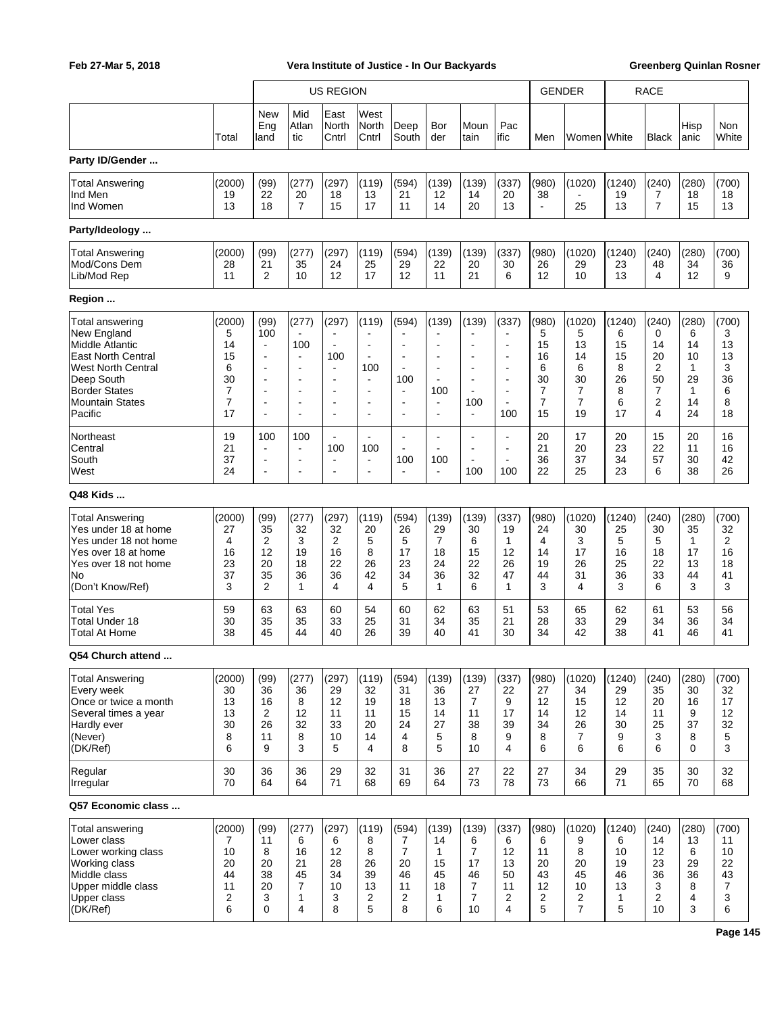|                                                                                                                                                                                 |                                                    |                                                                                                       |                                                                      | <b>US REGION</b>                                                                                                                        |                                                                                                                                              |                                                                              |                                                                                           |                                                                                                                            |                                                                                                                                                      |                                                   | <b>GENDER</b>                                                          |                                                    | <b>RACE</b>                                      |                                                    |                                                           |
|---------------------------------------------------------------------------------------------------------------------------------------------------------------------------------|----------------------------------------------------|-------------------------------------------------------------------------------------------------------|----------------------------------------------------------------------|-----------------------------------------------------------------------------------------------------------------------------------------|----------------------------------------------------------------------------------------------------------------------------------------------|------------------------------------------------------------------------------|-------------------------------------------------------------------------------------------|----------------------------------------------------------------------------------------------------------------------------|------------------------------------------------------------------------------------------------------------------------------------------------------|---------------------------------------------------|------------------------------------------------------------------------|----------------------------------------------------|--------------------------------------------------|----------------------------------------------------|-----------------------------------------------------------|
|                                                                                                                                                                                 | Total                                              | New<br>Eng<br>land                                                                                    | Mid<br>Atlan<br>tic                                                  | East<br>North<br>Cntrl                                                                                                                  | West<br>North<br>Cntrl                                                                                                                       | Deep<br>South                                                                | Bor<br>der                                                                                | Moun<br>tain                                                                                                               | Pac<br>ific                                                                                                                                          | Men                                               | Women White                                                            |                                                    | <b>Black</b>                                     | Hisp<br>anic                                       | Non<br>White                                              |
| Party ID/Gender                                                                                                                                                                 |                                                    |                                                                                                       |                                                                      |                                                                                                                                         |                                                                                                                                              |                                                                              |                                                                                           |                                                                                                                            |                                                                                                                                                      |                                                   |                                                                        |                                                    |                                                  |                                                    |                                                           |
| <b>Total Answering</b><br>Ind Men<br>Ind Women                                                                                                                                  | (2000)<br>19<br>13                                 | (99)<br>22<br>18                                                                                      | (277)<br>20<br>$\overline{7}$                                        | (297)<br>18<br>15                                                                                                                       | (119)<br>13<br>17                                                                                                                            | (594)<br>21<br>11                                                            | (139)<br>12<br>14                                                                         | (139)<br>14<br>20                                                                                                          | (337)<br>20<br>13                                                                                                                                    | (980)<br>38<br>$\blacksquare$                     | (1020)<br>25                                                           | (1240)<br>19<br>13                                 | (240)<br>7<br>$\overline{7}$                     | (280)<br>18<br>15                                  | (700)<br>18<br>13                                         |
| Party/Ideology                                                                                                                                                                  |                                                    |                                                                                                       |                                                                      |                                                                                                                                         |                                                                                                                                              |                                                                              |                                                                                           |                                                                                                                            |                                                                                                                                                      |                                                   |                                                                        |                                                    |                                                  |                                                    |                                                           |
| <b>Total Answering</b><br>Mod/Cons Dem<br>Lib/Mod Rep                                                                                                                           | (2000)<br>28<br>11                                 | (99)<br>21<br>$\overline{2}$                                                                          | (277)<br>35<br>10                                                    | (297)<br>24<br>12                                                                                                                       | (119)<br>25<br>17                                                                                                                            | (594)<br>29<br>12                                                            | (139)<br>22<br>11                                                                         | (139)<br>20<br>21                                                                                                          | (337)<br>30<br>6                                                                                                                                     | (980)<br>26<br>12                                 | (1020)<br>29<br>10                                                     | (1240)<br>23<br>13                                 | (240)<br>48<br>4                                 | (280)<br>34<br>12                                  | (700)<br>36<br>9                                          |
| Region                                                                                                                                                                          |                                                    |                                                                                                       |                                                                      |                                                                                                                                         |                                                                                                                                              |                                                                              |                                                                                           |                                                                                                                            |                                                                                                                                                      |                                                   |                                                                        |                                                    |                                                  |                                                    |                                                           |
| Total answering<br>New England<br><b>Middle Atlantic</b><br><b>East North Central</b><br>West North Central<br>Deep South<br>Border States<br><b>Mountain States</b><br>Pacific | (2000)<br>5<br>14<br>15<br>6<br>30<br>7<br>7<br>17 | (99)<br>100<br>$\sim$<br>$\overline{\phantom{a}}$<br>$\overline{\phantom{a}}$<br>÷.<br>$\blacksquare$ | (277)<br>100<br>$\sim$<br>$\blacksquare$<br>$\overline{\phantom{a}}$ | (297)<br>$\blacksquare$<br>$\overline{\phantom{a}}$<br>100<br>$\blacksquare$<br>$\blacksquare$<br>$\blacksquare$<br>$\blacksquare$<br>٠ | (119)<br>$\blacksquare$<br>$\overline{\phantom{a}}$<br>100<br>$\blacksquare$<br>$\blacksquare$<br>$\blacksquare$<br>$\overline{\phantom{a}}$ | (594)<br>$\blacksquare$<br>100<br>$\overline{\phantom{a}}$<br>$\blacksquare$ | (139)<br>$\blacksquare$<br>٠<br>$\blacksquare$<br>$\blacksquare$<br>100<br>$\blacksquare$ | (139)<br>$\blacksquare$<br>$\overline{\phantom{a}}$<br>$\blacksquare$<br>$\blacksquare$<br>100<br>$\overline{\phantom{a}}$ | (337)<br>$\blacksquare$<br>$\blacksquare$<br>$\blacksquare$<br>$\overline{\phantom{a}}$<br>$\blacksquare$<br>$\blacksquare$<br>$\blacksquare$<br>100 | (980)<br>5<br>15<br>16<br>6<br>30<br>7<br>7<br>15 | (1020)<br>5<br>13<br>14<br>6<br>30<br>7<br>7<br>19                     | (1240)<br>6<br>15<br>15<br>8<br>26<br>8<br>6<br>17 | (240)<br>0<br>14<br>20<br>2<br>50<br>7<br>2<br>4 | (280)<br>6<br>14<br>10<br>1<br>29<br>1<br>14<br>24 | (700)<br>3<br>13<br>13<br>3<br>36<br>6<br>8<br>18         |
| Northeast<br>Central<br>South<br>West                                                                                                                                           | 19<br>21<br>37<br>24                               | 100<br>$\blacksquare$<br>$\sim$                                                                       | 100<br>$\blacksquare$<br>÷.                                          | $\overline{\phantom{a}}$<br>100<br>$\blacksquare$<br>$\overline{\phantom{a}}$                                                           | $\blacksquare$<br>100<br>$\overline{\phantom{a}}$<br>$\blacksquare$                                                                          | $\overline{\phantom{a}}$<br>100<br>÷                                         | $\blacksquare$<br>100<br>$\overline{\phantom{a}}$                                         | ÷<br>$\overline{\phantom{a}}$<br>100                                                                                       | $\blacksquare$<br>$\blacksquare$<br>$\blacksquare$<br>100                                                                                            | 20<br>21<br>36<br>22                              | 17<br>20<br>37<br>25                                                   | 20<br>23<br>34<br>23                               | 15<br>22<br>57<br>6                              | 20<br>11<br>30<br>38                               | 16<br>16<br>42<br>26                                      |
| Q48 Kids                                                                                                                                                                        |                                                    |                                                                                                       |                                                                      |                                                                                                                                         |                                                                                                                                              |                                                                              |                                                                                           |                                                                                                                            |                                                                                                                                                      |                                                   |                                                                        |                                                    |                                                  |                                                    |                                                           |
| <b>Total Answering</b><br>Yes under 18 at home<br>Yes under 18 not home<br>Yes over 18 at home<br>Yes over 18 not home<br>lNo<br>(Don't Know/Ref)                               | (2000)<br>27<br>4<br>16<br>23<br>37<br>3           | (99)<br>35<br>$\overline{2}$<br>12<br>20<br>35<br>2                                                   | (277)<br>32<br>3<br>19<br>18<br>36<br>1                              | (297)<br>32<br>$\overline{2}$<br>16<br>22<br>36<br>4                                                                                    | (119)<br>20<br>5<br>8<br>26<br>42<br>4                                                                                                       | (594)<br>26<br>5<br>17<br>23<br>34<br>5                                      | (139)<br>29<br>$\overline{7}$<br>18<br>24<br>36<br>$\mathbf{1}$                           | (139)<br>30<br>6<br>15<br>22<br>32<br>6                                                                                    | (337)<br>19<br>$\mathbf{1}$<br>12<br>26<br>47<br>$\mathbf{1}$                                                                                        | (980)<br>24<br>4<br>14<br>19<br>44<br>3           | (1020)<br>30<br>3<br>17<br>26<br>31<br>4                               | (1240)<br>25<br>5<br>16<br>25<br>36<br>3           | (240)<br>30<br>5<br>18<br>22<br>33<br>6          | (280)<br>35<br>$\mathbf{1}$<br>17<br>13<br>44<br>3 | (700)<br>32<br>2<br>16<br>18<br>41<br>3                   |
| <b>Total Yes</b><br>Total Under 18<br><b>Total At Home</b>                                                                                                                      | 59<br>30<br>38                                     | 63<br>35<br>45                                                                                        | 63<br>35<br>44                                                       | 60<br>33<br>40                                                                                                                          | 54<br>25<br>26                                                                                                                               | 60<br>31<br>39                                                               | 62<br>34<br>40                                                                            | 63<br>35<br>41                                                                                                             | 51<br>21<br>30                                                                                                                                       | 53<br>28<br>34                                    | 65<br>33<br>42                                                         | 62<br>29<br>38                                     | 61<br>34<br>41                                   | 53<br>36<br>46                                     | 56<br>34<br>41                                            |
| Q54 Church attend                                                                                                                                                               |                                                    |                                                                                                       |                                                                      |                                                                                                                                         |                                                                                                                                              |                                                                              |                                                                                           |                                                                                                                            |                                                                                                                                                      |                                                   |                                                                        |                                                    |                                                  |                                                    |                                                           |
| <b>Total Answering</b><br>Every week<br>Once or twice a month<br>Several times a year<br>Hardly ever<br>(Never)<br>(DK/Ref)                                                     | (2000)<br>30<br>13<br>13<br>30<br>8<br>6           | (99)<br>36<br>16<br>2<br>26<br>11<br>9                                                                | (277)<br>36<br>8<br>12<br>32<br>8<br>3                               | (297)<br>29<br>12<br>11<br>33<br>10<br>5                                                                                                | (119)<br>32<br>19<br>11<br>20<br>14<br>4                                                                                                     | (594)<br>31<br>18<br>15<br>24<br>4<br>8                                      | (139)<br>36<br>13<br>14<br>27<br>5<br>5                                                   | (139)<br>27<br>7<br>11<br>38<br>8<br>10                                                                                    | (337)<br>22<br>9<br>17<br>39<br>9<br>4                                                                                                               | (980)<br>27<br>12<br>14<br>34<br>8<br>6           | (1020)<br>34<br>15<br>12<br>26<br>7<br>6                               | (1240)<br>29<br>12<br>14<br>30<br>9<br>6           | (240)<br>35<br>20<br>11<br>25<br>3<br>6          | (280)<br>30<br>16<br>9<br>37<br>8<br>0             | (700)<br>32<br>17<br>12<br>32<br>5<br>3                   |
| Regular<br>Irregular                                                                                                                                                            | 30<br>70                                           | 36<br>64                                                                                              | 36<br>64                                                             | 29<br>71                                                                                                                                | 32<br>68                                                                                                                                     | 31<br>69                                                                     | 36<br>64                                                                                  | 27<br>73                                                                                                                   | 22<br>78                                                                                                                                             | 27<br>73                                          | 34<br>66                                                               | 29<br>71                                           | 35<br>65                                         | 30<br>70                                           | 32<br>68                                                  |
| Q57 Economic class                                                                                                                                                              |                                                    |                                                                                                       |                                                                      |                                                                                                                                         |                                                                                                                                              |                                                                              |                                                                                           |                                                                                                                            |                                                                                                                                                      |                                                   |                                                                        |                                                    |                                                  |                                                    |                                                           |
| Total answering<br>Lower class<br>Lower working class<br>Working class<br>Middle class<br>Upper middle class<br><b>Upper class</b><br>(DK/Ref)                                  | (2000)<br>7<br>10<br>20<br>44<br>11<br>2<br>6      | (99)<br>11<br>8<br>20<br>38<br>20<br>3<br>0                                                           | (277)<br>6<br>16<br>21<br>45<br>7<br>1<br>4                          | (297)<br>6<br>12<br>28<br>34<br>10<br>3<br>8                                                                                            | (119)<br>8<br>8<br>26<br>39<br>13<br>2<br>5                                                                                                  | (594)<br>7<br>$\overline{7}$<br>20<br>46<br>11<br>$\overline{2}$<br>8        | (139)<br>14<br>$\mathbf 1$<br>15<br>45<br>18<br>1<br>6                                    | (139)<br>6<br>$\overline{7}$<br>17<br>46<br>7<br>7<br>10                                                                   | (337)<br>6<br>12<br>13<br>50<br>11<br>2<br>4                                                                                                         | (980)<br>6<br>11<br>20<br>43<br>12<br>2<br>5      | (1020)<br>9<br>8<br>20<br>45<br>10<br>$\overline{2}$<br>$\overline{7}$ | (1240)<br>6<br>10<br>19<br>46<br>13<br>1<br>5      | (240)<br>14<br>12<br>23<br>36<br>3<br>2<br>10    | (280)<br>13<br>6<br>29<br>36<br>8<br>4<br>3        | (700)<br>11<br>10<br>22<br>43<br>$\overline{7}$<br>3<br>6 |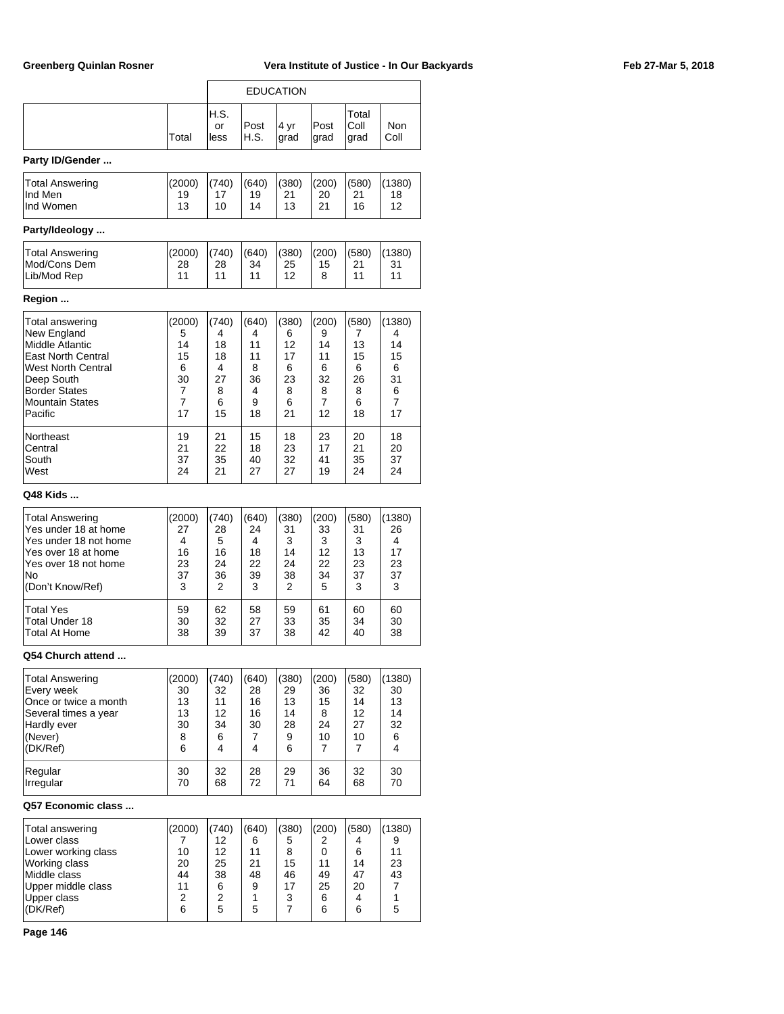$\overline{\mathsf{L}}$ 

|                           |        |                    |              | <b>EDUCATION</b> |              |                       |                    |
|---------------------------|--------|--------------------|--------------|------------------|--------------|-----------------------|--------------------|
|                           | Total  | H.S.<br>or<br>less | Post<br>H.S. | 4 yr<br>grad     | Post<br>grad | Total<br>Coll<br>grad | <b>Non</b><br>Coll |
| Party ID/Gender           |        |                    |              |                  |              |                       |                    |
| <b>Total Answering</b>    | (2000) | (740)              | (640)        | (380)            | (200)        | (580)                 | (1380)             |
| Ind Men                   | 19     | 17                 | 19           | 21               | 20           | 21                    | 18                 |
| Ind Women                 | 13     | 10                 | 14           | 13               | 21           | 16                    | 12                 |
| Party/Ideology            |        |                    |              |                  |              |                       |                    |
| <b>Total Answering</b>    | (2000) | (740)              | (640)        | (380)            | (200)        | (580)                 | (1380)             |
| Mod/Cons Dem              | 28     | 28                 | 34           | 25               | 15           | 21                    | 31                 |
| Lib/Mod Rep               | 11     | 11                 | 11           | 12               | 8            | 11                    | 11                 |
| Region                    |        |                    |              |                  |              |                       |                    |
| Total answering           | (2000) | (740)              | (640)        | (380)            | (200)        | (580)                 | (1380)             |
| New England               | 5      | 4                  | 4            | 6                | 9            | 7                     | 4                  |
| Middle Atlantic           | 14     | 18                 | 11           | 12               | 14           | 13                    | 14                 |
| <b>East North Central</b> | 15     | 18                 | 11           | 17               | 11           | 15                    | 15                 |
| <b>West North Central</b> | 6      | 4                  | 8            | 6                | 6            | 6                     | 6                  |
| Deep South                | 30     | 27                 | 36           | 23               | 32           | 26                    | 31                 |
| <b>Border States</b>      | 7      | 8                  | 4            | 8                | 8            | 8                     | 6                  |
| <b>Mountain States</b>    | 7      | 6                  | 9            | 6                | 7            | 6                     | 7                  |
| Pacific                   | 17     | 15                 | 18           | 21               | 12           | 18                    | 17                 |
| Northeast                 | 19     | 21                 | 15           | 18               | 23           | 20                    | 18                 |
| Central                   | 21     | 22                 | 18           | 23               | 17           | 21                    | 20                 |
| South                     | 37     | 35                 | 40           | 32               | 41           | 35                    | 37                 |
| West                      | 24     | 21                 | 27           | 27               | 19           | 24                    | 24                 |
| Q48 Kids                  |        |                    |              |                  |              |                       |                    |
| Total Answering           | (2000) | (740)              | (640)        | (380)            | (200)        | (580)                 | (1380)             |
| Yes under 18 at home      | 27     | 28                 | 24           | 31               | 33           | 31                    | 26                 |
| Yes under 18 not home     | 4      | 5                  | 4            | 3                | 3            | 3                     | 4                  |
| Yes over 18 at home       | 16     | 16                 | 18           | 14               | 12           | 13                    | 17                 |
| Yes over 18 not home      | 23     | 24                 | 22           | 24               | 22           | 23                    | 23                 |
| No                        | 37     | 36                 | 39           | 38               | 34           | 37                    | 37                 |
| (Don't Know/Ref)          | 3      | 2                  | 3            | 2                | 5            | 3                     | 3                  |
| <b>Total Yes</b>          | 59     | 62                 | 58           | 59               | 61           | 60                    | 60                 |
| Total Under 18            | 30     | 32                 | 27           | 33               | 35           | 34                    | 30                 |
| Total At Home             | 38     | 39                 | 37           | 38               | 42           | 40                    | 38                 |
| Q54 Church attend         |        |                    |              |                  |              |                       |                    |
| Total Answering           | (2000) | (740)              | (640)        | (380)            | (200)        | (580)                 | (1380)             |
| Every week                | 30     | 32                 | 28           | 29               | 36           | 32                    | 30                 |
| Once or twice a month     | 13     | 11                 | 16           | 13               | 15           | 14                    | 13                 |
| Several times a year      | 13     | 12                 | 16           | 14               | 8            | 12                    | 14                 |
| Hardly ever               | 30     | 34                 | 30           | 28               | 24           | 27                    | 32                 |
| (Never)                   | 8      | 6                  | 7            | 9                | 10           | 10                    | 6                  |
| (DK/Ref)                  | 6      | 4                  | 4            | 6                | 7            | 7                     | 4                  |
| Regular                   | 30     | 32                 | 28           | 29               | 36           | 32                    | 30                 |
| Irregular                 | 70     | 68                 | 72           | 71               | 64           | 68                    | 70                 |
| Q57 Economic class        |        |                    |              |                  |              |                       |                    |
| Total answering           | (2000) | (740)              | (640)        | (380)            | (200)        | (580)                 | (1380)             |
| Lower class               | 7      | 12                 | 6            | 5                | 2            | 4                     | 9                  |
| Lower working class       | 10     | 12                 | 11           | 8                | 0            | 6                     | 11                 |
| Working class             | 20     | 25                 | 21           | 15               | 11           | 14                    | 23                 |
| Middle class              | 44     | 38                 | 48           | 46               | 49           | 47                    | 43                 |
| Upper middle class        | 11     | 6                  | 9            | 17               | 25           | 20                    | 7                  |
| Upper class               | 2      | 2                  | 1            | 3                | 6            | 4                     | 1                  |
| (DK/Ref)                  | 6      | 5                  | 5            | 7                | 6            | 6                     | 5                  |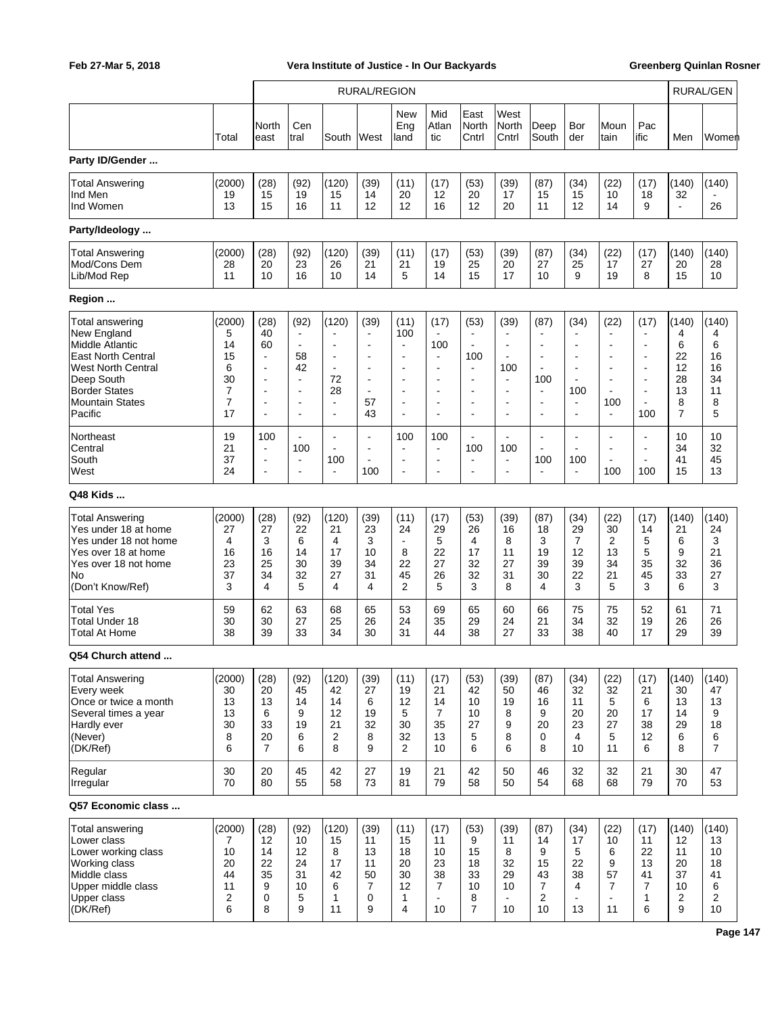|                                                                                                                                                                                        |                                                                 |                                                                                                                                      |                                                                                                                           |                                                                                                                                                             | <b>RURAL/REGION</b>                                                                                 |                                                                                                                                           |                                                                                                                                         |                                                                                                                               |                                                           |                                                                                                                                          |                                                                                                                                         |                                                                                                                                                       |                                                                                                                   |                                                                | <b>RURAL/GEN</b>                                    |
|----------------------------------------------------------------------------------------------------------------------------------------------------------------------------------------|-----------------------------------------------------------------|--------------------------------------------------------------------------------------------------------------------------------------|---------------------------------------------------------------------------------------------------------------------------|-------------------------------------------------------------------------------------------------------------------------------------------------------------|-----------------------------------------------------------------------------------------------------|-------------------------------------------------------------------------------------------------------------------------------------------|-----------------------------------------------------------------------------------------------------------------------------------------|-------------------------------------------------------------------------------------------------------------------------------|-----------------------------------------------------------|------------------------------------------------------------------------------------------------------------------------------------------|-----------------------------------------------------------------------------------------------------------------------------------------|-------------------------------------------------------------------------------------------------------------------------------------------------------|-------------------------------------------------------------------------------------------------------------------|----------------------------------------------------------------|-----------------------------------------------------|
|                                                                                                                                                                                        | Total                                                           | North<br>east                                                                                                                        | Cen<br>tral                                                                                                               | South                                                                                                                                                       | West                                                                                                | New<br>Eng<br>land                                                                                                                        | Mid<br>Atlan<br>tic                                                                                                                     | East<br>North<br>Cntrl                                                                                                        | West<br>North<br>Cntrl                                    | Deep<br>South                                                                                                                            | Bor<br>der                                                                                                                              | Moun<br>tain                                                                                                                                          | Pac<br>ific                                                                                                       | Men                                                            | Women                                               |
| Party ID/Gender                                                                                                                                                                        |                                                                 |                                                                                                                                      |                                                                                                                           |                                                                                                                                                             |                                                                                                     |                                                                                                                                           |                                                                                                                                         |                                                                                                                               |                                                           |                                                                                                                                          |                                                                                                                                         |                                                                                                                                                       |                                                                                                                   |                                                                |                                                     |
| <b>Total Answering</b><br>Ind Men<br>Ind Women                                                                                                                                         | (2000)<br>19<br>13                                              | (28)<br>15<br>15                                                                                                                     | (92)<br>19<br>16                                                                                                          | (120)<br>15<br>11                                                                                                                                           | (39)<br>14<br>12                                                                                    | (11)<br>20<br>12                                                                                                                          | (17)<br>12<br>16                                                                                                                        | (53)<br>20<br>12                                                                                                              | (39)<br>17<br>20                                          | (87)<br>15<br>11                                                                                                                         | (34)<br>15<br>12                                                                                                                        | (22)<br>10<br>14                                                                                                                                      | (17)<br>18<br>9                                                                                                   | (140)<br>32<br>$\blacksquare$                                  | (140)<br>26                                         |
| Party/Ideology                                                                                                                                                                         |                                                                 |                                                                                                                                      |                                                                                                                           |                                                                                                                                                             |                                                                                                     |                                                                                                                                           |                                                                                                                                         |                                                                                                                               |                                                           |                                                                                                                                          |                                                                                                                                         |                                                                                                                                                       |                                                                                                                   |                                                                |                                                     |
| <b>Total Answering</b><br>Mod/Cons Dem<br>Lib/Mod Rep                                                                                                                                  | (2000)<br>28<br>11                                              | (28)<br>20<br>10                                                                                                                     | (92)<br>23<br>16                                                                                                          | (120)<br>26<br>10                                                                                                                                           | (39)<br>21<br>14                                                                                    | (11)<br>21<br>5                                                                                                                           | (17)<br>19<br>14                                                                                                                        | (53)<br>25<br>15                                                                                                              | (39)<br>20<br>17                                          | (87)<br>27<br>10                                                                                                                         | (34)<br>25<br>9                                                                                                                         | (22)<br>17<br>19                                                                                                                                      | (17)<br>27<br>8                                                                                                   | (140)<br>20<br>15                                              | (140)<br>28<br>10                                   |
| Region                                                                                                                                                                                 |                                                                 |                                                                                                                                      |                                                                                                                           |                                                                                                                                                             |                                                                                                     |                                                                                                                                           |                                                                                                                                         |                                                                                                                               |                                                           |                                                                                                                                          |                                                                                                                                         |                                                                                                                                                       |                                                                                                                   |                                                                |                                                     |
| <b>Total answering</b><br>New England<br>Middle Atlantic<br><b>East North Central</b><br><b>West North Central</b><br>Deep South<br><b>Border States</b><br>Mountain States<br>Pacific | (2000)<br>5<br>14<br>15<br>6<br>30<br>7<br>$\overline{7}$<br>17 | (28)<br>40<br>60<br>$\overline{\phantom{a}}$<br>$\blacksquare$<br>$\blacksquare$<br>$\blacksquare$<br>$\overline{\phantom{a}}$<br>L. | (92)<br>$\blacksquare$<br>$\blacksquare$<br>58<br>42<br>$\blacksquare$<br>$\overline{\phantom{a}}$<br>$\blacksquare$<br>÷ | (120)<br>$\overline{\phantom{a}}$<br>$\blacksquare$<br>$\blacksquare$<br>$\blacksquare$<br>72<br>28<br>$\overline{\phantom{a}}$<br>$\overline{\phantom{a}}$ | (39)<br>$\blacksquare$<br>Ĭ.<br>$\blacksquare$<br>٠<br>$\blacksquare$<br>$\blacksquare$<br>57<br>43 | (11)<br>100<br>$\blacksquare$<br>$\blacksquare$<br>$\blacksquare$<br>$\blacksquare$<br>$\blacksquare$<br>$\blacksquare$<br>$\overline{a}$ | (17)<br>$\blacksquare$<br>100<br>$\overline{\phantom{a}}$<br>$\blacksquare$<br>$\blacksquare$<br>$\blacksquare$<br>$\blacksquare$<br>÷. | (53)<br>$\blacksquare$<br>$\blacksquare$<br>100<br>$\blacksquare$<br>$\blacksquare$<br>$\blacksquare$<br>$\blacksquare$<br>ä, | (39)<br>100<br>$\blacksquare$<br>÷                        | (87)<br>$\blacksquare$<br>÷<br>$\overline{\phantom{a}}$<br>$\blacksquare$<br>100<br>$\sim$<br>$\overline{\phantom{a}}$<br>$\overline{a}$ | (34)<br>$\blacksquare$<br>$\blacksquare$<br>$\blacksquare$<br>$\blacksquare$<br>$\overline{\phantom{a}}$<br>100<br>$\blacksquare$<br>L. | (22)<br>$\overline{\phantom{a}}$<br>$\blacksquare$<br>$\blacksquare$<br>$\blacksquare$<br>$\blacksquare$<br>$\overline{\phantom{a}}$<br>100<br>$\sim$ | (17)<br>$\blacksquare$<br>$\blacksquare$<br>$\blacksquare$<br>$\blacksquare$<br>$\blacksquare$<br>L.<br>L.<br>100 | (140)<br>4<br>6<br>22<br>12<br>28<br>13<br>8<br>$\overline{7}$ | (140)<br>4<br>6<br>16<br>16<br>34<br>11<br>8<br>5   |
| Northeast<br>Central<br>South<br>West                                                                                                                                                  | 19<br>21<br>37<br>24                                            | 100<br>$\overline{\phantom{a}}$<br>$\overline{\phantom{a}}$<br>$\overline{\phantom{a}}$                                              | $\blacksquare$<br>100<br>$\blacksquare$<br>$\blacksquare$                                                                 | $\overline{\phantom{a}}$<br>$\overline{\phantom{a}}$<br>100<br>$\blacksquare$                                                                               | $\blacksquare$<br>100                                                                               | 100<br>$\blacksquare$<br>$\blacksquare$                                                                                                   | 100<br>$\overline{\phantom{a}}$<br>$\blacksquare$<br>$\blacksquare$                                                                     | ÷,<br>100<br>$\blacksquare$<br>$\blacksquare$                                                                                 | $\blacksquare$<br>100<br>$\blacksquare$<br>$\blacksquare$ | $\overline{a}$<br>100                                                                                                                    | L.<br>$\blacksquare$<br>100<br>$\blacksquare$                                                                                           | $\overline{\phantom{a}}$<br>$\overline{\phantom{a}}$<br>$\overline{\phantom{a}}$<br>100                                                               | $\blacksquare$<br>$\overline{\phantom{a}}$<br>L.<br>100                                                           | 10<br>34<br>41<br>15                                           | 10<br>32<br>45<br>13                                |
| Q48 Kids                                                                                                                                                                               |                                                                 |                                                                                                                                      |                                                                                                                           |                                                                                                                                                             |                                                                                                     |                                                                                                                                           |                                                                                                                                         |                                                                                                                               |                                                           |                                                                                                                                          |                                                                                                                                         |                                                                                                                                                       |                                                                                                                   |                                                                |                                                     |
| <b>Total Answering</b><br>Yes under 18 at home<br>Yes under 18 not home<br>Yes over 18 at home<br>Yes over 18 not home<br>No<br>(Don't Know/Ref)                                       | (2000)<br>27<br>4<br>16<br>23<br>37<br>3                        | (28)<br>27<br>3<br>16<br>25<br>34<br>4                                                                                               | (92)<br>22<br>6<br>14<br>30<br>32<br>5                                                                                    | (120)<br>21<br>4<br>17<br>39<br>27<br>$\overline{4}$                                                                                                        | (39)<br>23<br>3<br>10<br>34<br>31<br>4                                                              | (11)<br>24<br>$\blacksquare$<br>8<br>22<br>45<br>2                                                                                        | (17)<br>29<br>5<br>22<br>27<br>26<br>5                                                                                                  | (53)<br>26<br>4<br>17<br>32<br>32<br>3                                                                                        | (39)<br>16<br>8<br>11<br>27<br>31<br>8                    | (87)<br>18<br>3<br>19<br>39<br>30<br>4                                                                                                   | (34)<br>29<br>$\overline{7}$<br>12<br>39<br>22<br>3                                                                                     | (22)<br>30<br>$\overline{2}$<br>13<br>34<br>21<br>5                                                                                                   | (17)<br>14<br>5<br>5<br>35<br>45<br>3                                                                             | (140)<br>21<br>6<br>9<br>32<br>33<br>6                         | (140)<br>24<br>3<br>21<br>36<br>27<br>3             |
| <b>Total Yes</b><br>Total Under 18<br>Total At Home                                                                                                                                    | 59<br>30<br>38                                                  | 62<br>30<br>39                                                                                                                       | 63<br>27<br>33                                                                                                            | 68<br>25<br>34                                                                                                                                              | 65<br>26<br>30                                                                                      | 53<br>24<br>31                                                                                                                            | 69<br>35<br>44                                                                                                                          | 65<br>29<br>38                                                                                                                | 60<br>24<br>27                                            | 66<br>21<br>33                                                                                                                           | 75<br>34<br>38                                                                                                                          | 75<br>32<br>40                                                                                                                                        | 52<br>19<br>17                                                                                                    | 61<br>26<br>29                                                 | 71<br>26<br>39                                      |
| Q54 Church attend                                                                                                                                                                      |                                                                 |                                                                                                                                      |                                                                                                                           |                                                                                                                                                             |                                                                                                     |                                                                                                                                           |                                                                                                                                         |                                                                                                                               |                                                           |                                                                                                                                          |                                                                                                                                         |                                                                                                                                                       |                                                                                                                   |                                                                |                                                     |
| <b>Total Answering</b><br>Every week<br>Once or twice a month<br>Several times a year<br>Hardly ever<br>(Never)<br>(DK/Ref)                                                            | (2000)<br>30<br>13<br>13<br>30<br>8<br>6                        | (28)<br>20<br>13<br>6<br>33<br>20<br>$\overline{7}$                                                                                  | (92)<br>45<br>14<br>9<br>19<br>6<br>6                                                                                     | (120)<br>42<br>14<br>12<br>21<br>2<br>8                                                                                                                     | (39)<br>27<br>6<br>19<br>32<br>8<br>9                                                               | (11)<br>19<br>12<br>5<br>30<br>32<br>2                                                                                                    | (17)<br>21<br>14<br>$\overline{7}$<br>35<br>13<br>10                                                                                    | (53)<br>42<br>10<br>10<br>27<br>5<br>6                                                                                        | (39)<br>50<br>19<br>8<br>9<br>8<br>6                      | (87)<br>46<br>16<br>9<br>20<br>0<br>8                                                                                                    | (34)<br>32<br>11<br>20<br>23<br>4<br>10                                                                                                 | (22)<br>32<br>5<br>20<br>27<br>5<br>11                                                                                                                | (17)<br>21<br>6<br>17<br>38<br>12<br>6                                                                            | (140)<br>30<br>13<br>14<br>29<br>6<br>8                        | (140)<br>47<br>13<br>9<br>18<br>6<br>$\overline{7}$ |
| Regular<br>Irregular                                                                                                                                                                   | 30<br>70                                                        | 20<br>80                                                                                                                             | 45<br>55                                                                                                                  | 42<br>58                                                                                                                                                    | 27<br>73                                                                                            | 19<br>81                                                                                                                                  | 21<br>79                                                                                                                                | 42<br>58                                                                                                                      | 50<br>50                                                  | 46<br>54                                                                                                                                 | 32<br>68                                                                                                                                | 32<br>68                                                                                                                                              | 21<br>79                                                                                                          | 30<br>70                                                       | 47<br>53                                            |
| Q57 Economic class                                                                                                                                                                     |                                                                 |                                                                                                                                      |                                                                                                                           |                                                                                                                                                             |                                                                                                     |                                                                                                                                           |                                                                                                                                         |                                                                                                                               |                                                           |                                                                                                                                          |                                                                                                                                         |                                                                                                                                                       |                                                                                                                   |                                                                |                                                     |
| Total answering<br>Lower class<br>Lower working class<br>Working class<br>Middle class<br>Upper middle class<br>Upper class<br>(DK/Ref)                                                | (2000)<br>7<br>10<br>20<br>44<br>11<br>2<br>6                   | (28)<br>12<br>14<br>22<br>35<br>9<br>0<br>8                                                                                          | (92)<br>10<br>12<br>24<br>31<br>10<br>5<br>9                                                                              | (120)<br>15<br>8<br>17<br>42<br>6<br>1<br>11                                                                                                                | (39)<br>11<br>13<br>11<br>50<br>7<br>0<br>9                                                         | (11)<br>15<br>18<br>20<br>30<br>12<br>1<br>4                                                                                              | (17)<br>11<br>10<br>23<br>38<br>7<br>$\blacksquare$<br>10                                                                               | (53)<br>9<br>15<br>18<br>33<br>10<br>8<br>$\overline{7}$                                                                      | (39)<br>11<br>8<br>32<br>29<br>10<br>10                   | (87)<br>14<br>9<br>15<br>43<br>7<br>2<br>10                                                                                              | (34)<br>17<br>5<br>22<br>38<br>4<br>13                                                                                                  | (22)<br>10<br>6<br>9<br>57<br>7<br>$\blacksquare$<br>11                                                                                               | (17)<br>11<br>22<br>13<br>41<br>7<br>1<br>6                                                                       | (140)<br>12<br>11<br>20<br>37<br>10<br>2<br>9                  | (140)<br>13<br>10<br>18<br>41<br>6<br>2<br>10       |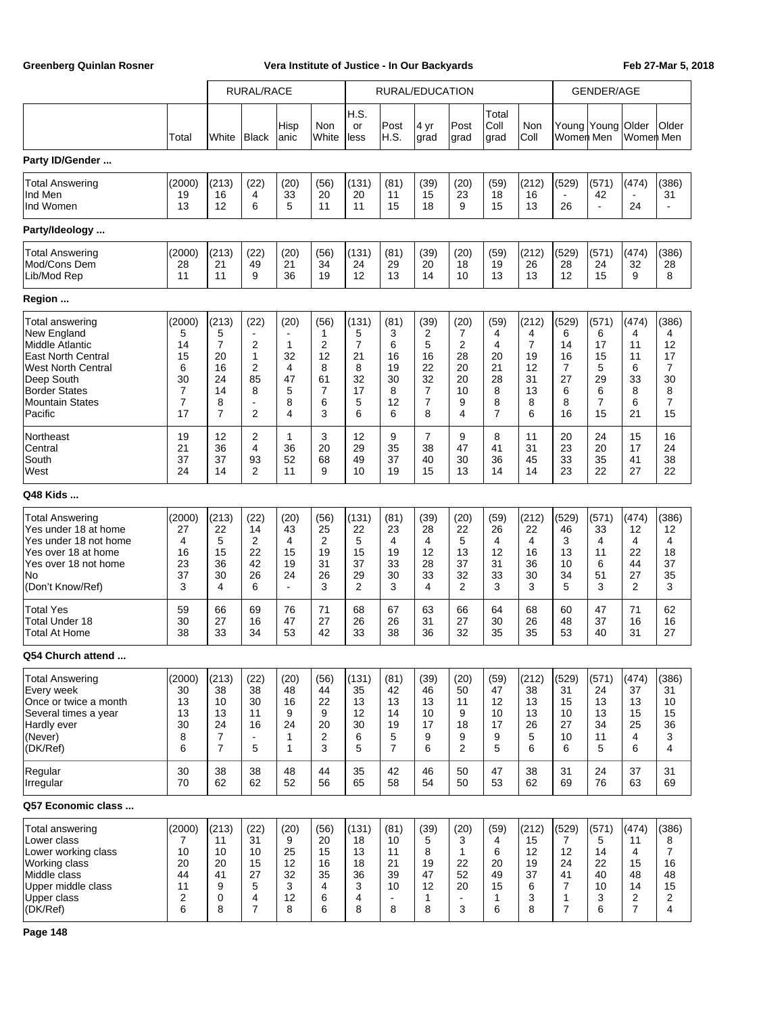|                                                                                                                                                                                               |                                                                 |                                                                             | <b>RURAL/RACE</b>                                        |                                                          |                                                |                                                  |                                                           | <b>RURAL/EDUCATION</b>                                       |                                                  |                                                              |                                                                |                                                                     | <b>GENDER/AGE</b>                                 |                                                      |                                                                       |
|-----------------------------------------------------------------------------------------------------------------------------------------------------------------------------------------------|-----------------------------------------------------------------|-----------------------------------------------------------------------------|----------------------------------------------------------|----------------------------------------------------------|------------------------------------------------|--------------------------------------------------|-----------------------------------------------------------|--------------------------------------------------------------|--------------------------------------------------|--------------------------------------------------------------|----------------------------------------------------------------|---------------------------------------------------------------------|---------------------------------------------------|------------------------------------------------------|-----------------------------------------------------------------------|
|                                                                                                                                                                                               | Total                                                           | White                                                                       | Black                                                    | Hisp<br> anic                                            | Non<br>White                                   | H.S.<br>or<br>less                               | Post<br>H.S.                                              | 4 yr<br>grad                                                 | Post<br>grad                                     | Total<br>Coll<br>grad                                        | Non<br>Coll                                                    | Young Young Older<br>Women Men                                      |                                                   | Women Men                                            | Older                                                                 |
| Party ID/Gender                                                                                                                                                                               |                                                                 |                                                                             |                                                          |                                                          |                                                |                                                  |                                                           |                                                              |                                                  |                                                              |                                                                |                                                                     |                                                   |                                                      |                                                                       |
| <b>Total Answering</b><br>Ind Men<br>Ind Women                                                                                                                                                | (2000)<br>19<br>13                                              | (213)<br>16<br>12                                                           | (22)<br>4<br>6                                           | (20)<br>33<br>5                                          | (56)<br>20<br>11                               | (131)<br>20<br>11                                | (81)<br>11<br>15                                          | (39)<br>15<br>18                                             | (20)<br>23<br>9                                  | (59)<br>18<br>15                                             | (212)<br>16<br>13                                              | (529)<br>26                                                         | (571)<br>42<br>$\blacksquare$                     | (474)<br>24                                          | (386)<br>31                                                           |
| Party/Ideology                                                                                                                                                                                |                                                                 |                                                                             |                                                          |                                                          |                                                |                                                  |                                                           |                                                              |                                                  |                                                              |                                                                |                                                                     |                                                   |                                                      |                                                                       |
| <b>Total Answering</b><br>Mod/Cons Dem<br>Lib/Mod Rep                                                                                                                                         | (2000)<br>28<br>11                                              | (213)<br>21<br>11                                                           | (22)<br>49<br>9                                          | (20)<br>21<br>36                                         | (56)<br>34<br>19                               | (131)<br>24<br>12                                | (81)<br>29<br>13                                          | (39)<br>20<br>14                                             | (20)<br>18<br>10                                 | (59)<br>19<br>13                                             | (212)<br>26<br>13                                              | (529)<br>28<br>12                                                   | (571)<br>24<br>15                                 | (474)<br>32<br>9                                     | (386)<br>28<br>8                                                      |
| Region                                                                                                                                                                                        |                                                                 |                                                                             |                                                          |                                                          |                                                |                                                  |                                                           |                                                              |                                                  |                                                              |                                                                |                                                                     |                                                   |                                                      |                                                                       |
| <b>Total answering</b><br>New England<br>Middle Atlantic<br><b>East North Central</b><br><b>West North Central</b><br>Deep South<br><b>Border States</b><br><b>Mountain States</b><br>Pacific | (2000)<br>5<br>14<br>15<br>6<br>30<br>7<br>$\overline{7}$<br>17 | (213)<br>5<br>$\overline{7}$<br>20<br>16<br>24<br>14<br>8<br>$\overline{7}$ | (22)<br>2<br>1<br>2<br>85<br>8<br>$\overline{a}$<br>2    | (20)<br>$\mathbf{1}$<br>32<br>4<br>47<br>5<br>8<br>4     | (56)<br>1<br>2<br>12<br>8<br>61<br>7<br>6<br>3 | (131)<br>5<br>7<br>21<br>8<br>32<br>17<br>5<br>6 | (81)<br>3<br>6<br>16<br>19<br>30<br>8<br>12<br>6          | (39)<br>2<br>5<br>16<br>22<br>32<br>7<br>$\overline{7}$<br>8 | (20)<br>7<br>2<br>28<br>20<br>20<br>10<br>9<br>4 | (59)<br>4<br>4<br>20<br>21<br>28<br>8<br>8<br>$\overline{7}$ | (212)<br>4<br>$\overline{7}$<br>19<br>12<br>31<br>13<br>8<br>6 | (529)<br>6<br>14<br>16<br>7<br>27<br>6<br>8<br>16                   | (571)<br>6<br>17<br>15<br>5<br>29<br>6<br>7<br>15 | (474)<br>4<br>11<br>11<br>6<br>33<br>8<br>6<br>21    | (386)<br>4<br>12<br>17<br>7<br>30<br>8<br>$\overline{7}$<br>15        |
| Northeast<br>Central<br>South<br>West                                                                                                                                                         | 19<br>21<br>37<br>24                                            | 12<br>36<br>37<br>14                                                        | 2<br>4<br>93<br>$\overline{2}$                           | $\mathbf{1}$<br>36<br>52<br>11                           | 3<br>20<br>68<br>9                             | 12<br>29<br>49<br>10                             | 9<br>35<br>37<br>19                                       | $\overline{7}$<br>38<br>40<br>15                             | 9<br>47<br>30<br>13                              | 8<br>41<br>36<br>14                                          | 11<br>31<br>45<br>14                                           | 20<br>23<br>33<br>23                                                | 24<br>20<br>35<br>22                              | 15<br>17<br>41<br>27                                 | 16<br>24<br>38<br>22                                                  |
| Q48 Kids                                                                                                                                                                                      |                                                                 |                                                                             |                                                          |                                                          |                                                |                                                  |                                                           |                                                              |                                                  |                                                              |                                                                |                                                                     |                                                   |                                                      |                                                                       |
| <b>Total Answering</b><br>Yes under 18 at home<br>Yes under 18 not home<br>Yes over 18 at home<br>Yes over 18 not home<br>No<br>(Don't Know/Ref)                                              | (2000)<br>27<br>4<br>16<br>23<br>37<br>3                        | (213)<br>22<br>5<br>15<br>36<br>30<br>4                                     | (22)<br>14<br>2<br>22<br>42<br>26<br>6                   | (20)<br>43<br>$\overline{4}$<br>15<br>19<br>24<br>$\sim$ | (56)<br>25<br>2<br>19<br>31<br>26<br>3         | (131)<br>22<br>5<br>15<br>37<br>29<br>2          | (81)<br>23<br>4<br>19<br>33<br>30<br>3                    | (39)<br>28<br>4<br>12<br>28<br>33<br>4                       | (20)<br>22<br>5<br>13<br>37<br>32<br>2           | (59)<br>26<br>4<br>12<br>31<br>33<br>3                       | (212)<br>22<br>4<br>16<br>36<br>30<br>3                        | (529)<br>46<br>3<br>13<br>10<br>34<br>5                             | (571)<br>33<br>4<br>11<br>6<br>51<br>3            | (474)<br>12<br>4<br>22<br>44<br>27<br>$\overline{2}$ | (386)<br>12<br>4<br>18<br>37<br>35<br>3                               |
| <b>Total Yes</b><br><b>Total Under 18</b><br>Total At Home                                                                                                                                    | 59<br>30<br>38                                                  | 66<br>27<br>33                                                              | 69<br>16<br>34                                           | 76<br>47<br>53                                           | 71<br>27<br>42                                 | 68<br>26<br>33                                   | 67<br>26<br>38                                            | 63<br>31<br>36                                               | 66<br>27<br>32                                   | 64<br>30<br>35                                               | 68<br>26<br>35                                                 | 60<br>48<br>53                                                      | 47<br>37<br>40                                    | 71<br>16<br>31                                       | 62<br>16<br>27                                                        |
| Q54 Church attend                                                                                                                                                                             |                                                                 |                                                                             |                                                          |                                                          |                                                |                                                  |                                                           |                                                              |                                                  |                                                              |                                                                |                                                                     |                                                   |                                                      |                                                                       |
| <b>Total Answering</b><br>Every week<br>Once or twice a month<br>Several times a year<br>Hardly ever<br>(Never)<br>(DK/Ref)                                                                   | (2000)<br>30<br>13<br>13<br>30<br>8<br>6                        | (213)<br>38<br>10<br>13<br>24<br>$\overline{7}$<br>$\overline{7}$           | (22)<br>38<br>30<br>11<br>16<br>$\blacksquare$<br>5      | (20)<br>48<br>16<br>9<br>24<br>1<br>$\mathbf{1}$         | (56)<br>44<br>22<br>9<br>20<br>2<br>3          | (131)<br>35<br>13<br>12<br>30<br>6<br>5          | (81)<br>42<br>13<br>14<br>19<br>5<br>$\overline{7}$       | (39)<br>46<br>13<br>10<br>17<br>9<br>6                       | (20)<br>50<br>11<br>9<br>18<br>9<br>2            | (59)<br>47<br>12<br>10<br>17<br>9<br>5                       | (212)<br>38<br>13<br>13<br>26<br>5<br>6                        | (529)<br>31<br>15<br>10<br>27<br>10<br>6                            | (571)<br>24<br>13<br>13<br>34<br>11<br>5          | (474)<br>37<br>13<br>15<br>25<br>4<br>6              | (386)<br>31<br>10<br>15<br>36<br>3<br>4                               |
| Regular<br>Irregular                                                                                                                                                                          | 30<br>70                                                        | 38<br>62                                                                    | 38<br>62                                                 | 48<br>52                                                 | 44<br>56                                       | 35<br>65                                         | 42<br>58                                                  | 46<br>54                                                     | 50<br>50                                         | 47<br>53                                                     | 38<br>62                                                       | 31<br>69                                                            | 24<br>76                                          | 37<br>63                                             | 31<br>69                                                              |
| Q57 Economic class                                                                                                                                                                            |                                                                 |                                                                             |                                                          |                                                          |                                                |                                                  |                                                           |                                                              |                                                  |                                                              |                                                                |                                                                     |                                                   |                                                      |                                                                       |
| Total answering<br>Lower class<br>Lower working class<br>Working class<br>Middle class<br>Upper middle class<br>Upper class<br>(DK/Ref)                                                       | (2000)<br>7<br>10<br>20<br>44<br>11<br>2<br>6                   | (213)<br>11<br>10<br>20<br>41<br>9<br>0<br>8                                | (22)<br>31<br>10<br>15<br>27<br>5<br>4<br>$\overline{7}$ | (20)<br>9<br>25<br>12<br>32<br>3<br>12<br>8              | (56)<br>20<br>15<br>16<br>35<br>4<br>6<br>6    | (131)<br>18<br>13<br>18<br>36<br>3<br>4<br>8     | (81)<br>10<br>11<br>21<br>39<br>10<br>$\blacksquare$<br>8 | (39)<br>5<br>8<br>19<br>47<br>12<br>1<br>8                   | (20)<br>3<br>1<br>22<br>52<br>20<br>3            | (59)<br>4<br>6<br>20<br>49<br>15<br>1<br>6                   | (212)<br>15<br>12<br>19<br>37<br>6<br>3<br>8                   | (529)<br>7<br>12<br>24<br>41<br>7<br>$\mathbf{1}$<br>$\overline{7}$ | (571)<br>5<br>14<br>22<br>40<br>10<br>3<br>6      | (474)<br>11<br>4<br>15<br>48<br>14<br>2<br>7         | (386)<br>8<br>$\overline{7}$<br>16<br>48<br>15<br>$\overline{c}$<br>4 |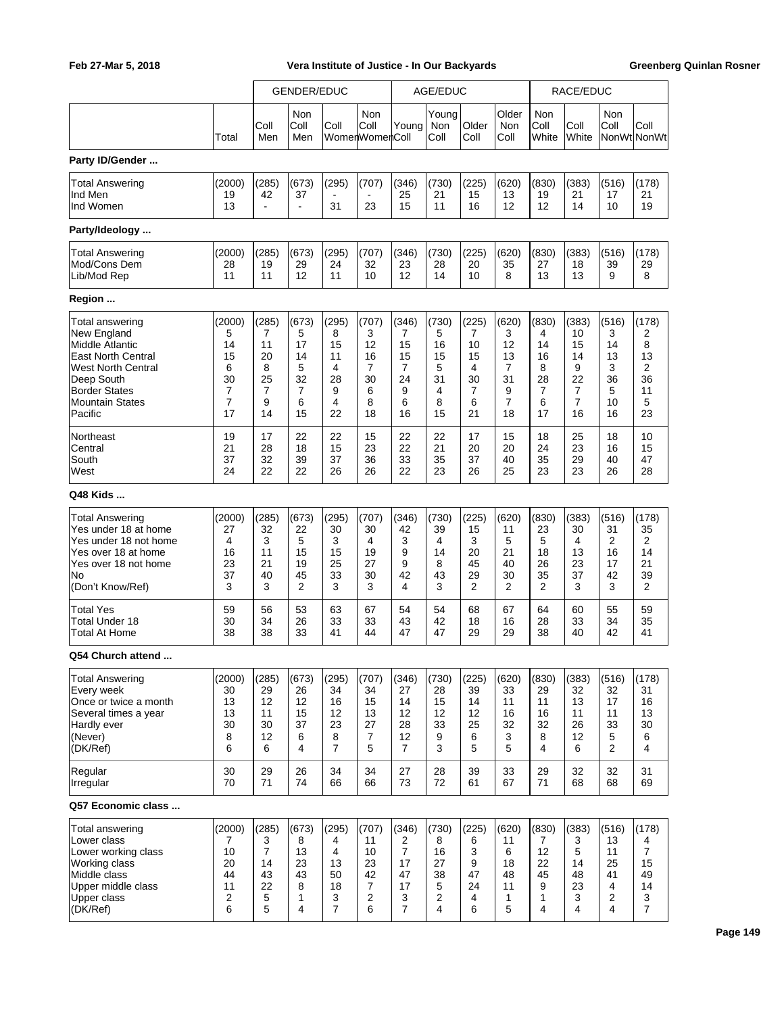|                                                                                                                                                                                        |                                                    |                                                                    | <b>GENDER/EDUC</b>                                             |                                                          |                                                                |                                                                       | AGE/EDUC                                          |                                                                |                                                                             |                                                      | RACE/EDUC                                                       |                                                                    |                                                                       |
|----------------------------------------------------------------------------------------------------------------------------------------------------------------------------------------|----------------------------------------------------|--------------------------------------------------------------------|----------------------------------------------------------------|----------------------------------------------------------|----------------------------------------------------------------|-----------------------------------------------------------------------|---------------------------------------------------|----------------------------------------------------------------|-----------------------------------------------------------------------------|------------------------------------------------------|-----------------------------------------------------------------|--------------------------------------------------------------------|-----------------------------------------------------------------------|
|                                                                                                                                                                                        | Total                                              | Coll<br>Men                                                        | Non<br>Coll<br>Men                                             | Coll                                                     | Non<br>Coll<br>WomenWomenColl                                  | Young                                                                 | Young<br>Non<br>Coll                              | Older<br>Coll                                                  | Older<br>Non<br>Coll                                                        | Non<br>Coll<br>White                                 | Coll<br>White                                                   | Non<br>Coll                                                        | Coll<br>NonWt NonWt                                                   |
| Party ID/Gender                                                                                                                                                                        |                                                    |                                                                    |                                                                |                                                          |                                                                |                                                                       |                                                   |                                                                |                                                                             |                                                      |                                                                 |                                                                    |                                                                       |
| <b>Total Answering</b><br>Ind Men<br>Ind Women                                                                                                                                         | (2000)<br>19<br>13                                 | (285)<br>42                                                        | (673)<br>37<br>$\blacksquare$                                  | (295)<br>31                                              | (707)<br>23                                                    | (346)<br>25<br>15                                                     | (730)<br>21<br>11                                 | (225)<br>15<br>16                                              | (620)<br>13<br>12                                                           | (830)<br>19<br>12                                    | (383)<br>21<br>14                                               | (516)<br>17<br>10                                                  | (178)<br>21<br>19                                                     |
| Party/Ideology                                                                                                                                                                         |                                                    |                                                                    |                                                                |                                                          |                                                                |                                                                       |                                                   |                                                                |                                                                             |                                                      |                                                                 |                                                                    |                                                                       |
| <b>Total Answering</b><br>Mod/Cons Dem<br>Lib/Mod Rep                                                                                                                                  | (2000)<br>28<br>11                                 | (285)<br>19<br>11                                                  | (673)<br>29<br>12                                              | (295)<br>24<br>11                                        | (707)<br>32<br>10                                              | (346)<br>23<br>12                                                     | (730)<br>28<br>14                                 | (225)<br>20<br>10                                              | (620)<br>35<br>8                                                            | (830)<br>27<br>13                                    | (383)<br>18<br>13                                               | (516)<br>39<br>9                                                   | (178)<br>29<br>8                                                      |
| Region                                                                                                                                                                                 |                                                    |                                                                    |                                                                |                                                          |                                                                |                                                                       |                                                   |                                                                |                                                                             |                                                      |                                                                 |                                                                    |                                                                       |
| Total answering<br>New England<br>Middle Atlantic<br><b>East North Central</b><br><b>West North Central</b><br>Deep South<br><b>Border States</b><br><b>Mountain States</b><br>Pacific | (2000)<br>5<br>14<br>15<br>6<br>30<br>7<br>7<br>17 | (285)<br>7<br>11<br>20<br>8<br>25<br>$\overline{7}$<br>9<br>14     | (673)<br>5<br>17<br>14<br>5<br>32<br>$\overline{7}$<br>6<br>15 | (295)<br>8<br>15<br>11<br>4<br>28<br>9<br>4<br>22        | (707)<br>3<br>12<br>16<br>$\overline{7}$<br>30<br>6<br>8<br>18 | (346)<br>7<br>15<br>15<br>$\overline{7}$<br>24<br>9<br>6<br>16        | (730)<br>5<br>16<br>15<br>5<br>31<br>4<br>8<br>15 | (225)<br>7<br>10<br>15<br>4<br>30<br>$\overline{7}$<br>6<br>21 | (620)<br>3<br>12<br>13<br>$\overline{7}$<br>31<br>9<br>$\overline{7}$<br>18 | (830)<br>4<br>14<br>16<br>8<br>28<br>7<br>6<br>17    | (383)<br>10<br>15<br>14<br>9<br>22<br>7<br>$\overline{7}$<br>16 | (516)<br>3<br>14<br>13<br>3<br>36<br>5<br>10<br>16                 | (178)<br>2<br>8<br>13<br>2<br>36<br>11<br>5<br>23                     |
| Northeast<br>Central<br>South<br>West                                                                                                                                                  | 19<br>21<br>37<br>24                               | 17<br>28<br>32<br>22                                               | 22<br>18<br>39<br>22                                           | 22<br>15<br>37<br>26                                     | 15<br>23<br>36<br>26                                           | 22<br>22<br>33<br>22                                                  | 22<br>21<br>35<br>23                              | 17<br>20<br>37<br>26                                           | 15<br>20<br>40<br>25                                                        | 18<br>24<br>35<br>23                                 | 25<br>23<br>29<br>23                                            | 18<br>16<br>40<br>26                                               | 10<br>15<br>47<br>28                                                  |
| Q48 Kids                                                                                                                                                                               |                                                    |                                                                    |                                                                |                                                          |                                                                |                                                                       |                                                   |                                                                |                                                                             |                                                      |                                                                 |                                                                    |                                                                       |
| <b>Total Answering</b><br>Yes under 18 at home<br>Yes under 18 not home<br>Yes over 18 at home<br>Yes over 18 not home<br>No<br>(Don't Know/Ref)                                       | (2000)<br>27<br>4<br>16<br>23<br>37<br>3           | (285)<br>32<br>3<br>11<br>21<br>40<br>3                            | (673)<br>22<br>5<br>15<br>19<br>45<br>$\overline{2}$           | (295)<br>30<br>3<br>15<br>25<br>33<br>3                  | (707)<br>30<br>4<br>19<br>27<br>30<br>3                        | (346)<br>42<br>3<br>9<br>9<br>42<br>4                                 | (730)<br>39<br>4<br>14<br>8<br>43<br>3            | (225)<br>15<br>3<br>20<br>45<br>29<br>$\overline{2}$           | (620)<br>11<br>5<br>21<br>40<br>30<br>$\overline{2}$                        | (830)<br>23<br>5<br>18<br>26<br>35<br>$\overline{2}$ | (383)<br>30<br>4<br>13<br>23<br>37<br>3                         | (516)<br>31<br>2<br>16<br>17<br>42<br>3                            | (178)<br>35<br>2<br>14<br>21<br>39<br>2                               |
| <b>Total Yes</b><br>Total Under 18<br>Total At Home                                                                                                                                    | 59<br>30<br>38                                     | 56<br>34<br>38                                                     | 53<br>26<br>33                                                 | 63<br>33<br>41                                           | 67<br>33<br>44                                                 | 54<br>43<br>47                                                        | 54<br>42<br>47                                    | 68<br>18<br>29                                                 | 67<br>16<br>29                                                              | 64<br>28<br>38                                       | 60<br>33<br>40                                                  | 55<br>34<br>42                                                     | 59<br>35<br>41                                                        |
| Q54 Church attend                                                                                                                                                                      |                                                    |                                                                    |                                                                |                                                          |                                                                |                                                                       |                                                   |                                                                |                                                                             |                                                      |                                                                 |                                                                    |                                                                       |
| <b>Total Answering</b><br>Every week<br>Once or twice a month<br>Several times a year<br>Hardly ever<br>(Never)<br>(DK/Ref)                                                            | (2000)<br>30<br>13<br>13<br>30<br>8<br>6           | (285)<br>29<br>12<br>11<br>30<br>12<br>6                           | (673)<br>26<br>12<br>15<br>37<br>6<br>4                        | (295)<br>34<br>16<br>12<br>23<br>8<br>$\overline{7}$     | (707)<br>34<br>15<br>13<br>27<br>7<br>5                        | (346)<br>27<br>14<br>12<br>28<br>12<br>$\overline{7}$                 | (730)<br>28<br>15<br>12<br>33<br>9<br>3           | (225)<br>39<br>14<br>12<br>25<br>6<br>5                        | (620)<br>33<br>11<br>16<br>32<br>3<br>5                                     | (830)<br>29<br>11<br>16<br>32<br>8<br>4              | (383)<br>32<br>13<br>11<br>26<br>12<br>6                        | (516)<br>32<br>17<br>11<br>33<br>5<br>$\overline{2}$               | (178)<br>31<br>16<br>13<br>30<br>6<br>4                               |
| Regular<br>Irregular                                                                                                                                                                   | 30<br>70                                           | 29<br>71                                                           | 26<br>74                                                       | 34<br>66                                                 | 34<br>66                                                       | 27<br>73                                                              | 28<br>72                                          | 39<br>61                                                       | 33<br>67                                                                    | 29<br>71                                             | 32<br>68                                                        | 32<br>68                                                           | 31<br>69                                                              |
| Q57 Economic class                                                                                                                                                                     |                                                    |                                                                    |                                                                |                                                          |                                                                |                                                                       |                                                   |                                                                |                                                                             |                                                      |                                                                 |                                                                    |                                                                       |
| Total answering<br>Lower class<br>Lower working class<br>Working class<br>Middle class<br>Upper middle class<br>Upper class<br>(DK/Ref)                                                | (2000)<br>7<br>10<br>20<br>44<br>11<br>2<br>6      | (285)<br>3<br>$\overline{7}$<br>14<br>43<br>22<br>$\mathbf 5$<br>5 | (673)<br>8<br>13<br>23<br>43<br>8<br>1<br>4                    | (295)<br>4<br>4<br>13<br>50<br>18<br>3<br>$\overline{7}$ | (707)<br>11<br>10<br>23<br>42<br>7<br>$\overline{c}$<br>6      | (346)<br>2<br>$\overline{7}$<br>17<br>47<br>17<br>3<br>$\overline{7}$ | (730)<br>8<br>16<br>27<br>38<br>5<br>2<br>4       | (225)<br>6<br>3<br>9<br>47<br>24<br>4<br>6                     | (620)<br>11<br>6<br>18<br>48<br>11<br>1<br>5                                | (830)<br>7<br>12<br>22<br>45<br>9<br>1<br>4          | (383)<br>3<br>5<br>14<br>48<br>23<br>3<br>4                     | (516)<br>13<br>11<br>25<br>41<br>4<br>$\overline{\mathbf{c}}$<br>4 | (178)<br>4<br>$\overline{7}$<br>15<br>49<br>14<br>3<br>$\overline{7}$ |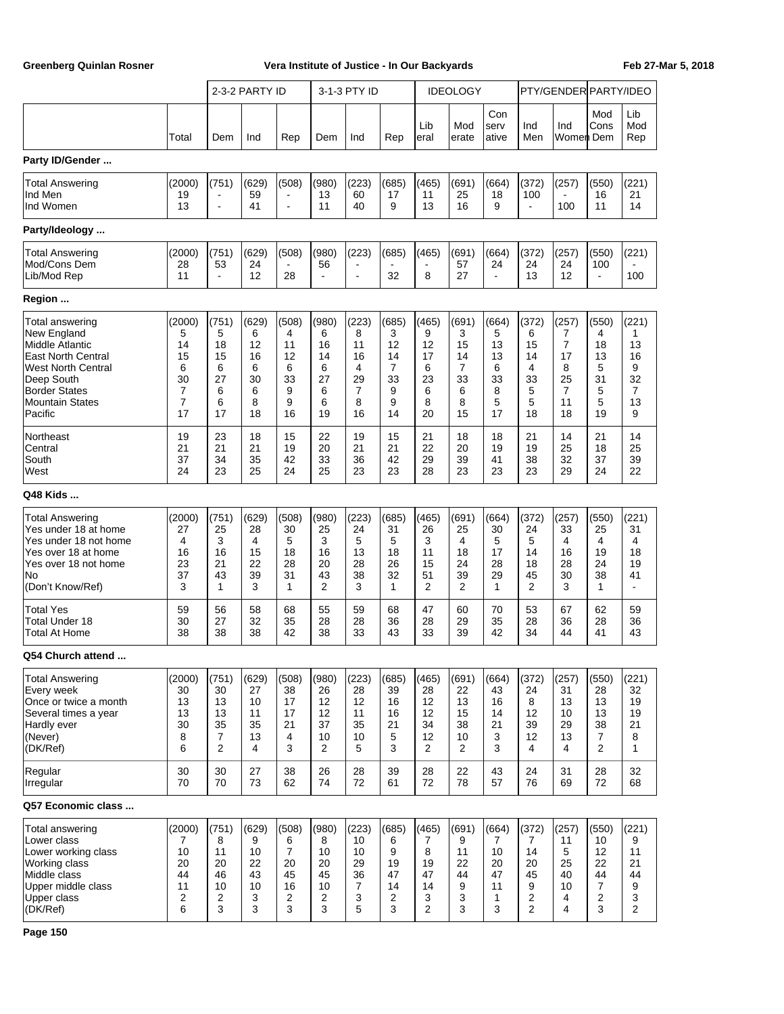|                                                                                                                                                                                               |                                                                 |                                                   | 2-3-2 PARTY ID                                    |                                                          |                                                   | 3-1-3 PTY ID                                                   |                                                   |                                                          | <b>IDEOLOGY</b>                                      |                                                    |                                                      | PTY/GENDER PARTY/IDEO                                                       |                                                   |                                                                |
|-----------------------------------------------------------------------------------------------------------------------------------------------------------------------------------------------|-----------------------------------------------------------------|---------------------------------------------------|---------------------------------------------------|----------------------------------------------------------|---------------------------------------------------|----------------------------------------------------------------|---------------------------------------------------|----------------------------------------------------------|------------------------------------------------------|----------------------------------------------------|------------------------------------------------------|-----------------------------------------------------------------------------|---------------------------------------------------|----------------------------------------------------------------|
|                                                                                                                                                                                               | Total                                                           | Dem                                               | Ind                                               | Rep                                                      | Dem                                               | Ind                                                            | Rep                                               | Lib<br>eral                                              | Mod<br>erate                                         | Con<br>serv<br>ative                               | Ind<br>Men                                           | Ind<br>Women  Dem                                                           | Mod<br>Cons                                       | Lib<br>Mod<br>Rep                                              |
| Party ID/Gender                                                                                                                                                                               |                                                                 |                                                   |                                                   |                                                          |                                                   |                                                                |                                                   |                                                          |                                                      |                                                    |                                                      |                                                                             |                                                   |                                                                |
| <b>Total Answering</b><br>Ind Men<br>Ind Women                                                                                                                                                | (2000)<br>19<br>13                                              | (751)<br>$\overline{\phantom{a}}$                 | (629)<br>59<br>41                                 | (508)<br>$\blacksquare$                                  | (980)<br>13<br>11                                 | (223)<br>60<br>40                                              | (685)<br>17<br>9                                  | (465)<br>11<br>13                                        | (691)<br>25<br>16                                    | (664)<br>18<br>9                                   | (372)<br>100<br>÷,                                   | (257)<br>100                                                                | (550)<br>16<br>11                                 | (221)<br>21<br>14                                              |
| Party/Ideology                                                                                                                                                                                |                                                                 |                                                   |                                                   |                                                          |                                                   |                                                                |                                                   |                                                          |                                                      |                                                    |                                                      |                                                                             |                                                   |                                                                |
| <b>Total Answering</b><br>Mod/Cons Dem<br>Lib/Mod Rep                                                                                                                                         | (2000)<br>28<br>11                                              | (751)<br>53<br>$\blacksquare$                     | (629)<br>24<br>12                                 | (508)<br>$\blacksquare$<br>28                            | (980)<br>56<br>$\blacksquare$                     | (223)<br>L.                                                    | (685)<br>32                                       | (465)<br>8                                               | (691)<br>57<br>27                                    | (664)<br>24<br>$\blacksquare$                      | (372)<br>24<br>13                                    | (257)<br>24<br>12                                                           | (550)<br>100<br>$\blacksquare$                    | (221)<br>100                                                   |
| Region                                                                                                                                                                                        |                                                                 |                                                   |                                                   |                                                          |                                                   |                                                                |                                                   |                                                          |                                                      |                                                    |                                                      |                                                                             |                                                   |                                                                |
| Total answering<br>New England<br><b>Middle Atlantic</b><br><b>East North Central</b><br><b>West North Central</b><br>Deep South<br><b>Border States</b><br><b>Mountain States</b><br>Pacific | (2000)<br>5<br>14<br>15<br>6<br>30<br>7<br>$\overline{7}$<br>17 | (751)<br>5<br>18<br>15<br>6<br>27<br>6<br>6<br>17 | (629)<br>6<br>12<br>16<br>6<br>30<br>6<br>8<br>18 | (508)<br>4<br>11<br>12<br>6<br>33<br>9<br>9<br>16        | (980)<br>6<br>16<br>14<br>6<br>27<br>6<br>6<br>19 | (223)<br>8<br>11<br>16<br>4<br>29<br>$\overline{7}$<br>8<br>16 | (685)<br>3<br>12<br>14<br>7<br>33<br>9<br>9<br>14 | (465)<br>9<br>12<br>17<br>6<br>23<br>6<br>8<br>20        | (691)<br>3<br>15<br>14<br>7<br>33<br>6<br>8<br>15    | (664)<br>5<br>13<br>13<br>6<br>33<br>8<br>5<br>17  | (372)<br>6<br>15<br>14<br>4<br>33<br>5<br>5<br>18    | (257)<br>7<br>$\overline{7}$<br>17<br>8<br>25<br>$\overline{7}$<br>11<br>18 | (550)<br>4<br>18<br>13<br>5<br>31<br>5<br>5<br>19 | (221)<br>1<br>13<br>16<br>9<br>32<br>$\overline{7}$<br>13<br>9 |
| Northeast<br>Central<br>South<br>West                                                                                                                                                         | 19<br>21<br>37<br>24                                            | 23<br>21<br>34<br>23                              | 18<br>21<br>35<br>25                              | 15<br>19<br>42<br>24                                     | 22<br>20<br>33<br>25                              | 19<br>21<br>36<br>23                                           | 15<br>21<br>42<br>23                              | 21<br>22<br>29<br>28                                     | 18<br>20<br>39<br>23                                 | 18<br>19<br>41<br>23                               | 21<br>19<br>38<br>23                                 | 14<br>25<br>32<br>29                                                        | 21<br>18<br>37<br>24                              | 14<br>25<br>39<br>22                                           |
| Q48 Kids                                                                                                                                                                                      |                                                                 |                                                   |                                                   |                                                          |                                                   |                                                                |                                                   |                                                          |                                                      |                                                    |                                                      |                                                                             |                                                   |                                                                |
| <b>Total Answering</b><br>Yes under 18 at home<br>Yes under 18 not home<br>Yes over 18 at home<br>Yes over 18 not home<br>No<br>(Don't Know/Ref)                                              | (2000)<br>27<br>4<br>16<br>23<br>37<br>3                        | (751)<br>25<br>3<br>16<br>21<br>43<br>1           | (629)<br>28<br>4<br>15<br>22<br>39<br>3           | (508)<br>30<br>5<br>18<br>28<br>31<br>1                  | (980)<br>25<br>3<br>16<br>20<br>43<br>2           | (223)<br>24<br>5<br>13<br>28<br>38<br>3                        | (685)<br>31<br>5<br>18<br>26<br>32<br>1           | (465)<br>26<br>3<br>11<br>15<br>51<br>2                  | (691)<br>25<br>$\overline{4}$<br>18<br>24<br>39<br>2 | (664)<br>30<br>5<br>17<br>28<br>29<br>$\mathbf{1}$ | (372)<br>24<br>5<br>14<br>18<br>45<br>$\overline{2}$ | (257)<br>33<br>4<br>16<br>28<br>30<br>3                                     | (550)<br>25<br>4<br>19<br>24<br>38<br>1           | (221)<br>31<br>4<br>18<br>19<br>41<br>$\sim$                   |
| <b>Total Yes</b><br>Total Under 18<br><b>Total At Home</b>                                                                                                                                    | 59<br>30<br>38                                                  | 56<br>27<br>38                                    | 58<br>32<br>38                                    | 68<br>35<br>42                                           | 55<br>28<br>38                                    | 59<br>28<br>33                                                 | 68<br>36<br>43                                    | 47<br>28<br>33                                           | 60<br>29<br>39                                       | 70<br>35<br>42                                     | 53<br>28<br>34                                       | 67<br>36<br>44                                                              | 62<br>28<br>41                                    | 59<br>36<br>43                                                 |
| Q54 Church attend                                                                                                                                                                             |                                                                 |                                                   |                                                   |                                                          |                                                   |                                                                |                                                   |                                                          |                                                      |                                                    |                                                      |                                                                             |                                                   |                                                                |
| <b>Total Answering</b><br>Every week<br>Once or twice a month<br>Several times a year<br>Hardly ever<br>(Never)<br>(DK/Ref)                                                                   | (2000)<br>30<br>13<br>13<br>30<br>8<br>6                        | (751)<br>30<br>13<br>13<br>35<br>7<br>2           | (629)<br>27<br>10<br>11<br>35<br>13<br>4          | (508)<br>38<br>17<br>17<br>21<br>4<br>3                  | (980)<br>26<br>12<br>12<br>37<br>10<br>2          | (223)<br>28<br>12<br>11<br>35<br>10<br>5                       | (685)<br>39<br>16<br>16<br>21<br>5<br>3           | (465)<br>28<br>12<br>12<br>34<br>12<br>2                 | (691)<br>22<br>13<br>15<br>38<br>10<br>2             | (664)<br>43<br>16<br>14<br>21<br>3<br>3            | (372)<br>24<br>8<br>12<br>39<br>12<br>4              | (257)<br>31<br>13<br>10<br>29<br>13<br>4                                    | (550)<br>28<br>13<br>13<br>38<br>7<br>2           | (221)<br>32<br>19<br>19<br>21<br>8<br>$\mathbf 1$              |
| Regular<br>Irregular                                                                                                                                                                          | 30<br>70                                                        | 30<br>70                                          | 27<br>73                                          | 38<br>62                                                 | 26<br>74                                          | 28<br>72                                                       | 39<br>61                                          | 28<br>72                                                 | 22<br>78                                             | 43<br>57                                           | 24<br>76                                             | 31<br>69                                                                    | 28<br>72                                          | 32<br>68                                                       |
| Q57 Economic class                                                                                                                                                                            |                                                                 |                                                   |                                                   |                                                          |                                                   |                                                                |                                                   |                                                          |                                                      |                                                    |                                                      |                                                                             |                                                   |                                                                |
| Total answering<br>Lower class<br>Lower working class<br>Working class<br>Middle class<br>Upper middle class<br><b>Upper class</b><br>(DK/Ref)                                                | (2000)<br>7<br>10<br>20<br>44<br>11<br>2<br>6                   | (751)<br>8<br>11<br>20<br>46<br>10<br>2<br>3      | (629)<br>9<br>10<br>22<br>43<br>10<br>3<br>3      | (508)<br>6<br>$\overline{7}$<br>20<br>45<br>16<br>2<br>3 | (980)<br>8<br>10<br>20<br>45<br>10<br>2<br>3      | (223)<br>10<br>10<br>29<br>36<br>7<br>3<br>5                   | (685)<br>6<br>9<br>19<br>47<br>14<br>2<br>3       | (465)<br>7<br>8<br>19<br>47<br>14<br>3<br>$\overline{2}$ | (691)<br>9<br>11<br>22<br>44<br>9<br>3<br>3          | (664)<br>7<br>10<br>20<br>47<br>11<br>1<br>3       | (372)<br>7<br>14<br>20<br>45<br>9<br>2<br>2          | (257)<br>11<br>5<br>25<br>40<br>10<br>4<br>4                                | (550)<br>10<br>12<br>22<br>44<br>7<br>2<br>3      | (221)<br>9<br>11<br>21<br>44<br>9<br>3<br>2                    |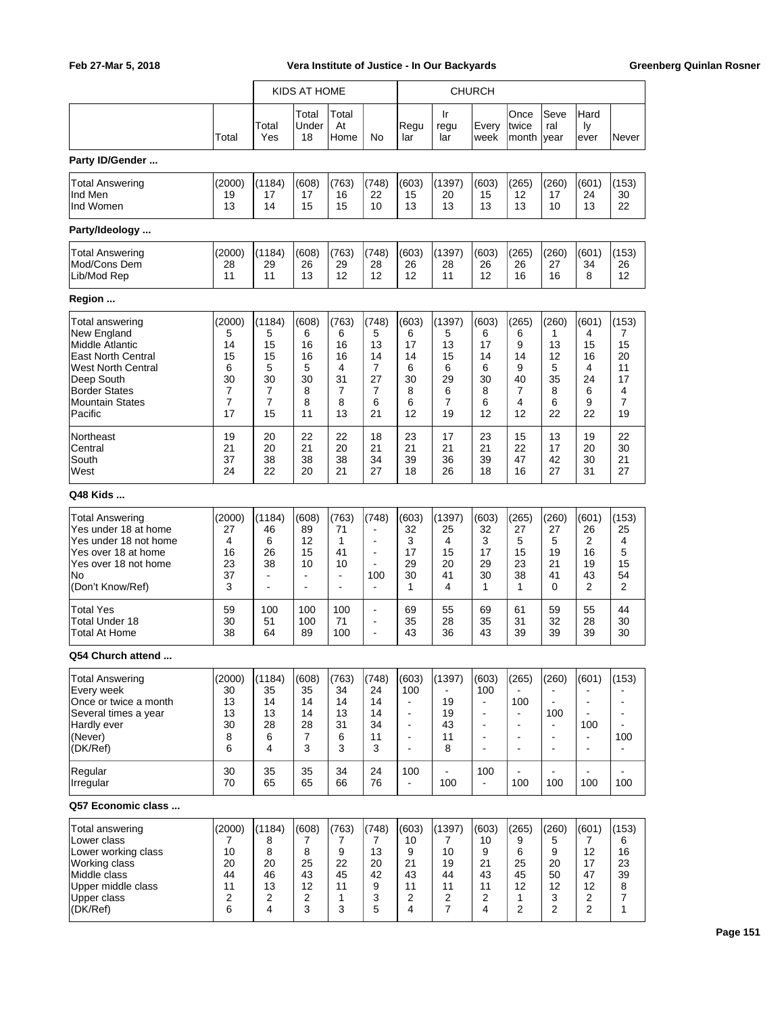|                                                                                                                                                                                        |                                                    |                                                                                       | KIDS AT HOME                                                                |                                                      |                                                                                      |                                                                                                     |                                                                 | <b>CHURCH</b>                                                                                                                      |                                                                                      |                                                                                            |                                                           |                                                                 |
|----------------------------------------------------------------------------------------------------------------------------------------------------------------------------------------|----------------------------------------------------|---------------------------------------------------------------------------------------|-----------------------------------------------------------------------------|------------------------------------------------------|--------------------------------------------------------------------------------------|-----------------------------------------------------------------------------------------------------|-----------------------------------------------------------------|------------------------------------------------------------------------------------------------------------------------------------|--------------------------------------------------------------------------------------|--------------------------------------------------------------------------------------------|-----------------------------------------------------------|-----------------------------------------------------------------|
|                                                                                                                                                                                        | Total                                              | Total<br>Yes                                                                          | Total<br>Under<br>18                                                        | Total<br>At<br>Home                                  | No                                                                                   | Regu<br>lar                                                                                         | Ir<br>regu<br>lar                                               | Every<br>week                                                                                                                      | Once<br>twice<br>month                                                               | Seve<br>ral<br>year                                                                        | Hard<br>Iу<br>ever                                        | Never                                                           |
| Party ID/Gender                                                                                                                                                                        |                                                    |                                                                                       |                                                                             |                                                      |                                                                                      |                                                                                                     |                                                                 |                                                                                                                                    |                                                                                      |                                                                                            |                                                           |                                                                 |
| <b>Total Answering</b><br>Ind Men<br>Ind Women                                                                                                                                         | (2000)<br>19<br>13                                 | (1184)<br>17<br>14                                                                    | (608)<br>17<br>15                                                           | (763)<br>16<br>15                                    | (748)<br>22<br>10                                                                    | (603)<br>15<br>13                                                                                   | (1397)<br>20<br>13                                              | (603)<br>15<br>13                                                                                                                  | (265)<br>12<br>13                                                                    | (260)<br>17<br>10                                                                          | (601)<br>24<br>13                                         | (153)<br>30<br>22                                               |
| Party/Ideology                                                                                                                                                                         |                                                    |                                                                                       |                                                                             |                                                      |                                                                                      |                                                                                                     |                                                                 |                                                                                                                                    |                                                                                      |                                                                                            |                                                           |                                                                 |
| <b>Total Answering</b><br>Mod/Cons Dem<br>Lib/Mod Rep                                                                                                                                  | (2000)<br>28<br>11                                 | (1184)<br>29<br>11                                                                    | (608)<br>26<br>13                                                           | (763)<br>29<br>12                                    | (748)<br>28<br>12                                                                    | (603)<br>26<br>12                                                                                   | (1397)<br>28<br>11                                              | (603)<br>26<br>12                                                                                                                  | (265)<br>26<br>16                                                                    | (260)<br>27<br>16                                                                          | (601)<br>34<br>8                                          | (153)<br>26<br>12                                               |
| Region                                                                                                                                                                                 |                                                    |                                                                                       |                                                                             |                                                      |                                                                                      |                                                                                                     |                                                                 |                                                                                                                                    |                                                                                      |                                                                                            |                                                           |                                                                 |
| Total answering<br>New England<br>Middle Atlantic<br><b>East North Central</b><br><b>West North Central</b><br>Deep South<br><b>Border States</b><br><b>Mountain States</b><br>Pacific | (2000)<br>5<br>14<br>15<br>6<br>30<br>7<br>7<br>17 | (1184)<br>5<br>15<br>15<br>5<br>30<br>$\overline{7}$<br>$\overline{7}$<br>15          | (608)<br>6<br>16<br>16<br>5<br>30<br>8<br>8<br>11                           | (763)<br>6<br>16<br>16<br>4<br>31<br>7<br>8<br>13    | (748)<br>5<br>13<br>14<br>$\overline{7}$<br>27<br>7<br>6<br>21                       | (603)<br>6<br>17<br>14<br>6<br>30<br>8<br>6<br>12                                                   | (1397)<br>5<br>13<br>15<br>6<br>29<br>6<br>$\overline{7}$<br>19 | (603)<br>6<br>17<br>14<br>6<br>30<br>8<br>6<br>12                                                                                  | (265)<br>6<br>9<br>14<br>9<br>40<br>7<br>4<br>12                                     | (260)<br>1<br>13<br>12<br>5<br>35<br>8<br>6<br>22                                          | (601)<br>4<br>15<br>16<br>4<br>24<br>6<br>9<br>22         | (153)<br>7<br>15<br>20<br>11<br>17<br>4<br>$\overline{7}$<br>19 |
| Northeast<br>Central<br>South<br>West                                                                                                                                                  | 19<br>21<br>37<br>24                               | 20<br>20<br>38<br>22                                                                  | 22<br>21<br>38<br>20                                                        | 22<br>20<br>38<br>21                                 | 18<br>21<br>34<br>27                                                                 | 23<br>21<br>39<br>18                                                                                | 17<br>21<br>36<br>26                                            | 23<br>21<br>39<br>18                                                                                                               | 15<br>22<br>47<br>16                                                                 | 13<br>17<br>42<br>27                                                                       | 19<br>20<br>30<br>31                                      | 22<br>30<br>21<br>27                                            |
| Q48 Kids                                                                                                                                                                               |                                                    |                                                                                       |                                                                             |                                                      |                                                                                      |                                                                                                     |                                                                 |                                                                                                                                    |                                                                                      |                                                                                            |                                                           |                                                                 |
| <b>Total Answering</b><br>Yes under 18 at home<br>Yes under 18 not home<br>Yes over 18 at home<br>Yes over 18 not home<br>No<br>(Don't Know/Ref)                                       | (2000)<br>27<br>4<br>16<br>23<br>37<br>3           | (1184)<br>46<br>6<br>26<br>38<br>$\overline{\phantom{0}}$<br>$\overline{\phantom{0}}$ | (608)<br>89<br>12<br>15<br>10<br>$\blacksquare$<br>$\overline{\phantom{a}}$ | (763)<br>71<br>1<br>41<br>10<br>$\blacksquare$<br>÷, | (748)<br>$\blacksquare$<br>$\overline{a}$<br>$\blacksquare$<br>100<br>$\blacksquare$ | (603)<br>32<br>3<br>17<br>29<br>30<br>1                                                             | (1397)<br>25<br>4<br>15<br>20<br>41<br>4                        | (603)<br>32<br>3<br>17<br>29<br>30<br>1                                                                                            | (265)<br>27<br>5<br>15<br>23<br>38<br>$\mathbf{1}$                                   | (260)<br>27<br>5<br>19<br>21<br>41<br>0                                                    | (601)<br>26<br>2<br>16<br>19<br>43<br>$\overline{2}$      | (153)<br>25<br>4<br>5<br>15<br>54<br>$\overline{2}$             |
| <b>Total Yes</b><br><b>Total Under 18</b><br>Total At Home                                                                                                                             | 59<br>30<br>38                                     | 100<br>51<br>64                                                                       | 100<br>100<br>89                                                            | 100<br>71<br>100                                     | $\blacksquare$<br>$\blacksquare$<br>÷,                                               | 69<br>35<br>43                                                                                      | 55<br>28<br>36                                                  | 69<br>35<br>43                                                                                                                     | 61<br>31<br>39                                                                       | 59<br>32<br>39                                                                             | 55<br>28<br>39                                            | 44<br>30<br>30                                                  |
| Q54 Church attend                                                                                                                                                                      |                                                    |                                                                                       |                                                                             |                                                      |                                                                                      |                                                                                                     |                                                                 |                                                                                                                                    |                                                                                      |                                                                                            |                                                           |                                                                 |
| <b>Total Answering</b><br>Every week<br>Once or twice a month<br>Several times a year<br>Hardly ever<br>(Never)<br>(DK/Ref)                                                            | (2000)<br>30<br>13<br>13<br>30<br>8<br>6           | (1184)<br>35<br>14<br>13<br>28<br>6<br>4                                              | (608)<br>35<br>14<br>14<br>28<br>7<br>3                                     | (763)<br>34<br>14<br>13<br>31<br>6<br>3              | (748)<br>24<br>14<br>14<br>34<br>11<br>3                                             | (603)<br>100<br>$\blacksquare$<br>$\blacksquare$<br>-<br>$\overline{\phantom{a}}$<br>$\blacksquare$ | (1397)<br>19<br>19<br>43<br>11<br>8                             | (603)<br>100<br>$\mathbf{r}$<br>$\blacksquare$<br>$\overline{\phantom{a}}$<br>$\overline{\phantom{a}}$<br>$\overline{\phantom{a}}$ | (265)<br>100<br>$\blacksquare$<br>$\blacksquare$<br>$\blacksquare$<br>$\blacksquare$ | (260)<br>100<br>$\blacksquare$<br>$\qquad \qquad \blacksquare$<br>$\overline{\phantom{a}}$ | (601)<br>÷<br>÷,<br>100<br>$\overline{\phantom{0}}$<br>÷, | (153)<br>100<br>$\overline{\phantom{a}}$                        |
| Regular<br>Irregular                                                                                                                                                                   | 30<br>70                                           | 35<br>65                                                                              | 35<br>65                                                                    | 34<br>66                                             | 24<br>76                                                                             | 100<br>$\blacksquare$                                                                               | ÷.<br>100                                                       | 100<br>$\blacksquare$                                                                                                              | 100                                                                                  | 100                                                                                        | 100                                                       | 100                                                             |
| Q57 Economic class                                                                                                                                                                     |                                                    |                                                                                       |                                                                             |                                                      |                                                                                      |                                                                                                     |                                                                 |                                                                                                                                    |                                                                                      |                                                                                            |                                                           |                                                                 |
| <b>Total answering</b><br>Lower class<br>Lower working class<br>Working class<br>Middle class<br>Upper middle class<br><b>Upper class</b><br>(DK/Ref)                                  | (2000)<br>7<br>10<br>20<br>44<br>11<br>2<br>6      | (1184)<br>8<br>8<br>20<br>46<br>13<br>2<br>4                                          | (608)<br>7<br>8<br>25<br>43<br>12<br>2<br>3                                 | (763)<br>7<br>9<br>22<br>45<br>11<br>1<br>3          | (748)<br>7<br>13<br>20<br>42<br>9<br>3<br>5                                          | (603)<br>10<br>9<br>21<br>43<br>11<br>2<br>4                                                        | (1397)<br>7<br>10<br>19<br>44<br>11<br>2<br>$\overline{7}$      | (603)<br>10<br>9<br>21<br>43<br>11<br>2<br>4                                                                                       | (265)<br>9<br>6<br>25<br>45<br>12<br>1<br>2                                          | (260)<br>5<br>9<br>20<br>50<br>12<br>3<br>$\overline{2}$                                   | (601)<br>7<br>12<br>17<br>47<br>12<br>2<br>$\overline{2}$ | (153)<br>6<br>16<br>23<br>39<br>8<br>$\overline{7}$<br>1        |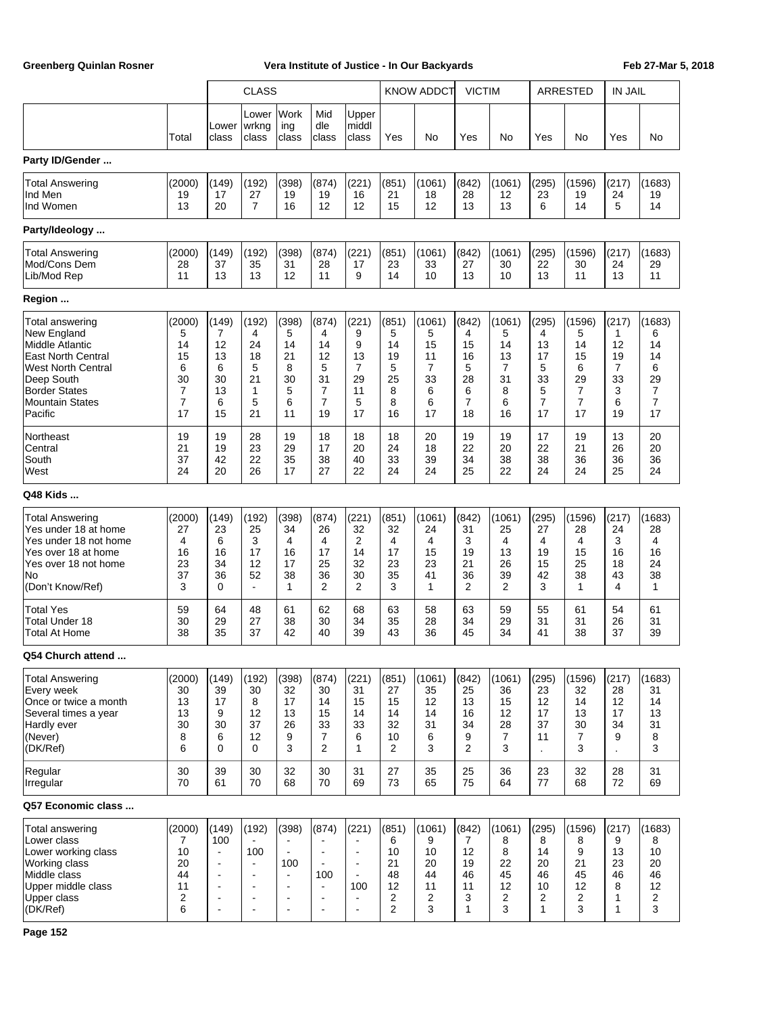|                                                                                                                                                                                        |                                                                 |                                                                                                                                    | <b>CLASS</b>                                                                         |                                                                                                                                              |                                                                                                                  |                                                                                                      |                                                           | <b>KNOW ADDCT</b>                                          | <b>VICTIM</b>                                                  |                                                       |                                                                | ARRESTED                                                                     | <b>IN JAIL</b>                                    |                                                                              |
|----------------------------------------------------------------------------------------------------------------------------------------------------------------------------------------|-----------------------------------------------------------------|------------------------------------------------------------------------------------------------------------------------------------|--------------------------------------------------------------------------------------|----------------------------------------------------------------------------------------------------------------------------------------------|------------------------------------------------------------------------------------------------------------------|------------------------------------------------------------------------------------------------------|-----------------------------------------------------------|------------------------------------------------------------|----------------------------------------------------------------|-------------------------------------------------------|----------------------------------------------------------------|------------------------------------------------------------------------------|---------------------------------------------------|------------------------------------------------------------------------------|
|                                                                                                                                                                                        | Total                                                           | Lower<br>class                                                                                                                     | Lower<br> wrkng<br>class                                                             | Work<br>ing<br>class                                                                                                                         | Mid<br>dle<br>class                                                                                              | Upper<br>middl<br>class                                                                              | Yes                                                       | No                                                         | Yes                                                            | No                                                    | Yes                                                            | No                                                                           | Yes                                               | No                                                                           |
| Party ID/Gender                                                                                                                                                                        |                                                                 |                                                                                                                                    |                                                                                      |                                                                                                                                              |                                                                                                                  |                                                                                                      |                                                           |                                                            |                                                                |                                                       |                                                                |                                                                              |                                                   |                                                                              |
| <b>Total Answering</b><br>Ind Men<br>Ind Women                                                                                                                                         | (2000)<br>19<br>13                                              | (149)<br>17<br>20                                                                                                                  | (192)<br>27<br>$\overline{7}$                                                        | (398)<br>19<br>16                                                                                                                            | (874)<br>19<br>12                                                                                                | (221)<br>16<br>12                                                                                    | (851)<br>21<br>15                                         | (1061)<br>18<br>12                                         | (842)<br>28<br>13                                              | (1061)<br>12<br>13                                    | (295)<br>23<br>6                                               | (1596)<br>19<br>14                                                           | (217)<br>24<br>5                                  | (1683)<br>19<br>14                                                           |
| Party/Ideology                                                                                                                                                                         |                                                                 |                                                                                                                                    |                                                                                      |                                                                                                                                              |                                                                                                                  |                                                                                                      |                                                           |                                                            |                                                                |                                                       |                                                                |                                                                              |                                                   |                                                                              |
| <b>Total Answering</b><br>Mod/Cons Dem<br>Lib/Mod Rep                                                                                                                                  | (2000)<br>28<br>11                                              | (149)<br>37<br>13                                                                                                                  | (192)<br>35<br>13                                                                    | (398)<br>31<br>12                                                                                                                            | (874)<br>28<br>11                                                                                                | (221)<br>17<br>9                                                                                     | (851)<br>23<br>14                                         | (1061)<br>33<br>10                                         | (842)<br>27<br>13                                              | (1061)<br>30<br>10                                    | (295)<br>22<br>13                                              | (1596)<br>30<br>11                                                           | (217)<br>24<br>13                                 | (1683)<br>29<br>11                                                           |
| Region                                                                                                                                                                                 |                                                                 |                                                                                                                                    |                                                                                      |                                                                                                                                              |                                                                                                                  |                                                                                                      |                                                           |                                                            |                                                                |                                                       |                                                                |                                                                              |                                                   |                                                                              |
| <b>Total answering</b><br>New England<br>Middle Atlantic<br>East North Central<br><b>West North Central</b><br>Deep South<br><b>Border States</b><br><b>Mountain States</b><br>Pacific | (2000)<br>5<br>14<br>15<br>6<br>30<br>7<br>$\overline{7}$<br>17 | (149)<br>7<br>12<br>13<br>6<br>30<br>13<br>6<br>15                                                                                 | (192)<br>4<br>24<br>18<br>5<br>21<br>1<br>5<br>21                                    | (398)<br>5<br>14<br>21<br>8<br>30<br>5<br>6<br>11                                                                                            | (874)<br>4<br>14<br>12<br>5<br>31<br>7<br>$\overline{7}$<br>19                                                   | (221)<br>9<br>9<br>13<br>7<br>29<br>11<br>5<br>17                                                    | (851)<br>5<br>14<br>19<br>5<br>25<br>8<br>8<br>16         | (1061)<br>5<br>15<br>11<br>7<br>33<br>6<br>6<br>17         | (842)<br>4<br>15<br>16<br>5<br>28<br>6<br>$\overline{7}$<br>18 | (1061)<br>5<br>14<br>13<br>7<br>31<br>8<br>6<br>16    | (295)<br>4<br>13<br>17<br>5<br>33<br>5<br>$\overline{7}$<br>17 | (1596)<br>5<br>14<br>15<br>6<br>29<br>$\overline{7}$<br>$\overline{7}$<br>17 | (217)<br>1<br>12<br>19<br>7<br>33<br>3<br>6<br>19 | (1683)<br>6<br>14<br>14<br>6<br>29<br>$\overline{7}$<br>$\overline{7}$<br>17 |
| Northeast<br>Central<br>South<br>West                                                                                                                                                  | 19<br>21<br>37<br>24                                            | 19<br>19<br>42<br>20                                                                                                               | 28<br>23<br>22<br>26                                                                 | 19<br>29<br>35<br>17                                                                                                                         | 18<br>17<br>38<br>27                                                                                             | 18<br>20<br>40<br>22                                                                                 | 18<br>24<br>33<br>24                                      | 20<br>18<br>39<br>24                                       | 19<br>22<br>34<br>25                                           | 19<br>20<br>38<br>22                                  | 17<br>22<br>38<br>24                                           | 19<br>21<br>36<br>24                                                         | 13<br>26<br>36<br>25                              | 20<br>20<br>36<br>24                                                         |
| Q48 Kids                                                                                                                                                                               |                                                                 |                                                                                                                                    |                                                                                      |                                                                                                                                              |                                                                                                                  |                                                                                                      |                                                           |                                                            |                                                                |                                                       |                                                                |                                                                              |                                                   |                                                                              |
| <b>Total Answering</b><br>Yes under 18 at home<br>Yes under 18 not home<br>Yes over 18 at home<br>Yes over 18 not home<br>No<br>(Don't Know/Ref)                                       | (2000)<br>27<br>4<br>16<br>23<br>37<br>3                        | (149)<br>23<br>6<br>16<br>34<br>36<br>0                                                                                            | (192)<br>25<br>3<br>17<br>12<br>52<br>$\overline{\phantom{a}}$                       | (398)<br>34<br>4<br>16<br>17<br>38<br>$\mathbf{1}$                                                                                           | (874)<br>26<br>4<br>17<br>25<br>36<br>$\overline{2}$                                                             | (221)<br>32<br>2<br>14<br>32<br>30<br>$\overline{2}$                                                 | (851)<br>32<br>4<br>17<br>23<br>35<br>3                   | (1061)<br>24<br>4<br>15<br>23<br>41<br>1                   | (842)<br>31<br>3<br>19<br>21<br>36<br>$\overline{2}$           | (1061)<br>25<br>4<br>13<br>26<br>39<br>$\overline{2}$ | (295)<br>27<br>4<br>19<br>15<br>42<br>3                        | (1596)<br>28<br>4<br>15<br>25<br>38<br>$\mathbf{1}$                          | (217)<br>24<br>3<br>16<br>18<br>43<br>4           | (1683)<br>28<br>4<br>16<br>24<br>38<br>1                                     |
| <b>Total Yes</b><br><b>Total Under 18</b><br>Total At Home                                                                                                                             | 59<br>30<br>38                                                  | 64<br>29<br>35                                                                                                                     | 48<br>27<br>37                                                                       | 61<br>38<br>42                                                                                                                               | 62<br>30<br>40                                                                                                   | 68<br>34<br>39                                                                                       | 63<br>35<br>43                                            | 58<br>28<br>36                                             | 63<br>34<br>45                                                 | 59<br>29<br>34                                        | 55<br>31<br>41                                                 | 61<br>31<br>38                                                               | 54<br>26<br>37                                    | 61<br>31<br>39                                                               |
| Q54 Church attend                                                                                                                                                                      |                                                                 |                                                                                                                                    |                                                                                      |                                                                                                                                              |                                                                                                                  |                                                                                                      |                                                           |                                                            |                                                                |                                                       |                                                                |                                                                              |                                                   |                                                                              |
| <b>Total Answering</b><br>Every week<br>Once or twice a month<br>Several times a year<br>Hardly ever<br>(Never)<br>(DK/Ref)                                                            | (2000)<br>30<br>13<br>13<br>30<br>8<br>6                        | (149)<br>39<br>17<br>9<br>30<br>6<br>0                                                                                             | (192)<br>30<br>8<br>12<br>37<br>12<br>0                                              | (398)<br>32<br>17<br>13<br>26<br>9<br>3                                                                                                      | (874)<br>30<br>14<br>15<br>33<br>7<br>2                                                                          | (221)<br>31<br>15<br>14<br>33<br>6<br>$\mathbf{1}$                                                   | (851)<br>27<br>15<br>14<br>32<br>10<br>$\overline{2}$     | (1061)<br>35<br>12<br>14<br>31<br>6<br>3                   | (842)<br>25<br>13<br>16<br>34<br>9<br>$\overline{2}$           | (1061)<br>36<br>15<br>12<br>28<br>$\overline{7}$<br>3 | (295)<br>23<br>12<br>17<br>37<br>11                            | (1596)<br>32<br>14<br>13<br>30<br>7<br>3                                     | (217)<br>28<br>12<br>17<br>34<br>9                | (1683)<br>31<br>14<br>13<br>31<br>8<br>3                                     |
| Regular<br>Irregular                                                                                                                                                                   | 30<br>70                                                        | 39<br>61                                                                                                                           | 30<br>70                                                                             | 32<br>68                                                                                                                                     | 30<br>70                                                                                                         | 31<br>69                                                                                             | 27<br>73                                                  | 35<br>65                                                   | 25<br>75                                                       | 36<br>64                                              | 23<br>77                                                       | 32<br>68                                                                     | 28<br>72                                          | 31<br>69                                                                     |
| Q57 Economic class                                                                                                                                                                     |                                                                 |                                                                                                                                    |                                                                                      |                                                                                                                                              |                                                                                                                  |                                                                                                      |                                                           |                                                            |                                                                |                                                       |                                                                |                                                                              |                                                   |                                                                              |
| Total answering<br>Lower class<br>Lower working class<br>Working class<br>Middle class<br>Upper middle class<br>Upper class<br>(DK/Ref)                                                | (2000)<br>7<br>10<br>20<br>44<br>11<br>2<br>6                   | (149)<br>100<br>$\blacksquare$<br>$\blacksquare$<br>$\blacksquare$<br>$\blacksquare$<br>$\blacksquare$<br>$\overline{\phantom{a}}$ | (192)<br>100<br>$\blacksquare$<br>$\blacksquare$<br>$\blacksquare$<br>$\blacksquare$ | (398)<br>$\blacksquare$<br>$\blacksquare$<br>100<br>$\blacksquare$<br>$\overline{\phantom{a}}$<br>$\blacksquare$<br>$\overline{\phantom{a}}$ | (874)<br>$\blacksquare$<br>$\blacksquare$<br>100<br>$\blacksquare$<br>$\blacksquare$<br>$\overline{\phantom{a}}$ | (221)<br>$\blacksquare$<br>$\blacksquare$<br>$\blacksquare$<br>100<br>$\overline{\phantom{a}}$<br>÷, | (851)<br>6<br>10<br>21<br>48<br>12<br>$\overline{2}$<br>2 | (1061)<br>9<br>10<br>20<br>44<br>11<br>$\overline{2}$<br>3 | (842)<br>7<br>12<br>19<br>46<br>11<br>3<br>1                   | (1061)<br>8<br>8<br>22<br>45<br>12<br>2<br>3          | (295)<br>8<br>14<br>20<br>46<br>10<br>2<br>$\mathbf{1}$        | (1596)<br>8<br>9<br>21<br>45<br>12<br>2<br>3                                 | (217)<br>9<br>13<br>23<br>46<br>8<br>1<br>1       | (1683)<br>8<br>10<br>20<br>46<br>12<br>2<br>3                                |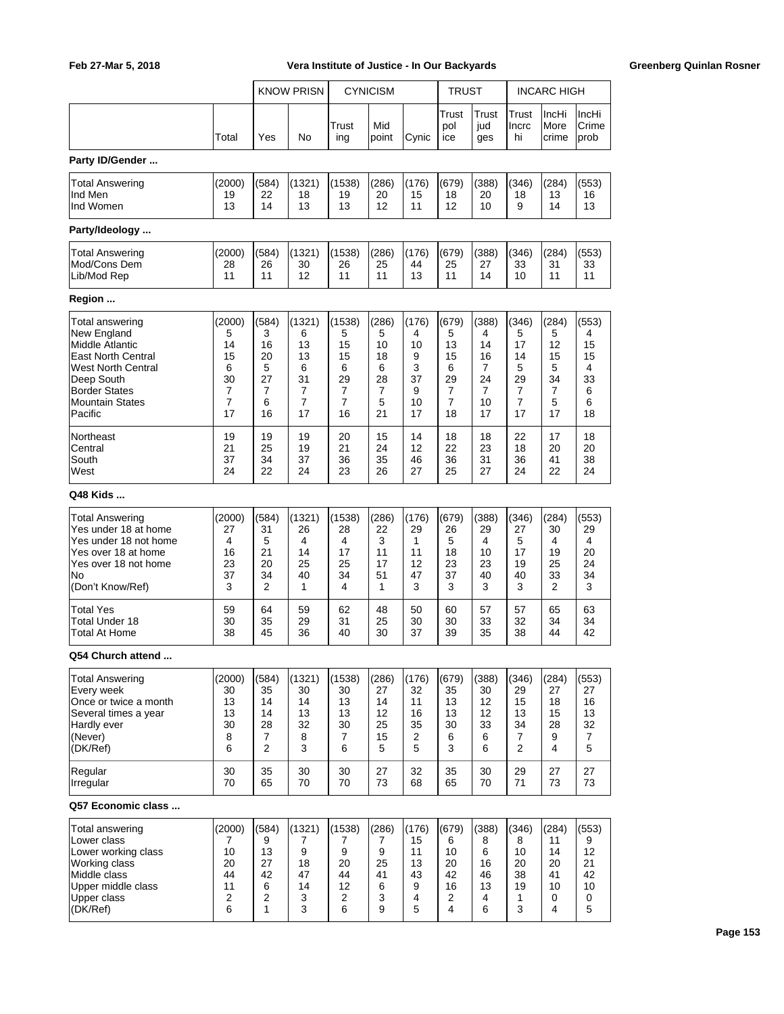|                                      |                         |                     | <b>KNOW PRISN</b> |                         | <b>CYNICISM</b> |          | TRUST               |                     |                      | <b>INCARC HIGH</b>     |                        |
|--------------------------------------|-------------------------|---------------------|-------------------|-------------------------|-----------------|----------|---------------------|---------------------|----------------------|------------------------|------------------------|
|                                      |                         |                     |                   |                         |                 |          |                     |                     |                      |                        |                        |
|                                      | Total                   | Yes                 | No                | Trust<br>ing            | Mid<br>point    | Cynic    | Trust<br>pol<br>ice | Trust<br>jud<br>ges | Trust<br>Incrc<br>hi | IncHi<br>More<br>crime | IncHi<br>Crime<br>prob |
| Party ID/Gender                      |                         |                     |                   |                         |                 |          |                     |                     |                      |                        |                        |
| <b>Total Answering</b>               | (2000)                  | (584)               | (1321)            | (1538)                  | (286)           | (176)    | (679)               | (388)               | (346)                | (284)                  | (553)                  |
| Ind Men                              | 19                      | 22                  | 18                | 19                      | 20              | 15       | 18                  | 20                  | 18                   | 13                     | 16                     |
| Ind Women                            | 13                      | 14                  | 13                | 13                      | 12              | 11       | 12                  | 10                  | 9                    | 14                     | 13                     |
| Party/Ideology                       |                         |                     |                   |                         |                 |          |                     |                     |                      |                        |                        |
| <b>Total Answering</b>               | (2000)                  | (584)               | (1321)            | (1538)                  | (286)           | (176)    | (679)               | (388)               | (346)                | (284)                  | (553)                  |
| Mod/Cons Dem                         | 28                      | 26                  | 30                | 26                      | 25              | 44       | 25                  | 27                  | 33                   | 31                     | 33                     |
| Lib/Mod Rep                          | 11                      | 11                  | 12                | 11                      | 11              | 13       | 11                  | 14                  | 10                   | 11                     | 11                     |
| Region                               |                         |                     |                   |                         |                 |          |                     |                     |                      |                        |                        |
| Total answering                      | (2000)                  | (584)               | (1321)            | (1538)                  | (286)           | (176)    | (679)               | (388)               | (346)                | (284)                  | (553)                  |
| New England                          | 5                       | 3                   | 6                 | 5                       | 5               | 4        | 5                   | 4                   | 5                    | 5                      | 4                      |
| Middle Atlantic                      | 14                      | 16                  | 13                | 15                      | 10              | 10       | 13                  | 14                  | 17                   | 12                     | 15                     |
| <b>East North Central</b>            | 15                      | 20                  | 13                | 15                      | 18              | 9        | 15                  | 16                  | 14                   | 15                     | 15                     |
| <b>West North Central</b>            | 6<br>30                 | 5<br>27             | 6<br>31           | 6<br>29                 | 6<br>28         | 3<br>37  | 6<br>29             | 7<br>24             | 5<br>29              | 5<br>34                | 4<br>33                |
| Deep South<br><b>Border States</b>   | 7                       | 7                   | $\overline{7}$    | 7                       | 7               | 9        | 7                   | 7                   | 7                    | 7                      | 6                      |
| Mountain States                      | $\overline{7}$          | 6                   | 7                 | 7                       | 5               | 10       | 7                   | 10                  | 7                    | 5                      | 6                      |
| Pacific                              | 17                      | 16                  | 17                | 16                      | 21              | 17       | 18                  | 17                  | 17                   | 17                     | 18                     |
| Northeast                            | 19                      | 19                  | 19                | 20                      | 15              | 14       | 18                  | 18                  | 22                   | 17                     | 18                     |
| Central                              | 21                      | 25                  | 19                | 21                      | 24              | 12       | 22                  | 23                  | 18                   | 20                     | 20                     |
| South                                | 37                      | 34                  | 37                | 36                      | 35              | 46       | 36                  | 31                  | 36                   | 41                     | 38                     |
| West                                 | 24                      | 22                  | 24                | 23                      | 26              | 27       | 25                  | 27                  | 24                   | 22                     | 24                     |
| Q48 Kids                             |                         |                     |                   |                         |                 |          |                     |                     |                      |                        |                        |
| <b>Total Answering</b>               | (2000)                  | (584)               | (1321)            | (1538)                  | (286)           | (176)    | (679)               | (388)               | (346)                | (284)                  | (553)                  |
| Yes under 18 at home                 | 27                      | 31                  | 26                | 28                      | 22              | 29       | 26                  | 29                  | 27                   | 30                     | 29                     |
| Yes under 18 not home                | 4                       | 5                   | 4                 | 4                       | 3               | 1        | 5                   | 4                   | 5                    | 4                      | 4                      |
| Yes over 18 at home                  | 16                      | 21                  | 14                | 17                      | 11<br>17        | 11       | 18                  | 10                  | 17                   | 19                     | 20                     |
| Yes over 18 not home<br>lNo          | 23<br>37                | 20<br>34            | 25<br>40          | 25<br>34                | 51              | 12<br>47 | 23<br>37            | 23<br>40            | 19<br>40             | 25<br>33               | 24<br>34               |
| (Don't Know/Ref)                     | 3                       | 2                   | 1                 | 4                       | 1               | 3        | 3                   | 3                   | 3                    | 2                      | 3                      |
| <b>Total Yes</b>                     | 59                      | 64                  | 59                | 62                      | 48              | 50       | 60                  | 57                  | 57                   | 65                     | 63                     |
| Total Under 18                       | 30                      | 35                  | 29                | 31                      | 25              | 30       | 30                  | 33                  | 32                   | 34                     | 34                     |
| <b>Total At Home</b>                 | 38                      | 45                  | 36                | 40                      | 30              | 37       | 39                  | 35                  | 38                   | 44                     | 42                     |
| Q54 Church attend                    |                         |                     |                   |                         |                 |          |                     |                     |                      |                        |                        |
|                                      |                         |                     |                   |                         |                 | (176)    |                     |                     |                      | (284)                  | (553)                  |
| <b>Total Answering</b><br>Every week | (2000)<br>30            | (584)<br>35         | (1321)<br>30      | (1538)<br>30            | (286)<br>27     | 32       | (679)<br>35         | (388)<br>30         | (346)<br>29          | 27                     | 27                     |
| Once or twice a month                | 13                      | 14                  | 14                | 13                      | 14              | 11       | 13                  | 12                  | 15                   | 18                     | 16                     |
| Several times a year                 | 13                      | 14                  | 13                | 13                      | 12              | 16       | 13                  | 12                  | 13                   | 15                     | 13                     |
| Hardly ever                          | 30                      | 28                  | 32                | 30                      | 25              | 35       | 30                  | 33                  | 34                   | 28                     | 32                     |
| (Never)                              | 8                       | 7<br>$\overline{2}$ | 8<br>3            | 7                       | 15              | 2        | 6                   | 6                   | 7<br>$\overline{2}$  | 9                      | $\overline{7}$         |
| (DK/Ref)                             | 6                       |                     |                   | 6                       | 5               | 5        | 3                   | 6                   |                      | 4                      | 5                      |
| Regular<br>Irregular                 | 30<br>70                | 35<br>65            | 30<br>70          | 30<br>70                | 27<br>73        | 32<br>68 | 35<br>65            | 30<br>70            | 29<br>71             | 27<br>73               | 27<br>73               |
| Q57 Economic class                   |                         |                     |                   |                         |                 |          |                     |                     |                      |                        |                        |
|                                      |                         |                     |                   |                         |                 |          |                     |                     |                      |                        |                        |
| Total answering                      | (2000)                  | (584)               | (1321)            | (1538)                  | (286)           | (176)    | (679)               | (388)               | (346)                | (284)                  | (553)                  |
| Lower class                          | 7                       | 9                   | 7                 | 7                       | 7               | 15       | 6                   | 8                   | 8                    | 11                     | 9                      |
| Lower working class<br>Working class | 10<br>20                | 13<br>27            | 9<br>18           | 9<br>20                 | 9<br>25         | 11<br>13 | 10<br>20            | 6<br>16             | 10<br>20             | 14<br>20               | 12<br>21               |
| Middle class                         | 44                      | 42                  | 47                | 44                      | 41              | 43       | 42                  | 46                  | 38                   | 41                     | 42                     |
| Upper middle class                   | 11                      | 6                   | 14                | 12                      | 6               | 9        | 16                  | 13                  | 19                   | 10                     | 10                     |
| Upper class                          | $\overline{\mathbf{c}}$ | $\overline{2}$      | 3                 | $\overline{\mathbf{c}}$ | 3               | 4        | 2                   | 4                   | 1                    | 0                      | 0                      |
| (DK/Ref)                             | 6                       | $\mathbf{1}$        | 3                 | 6                       | 9               | 5        | 4                   | 6                   | 3                    | 4                      | 5                      |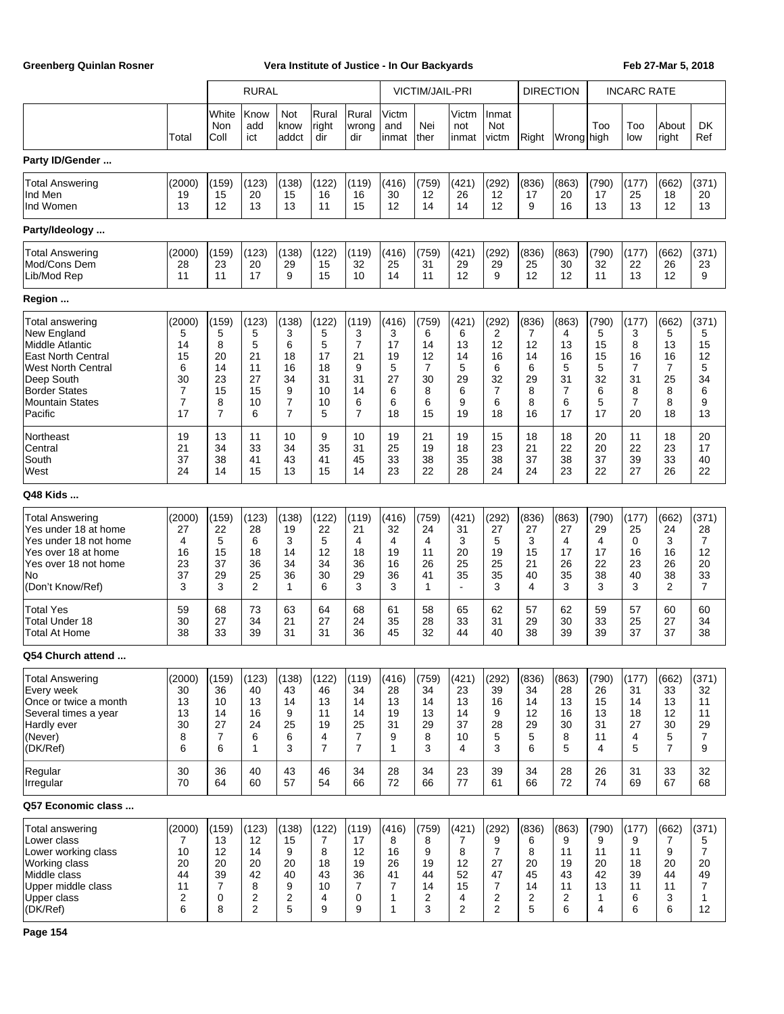|                        |        |                      | <b>RURAL</b>       |                      |                       |                       |                       | VICTIM/JAIL-PRI |                          |                       | <b>DIRECTION</b> |            |              | <b>INCARC RATE</b> |                |                |
|------------------------|--------|----------------------|--------------------|----------------------|-----------------------|-----------------------|-----------------------|-----------------|--------------------------|-----------------------|------------------|------------|--------------|--------------------|----------------|----------------|
|                        | Total  | White<br>Non<br>Coll | Know<br>add<br>ict | Not<br>know<br>addct | Rural<br>right<br>dir | Rural<br>wrong<br>dir | Victm<br>and<br>inmat | Nei<br>ther     | Victm<br>not<br>inmat    | Inmat<br>Not<br>victm | Right            | Wrong high | Too          | Too<br>low         | About<br>right | DK<br>Ref      |
| Party ID/Gender        |        |                      |                    |                      |                       |                       |                       |                 |                          |                       |                  |            |              |                    |                |                |
| <b>Total Answering</b> | (2000) | (159)                | (123)              | (138)                | (122)                 | (119)                 | (416)                 | (759)           | (421)                    | (292)                 | (836)            | (863)      | (790)        | (177)              | (662)          | (371)          |
| Ind Men                | 19     | 15                   | 20                 | 15                   | 16                    | 16                    | 30                    | 12              | 26                       | 12                    | 17               | 20         | 17           | 25                 | 18             | 20             |
| Ind Women              | 13     | 12                   | 13                 | 13                   | 11                    | 15                    | 12                    | 14              | 14                       | 12                    | 9                | 16         | 13           | 13                 | 12             | 13             |
| Party/Ideology         |        |                      |                    |                      |                       |                       |                       |                 |                          |                       |                  |            |              |                    |                |                |
| Total Answering        | (2000) | (159)                | (123)              | (138)                | (122)                 | (119)                 | (416)                 | (759)           | (421)                    | (292)                 | (836)            | (863)      | (790)        | (177)              | (662)          | (371)          |
| Mod/Cons Dem           | 28     | 23                   | 20                 | 29                   | 15                    | 32                    | 25                    | 31              | 29                       | 29                    | 25               | 30         | 32           | 22                 | 26             | 23             |
| Lib/Mod Rep            | 11     | 11                   | 17                 | 9                    | 15                    | 10                    | 14                    | 11              | 12                       | 9                     | 12               | 12         | 11           | 13                 | 12             | 9              |
| Region                 |        |                      |                    |                      |                       |                       |                       |                 |                          |                       |                  |            |              |                    |                |                |
| Total answering        | (2000) | (159)                | (123)              | (138)                | (122)                 | (119)                 | (416)                 | (759)           | (421)                    | (292)                 | (836)            | (863)      | (790)        | (177)              | (662)          | (371)          |
| New England            | 5      | 5                    | 5                  | 3                    | 5                     | 3                     | 3                     | 6               | 6                        | 2                     | 7                | 4          | 5            | 3                  | 5              | 5              |
| Middle Atlantic        | 14     | 8                    | 5                  | 6                    | 5                     | $\overline{7}$        | 17                    | 14              | 13                       | 12                    | 12               | 13         | 15           | 8                  | 13             | 15             |
| East North Central     | 15     | 20                   | 21                 | 18                   | 17                    | 21                    | 19                    | 12              | 14                       | 16                    | 14               | 16         | 15           | 16                 | 16             | 12             |
| West North Central     | 6      | 14                   | 11                 | 16                   | 18                    | 9                     | 5                     | $\overline{7}$  | 5                        | 6                     | 6                | 5          | 5            | 7                  | $\overline{7}$ | 5              |
| Deep South             | 30     | 23                   | 27                 | 34                   | 31                    | 31                    | 27                    | 30              | 29                       | 32                    | 29               | 31         | 32           | 31                 | 25             | 34             |
| <b>Border States</b>   | 7      | 15                   | 15                 | 9                    | 10                    | 14                    | 6                     | 8               | 6                        | 7                     | 8                | 7          | 6            | 8                  | 8              | 6              |
| <b>Mountain States</b> | 7      | 8                    | 10                 | $\overline{7}$       | 10                    | 6                     | 6                     | 6               | 9                        | 6                     | 8                | 6          | 5            | $\overline{7}$     | 8              | 9              |
| Pacific                | 17     | $\overline{7}$       | 6                  | $\overline{7}$       | 5                     | $\overline{7}$        | 18                    | 15              | 19                       | 18                    | 16               | 17         | 17           | 20                 | 18             | 13             |
| Northeast              | 19     | 13                   | 11                 | 10                   | 9                     | 10                    | 19                    | 21              | 19                       | 15                    | 18               | 18         | 20           | 11                 | 18             | 20             |
| Central                | 21     | 34                   | 33                 | 34                   | 35                    | 31                    | 25                    | 19              | 18                       | 23                    | 21               | 22         | 20           | 22                 | 23             | 17             |
| South                  | 37     | 38                   | 41                 | 43                   | 41                    | 45                    | 33                    | 38              | 35                       | 38                    | 37               | 38         | 37           | 39                 | 33             | 40             |
| West                   | 24     | 14                   | 15                 | 13                   | 15                    | 14                    | 23                    | 22              | 28                       | 24                    | 24               | 23         | 22           | 27                 | 26             | 22             |
| Q48 Kids               |        |                      |                    |                      |                       |                       |                       |                 |                          |                       |                  |            |              |                    |                |                |
| <b>Total Answering</b> | (2000) | (159)                | (123)              | (138)                | (122)                 | (119)                 | (416)                 | (759)           | (421)                    | (292)                 | (836)            | (863)      | (790)        | (177)              | (662)          | (371)          |
| Yes under 18 at home   | 27     | 22                   | 28                 | 19                   | 22                    | 21                    | 32                    | 24              | 31                       | 27                    | 27               | 27         | 29           | 25                 | 24             | 28             |
| Yes under 18 not home  | 4      | 5                    | 6                  | 3                    | 5                     | $\overline{4}$        | 4                     | 4               | 3                        | 5                     | 3                | 4          | 4            | 0                  | 3              | $\overline{7}$ |
| Yes over 18 at home    | 16     | 15                   | 18                 | 14                   | 12                    | 18                    | 19                    | 11              | 20                       | 19                    | 15               | 17         | 17           | 16                 | 16             | 12             |
| Yes over 18 not home   | 23     | 37                   | 36                 | 34                   | 34                    | 36                    | 16                    | 26              | 25                       | 25                    | 21               | 26         | 22           | 23                 | 26             | 20             |
| No                     | 37     | 29                   | 25                 | 36                   | 30                    | 29                    | 36                    | 41              | 35                       | 35                    | 40               | 35         | 38           | 40                 | 38             | 33             |
| (Don't Know/Ref)       | 3      | 3                    | 2                  | 1                    | 6                     | 3                     | 3                     | $\mathbf{1}$    | $\overline{\phantom{a}}$ | 3                     | 4                | 3          | 3            | 3                  | 2              | $\overline{7}$ |
| Total Yes              | 59     | 68                   | 73                 | 63                   | 64                    | 68                    | 61                    | 58              | 65                       | 62                    | 57               | 62         | 59           | 57                 | 60             | 60             |
| Total Under 18         | 30     | 27                   | 34                 | 21                   | 27                    | 24                    | 35                    | 28              | 33                       | 31                    | 29               | 30         | 33           | 25                 | 27             | 34             |
| Total At Home          | 38     | 33                   | 39                 | 31                   | 31                    | 36                    | 45                    | 32              | 44                       | 40                    | 38               | 39         | 39           | 37                 | 37             | 38             |
| Q54 Church attend      |        |                      |                    |                      |                       |                       |                       |                 |                          |                       |                  |            |              |                    |                |                |
| Total Answering        | (2000) | (159)                | (123)              | (138)                | (122)                 | (119)                 | (416)                 | (759)           | (421)                    | (292)                 | (836)            | (863)      | (790)        | (177)              | (662)          | (371)          |
| Every week             | 30     | 36                   | 40                 | 43                   | 46                    | 34                    | 28                    | 34              | 23                       | 39                    | 34               | 28         | 26           | 31                 | 33             | 32             |
| Once or twice a month  | 13     | 10                   | 13                 | 14                   | 13                    | 14                    | 13                    | 14              | 13                       | 16                    | 14               | 13         | 15           | 14                 | 13             | 11             |
| Several times a year   | 13     | 14                   | 16                 | 9                    | 11                    | 14                    | 19                    | 13              | 14                       | 9                     | 12               | 16         | 13           | 18                 | 12             | 11             |
| Hardly ever            | 30     | 27                   | 24                 | 25                   | 19                    | 25                    | 31                    | 29              | 37                       | 28                    | 29               | 30         | 31           | 27                 | 30             | 29             |
| (Never)                | 8      | 7                    | 6                  | 6                    | 4                     | 7                     | 9                     | 8               | 10                       | 5                     | 5                | 8          | 11           | 4                  | 5              | 7              |
| (DK/Ref)               | 6      | 6                    | 1                  | 3                    | $\overline{7}$        | $\overline{7}$        | 1                     | 3               | 4                        | 3                     | 6                | 5          | 4            | 5                  | $\overline{7}$ | 9              |
| Regular                | 30     | 36                   | 40                 | 43                   | 46                    | 34                    | 28                    | 34              | 23                       | 39                    | 34               | 28         | 26           | 31                 | 33             | 32             |
| Irregular              | 70     | 64                   | 60                 | 57                   | 54                    | 66                    | 72                    | 66              | 77                       | 61                    | 66               | 72         | 74           | 69                 | 67             | 68             |
| Q57 Economic class     |        |                      |                    |                      |                       |                       |                       |                 |                          |                       |                  |            |              |                    |                |                |
| Total answering        | (2000) | (159)                | (123)              | (138)                | (122)                 | (119)                 | (416)                 | (759)           | (421)                    | (292)                 | (836)            | (863)      | (790)        | (177)              | (662)          | (371)          |
| Lower class            | 7      | 13                   | 12                 | 15                   | 7                     | 17                    | 8                     | 8               | 7                        | 9                     | 6                | 9          | 9            | 9                  | 7              | 5              |
| Lower working class    | 10     | 12                   | 14                 | 9                    | 8                     | 12                    | 16                    | 9               | 8                        | $\overline{7}$        | 8                | 11         | 11           | 11                 | 9              | $\overline{7}$ |
| Working class          | 20     | 20                   | 20                 | 20                   | 18                    | 19                    | 26                    | 19              | 12                       | 27                    | 20               | 19         | 20           | 18                 | 20             | 20             |
| Middle class           | 44     | 39                   | 42                 | 40                   | 43                    | 36                    | 41                    | 44              | 52                       | 47                    | 45               | 43         | 42           | 39                 | 44             | 49             |
| Upper middle class     | 11     | 7                    | 8                  | 9                    | 10                    | 7                     | 7                     | 14              | 15                       | 7                     | 14               | 11         | 13           | 11                 | 11             | 7              |
| Upper class            | 2      | 0                    | 2                  | $\mathbf 2$          | 4                     | 0                     | 1                     | 2               | 4                        | 2                     | 2                | 2          | $\mathbf{1}$ | 6                  | 3              | 1              |
| (DK/Ref)               | 6      | 8                    | $\overline{2}$     | 5                    | 9                     | 9                     | $\mathbf{1}$          | 3               | 2                        | $\overline{2}$        | 5                | 6          | 4            | 6                  | 6              | 12             |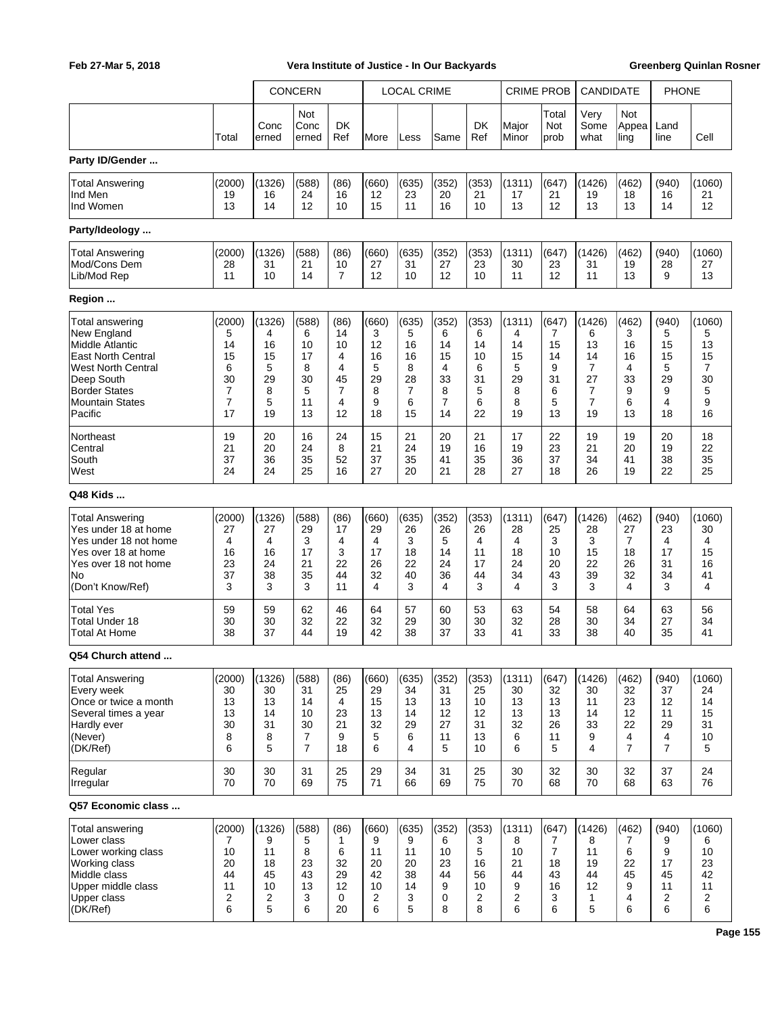|                           |        |               | <b>CONCERN</b>       |                  |       | <b>LOCAL CRIME</b> |       |                | <b>CRIME PROB</b> |                      | CANDIDATE            |                      | <b>PHONE</b>   |        |
|---------------------------|--------|---------------|----------------------|------------------|-------|--------------------|-------|----------------|-------------------|----------------------|----------------------|----------------------|----------------|--------|
|                           | Total  | Conc<br>erned | Not<br>Conc<br>erned | <b>DK</b><br>Ref | More  | Less               | Same  | DK<br>Ref      | Major<br>Minor    | Total<br>Not<br>prob | Very<br>Some<br>what | Not<br>Appea<br>ling | Land<br>line   | Cell   |
| Party ID/Gender           |        |               |                      |                  |       |                    |       |                |                   |                      |                      |                      |                |        |
| Total Answering           | (2000) | (1326)        | (588)                | (86)             | (660) | (635)              | (352) | (353)          | (1311)            | (647)                | (1426)               | (462)                | (940)          | (1060) |
| Ind Men                   | 19     | 16            | 24                   | 16               | 12    | 23                 | 20    | 21             | 17                | 21                   | 19                   | 18                   | 16             | 21     |
| Ind Women                 | 13     | 14            | 12                   | 10               | 15    | 11                 | 16    | 10             | 13                | 12                   | 13                   | 13                   | 14             | 12     |
| Party/Ideology            |        |               |                      |                  |       |                    |       |                |                   |                      |                      |                      |                |        |
| <b>Total Answering</b>    | (2000) | (1326)        | (588)                | (86)             | (660) | (635)              | (352) | (353)          | (1311)            | (647)                | (1426)               | (462)                | (940)          | (1060) |
| Mod/Cons Dem              | 28     | 31            | 21                   | 10               | 27    | 31                 | 27    | 23             | 30                | 23                   | 31                   | 19                   | 28             | 27     |
| Lib/Mod Rep               | 11     | 10            | 14                   | $\overline{7}$   | 12    | 10                 | 12    | 10             | 11                | 12                   | 11                   | 13                   | 9              | 13     |
| Region                    |        |               |                      |                  |       |                    |       |                |                   |                      |                      |                      |                |        |
| Total answering           | (2000) | (1326)        | (588)                | (86)             | (660) | (635)              | (352) | (353)          | (1311)            | (647)                | (1426)               | (462)                | (940)          | (1060) |
| New England               | 5      | 4             | 6                    | 14               | 3     | 5                  | 6     | 6              | 4                 | 7                    | 6                    | 3                    | 5              | 5      |
| Middle Atlantic           | 14     | 16            | 10                   | 10               | 12    | 16                 | 14    | 14             | 14                | 15                   | 13                   | 16                   | 15             | 13     |
| <b>East North Central</b> | 15     | 15            | 17                   | 4                | 16    | 16                 | 15    | 10             | 15                | 14                   | 14                   | 16                   | 15             | 15     |
| <b>West North Central</b> | 6      | 5             | 8                    | 4                | 5     | 8                  | 4     | 6              | 5                 | 9                    | $\overline{7}$       | 4                    | 5              | 7      |
| Deep South                | 30     | 29            | 30                   | 45               | 29    | 28                 | 33    | 31             | 29                | 31                   | 27                   | 33                   | 29             | 30     |
| <b>Border States</b>      | 7      | 8             | 5                    | $\overline{7}$   | 8     | 7                  | 8     | 5              | 8                 | 6                    | 7                    | 9                    | 9              | 5      |
| <b>Mountain States</b>    | 7      | 5             | 11                   | 4                | 9     | 6                  | 7     | 6              | 8                 | 5                    | 7                    | 6                    | 4              | 9      |
| Pacific                   | 17     | 19            | 13                   | 12               | 18    | 15                 | 14    | 22             | 19                | 13                   | 19                   | 13                   | 18             | 16     |
| Northeast                 | 19     | 20            | 16                   | 24               | 15    | 21                 | 20    | 21             | 17                | 22                   | 19                   | 19                   | 20             | 18     |
| Central                   | 21     | 20            | 24                   | 8                | 21    | 24                 | 19    | 16             | 19                | 23                   | 21                   | 20                   | 19             | 22     |
| South                     | 37     | 36            | 35                   | 52               | 37    | 35                 | 41    | 35             | 36                | 37                   | 34                   | 41                   | 38             | 35     |
| West                      | 24     | 24            | 25                   | 16               | 27    | 20                 | 21    | 28             | 27                | 18                   | 26                   | 19                   | 22             | 25     |
| Q48 Kids                  |        |               |                      |                  |       |                    |       |                |                   |                      |                      |                      |                |        |
| <b>Total Answering</b>    | (2000) | (1326)        | (588)                | (86)             | (660) | (635)              | (352) | (353)          | (1311)            | (647)                | (1426)               | (462)                | (940)          | (1060) |
| Yes under 18 at home      | 27     | 27            | 29                   | 17               | 29    | 26                 | 26    | 26             | 28                | 25                   | 28                   | 27                   | 23             | 30     |
| Yes under 18 not home     | 4      | 4             | 3                    | 4                | 4     | 3                  | 5     | 4              | 4                 | 3                    | 3                    | 7                    | 4              | 4      |
| Yes over 18 at home       | 16     | 16            | 17                   | 3                | 17    | 18                 | 14    | 11             | 18                | 10                   | 15                   | 18                   | 17             | 15     |
| Yes over 18 not home      | 23     | 24            | 21                   | 22               | 26    | 22                 | 24    | 17             | 24                | 20                   | 22                   | 26                   | 31             | 16     |
| No                        | 37     | 38            | 35                   | 44               | 32    | 40                 | 36    | 44             | 34                | 43                   | 39                   | 32                   | 34             | 41     |
| (Don't Know/Ref)          | 3      | 3             | 3                    | 11               | 4     | 3                  | 4     | 3              | 4                 | 3                    | 3                    | 4                    | 3              | 4      |
| <b>Total Yes</b>          | 59     | 59            | 62                   | 46               | 64    | 57                 | 60    | 53             | 63                | 54                   | 58                   | 64                   | 63             | 56     |
| Total Under 18            | 30     | 30            | 32                   | 22               | 32    | 29                 | 30    | 30             | 32                | 28                   | 30                   | 34                   | 27             | 34     |
| <b>Total At Home</b>      | 38     | 37            | 44                   | 19               | 42    | 38                 | 37    | 33             | 41                | 33                   | 38                   | 40                   | 35             | 41     |
| Q54 Church attend         |        |               |                      |                  |       |                    |       |                |                   |                      |                      |                      |                |        |
| <b>Total Answering</b>    | (2000) | (1326)        | (588)                | (86)             | (660) | (635)              | (352) | (353)          | (1311)            | (647)                | (1426)               | (462)                | (940)          | (1060) |
| Every week                | 30     | 30            | 31                   | 25               | 29    | 34                 | 31    | 25             | 30                | 32                   | 30                   | 32                   | 37             | 24     |
| Once or twice a month     | 13     | 13            | 14                   | 4                | 15    | 13                 | 13    | 10             | 13                | 13                   | 11                   | 23                   | 12             | 14     |
| Several times a year      | 13     | 14            | 10                   | 23               | 13    | 14                 | 12    | 12             | 13                | 13                   | 14                   | 12                   | 11             | 15     |
| Hardly ever               | 30     | 31            | 30                   | 21               | 32    | 29                 | 27    | 31             | 32                | 26                   | 33                   | 22                   | 29             | 31     |
| (Never)                   | 8      | 8             | 7                    | 9                | 5     | 6                  | 11    | 13             | 6                 | 11                   | 9                    | 4                    | 4              | 10     |
| (DK/Ref)                  | 6      | 5             | $\overline{7}$       | 18               | 6     | 4                  | 5     | 10             | 6                 | 5                    | 4                    | $\overline{7}$       | $\overline{7}$ | 5      |
| Regular                   | 30     | 30            | 31                   | 25               | 29    | 34                 | 31    | 25             | 30                | 32                   | 30                   | 32                   | 37             | 24     |
| Irregular                 | 70     | 70            | 69                   | 75               | 71    | 66                 | 69    | 75             | 70                | 68                   | 70                   | 68                   | 63             | 76     |
| Q57 Economic class        |        |               |                      |                  |       |                    |       |                |                   |                      |                      |                      |                |        |
| Total answering           | (2000) | (1326)        | (588)                | (86)             | (660) | (635)              | (352) | (353)          | (1311)            | (647)                | (1426)               | (462)                | (940)          | (1060) |
| Lower class               | 7      | 9             | 5                    | 1                | 9     | 9                  | 6     | 3              | 8                 | 7                    | 8                    | 7                    | 9              | 6      |
| Lower working class       | 10     | 11            | 8                    | 6                | 11    | 11                 | 10    | 5              | 10                | $\overline{7}$       | 11                   | 6                    | 9              | 10     |
| <b>Working class</b>      | 20     | 18            | 23                   | 32               | 20    | 20                 | 23    | 16             | 21                | 18                   | 19                   | 22                   | 17             | 23     |
| Middle class              | 44     | 45            | 43                   | 29               | 42    | 38                 | 44    | 56             | 44                | 43                   | 44                   | 45                   | 45             | 42     |
| Upper middle class        | 11     | 10            | 13                   | 12               | 10    | 14                 | 9     | 10             | 9                 | 16                   | 12                   | 9                    | 11             | 11     |
| <b>Upper class</b>        | 2      | 2             | 3                    | 0                | 2     | 3                  | 0     | $\overline{c}$ | $\overline{c}$    | 3                    | 1                    | 4                    | $\overline{c}$ | 2      |
| (DK/Ref)                  | 6      | 5             | 6                    | 20               | 6     | 5                  | 8     | 8              | 6                 | 6                    | 5                    | 6                    | 6              | 6      |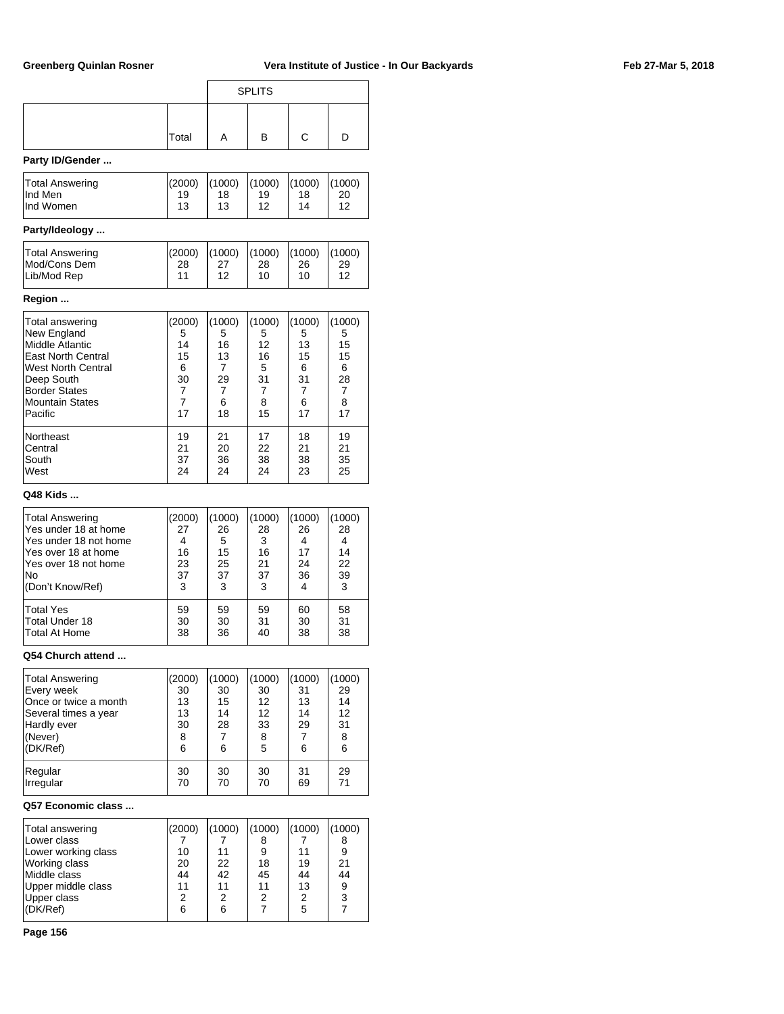|                                |          |                | <b>SPLITS</b> |          |          |
|--------------------------------|----------|----------------|---------------|----------|----------|
|                                |          |                |               |          |          |
|                                | Total    | A              | в             | С        | D        |
| Party ID/Gender                |          |                |               |          |          |
| Total Answering                | (2000)   | (1000)         | (1000)        | (1000)   | (1000)   |
| Ind Men<br>Ind Women           | 19<br>13 | 18<br>13       | 19<br>12      | 18<br>14 | 20<br>12 |
| Party/Ideology                 |          |                |               |          |          |
| Total Answering                | (2000)   | (1000)         | (1000)        | (1000)   | (1000)   |
| Mod/Cons Dem<br>Lib/Mod Rep    | 28<br>11 | 27<br>12       | 28<br>10      | 26<br>10 | 29<br>12 |
| Region                         |          |                |               |          |          |
| Total answering                | (2000)   | (1000)         | (1000)        | (1000)   | (1000)   |
| New England<br>Middle Atlantic | 5<br>14  | 5<br>16        | 5<br>12       | 5<br>13  | 5<br>15  |
| <b>East North Central</b>      | 15       | 13             | 16            | 15       | 15       |
| West North Central             | 6        | 7              | 5             | 6        | 6        |
| Deep South                     | 30       | 29             | 31            | 31       | 28       |
| <b>Border States</b>           | 7        | 7              | 7             | 7        | 7        |
| <b>Mountain States</b>         | 7        | 6              | 8             | 6        | 8        |
| Pacific                        | 17       | 18             | 15            | 17       | 17       |
| Northeast                      | 19       | 21             | 17            | 18       | 19       |
| Central                        | 21       | 20             | 22            | 21       | 21       |
| South                          | 37       | 36             | 38            | 38       | 35       |
| West                           | 24       | 24             | 24            | 23       | 25       |
| Q48 Kids                       |          |                |               |          |          |
| <b>Total Answering</b>         | (2000)   | (1000)         | (1000)        | (1000)   | (1000)   |
| Yes under 18 at home           | 27       | 26             | 28            | 26       | 28       |
| Yes under 18 not home          | 4        | 5              | 3             | 4        | 4        |
| Yes over 18 at home            | 16       | 15             | 16            | 17       | 14       |
| Yes over 18 not home           | 23       | 25             | 21            | 24       | 22       |
| No                             | 37       | 37             | 37            | 36       | 39       |
| (Don't Know/Ref)               | 3        | 3              | 3             | 4        | 3        |
| <b>Total Yes</b>               | 59       | 59             | 59            | 60       | 58       |
| Total Under 18                 | 30       | 30             | 31            | 30       | 31       |
| Total At Home                  | 38       | 36             | 40            | 38       | 38       |
| Q54 Church attend              |          |                |               |          |          |
| Total Answering                | (2000)   | (1000)         | (1000)        | (1000)   | (1000)   |
| Every week                     | 30       | 30             | 30            | 31       | 29       |
| Once or twice a month          | 13       | 15             | 12            | 13       | 14       |
| Several times a year           | 13       | 14             | 12            | 14       | 12       |
| Hardly ever<br>(Never)         | 30       | 28             | 33            | 29<br>7  | 31       |
| (DK/Ref)                       | 8<br>6   | 7<br>6         | 8<br>5        | 6        | 8<br>6   |
|                                |          |                |               |          |          |
| Regular<br>Irregular           | 30<br>70 | 30<br>70       | 30<br>70      | 31<br>69 | 29<br>71 |
| Q57 Economic class             |          |                |               |          |          |
| Total answering                | (2000)   | (1000)         | (1000)        | (1000)   | (1000)   |
| Lower class                    | 7        | 7              | 8             | 7        | 8        |
| Lower working class            | 10       | 11             | 9             | 11       | 9        |
| Working class                  | 20       | 22             | 18            | 19       | 21       |
| Middle class                   | 44       | 42             | 45            | 44       | 44       |
| Upper middle class             | 11       | 11             | 11            | 13       | 9        |
| Upper class                    | 2        | $\overline{2}$ | 2             | 2        | 3        |

(DK/Ref) 6 6 7 5 7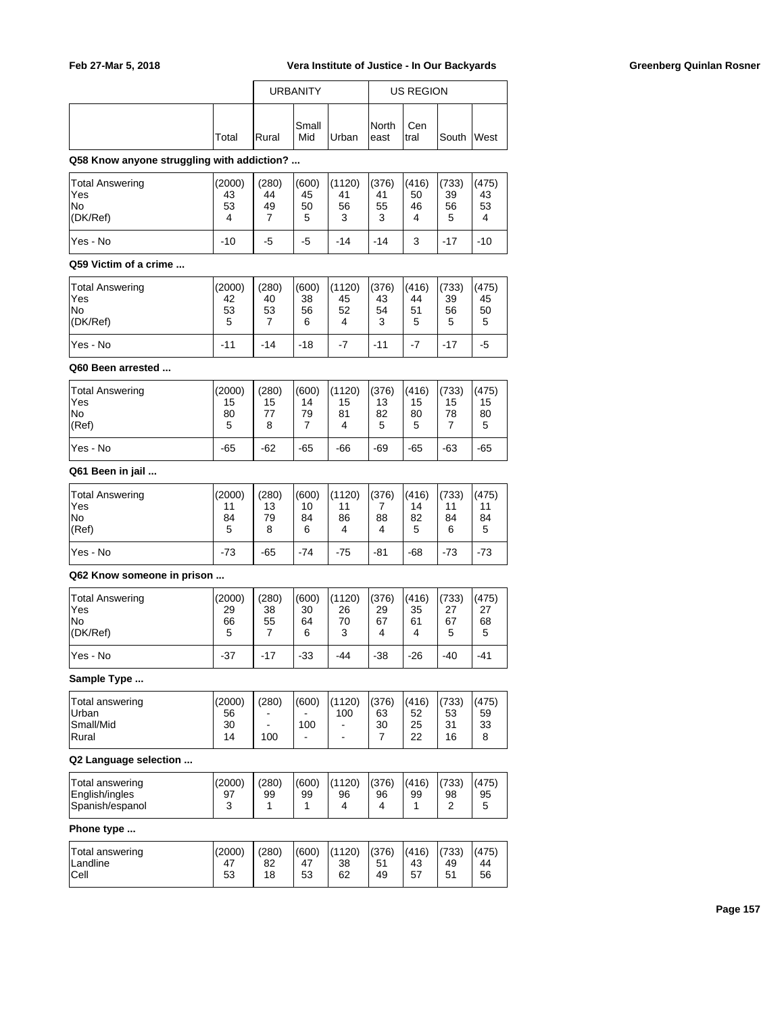|       |       | <b>URBANITY</b> |       | US REGION      |              |        |             |
|-------|-------|-----------------|-------|----------------|--------------|--------|-------------|
| Total | Rural | Small<br>Mid    | Urban | North<br>least | Cen<br>Itral | lSouth | <b>West</b> |

**Q58 Know anyone struggling with addiction? ...**

| Total Answering<br>'Yes<br>lNo<br>(DK/Ref) | (2000)<br>43<br>53 | (280)<br>44<br>49 | (600)<br>45<br>50<br>5 | (1120)<br>41<br>56<br>3 | (376)<br>41<br>55<br>3 | (416)<br>50<br>46<br>4 | (733)<br>39<br>56<br>5 | (475)<br>43<br>53 |
|--------------------------------------------|--------------------|-------------------|------------------------|-------------------------|------------------------|------------------------|------------------------|-------------------|
| lYes - No                                  | $-10$              | -5                | -5                     | $-14$                   | -14                    | 3                      | $-17$                  | $-10$             |

### **Q59 Victim of a crime ...**

| <b>Total Answering</b><br>lYes<br><b>No</b><br>(DK/Ref) | (2000)<br>42<br>53<br>5 | (280)<br>40<br>53 | (600)<br>38<br>56<br>6 | (1120)<br>45<br>52 | (376)<br>43<br>54<br>3 | (416)<br>44<br>51<br>5 | (733)<br>39<br>56<br>5 | (475)<br>45<br>50<br>5 |
|---------------------------------------------------------|-------------------------|-------------------|------------------------|--------------------|------------------------|------------------------|------------------------|------------------------|
| Yes - No                                                | $-11$                   | $-14$             | $-18$                  | $-7$               | $-11$                  | $-7$                   | $-17$                  | -5                     |

### **Q60 Been arrested ...**

| <b>Total Answering</b><br>lYes<br><b>No</b><br>(Ref) | (2000)<br>15<br>80<br>5 | (280)<br>15<br>77<br>8 | (600)<br>14<br>79 | (1120)<br>15<br>81 | (376)<br>13<br>82<br>5 | (416)<br>15<br>80<br>5 | (733)<br>15<br>78 | (475)<br>15<br>80<br>5 |
|------------------------------------------------------|-------------------------|------------------------|-------------------|--------------------|------------------------|------------------------|-------------------|------------------------|
| lYes - No                                            | $-65$                   | $-62$                  | $-65$             | $-66$              | $-69$                  | $-65$                  | $-63$             | $-65$                  |

## **Q61 Been in jail ...**

| Total Answering<br>lYes<br>lNo<br>(Ref) | (2000)<br>11<br>84<br>5 | (280)<br>13<br>79<br>8 | (600)<br>10<br>84<br>6 | (1120)<br>11<br>86<br>4 | (376)<br>88<br>4 | (416)<br>14<br>82<br>5 | (733)<br>11<br>84<br>6 | (475)<br>11<br>84<br>5 |
|-----------------------------------------|-------------------------|------------------------|------------------------|-------------------------|------------------|------------------------|------------------------|------------------------|
| lYes - No                               | $-73$                   | $-65$                  | $-74$                  | $-75$                   | $-81$            | $-68$                  | $-73$                  | $-73$                  |

### **Q62 Know someone in prison ...**

| <b>Total Answering</b><br>Yes<br>lNo<br>(DK/Ref) | (2000)<br>29<br>66<br>5 | (280)<br>38<br>55 | (600)<br>30<br>64<br>6 | (1120)<br>26<br>70<br>3 | (376)<br>29<br>67<br>4 | (416)<br>35<br>61<br>4 | (733)<br>27<br>67<br>5 | (475)<br>27<br>68<br>5 |
|--------------------------------------------------|-------------------------|-------------------|------------------------|-------------------------|------------------------|------------------------|------------------------|------------------------|
| lYes - No                                        | $-37$                   | $-17$             | $-33$                  | $-44$                   | $-38$                  | $-26$                  | $-40$                  | -41                    |

### **Sample Type ...**

| Total answering | (2000) | (280) | (600) | (1120) | (376) | (416) | (733) | (475) |
|-----------------|--------|-------|-------|--------|-------|-------|-------|-------|
| <b>Urban</b>    | 56     |       |       | 100    | 63    | 52    | 53    | 59    |
| Small/Mid       | 30     | ۰     | 100   | -      | 30    | 25    | 31    | 33    |
| Rural           | 14     | 100   | -     | -      |       | 22    | 16    |       |
|                 |        |       |       |        |       |       |       |       |

### **Q2 Language selection ...**

| Total answering<br>English/ingles<br>Spanish/espanol | (2000)<br>97 | (280)<br>99 | (600)<br>99 | (1120)<br>96 | (376)<br>96 | (416)<br>99 | (733)<br>98 | (475)<br>95 |
|------------------------------------------------------|--------------|-------------|-------------|--------------|-------------|-------------|-------------|-------------|
|                                                      |              |             |             |              |             |             |             |             |

### **Phone type ...**

| Total answering<br>Landline<br><b>Cell</b> | (2000)<br>47<br>53 | (280)<br>82<br>18 | (600)<br>47<br>53 | (1120)<br>38<br>62 | (376)<br>51<br>49 | (416)<br>43<br>57 | (733)<br>49<br>51<br>ັບເ | (475)<br>44<br>56 |
|--------------------------------------------|--------------------|-------------------|-------------------|--------------------|-------------------|-------------------|--------------------------|-------------------|
|                                            |                    |                   |                   |                    |                   |                   |                          |                   |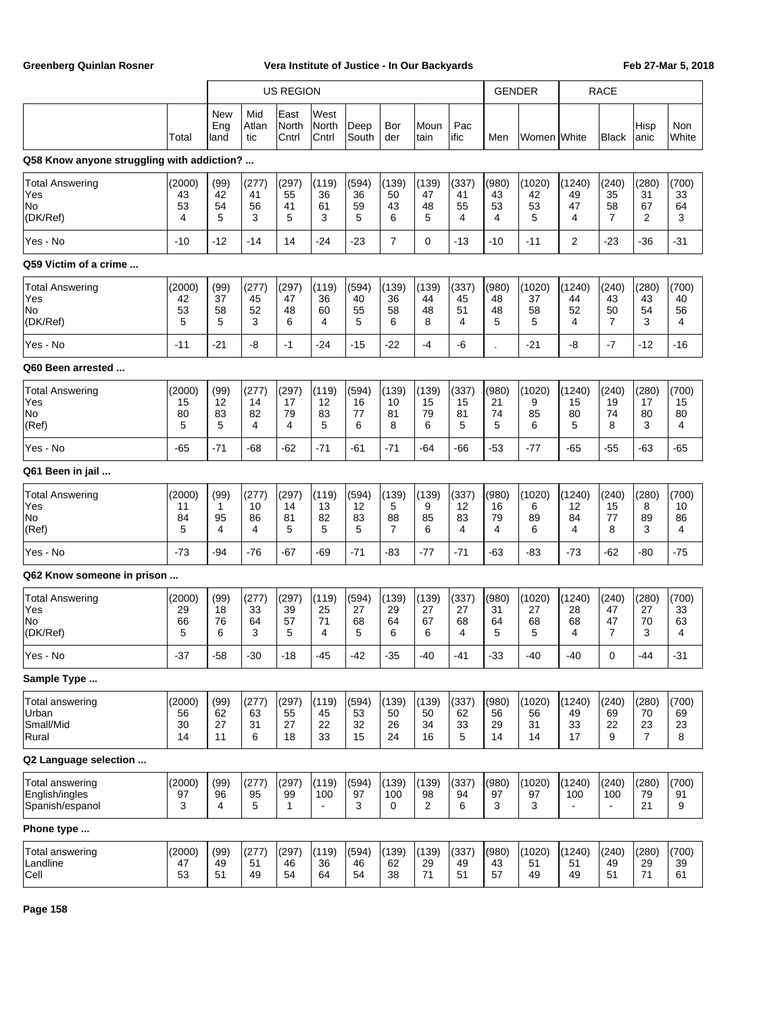|                                                      |                          |                           |                        | <b>US REGION</b>            |                         |                         |                             |                         |                        | <b>GENDER</b>           |                          | <b>RACE</b>              |                                |                                     |                        |
|------------------------------------------------------|--------------------------|---------------------------|------------------------|-----------------------------|-------------------------|-------------------------|-----------------------------|-------------------------|------------------------|-------------------------|--------------------------|--------------------------|--------------------------------|-------------------------------------|------------------------|
|                                                      | Total                    | <b>New</b><br>Eng<br>land | Mid<br>Atlan<br>tic    | East<br>North<br>Cntrl      | West<br>North<br>Cntrl  | Deep<br>South           | Bor<br>der                  | lMoun<br> tain          | Pac<br>ific            | Men                     | Women White              |                          | Black                          | Hisp<br>anic                        | <b>Non</b><br>White    |
| Q58 Know anyone struggling with addiction?           |                          |                           |                        |                             |                         |                         |                             |                         |                        |                         |                          |                          |                                |                                     |                        |
| <b>Total Answering</b><br>Yes<br>No<br>(DK/Ref)      | (2000)<br>43<br>53<br>4  | (99)<br>42<br>54<br>5     | (277)<br>41<br>56<br>3 | (297)<br>55<br>41<br>5      | (119)<br>36<br>61<br>3  | (594)<br>36<br>59<br>5  | (139)<br>50<br>43<br>6      | (139)<br>47<br>48<br>5  | (337)<br>41<br>55<br>4 | (980)<br>43<br>53<br>4  | (1020)<br>42<br>53<br>5  | (1240)<br>49<br>47<br>4  | (240)<br>35<br>58<br>7         | (280)<br>31<br>67<br>2              | (700)<br>33<br>64<br>3 |
| Yes - No                                             | $-10$                    | $-12$                     | $-14$                  | 14                          | $-24$                   | $-23$                   | 7                           | $\mathbf 0$             | $-13$                  | $-10$                   | $-11$                    | 2                        | $-23$                          | $-36$                               | $-31$                  |
| Q59 Victim of a crime                                |                          |                           |                        |                             |                         |                         |                             |                         |                        |                         |                          |                          |                                |                                     |                        |
| <b>Total Answering</b><br>Yes<br>No<br>(DK/Ref)      | (2000)<br>42<br>53<br>5  | (99)<br>37<br>58<br>5     | (277)<br>45<br>52<br>3 | (297)<br>47<br>48<br>6      | (119)<br>36<br>60<br>4  | (594)<br>40<br>55<br>5  | (139)<br>36<br>58<br>6      | (139)<br>44<br>48<br>8  | (337)<br>45<br>51<br>4 | (980)<br>48<br>48<br>5  | (1020)<br>37<br>58<br>5  | (1240)<br>44<br>52<br>4  | (240)<br>43<br>50<br>7         | (280)<br>43<br>54<br>3              | (700)<br>40<br>56<br>4 |
| Yes - No                                             | $-11$                    | $-21$                     | -8                     | $-1$                        | $-24$                   | -15                     | $-22$                       | -4                      | -6                     |                         | $-21$                    | -8                       | $-7$                           | $-12$                               | $-16$                  |
| Q60 Been arrested                                    |                          |                           |                        |                             |                         |                         |                             |                         |                        |                         |                          |                          |                                |                                     |                        |
| <b>Total Answering</b><br>Yes<br>No<br>(Ref)         | (2000)<br>15<br>80<br>5  | (99)<br>12<br>83<br>5     | (277)<br>14<br>82<br>4 | (297)<br>17<br>79<br>4      | (119)<br>12<br>83<br>5  | (594)<br>16<br>77<br>6  | (139)<br>10<br>81<br>8      | (139)<br>15<br>79<br>6  | (337)<br>15<br>81<br>5 | (980)<br>21<br>74<br>5  | (1020)<br>9<br>85<br>6   | (1240)<br>15<br>80<br>5  | (240)<br>19<br>74<br>8         | (280)<br>17<br>80<br>3              | (700)<br>15<br>80<br>4 |
| Yes - No                                             | $-65$                    | $-71$                     | -68                    | $-62$                       | $-71$                   | $-61$                   | $-71$                       | $-64$                   | -66                    | $-53$                   | $-77$                    | $-65$                    | $-55$                          | $-63$                               | $-65$                  |
| Q61 Been in jail                                     |                          |                           |                        |                             |                         |                         |                             |                         |                        |                         |                          |                          |                                |                                     |                        |
| <b>Total Answering</b><br>Yes<br>No<br>(Ref)         | (2000)<br>11<br>84<br>5  | (99)<br>1<br>95<br>4      | (277)<br>10<br>86<br>4 | (297)<br>14<br>81<br>5      | (119)<br>13<br>82<br>5  | (594)<br>12<br>83<br>5  | (139)<br>5<br>88<br>7       | (139)<br>9<br>85<br>6   | (337)<br>12<br>83<br>4 | (980)<br>16<br>79<br>4  | (1020)<br>6<br>89<br>6   | (1240)<br>12<br>84<br>4  | (240)<br>15<br>77<br>8         | (280)<br>8<br>89<br>3               | (700)<br>10<br>86<br>4 |
| Yes - No                                             | $-73$                    | -94                       | $-76$                  | $-67$                       | -69                     | $-71$                   | -83                         | $-77$                   | $-71$                  | -63                     | $-83$                    | $-73$                    | $-62$                          | -80                                 | $-75$                  |
| Q62 Know someone in prison                           |                          |                           |                        |                             |                         |                         |                             |                         |                        |                         |                          |                          |                                |                                     |                        |
| <b>Total Answering</b><br>Yes<br>No<br>(DK/Ref)      | (2000)<br>29<br>66<br>5  | (99)<br>18<br>76<br>6     | (277)<br>33<br>64<br>3 | (297)<br>39<br>57<br>5      | (119)<br>25<br>71<br>4  | (594)<br>27<br>68<br>5  | (139)<br>29<br>64<br>6      | (139)<br>27<br>67<br>6  | (337)<br>27<br>68<br>4 | (980)<br>31<br>64<br>5  | (1020)<br>27<br>68<br>5  | (1240)<br>28<br>68<br>4  | (240)<br>47<br>47<br>7         | (280)<br>27<br>70<br>3              | (700)<br>33<br>63<br>4 |
| Yes - No                                             | $-37$                    | $-58$                     | $-30$                  | $-18$                       | $-45$                   | -42                     | $-35$                       | $-40$                   | $-41$                  | $-33$                   | $-40$                    | $-40$                    | 0                              | $-44$                               | $-31$                  |
| Sample Type                                          |                          |                           |                        |                             |                         |                         |                             |                         |                        |                         |                          |                          |                                |                                     |                        |
| Total answering<br>Urban<br>Small/Mid<br>Rural       | (2000)<br>56<br>30<br>14 | (99)<br>62<br>27<br>11    | (277)<br>63<br>31<br>6 | (297)<br>55<br>27<br>18     | (119)<br>45<br>22<br>33 | (594)<br>53<br>32<br>15 | (139)<br>50<br>26<br>24     | (139)<br>50<br>34<br>16 | (337)<br>62<br>33<br>5 | (980)<br>56<br>29<br>14 | (1020)<br>56<br>31<br>14 | (1240)<br>49<br>33<br>17 | (240)<br>69<br>22<br>9         | (280)<br>70<br>23<br>$\overline{7}$ | (700)<br>69<br>23<br>8 |
| Q2 Language selection                                |                          |                           |                        |                             |                         |                         |                             |                         |                        |                         |                          |                          |                                |                                     |                        |
| Total answering<br>English/ingles<br>Spanish/espanol | (2000)<br>97<br>3        | (99)<br>96<br>4           | (277)<br>95<br>5       | (297)<br>99<br>$\mathbf{1}$ | (119)<br>100            | (594)<br>97<br>3        | (139)<br>100<br>$\mathbf 0$ | (139)<br>98<br>2        | (337)<br>94<br>6       | (980)<br>97<br>3        | (1020)<br>97<br>3        | (1240)<br>100            | (240)<br>100<br>$\blacksquare$ | (280)<br>79<br>21                   | (700)<br>91<br>9       |
| Phone type                                           |                          |                           |                        |                             |                         |                         |                             |                         |                        |                         |                          |                          |                                |                                     |                        |
| Total answering<br>Landline<br>Cell                  | (2000)<br>47<br>53       | (99)<br>49<br>51          | (277)<br>51<br>49      | (297)<br>46<br>54           | (119)<br>36<br>64       | (594)<br>46<br>54       | (139)<br>62<br>38           | (139)<br>29<br>71       | (337)<br>49<br>51      | (980)<br>43<br>57       | (1020)<br>51<br>49       | (1240)<br>51<br>49       | (240)<br>49<br>51              | (280)<br>29<br>71                   | (700)<br>39<br>61      |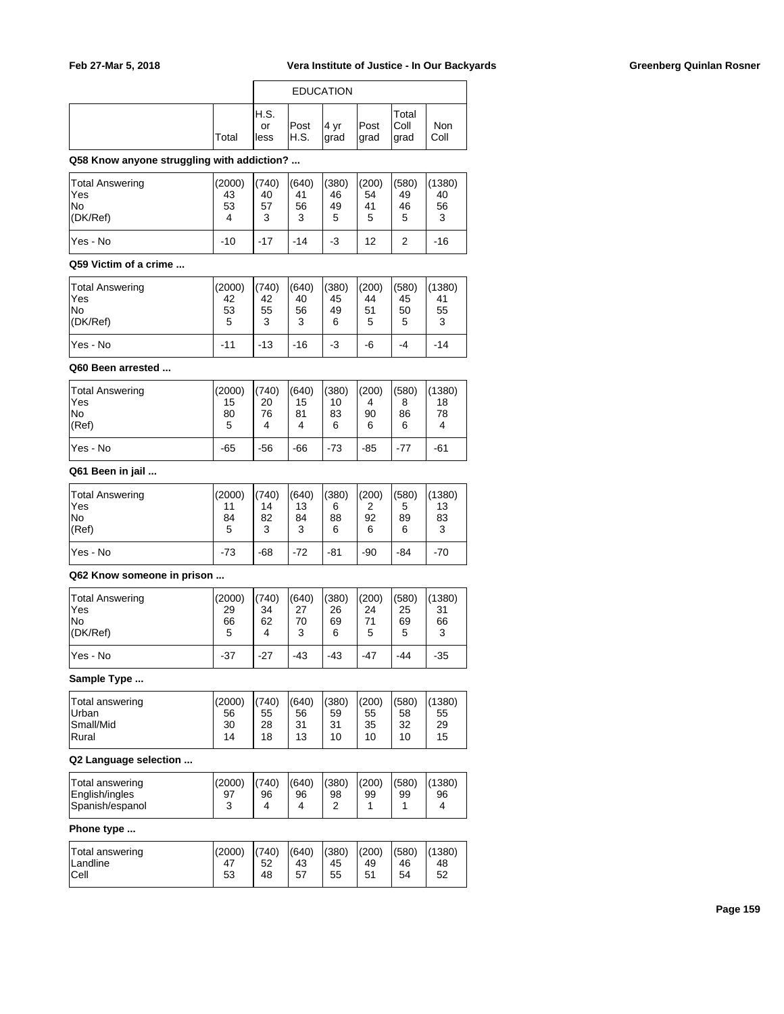|       | <b>EDUCATION</b>     |                           |              |              |                         |             |  |  |
|-------|----------------------|---------------------------|--------------|--------------|-------------------------|-------------|--|--|
| Total | IH.S.<br>or<br>lless | Post<br><sup>I</sup> H.S. | 4 yr<br>grad | Post<br>grad | Total<br> Coll<br>∣grad | Non<br>Coll |  |  |

## **Q58 Know anyone struggling with addiction? ...**

| <b>Total Answering</b> | (2000) | (740) | (640) | (380) | (200) | (580) | (1380) |
|------------------------|--------|-------|-------|-------|-------|-------|--------|
| lYes                   | 43     | 40    | 41    | 46    | 54    | 49    | 40     |
| lNo                    | 53     | 57    | 56    | 49    | 41    | 46    | 56     |
| (DK/Ref)               | 4      | 3     | 3     | 5     | 5     | 5     | 3      |
| lYes - No              | $-10$  | $-17$ | -14   | -3    | 12    | 2     | $-16$  |

### **Q59 Victim of a crime ...**

| <b>Total Answering</b> | (2000) | (740) | (640) | (380) | (200) | (580) | (1380) |
|------------------------|--------|-------|-------|-------|-------|-------|--------|
| lYes                   | 42     | 42    | 40    | 45    | 44    | 45    | 41     |
| lNo                    | 53     | 55    | 56    | 49    | 51    | 50    | 55     |
| $ $ (DK/Ref)           | 5      | 3     | 3     | 6     | 5     | 5     | 3      |
| lYes - No              | $-11$  | $-13$ | $-16$ | -3    | -6    | -4    | -14    |

## **Q60 Been arrested ...**

| <b>Total Answering</b> | (2000) | (740) | (640) | (380) | (200) | (580) | (1380) |
|------------------------|--------|-------|-------|-------|-------|-------|--------|
| lYes                   | 15     | 20    | 15    | 10    | 4     | 8     | 18     |
| lNo                    | 80     | 76    | 81    | 83    | 90    | 86    | 78     |
| (Ref)                  | 5      | 4     | 4     | 6     | 6     | 6     | 4      |
| lYes - No              | $-65$  | $-56$ | $-66$ | $-73$ | $-85$ | $-77$ | -61    |

## **Q61 Been in jail ...**

| Total Answering | (2000) | (740) | (640) | (380) | (200) | (580) | (1380) |
|-----------------|--------|-------|-------|-------|-------|-------|--------|
| 'Yes            | 11     | 14    | 13    | 6     | 2     | 5     | 13     |
| lNo             | 84     | 82    | 84    | 88    | 92    | 89    | 83     |
| (Ref)           | 5      | 3     | 3     | 6     | 6     | 6     | 3      |
| lYes - No       | $-73$  | $-68$ | $-72$ | $-81$ | $-90$ | -84   | $-70$  |

### **Q62 Know someone in prison ...**

| <b>Total Answering</b> | (2000) | (740) | (640) | (380) | (200) | (580) | (1380) |
|------------------------|--------|-------|-------|-------|-------|-------|--------|
| lYes                   | 29     | 34    | 27    | 26    | 24    | 25    | 31     |
| lNo                    | 66     | 62    | 70    | 69    | 71    | 69    | 66     |
| $ $ (DK/Ref)           | 5      | 4     | 3     | 6     | 5     | 5     | 3      |
| lYes - No              | $-37$  | $-27$ | $-43$ | $-43$ | $-47$ | -44   | $-35$  |

### **Sample Type ...**

| Total answering<br>Urban | (2000)<br>56 | (740)<br>55 | (640)<br>56 | (380)<br>59 | (200)<br>55 | (580)<br>58 | (1380)<br>55 |
|--------------------------|--------------|-------------|-------------|-------------|-------------|-------------|--------------|
| Small/Mid                | 30           | 28          | 31          | 31          | 35          | 32          | 29           |
| Rural                    | 14           | 18          | 13          | 10          | 10          | 10          | 15           |

## **Q2 Language selection ...**

| English/ingles<br>98<br>99<br>99<br>96<br>96<br>97<br>96<br>Spanish/espanol<br>4<br>υ | Total answering | (2000) | (740) | (640) | (380) | (200) | (580) | (1380) |
|---------------------------------------------------------------------------------------|-----------------|--------|-------|-------|-------|-------|-------|--------|
|---------------------------------------------------------------------------------------|-----------------|--------|-------|-------|-------|-------|-------|--------|

### **Phone type ...**

| Total answering | (2000) | (740) | (640) | (380) | (200) | (580) | (1380) |
|-----------------|--------|-------|-------|-------|-------|-------|--------|
| Landline        | 47     | 52    | 43    | 45    | 49    | 46    | 48     |
| Cell            | 53     | 48    | 57    | 55    | 51    | 54    | 52     |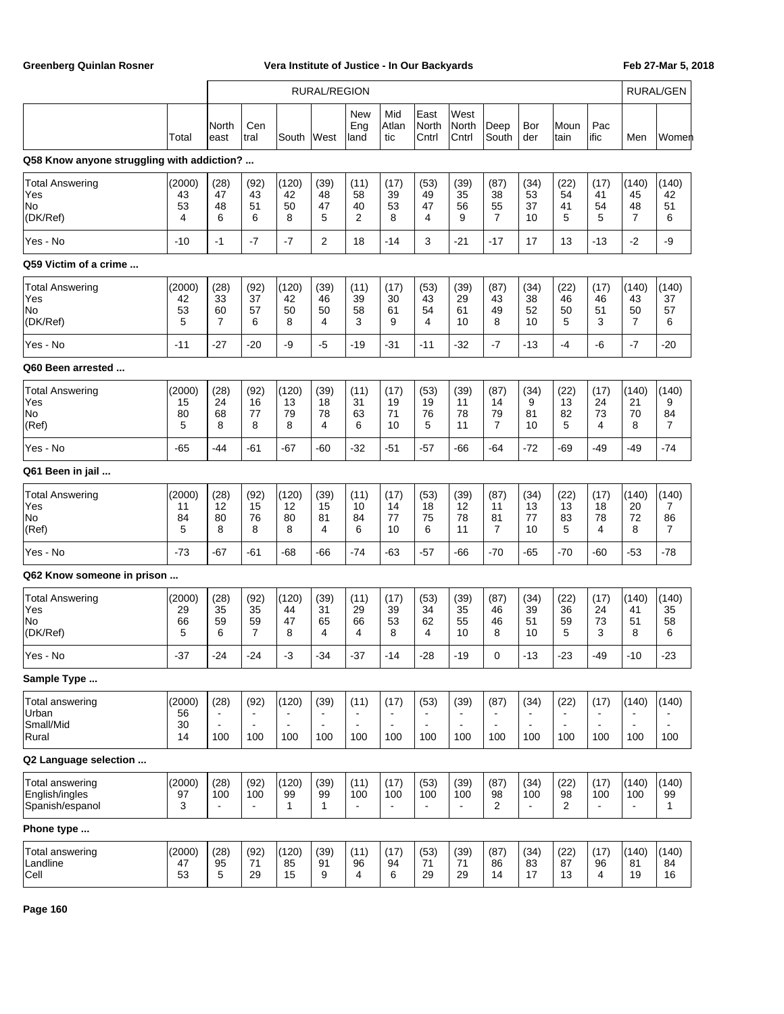|                                                             |                          | <b>RURAL/REGION</b>                |                                    |                                          |                               |                                                 |                                                           |                               |                               | RURAL/GEN                          |                               |                                                 |                                                 |                                |                                    |
|-------------------------------------------------------------|--------------------------|------------------------------------|------------------------------------|------------------------------------------|-------------------------------|-------------------------------------------------|-----------------------------------------------------------|-------------------------------|-------------------------------|------------------------------------|-------------------------------|-------------------------------------------------|-------------------------------------------------|--------------------------------|------------------------------------|
|                                                             | Total                    | North<br>least                     | Cen<br>tral                        | South                                    | West                          | New<br>Eng<br>land                              | Mid<br>Atlan<br>tic                                       | East<br>North<br>Cntrl        | West<br>North<br>Cntrl        | Deep<br>South                      | Bor<br>der                    | Moun<br>tain                                    | Pac<br>ific                                     | Men                            | Women                              |
| Q58 Know anyone struggling with addiction?                  |                          |                                    |                                    |                                          |                               |                                                 |                                                           |                               |                               |                                    |                               |                                                 |                                                 |                                |                                    |
| <b>Total Answering</b><br>Yes<br>No<br>(DK/Ref)             | (2000)<br>43<br>53<br>4  | (28)<br>47<br>48<br>6              | (92)<br>43<br>51<br>6              | (120)<br>42<br>50<br>8                   | (39)<br>48<br>47<br>5         | (11)<br>58<br>40<br>2                           | (17)<br>39<br>53<br>8                                     | (53)<br>49<br>47<br>4         | (39)<br>35<br>56<br>9         | (87)<br>38<br>55<br>$\overline{7}$ | (34)<br>53<br>37<br>10        | (22)<br>54<br>41<br>5                           | (17)<br>41<br>54<br>5                           | (140)<br>45<br>48<br>7         | (140)<br>42<br>51<br>6             |
| Yes - No                                                    | $-10$                    | $-1$                               | $-7$                               | $-7$                                     | $\overline{2}$                | 18                                              | $-14$                                                     | 3                             | $-21$                         | $-17$                              | 17                            | 13                                              | $-13$                                           | $-2$                           | -9                                 |
| Q59 Victim of a crime                                       |                          |                                    |                                    |                                          |                               |                                                 |                                                           |                               |                               |                                    |                               |                                                 |                                                 |                                |                                    |
| <b>Total Answering</b><br>Yes<br>No<br>(DK/Ref)             | (2000)<br>42<br>53<br>5  | (28)<br>33<br>60<br>$\overline{7}$ | (92)<br>37<br>57<br>6              | (120)<br>42<br>50<br>8                   | (39)<br>46<br>50<br>4         | (11)<br>39<br>58<br>3                           | (17)<br>30<br>61<br>9                                     | (53)<br>43<br>54<br>4         | (39)<br>29<br>61<br>10        | (87)<br>43<br>49<br>8              | (34)<br>38<br>52<br>10        | (22)<br>46<br>50<br>5                           | (17)<br>46<br>51<br>3                           | (140)<br>43<br>50<br>7         | (140)<br>37<br>57<br>6             |
| Yes - No                                                    | $-11$                    | $-27$                              | $-20$                              | -9                                       | $-5$                          | $-19$                                           | $-31$                                                     | $-11$                         | $-32$                         | $-7$                               | $-13$                         | $-4$                                            | -6                                              | $-7$                           | $-20$                              |
| Q60 Been arrested                                           |                          |                                    |                                    |                                          |                               |                                                 |                                                           |                               |                               |                                    |                               |                                                 |                                                 |                                |                                    |
| <b>Total Answering</b><br>Yes<br>No<br>(Ref)                | (2000)<br>15<br>80<br>5  | (28)<br>24<br>68<br>8              | (92)<br>16<br>77<br>8              | (120)<br>13<br>79<br>8                   | (39)<br>18<br>78<br>4         | (11)<br>31<br>63<br>6                           | (17)<br>19<br>71<br>10                                    | (53)<br>19<br>76<br>5         | (39)<br>11<br>78<br>11        | (87)<br>14<br>79<br>$\overline{7}$ | (34)<br>9<br>81<br>10         | (22)<br>13<br>82<br>5                           | (17)<br>24<br>73<br>4                           | (140)<br>21<br>70<br>8         | (140)<br>9<br>84<br>$\overline{7}$ |
| Yes - No                                                    | $-65$                    | -44                                | -61                                | $-67$                                    | -60                           | $-32$                                           | $-51$                                                     | $-57$                         | -66                           | -64                                | $-72$                         | $-69$                                           | -49                                             | -49                            | $-74$                              |
| Q61 Been in jail                                            |                          |                                    |                                    |                                          |                               |                                                 |                                                           |                               |                               |                                    |                               |                                                 |                                                 |                                |                                    |
| <b>Total Answering</b><br>Yes<br>No<br>(Ref)                | (2000)<br>11<br>84<br>5  | (28)<br>12<br>80<br>8              | (92)<br>15<br>76<br>8              | (120)<br>12<br>80<br>8                   | (39)<br>15<br>81<br>4         | (11)<br>10<br>84<br>6                           | (17)<br>14<br>77<br>10                                    | (53)<br>18<br>75<br>6         | (39)<br>12<br>78<br>11        | (87)<br>11<br>81<br>$\overline{7}$ | (34)<br>13<br>77<br>10        | (22)<br>13<br>83<br>5                           | (17)<br>18<br>78<br>4                           | (140)<br>20<br>72<br>8         | (140)<br>7<br>86<br>$\overline{7}$ |
| Yes - No                                                    | $-73$                    | $-67$                              | -61                                | $-68$                                    | -66                           | $-74$                                           | $-63$                                                     | $-57$                         | -66                           | $-70$                              | $-65$                         | $-70$                                           | $-60$                                           | $-53$                          | $-78$                              |
| Q62 Know someone in prison                                  |                          |                                    |                                    |                                          |                               |                                                 |                                                           |                               |                               |                                    |                               |                                                 |                                                 |                                |                                    |
| <b>Total Answering</b><br>Yes<br>No<br>(DK/Ref)             | (2000)<br>29<br>66<br>5  | (28)<br>35<br>59<br>6              | (92)<br>35<br>59<br>$\overline{7}$ | (120)<br>44<br>47<br>8                   | (39)<br>31<br>65<br>4         | (11)<br>29<br>66<br>4                           | (17)<br>39<br>53<br>8                                     | (53)<br>34<br>62<br>4         | (39)<br>35<br>55<br>10        | (87)<br>46<br>46<br>8              | (34)<br>39<br>51<br>10        | (22)<br>36<br>59<br>5                           | (17)<br>24<br>73<br>3                           | (140)<br>41<br>51<br>8         | (140)<br>35<br>58<br>6             |
| Yes - No                                                    | -37                      | -24                                | -24                                | -3                                       | -34                           | -37                                             | -14                                                       | -28                           | -19                           | 0                                  | -13                           | -23                                             | -49                                             | -10                            | -23                                |
| Sample Type                                                 |                          |                                    |                                    |                                          |                               |                                                 |                                                           |                               |                               |                                    |                               |                                                 |                                                 |                                |                                    |
| Total answering<br>Urban<br>Small/Mid<br>Rural              | (2000)<br>56<br>30<br>14 | (28)<br>$\blacksquare$<br>100      | (92)<br>$\sim$<br>100              | (120)<br>$\overline{\phantom{a}}$<br>100 | (39)<br>$\blacksquare$<br>100 | (11)<br>$\blacksquare$<br>$\blacksquare$<br>100 | (17)<br>$\overline{\phantom{a}}$<br>$\blacksquare$<br>100 | (53)<br>$\blacksquare$<br>100 | (39)<br>$\blacksquare$<br>100 | (87)<br>$\blacksquare$<br>100      | (34)<br>$\blacksquare$<br>100 | (22)<br>$\blacksquare$<br>$\blacksquare$<br>100 | (17)<br>$\blacksquare$<br>$\overline{a}$<br>100 | (140)<br>$\overline{a}$<br>100 | (140)<br>$\blacksquare$<br>100     |
| Q2 Language selection                                       |                          |                                    |                                    |                                          |                               |                                                 |                                                           |                               |                               |                                    |                               |                                                 |                                                 |                                |                                    |
| <b>Total answering</b><br>English/ingles<br>Spanish/espanol | (2000)<br>97<br>3        | (28)<br>100                        | (92)<br>100                        | (120)<br>99<br>$\mathbf{1}$              | (39)<br>99<br>$\mathbf{1}$    | (11)<br>100<br>$\blacksquare$                   | (17)<br>100<br>$\blacksquare$                             | (53)<br>100<br>$\blacksquare$ | (39)<br>100<br>$\blacksquare$ | (87)<br>98<br>$\overline{2}$       | (34)<br>100<br>$\blacksquare$ | (22)<br>98<br>2                                 | (17)<br>100<br>$\blacksquare$                   | (140)<br>100<br>$\blacksquare$ | (140)<br>99<br>$\mathbf{1}$        |
| Phone type                                                  |                          |                                    |                                    |                                          |                               |                                                 |                                                           |                               |                               |                                    |                               |                                                 |                                                 |                                |                                    |
| <b>Total answering</b><br>Landline<br>Cell                  | (2000)<br>47<br>53       | (28)<br>95<br>5                    | (92)<br>71<br>29                   | (120)<br>85<br>15                        | (39)<br>91<br>9               | (11)<br>96<br>4                                 | (17)<br>94<br>6                                           | (53)<br>71<br>29              | (39)<br>71<br>29              | (87)<br>86<br>14                   | (34)<br>83<br>17              | (22)<br>87<br>13                                | (17)<br>96<br>4                                 | (140)<br>81<br>19              | (140)<br>84<br>16                  |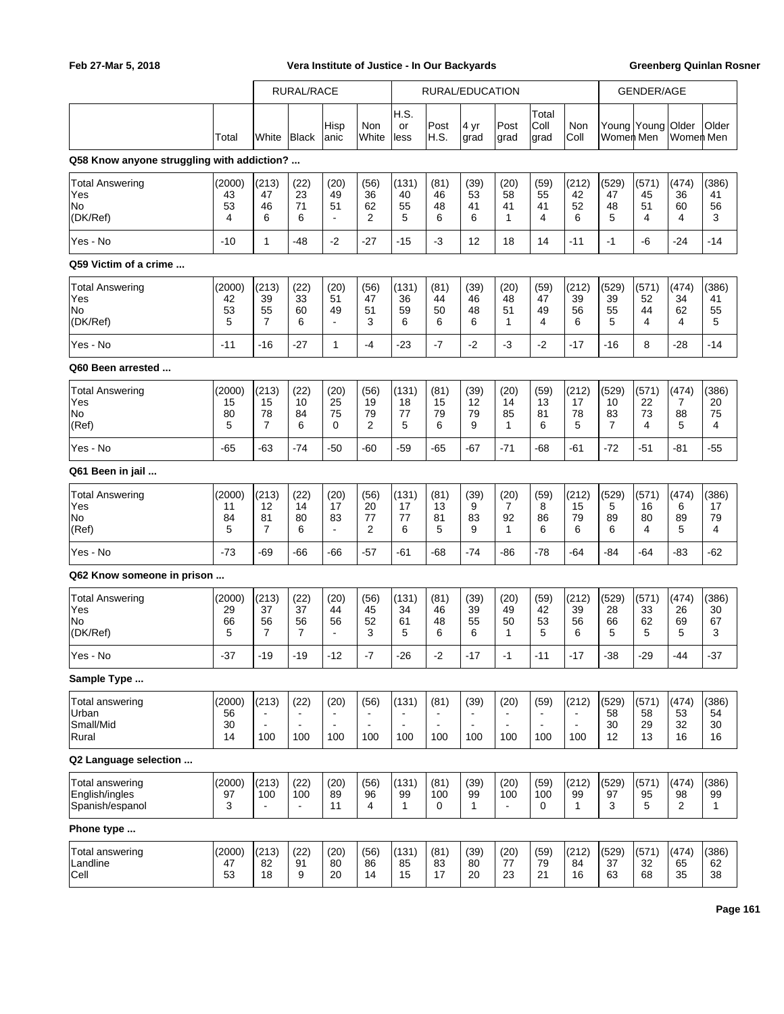|                                                                   |                          |                                          | <b>RURAL/RACE</b>                             |                                         |                                                           |                                                  |                                                 | RURAL/EDUCATION                                 |                                                 |                                                 |                                                  |                                     | <b>GENDER/AGE</b>       |                                    |                             |
|-------------------------------------------------------------------|--------------------------|------------------------------------------|-----------------------------------------------|-----------------------------------------|-----------------------------------------------------------|--------------------------------------------------|-------------------------------------------------|-------------------------------------------------|-------------------------------------------------|-------------------------------------------------|--------------------------------------------------|-------------------------------------|-------------------------|------------------------------------|-----------------------------|
|                                                                   | Total                    | White                                    | Black                                         | Hisp<br>anic                            | Non<br>White                                              | H.S.<br>or<br>less                               | Post<br>H.S.                                    | 4 yr<br>grad                                    | Post<br>grad                                    | Total<br>Coll<br>grad                           | Non<br>Coll                                      | Women Men                           | Young Young Older       | Women Men                          | Older                       |
| Q58 Know anyone struggling with addiction?                        |                          |                                          |                                               |                                         |                                                           |                                                  |                                                 |                                                 |                                                 |                                                 |                                                  |                                     |                         |                                    |                             |
| <b>Total Answering</b><br>Yes<br>No<br>(DK/Ref)                   | (2000)<br>43<br>53<br>4  | (213)<br>47<br>46<br>6                   | (22)<br>23<br>71<br>6                         | (20)<br>49<br>51<br>$\blacksquare$      | (56)<br>36<br>62<br>2                                     | (131)<br>40<br>55<br>5                           | (81)<br>46<br>48<br>6                           | (39)<br>53<br>41<br>6                           | (20)<br>58<br>41<br>$\mathbf{1}$                | (59)<br>55<br>41<br>4                           | (212)<br>42<br>52<br>6                           | (529)<br>47<br>48<br>5              | (571)<br>45<br>51<br>4  | (474)<br>36<br>60<br>4             | (386)<br>41<br>56<br>3      |
| Yes - No                                                          | $-10$                    | 1                                        | $-48$                                         | $-2$                                    | -27                                                       | $-15$                                            | -3                                              | 12                                              | 18                                              | 14                                              | $-11$                                            | $-1$                                | -6                      | $-24$                              | $-14$                       |
| Q59 Victim of a crime                                             |                          |                                          |                                               |                                         |                                                           |                                                  |                                                 |                                                 |                                                 |                                                 |                                                  |                                     |                         |                                    |                             |
| <b>Total Answering</b><br>Yes<br>No<br>(DK/Ref)                   | (2000)<br>42<br>53<br>5  | (213)<br>39<br>55<br>$\overline{7}$      | (22)<br>33<br>60<br>6                         | (20)<br>51<br>49<br>$\blacksquare$      | (56)<br>47<br>51<br>3                                     | (131)<br>36<br>59<br>6                           | (81)<br>44<br>50<br>6                           | (39)<br>46<br>48<br>6                           | (20)<br>48<br>51<br>$\mathbf{1}$                | (59)<br>47<br>49<br>4                           | (212)<br>39<br>56<br>6                           | (529)<br>39<br>55<br>5              | (571)<br>52<br>44<br>4  | (474)<br>34<br>62<br>4             | (386)<br>41<br>55<br>5      |
| Yes - No                                                          | $-11$                    | $-16$                                    | $-27$                                         | 1                                       | $-4$                                                      | $-23$                                            | $-7$                                            | $-2$                                            | $-3$                                            | $-2$                                            | $-17$                                            | -16                                 | 8                       | $-28$                              | $-14$                       |
| Q60 Been arrested<br><b>Total Answering</b><br>Yes<br>No<br>(Ref) | (2000)<br>15<br>80<br>5  | (213)<br>15<br>78<br>$\overline{7}$      | (22)<br>10<br>84<br>6                         | (20)<br>25<br>75<br>0                   | (56)<br>19<br>79<br>2                                     | (131)<br>18<br>77<br>5                           | (81)<br>15<br>79<br>6                           | (39)<br>12<br>79<br>9                           | (20)<br>14<br>85<br>$\mathbf{1}$                | (59)<br>13<br>81<br>6                           | (212)<br>17<br>78<br>5                           | (529)<br>10<br>83<br>$\overline{7}$ | (571)<br>22<br>73<br>4  | (474)<br>$\overline{7}$<br>88<br>5 | (386)<br>20<br>75<br>4      |
| Yes - No                                                          | $-65$                    | $-63$                                    | $-74$                                         | $-50$                                   | $-60$                                                     | $-59$                                            | $-65$                                           | -67                                             | $-71$                                           | $-68$                                           | -61                                              | $-72$                               | $-51$                   | $-81$                              | $-55$                       |
| Q61 Been in jail                                                  |                          |                                          |                                               |                                         |                                                           |                                                  |                                                 |                                                 |                                                 |                                                 |                                                  |                                     |                         |                                    |                             |
| <b>Total Answering</b><br>Yes<br>No<br>(Ref)                      | (2000)<br>11<br>84<br>5  | (213)<br>12<br>81<br>$\overline{7}$      | (22)<br>14<br>80<br>6                         | (20)<br>17<br>83<br>$\blacksquare$      | (56)<br>20<br>77<br>2                                     | (131)<br>17<br>77<br>6                           | (81)<br>13<br>81<br>5                           | (39)<br>9<br>83<br>9                            | (20)<br>$\overline{7}$<br>92<br>$\mathbf 1$     | (59)<br>8<br>86<br>6                            | (212)<br>15<br>79<br>6                           | (529)<br>5<br>89<br>6               | (571)<br>16<br>80<br>4  | (474)<br>6<br>89<br>5              | (386)<br>17<br>79<br>4      |
| Yes - No                                                          | $-73$                    | -69                                      | -66                                           | $-66$                                   | $-57$                                                     | -61                                              | -68                                             | $-74$                                           | -86                                             | $-78$                                           | $-64$                                            | -84                                 | $-64$                   | -83                                | $-62$                       |
| Q62 Know someone in prison                                        |                          |                                          |                                               |                                         |                                                           |                                                  |                                                 |                                                 |                                                 |                                                 |                                                  |                                     |                         |                                    |                             |
| <b>Total Answering</b><br>Yes<br>No<br>(DK/Ref)                   | (2000)<br>29<br>66<br>5  | (213)<br>37<br>56<br>$\overline{7}$      | (22)<br>37<br>56<br>$\overline{7}$            | (20)<br>44<br>56<br>$\blacksquare$      | (56)<br>45<br>52<br>3                                     | (131)<br>34<br>61<br>5                           | (81)<br>46<br>48<br>6                           | (39)<br>39<br>55<br>6                           | (20)<br>49<br>50<br>$\mathbf 1$                 | (59)<br>42<br>53<br>5                           | (212)<br>39<br>56<br>6                           | (529)<br>28<br>66<br>5              | (571)<br>33<br>62<br>5  | (474)<br>26<br>69<br>5             | (386)<br>30<br>67<br>3      |
| Yes - No                                                          | $-37$                    | $-19$                                    | $-19$                                         | $-12$                                   | $\mathbf{-7}$                                             | $-26$                                            | $-2$                                            | $-17$                                           | $-1$                                            | $-11$                                           | $-17$                                            | $-38$                               | $-29$                   | $-44$                              | $-37$                       |
| Sample Type<br>Total answering<br>Urban<br>Small/Mid<br>Rural     | (2000)<br>56<br>30<br>14 | (213)<br>$\overline{\phantom{a}}$<br>100 | (22)<br>$\mathbf{r}$<br>$\blacksquare$<br>100 | (20)<br>$\sim$<br>$\blacksquare$<br>100 | (56)<br>$\blacksquare$<br>$\overline{\phantom{a}}$<br>100 | (131)<br>$\blacksquare$<br>$\blacksquare$<br>100 | (81)<br>$\blacksquare$<br>$\blacksquare$<br>100 | (39)<br>$\blacksquare$<br>$\blacksquare$<br>100 | (20)<br>$\blacksquare$<br>$\blacksquare$<br>100 | (59)<br>$\blacksquare$<br>$\blacksquare$<br>100 | (212)<br>$\blacksquare$<br>$\blacksquare$<br>100 | (529)<br>58<br>30<br>12             | (571)<br>58<br>29<br>13 | (474)<br>53<br>32<br>16            | (386)<br>54<br>30<br>16     |
| Q2 Language selection                                             |                          |                                          |                                               |                                         |                                                           |                                                  |                                                 |                                                 |                                                 |                                                 |                                                  |                                     |                         |                                    |                             |
| <b>Total answering</b><br>English/ingles<br>Spanish/espanol       | (2000)<br>97<br>3        | (213)<br>100                             | (22)<br>100<br>$\blacksquare$                 | (20)<br>89<br>11                        | (56)<br>96<br>4                                           | (131)<br>99<br>$\mathbf{1}$                      | (81)<br>100<br>0                                | (39)<br>99<br>$\mathbf{1}$                      | (20)<br>100<br>$\blacksquare$                   | (59)<br>100<br>0                                | (212)<br>99<br>$\mathbf{1}$                      | (529)<br>97<br>3                    | (571)<br>95<br>5        | (474)<br>98<br>2                   | (386)<br>99<br>$\mathbf{1}$ |
| Phone type                                                        |                          |                                          |                                               |                                         |                                                           |                                                  |                                                 |                                                 |                                                 |                                                 |                                                  |                                     |                         |                                    |                             |
| Total answering<br>Landline<br>Cell                               | (2000)<br>47<br>53       | (213)<br>82<br>18                        | (22)<br>91<br>9                               | (20)<br>80<br>20                        | (56)<br>86<br>14                                          | (131)<br>85<br>15                                | (81)<br>83<br>17                                | (39)<br>80<br>20                                | (20)<br>77<br>23                                | (59)<br>79<br>21                                | (212)<br>84<br>16                                | (529)<br>37<br>63                   | (571)<br>32<br>68       | (474)<br>65<br>35                  | (386)<br>62<br>38           |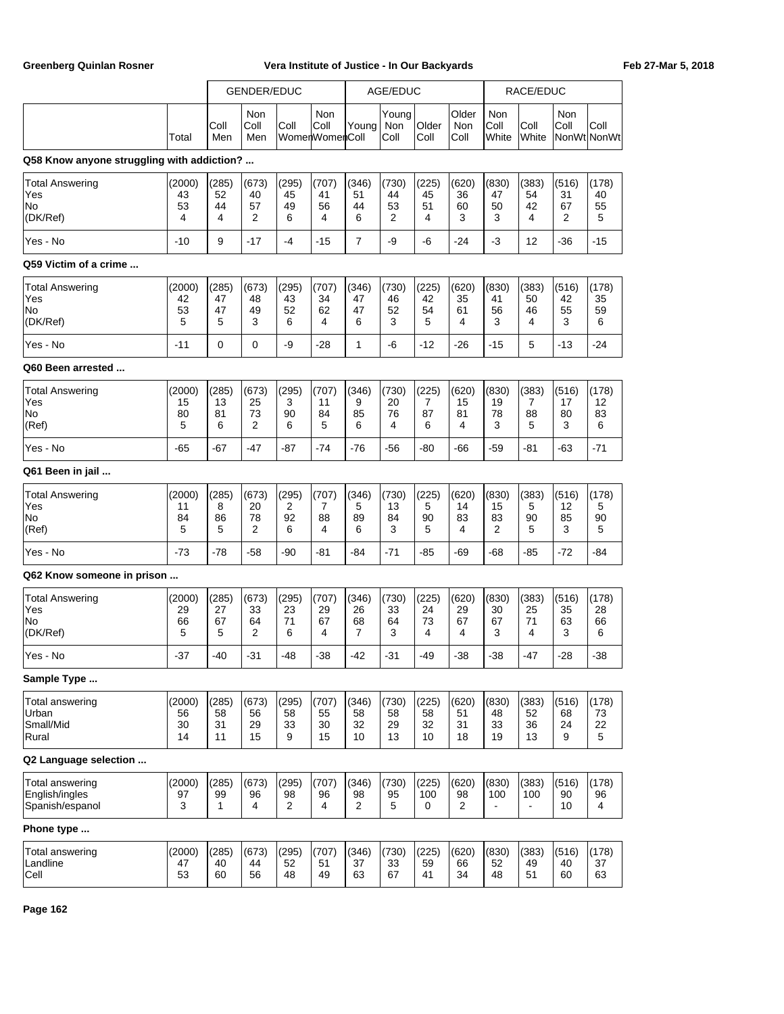|                                                             |                          |                             | <b>GENDER/EDUC</b>      |                        |                               |                         | AGE/EDUC                |                         |                             |                                | RACE/EDUC                      |                        |                        |
|-------------------------------------------------------------|--------------------------|-----------------------------|-------------------------|------------------------|-------------------------------|-------------------------|-------------------------|-------------------------|-----------------------------|--------------------------------|--------------------------------|------------------------|------------------------|
|                                                             | Total                    | Coll<br>Men                 | Non<br>Coll<br>Men      | Coll                   | Non<br>Coll<br>WomenWomenColl | Young                   | Young<br>Non<br>Coll    | Older<br>Coll           | Older<br><b>Non</b><br>Coll | Non<br>Coll<br>White           | Coll<br>White                  | Non<br>Coll            | Coll<br>NonWt NonWt    |
| Q58 Know anyone struggling with addiction?                  |                          |                             |                         |                        |                               |                         |                         |                         |                             |                                |                                |                        |                        |
| Total Answering<br>Yes<br>No<br>(DK/Ref)                    | (2000)<br>43<br>53<br>4  | (285)<br>52<br>44<br>4      | (673)<br>40<br>57<br>2  | (295)<br>45<br>49<br>6 | (707)<br>41<br>56<br>4        | (346)<br>51<br>44<br>6  | (730)<br>44<br>53<br>2  | (225)<br>45<br>51<br>4  | (620)<br>36<br>60<br>3      | (830)<br>47<br>50<br>3         | (383)<br>54<br>42<br>4         | (516)<br>31<br>67<br>2 | (178)<br>40<br>55<br>5 |
| Yes - No                                                    | $-10$                    | 9                           | $-17$                   | $-4$                   | $-15$                         | $\overline{7}$          | -9                      | -6                      | $-24$                       | $-3$                           | 12                             | $-36$                  | $-15$                  |
| Q59 Victim of a crime                                       |                          |                             |                         |                        |                               |                         |                         |                         |                             |                                |                                |                        |                        |
| Total Answering<br>Yes<br>No<br>(DK/Ref)                    | (2000)<br>42<br>53<br>5  | (285)<br>47<br>47<br>5      | (673)<br>48<br>49<br>3  | (295)<br>43<br>52<br>6 | (707)<br>34<br>62<br>4        | (346)<br>47<br>47<br>6  | (730)<br>46<br>52<br>3  | (225)<br>42<br>54<br>5  | (620)<br>35<br>61<br>4      | (830)<br>41<br>56<br>3         | (383)<br>50<br>46<br>4         | (516)<br>42<br>55<br>3 | (178)<br>35<br>59<br>6 |
| Yes - No                                                    | $-11$                    | $\Omega$                    | $\Omega$                | -9                     | $-28$                         | $\mathbf{1}$            | -6                      | $-12$                   | $-26$                       | $-15$                          | 5                              | $-13$                  | $-24$                  |
| Q60 Been arrested                                           |                          |                             |                         |                        |                               |                         |                         |                         |                             |                                |                                |                        |                        |
| <b>Total Answering</b><br>Yes<br>No<br>(Ref)                | (2000)<br>15<br>80<br>5  | (285)<br>13<br>81<br>6      | (673)<br>25<br>73<br>2  | (295)<br>3<br>90<br>6  | (707)<br>11<br>84<br>5        | (346)<br>9<br>85<br>6   | (730)<br>20<br>76<br>4  | (225)<br>7<br>87<br>6   | (620)<br>15<br>81<br>4      | (830)<br>19<br>78<br>3         | (383)<br>7<br>88<br>5          | (516)<br>17<br>80<br>3 | (178)<br>12<br>83<br>6 |
| Yes - No                                                    | -65                      | -67                         | -47                     | -87                    | $-74$                         | $-76$                   | $-56$                   | -80                     | -66                         | $-59$                          | -81                            | $-63$                  | $-71$                  |
| Q61 Been in jail                                            |                          |                             |                         |                        |                               |                         |                         |                         |                             |                                |                                |                        |                        |
| <b>Total Answering</b><br>Yes<br>No<br>(Ref)                | (2000)<br>11<br>84<br>5  | (285)<br>8<br>86<br>5       | (673)<br>20<br>78<br>2  | (295)<br>2<br>92<br>6  | (707)<br>7<br>88<br>4         | (346)<br>5<br>89<br>6   | (730)<br>13<br>84<br>3  | (225)<br>5<br>90<br>5   | (620)<br>14<br>83<br>4      | (830)<br>15<br>83<br>2         | (383)<br>5<br>90<br>5          | (516)<br>12<br>85<br>3 | (178)<br>5<br>90<br>5  |
| Yes - No                                                    | $-73$                    | -78                         | $-58$                   | -90                    | -81                           | -84                     | $-71$                   | -85                     | -69                         | -68                            | -85                            | $-72$                  | -84                    |
| Q62 Know someone in prison                                  |                          |                             |                         |                        |                               |                         |                         |                         |                             |                                |                                |                        |                        |
| Total Answering<br>Yes<br>No<br>(DK/Ref)                    | (2000)<br>29<br>66<br>5  | (285)<br>27<br>67<br>5      | (673)<br>33<br>64<br>2  | (295)<br>23<br>71<br>6 | (707)<br>29<br>67<br>4        | (346)<br>26<br>68<br>7  | (730)<br>33<br>64<br>3  | (225)<br>24<br>73<br>4  | (620)<br>29<br>67<br>4      | (830)<br>30<br>67<br>3         | (383)<br>25<br>71<br>4         | (516)<br>35<br>63<br>3 | (178)<br>28<br>66<br>6 |
| Yes - No                                                    | $-37$                    | $-40$                       | $-31$                   | $-48$                  | $-38$                         | $-42$                   | $-31$                   | $-49$                   | $-38$                       | $-38$                          | $-47$                          | $-28$                  | $-38$                  |
| Sample Type                                                 |                          |                             |                         |                        |                               |                         |                         |                         |                             |                                |                                |                        |                        |
| Total answering<br>Urban<br>Small/Mid<br>Rural              | (2000)<br>56<br>30<br>14 | (285)<br>58<br>31<br>11     | (673)<br>56<br>29<br>15 | (295)<br>58<br>33<br>9 | (707)<br>55<br>30<br>15       | (346)<br>58<br>32<br>10 | (730)<br>58<br>29<br>13 | (225)<br>58<br>32<br>10 | (620)<br>51<br>31<br>18     | (830)<br>48<br>33<br>19        | (383)<br>52<br>36<br>13        | (516)<br>68<br>24<br>9 | (178)<br>73<br>22<br>5 |
| Q2 Language selection                                       |                          |                             |                         |                        |                               |                         |                         |                         |                             |                                |                                |                        |                        |
| <b>Total answering</b><br>English/ingles<br>Spanish/espanol | (2000)<br>97<br>3        | (285)<br>99<br>$\mathbf{1}$ | (673)<br>96<br>4        | (295)<br>98<br>2       | (707)<br>96<br>4              | (346)<br>98<br>2        | (730)<br>95<br>5        | (225)<br>100<br>0       | (620)<br>98<br>2            | (830)<br>100<br>$\blacksquare$ | (383)<br>100<br>$\blacksquare$ | (516)<br>90<br>10      | (178)<br>96<br>4       |
| Phone type                                                  |                          |                             |                         |                        |                               |                         |                         |                         |                             |                                |                                |                        |                        |
| Total answering<br>Landline<br>Cell                         | (2000)<br>47<br>53       | (285)<br>40<br>60           | (673)<br>44<br>56       | (295)<br>52<br>48      | (707)<br>51<br>49             | (346)<br>37<br>63       | (730)<br>33<br>67       | (225)<br>59<br>41       | (620)<br>66<br>34           | (830)<br>52<br>48              | (383)<br>49<br>51              | (516)<br>40<br>60      | (178)<br>37<br>63      |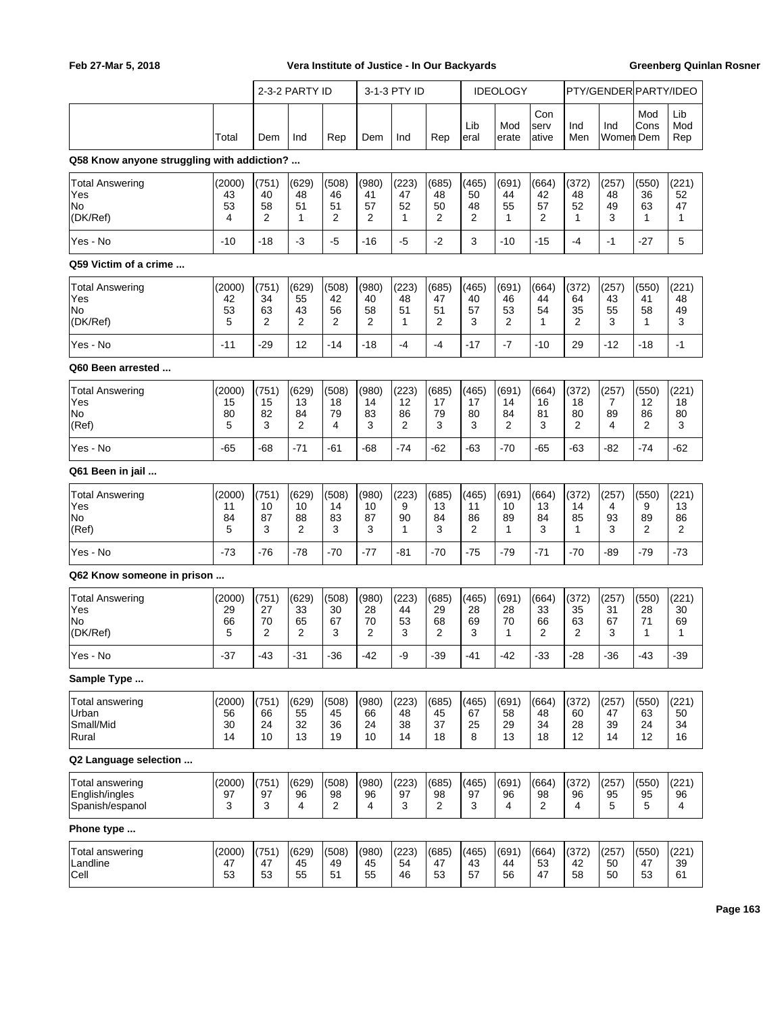|                                                      |                          |                         | 2-3-2 PARTY ID          |                                     |                                     | 3-1-3 PTY ID            |                               |                        | <b>IDEOLOGY</b>         |                               |                         | PTY/GENDER PARTY/IDEO   |                         |                         |
|------------------------------------------------------|--------------------------|-------------------------|-------------------------|-------------------------------------|-------------------------------------|-------------------------|-------------------------------|------------------------|-------------------------|-------------------------------|-------------------------|-------------------------|-------------------------|-------------------------|
|                                                      | Total                    | Dem                     | Ind                     | Rep                                 | Dem                                 | Ind                     | Rep                           | Lib<br>eral            | Mod<br>erate            | Con<br>serv<br>ative          | Ind<br>Men              | Ind<br>Women Dem        | Mod<br>Cons             | Lib<br>Mod<br>Rep       |
| Q58 Know anyone struggling with addiction?           |                          |                         |                         |                                     |                                     |                         |                               |                        |                         |                               |                         |                         |                         |                         |
| <b>Total Answering</b><br>Yes<br>No<br>(DK/Ref)      | (2000)<br>43<br>53<br>4  | (751)<br>40<br>58<br>2  | (629)<br>48<br>51<br>1  | (508)<br>46<br>51<br>$\overline{2}$ | (980)<br>41<br>57<br>$\overline{2}$ | (223)<br>47<br>52<br>1  | (685)<br>48<br>50<br>2        | (465)<br>50<br>48<br>2 | (691)<br>44<br>55<br>1  | (664)<br>42<br>57<br>2        | (372)<br>48<br>52<br>1  | (257)<br>48<br>49<br>3  | (550)<br>36<br>63<br>1  | (221)<br>52<br>47<br>1  |
| Yes - No                                             | $-10$                    | $-18$                   | -3                      | -5                                  | -16                                 | -5                      | $-2$                          | 3                      | $-10$                   | -15                           | -4                      | $-1$                    | -27                     | 5                       |
| Q59 Victim of a crime                                |                          |                         |                         |                                     |                                     |                         |                               |                        |                         |                               |                         |                         |                         |                         |
| <b>Total Answering</b><br>Yes<br>No<br>(DK/Ref)      | (2000)<br>42<br>53<br>5  | (751)<br>34<br>63<br>2  | (629)<br>55<br>43<br>2  | (508)<br>42<br>56<br>2              | (980)<br>40<br>58<br>$\overline{2}$ | (223)<br>48<br>51<br>1  | (685)<br>47<br>51<br>2        | (465)<br>40<br>57<br>3 | (691)<br>46<br>53<br>2  | (664)<br>44<br>54<br>1        | (372)<br>64<br>35<br>2  | (257)<br>43<br>55<br>3  | (550)<br>41<br>58<br>1  | (221)<br>48<br>49<br>3  |
| Yes - No                                             | $-11$                    | $-29$                   | 12                      | -14                                 | $-18$                               | $-4$                    | -4                            | $-17$                  | $-7$                    | $-10$                         | 29                      | -12                     | $-18$                   | $-1$                    |
| Q60 Been arrested                                    |                          |                         |                         |                                     |                                     |                         |                               |                        |                         |                               |                         |                         |                         |                         |
| <b>Total Answering</b><br>Yes<br>No<br>(Ref)         | (2000)<br>15<br>80<br>5  | (751)<br>15<br>82<br>3  | (629)<br>13<br>84<br>2  | (508)<br>18<br>79<br>4              | (980)<br>14<br>83<br>3              | (223)<br>12<br>86<br>2  | (685)<br>17<br>79<br>3        | (465)<br>17<br>80<br>3 | (691)<br>14<br>84<br>2  | (664)<br>16<br>81<br>3        | (372)<br>18<br>80<br>2  | (257)<br>7<br>89<br>4   | (550)<br>12<br>86<br>2  | (221)<br>18<br>80<br>3  |
| Yes - No                                             | $-65$                    | -68                     | $-71$                   | -61                                 | -68                                 | $-74$                   | -62                           | -63                    | $-70$                   | $-65$                         | $-63$                   | -82                     | $-74$                   | $-62$                   |
| Q61 Been in jail                                     |                          |                         |                         |                                     |                                     |                         |                               |                        |                         |                               |                         |                         |                         |                         |
| <b>Total Answering</b><br>Yes<br>No<br>(Ref)         | (2000)<br>11<br>84<br>5  | (751)<br>10<br>87<br>3  | (629)<br>10<br>88<br>2  | (508)<br>14<br>83<br>3              | (980)<br>10<br>87<br>3              | (223)<br>9<br>90<br>1   | (685)<br>13<br>84<br>3        | (465)<br>11<br>86<br>2 | (691)<br>10<br>89<br>1  | (664)<br>13<br>84<br>3        | (372)<br>14<br>85<br>1  | (257)<br>4<br>93<br>3   | (550)<br>9<br>89<br>2   | (221)<br>13<br>86<br>2  |
| Yes - No                                             | $-73$                    | $-76$                   | $-78$                   | $-70$                               | $-77$                               | -81                     | $-70$                         | $-75$                  | $-79$                   | $-71$                         | $-70$                   | -89                     | $-79$                   | $-73$                   |
| Q62 Know someone in prison                           |                          |                         |                         |                                     |                                     |                         |                               |                        |                         |                               |                         |                         |                         |                         |
| <b>Total Answering</b><br>Yes<br>No<br>(DK/Ref)      | (2000)<br>29<br>66<br>5  | (751)<br>27<br>70<br>2  | (629)<br>33<br>65<br>2  | (508)<br>30<br>67<br>3              | (980)<br>28<br>70<br>2              | (223)<br>44<br>53<br>3  | (685)<br>29<br>68<br>2        | (465)<br>28<br>69<br>3 | (691)<br>28<br>70<br>1  | (664)<br>33<br>66<br>2        | (372)<br>35<br>63<br>2  | (257)<br>31<br>67<br>3  | (550)<br>28<br>71<br>1  | (221)<br>30<br>69<br>1  |
| Yes - No                                             | $-37$                    | $-43$                   | $-31$                   | $-36$                               | $-42$                               | -9                      | $-39$                         | -41                    | $-42$                   | $-33$                         | $-28$                   | $-36$                   | $-43$                   | $-39$                   |
| Sample Type                                          |                          |                         |                         |                                     |                                     |                         |                               |                        |                         |                               |                         |                         |                         |                         |
| Total answering<br>Urban<br>Small/Mid<br>Rural       | (2000)<br>56<br>30<br>14 | (751)<br>66<br>24<br>10 | (629)<br>55<br>32<br>13 | (508)<br>45<br>36<br>19             | (980)<br>66<br>24<br>10             | (223)<br>48<br>38<br>14 | (685)<br>45<br>37<br>18       | (465)<br>67<br>25<br>8 | (691)<br>58<br>29<br>13 | (664)<br>48<br>34<br>18       | (372)<br>60<br>28<br>12 | (257)<br>47<br>39<br>14 | (550)<br>63<br>24<br>12 | (221)<br>50<br>34<br>16 |
| Q2 Language selection                                |                          |                         |                         |                                     |                                     |                         |                               |                        |                         |                               |                         |                         |                         |                         |
| Total answering<br>English/ingles<br>Spanish/espanol | (2000)<br>97<br>3        | (751)<br>97<br>3        | (629)<br>96<br>4        | (508)<br>98<br>$\overline{2}$       | (980)<br>96<br>4                    | (223)<br>97<br>3        | (685)<br>98<br>$\overline{2}$ | (465)<br>97<br>3       | (691)<br>96<br>4        | (664)<br>98<br>$\overline{2}$ | (372)<br>96<br>4        | (257)<br>95<br>5        | (550)<br>95<br>5        | (221)<br>96<br>4        |
| Phone type                                           |                          |                         |                         |                                     |                                     |                         |                               |                        |                         |                               |                         |                         |                         |                         |
| Total answering<br>Landline<br>Cell                  | (2000)<br>47<br>53       | (751)<br>47<br>53       | (629)<br>45<br>55       | (508)<br>49<br>51                   | (980)<br>45<br>55                   | (223)<br>54<br>46       | (685)<br>47<br>53             | (465)<br>43<br>57      | (691)<br>44<br>56       | (664)<br>53<br>47             | (372)<br>42<br>58       | (257)<br>50<br>50       | (550)<br>47<br>53       | (221)<br>39<br>61       |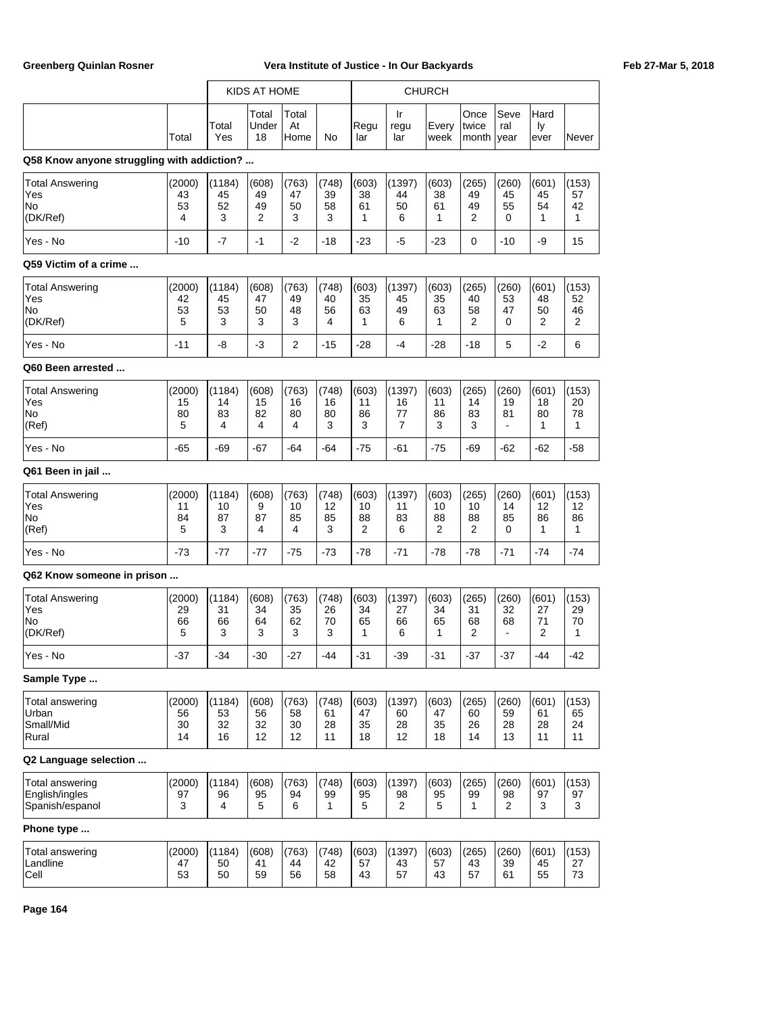|                                                             |                          |                          | KIDS AT HOME            |                         |                         |                         |                          | <b>CHURCH</b>           |                         |                         |                                     |                         |
|-------------------------------------------------------------|--------------------------|--------------------------|-------------------------|-------------------------|-------------------------|-------------------------|--------------------------|-------------------------|-------------------------|-------------------------|-------------------------------------|-------------------------|
|                                                             | Total                    | Total<br>Yes             | Total<br>Under<br>18    | Total<br>At<br>Home     | No                      | Regu<br>lar             | Ir<br>regu<br>lar        | Every<br>week           | Once<br>twice<br>month  | Seve<br>ral<br>year     | Hard<br>ly<br>ever                  | Never                   |
| Q58 Know anyone struggling with addiction?                  |                          |                          |                         |                         |                         |                         |                          |                         |                         |                         |                                     |                         |
| <b>Total Answering</b><br>Yes<br>No<br>(DK/Ref)             | (2000)<br>43<br>53<br>4  | (1184)<br>45<br>52<br>3  | (608)<br>49<br>49<br>2  | (763)<br>47<br>50<br>3  | (748)<br>39<br>58<br>3  | (603)<br>38<br>61<br>1  | (1397)<br>44<br>50<br>6  | (603)<br>38<br>61<br>1  | (265)<br>49<br>49<br>2  | (260)<br>45<br>55<br>0  | (601)<br>45<br>54<br>1              | (153)<br>57<br>42<br>1  |
| Yes - No                                                    | $-10$                    | $-7$                     | $-1$                    | $-2$                    | -18                     | $-23$                   | $-5$                     | $-23$                   | 0                       | $-10$                   | -9                                  | 15                      |
| Q59 Victim of a crime                                       |                          |                          |                         |                         |                         |                         |                          |                         |                         |                         |                                     |                         |
| <b>Total Answering</b><br>Yes<br>lNo.<br>(DK/Ref)           | (2000)<br>42<br>53<br>5  | (1184)<br>45<br>53<br>3  | (608)<br>47<br>50<br>3  | (763)<br>49<br>48<br>3  | (748)<br>40<br>56<br>4  | (603)<br>35<br>63<br>1  | (1397)<br>45<br>49<br>6  | (603)<br>35<br>63<br>1  | (265)<br>40<br>58<br>2  | (260)<br>53<br>47<br>0  | (601)<br>48<br>50<br>$\overline{2}$ | (153)<br>52<br>46<br>2  |
| Yes - No                                                    | $-11$                    | -8                       | -3                      | $\overline{2}$          | $-15$                   | $-28$                   | $-4$                     | $-28$                   | $-18$                   | 5                       | $-2$                                | 6                       |
| Q60 Been arrested                                           |                          |                          |                         |                         |                         |                         |                          |                         |                         |                         |                                     |                         |
| <b>Total Answering</b><br>Yes<br>No<br>(Ref)                | (2000)<br>15<br>80<br>5  | (1184)<br>14<br>83<br>4  | (608)<br>15<br>82<br>4  | (763)<br>16<br>80<br>4  | (748)<br>16<br>80<br>3  | (603)<br>11<br>86<br>3  | (1397)<br>16<br>77<br>7  | (603)<br>11<br>86<br>3  | (265)<br>14<br>83<br>3  | (260)<br>19<br>81       | (601)<br>18<br>80<br>1              | (153)<br>20<br>78<br>1  |
| Yes - No                                                    | $-65$                    | -69                      | $-67$                   | -64                     | -64                     | $-75$                   | -61                      | $-75$                   | -69                     | $-62$                   | $-62$                               | -58                     |
| Q61 Been in jail                                            |                          |                          |                         |                         |                         |                         |                          |                         |                         |                         |                                     |                         |
| <b>Total Answering</b><br>Yes<br>No<br>(Ref)                | (2000)<br>11<br>84<br>5  | (1184)<br>10<br>87<br>3  | (608)<br>9<br>87<br>4   | (763)<br>10<br>85<br>4  | (748)<br>12<br>85<br>3  | (603)<br>10<br>88<br>2  | (1397)<br>11<br>83<br>6  | (603)<br>10<br>88<br>2  | (265)<br>10<br>88<br>2  | (260)<br>14<br>85<br>0  | (601)<br>12<br>86<br>1              | (153)<br>12<br>86<br>1  |
| Yes - No                                                    | $-73$                    | $-77$                    | $-77$                   | $-75$                   | -73                     | $-78$                   | $-71$                    | $-78$                   | $-78$                   | $-71$                   | $-74$                               | -74                     |
| Q62 Know someone in prison                                  |                          |                          |                         |                         |                         |                         |                          |                         |                         |                         |                                     |                         |
| <b>Total Answering</b><br>Yes<br>No<br>(DK/Ref)             | (2000)<br>29<br>66<br>5  | (1184)<br>31<br>66<br>3  | (608)<br>34<br>64<br>3  | (763)<br>35<br>62<br>3  | (748)<br>26<br>70<br>3  | (603)<br>34<br>65<br>1  | (1397)<br>27<br>66<br>6  | (603)<br>34<br>65<br>1  | (265)<br>31<br>68<br>2  | (260)<br>32<br>68       | (601)<br>27<br>71<br>2              | (153)<br>29<br>70<br>1  |
| Yes - No                                                    | $-37$                    | $-34$                    | $-30$                   | $-27$                   | $-44$                   | $-31$                   | $-39$                    | $-31$                   | $-37$                   | $-37$                   | $-44$                               | $-42$                   |
| Sample Type                                                 |                          |                          |                         |                         |                         |                         |                          |                         |                         |                         |                                     |                         |
| Total answering<br>Urban<br>Small/Mid<br>Rural              | (2000)<br>56<br>30<br>14 | (1184)<br>53<br>32<br>16 | (608)<br>56<br>32<br>12 | (763)<br>58<br>30<br>12 | (748)<br>61<br>28<br>11 | (603)<br>47<br>35<br>18 | (1397)<br>60<br>28<br>12 | (603)<br>47<br>35<br>18 | (265)<br>60<br>26<br>14 | (260)<br>59<br>28<br>13 | (601)<br>61<br>28<br>11             | (153)<br>65<br>24<br>11 |
| Q2 Language selection                                       |                          |                          |                         |                         |                         |                         |                          |                         |                         |                         |                                     |                         |
| <b>Total answering</b><br>English/ingles<br>Spanish/espanol | (2000)<br>97<br>3        | (1184)<br>96<br>4        | (608)<br>95<br>5        | (763)<br>94<br>6        | (748)<br>99<br>1        | (603)<br>95<br>5        | (1397)<br>98<br>2        | (603)<br>95<br>5        | (265)<br>99<br>1        | (260)<br>98<br>2        | (601)<br>97<br>3                    | (153)<br>97<br>3        |
| Phone type                                                  |                          |                          |                         |                         |                         |                         |                          |                         |                         |                         |                                     |                         |
| Total answering<br>Landline<br>$ $ Cell                     | (2000)<br>47<br>53       | (1184)<br>50<br>50       | (608)<br>41<br>59       | (763)<br>44<br>56       | (748)<br>42<br>58       | (603)<br>57<br>43       | (1397)<br>43<br>57       | (603)<br>57<br>43       | (265)<br>43<br>57       | (260)<br>39<br>61       | (601)<br>45<br>55                   | (153)<br>27<br>73       |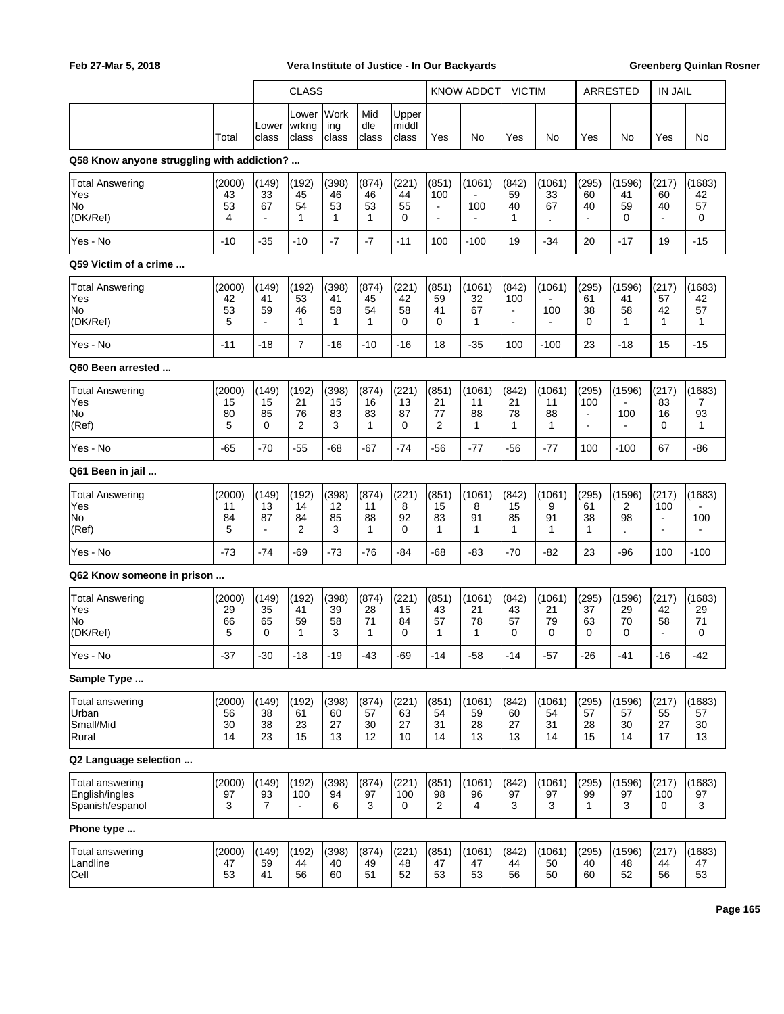|                                                                      |                          |                                     | <b>CLASS</b>                   |                         |                         |                         |                                                  | <b>KNOW ADDCT</b>                         | <b>VICTIM</b>                                              |                          | ARRESTED                                                             |                                 | <b>IN JAIL</b>                                |                          |
|----------------------------------------------------------------------|--------------------------|-------------------------------------|--------------------------------|-------------------------|-------------------------|-------------------------|--------------------------------------------------|-------------------------------------------|------------------------------------------------------------|--------------------------|----------------------------------------------------------------------|---------------------------------|-----------------------------------------------|--------------------------|
|                                                                      | Total                    | Lower<br>class                      | Lower<br> wrkng<br>class       | Work<br>ing<br>class    | Mid<br>dle<br>class     | Upper<br>middl<br>class | Yes                                              | No                                        | Yes                                                        | No                       | Yes                                                                  | No                              | Yes                                           | No                       |
| Q58 Know anyone struggling with addiction?                           |                          |                                     |                                |                         |                         |                         |                                                  |                                           |                                                            |                          |                                                                      |                                 |                                               |                          |
| <b>Total Answering</b><br>Yes<br>No<br>(DK/Ref)                      | (2000)<br>43<br>53<br>4  | (149)<br>33<br>67<br>$\blacksquare$ | (192)<br>45<br>54<br>1         | (398)<br>46<br>53<br>1  | (874)<br>46<br>53<br>1  | (221)<br>44<br>55<br>0  | (851)<br>100<br>$\blacksquare$<br>$\overline{a}$ | (1061)<br>100<br>$\overline{\phantom{a}}$ | (842)<br>59<br>40<br>1                                     | (1061)<br>33<br>67       | (295)<br>60<br>40<br>$\blacksquare$                                  | (1596)<br>41<br>59<br>0         | (217)<br>60<br>40<br>$\overline{a}$           | (1683)<br>42<br>57<br>0  |
| Yes - No                                                             | $-10$                    | $-35$                               | $-10$                          | $-7$                    | $-7$                    | $-11$                   | 100                                              | $-100$                                    | 19                                                         | $-34$                    | 20                                                                   | $-17$                           | 19                                            | $-15$                    |
| Q59 Victim of a crime                                                |                          |                                     |                                |                         |                         |                         |                                                  |                                           |                                                            |                          |                                                                      |                                 |                                               |                          |
| <b>Total Answering</b><br>Yes<br>No<br>(DK/Ref)                      | (2000)<br>42<br>53<br>5  | (149)<br>41<br>59                   | (192)<br>53<br>46<br>1         | (398)<br>41<br>58<br>1  | (874)<br>45<br>54<br>1  | (221)<br>42<br>58<br>0  | (851)<br>59<br>41<br>$\mathbf 0$                 | (1061)<br>32<br>67<br>1                   | (842)<br>100<br>$\blacksquare$<br>$\overline{\phantom{a}}$ | (1061)<br>100            | (295)<br>61<br>38<br>0                                               | (1596)<br>41<br>58<br>1         | (217)<br>57<br>42<br>1                        | (1683)<br>42<br>57<br>1  |
| Yes - No                                                             | $-11$                    | $-18$                               | $\overline{7}$                 | $-16$                   | $-10$                   | $-16$                   | 18                                               | $-35$                                     | 100                                                        | $-100$                   | 23                                                                   | $-18$                           | 15                                            | $-15$                    |
| Q60 Been arrested                                                    |                          |                                     |                                |                         |                         |                         |                                                  |                                           |                                                            |                          |                                                                      |                                 |                                               |                          |
| <b>Total Answering</b><br>Yes<br>No<br>(Ref)                         | (2000)<br>15<br>80<br>5  | (149)<br>15<br>85<br>0              | (192)<br>21<br>76<br>2         | (398)<br>15<br>83<br>3  | (874)<br>16<br>83<br>1  | (221)<br>13<br>87<br>0  | (851)<br>21<br>77<br>2                           | (1061)<br>11<br>88<br>$\mathbf{1}$        | (842)<br>21<br>78<br>1                                     | (1061)<br>11<br>88<br>1  | (295)<br>100<br>$\overline{\phantom{a}}$<br>$\overline{\phantom{a}}$ | (1596)<br>100<br>$\overline{a}$ | (217)<br>83<br>16<br>$\Omega$                 | (1683)<br>7<br>93<br>1   |
| Yes - No                                                             | $-65$                    | $-70$                               | $-55$                          | $-68$                   | $-67$                   | $-74$                   | $-56$                                            | -77                                       | $-56$                                                      | -77                      | 100                                                                  | $-100$                          | 67                                            | -86                      |
| Q61 Been in jail                                                     |                          |                                     |                                |                         |                         |                         |                                                  |                                           |                                                            |                          |                                                                      |                                 |                                               |                          |
| <b>Total Answering</b><br>Yes<br>No<br>(Ref)                         | (2000)<br>11<br>84<br>5  | (149)<br>13<br>87                   | (192)<br>14<br>84<br>2         | (398)<br>12<br>85<br>3  | (874)<br>11<br>88<br>1  | (221)<br>8<br>92<br>0   | (851)<br>15<br>83<br>1                           | (1061)<br>8<br>91<br>1                    | (842)<br>15<br>85<br>1                                     | (1061)<br>9<br>91<br>1   | (295)<br>61<br>38<br>1                                               | (1596)<br>2<br>98               | (217)<br>100<br>$\blacksquare$                | (1683)<br>100            |
| Yes - No                                                             | $-73$                    | $-74$                               | $-69$                          | $-73$                   | $-76$                   | $-84$                   | $-68$                                            | $-83$                                     | $-70$                                                      | $-82$                    | 23                                                                   | $-96$                           | 100                                           | $-100$                   |
| Q62 Know someone in prison                                           |                          |                                     |                                |                         |                         |                         |                                                  |                                           |                                                            |                          |                                                                      |                                 |                                               |                          |
| <b>Total Answering</b><br>Yes<br>No<br>(DK/Ref)                      | (2000)<br>29<br>66<br>5  | (149)<br>35<br>65<br>0              | (192)<br>41<br>59<br>1         | (398)<br>39<br>58<br>3  | (874)<br>28<br>71<br>1  | (221)<br>15<br>84<br>0  | (851)<br>43<br>57<br>1                           | (1061)<br>21<br>78<br>1                   | (842)<br>43<br>57<br>0                                     | (1061)<br>21<br>79<br>0  | (295)<br>37<br>63<br>0                                               | (1596)<br>29<br>70<br>0         | (217)<br>42<br>58<br>$\overline{\phantom{a}}$ | (1683)<br>29<br>71<br>0  |
| Yes - No                                                             | $-37$                    | $-30$                               | $-18$                          | $-19$                   | $-43$                   | $-69$                   | $-14$                                            | $-58$                                     | $-14$                                                      | $-57$                    | $-26$                                                                | $-41$                           | $-16$                                         | $-42$                    |
| Sample Type<br><b>Total answering</b><br>Urban<br>Small/Mid<br>Rural | (2000)<br>56<br>30<br>14 | (149)<br>38<br>38<br>23             | (192)<br>61<br>23<br>15        | (398)<br>60<br>27<br>13 | (874)<br>57<br>30<br>12 | (221)<br>63<br>27<br>10 | (851)<br>54<br>31<br>14                          | (1061)<br>59<br>28<br>13                  | (842)<br>60<br>27<br>13                                    | (1061)<br>54<br>31<br>14 | (295)<br>57<br>28<br>15                                              | (1596)<br>57<br>30<br>14        | (217)<br>55<br>27<br>17                       | (1683)<br>57<br>30<br>13 |
| Q2 Language selection                                                |                          |                                     |                                |                         |                         |                         |                                                  |                                           |                                                            |                          |                                                                      |                                 |                                               |                          |
| Total answering<br>English/ingles<br>Spanish/espanol                 | (2000)<br>97<br>3        | (149)<br>93<br>$\overline{7}$       | (192)<br>100<br>$\blacksquare$ | (398)<br>94<br>6        | (874)<br>97<br>3        | (221)<br>100<br>0       | (851)<br>98<br>2                                 | (1061)<br>96<br>4                         | (842)<br>97<br>3                                           | (1061)<br>97<br>3        | (295)<br>99<br>1                                                     | (1596)<br>97<br>3               | (217)<br>100<br>0                             | (1683)<br>97<br>3        |
| Phone type                                                           |                          |                                     |                                |                         |                         |                         |                                                  |                                           |                                                            |                          |                                                                      |                                 |                                               |                          |
| Total answering<br>Landline<br>Cell                                  | (2000)<br>47<br>53       | (149)<br>59<br>41                   | (192)<br>44<br>56              | (398)<br>40<br>60       | (874)<br>49<br>51       | (221)<br>48<br>52       | (851)<br>47<br>53                                | (1061)<br>47<br>53                        | (842)<br>44<br>56                                          | (1061)<br>50<br>50       | (295)<br>40<br>60                                                    | (1596)<br>48<br>52              | (217)<br>44<br>56                             | (1683)<br>47<br>53       |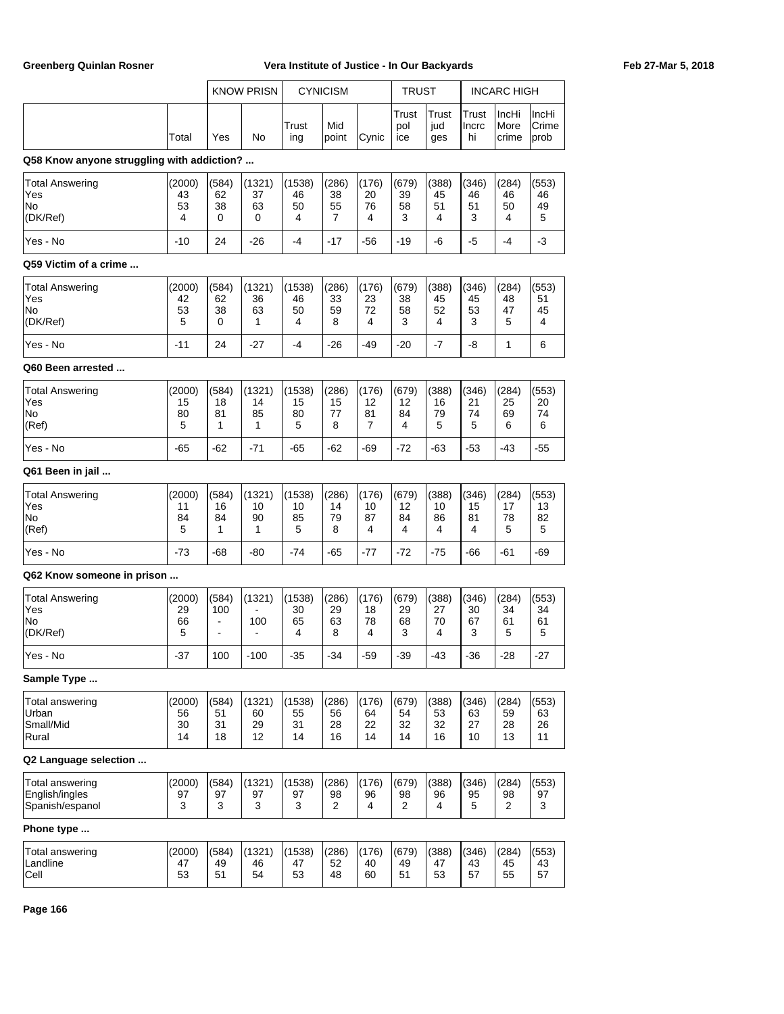|                                                             |                          |                                                                      | <b>KNOW PRISN</b>        |                          | <b>CYNICISM</b>         |                         | <b>TRUST</b>            |                         |                         | <b>INCARC HIGH</b>      |                         |
|-------------------------------------------------------------|--------------------------|----------------------------------------------------------------------|--------------------------|--------------------------|-------------------------|-------------------------|-------------------------|-------------------------|-------------------------|-------------------------|-------------------------|
|                                                             | Total                    | Yes                                                                  | No                       | Trust<br>ing             | Mid<br>point            | Cynic                   | Trust<br>pol<br>ice     | Trust<br>jud<br>ges     | Trust<br>Incrc<br>hi    | IncHi<br>More<br>crime  | IncHi<br>Crime<br>prob  |
| Q58 Know anyone struggling with addiction?                  |                          |                                                                      |                          |                          |                         |                         |                         |                         |                         |                         |                         |
| <b>Total Answering</b><br>Yes<br>No<br>(DK/Ref)             | (2000)<br>43<br>53<br>4  | (584)<br>62<br>38<br>0                                               | (1321)<br>37<br>63<br>0  | (1538)<br>46<br>50<br>4  | (286)<br>38<br>55<br>7  | (176)<br>20<br>76<br>4  | (679)<br>39<br>58<br>3  | (388)<br>45<br>51<br>4  | (346)<br>46<br>51<br>3  | (284)<br>46<br>50<br>4  | (553)<br>46<br>49<br>5  |
| Yes - No                                                    | $-10$                    | 24                                                                   | -26                      | -4                       | -17                     | $-56$                   | $-19$                   | -6                      | -5                      | $-4$                    | -3                      |
| Q59 Victim of a crime                                       |                          |                                                                      |                          |                          |                         |                         |                         |                         |                         |                         |                         |
| Total Answering<br>Yes<br>No<br>(DK/Ref)                    | (2000)<br>42<br>53<br>5  | (584)<br>62<br>38<br>0                                               | (1321)<br>36<br>63<br>1  | (1538)<br>46<br>50<br>4  | (286)<br>33<br>59<br>8  | (176)<br>23<br>72<br>4  | (679)<br>38<br>58<br>3  | (388)<br>45<br>52<br>4  | (346)<br>45<br>53<br>3  | (284)<br>48<br>47<br>5  | (553)<br>51<br>45<br>4  |
| Yes - No                                                    | $-11$                    | 24                                                                   | $-27$                    | $-4$                     | $-26$                   | $-49$                   | $-20$                   | $-7$                    | -8                      | 1                       | 6                       |
| Q60 Been arrested                                           |                          |                                                                      |                          |                          |                         |                         |                         |                         |                         |                         |                         |
| <b>Total Answering</b><br>Yes<br>No<br>(Ref)                | (2000)<br>15<br>80<br>5  | (584)<br>18<br>81<br>1                                               | (1321)<br>14<br>85<br>1  | (1538)<br>15<br>80<br>5  | (286)<br>15<br>77<br>8  | (176)<br>12<br>81<br>7  | (679)<br>12<br>84<br>4  | (388)<br>16<br>79<br>5  | (346)<br>21<br>74<br>5  | (284)<br>25<br>69<br>6  | (553)<br>20<br>74<br>6  |
| Yes - No                                                    | $-65$                    | -62                                                                  | $-71$                    | -65                      | -62                     | -69                     | $-72$                   | -63                     | -53                     | -43                     | $-55$                   |
| Q61 Been in jail                                            |                          |                                                                      |                          |                          |                         |                         |                         |                         |                         |                         |                         |
| <b>Total Answering</b><br>Yes<br>No<br>(Ref)                | (2000)<br>11<br>84<br>5  | (584)<br>16<br>84<br>1                                               | (1321)<br>10<br>90<br>1  | (1538)<br>10<br>85<br>5  | (286)<br>14<br>79<br>8  | (176)<br>10<br>87<br>4  | (679)<br>12<br>84<br>4  | (388)<br>10<br>86<br>4  | (346)<br>15<br>81<br>4  | (284)<br>17<br>78<br>5  | (553)<br>13<br>82<br>5  |
| Yes - No                                                    | $-73$                    | -68                                                                  | $-80$                    | -74                      | -65                     | $-77$                   | $-72$                   | -75                     | -66                     | -61                     | -69                     |
| Q62 Know someone in prison                                  |                          |                                                                      |                          |                          |                         |                         |                         |                         |                         |                         |                         |
| <b>Total Answering</b><br>Yes<br>No<br>(DK/Ref)             | (2000)<br>29<br>66<br>5  | (584)<br>100<br>$\overline{\phantom{a}}$<br>$\overline{\phantom{a}}$ | (1321)<br>100<br>۰       | (1538)<br>30<br>65<br>4  | (286)<br>29<br>63<br>8  | (176)<br>18<br>78<br>4  | (679)<br>29<br>68<br>3  | (388)<br>27<br>70<br>4  | (346)<br>30<br>67<br>3  | (284)<br>34<br>61<br>5  | (553)<br>34<br>61<br>5  |
| Yes - No                                                    | $-37$                    | 100                                                                  | $-100$                   | -35                      | $-34$                   | $-59$                   | $-39$                   | $-43$                   | $-36$                   | $-28$                   | $-27$                   |
| Sample Type                                                 |                          |                                                                      |                          |                          |                         |                         |                         |                         |                         |                         |                         |
| Total answering<br>Urban<br>Small/Mid<br>Rural              | (2000)<br>56<br>30<br>14 | (584)<br>51<br>31<br>18                                              | (1321)<br>60<br>29<br>12 | (1538)<br>55<br>31<br>14 | (286)<br>56<br>28<br>16 | (176)<br>64<br>22<br>14 | (679)<br>54<br>32<br>14 | (388)<br>53<br>32<br>16 | (346)<br>63<br>27<br>10 | (284)<br>59<br>28<br>13 | (553)<br>63<br>26<br>11 |
| Q2 Language selection                                       |                          |                                                                      |                          |                          |                         |                         |                         |                         |                         |                         |                         |
| <b>Total answering</b><br>English/ingles<br>Spanish/espanol | (2000)<br>97<br>3        | (584)<br>97<br>3                                                     | (1321)<br>97<br>3        | (1538)<br>97<br>3        | (286)<br>98<br>2        | (176)<br>96<br>4        | (679)<br>98<br>2        | (388)<br>96<br>4        | (346)<br>95<br>5        | (284)<br>98<br>2        | (553)<br>97<br>3        |
| Phone type                                                  |                          |                                                                      |                          |                          |                         |                         |                         |                         |                         |                         |                         |
| Total answering<br>Landline<br>Cell                         | (2000)<br>47<br>53       | (584)<br>49<br>51                                                    | (1321)<br>46<br>54       | (1538)<br>47<br>53       | (286)<br>52<br>48       | (176)<br>40<br>60       | (679)<br>49<br>51       | (388)<br>47<br>53       | (346)<br>43<br>57       | (284)<br>45<br>55       | (553)<br>43<br>57       |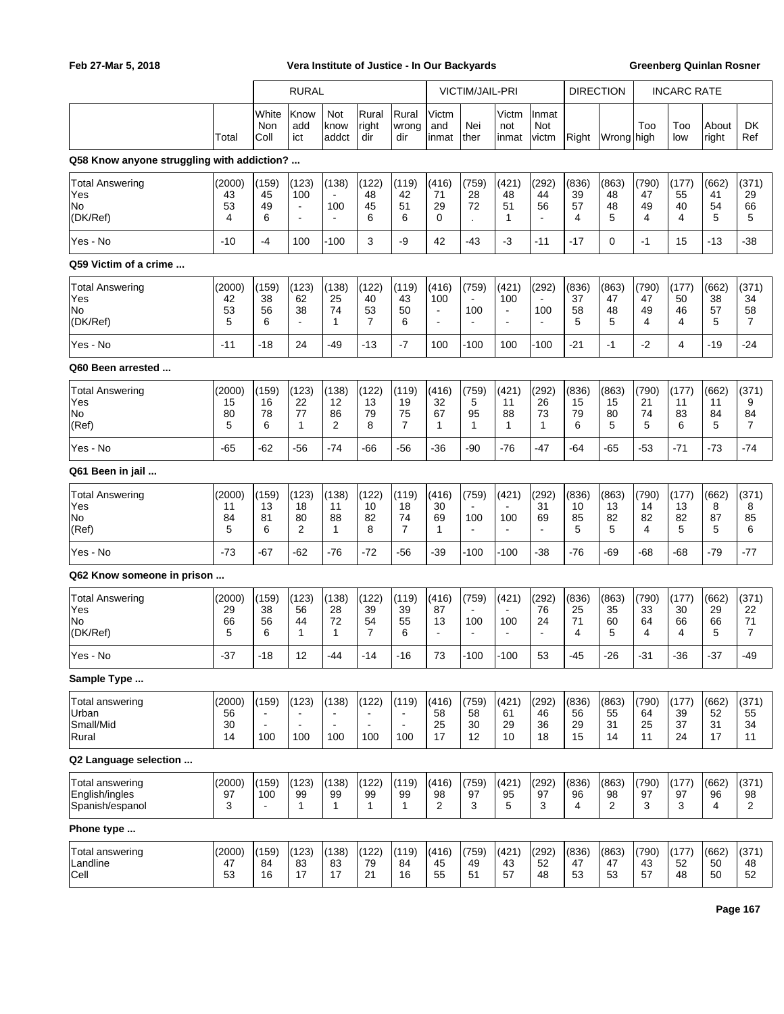|                                                             |                          |                                | <b>RURAL</b>                                     |                                   |                                     |                                | VICTIM/JAIL-PRI                                            |                                                  |                                                  | <b>DIRECTION</b>                    |                         | <b>INCARC RATE</b>            |                         |                         |                         |                                     |
|-------------------------------------------------------------|--------------------------|--------------------------------|--------------------------------------------------|-----------------------------------|-------------------------------------|--------------------------------|------------------------------------------------------------|--------------------------------------------------|--------------------------------------------------|-------------------------------------|-------------------------|-------------------------------|-------------------------|-------------------------|-------------------------|-------------------------------------|
|                                                             | Total                    | White<br>Non<br>Coll           | Know<br>add<br>ict                               | Not<br>know<br>addct              | Rural<br>right<br>dir               | Rural<br>wrong<br>dir          | Victm<br>and<br>inmat                                      | Nei<br>Ither                                     | Victm<br>not<br>inmat                            | Inmat<br><b>Not</b><br>victm        | Right                   | Wrong thigh                   | Too                     | Too<br>low              | About<br>right          | <b>DK</b><br>Ref                    |
| Q58 Know anyone struggling with addiction?                  |                          |                                |                                                  |                                   |                                     |                                |                                                            |                                                  |                                                  |                                     |                         |                               |                         |                         |                         |                                     |
| <b>Total Answering</b><br>Yes<br>No<br>(DK/Ref)             | (2000)<br>43<br>53<br>4  | (159)<br>45<br>49<br>6         | (123)<br>100<br>$\blacksquare$<br>$\blacksquare$ | (138)<br>100<br>$\blacksquare$    | (122)<br>48<br>45<br>6              | (119)<br>42<br>51<br>6         | (416)<br>71<br>29<br>$\Omega$                              | (759)<br>28<br>72<br>$\cdot$                     | (421)<br>48<br>51<br>1                           | (292)<br>44<br>56<br>÷,             | (836)<br>39<br>57<br>4  | (863)<br>48<br>48<br>5        | (790)<br>47<br>49<br>4  | (177)<br>55<br>40<br>4  | (662)<br>41<br>54<br>5  | (371)<br>29<br>66<br>5              |
| Yes - No                                                    | $-10$                    | -4                             | 100                                              | -100                              | 3                                   | -9                             | 42                                                         | -43                                              | -3                                               | $-11$                               | $-17$                   | $\mathbf 0$                   | $-1$                    | 15                      | $-13$                   | $-38$                               |
| Q59 Victim of a crime                                       |                          |                                |                                                  |                                   |                                     |                                |                                                            |                                                  |                                                  |                                     |                         |                               |                         |                         |                         |                                     |
| <b>Total Answering</b><br>Yes<br>No.<br>(DK/Ref)            | (2000)<br>42<br>53<br>5  | (159)<br>38<br>56<br>6         | (123)<br>62<br>38<br>$\blacksquare$              | (138)<br>25<br>74<br>$\mathbf{1}$ | (122)<br>40<br>53<br>$\overline{7}$ | (119)<br>43<br>50<br>6         | (416)<br>100<br>$\overline{\phantom{a}}$<br>$\blacksquare$ | (759)<br>$\blacksquare$<br>100<br>$\blacksquare$ | (421)<br>100<br>$\blacksquare$<br>$\overline{a}$ | (292)<br>100<br>÷,                  | (836)<br>37<br>58<br>5  | (863)<br>47<br>48<br>5        | (790)<br>47<br>49<br>4  | (177)<br>50<br>46<br>4  | (662)<br>38<br>57<br>5  | (371)<br>34<br>58<br>$\overline{7}$ |
| Yes - No                                                    | $-11$                    | $-18$                          | 24                                               | $-49$                             | $-13$                               | $-7$                           | 100                                                        | -100                                             | 100                                              | $-100$                              | $-21$                   | $-1$                          | -2                      | 4                       | $-19$                   | $-24$                               |
| Q60 Been arrested                                           |                          |                                |                                                  |                                   |                                     |                                |                                                            |                                                  |                                                  |                                     |                         |                               |                         |                         |                         |                                     |
| <b>Total Answering</b><br>Yes<br>No<br> (Ref)               | (2000)<br>15<br>80<br>5  | (159)<br>16<br>78<br>6         | (123)<br>22<br>77<br>$\mathbf{1}$                | (138)<br>12<br>86<br>2            | (122)<br>13<br>79<br>8              | (119)<br>19<br>75<br>7         | (416)<br>32<br>67<br>1                                     | (759)<br>5<br>95<br>$\mathbf{1}$                 | (421)<br>11<br>88<br>1                           | (292)<br>26<br>73<br>$\mathbf{1}$   | (836)<br>15<br>79<br>6  | (863)<br>15<br>80<br>5        | (790)<br>21<br>74<br>5  | (177)<br>11<br>83<br>6  | (662)<br>11<br>84<br>5  | (371)<br>9<br>84<br>$\overline{7}$  |
| Yes - No                                                    | -65                      | $-62$                          | -56                                              | $-74$                             | -66                                 | -56                            | -36                                                        | -90                                              | $-76$                                            | -47                                 | -64                     | $-65$                         | $-53$                   | $-71$                   | $-73$                   | -74                                 |
| Q61 Been in jail                                            |                          |                                |                                                  |                                   |                                     |                                |                                                            |                                                  |                                                  |                                     |                         |                               |                         |                         |                         |                                     |
| <b>Total Answering</b><br>Yes<br>No <br> (Ref)              | (2000)<br>11<br>84<br>5  | (159)<br>13<br>81<br>6         | (123)<br>18<br>80<br>2                           | (138)<br>11<br>88<br>$\mathbf{1}$ | (122)<br>10<br>82<br>8              | (119)<br>18<br>74<br>7         | (416)<br>30<br>69<br>1                                     | (759)<br>$\blacksquare$<br>100<br>$\blacksquare$ | (421)<br>100                                     | (292)<br>31<br>69                   | (836)<br>10<br>85<br>5  | (863)<br>13<br>82<br>5        | (790)<br>14<br>82<br>4  | (177)<br>13<br>82<br>5  | (662)<br>8<br>87<br>5   | (371)<br>8<br>85<br>6               |
| Yes - No                                                    | $-73$                    | $-67$                          | $-62$                                            | $-76$                             | $-72$                               | $-56$                          | -39                                                        | $-100$                                           | $-100$                                           | -38                                 | $-76$                   | -69                           | $-68$                   | -68                     | -79                     | -77                                 |
| Q62 Know someone in prison                                  |                          |                                |                                                  |                                   |                                     |                                |                                                            |                                                  |                                                  |                                     |                         |                               |                         |                         |                         |                                     |
| <b>Total Answering</b><br>Yes<br>No<br>(DK/Ref)             | (2000)<br>29<br>66<br>5  | (159)<br>38<br>56<br>6         | (123)<br>56<br>44<br>$\mathbf{1}$                | (138)<br>28<br>72<br>$\mathbf{1}$ | (122)<br>39<br>54<br>$\overline{7}$ | (119)<br>39<br>55<br>6         | (416)<br>87<br>13                                          | (759)<br>$\blacksquare$<br>100<br>$\blacksquare$ | (421)<br>100<br>÷                                | (292)<br>76<br>24<br>$\blacksquare$ | (836)<br>25<br>71<br>4  | (863)<br>35<br>60<br>5        | (790)<br>33<br>64<br>4  | (177)<br>30<br>66<br>4  | (662)<br>29<br>66<br>5  | (371)<br>22<br>71<br>$\overline{7}$ |
| Yes - No                                                    | $-37$                    | -18                            | 12                                               | -44                               | -14                                 | $-16$                          | 73                                                         | -100                                             | $-100$                                           | 53                                  | -45                     | -26                           | -31                     | -36                     | -37                     | -49                                 |
| Sample Type                                                 |                          |                                |                                                  |                                   |                                     |                                |                                                            |                                                  |                                                  |                                     |                         |                               |                         |                         |                         |                                     |
| Total answering<br>Urban<br>Small/Mid<br>Rural              | (2000)<br>56<br>30<br>14 | (159)<br>$\blacksquare$<br>100 | (123)<br>$\sim$<br>100                           | (138)<br>$\blacksquare$<br>100    | (122)<br>÷,<br>100                  | (119)<br>$\blacksquare$<br>100 | (416)<br>58<br>25<br>17                                    | (759)<br>58<br>30<br>12                          | (421)<br>61<br>29<br>10                          | (292)<br>46<br>36<br>18             | (836)<br>56<br>29<br>15 | (863)<br>55<br>31<br>14       | (790)<br>64<br>25<br>11 | (177)<br>39<br>37<br>24 | (662)<br>52<br>31<br>17 | (371)<br>55<br>34<br>11             |
| Q2 Language selection                                       |                          |                                |                                                  |                                   |                                     |                                |                                                            |                                                  |                                                  |                                     |                         |                               |                         |                         |                         |                                     |
| <b>Total answering</b><br>English/ingles<br>Spanish/espanol | (2000)<br>97<br>3        | (159)<br>100<br>÷,             | (123)<br>99<br>$\mathbf{1}$                      | (138)<br>99<br>$\mathbf{1}$       | (122)<br>99<br>$\mathbf{1}$         | (119)<br>99<br>$\mathbf{1}$    | (416)<br>98<br>2                                           | (759)<br>97<br>3                                 | (421)<br>95<br>5                                 | (292)<br>97<br>3                    | (836)<br>96<br>4        | (863)<br>98<br>$\overline{2}$ | (790)<br>97<br>3        | (177)<br>97<br>3        | (662)<br>96<br>4        | (371)<br>98<br>$\overline{2}$       |
| Phone type                                                  |                          |                                |                                                  |                                   |                                     |                                |                                                            |                                                  |                                                  |                                     |                         |                               |                         |                         |                         |                                     |
| Total answering<br>Landline<br> Cell                        | (2000)<br>47<br>53       | (159)<br>84<br>16              | (123)<br>83<br>17                                | (138)<br>83<br>17                 | (122)<br>79<br>21                   | (119)<br>84<br>16              | (416)<br>45<br>55                                          | (759)<br>49<br>51                                | (421)<br>43<br>57                                | (292)<br>52<br>48                   | (836)<br>47<br>53       | (863)<br>47<br>53             | (790)<br>43<br>57       | (177)<br>52<br>48       | (662)<br>50<br>50       | (371)<br>48<br>52                   |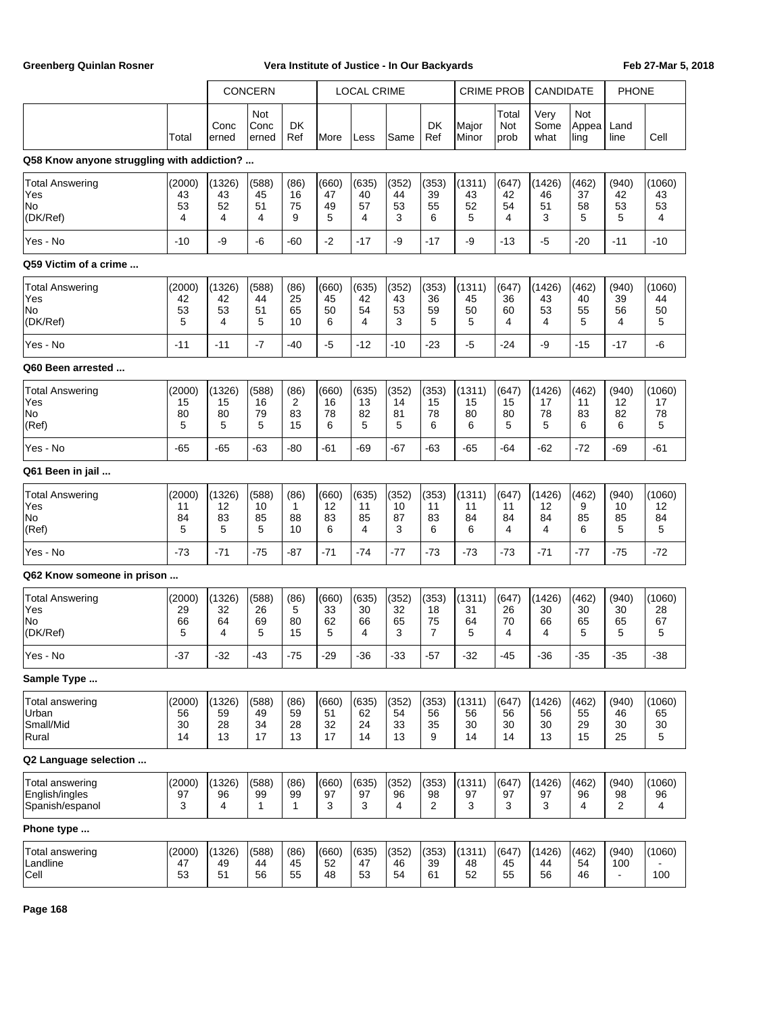|                                                                   |                          |                          | <b>CONCERN</b>              |                                    |                         | <b>LOCAL CRIME</b>      |                         |                                     | <b>CRIME PROB</b>        |                         | <b>CANDIDATE</b>         |                         | <b>PHONE</b>                  |                                |
|-------------------------------------------------------------------|--------------------------|--------------------------|-----------------------------|------------------------------------|-------------------------|-------------------------|-------------------------|-------------------------------------|--------------------------|-------------------------|--------------------------|-------------------------|-------------------------------|--------------------------------|
|                                                                   | Total                    | Conc<br>erned            | Not<br>Conc<br>erned        | DK<br>Ref                          | More                    | Less                    | Same                    | DK<br>Ref                           | Major<br>Minor           | Total<br>Not<br>prob    | Very<br>Some<br>what     | Not<br>Appea<br>ling    | Land<br>line                  | Cell                           |
| Q58 Know anyone struggling with addiction?                        |                          |                          |                             |                                    |                         |                         |                         |                                     |                          |                         |                          |                         |                               |                                |
| <b>Total Answering</b><br>Yes<br>No<br>(DK/Ref)                   | (2000)<br>43<br>53<br>4  | (1326)<br>43<br>52<br>4  | (588)<br>45<br>51<br>4      | (86)<br>16<br>75<br>9              | (660)<br>47<br>49<br>5  | (635)<br>40<br>57<br>4  | (352)<br>44<br>53<br>3  | (353)<br>39<br>55<br>6              | (1311)<br>43<br>52<br>5  | (647)<br>42<br>54<br>4  | (1426)<br>46<br>51<br>3  | (462)<br>37<br>58<br>5  | (940)<br>42<br>53<br>5        | (1060)<br>43<br>53<br>4        |
| Yes - No                                                          | $-10$                    | -9                       | $-6$                        | $-60$                              | $-2$                    | $-17$                   | -9                      | $-17$                               | -9                       | -13                     | $-5$                     | $-20$                   | $-11$                         | $-10$                          |
| Q59 Victim of a crime                                             |                          |                          |                             |                                    |                         |                         |                         |                                     |                          |                         |                          |                         |                               |                                |
| <b>Total Answering</b><br>Yes<br>No<br>(DK/Ref)                   | (2000)<br>42<br>53<br>5  | (1326)<br>42<br>53<br>4  | (588)<br>44<br>51<br>5      | (86)<br>25<br>65<br>10             | (660)<br>45<br>50<br>6  | (635)<br>42<br>54<br>4  | (352)<br>43<br>53<br>3  | (353)<br>36<br>59<br>5              | (1311)<br>45<br>50<br>5  | (647)<br>36<br>60<br>4  | (1426)<br>43<br>53<br>4  | (462)<br>40<br>55<br>5  | (940)<br>39<br>56<br>4        | (1060)<br>44<br>50<br>5        |
| Yes - No                                                          | $-11$                    | $-11$                    | $-7$                        | $-40$                              | $-5$                    | $-12$                   | $-10$                   | $-23$                               | $-5$                     | $-24$                   | -9                       | $-15$                   | $-17$                         | -6                             |
| Q60 Been arrested<br><b>Total Answering</b><br>Yes<br>No<br>(Ref) | (2000)<br>15<br>80<br>5  | (1326)<br>15<br>80<br>5  | (588)<br>16<br>79<br>5      | (86)<br>$\overline{c}$<br>83<br>15 | (660)<br>16<br>78<br>6  | (635)<br>13<br>82<br>5  | (352)<br>14<br>81<br>5  | (353)<br>15<br>78<br>6              | (1311)<br>15<br>80<br>6  | (647)<br>15<br>80<br>5  | (1426)<br>17<br>78<br>5  | (462)<br>11<br>83<br>6  | (940)<br>12<br>82<br>6        | (1060)<br>17<br>78<br>5        |
| Yes - No                                                          | $-65$                    | $-65$                    | $-63$                       | $-80$                              | $-61$                   | $-69$                   | $-67$                   | $-63$                               | $-65$                    | $-64$                   | $-62$                    | $-72$                   | -69                           | $-61$                          |
| Q61 Been in jail                                                  |                          |                          |                             |                                    |                         |                         |                         |                                     |                          |                         |                          |                         |                               |                                |
| <b>Total Answering</b><br>Yes<br>No<br>(Ref)                      | (2000)<br>11<br>84<br>5  | (1326)<br>12<br>83<br>5  | (588)<br>10<br>85<br>5      | (86)<br>1<br>88<br>10              | (660)<br>12<br>83<br>6  | (635)<br>11<br>85<br>4  | (352)<br>10<br>87<br>3  | (353)<br>11<br>83<br>6              | (1311)<br>11<br>84<br>6  | (647)<br>11<br>84<br>4  | (1426)<br>12<br>84<br>4  | (462)<br>9<br>85<br>6   | (940)<br>10<br>85<br>5        | (1060)<br>12<br>84<br>5        |
| Yes - No                                                          | $-73$                    | $-71$                    | $-75$                       | $-87$                              | $-71$                   | $-74$                   | $-77$                   | $-73$                               | $-73$                    | $-73$                   | $-71$                    | $-77$                   | $-75$                         | $-72$                          |
| Q62 Know someone in prison                                        |                          |                          |                             |                                    |                         |                         |                         |                                     |                          |                         |                          |                         |                               |                                |
| <b>Total Answering</b><br>Yes<br>No<br>(DK/Ref)                   | (2000)<br>29<br>66<br>5  | (1326)<br>32<br>64<br>4  | (588)<br>26<br>69<br>5      | (86)<br>5<br>80<br>15              | (660)<br>33<br>62<br>5  | (635)<br>30<br>66<br>4  | (352)<br>32<br>65<br>3  | (353)<br>18<br>75<br>$\overline{7}$ | (1311)<br>31<br>64<br>5  | (647)<br>26<br>70<br>4  | (1426)<br>30<br>66<br>4  | (462)<br>30<br>65<br>5  | (940)<br>30<br>65<br>5        | (1060)<br>28<br>67<br>5        |
| Yes - No                                                          | -37                      | -32                      | -43                         | -75                                | -29                     | -36                     | -33                     | -57                                 | -32                      | -45                     | -36                      | -35                     | -35                           | -38                            |
| Sample Type<br>Total answering<br>Urban<br>Small/Mid<br>Rural     | (2000)<br>56<br>30<br>14 | (1326)<br>59<br>28<br>13 | (588)<br>49<br>34<br>17     | (86)<br>59<br>28<br>13             | (660)<br>51<br>32<br>17 | (635)<br>62<br>24<br>14 | (352)<br>54<br>33<br>13 | (353)<br>56<br>35<br>9              | (1311)<br>56<br>30<br>14 | (647)<br>56<br>30<br>14 | (1426)<br>56<br>30<br>13 | (462)<br>55<br>29<br>15 | (940)<br>46<br>30<br>25       | (1060)<br>65<br>30<br>5        |
| Q2 Language selection                                             |                          |                          |                             |                                    |                         |                         |                         |                                     |                          |                         |                          |                         |                               |                                |
| <b>Total answering</b><br>English/ingles<br>Spanish/espanol       | (2000)<br>97<br>3        | (1326)<br>96<br>4        | (588)<br>99<br>$\mathbf{1}$ | (86)<br>99<br>$\mathbf{1}$         | (660)<br>97<br>3        | (635)<br>97<br>3        | (352)<br>96<br>4        | (353)<br>98<br>2                    | (1311)<br>97<br>3        | (647)<br>97<br>3        | (1426)<br>97<br>3        | (462)<br>96<br>4        | (940)<br>98<br>$\overline{2}$ | (1060)<br>96<br>$\overline{4}$ |
| Phone type                                                        |                          |                          |                             |                                    |                         |                         |                         |                                     |                          |                         |                          |                         |                               |                                |
| <b>Total answering</b><br>Landline<br>Cell                        | (2000)<br>47<br>53       | (1326)<br>49<br>51       | (588)<br>44<br>56           | (86)<br>45<br>55                   | (660)<br>52<br>48       | (635)<br>47<br>53       | (352)<br>46<br>54       | (353)<br>39<br>61                   | (1311)<br>48<br>52       | (647)<br>45<br>55       | (1426)<br>44<br>56       | (462)<br>54<br>46       | (940)<br>100                  | (1060)<br>100                  |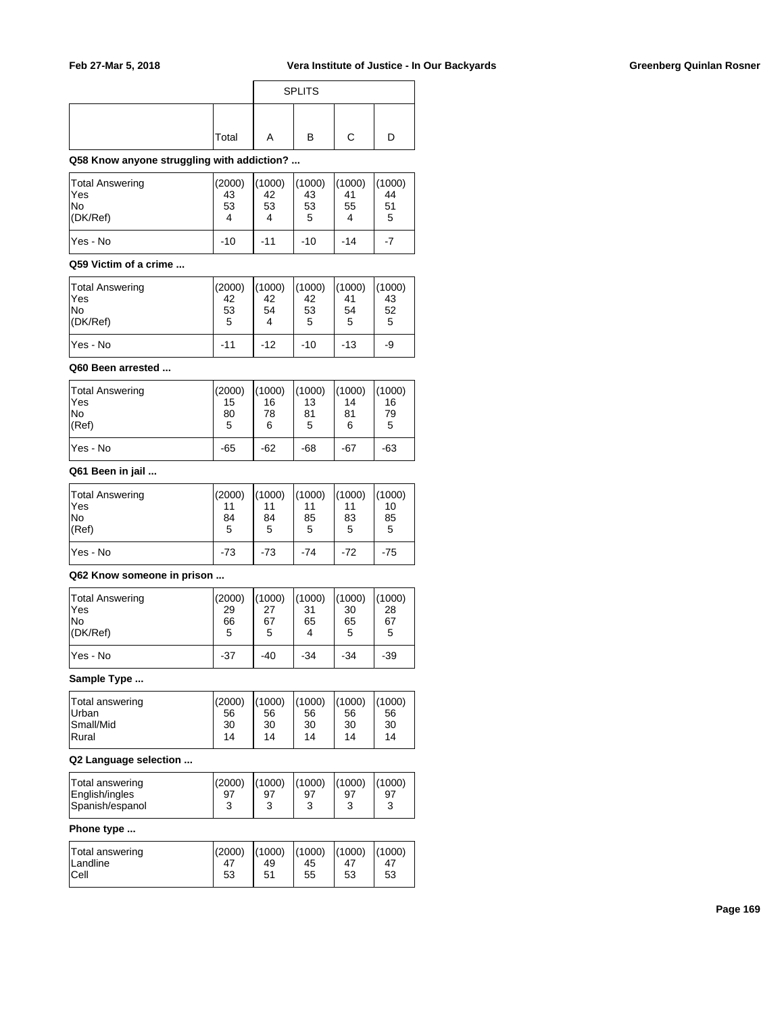|          |       | <b>SPLITS</b> |  |
|----------|-------|---------------|--|
| Α<br>ו ו | Total | в             |  |

## **Q58 Know anyone struggling with addiction? ...**

| Total Answering<br>lYes<br>lNo<br>(DK/Ref) | (2000)<br>43<br>53<br>4 | (1000)<br>42<br>53<br>4 | (1000)<br>43<br>53<br>5 | (1000)<br>41<br>55 | (1000)<br>44<br>51<br>5 |
|--------------------------------------------|-------------------------|-------------------------|-------------------------|--------------------|-------------------------|
| lYes - No                                  | $-10$                   | -11                     | -10                     | -14                | $-7$                    |

### **Q59 Victim of a crime ...**

| Total Answering<br>lYes<br>lNo<br>(DK/Ref) | (2000)<br>42<br>53<br>5 | (1000)<br>42<br>54 | (1000)<br>42<br>53<br>5 | (1000)<br>41<br>54<br>5 | (1000)<br>43<br>52<br>5 |
|--------------------------------------------|-------------------------|--------------------|-------------------------|-------------------------|-------------------------|
| lYes - No                                  | $-11$                   | $-12$              | -10                     | $-13$                   | -9                      |

### **Q60 Been arrested ...**

| Total Answering | (2000) | (1000) | (1000) | (1000) | (1000) |
|-----------------|--------|--------|--------|--------|--------|
| lYes            | 15     | 16     | 13     | 14     | 16     |
| lNo             | 80     | 78     | 81     | 81     | 79     |
| (Ref)           | 5      | 6      | 5      | 6      | 5      |
| lYes - No       | $-65$  | $-62$  | $-68$  | -67    | -63    |

## **Q61 Been in jail ...**

| Total Answering<br>lYes<br> No<br>(Ref) | (2000)<br>11<br>84<br>5 | (1000)<br>84<br>5 | (1000)<br>85<br>5 | (1000)<br>11<br>83<br>5 | (1000)<br>10<br>85<br>5 |
|-----------------------------------------|-------------------------|-------------------|-------------------|-------------------------|-------------------------|
| lYes - No                               | $-73$                   | $-73$             | $-74$             | $-72$                   | $-75$                   |

### **Q62 Know someone in prison ...**

| <b>Total Answering</b><br>lYes<br>No<br>$ $ (DK/Ref) | (2000)<br>29<br>66<br>5 | (1000)<br>27<br>67<br>5 | (1000)<br>31<br>65 | (1000)<br>30<br>65<br>5 | (1000)<br>28<br>67<br>5 |
|------------------------------------------------------|-------------------------|-------------------------|--------------------|-------------------------|-------------------------|
| lYes - No                                            | $-37$                   | $-40$                   | -34                | $-34$                   | $-39$                   |

### **Sample Type ...**

| Total answering<br><b>Urban</b> | (2000)<br>56 | (1000)<br>56 | (1000)<br>56 | (1000)<br>56 | (1000)<br>56 |
|---------------------------------|--------------|--------------|--------------|--------------|--------------|
| Small/Mid                       | 30           | 30           | 30           | 30           | 30           |
| <b>Rural</b>                    | 14           | 14           | 14           | 14           | 14           |

## **Q2 Language selection ...**

| Total answering<br>English/ingles<br>Spanish/espanol | (2000)<br>97<br>ົ<br>đ | (1000)<br>97 | (1000)<br>97 | (1000)<br>97<br>ົ<br>w | (1000)<br>97 |
|------------------------------------------------------|------------------------|--------------|--------------|------------------------|--------------|
|                                                      |                        |              |              |                        |              |

## **Phone type ...**

| Total answering       | (2000) | (1000) | (1000) | (1000)         | (1000) |
|-----------------------|--------|--------|--------|----------------|--------|
| <sup>1</sup> Landline | 47     | 49     | 45     | 4 <sub>1</sub> | 47     |
| Cell                  | 53     | 51     | 55     | 53             | 53     |
|                       |        |        |        |                |        |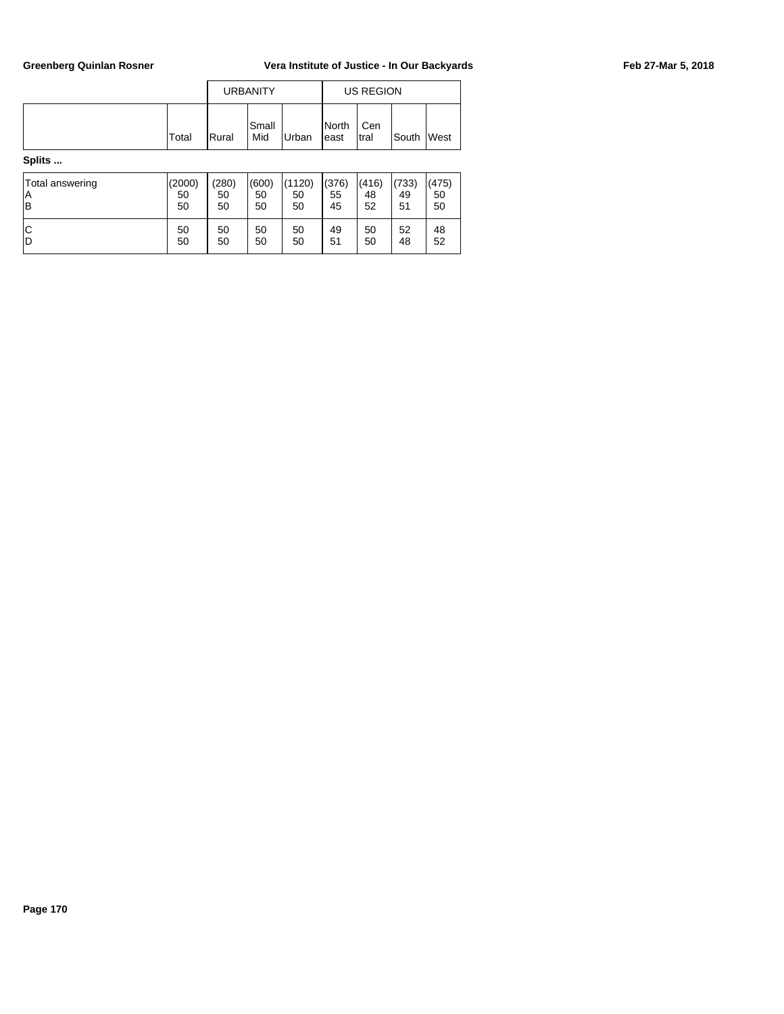|        |       |       | <b>URBANITY</b> |       |                | US REGION    |            |  |
|--------|-------|-------|-----------------|-------|----------------|--------------|------------|--|
|        | Total | Rural | Small<br>Mid    | Urban | North<br>least | Cen<br>Itral | South West |  |
| Splits |       |       |                 |       |                |              |            |  |

| Total answering | (2000) | (280) | (600) | (1120) | (376) | (416) | (733) | (475) |
|-----------------|--------|-------|-------|--------|-------|-------|-------|-------|
| ΙA              | 50     | 50    | 50    | 50     | 55    | 48    | 49    | 50    |
| lΒ              | 50     | 50    | 50    | 50     | 45    | 52    | 51    | 50    |
| ΙC              | 50     | 50    | 50    | 50     | 49    | 50    | 52    | 48    |
| ID              | 50     | 50    | 50    | 50     | 51    | 50    | 48    | 52    |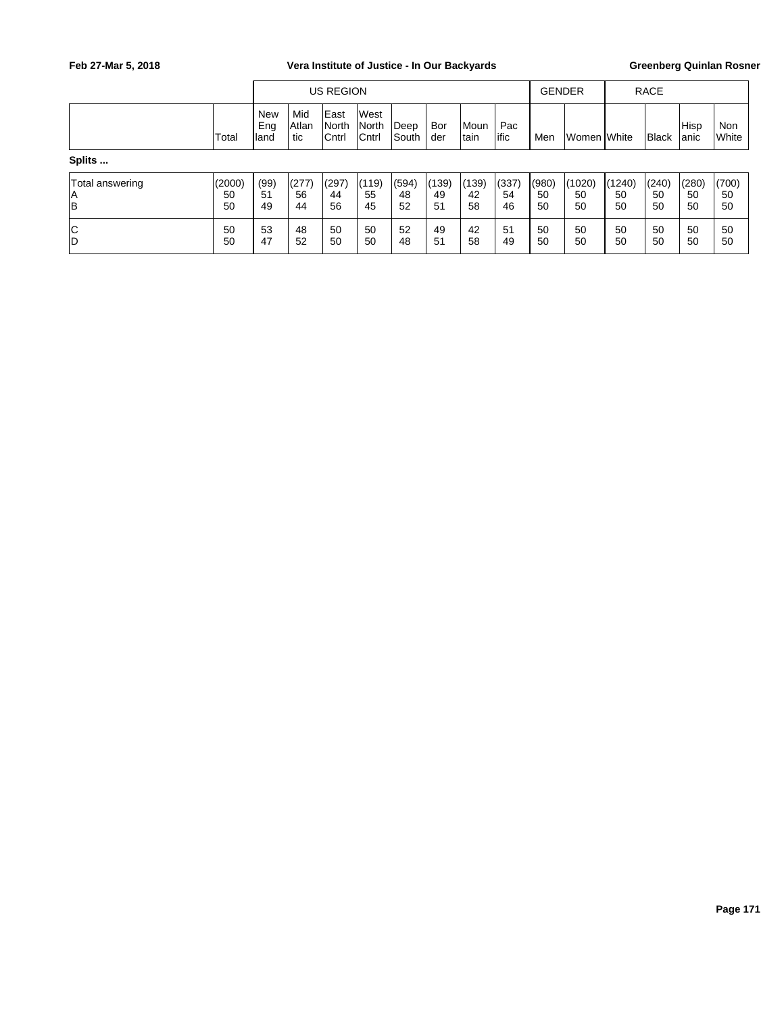|                             |                    |                    |                      | <b>US REGION</b>                     |                         |                      |                   |                   |                   | <b>GENDER</b>     |                       |                    | <b>RACE</b>       |                   |                     |
|-----------------------------|--------------------|--------------------|----------------------|--------------------------------------|-------------------------|----------------------|-------------------|-------------------|-------------------|-------------------|-----------------------|--------------------|-------------------|-------------------|---------------------|
|                             | Total              | New<br>Eng<br>land | Mid<br> Atlan<br>tic | East<br><b>North</b><br><b>Cntrl</b> | West<br>North<br> Cntrl | Deep<br><b>South</b> | Bor<br>der        | Moun<br>Itain     | Pac<br>lific      | Men               | lWomen <b>I</b> White |                    | Black             | Hisp<br> anic     | Non<br><b>White</b> |
| Splits                      |                    |                    |                      |                                      |                         |                      |                   |                   |                   |                   |                       |                    |                   |                   |                     |
| Total answering<br> A<br>lв | (2000)<br>50<br>50 | (99)<br>51<br>49   | (277)<br>56<br>44    | (297)<br>44<br>56                    | (119)<br>55<br>45       | (594)<br>48<br>52    | (139)<br>49<br>51 | (139)<br>42<br>58 | (337)<br>54<br>46 | (980)<br>50<br>50 | (1020)<br>50<br>50    | (1240)<br>50<br>50 | (240)<br>50<br>50 | (280)<br>50<br>50 | (700)<br>50<br>50   |
| C<br> D                     | 50<br>50           | 53<br>47           | 48<br>52             | 50<br>50                             | 50<br>50                | 52<br>48             | 49<br>51          | 42<br>58          | 51<br>49          | 50<br>50          | 50<br>50              | 50<br>50           | 50<br>50          | 50<br>50          | 50<br>50            |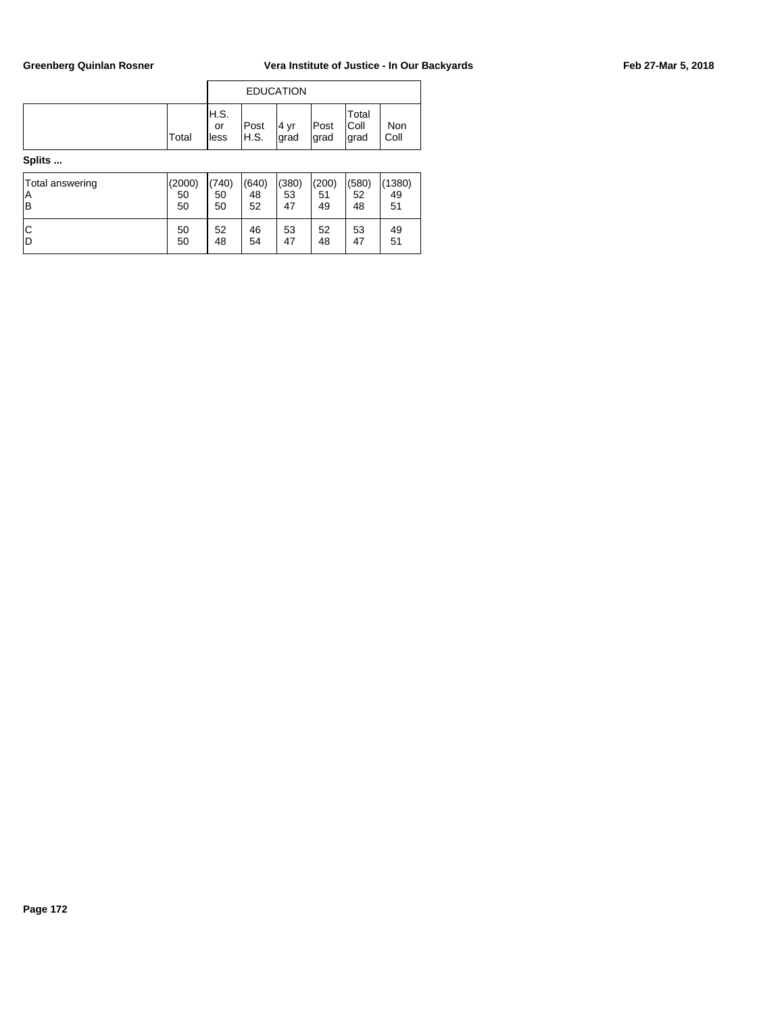|        |       |                      |                           | <b>EDUCATION</b> |               |                        |             |
|--------|-------|----------------------|---------------------------|------------------|---------------|------------------------|-------------|
|        | Total | IH.S.<br>or<br>lless | Post<br><sup>I</sup> H.S. | 4 yr<br>grad     | Post<br>∣grad | Total<br> Coll<br>grad | Non<br>Coll |
| Splits |       |                      |                           |                  |               |                        |             |

Total answering (2000) (740) (640) (380) (200) (580) (1380) A 50 50 48 53 51 52 49 B 30 50 50 52 47 49 48 51 C 30 50 52 46 53 52 53 49 D 30 48 54 47 48 47 51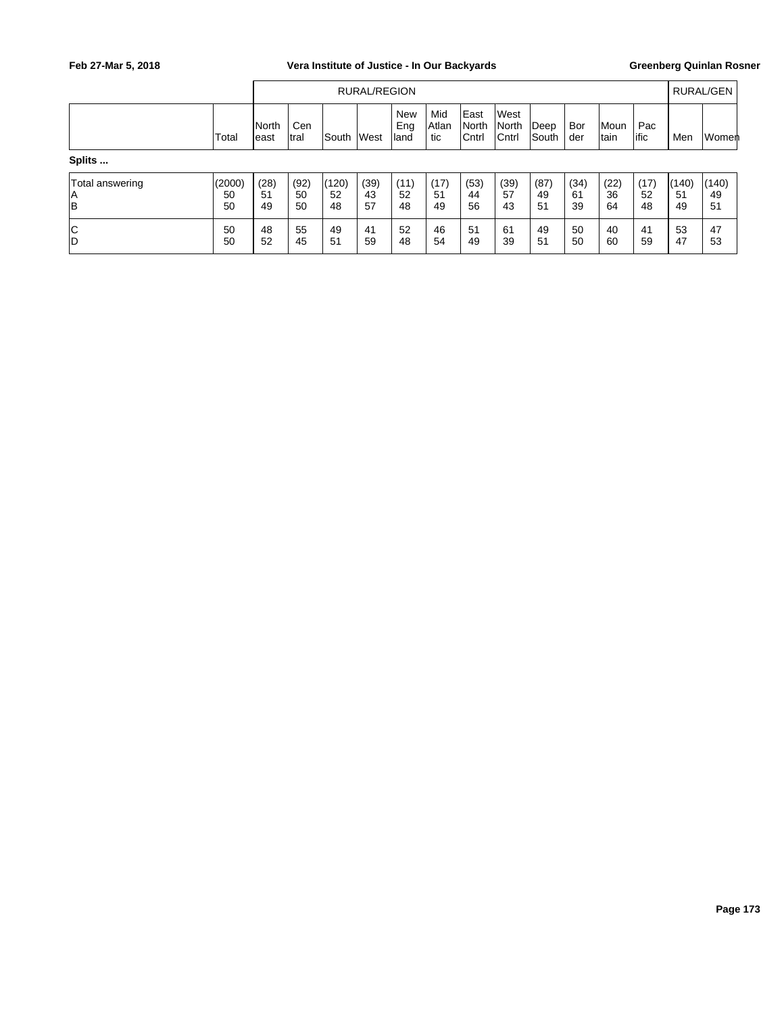|                             |                    |                  |                  |                   | RURAL/REGION     |                           |                     |                         |                                |                                 |                  |                  |                  |                   | <b>RURAL/GEN</b>  |
|-----------------------------|--------------------|------------------|------------------|-------------------|------------------|---------------------------|---------------------|-------------------------|--------------------------------|---------------------------------|------------------|------------------|------------------|-------------------|-------------------|
|                             | Total              | North<br>least   | Cen<br>Itral     | <b>South</b>      | <b>West</b>      | <b>New</b><br>Eng<br>land | Mid<br>Atlan<br>tic | East<br>North<br> Cntrl | <b>West</b><br>North<br> Cntrl | $\mathsf{Deep}$<br><b>South</b> | Bor<br>der       | Moun<br>tain     | Pac<br>lific     | Men               | Women             |
| Splits                      |                    |                  |                  |                   |                  |                           |                     |                         |                                |                                 |                  |                  |                  |                   |                   |
| Total answering<br> A<br> B | (2000)<br>50<br>50 | (28)<br>51<br>49 | (92)<br>50<br>50 | (120)<br>52<br>48 | (39)<br>43<br>57 | (11)<br>52<br>48          | (17)<br>51<br>49    | (53)<br>44<br>56        | (39)<br>57<br>43               | (87)<br>49<br>51                | (34)<br>61<br>39 | (22)<br>36<br>64 | (17)<br>52<br>48 | (140)<br>51<br>49 | (140)<br>49<br>51 |
| C<br> D                     | 50<br>50           | 48<br>52         | 55<br>45         | 49<br>51          | 41<br>59         | 52<br>48                  | 46<br>54            | 51<br>49                | 61<br>39                       | 49<br>51                        | 50<br>50         | 40<br>60         | 41<br>59         | 53<br>47          | 47<br>53          |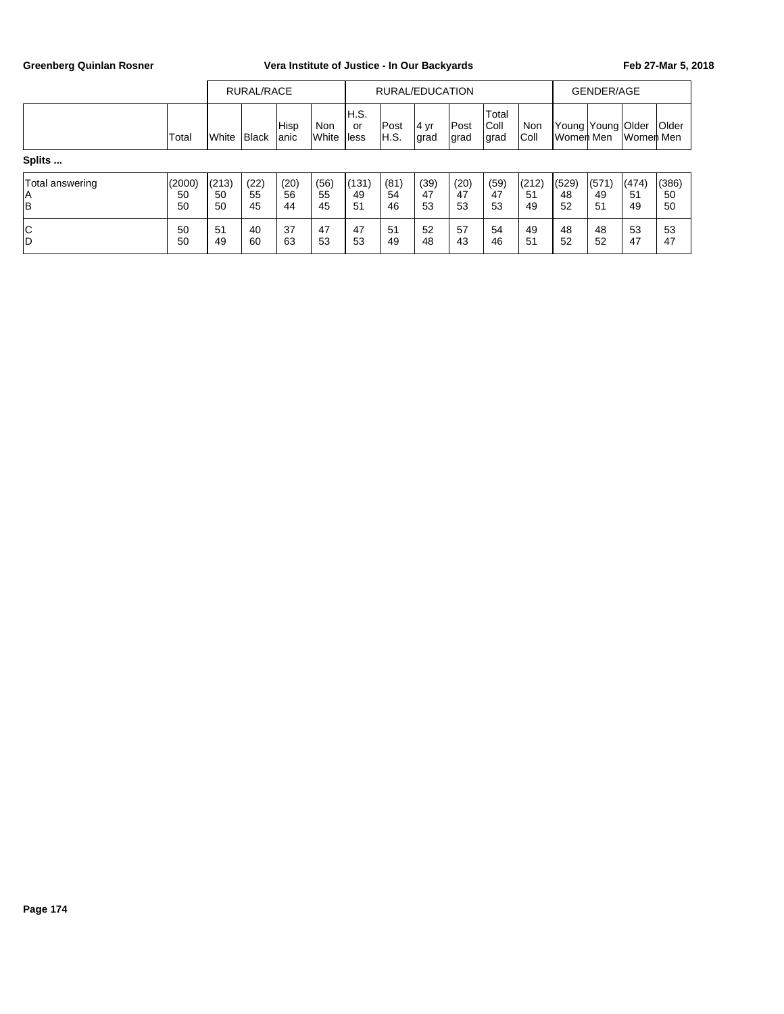|                             |                    |                   | RURAL/RACE       |                  |                            |                      |                     | RURAL/EDUCATION  |                      |                        |                   |                   | <b>GENDER/AGE</b> |                   |                   |
|-----------------------------|--------------------|-------------------|------------------|------------------|----------------------------|----------------------|---------------------|------------------|----------------------|------------------------|-------------------|-------------------|-------------------|-------------------|-------------------|
|                             | Total              | <b>I</b> White    | Black            | Hisp<br>lanic    | <b>Non</b><br><b>White</b> | IH.S.<br>or<br>lless | <b>Post</b><br>H.S. | 4 yr<br> grad    | <b>Post</b><br> grad | Total<br>Coll<br> grad | Non<br>Coll       | Women Men         | Young Young Older | Women Men         | <b>Older</b>      |
| Splits                      |                    |                   |                  |                  |                            |                      |                     |                  |                      |                        |                   |                   |                   |                   |                   |
| Total answering<br>ΙA<br>lв | (2000)<br>50<br>50 | (213)<br>50<br>50 | (22)<br>55<br>45 | (20)<br>56<br>44 | (56)<br>55<br>45           | (131)<br>49<br>51    | (81)<br>54<br>46    | (39)<br>47<br>53 | (20)<br>47<br>53     | (59)<br>47<br>53       | (212)<br>51<br>49 | (529)<br>48<br>52 | (571)<br>49<br>51 | (474)<br>51<br>49 | (386)<br>50<br>50 |
| C<br>D                      | 50<br>50           | 51<br>49          | 40<br>60         | 37<br>63         | 47<br>53                   | 47<br>53             | 51<br>49            | 52<br>48         | 57<br>43             | 54<br>46               | 49<br>51          | 48<br>52          | 48<br>52          | 53<br>47          | 53<br>47          |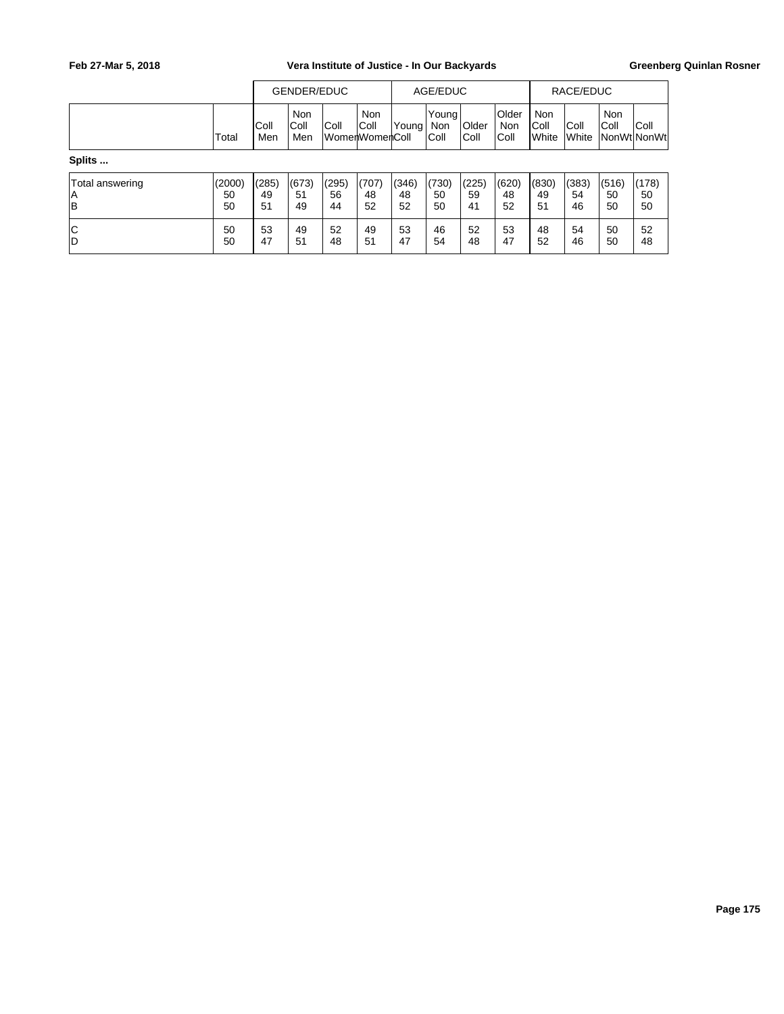|                             |                    |                   | GENDER/EDUC               |                   |                                           |                   | AGE/EDUC                      |                   |                              |                                      | RACE/EDUC         |                    |                      |
|-----------------------------|--------------------|-------------------|---------------------------|-------------------|-------------------------------------------|-------------------|-------------------------------|-------------------|------------------------------|--------------------------------------|-------------------|--------------------|----------------------|
|                             | Total              | IColl<br>Men      | <b>Non</b><br>Coll<br>Men | Coll              | Non<br> Coll<br>lWomenWomen <b>I</b> Coll | lYoung'           | Young <br><b>Non</b><br> Coll | Older<br>Coll     | <b>Older</b><br>Non<br> Coll | <b>Non</b><br>Coll<br><b>I</b> White | Coll<br>White     | <b>Non</b><br>Coll | Coll<br> NonWt NonWt |
| Splits                      |                    |                   |                           |                   |                                           |                   |                               |                   |                              |                                      |                   |                    |                      |
| Total answering<br>ΙA<br>lв | (2000)<br>50<br>50 | (285)<br>49<br>51 | (673)<br>51<br>49         | (295)<br>56<br>44 | (707)<br>48<br>52                         | (346)<br>48<br>52 | (730)<br>50<br>50             | (225)<br>59<br>41 | (620)<br>48<br>52            | (830)<br>49<br>51                    | (383)<br>54<br>46 | (516)<br>50<br>50  | (178)<br>50<br>50    |
| C<br>İD                     | 50<br>50           | 53<br>47          | 49<br>51                  | 52<br>48          | 49<br>51                                  | 53<br>47          | 46<br>54                      | 52<br>48          | 53<br>47                     | 48<br>52                             | 54<br>46          | 50<br>50           | 52<br>48             |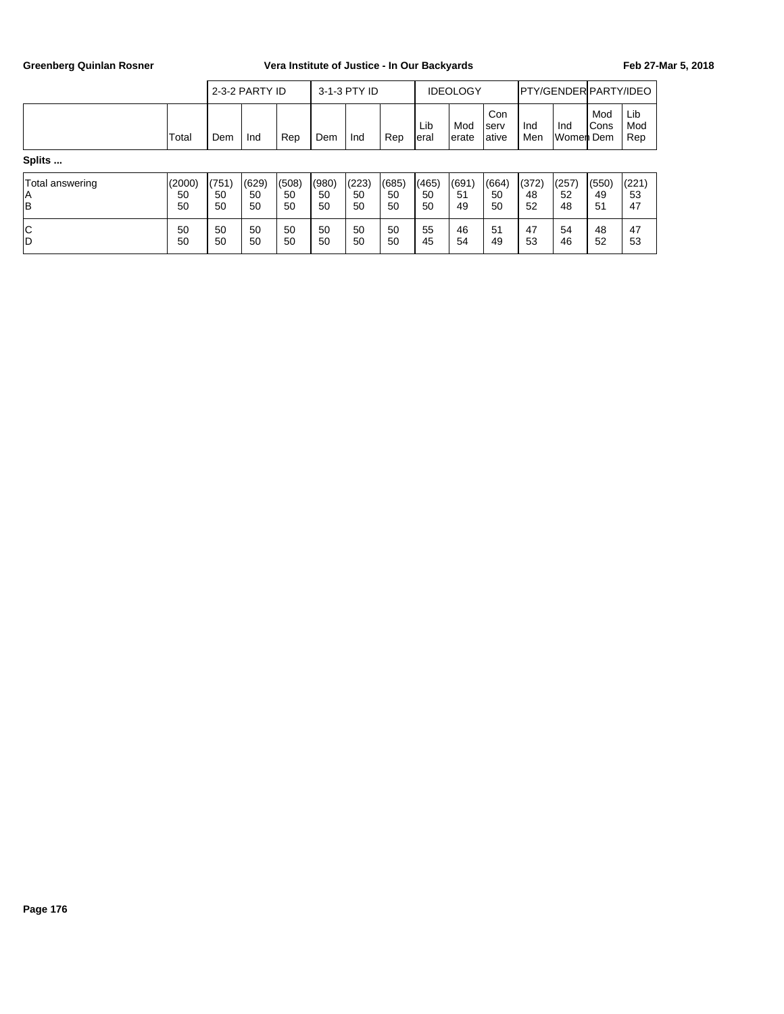|                             |                    |                   | 2-3-2 PARTY ID    |                   |                   | 3-1-3 PTY ID      |                   |                   | <b>IDEOLOGY</b>   |                        |                   | <b>PTY/GENDER PARTY/IDEO</b> |                      |                   |
|-----------------------------|--------------------|-------------------|-------------------|-------------------|-------------------|-------------------|-------------------|-------------------|-------------------|------------------------|-------------------|------------------------------|----------------------|-------------------|
|                             | Total              | Dem               | Ind               | Rep               | Dem               | Ind               | Rep               | Lib<br>Ieral      | Mod<br>lerate     | Con<br>Iserv<br>lative | Ind<br>Men        | Ind<br>Women Dem             | Mod<br><b>I</b> Cons | Lib<br>Mod<br>Rep |
| Splits                      |                    |                   |                   |                   |                   |                   |                   |                   |                   |                        |                   |                              |                      |                   |
| Total answering<br>İΑ<br>lв | (2000)<br>50<br>50 | (751)<br>50<br>50 | (629)<br>50<br>50 | (508)<br>50<br>50 | (980)<br>50<br>50 | (223)<br>50<br>50 | (685)<br>50<br>50 | (465)<br>50<br>50 | (691)<br>51<br>49 | (664)<br>50<br>50      | (372)<br>48<br>52 | (257)<br>52<br>48            | (550)<br>49<br>51    | (221)<br>53<br>47 |
| C<br>İD                     | 50<br>50           | 50<br>50          | 50<br>50          | 50<br>50          | 50<br>50          | 50<br>50          | 50<br>50          | 55<br>45          | 46<br>54          | 51<br>49               | 47<br>53          | 54<br>46                     | 48<br>52             | 47<br>53          |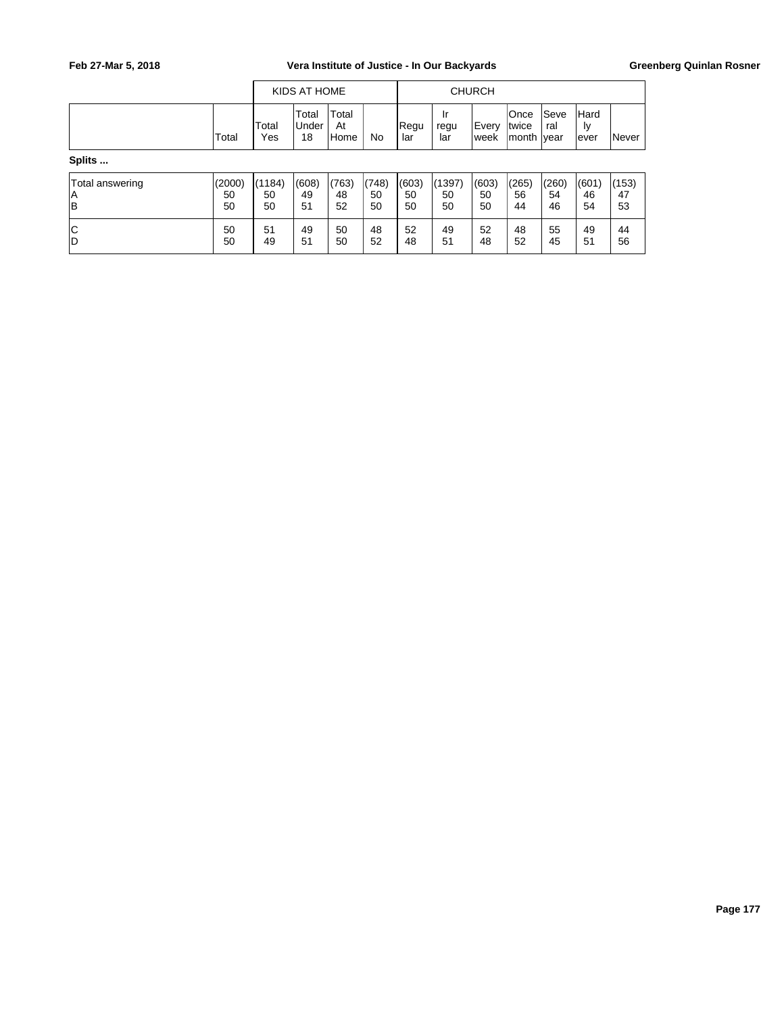|                             |                    |                    | KIDS AT HOME                |                     |                   |                   |                    | <b>CHURCH</b>     |                                      |                   |                            |                   |
|-----------------------------|--------------------|--------------------|-----------------------------|---------------------|-------------------|-------------------|--------------------|-------------------|--------------------------------------|-------------------|----------------------------|-------------------|
|                             | Total              | Total<br>Yes       | Total<br><b>Under</b><br>18 | Total<br>At<br>Home | No                | Regu<br>lar       | Ir<br>regu<br>lar  | Every<br>lweek    | <b>Once</b><br> twice<br>month  year | Seve<br>ral       | <b>Hard</b><br>ly<br>lever | Never             |
| Splits                      |                    |                    |                             |                     |                   |                   |                    |                   |                                      |                   |                            |                   |
| Total answering<br>ΙA<br> B | (2000)<br>50<br>50 | (1184)<br>50<br>50 | (608)<br>49<br>51           | (763)<br>48<br>52   | (748)<br>50<br>50 | (603)<br>50<br>50 | (1397)<br>50<br>50 | (603)<br>50<br>50 | (265)<br>56<br>44                    | (260)<br>54<br>46 | (601)<br>46<br>54          | (153)<br>47<br>53 |
| Iс<br>lD                    | 50<br>50           | 51<br>49           | 49<br>51                    | 50<br>50            | 48<br>52          | 52<br>48          | 49<br>51           | 52<br>48          | 48<br>52                             | 55<br>45          | 49<br>51                   | 44<br>56          |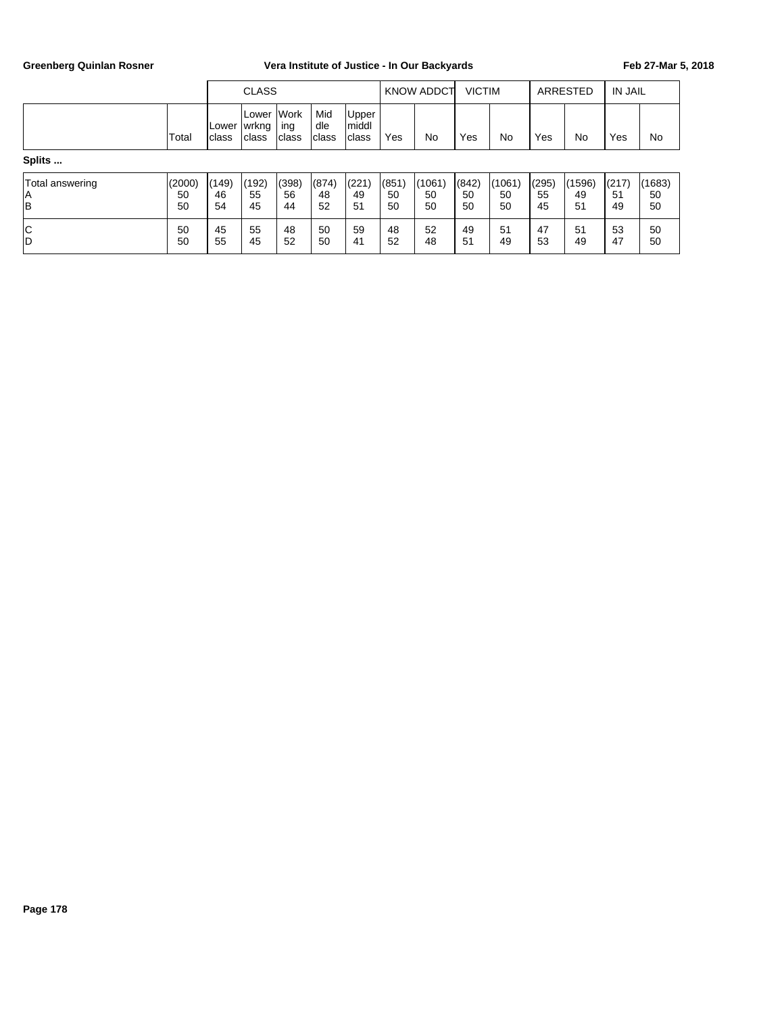|                             |                    |                         | <b>CLASS</b>              |                              |                     |                          |                   | KNOW ADDCT         | <b>VICTIM</b>     |                    |                   | <b>ARRESTED</b>    | <b>IN JAIL</b>    |                    |
|-----------------------------|--------------------|-------------------------|---------------------------|------------------------------|---------------------|--------------------------|-------------------|--------------------|-------------------|--------------------|-------------------|--------------------|-------------------|--------------------|
|                             | Total              | <b>ILower</b><br>Iclass | lLower<br> wrkng<br>class | <b>Work</b><br>ing<br>Iclass | Mid<br>dle<br>class | Upper<br>middl<br>lclass | Yes               | No                 | Yes               | No                 | Yes               | No                 | Yes               | No                 |
| Splits                      |                    |                         |                           |                              |                     |                          |                   |                    |                   |                    |                   |                    |                   |                    |
| Total answering<br> A<br> B | (2000)<br>50<br>50 | (149)<br>46<br>54       | (192)<br>55<br>45         | (398)<br>56<br>44            | (874)<br>48<br>52   | (221)<br>49<br>51        | (851)<br>50<br>50 | (1061)<br>50<br>50 | (842)<br>50<br>50 | (1061)<br>50<br>50 | (295)<br>55<br>45 | (1596)<br>49<br>51 | (217)<br>51<br>49 | (1683)<br>50<br>50 |
| C<br> D                     | 50<br>50           | 45<br>55                | 55<br>45                  | 48<br>52                     | 50<br>50            | 59<br>41                 | 48<br>52          | 52<br>48           | 49<br>51          | 51<br>49           | 47<br>53          | 51<br>49           | 53<br>47          | 50<br>50           |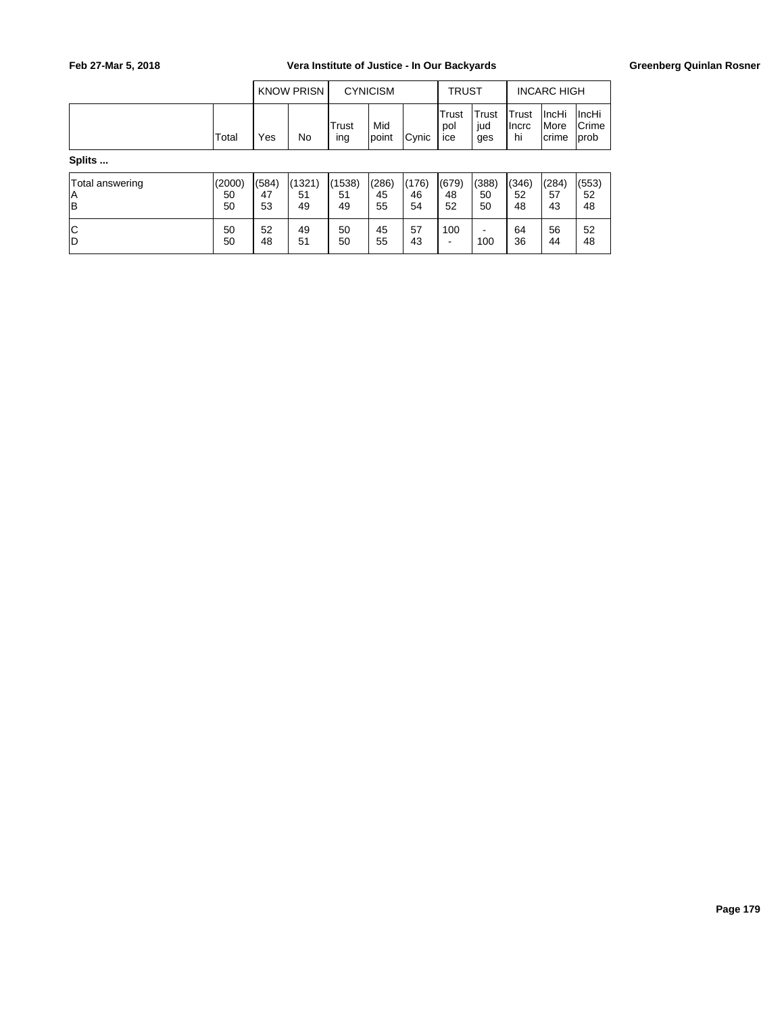|                             |                    |                   | <b>KNOW PRISN</b>  |                    | <b>CYNICISM</b>   |                   | <b>TRUST</b>        |                     |                       | <b>INCARC HIGH</b>             |                          |
|-----------------------------|--------------------|-------------------|--------------------|--------------------|-------------------|-------------------|---------------------|---------------------|-----------------------|--------------------------------|--------------------------|
|                             | Total              | Yes               | <b>No</b>          | Trust<br>ing       | Mid<br>point      | Cynic             | Trust<br>pol<br>ice | Trust<br>jud<br>ges | Trust<br>Ilncrc<br>hi | ∣IncHi<br><i>More</i><br>crime | ∣IncHi<br>Crime<br> prob |
| Splits                      |                    |                   |                    |                    |                   |                   |                     |                     |                       |                                |                          |
| Total answering<br>ΙA<br>İΒ | (2000)<br>50<br>50 | (584)<br>47<br>53 | (1321)<br>51<br>49 | (1538)<br>51<br>49 | (286)<br>45<br>55 | (176)<br>46<br>54 | (679)<br>48<br>52   | (388)<br>50<br>50   | (346)<br>52<br>48     | (284)<br>57<br>43              | (553)<br>52<br>48        |
| c<br>İD                     | 50<br>50           | 52<br>48          | 49<br>51           | 50<br>50           | 45<br>55          | 57<br>43          | 100                 | -<br>100            | 64<br>36              | 56<br>44                       | 52<br>48                 |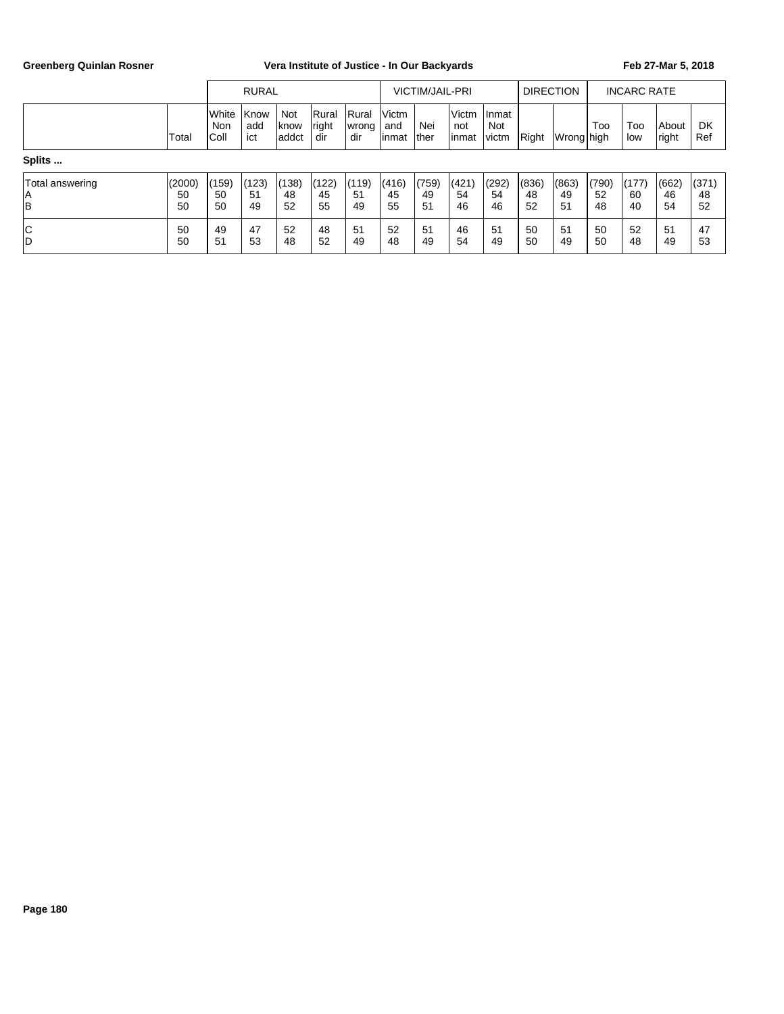|                             | <b>RURAL</b>       |                                |                    |                        |                       | <b>VICTIM/JAIL-PRI</b> |                        |                   |                          | <b>DIRECTION</b>              |                   | <b>INCARC RATE</b> |                   |                   |                   |                   |
|-----------------------------|--------------------|--------------------------------|--------------------|------------------------|-----------------------|------------------------|------------------------|-------------------|--------------------------|-------------------------------|-------------------|--------------------|-------------------|-------------------|-------------------|-------------------|
|                             | Total              | <b>I</b> White<br>Non<br>IColl | Know<br>add<br>ict | Not<br> know<br>laddct | Rural<br>right<br>dir | Rural<br> wrong<br>dir | Victm<br>and<br>linmat | Nei<br>ther       | l Victm<br>not<br>linmat | Inmat<br><b>Not</b><br>lvictm | Right             | Wrong high         | Too               | Too<br>low        | About<br> right   | DK<br>Ref         |
| Splits                      |                    |                                |                    |                        |                       |                        |                        |                   |                          |                               |                   |                    |                   |                   |                   |                   |
| Total answering<br>ΙA<br> B | (2000)<br>50<br>50 | (159)<br>50<br>50              | (123)<br>51<br>49  | (138)<br>48<br>52      | (122)<br>45<br>55     | (119)<br>51<br>49      | (416)<br>45<br>55      | (759)<br>49<br>51 | (421)<br>54<br>46        | (292)<br>54<br>46             | (836)<br>48<br>52 | (863)<br>49<br>51  | (790)<br>52<br>48 | (177)<br>60<br>40 | (662)<br>46<br>54 | (371)<br>48<br>52 |
| c<br>İD                     | 50<br>50           | 49<br>51                       | 47<br>53           | 52<br>48               | 48<br>52              | 51<br>49               | 52<br>48               | 51<br>49          | 46<br>54                 | 51<br>49                      | 50<br>50          | 51<br>49           | 50<br>50          | 52<br>48          | 51<br>49          | 47<br>53          |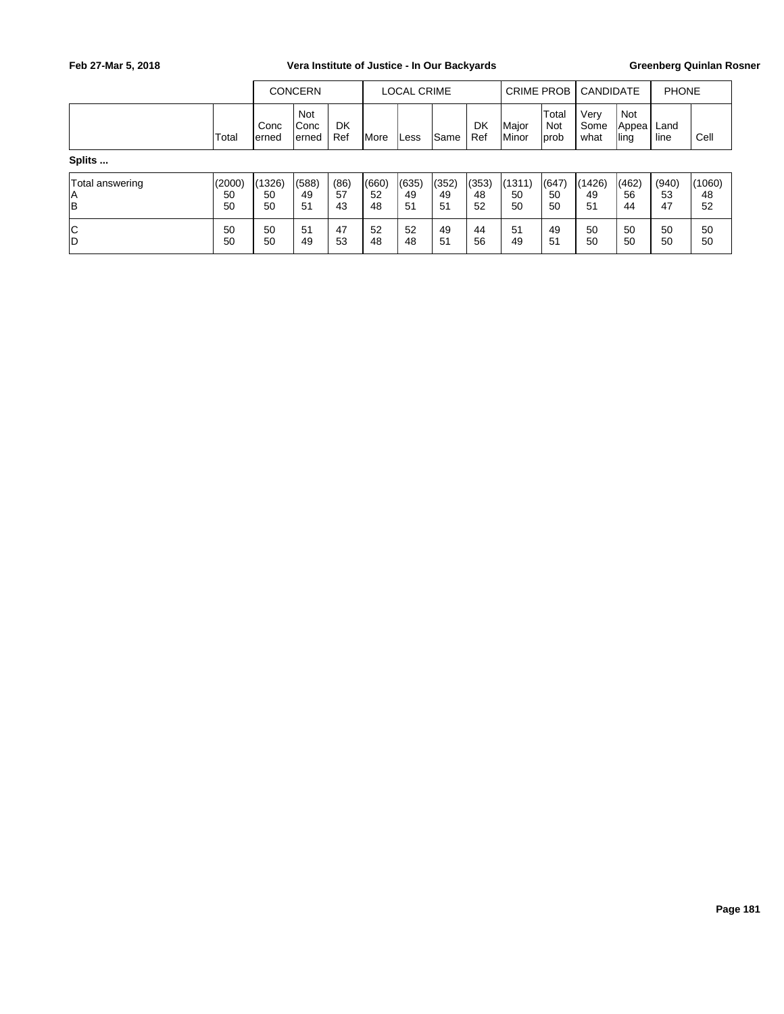## Feb 27-Mar 5, 2018 **Vera Institute of Justice - In Our Backyards** Greenberg Quinlan Rosner

|                             |                    | <b>CONCERN</b>     |                        |                  | <b>LOCAL CRIME</b> |                   |                    | <b>CRIME PROB</b> I |                        | <b>CANDIDATE</b>     |                      | <b>PHONE</b>          |                   |                    |
|-----------------------------|--------------------|--------------------|------------------------|------------------|--------------------|-------------------|--------------------|---------------------|------------------------|----------------------|----------------------|-----------------------|-------------------|--------------------|
|                             | Total              | Conc<br>lerned     | Not<br> Conc<br>lerned | <b>DK</b><br>Ref | <b>I</b> More      | Less              | lSame              | DK<br>Ref           | Major<br><b>IMinor</b> | Total<br>Not<br>prob | Very<br>Some<br>what | Not<br>Appea<br> ling | Land<br>line      | Cell               |
| Splits                      |                    |                    |                        |                  |                    |                   |                    |                     |                        |                      |                      |                       |                   |                    |
| Total answering<br> A<br> B | (2000)<br>50<br>50 | (1326)<br>50<br>50 | (588)<br>49<br>51      | (86)<br>57<br>43 | (660)<br>52<br>48  | (635)<br>49<br>51 | '(352)<br>49<br>51 | (353)<br>48<br>52   | (1311)<br>50<br>50     | (647)<br>50<br>50    | (1426)<br>49<br>51   | (462)<br>56<br>44     | (940)<br>53<br>47 | (1060)<br>48<br>52 |
| c<br>İD                     | 50<br>50           | 50<br>50           | 51<br>49               | 47<br>53         | 52<br>48           | 52<br>48          | 49<br>51           | 44<br>56            | 51<br>49               | 49<br>51             | 50<br>50             | 50<br>50              | 50<br>50          | 50<br>50           |